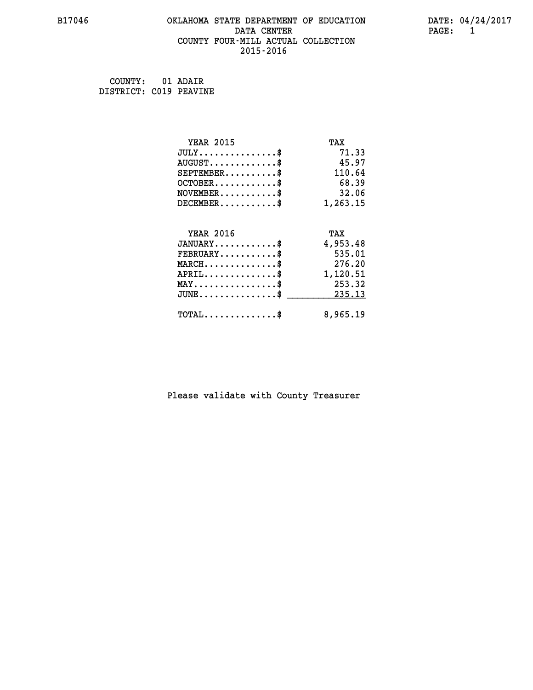## **B17046 OKLAHOMA STATE DEPARTMENT OF EDUCATION DATE: 04/24/2017 DATA CENTER PAGE: 1 COUNTY FOUR-MILL ACTUAL COLLECTION 2015-2016**

**COUNTY: 01 ADAIR DISTRICT: C019 PEAVINE**

| <b>YEAR 2015</b>                           | TAX      |
|--------------------------------------------|----------|
| $JULY$ \$                                  | 71.33    |
| $AUGUST$ \$                                | 45.97    |
| $SEPTEMBER$ \$                             | 110.64   |
| $OCTOBER$ \$                               | 68.39    |
| $NOVEMBER$ \$                              | 32.06    |
| $DECEMBER$ \$                              | 1,263.15 |
| <b>YEAR 2016</b>                           | TAX      |
| $JANUARY$ \$                               | 4,953.48 |
| $FEBRUARY$ \$                              | 535.01   |
| $MARCH$ \$                                 | 276.20   |
| $APRIL$ \$                                 | 1,120.51 |
| $MAX$ \$                                   | 253.32   |
| $JUNE$ \$                                  | 235.13   |
|                                            |          |
| $\texttt{TOTAL} \dots \dots \dots \dots \$ | 8,965.19 |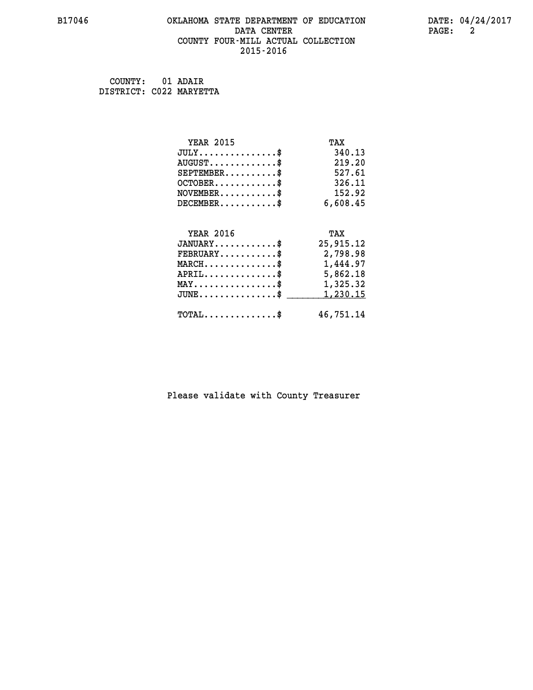## **B17046 OKLAHOMA STATE DEPARTMENT OF EDUCATION DATE: 04/24/2017 DATA CENTER PAGE: 2 COUNTY FOUR-MILL ACTUAL COLLECTION 2015-2016**

 **COUNTY: 01 ADAIR DISTRICT: C022 MARYETTA**

| <b>YEAR 2015</b>                                 | TAX       |
|--------------------------------------------------|-----------|
| $JULY$ \$                                        | 340.13    |
| $AUGUST$ \$                                      | 219.20    |
| $SEPTEMBER$ \$                                   | 527.61    |
| $OCTOBER$ \$                                     | 326.11    |
| $\texttt{NOVEMBER} \dots \dots \dots \$          | 152.92    |
| $DECEMBER$ \$                                    | 6,608.45  |
|                                                  |           |
| <b>YEAR 2016</b>                                 | TAX       |
| $JANUARY$ \$                                     | 25,915.12 |
| $FEBRUARY$                                       | 2,798.98  |
| $\texttt{MARCH}\ldots\ldots\ldots\ldots\text{*}$ | 1,444.97  |
| ${\tt APRIL} \dots \dots \dots \dots \$          | 5,862.18  |
| $\texttt{MAX} \dots \dots \dots \dots \dots \$$  | 1,325.32  |
| $JUNE$ \$                                        | 1,230.15  |
| $\texttt{TOTAL} \dots \dots \dots \dots \$       | 46,751.14 |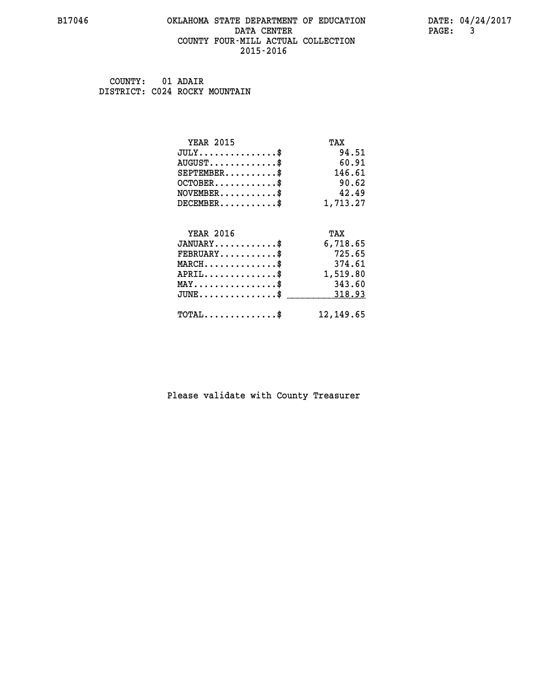## **B17046 OKLAHOMA STATE DEPARTMENT OF EDUCATION DATE: 04/24/2017 DATA CENTER** PAGE: 3  **COUNTY FOUR-MILL ACTUAL COLLECTION 2015-2016**

 **COUNTY: 01 ADAIR DISTRICT: C024 ROCKY MOUNTAIN**

| <b>YEAR 2015</b>                           | TAX        |
|--------------------------------------------|------------|
| $JULY$ \$                                  | 94.51      |
| $AUGUST$ \$                                | 60.91      |
| $SEPTEMBER$ \$                             | 146.61     |
| $OCTOBER$ \$                               | 90.62      |
| $NOVEMBER$ \$                              | 42.49      |
| $DECEMBER$ \$                              | 1,713.27   |
| <b>YEAR 2016</b>                           | TAX        |
| $JANUARY$ \$                               | 6,718.65   |
|                                            |            |
| $FEBRUARY$ \$                              | 725.65     |
| $MARCH$ \$                                 | 374.61     |
| $APRIL$ \$                                 | 1,519.80   |
| $MAX \dots \dots \dots \dots \$            | 343.60     |
| $JUNE$                                     | 318.93     |
| $\texttt{TOTAL} \dots \dots \dots \dots \$ | 12, 149.65 |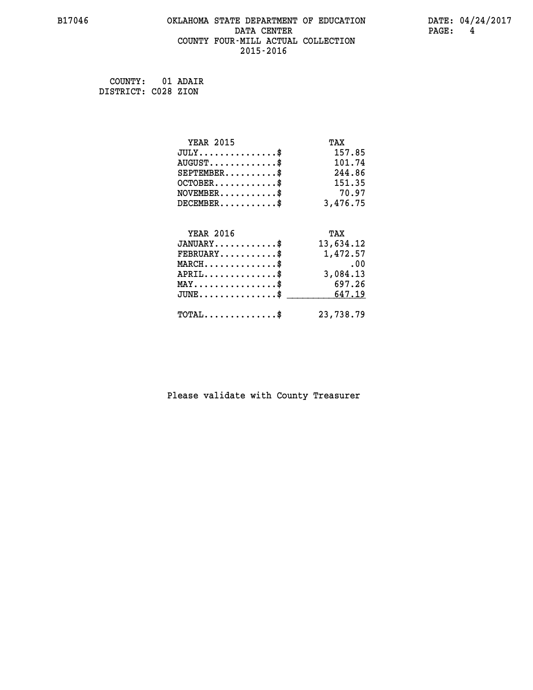## **B17046 OKLAHOMA STATE DEPARTMENT OF EDUCATION DATE: 04/24/2017 DATA CENTER PAGE: 4 COUNTY FOUR-MILL ACTUAL COLLECTION 2015-2016**

 **COUNTY: 01 ADAIR DISTRICT: C028 ZION**

| <b>YEAR 2015</b>                | TAX       |
|---------------------------------|-----------|
| $JULY$ \$                       | 157.85    |
| $AUGUST$ \$                     | 101.74    |
| $SEPTEMENT.$ \$                 | 244.86    |
| $OCTOBER$ \$                    | 151.35    |
| $NOVEMBER$ \$                   | 70.97     |
| $DECEMBER$ \$                   | 3,476.75  |
|                                 |           |
| <b>YEAR 2016</b>                | TAX       |
| $JANUARY$ \$                    | 13,634.12 |
| $FEBRUARY$                      | 1,472.57  |
| $MARCH$ \$                      | .00       |
| $APRIL$ \$                      | 3,084.13  |
| $MAX \dots \dots \dots \dots \$ | 697.26    |
| $JUNE$                          | 647.19    |
| $TOTAL$ \$                      | 23,738.79 |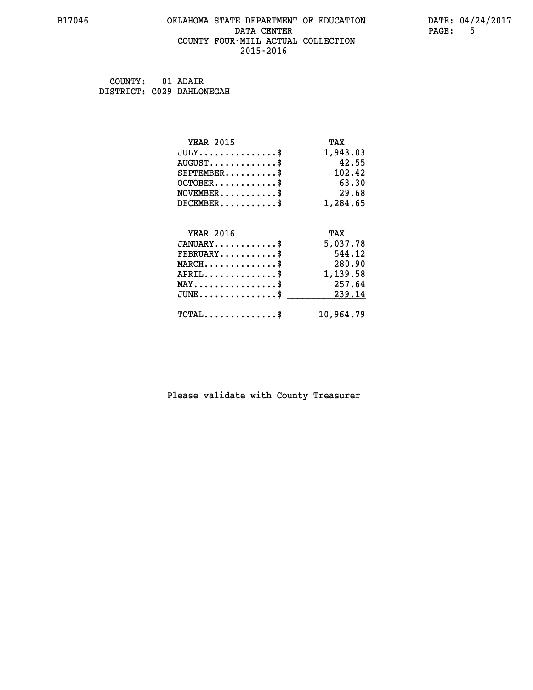## **B17046 OKLAHOMA STATE DEPARTMENT OF EDUCATION DATE: 04/24/2017 DATA CENTER PAGE:** 5  **COUNTY FOUR-MILL ACTUAL COLLECTION 2015-2016**

 **COUNTY: 01 ADAIR DISTRICT: C029 DAHLONEGAH**

| <b>YEAR 2015</b>                         | TAX       |
|------------------------------------------|-----------|
| $JULY$ \$                                | 1,943.03  |
| $AUGUST$ \$                              | 42.55     |
| $SEPTEMENT.$ \$                          | 102.42    |
| $OCTOBER$ \$                             | 63.30     |
| $NOVEMBER$ \$                            | 29.68     |
| $DECEMBER$ \$                            | 1,284.65  |
|                                          |           |
| <b>YEAR 2016</b>                         | TAX       |
| $JANUARY$ \$                             | 5,037.78  |
| $FEBRUARY$ \$                            | 544.12    |
| $MARCH$ \$                               | 280.90    |
| $APRIL$ \$                               | 1,139.58  |
| $MAX \dots \dots \dots \dots \dots$      | 257.64    |
| $JUNE$                                   | 239.14    |
| $\texttt{TOTAL} \dots \dots \dots \dots$ | 10,964.79 |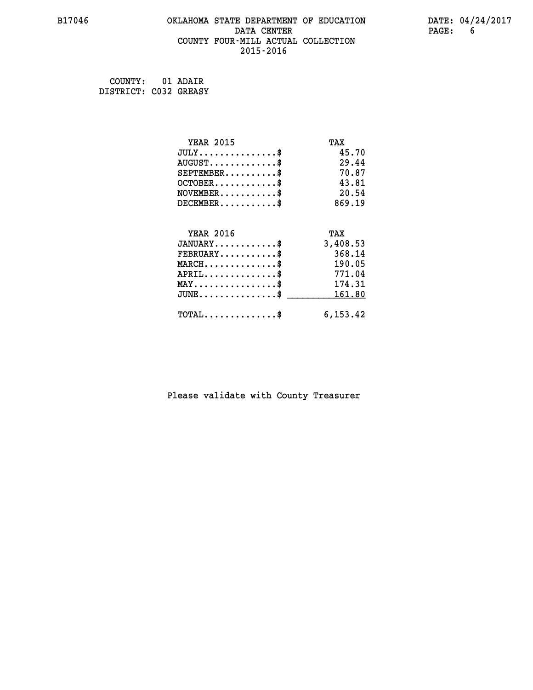## **B17046 OKLAHOMA STATE DEPARTMENT OF EDUCATION DATE: 04/24/2017 DATA CENTER** PAGE: 6  **COUNTY FOUR-MILL ACTUAL COLLECTION 2015-2016**

 **COUNTY: 01 ADAIR DISTRICT: C032 GREASY**

| <b>YEAR 2015</b>                           | TAX       |
|--------------------------------------------|-----------|
| $JULY$ \$                                  | 45.70     |
| $AUGUST$ \$                                | 29.44     |
| $SEPTEMENT.$ \$                            | 70.87     |
| $OCTOBER$ \$                               | 43.81     |
| $NOVEMBER$ \$                              | 20.54     |
| $DECEMBER$ \$                              | 869.19    |
|                                            |           |
| <b>YEAR 2016</b>                           | TAX       |
| $JANUARY$ \$                               | 3,408.53  |
| $FEBRUARY$                                 | 368.14    |
| $MARCH$ \$                                 | 190.05    |
| $APRIL$ \$                                 | 771.04    |
| $MAX \dots \dots \dots \dots \$            | 174.31    |
| $JUNE$ \$                                  | 161.80    |
| $\texttt{TOTAL} \dots \dots \dots \dots \$ | 6, 153.42 |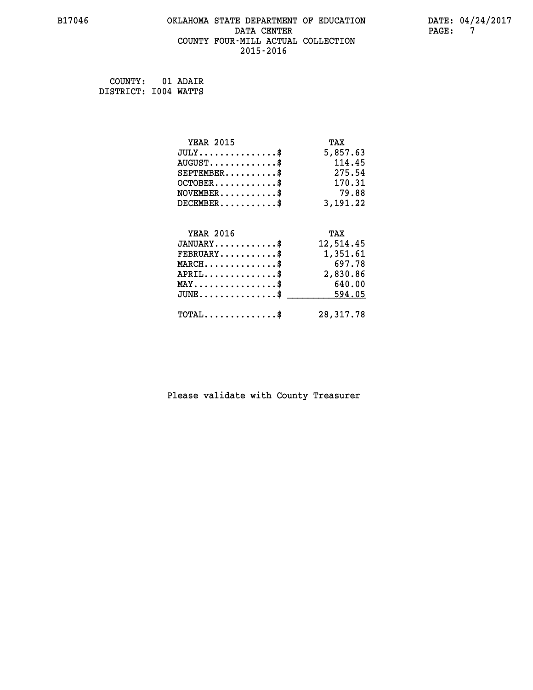## **B17046 OKLAHOMA STATE DEPARTMENT OF EDUCATION DATE: 04/24/2017 DATA CENTER PAGE: 7 COUNTY FOUR-MILL ACTUAL COLLECTION 2015-2016**

 **COUNTY: 01 ADAIR DISTRICT: I004 WATTS**

| <b>YEAR 2015</b>                           | TAX        |
|--------------------------------------------|------------|
| $JULY$ \$                                  | 5,857.63   |
| $AUGUST$ \$                                | 114.45     |
| $SEPTEMBER$ \$                             | 275.54     |
| $OCTOBER$ \$                               | 170.31     |
| $NOVEMBER$ \$                              | 79.88      |
| $DECEMBER$ \$                              | 3,191.22   |
|                                            |            |
| <b>YEAR 2016</b>                           | TAX        |
| $JANUARY$ \$                               | 12,514.45  |
| $FEBRUARY$                                 | 1,351.61   |
| $MARCH$ \$                                 | 697.78     |
| $APRIL$ \$                                 | 2,830.86   |
| $MAX \dots \dots \dots \dots \$            | 640.00     |
| $JUNE$ \$                                  | 594.05     |
| $\texttt{TOTAL} \dots \dots \dots \dots \$ | 28, 317.78 |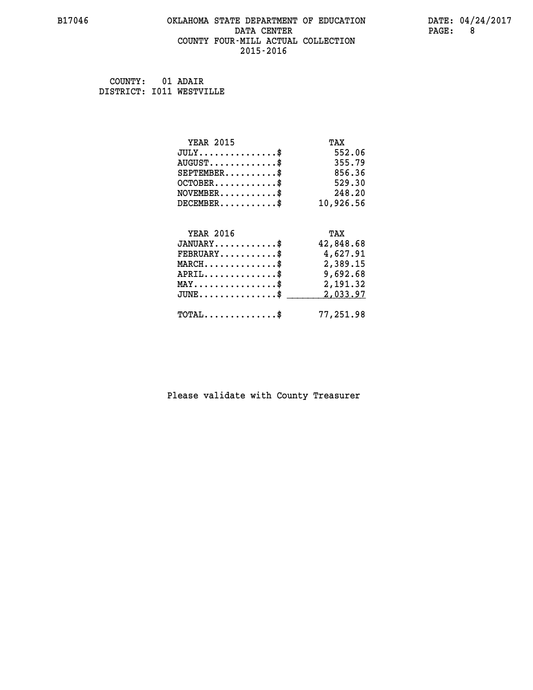## **B17046 OKLAHOMA STATE DEPARTMENT OF EDUCATION DATE: 04/24/2017 DATA CENTER** PAGE: 8  **COUNTY FOUR-MILL ACTUAL COLLECTION 2015-2016**

 **COUNTY: 01 ADAIR DISTRICT: I011 WESTVILLE**

| <b>YEAR 2015</b>                           | TAX       |
|--------------------------------------------|-----------|
| $JULY$ \$                                  | 552.06    |
| $AUGUST$ \$                                | 355.79    |
| $SEPTEMBER$ \$                             | 856.36    |
| $OCTOBER$ \$                               | 529.30    |
| $NOVEMBER$ \$                              | 248.20    |
| $DECEMBER$ \$                              | 10,926.56 |
|                                            |           |
| <b>YEAR 2016</b>                           | TAX       |
| $JANUARY$ \$                               | 42,848.68 |
| $FEBRUARY$                                 | 4,627.91  |
| $MARCH$ \$                                 | 2,389.15  |
| $APRIL$ \$                                 | 9,692.68  |
| $MAX \dots \dots \dots \dots \dots$        | 2,191.32  |
| $JUNE$                                     | 2,033.97  |
| $\texttt{TOTAL} \dots \dots \dots \dots \$ | 77,251.98 |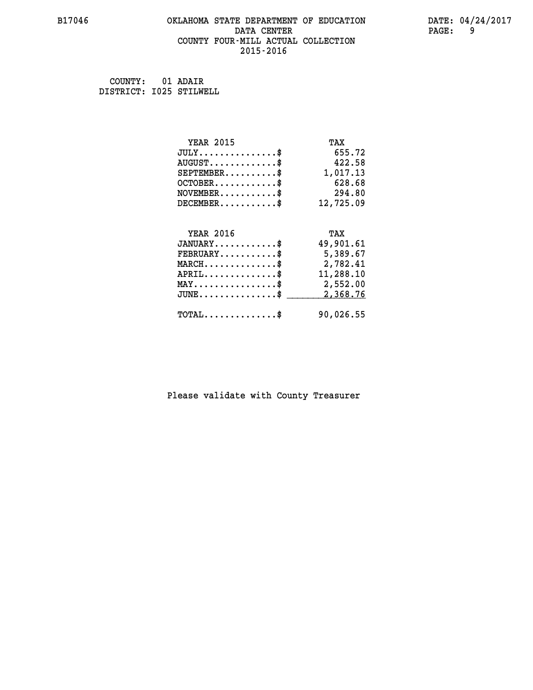## **B17046 OKLAHOMA STATE DEPARTMENT OF EDUCATION DATE: 04/24/2017 DATA CENTER PAGE: 9 COUNTY FOUR-MILL ACTUAL COLLECTION 2015-2016**

 **COUNTY: 01 ADAIR DISTRICT: I025 STILWELL**

| <b>YEAR 2015</b>                               | TAX       |
|------------------------------------------------|-----------|
| $JULY$ \$                                      | 655.72    |
| $AUGUST$ \$                                    | 422.58    |
| $SEPTEMBER$ \$                                 | 1,017.13  |
| $OCTOBER$ \$                                   | 628.68    |
| $NOVEMBER$ \$                                  | 294.80    |
| $DECEMBER$ \$                                  | 12,725.09 |
|                                                |           |
| <b>YEAR 2016</b>                               | TAX       |
| $JANUARY$ \$                                   | 49,901.61 |
| $FEBRUARY$                                     | 5,389.67  |
| $MARCH$ \$                                     | 2,782.41  |
| $APRIL$ \$                                     | 11,288.10 |
| $\texttt{MAX} \dots \dots \dots \dots \dots \$ | 2,552.00  |
| $JUNE$ \$                                      | 2,368.76  |
| $TOTAL$ \$                                     | 90,026.55 |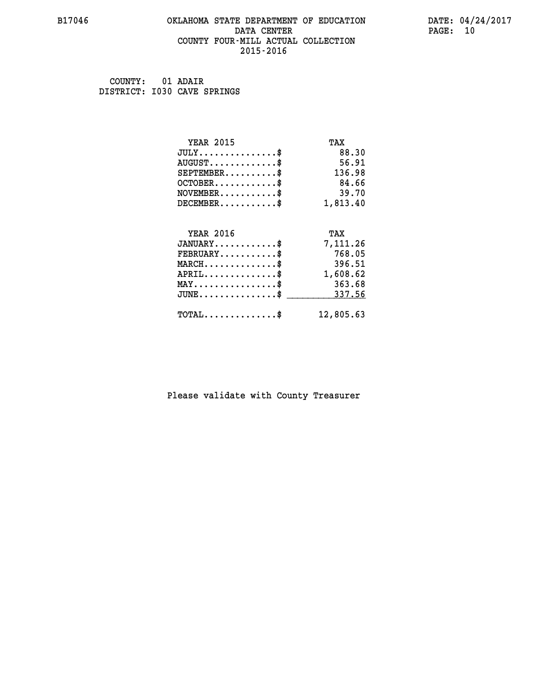## **B17046 OKLAHOMA STATE DEPARTMENT OF EDUCATION DATE: 04/24/2017 DATA CENTER** PAGE: 10  **COUNTY FOUR-MILL ACTUAL COLLECTION 2015-2016**

 **COUNTY: 01 ADAIR DISTRICT: I030 CAVE SPRINGS**

| <b>YEAR 2015</b>                           | TAX       |
|--------------------------------------------|-----------|
| $JULY$ \$                                  | 88.30     |
| $AUGUST$ \$                                | 56.91     |
| $SEPTEMENT.$ \$                            | 136.98    |
| $OCTOBER$ \$                               | 84.66     |
| $NOVEMBER$ \$                              | 39.70     |
| $DECEMBER$ \$                              | 1,813.40  |
| <b>YEAR 2016</b>                           | TAX       |
| $JANUARY$ \$                               | 7,111.26  |
| $FEBRUARY$                                 | 768.05    |
| $MARCH$ \$                                 | 396.51    |
| $APRIL \ldots \ldots \ldots \ldots *$      | 1,608.62  |
| $MAX \dots \dots \dots \dots \$            | 363.68    |
| $JUNE$                                     | 337.56    |
| $\texttt{TOTAL} \dots \dots \dots \dots \$ | 12,805.63 |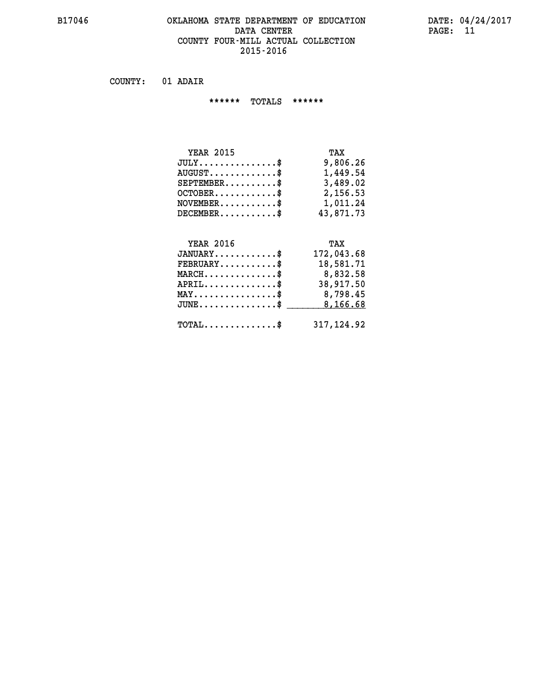#### **B17046 OKLAHOMA STATE DEPARTMENT OF EDUCATION DATE: 04/24/2017 DATA CENTER PAGE: 11 COUNTY FOUR-MILL ACTUAL COLLECTION 2015-2016**

 **COUNTY: 01 ADAIR**

 **\*\*\*\*\*\* TOTALS \*\*\*\*\*\***

| <b>YEAR 2015</b>                 | TAX       |
|----------------------------------|-----------|
| $JULY \ldots \ldots \ldots \$    | 9,806.26  |
| $AUGUST \ldots \ldots \ldots$ \$ | 1,449.54  |
| $SEPTEMBER$                      | 3,489.02  |
| $OCTOBER$ \$                     | 2,156.53  |
| $NOVEMBER$ $\$                   | 1,011.24  |
| $DECEMBER$                       | 43,871.73 |

# **YEAR 2016 TAX JANUARY............\$ 172,043.68 FEBRUARY...........\$ 18,581.71 MARCH..............\$ 8,832.58 APRIL..............\$ 38,917.50 MAY................\$ 8,798.45 JUNE................\$** \_\_\_\_\_\_\_\_\_<u>\_8,166.68</u>  **TOTAL..............\$ 317,124.92**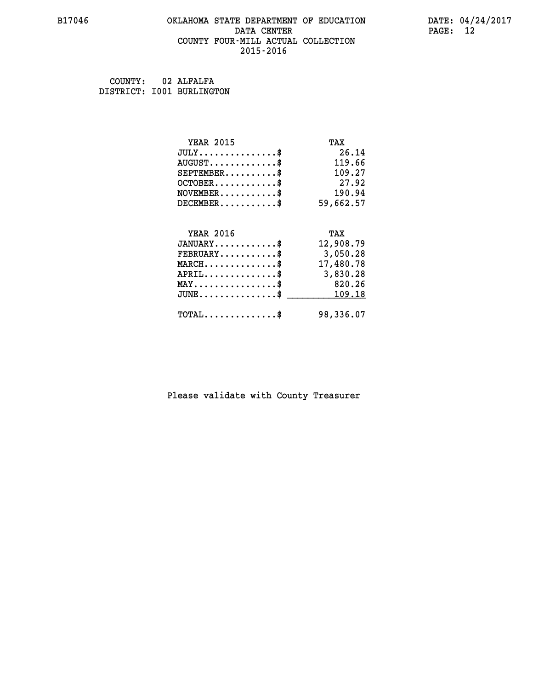## **B17046 OKLAHOMA STATE DEPARTMENT OF EDUCATION DATE: 04/24/2017 DATA CENTER** PAGE: 12  **COUNTY FOUR-MILL ACTUAL COLLECTION 2015-2016**

 **COUNTY: 02 ALFALFA DISTRICT: I001 BURLINGTON**

| <b>YEAR 2015</b>                                 | TAX       |
|--------------------------------------------------|-----------|
| $JULY$ \$                                        | 26.14     |
| $AUGUST$ \$                                      | 119.66    |
| $SEPTEMBER$ \$                                   | 109.27    |
| $OCTOBER$ \$                                     | 27.92     |
| $NOVEMBER$ \$                                    | 190.94    |
| $DECEMBER$ \$                                    | 59,662.57 |
| <b>YEAR 2016</b>                                 |           |
|                                                  | TAX       |
| $JANUARY$ \$                                     | 12,908.79 |
| $FEBRUARY$                                       | 3,050.28  |
| $MARCH$ \$                                       | 17,480.78 |
| $APRIL \ldots \ldots \ldots \ldots \$            | 3,830.28  |
| $\texttt{MAX} \dots \dots \dots \dots \dots \$   | 820.26    |
| $\texttt{JUNE} \dots \dots \dots \dots \dots \$$ | 109.18    |
| $\texttt{TOTAL} \dots \dots \dots \dots \$       | 98,336.07 |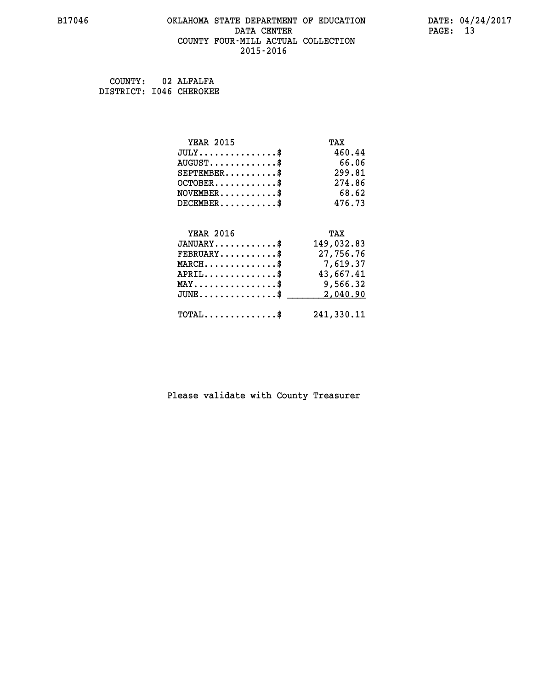## **B17046 OKLAHOMA STATE DEPARTMENT OF EDUCATION DATE: 04/24/2017 DATA CENTER** PAGE: 13  **COUNTY FOUR-MILL ACTUAL COLLECTION 2015-2016**

 **COUNTY: 02 ALFALFA DISTRICT: I046 CHEROKEE**

| <b>YEAR 2015</b>                           | TAX        |
|--------------------------------------------|------------|
| $JULY$ \$                                  | 460.44     |
| $AUGUST$ \$                                | 66.06      |
| $SEPTEMBER$ \$                             | 299.81     |
| $OCTOBER$ \$                               | 274.86     |
| $NOVEMBER$ \$                              | 68.62      |
| $DECEMBER$ \$                              | 476.73     |
|                                            |            |
|                                            |            |
| <b>YEAR 2016</b>                           | TAX        |
| $JANUARY$ \$                               | 149,032.83 |
| $FEBRUARY$                                 | 27,756.76  |
| $MARCH$ \$                                 | 7,619.37   |
| $APRIL$ \$                                 | 43,667.41  |
| $MAX \dots \dots \dots \dots \dots$        | 9,566.32   |
| $JUNE$ $$$                                 | 2,040.90   |
| $\texttt{TOTAL} \dots \dots \dots \dots \$ | 241,330.11 |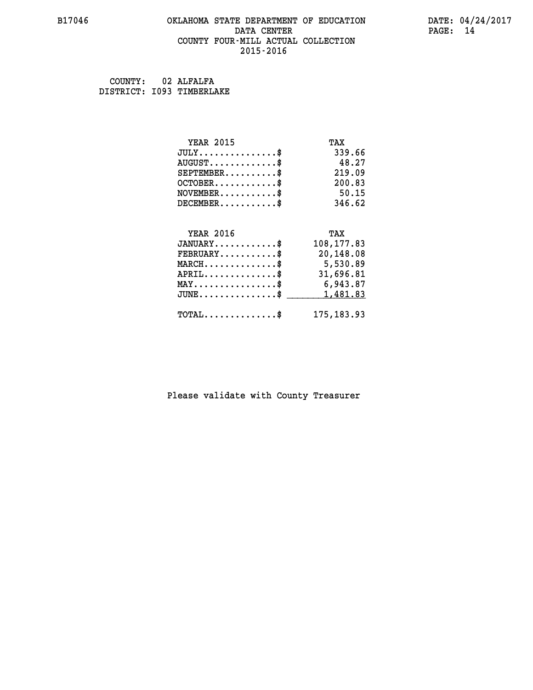## **B17046 OKLAHOMA STATE DEPARTMENT OF EDUCATION DATE: 04/24/2017 DATA CENTER PAGE: 14 COUNTY FOUR-MILL ACTUAL COLLECTION 2015-2016**

 **COUNTY: 02 ALFALFA DISTRICT: I093 TIMBERLAKE**

| <b>YEAR 2015</b>                                   | TAX         |
|----------------------------------------------------|-------------|
| $JULY$ \$                                          | 339.66      |
| $AUGUST$ \$                                        | 48.27       |
| $SEPTEMBER$ \$                                     | 219.09      |
| $OCTOBER$ \$                                       | 200.83      |
| $NOVEMBER.$ \$                                     | 50.15       |
| $DECEMBER$ \$                                      | 346.62      |
| <b>YEAR 2016</b>                                   | TAX         |
| $JANUARY$ \$                                       | 108, 177.83 |
| $\texttt{FEBRUARY} \dots \dots \dots \$            | 20,148.08   |
| $MARCH \ldots \ldots \ldots \ldots \$              | 5,530.89    |
| $APRIL \ldots \ldots \ldots \ldots \$              | 31,696.81   |
| $\texttt{MAX} \dots \dots \dots \dots \$           | 6,943.87    |
|                                                    |             |
| $\texttt{JUNE} \dots \dots \dots \dots \texttt{S}$ | 1,481.83    |
| $\texttt{TOTAL} \dots \dots \dots \dots \$         | 175, 183.93 |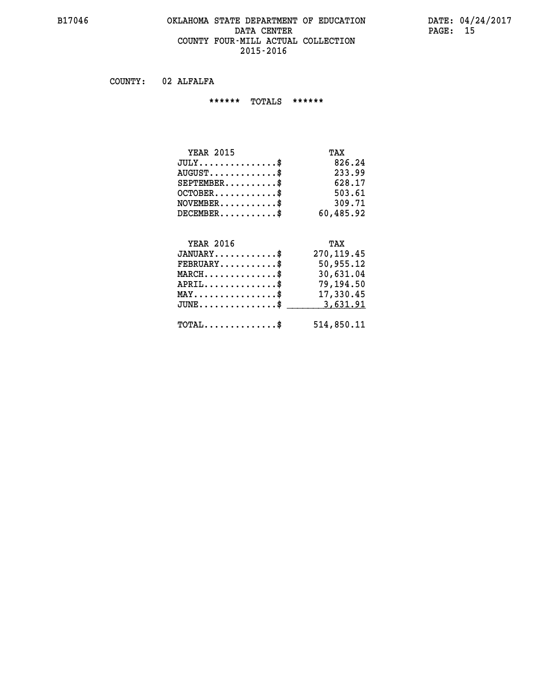## **B17046 OKLAHOMA STATE DEPARTMENT OF EDUCATION DATE: 04/24/2017 DATA CENTER PAGE: 15 COUNTY FOUR-MILL ACTUAL COLLECTION 2015-2016**

 **COUNTY: 02 ALFALFA**

 **\*\*\*\*\*\* TOTALS \*\*\*\*\*\***

| <b>YEAR 2015</b> | TAX       |
|------------------|-----------|
| $JULY$           | 826.24    |
| $AUGUST$         | 233.99    |
| $SEPTEMBER$      | 628.17    |
| $OCTOBER$ \$     | 503.61    |
| $NOVEMBER$ \$    | 309.71    |
| $DECEMBER$ \$    | 60,485.92 |

## **YEAR 2016 TAX**

| $JANUARY$<br>$\texttt{FEBRUARY} \dots \dots \dots \$ | 270, 119.45<br>50,955.12 |
|------------------------------------------------------|--------------------------|
| $MARCH$ \$                                           | 30,631.04                |
| $APRIL$                                              | 79,194.50                |
| $MAX \dots \dots \dots \dots \dots \$                | 17,330.45                |
| JUNE\$ 3,631.91                                      |                          |
| $\text{TOTAL} \dots \dots \dots \dots \dots$         | 514,850.11               |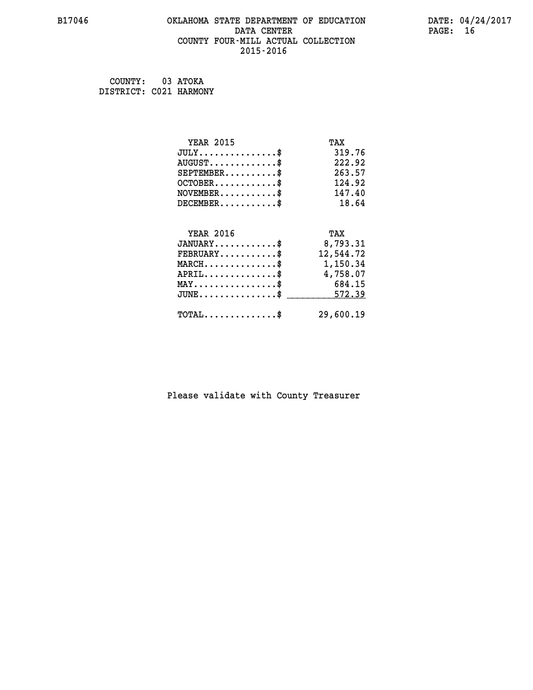## **B17046 OKLAHOMA STATE DEPARTMENT OF EDUCATION DATE: 04/24/2017 DATA CENTER** PAGE: 16  **COUNTY FOUR-MILL ACTUAL COLLECTION 2015-2016**

 **COUNTY: 03 ATOKA DISTRICT: C021 HARMONY**

| <b>YEAR 2015</b>                               | TAX       |
|------------------------------------------------|-----------|
| $JULY$ \$                                      | 319.76    |
| $AUGUST$ \$                                    | 222.92    |
| $SEPTEMBER$ \$                                 | 263.57    |
| $OCTOBER$ \$                                   | 124.92    |
| $NOVEMBER.$ \$                                 | 147.40    |
| $DECEMBER$ \$                                  | 18.64     |
|                                                |           |
| <b>YEAR 2016</b>                               | TAX       |
| $JANUARY$                                      | 8,793.31  |
| $FEBRUARY$                                     | 12,544.72 |
| $MARCH$ \$                                     | 1,150.34  |
| $APRIL \ldots \ldots \ldots \ldots \$          | 4,758.07  |
| $\texttt{MAX} \dots \dots \dots \dots \dots \$ | 684.15    |
| $\texttt{JUNE}\dots\dots\dots\dots\dots\$      | 572.39    |
| $\texttt{TOTAL} \dots \dots \dots \dots$ \$    | 29,600.19 |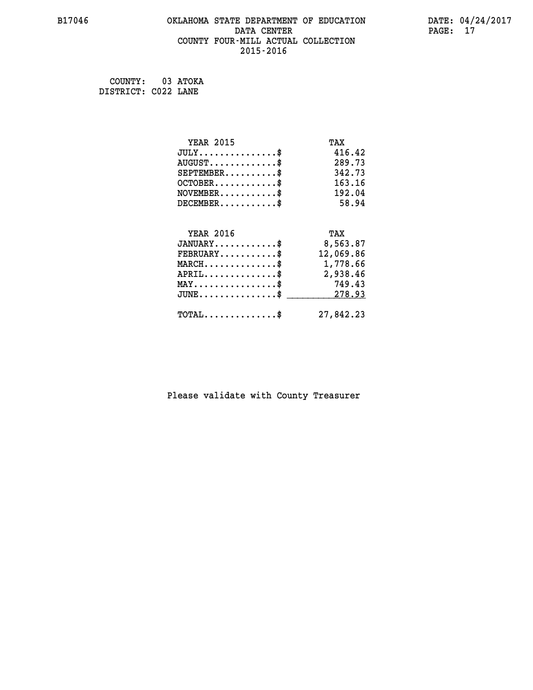## **B17046 OKLAHOMA STATE DEPARTMENT OF EDUCATION DATE: 04/24/2017 DATA CENTER** PAGE: 17  **COUNTY FOUR-MILL ACTUAL COLLECTION 2015-2016**

 **COUNTY: 03 ATOKA DISTRICT: C022 LANE**

| <b>YEAR 2015</b>                                 | TAX       |
|--------------------------------------------------|-----------|
| $JULY$ \$                                        | 416.42    |
| $AUGUST$ \$                                      | 289.73    |
| $SEPTEMBER$ \$                                   | 342.73    |
| $OCTOBER$ \$                                     | 163.16    |
| $NOVEMBER.$ \$                                   | 192.04    |
| $DECEMBER$ \$                                    | 58.94     |
|                                                  |           |
| <b>YEAR 2016</b>                                 | TAX       |
| $JANUARY$                                        | 8,563.87  |
| $FEBRUARY$                                       | 12,069.86 |
| $\texttt{MARCH}\ldots\ldots\ldots\ldots\text{*}$ | 1,778.66  |
| $APRIL \ldots \ldots \ldots \ldots *$            | 2,938.46  |
| $MAX \dots \dots \dots \dots \dots$              | 749.43    |
| $JUNE$ \$                                        | 278.93    |
| $\texttt{TOTAL} \dots \dots \dots \dots \$       | 27,842.23 |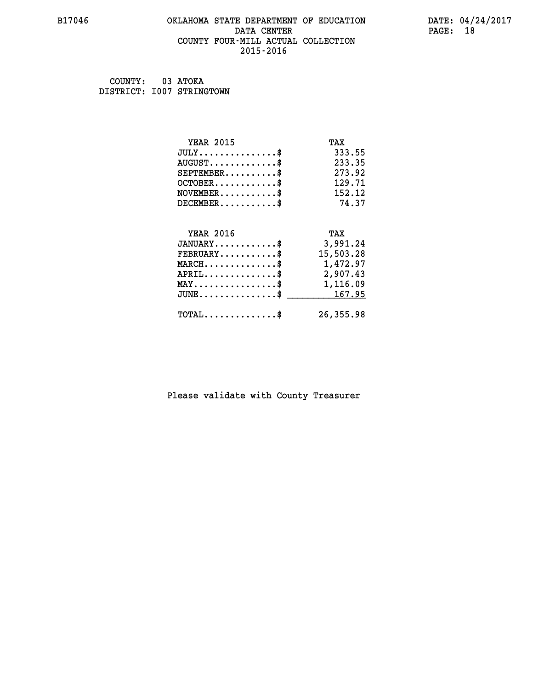## **B17046 OKLAHOMA STATE DEPARTMENT OF EDUCATION DATE: 04/24/2017 DATA CENTER** PAGE: 18  **COUNTY FOUR-MILL ACTUAL COLLECTION 2015-2016**

 **COUNTY: 03 ATOKA DISTRICT: I007 STRINGTOWN**

| <b>YEAR 2015</b>                                   | TAX       |
|----------------------------------------------------|-----------|
| $JULY$ \$                                          | 333.55    |
| $AUGUST$ \$                                        | 233.35    |
| $SEPTEMENT.$ \$                                    | 273.92    |
| $OCTOBER$ \$                                       | 129.71    |
| $NOVEMBER.$ \$                                     | 152.12    |
| $DECEMBER$ \$                                      | 74.37     |
| <b>YEAR 2016</b>                                   | TAX       |
| $JANUARY$ \$                                       | 3,991.24  |
| $\texttt{FEBRUARY} \dots \dots \dots \$            | 15,503.28 |
| $MARCH$ \$                                         | 1,472.97  |
| $APRIL \dots \dots \dots \dots$ \$                 | 2,907.43  |
| $\texttt{MAX} \dots \dots \dots \dots \dots \$     | 1,116.09  |
| $\texttt{JUNE} \dots \dots \dots \dots \texttt{S}$ | 167.95    |
| $TOTAL$ \$                                         | 26,355.98 |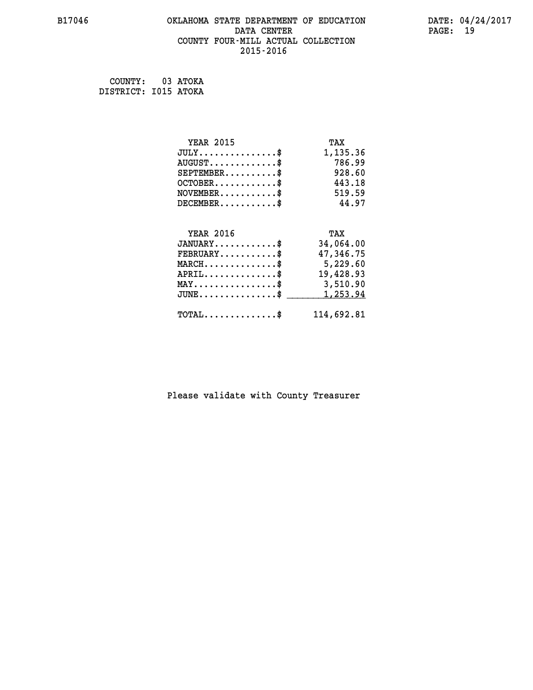## **B17046 OKLAHOMA STATE DEPARTMENT OF EDUCATION DATE: 04/24/2017 DATA CENTER** PAGE: 19  **COUNTY FOUR-MILL ACTUAL COLLECTION 2015-2016**

 **COUNTY: 03 ATOKA DISTRICT: I015 ATOKA**

| <b>YEAR 2015</b>                               | TAX        |
|------------------------------------------------|------------|
| $JULY$ \$                                      | 1,135.36   |
| $AUGUST$ \$                                    | 786.99     |
| $SEPTEMBER$ \$                                 | 928.60     |
| $OCTOBER$ \$                                   | 443.18     |
| $NOVEMBER$ \$                                  | 519.59     |
| $DECEMBER$ \$                                  | 44.97      |
|                                                |            |
| <b>YEAR 2016</b>                               | TAX        |
| $JANUARY$ \$                                   | 34,064.00  |
| $FEBRUARY$                                     | 47,346.75  |
| $MARCH$ \$                                     | 5,229.60   |
| $APRIL$ \$                                     | 19,428.93  |
| $\texttt{MAX} \dots \dots \dots \dots \dots \$ | 3,510.90   |
| $JUNE$                                         | 1,253.94   |
| $\texttt{TOTAL} \dots \dots \dots \dots \$     | 114,692.81 |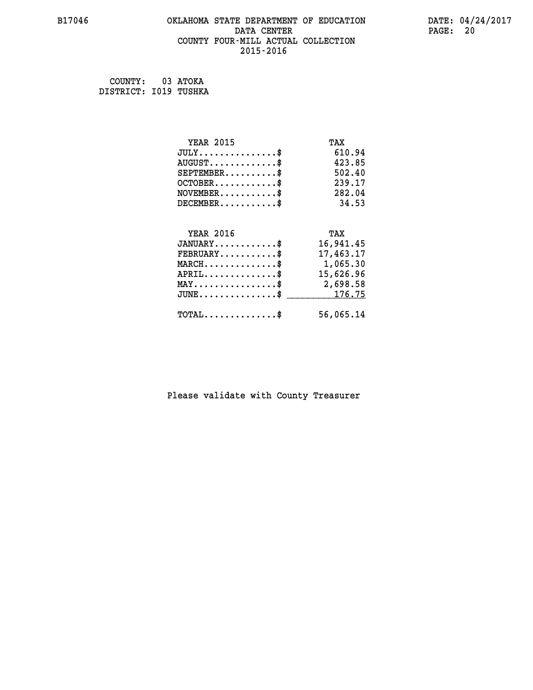## **B17046 OKLAHOMA STATE DEPARTMENT OF EDUCATION DATE: 04/24/2017 DATA CENTER** PAGE: 20  **COUNTY FOUR-MILL ACTUAL COLLECTION 2015-2016**

 **COUNTY: 03 ATOKA DISTRICT: I019 TUSHKA**

| <b>YEAR 2015</b>                               | TAX       |
|------------------------------------------------|-----------|
| $JULY$ \$                                      | 610.94    |
| $AUGUST$ \$                                    | 423.85    |
| $SEPTEMBER$ \$                                 | 502.40    |
| $OCTOBER$ \$                                   | 239.17    |
| $NOVEMBER$ \$                                  | 282.04    |
| $DECEMBER$ \$                                  | 34.53     |
|                                                |           |
| <b>YEAR 2016</b>                               | TAX       |
| $JANUARY$ \$                                   | 16,941.45 |
| $FEBRUARY$                                     | 17,463.17 |
| $MARCH$ \$                                     | 1,065.30  |
| $APRIL$ \$                                     | 15,626.96 |
| $\texttt{MAX} \dots \dots \dots \dots \dots \$ | 2,698.58  |
| $JUNE$ $\text{\$}$                             | 176.75    |
| $\texttt{TOTAL} \dots \dots \dots \dots \$     | 56,065.14 |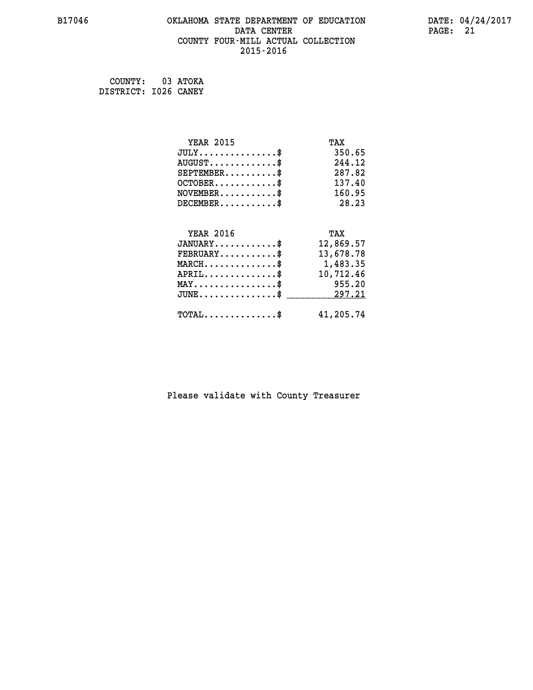## **B17046 OKLAHOMA STATE DEPARTMENT OF EDUCATION DATE: 04/24/2017 DATA CENTER** PAGE: 21  **COUNTY FOUR-MILL ACTUAL COLLECTION 2015-2016**

 **COUNTY: 03 ATOKA DISTRICT: I026 CANEY**

| <b>YEAR 2015</b>                           | TAX       |
|--------------------------------------------|-----------|
| $JULY$ \$                                  | 350.65    |
| $AUGUST$ \$                                | 244.12    |
| $SEPTEMENT.$ \$                            | 287.82    |
| $OCTOBER$ \$                               | 137.40    |
| $NOVEMBER$ \$                              | 160.95    |
| $DECEMBER$ \$                              | 28.23     |
|                                            |           |
| <b>YEAR 2016</b>                           | TAX       |
| $JANUARY$ \$                               | 12,869.57 |
| $FEBRUARY$ \$                              | 13,678.78 |
| $MARCH$ \$                                 | 1,483.35  |
| $APRIL$ \$                                 | 10,712.46 |
| $MAX \dots \dots \dots \dots \dots$        | 955.20    |
| $JUNE$ \$                                  | 297.21    |
| $\texttt{TOTAL} \dots \dots \dots \dots \$ | 41,205.74 |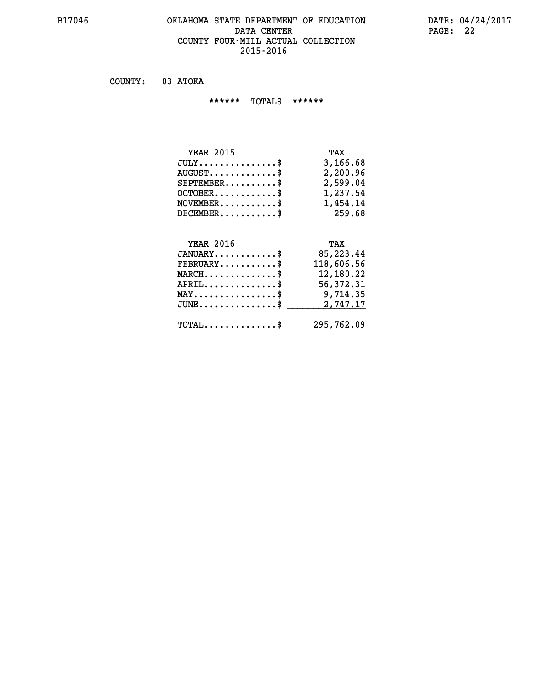#### **B17046 OKLAHOMA STATE DEPARTMENT OF EDUCATION DATE: 04/24/2017 DATA CENTER PAGE: 22 COUNTY FOUR-MILL ACTUAL COLLECTION 2015-2016**

 **COUNTY: 03 ATOKA**

 **\*\*\*\*\*\* TOTALS \*\*\*\*\*\***

| <b>YEAR 2015</b>                 | TAX      |
|----------------------------------|----------|
| $JULY \ldots \ldots \ldots \$    | 3,166.68 |
| $AUGUST \ldots \ldots \ldots$ \$ | 2,200.96 |
| $SEPTEMBER$ \$                   | 2,599.04 |
| $OCTOBER$                        | 1,237.54 |
| $NOVEMBER$ $\$                   | 1,454.14 |
| $DECEMBER$                       | 259.68   |

# **YEAR 2016 TAX JANUARY............\$ 85,223.44 FEBRUARY...........\$ 118,606.56 MARCH..............\$ 12,180.22 APRIL..............\$ 56,372.31 MAY................\$ 9,714.35 JUNE...............\$ 2,747.17 \_\_\_\_\_\_\_\_\_\_\_\_\_\_\_ TOTAL..............\$ 295,762.09**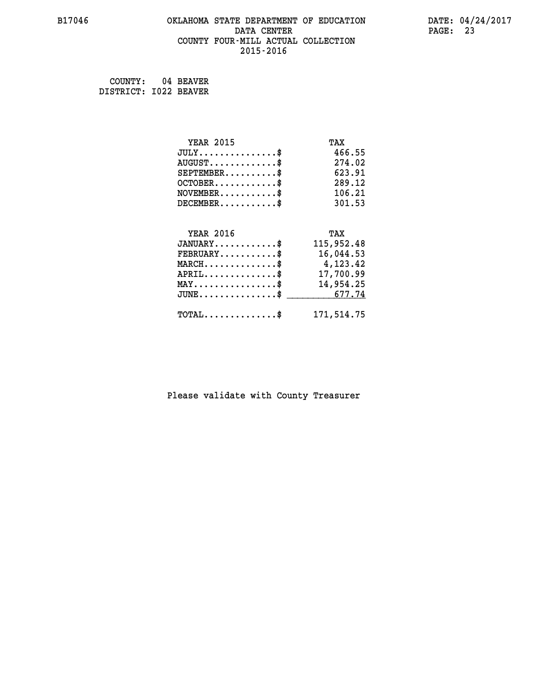## **B17046 OKLAHOMA STATE DEPARTMENT OF EDUCATION DATE: 04/24/2017 DATA CENTER** PAGE: 23  **COUNTY FOUR-MILL ACTUAL COLLECTION 2015-2016**

 **COUNTY: 04 BEAVER DISTRICT: I022 BEAVER**

| <b>YEAR 2015</b>                               | TAX        |
|------------------------------------------------|------------|
| $JULY$ \$                                      | 466.55     |
| $AUGUST$ \$                                    | 274.02     |
| $SEPTEMBER$ \$                                 | 623.91     |
| $OCTOBER$ \$                                   | 289.12     |
| $NOVEMBER$ \$                                  | 106.21     |
| $DECEMBER$ \$                                  | 301.53     |
|                                                |            |
| <b>YEAR 2016</b>                               | TAX        |
| $JANUARY$ \$                                   | 115,952.48 |
| $FEBRUARY$ \$                                  | 16,044.53  |
| $MARCH$ \$                                     | 4,123.42   |
| $APRIL \ldots \ldots \ldots \ldots$ \$         | 17,700.99  |
| $\texttt{MAX} \dots \dots \dots \dots \dots \$ | 14,954.25  |
| $JUNE \dots \dots \dots \dots \$ 677.74        |            |
| $\texttt{TOTAL} \dots \dots \dots \dots \$     | 171,514.75 |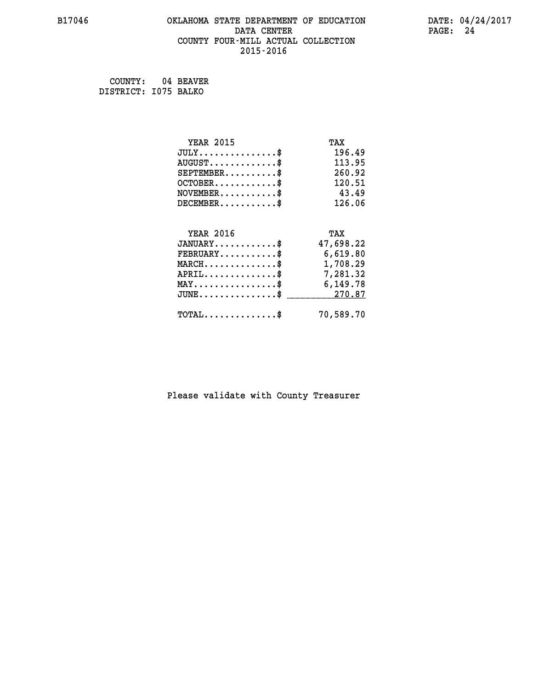## **B17046 OKLAHOMA STATE DEPARTMENT OF EDUCATION DATE: 04/24/2017 DATA CENTER** PAGE: 24  **COUNTY FOUR-MILL ACTUAL COLLECTION 2015-2016**

 **COUNTY: 04 BEAVER DISTRICT: I075 BALKO**

| <b>YEAR 2015</b>                                 | TAX       |
|--------------------------------------------------|-----------|
| $JULY$ \$                                        | 196.49    |
| $AUGUST$ \$                                      | 113.95    |
| $SEPTEMBER$ \$                                   | 260.92    |
| $OCTOBER$ \$                                     | 120.51    |
| $NOVEMBER$ \$                                    | 43.49     |
| $DECEMBER$ \$                                    | 126.06    |
|                                                  |           |
| <b>YEAR 2016</b>                                 | TAX       |
| $JANUARY$ \$                                     | 47,698.22 |
| $FEBRUARY$                                       | 6,619.80  |
| $\texttt{MARCH}\ldots\ldots\ldots\ldots\text{*}$ | 1,708.29  |
| $APRIL \ldots \ldots \ldots \ldots \$            | 7,281.32  |
| MAY\$ 6,149.78                                   |           |
| $\texttt{JUNE} \dots \dots \dots \dots \dots \$$ | 270.87    |
| $\texttt{TOTAL} \dots \dots \dots \dots$         | 70,589.70 |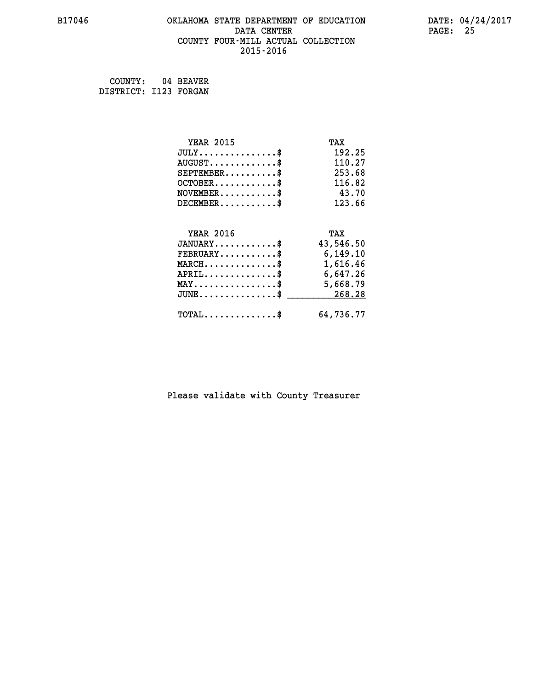## **B17046 OKLAHOMA STATE DEPARTMENT OF EDUCATION DATE: 04/24/2017 DATA CENTER** PAGE: 25  **COUNTY FOUR-MILL ACTUAL COLLECTION 2015-2016**

 **COUNTY: 04 BEAVER DISTRICT: I123 FORGAN**

| <b>YEAR 2015</b>                                 | TAX       |
|--------------------------------------------------|-----------|
| $JULY$ \$                                        | 192.25    |
| $AUGUST$ \$                                      | 110.27    |
| $SEPTEMBER$ \$                                   | 253.68    |
| $OCTOBER$ \$                                     | 116.82    |
| $NOVEMBER$ \$                                    | 43.70     |
| $DECEMBER$ \$                                    | 123.66    |
| <b>YEAR 2016</b>                                 |           |
|                                                  | TAX       |
| $JANUARY$                                        | 43,546.50 |
| $FEBRUARY$                                       | 6, 149.10 |
| $\texttt{MARCH}\ldots\ldots\ldots\ldots\$        | 1,616.46  |
| $APRIL \ldots \ldots \ldots \ldots \$            | 6,647.26  |
| $\texttt{MAX} \dots \dots \dots \dots \dots \$   | 5,668.79  |
| $\texttt{JUNE} \dots \dots \dots \dots \dots \$$ | 268.28    |
| $\texttt{TOTAL} \dots \dots \dots \dots \$       | 64,736.77 |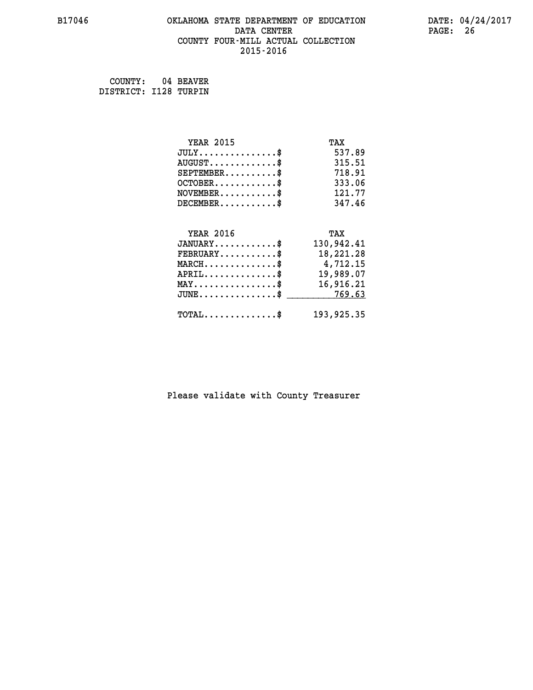## **B17046 OKLAHOMA STATE DEPARTMENT OF EDUCATION DATE: 04/24/2017 DATA CENTER** PAGE: 26  **COUNTY FOUR-MILL ACTUAL COLLECTION 2015-2016**

 **COUNTY: 04 BEAVER DISTRICT: I128 TURPIN**

| <b>YEAR 2015</b>                                   | TAX        |
|----------------------------------------------------|------------|
| $JULY$ \$                                          | 537.89     |
| $AUGUST$ \$                                        | 315.51     |
| $SEPTEMENT.$ \$                                    | 718.91     |
| $OCTOBER$ \$                                       | 333.06     |
| $NOVEMBER$ \$                                      | 121.77     |
| $DECEMBER$ \$                                      | 347.46     |
|                                                    |            |
| <b>YEAR 2016</b>                                   | TAX        |
| $JANUARY$ \$                                       | 130,942.41 |
| $FEBRUARY$                                         | 18,221.28  |
| $MARCH$ \$                                         | 4,712.15   |
| $APRIL$ \$                                         | 19,989.07  |
| $\texttt{MAX} \dots \dots \dots \dots \dots \$     | 16,916.21  |
| $\texttt{JUNE} \dots \dots \dots \dots \texttt{S}$ | 769.63     |
| $\texttt{TOTAL} \dots \dots \dots \dots \$         | 193,925.35 |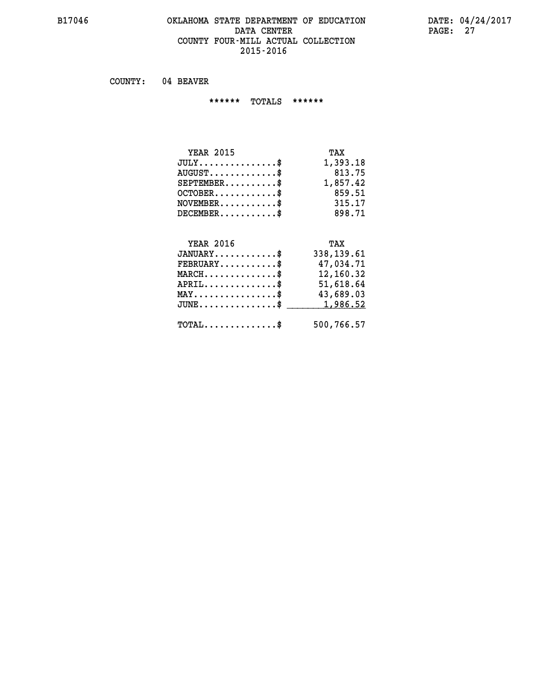#### **B17046 OKLAHOMA STATE DEPARTMENT OF EDUCATION DATE: 04/24/2017 DATA CENTER PAGE: 27 COUNTY FOUR-MILL ACTUAL COLLECTION 2015-2016**

 **COUNTY: 04 BEAVER**

 **\*\*\*\*\*\* TOTALS \*\*\*\*\*\***

| <b>YEAR 2015</b><br>TAX                          |  |
|--------------------------------------------------|--|
| 1,393.18<br>$JULY \ldots \ldots \ldots \ldots \$ |  |
| 813.75<br>$AUGUST$                               |  |
| 1,857.42<br>$SEPTEMBER$                          |  |
| 859.51<br>$OCTOBER$                              |  |
| 315.17<br>$NOVEMBER$ \$                          |  |
| 898.71<br>$DECEMBER$                             |  |

# **YEAR 2016 TAX JANUARY............\$ 338,139.61 FEBRUARY...........\$ 47,034.71 MARCH..............\$ 12,160.32 APRIL..............\$ 51,618.64 MAY................\$ 43,689.03 JUNE................\$** <u>1,986.52</u>  **TOTAL..............\$ 500,766.57**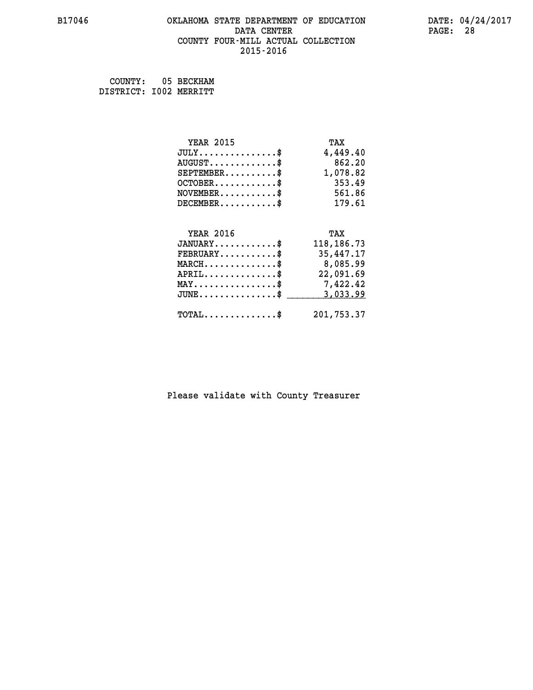## **B17046 OKLAHOMA STATE DEPARTMENT OF EDUCATION DATE: 04/24/2017 DATA CENTER** PAGE: 28  **COUNTY FOUR-MILL ACTUAL COLLECTION 2015-2016**

 **COUNTY: 05 BECKHAM DISTRICT: I002 MERRITT**

| <b>YEAR 2015</b>                               | TAX          |
|------------------------------------------------|--------------|
| $JULY$ \$                                      | 4,449.40     |
| $AUGUST$ \$                                    | 862.20       |
| $SEPTEMBER$ \$                                 | 1,078.82     |
| $OCTOBER$ \$                                   | 353.49       |
| $NOVEMBER$ \$                                  | 561.86       |
| $DECEMBER$ \$                                  | 179.61       |
|                                                |              |
| <b>YEAR 2016</b>                               | TAX          |
| $JANUARY$ \$                                   | 118, 186. 73 |
| $FEBRUARY$                                     | 35,447.17    |
| $MARCH$ \$                                     | 8,085.99     |
| $APRIL$ \$                                     | 22,091.69    |
| $\texttt{MAX} \dots \dots \dots \dots \dots \$ | 7,422.42     |
| $JUNE$ $\text{\$}$                             | 3,033.99     |
| $\texttt{TOTAL} \dots \dots \dots \dots \$     | 201,753.37   |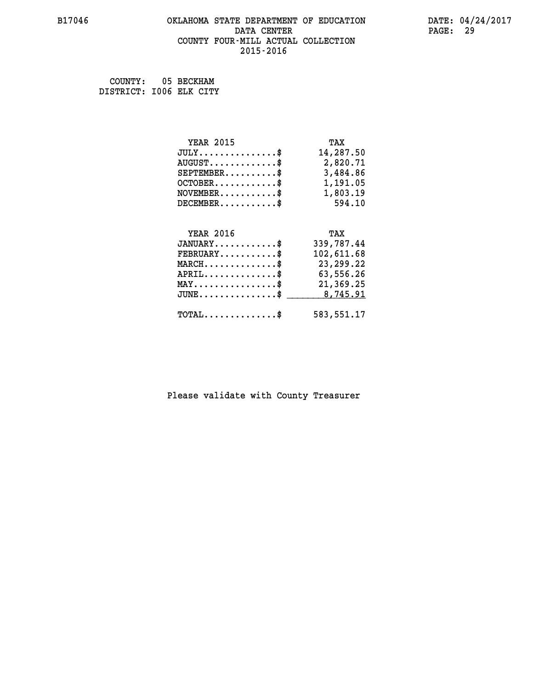## **B17046 OKLAHOMA STATE DEPARTMENT OF EDUCATION DATE: 04/24/2017 DATA CENTER** PAGE: 29  **COUNTY FOUR-MILL ACTUAL COLLECTION 2015-2016**

 **COUNTY: 05 BECKHAM DISTRICT: I006 ELK CITY**

| <b>YEAR 2015</b>                               | TAX         |
|------------------------------------------------|-------------|
| $JULY$ \$                                      | 14,287.50   |
| $AUGUST$ \$                                    | 2,820.71    |
| $SEPTEMBER$ \$                                 | 3,484.86    |
| $OCTOBER$ \$                                   | 1,191.05    |
| $\texttt{NOVEMBER} \dots \dots \dots \$        | 1,803.19    |
| $DECEMBER$ \$                                  | 594.10      |
|                                                |             |
| <b>YEAR 2016</b>                               | TAX         |
| $JANUARY$ \$                                   | 339,787.44  |
| $FEBRUARY$                                     | 102,611.68  |
| $MARCH$ \$                                     | 23,299.22   |
| $APRIL$ \$                                     | 63,556.26   |
| $\texttt{MAX} \dots \dots \dots \dots \dots \$ | 21,369.25   |
| $JUNE$ $$$                                     | 8,745.91    |
| $\texttt{TOTAL} \dots \dots \dots \dots \$     | 583, 551.17 |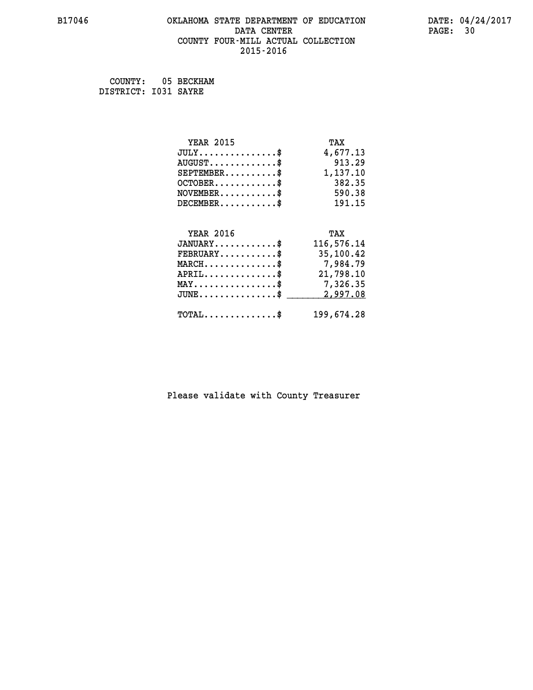## **B17046 OKLAHOMA STATE DEPARTMENT OF EDUCATION DATE: 04/24/2017 DATA CENTER** PAGE: 30  **COUNTY FOUR-MILL ACTUAL COLLECTION 2015-2016**

 **COUNTY: 05 BECKHAM DISTRICT: I031 SAYRE**

| <b>YEAR 2015</b>                           | TAX        |
|--------------------------------------------|------------|
| $JULY$ \$                                  | 4,677.13   |
| $AUGUST$ \$                                | 913.29     |
| $SEPTEMBER$ \$                             | 1,137.10   |
| $OCTOBER$ \$                               | 382.35     |
| $\texttt{NOVEMBER} \dots \dots \dots \$    | 590.38     |
| $DECEMBER$ \$                              | 191.15     |
|                                            |            |
| <b>YEAR 2016</b>                           | TAX        |
| $JANUARY$ \$                               | 116,576.14 |
| $FEBRUARY$                                 | 35,100.42  |
| $MARCH$ \$                                 | 7,984.79   |
| $APRIL$ \$                                 | 21,798.10  |
| MAY\$ 7,326.35                             |            |
| $JUNE$ \$                                  | 2,997.08   |
| $\texttt{TOTAL} \dots \dots \dots \dots \$ | 199,674.28 |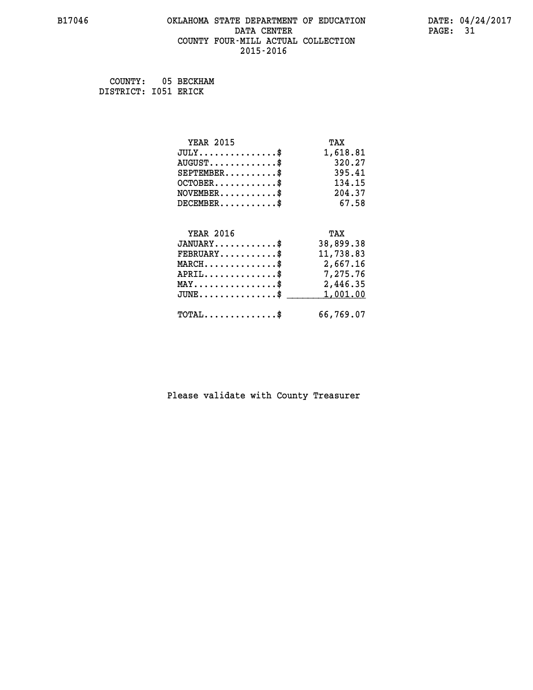## **B17046 OKLAHOMA STATE DEPARTMENT OF EDUCATION DATE: 04/24/2017 DATA CENTER** PAGE: 31  **COUNTY FOUR-MILL ACTUAL COLLECTION 2015-2016**

 **COUNTY: 05 BECKHAM DISTRICT: I051 ERICK**

| <b>YEAR 2015</b>                               | TAX       |
|------------------------------------------------|-----------|
| $JULY$ \$                                      | 1,618.81  |
| $AUGUST$ \$                                    | 320.27    |
| $SEPTEMBER$ \$                                 | 395.41    |
| $OCTOBER$ \$                                   | 134.15    |
| $\texttt{NOVEMBER} \dots \dots \dots \$        | 204.37    |
| $DECEMBER$ \$                                  | 67.58     |
|                                                |           |
| <b>YEAR 2016</b>                               | TAX       |
| $JANUARY$ \$                                   | 38,899.38 |
| $FEBRUARY$                                     | 11,738.83 |
| $MARCH$ \$                                     | 2,667.16  |
| $APRIL \ldots \ldots \ldots \ldots \$          | 7,275.76  |
| $\texttt{MAX} \dots \dots \dots \dots \dots \$ | 2,446.35  |
| $JUNE$ \$                                      | 1,001.00  |
| $\texttt{TOTAL} \dots \dots \dots \dots \$     | 66,769.07 |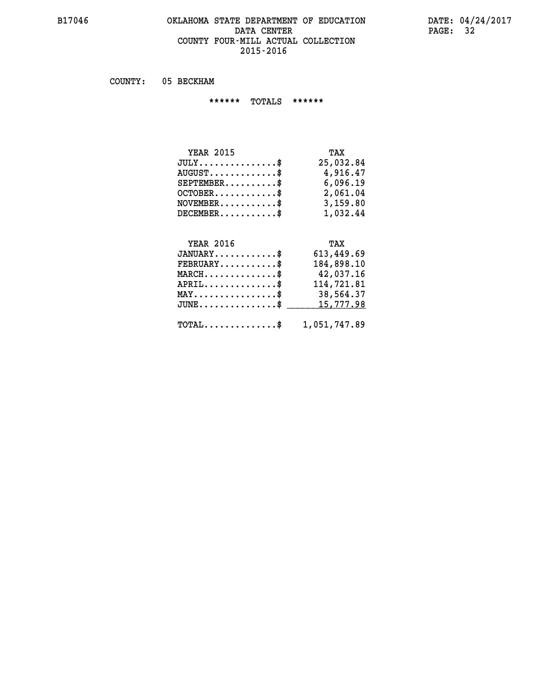## **B17046 OKLAHOMA STATE DEPARTMENT OF EDUCATION DATE: 04/24/2017 DATA CENTER** PAGE: 32  **COUNTY FOUR-MILL ACTUAL COLLECTION 2015-2016**

 **COUNTY: 05 BECKHAM**

 **\*\*\*\*\*\* TOTALS \*\*\*\*\*\***

| <b>YEAR 2015</b>                 | TAX       |
|----------------------------------|-----------|
| $JULY$                           | 25,032.84 |
| $AUGUST \ldots \ldots \ldots$ \$ | 4,916.47  |
| $SEPTEMBER$ \$                   | 6,096.19  |
| $OCTOBER$ \$                     | 2,061.04  |
| $NOVEMENTER$ \$                  | 3,159.80  |
| $DECEMBER$                       | 1,032.44  |

# **YEAR 2016 TAX**

| $JANUARY$<br>$FEBRUARY$                                 | 613,449.69<br>184,898.10 |
|---------------------------------------------------------|--------------------------|
| $MARCH$ \$                                              | 42,037.16                |
| $APRIL$                                                 | 114,721.81               |
| $MAX \dots \dots \dots \dots \dots \$                   | 38,564.37                |
| JUNE\$ 15,777.98                                        |                          |
| $\texttt{TOTAL} \dots \dots \dots \dots \$ 1,051,747.89 |                          |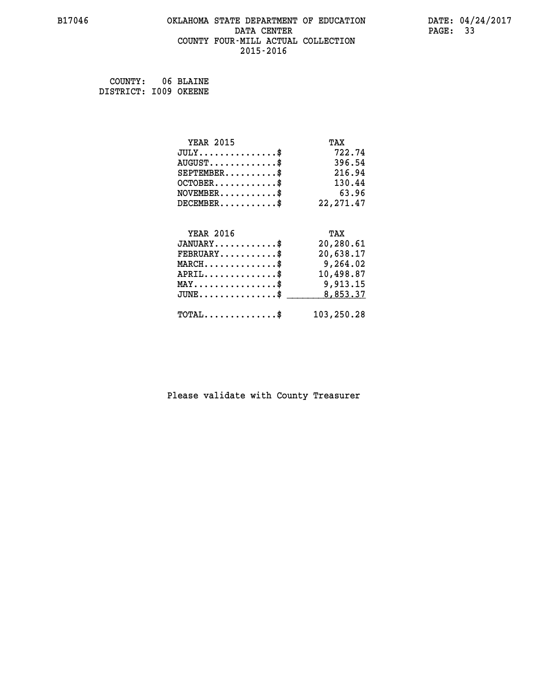## **B17046 OKLAHOMA STATE DEPARTMENT OF EDUCATION DATE: 04/24/2017 DATA CENTER** PAGE: 33  **COUNTY FOUR-MILL ACTUAL COLLECTION 2015-2016**

 **COUNTY: 06 BLAINE DISTRICT: I009 OKEENE**

| <b>YEAR 2015</b>                               | TAX        |
|------------------------------------------------|------------|
| $JULY$ \$                                      | 722.74     |
| $AUGUST$ \$                                    | 396.54     |
| $SEPTEMBER$ \$                                 | 216.94     |
| $OCTOBER$ \$                                   | 130.44     |
| $\texttt{NOVEMBER} \dots \dots \dots \$        | 63.96      |
| $DECEMBER$ \$                                  | 22, 271.47 |
|                                                |            |
| <b>YEAR 2016</b>                               | TAX        |
| $JANUARY$ \$                                   | 20,280.61  |
| $FEBRUARY$                                     | 20,638.17  |
| $MARCH$ \$                                     | 9,264.02   |
| $APRIL$ \$                                     | 10,498.87  |
| $\texttt{MAX} \dots \dots \dots \dots \dots \$ | 9,913.15   |
| $JUNE$ \$                                      | 8,853.37   |
| $\texttt{TOTAL} \dots \dots \dots \dots \$     | 103,250.28 |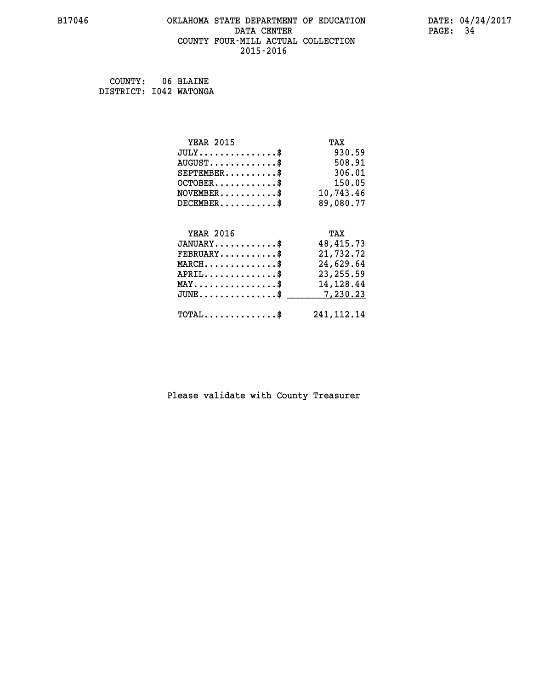## **B17046 OKLAHOMA STATE DEPARTMENT OF EDUCATION DATE: 04/24/2017 DATA CENTER** PAGE: 34  **COUNTY FOUR-MILL ACTUAL COLLECTION 2015-2016**

 **COUNTY: 06 BLAINE DISTRICT: I042 WATONGA**

| <b>YEAR 2015</b>                           | TAX          |
|--------------------------------------------|--------------|
| $JULY$ \$                                  | 930.59       |
| $AUGUST$ \$                                | 508.91       |
| $SEPTEMBER$ \$                             | 306.01       |
| $OCTOBER$ \$                               | 150.05       |
| $NOVEMBER$ \$                              | 10,743.46    |
| $DECEMBER$ \$                              | 89,080.77    |
|                                            |              |
| <b>YEAR 2016</b>                           | TAX          |
| $JANUARY$ \$                               | 48, 415. 73  |
| $FEBRUARY$                                 | 21,732.72    |
| $MARCH$ \$                                 | 24,629.64    |
| $APRIL$ \$                                 | 23, 255.59   |
| $MAX \dots \dots \dots \dots \dots$        | 14, 128. 44  |
| $JUNE$ \$                                  | 7,230.23     |
| $\texttt{TOTAL} \dots \dots \dots \dots \$ | 241, 112. 14 |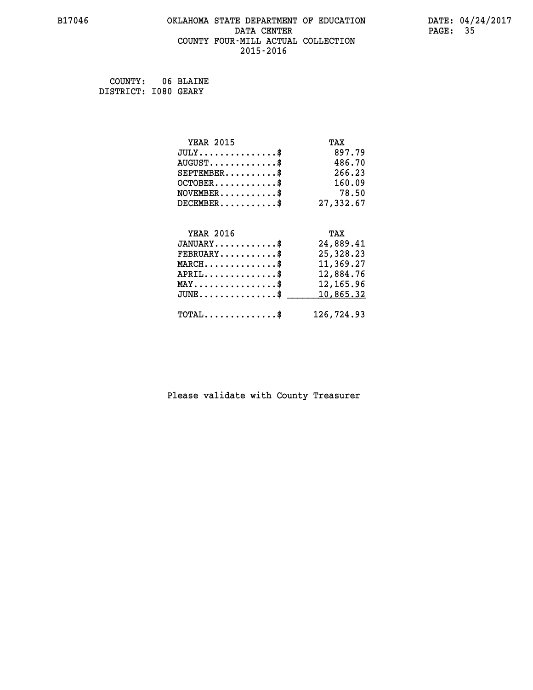## **B17046 OKLAHOMA STATE DEPARTMENT OF EDUCATION DATE: 04/24/2017 DATA CENTER** PAGE: 35  **COUNTY FOUR-MILL ACTUAL COLLECTION 2015-2016**

 **COUNTY: 06 BLAINE DISTRICT: I080 GEARY**

| <b>YEAR 2015</b>                                 | TAX        |
|--------------------------------------------------|------------|
| $JULY$ \$                                        | 897.79     |
| $AUGUST$ \$                                      | 486.70     |
| $SEPTEMBER$ \$                                   | 266.23     |
| $OCTOBER$ \$                                     | 160.09     |
| $\texttt{NOVEMBER} \dots \dots \dots \$          | 78.50      |
| $DECEMBER$ \$                                    | 27,332.67  |
|                                                  |            |
| <b>YEAR 2016</b>                                 | TAX        |
| $JANUARY$ \$                                     | 24,889.41  |
| $FEBRUARY$ \$                                    | 25,328.23  |
| $MARCH$ \$                                       | 11,369.27  |
| $APRIL \ldots \ldots \ldots \ldots \$            | 12,884.76  |
| $\texttt{MAX} \dots \dots \dots \dots \dots \$$  | 12,165.96  |
| $\texttt{JUNE} \dots \dots \dots \dots \dots \$$ | 10,865.32  |
| $\texttt{TOTAL} \dots \dots \dots \dots \$       | 126,724.93 |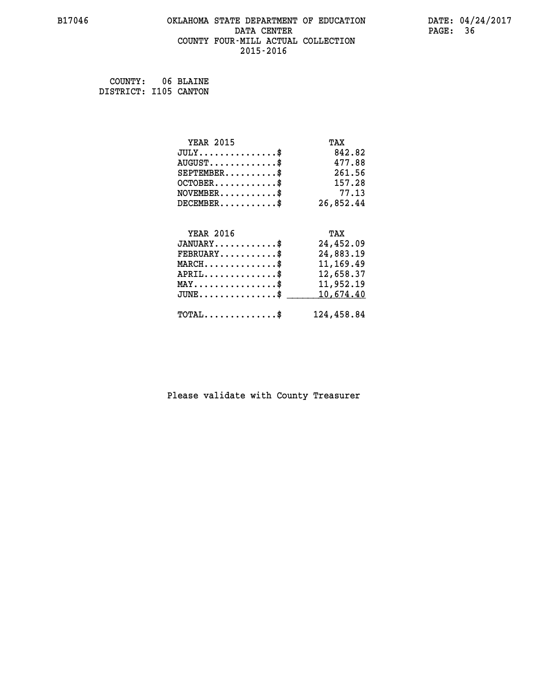## **B17046 OKLAHOMA STATE DEPARTMENT OF EDUCATION DATE: 04/24/2017 DATA CENTER** PAGE: 36  **COUNTY FOUR-MILL ACTUAL COLLECTION 2015-2016**

 **COUNTY: 06 BLAINE DISTRICT: I105 CANTON**

| <b>YEAR 2015</b>                           | TAX        |
|--------------------------------------------|------------|
| $JULY$ \$                                  | 842.82     |
| $AUGUST$ \$                                | 477.88     |
| $SEPTEMBER$                                | 261.56     |
| $OCTOBER$ \$                               | 157.28     |
| $NOVEMBER$ \$                              | 77.13      |
| $DECEMBER$ \$                              | 26,852.44  |
|                                            |            |
| <b>YEAR 2016</b>                           | TAX        |
| $JANUARY$ \$                               | 24,452.09  |
| $FEBRUARY$                                 | 24,883.19  |
| $MARCH$ \$                                 | 11, 169.49 |
| $APRIL$ \$                                 | 12,658.37  |
| $MAX \dots \dots \dots \dots \dots$        | 11,952.19  |
| $JUNE$                                     | 10,674.40  |
| $\texttt{TOTAL} \dots \dots \dots \dots \$ | 124,458.84 |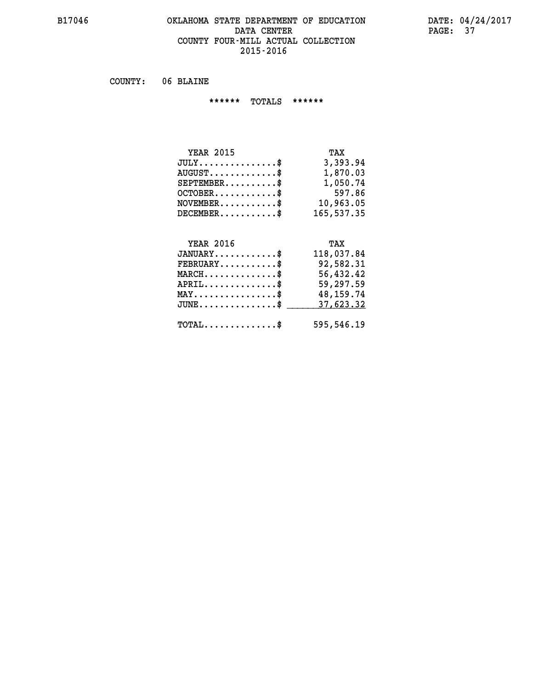#### **B17046 OKLAHOMA STATE DEPARTMENT OF EDUCATION DATE: 04/24/2017 DATA CENTER** PAGE: 37  **COUNTY FOUR-MILL ACTUAL COLLECTION 2015-2016**

 **COUNTY: 06 BLAINE**

 **\*\*\*\*\*\* TOTALS \*\*\*\*\*\***

| <b>YEAR 2015</b>                 | TAX        |
|----------------------------------|------------|
| $JULY$                           | 3,393.94   |
| $AUGUST \ldots \ldots \ldots$ \$ | 1,870.03   |
| $SEPTEMBER$                      | 1,050.74   |
| $OCTOBER$ \$                     | 597.86     |
| $NOVEMBER$ \$                    | 10,963.05  |
| $DECEMBER$ \$                    | 165,537.35 |

### **YEAR 2016 TAX**

| $JANUARY$<br>$\texttt{FEBRUARY} \dots \dots \dots \$ | 118,037.84<br>92,582.31 |
|------------------------------------------------------|-------------------------|
| $MARCH$ \$                                           | 56,432.42               |
| $APRIL$ \$                                           | 59,297.59               |
| $MAX \dots \dots \dots \dots \dots \$                | 48, 159. 74             |
| $JUNE$ \$                                            | 37,623.32               |
| $\text{TOTAL} \dots \dots \dots \dots \dots$         | 595,546.19              |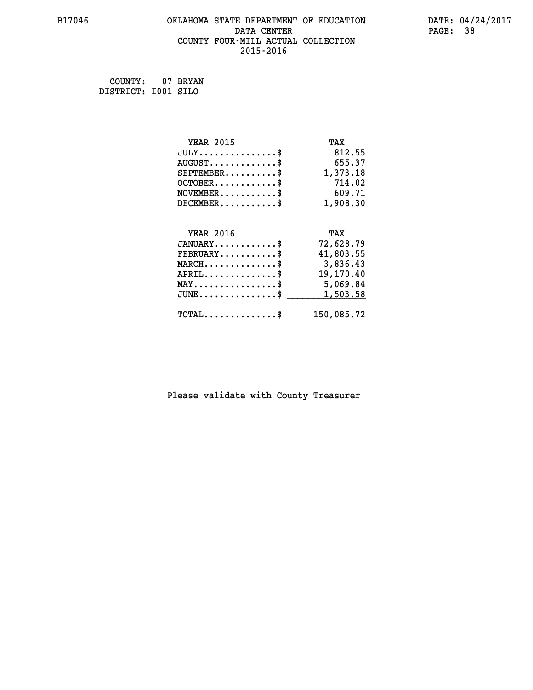#### **B17046 OKLAHOMA STATE DEPARTMENT OF EDUCATION DATE: 04/24/2017 DATA CENTER** PAGE: 38  **COUNTY FOUR-MILL ACTUAL COLLECTION 2015-2016**

 **COUNTY: 07 BRYAN DISTRICT: I001 SILO**

| <b>YEAR 2015</b>                               | TAX        |
|------------------------------------------------|------------|
| $JULY$ \$                                      | 812.55     |
| $AUGUST$ \$                                    | 655.37     |
| $SEPTEMBER$ \$                                 | 1,373.18   |
| $OCTOBER$ \$                                   | 714.02     |
| $\texttt{NOVEMBER} \dots \dots \dots \$        | 609.71     |
| $DECEMBER$ \$                                  | 1,908.30   |
|                                                |            |
| <b>YEAR 2016</b>                               | TAX        |
| $JANUARY$ \$                                   | 72,628.79  |
| $FEBRUARY$                                     | 41,803.55  |
| $MARCH$ \$                                     | 3,836.43   |
| $APRIL$ \$                                     | 19,170.40  |
| $\texttt{MAX} \dots \dots \dots \dots \dots \$ | 5,069.84   |
| $JUNE$ \$                                      | 1,503.58   |
| $\texttt{TOTAL} \dots \dots \dots \dots \$     | 150,085.72 |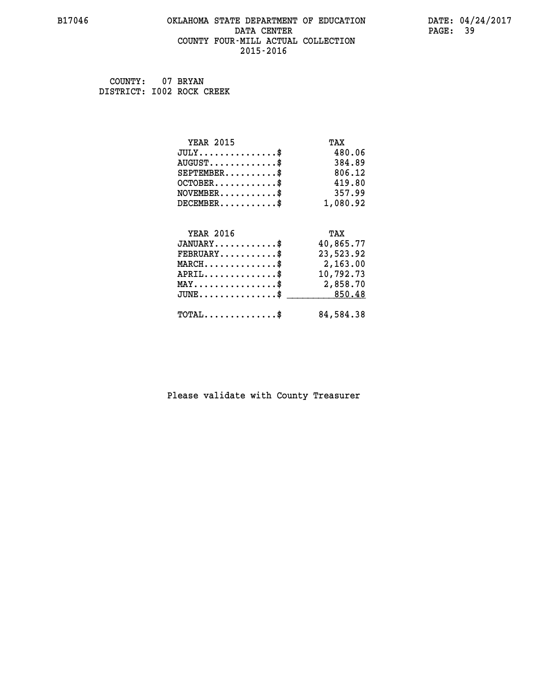#### **B17046 OKLAHOMA STATE DEPARTMENT OF EDUCATION DATE: 04/24/2017 DATA CENTER** PAGE: 39  **COUNTY FOUR-MILL ACTUAL COLLECTION 2015-2016**

 **COUNTY: 07 BRYAN DISTRICT: I002 ROCK CREEK**

| <b>YEAR 2015</b>                                 | TAX       |
|--------------------------------------------------|-----------|
| $JULY$ \$                                        | 480.06    |
| $AUGUST$ \$                                      | 384.89    |
| $SEPTEMBER$ \$                                   | 806.12    |
| $OCTOBER$ \$                                     | 419.80    |
| $NOVEMBER$ \$                                    | 357.99    |
| $DECEMBER$ \$                                    | 1,080.92  |
| <b>YEAR 2016</b>                                 | TAX       |
| $JANUARY$ \$                                     | 40,865.77 |
| $FEBRUARY$                                       | 23,523.92 |
| $MARCH$ \$                                       | 2,163.00  |
| $APRIL$ \$                                       | 10,792.73 |
| $\texttt{MAX} \dots \dots \dots \dots \dots \$   | 2,858.70  |
| $\texttt{JUNE} \dots \dots \dots \dots \dots \$$ | 850.48    |
| $\texttt{TOTAL} \dots \dots \dots \dots \$       | 84,584.38 |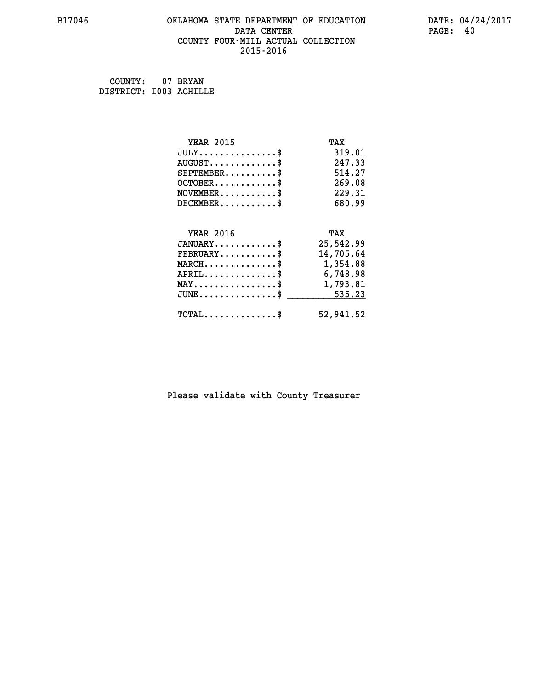#### **B17046 OKLAHOMA STATE DEPARTMENT OF EDUCATION DATE: 04/24/2017 DATA CENTER** PAGE: 40  **COUNTY FOUR-MILL ACTUAL COLLECTION 2015-2016**

 **COUNTY: 07 BRYAN DISTRICT: I003 ACHILLE**

| <b>YEAR 2015</b>                                       | TAX       |
|--------------------------------------------------------|-----------|
| $JULY$ \$                                              | 319.01    |
| $AUGUST$ \$                                            | 247.33    |
| $SEPTEMENT.$ \$                                        | 514.27    |
| $OCTOBER$ \$                                           | 269.08    |
| $NOVEMBER$ \$                                          | 229.31    |
| $DECEMBER$ \$                                          | 680.99    |
|                                                        |           |
| <b>YEAR 2016</b>                                       | TAX       |
| $JANUARY$ \$                                           | 25,542.99 |
| $FEBRUARY$                                             | 14,705.64 |
| $MARCH$ \$                                             | 1,354.88  |
| $APRIL$ \$                                             | 6,748.98  |
| $\texttt{MAX} \dots \dots \dots \dots \dots \$         | 1,793.81  |
| $\texttt{JUNE} \dots \dots \dots \dots \dots \text{*}$ | 535.23    |
| $\texttt{TOTAL} \dots \dots \dots \dots \$             | 52,941.52 |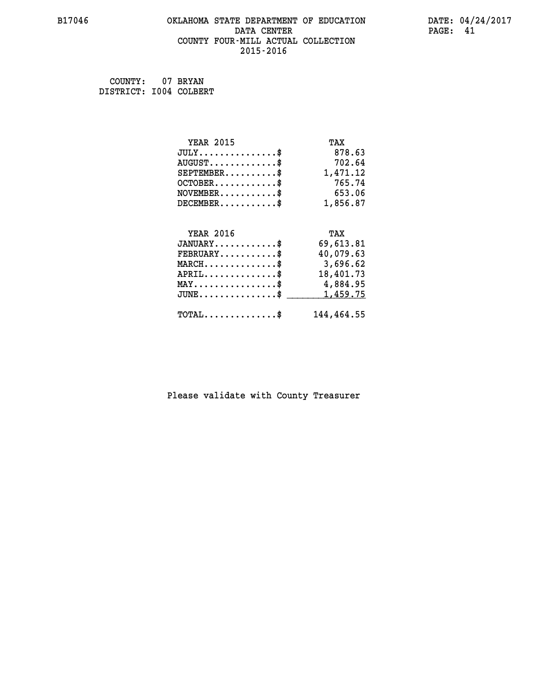#### **B17046 OKLAHOMA STATE DEPARTMENT OF EDUCATION DATE: 04/24/2017 DATA CENTER** PAGE: 41  **COUNTY FOUR-MILL ACTUAL COLLECTION 2015-2016**

 **COUNTY: 07 BRYAN DISTRICT: I004 COLBERT**

| <b>YEAR 2015</b>                               | TAX        |
|------------------------------------------------|------------|
| $JULY$ \$                                      | 878.63     |
| $AUGUST$ \$                                    | 702.64     |
| $SEPTEMBER$ \$                                 | 1,471.12   |
| $OCTOBER$ \$                                   | 765.74     |
| $NOVEMBER.$ \$                                 | 653.06     |
| $DECEMBER$ \$                                  | 1,856.87   |
|                                                |            |
| <b>YEAR 2016</b>                               | TAX        |
| $JANUARY$ \$                                   | 69,613.81  |
| $FEBRUARY$ \$                                  | 40,079.63  |
| $MARCH \ldots \ldots \ldots \ldots \$          | 3,696.62   |
| $APRIL$ \$                                     | 18,401.73  |
| $\texttt{MAX} \dots \dots \dots \dots \dots \$ | 4,884.95   |
| $JUNE$ \$                                      | 1,459.75   |
| $\texttt{TOTAL} \dots \dots \dots \dots \$     | 144,464.55 |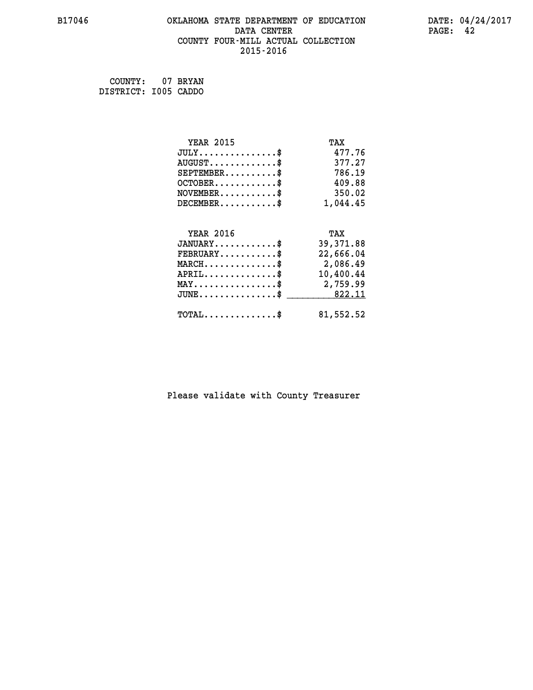#### **B17046 OKLAHOMA STATE DEPARTMENT OF EDUCATION DATE: 04/24/2017 DATA CENTER** PAGE: 42  **COUNTY FOUR-MILL ACTUAL COLLECTION 2015-2016**

 **COUNTY: 07 BRYAN DISTRICT: I005 CADDO**

| <b>YEAR 2015</b>                               | TAX        |
|------------------------------------------------|------------|
| $JULY$ \$                                      | 477.76     |
| $AUGUST$ \$                                    | 377.27     |
| $SEPTEMENT.$ \$                                | 786.19     |
| $OCTOBER$ \$                                   | 409.88     |
| $NOVEMBER$ \$                                  | 350.02     |
| $DECEMBER$ \$                                  | 1,044.45   |
|                                                |            |
| <b>YEAR 2016</b>                               | TAX        |
| $JANUARY$ \$                                   | 39, 371.88 |
| $FEBRUARY$                                     | 22,666.04  |
| $MARCH$ \$                                     | 2,086.49   |
| $APRIL$ \$                                     | 10,400.44  |
| $\texttt{MAX} \dots \dots \dots \dots \dots \$ | 2,759.99   |
| $JUNE$ \$                                      | 822.11     |
| $\texttt{TOTAL} \dots \dots \dots \dots \$     | 81,552.52  |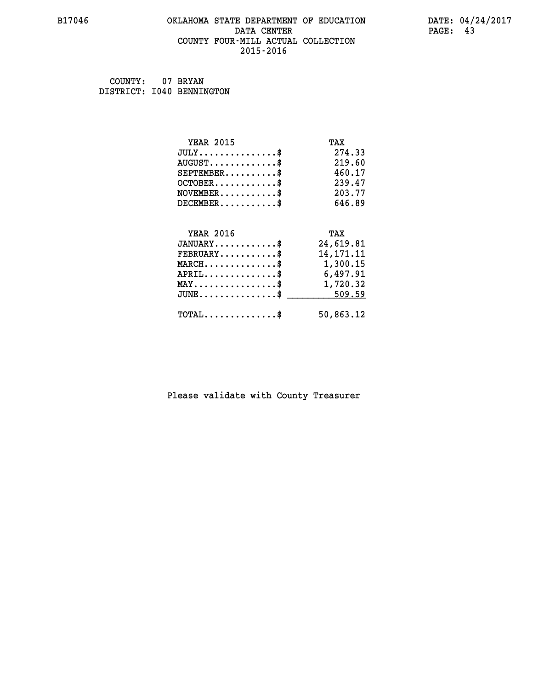#### **B17046 OKLAHOMA STATE DEPARTMENT OF EDUCATION DATE: 04/24/2017 DATA CENTER** PAGE: 43  **COUNTY FOUR-MILL ACTUAL COLLECTION 2015-2016**

 **COUNTY: 07 BRYAN DISTRICT: I040 BENNINGTON**

| <b>YEAR 2015</b>                                 | TAX         |
|--------------------------------------------------|-------------|
| $JULY$ \$                                        | 274.33      |
| $AUGUST$ \$                                      | 219.60      |
| $SEPTEMBER$ \$                                   | 460.17      |
| $OCTOBER$ \$                                     | 239.47      |
| $NOVEMBER.$ \$                                   | 203.77      |
| $DECEMBER$ \$                                    | 646.89      |
|                                                  |             |
| <b>YEAR 2016</b>                                 | TAX         |
| $JANUARY$ \$                                     | 24,619.81   |
| $FEBRUARY$                                       | 14, 171. 11 |
| $MARCH$ \$                                       | 1,300.15    |
| $APRIL \ldots \ldots \ldots \ldots \$            | 6,497.91    |
| $\texttt{MAX} \dots \dots \dots \dots \dots \$   | 1,720.32    |
| $\texttt{JUNE} \dots \dots \dots \dots \dots \$$ | 509.59      |
| $\texttt{TOTAL} \dots \dots \dots \dots \$       | 50,863.12   |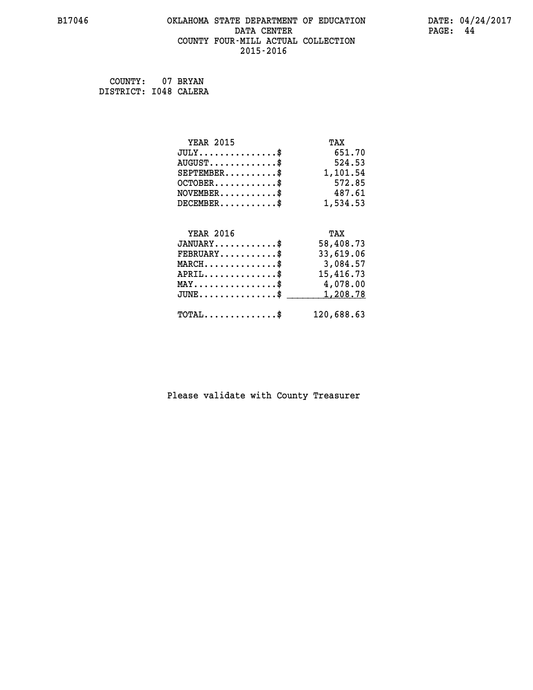#### **B17046 OKLAHOMA STATE DEPARTMENT OF EDUCATION DATE: 04/24/2017 DATA CENTER** PAGE: 44  **COUNTY FOUR-MILL ACTUAL COLLECTION 2015-2016**

 **COUNTY: 07 BRYAN DISTRICT: I048 CALERA**

| <b>YEAR 2015</b>                               | TAX        |
|------------------------------------------------|------------|
| $JULY$ \$                                      | 651.70     |
| $AUGUST$ \$                                    | 524.53     |
| $SEPTEMBER$ \$                                 | 1,101.54   |
| $OCTOBER$ \$                                   | 572.85     |
| $\texttt{NOVEMBER} \dots \dots \dots \$        | 487.61     |
| $DECEMBER$ \$                                  | 1,534.53   |
|                                                |            |
| <b>YEAR 2016</b>                               | TAX        |
| $JANUARY$ \$                                   | 58,408.73  |
| $FEBRUARY$ \$                                  | 33,619.06  |
| $\texttt{MARCH}\ldots\ldots\ldots\ldots\$      | 3,084.57   |
| $APRIL \ldots \ldots \ldots \ldots$            | 15,416.73  |
| $\texttt{MAX} \dots \dots \dots \dots \dots \$ | 4,078.00   |
| $JUNE$ \$                                      | 1,208.78   |
| $\texttt{TOTAL} \dots \dots \dots \dots \$     | 120,688.63 |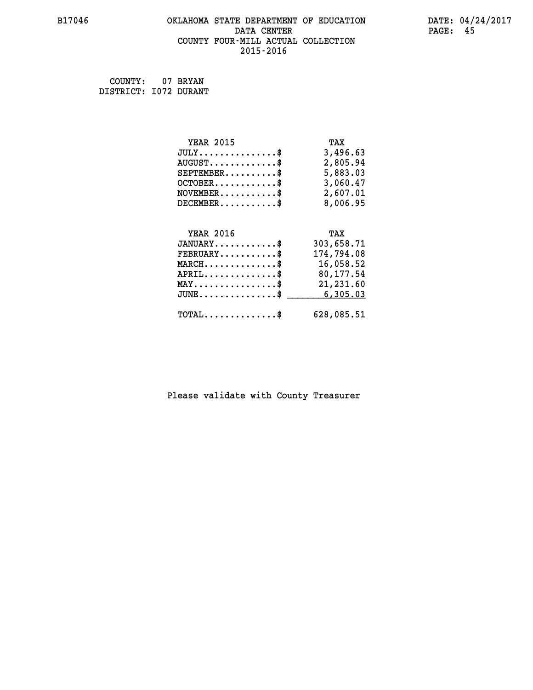#### **B17046 OKLAHOMA STATE DEPARTMENT OF EDUCATION DATE: 04/24/2017 DATA CENTER** PAGE: 45  **COUNTY FOUR-MILL ACTUAL COLLECTION 2015-2016**

 **COUNTY: 07 BRYAN DISTRICT: I072 DURANT**

| <b>YEAR 2015</b>                               | TAX        |
|------------------------------------------------|------------|
| $JULY$ \$                                      | 3,496.63   |
| $AUGUST$ \$                                    | 2,805.94   |
| $SEPTEMBER$ \$                                 | 5,883.03   |
| $OCTOBER$ \$                                   | 3,060.47   |
| $NOVEMBER.$ \$                                 | 2,607.01   |
| $DECEMBER$ \$                                  | 8,006.95   |
|                                                |            |
| <b>YEAR 2016</b>                               | TAX        |
| $JANUARY$ \$                                   | 303,658.71 |
| $FEBRUARY$                                     | 174,794.08 |
| $MARCH$ \$                                     | 16,058.52  |
| $APRIL$ \$                                     | 80,177.54  |
| $\texttt{MAX} \dots \dots \dots \dots \dots \$ | 21,231.60  |
| $JUNE$ \$                                      | 6,305.03   |
| $\texttt{TOTAL} \dots \dots \dots \dots \$     | 628,085.51 |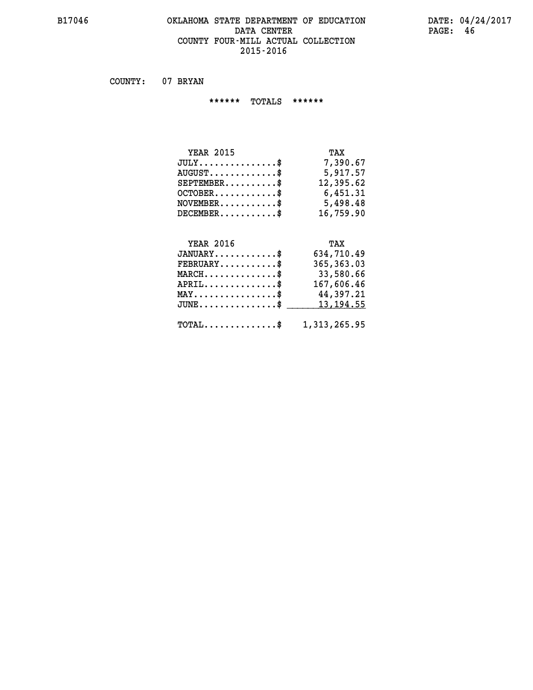#### **B17046 OKLAHOMA STATE DEPARTMENT OF EDUCATION DATE: 04/24/2017 DATA CENTER PAGE: 46 COUNTY FOUR-MILL ACTUAL COLLECTION 2015-2016**

 **COUNTY: 07 BRYAN**

 **\*\*\*\*\*\* TOTALS \*\*\*\*\*\***

| <b>YEAR 2015</b>                 | TAX       |
|----------------------------------|-----------|
| $JULY \ldots \ldots \ldots \$    | 7,390.67  |
| $AUGUST \ldots \ldots \ldots$ \$ | 5,917.57  |
| $SEPTEMBER$                      | 12,395.62 |
| $OCTOBER$                        | 6,451.31  |
| $NOVEMBER$ \$                    | 5,498.48  |
| $DECEMBER$                       | 16,759.90 |

## **YEAR 2016 TAX**

| $JANUARY$                               | 634,710.49                                              |
|-----------------------------------------|---------------------------------------------------------|
| $\texttt{FEBRUARY} \dots \dots \dots \$ | 365, 363.03                                             |
| $MARCH$ \$                              | 33,580.66                                               |
| $APRIL$ \$                              | 167,606.46                                              |
| $MAX \dots \dots \dots \dots \dots \$   | 44,397.21                                               |
|                                         | $JUNE \ldots \ldots \ldots \ldots$ \$ 13, 194.55        |
|                                         | $\texttt{TOTAL} \dots \dots \dots \dots \$ 1,313,265.95 |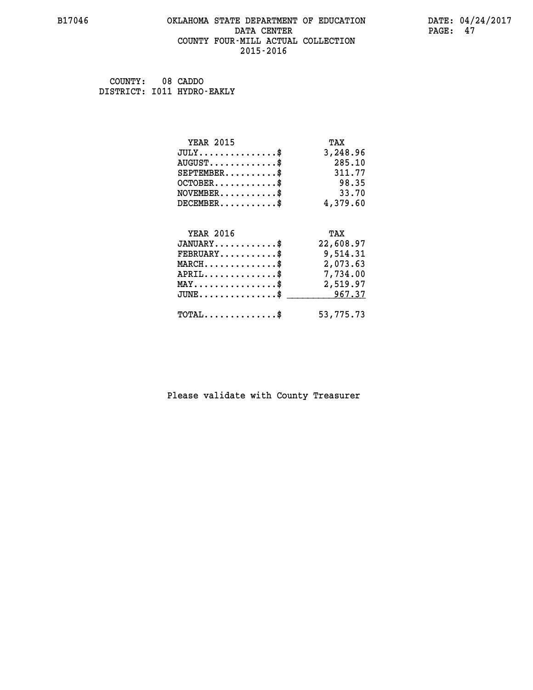#### **B17046 OKLAHOMA STATE DEPARTMENT OF EDUCATION DATE: 04/24/2017 DATA CENTER** PAGE: 47  **COUNTY FOUR-MILL ACTUAL COLLECTION 2015-2016**

 **COUNTY: 08 CADDO DISTRICT: I011 HYDRO-EAKLY**

| <b>YEAR 2015</b>                                 | TAX       |
|--------------------------------------------------|-----------|
| $JULY$ \$                                        | 3,248.96  |
| $AUGUST$ \$                                      | 285.10    |
| $SEPTEMBER$ \$                                   | 311.77    |
| $OCTOBER$ \$                                     | 98.35     |
| $NOVEMBER$ \$                                    | 33.70     |
| $DECEMBER$ \$                                    | 4,379.60  |
|                                                  |           |
| <b>YEAR 2016</b>                                 | TAX       |
| $JANUARY$ \$                                     | 22,608.97 |
| $FEBRUARY$                                       | 9,514.31  |
| $MARCH$ \$                                       | 2,073.63  |
| $APRIL$ \$                                       | 7,734.00  |
| $\texttt{MAX} \dots \dots \dots \dots \dots \$   | 2,519.97  |
| $\texttt{JUNE} \dots \dots \dots \dots \dots \$$ | 967.37    |
| $\texttt{TOTAL} \dots \dots \dots \dots \$       | 53,775.73 |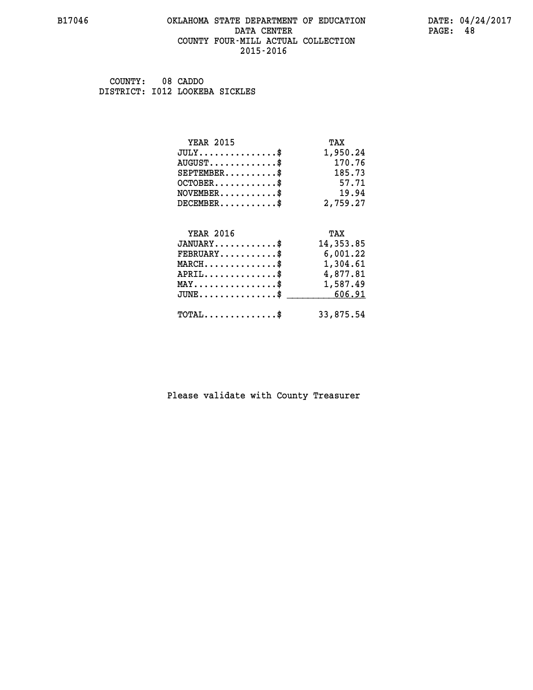#### **B17046 OKLAHOMA STATE DEPARTMENT OF EDUCATION DATE: 04/24/2017 DATA CENTER** PAGE: 48  **COUNTY FOUR-MILL ACTUAL COLLECTION 2015-2016**

 **COUNTY: 08 CADDO DISTRICT: I012 LOOKEBA SICKLES**

| <b>YEAR 2015</b>                               | TAX       |
|------------------------------------------------|-----------|
| $JULY$ \$                                      | 1,950.24  |
| $AUGUST$ \$                                    | 170.76    |
| $SEPTEMBER$                                    | 185.73    |
| $OCTOBER$ \$                                   | 57.71     |
| $NOVEMBER$ \$                                  | 19.94     |
| $DECEMBER$ \$                                  | 2,759.27  |
| <b>YEAR 2016</b>                               | TAX       |
| $JANUARY$ \$                                   | 14,353.85 |
| $FEBRUARY$ \$                                  | 6,001.22  |
| $MARCH$ \$                                     | 1,304.61  |
| $APRIL$ \$                                     | 4,877.81  |
| $\texttt{MAX} \dots \dots \dots \dots \dots \$ | 1,587.49  |
| $JUNE$ \$                                      | 606.91    |
| $\texttt{TOTAL} \dots \dots \dots \dots \$     | 33,875.54 |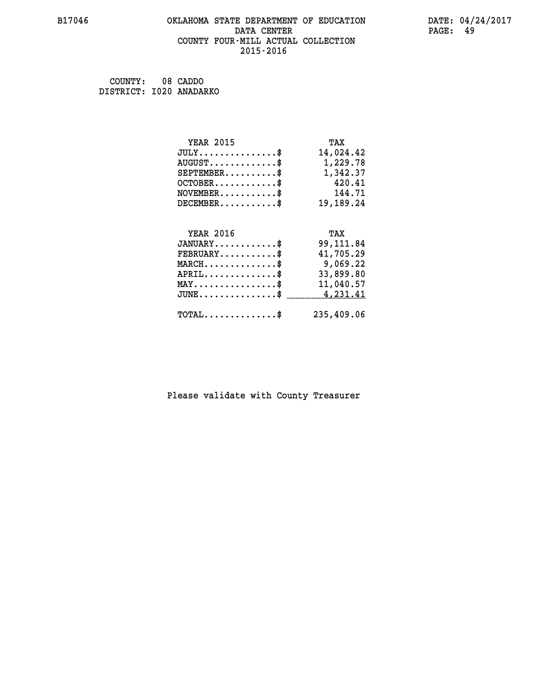#### **B17046 OKLAHOMA STATE DEPARTMENT OF EDUCATION DATE: 04/24/2017 DATA CENTER** PAGE: 49  **COUNTY FOUR-MILL ACTUAL COLLECTION 2015-2016**

 **COUNTY: 08 CADDO DISTRICT: I020 ANADARKO**

| <b>YEAR 2015</b>                               | TAX        |
|------------------------------------------------|------------|
| $JULY$ \$                                      | 14,024.42  |
| $AUGUST$ \$                                    | 1,229.78   |
| $SEPTEMBER$ \$                                 | 1,342.37   |
| $OCTOBER$ \$                                   | 420.41     |
| $NOVEMBER.$ \$                                 | 144.71     |
| $DECEMBER$ \$                                  | 19,189.24  |
|                                                |            |
| <b>YEAR 2016</b>                               | TAX        |
| $JANUARY$ \$                                   | 99,111.84  |
| $FEBRUARY$                                     | 41,705.29  |
| $MARCH$ \$                                     | 9,069.22   |
| $APRIL$ \$                                     | 33,899.80  |
| $\texttt{MAX} \dots \dots \dots \dots \dots \$ | 11,040.57  |
| $JUNE$ $$$                                     | 4,231.41   |
| $\texttt{TOTAL} \dots \dots \dots \dots \$     | 235,409.06 |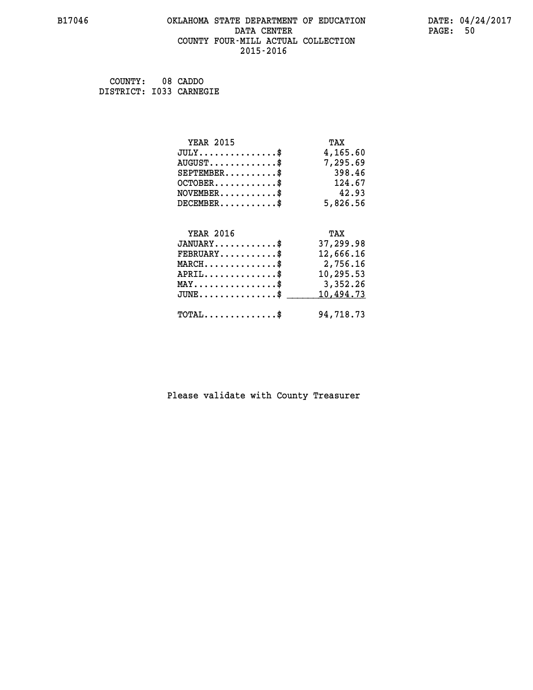#### **B17046 OKLAHOMA STATE DEPARTMENT OF EDUCATION DATE: 04/24/2017 DATA CENTER** PAGE: 50  **COUNTY FOUR-MILL ACTUAL COLLECTION 2015-2016**

 **COUNTY: 08 CADDO DISTRICT: I033 CARNEGIE**

| <b>YEAR 2015</b>                               | TAX       |
|------------------------------------------------|-----------|
| $JULY$ \$                                      | 4,165.60  |
| $AUGUST$ \$                                    | 7,295.69  |
| $SEPTEMBER$ \$                                 | 398.46    |
| $OCTOBER$ \$                                   | 124.67    |
| $NOVEMBER$ \$                                  | 42.93     |
| $DECEMBER$ \$                                  | 5,826.56  |
| <b>YEAR 2016</b>                               | TAX       |
| $JANUARY$ \$                                   |           |
|                                                | 37,299.98 |
| $FEBRUARY$                                     | 12,666.16 |
| $MARCH$ \$                                     | 2,756.16  |
| $APRIL$ \$                                     | 10,295.53 |
| $\texttt{MAX} \dots \dots \dots \dots \dots \$ | 3,352.26  |
| $JUNE$ \$                                      | 10,494.73 |
| $\texttt{TOTAL} \dots \dots \dots \dots \$     | 94,718.73 |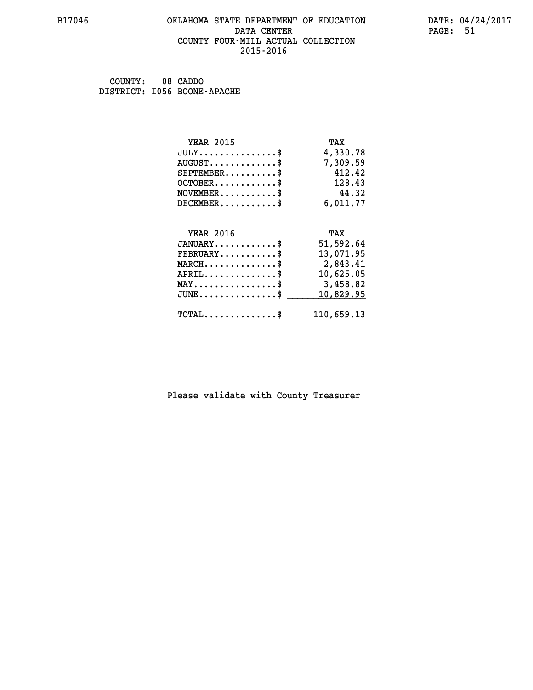#### **B17046 OKLAHOMA STATE DEPARTMENT OF EDUCATION DATE: 04/24/2017 DATA CENTER** PAGE: 51  **COUNTY FOUR-MILL ACTUAL COLLECTION 2015-2016**

 **COUNTY: 08 CADDO DISTRICT: I056 BOONE-APACHE**

| <b>YEAR 2015</b>                           | TAX        |
|--------------------------------------------|------------|
| $JULY$ \$                                  | 4,330.78   |
| $AUGUST$ \$                                | 7,309.59   |
| $SEPTEMBER$ \$                             | 412.42     |
| $OCTOBER$ \$                               | 128.43     |
| $NOVEMBER$ \$                              | 44.32      |
| $DECEMBER$ \$                              | 6,011.77   |
|                                            |            |
| <b>YEAR 2016</b>                           | TAX        |
| $JANUARY$                                  | 51,592.64  |
| $FEBRUARY$                                 | 13,071.95  |
| $MARCH$ \$                                 | 2,843.41   |
| $APRIL$ \$                                 | 10,625.05  |
| $MAX \dots \dots \dots \dots \dots$        | 3,458.82   |
| $JUNE$ \$                                  | 10,829.95  |
| $\texttt{TOTAL} \dots \dots \dots \dots \$ | 110,659.13 |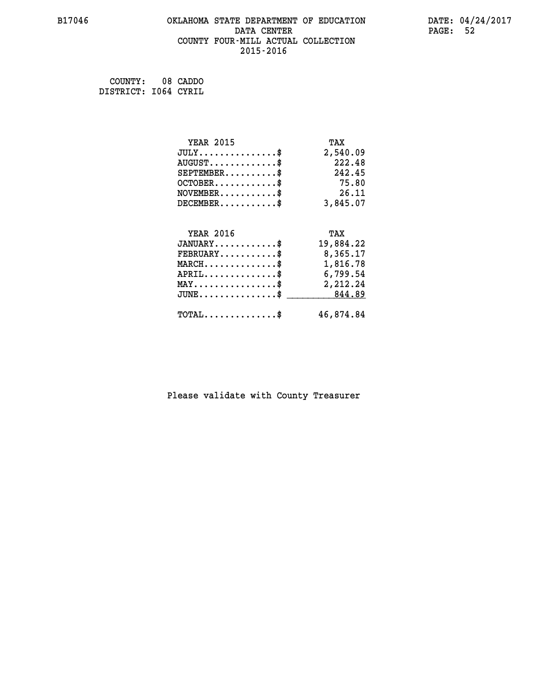#### **B17046 OKLAHOMA STATE DEPARTMENT OF EDUCATION DATE: 04/24/2017 DATA CENTER** PAGE: 52  **COUNTY FOUR-MILL ACTUAL COLLECTION 2015-2016**

 **COUNTY: 08 CADDO DISTRICT: I064 CYRIL**

| <b>YEAR 2015</b>                                 | TAX       |
|--------------------------------------------------|-----------|
| $JULY$ \$                                        | 2,540.09  |
| $AUGUST$ \$                                      | 222.48    |
| $SEPTEMBER$ \$                                   | 242.45    |
| $OCTOBER$ \$                                     | 75.80     |
| $\texttt{NOVEMBER} \dots \dots \dots \$          | 26.11     |
| $DECEMBER$ \$                                    | 3,845.07  |
|                                                  |           |
| <b>YEAR 2016</b>                                 | TAX       |
| $JANUARY$ \$                                     | 19,884.22 |
| $FEBRUARY$ \$                                    | 8,365.17  |
| $\texttt{MARCH}\ldots\ldots\ldots\ldots\text{*}$ | 1,816.78  |
| $APRIL \ldots \ldots \ldots \ldots \$            | 6,799.54  |
| $\texttt{MAX} \dots \dots \dots \dots \dots \$   | 2,212.24  |
| $\texttt{JUNE} \dots \dots \dots \dots \dots \$$ | 844.89    |
| $\texttt{TOTAL} \dots \dots \dots \dots \$       | 46,874.84 |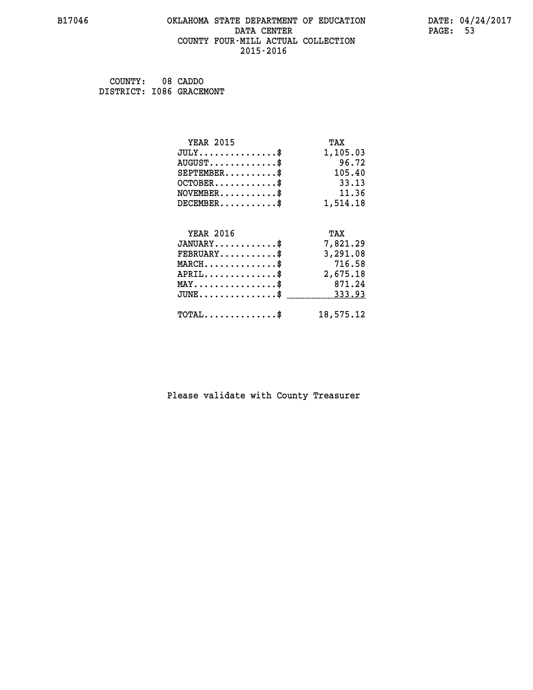#### **B17046 OKLAHOMA STATE DEPARTMENT OF EDUCATION DATE: 04/24/2017 DATA CENTER** PAGE: 53  **COUNTY FOUR-MILL ACTUAL COLLECTION 2015-2016**

 **COUNTY: 08 CADDO DISTRICT: I086 GRACEMONT**

| <b>YEAR 2015</b>                | TAX       |
|---------------------------------|-----------|
| $JULY$ \$                       | 1,105.03  |
| $AUGUST$ \$                     | 96.72     |
| $SEPTEMBER$ \$                  | 105.40    |
| $OCTOBER$ \$                    | 33.13     |
| $NOVEMBER$ \$                   | 11.36     |
| $DECEMBER$ \$                   | 1,514.18  |
|                                 |           |
| <b>YEAR 2016</b>                | TAX       |
| $JANUARY$ \$                    | 7,821.29  |
| $FEBRUARY$ \$                   | 3,291.08  |
| $MARCH$ \$                      | 716.58    |
| $APRIL$ \$                      | 2,675.18  |
| $MAX \dots \dots \dots \dots \$ | 871.24    |
| $JUNE$                          | 333.93    |
| $TOTAL$ \$                      | 18,575.12 |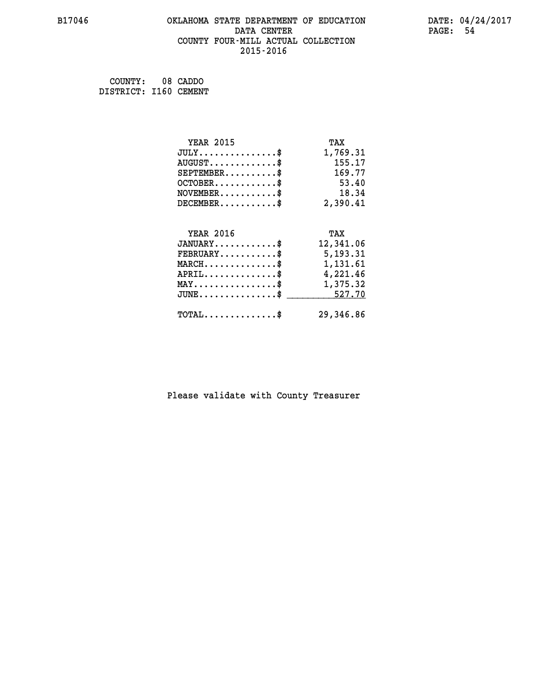#### **B17046 OKLAHOMA STATE DEPARTMENT OF EDUCATION DATE: 04/24/2017 DATA CENTER** PAGE: 54  **COUNTY FOUR-MILL ACTUAL COLLECTION 2015-2016**

 **COUNTY: 08 CADDO DISTRICT: I160 CEMENT**

| <b>YEAR 2015</b>                                | TAX       |
|-------------------------------------------------|-----------|
| $JULY$ \$                                       | 1,769.31  |
| $AUGUST$ \$                                     | 155.17    |
| $SEPTEMENT.$ \$                                 | 169.77    |
| $OCTOBER$ \$                                    | 53.40     |
| $\texttt{NOVEMBER} \dots \dots \dots \$         | 18.34     |
| $DECEMBER$ \$                                   | 2,390.41  |
|                                                 |           |
| <b>YEAR 2016</b>                                | TAX       |
| $JANUARY$ \$                                    | 12,341.06 |
| $FEBRUARY$                                      | 5,193.31  |
| $MARCH$ \$                                      | 1,131.61  |
| $APRIL \ldots \ldots \ldots \ldots \$           | 4,221.46  |
| $\texttt{MAX} \dots \dots \dots \dots \dots \$$ | 1,375.32  |
| $JUNE \ldots \ldots \ldots \ldots$ \$ 527.70    |           |
| $\texttt{TOTAL} \dots \dots \dots \dots \$      | 29,346.86 |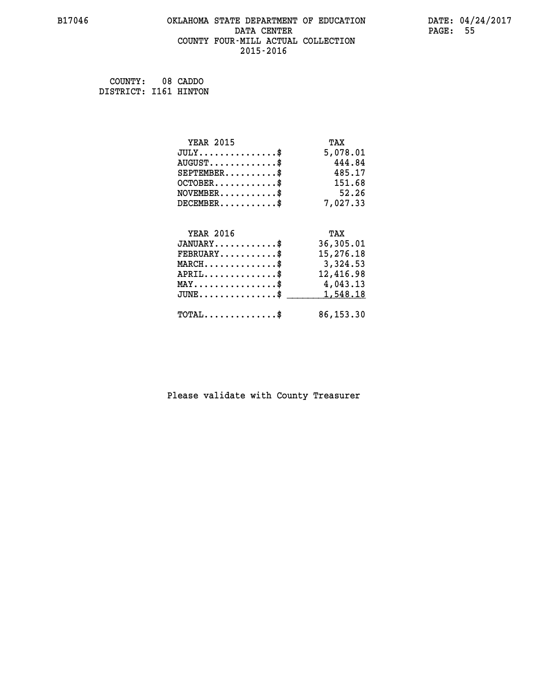#### **B17046 OKLAHOMA STATE DEPARTMENT OF EDUCATION DATE: 04/24/2017 DATA CENTER** PAGE: 55  **COUNTY FOUR-MILL ACTUAL COLLECTION 2015-2016**

 **COUNTY: 08 CADDO DISTRICT: I161 HINTON**

| <b>YEAR 2015</b>                           | TAX       |
|--------------------------------------------|-----------|
| $JULY$ \$                                  | 5,078.01  |
| $AUGUST$ \$                                | 444.84    |
| $SEPTEMENT.$ \$                            | 485.17    |
| $OCTOBER$ \$                               | 151.68    |
| $NOVEMBER$ \$                              | 52.26     |
| $DECEMBER$ \$                              | 7,027.33  |
|                                            |           |
| <b>YEAR 2016</b>                           | TAX       |
| $JANUARY$                                  | 36,305.01 |
| $FEBRUARY$                                 | 15,276.18 |
| $MARCH$ \$                                 | 3,324.53  |
| $APRIL$ \$                                 | 12,416.98 |
| $MAX \dots \dots \dots \dots \dots$        | 4,043.13  |
| $JUNE$ \$                                  | 1,548.18  |
| $\texttt{TOTAL} \dots \dots \dots \dots \$ | 86,153.30 |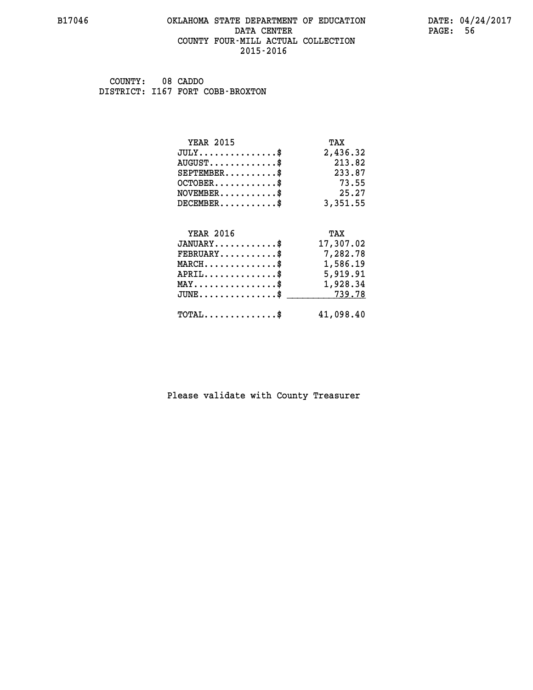#### **B17046 OKLAHOMA STATE DEPARTMENT OF EDUCATION DATE: 04/24/2017 DATA CENTER** PAGE: 56  **COUNTY FOUR-MILL ACTUAL COLLECTION 2015-2016**

 **COUNTY: 08 CADDO DISTRICT: I167 FORT COBB-BROXTON**

| <b>YEAR 2015</b>                                   | TAX       |
|----------------------------------------------------|-----------|
| $JULY$ \$                                          | 2,436.32  |
| $AUGUST$ \$                                        | 213.82    |
| $SEPTEMBER$ \$                                     | 233.87    |
| $OCTOBER$ \$                                       | 73.55     |
| $NOVEMBER$ \$                                      | 25.27     |
| $DECEMBER$ \$                                      | 3,351.55  |
|                                                    |           |
| <b>YEAR 2016</b>                                   | TAX       |
| $JANUARY$                                          | 17,307.02 |
| $FEBRUARY$                                         | 7,282.78  |
| $MARCH$ \$                                         | 1,586.19  |
| $APRIL \ldots \ldots \ldots \ldots \$              | 5,919.91  |
| $\texttt{MAX} \dots \dots \dots \dots \dots \$     | 1,928.34  |
| $\texttt{JUNE} \dots \dots \dots \dots \texttt{S}$ | 739.78    |
| $\texttt{TOTAL} \dots \dots \dots \dots \$         | 41,098.40 |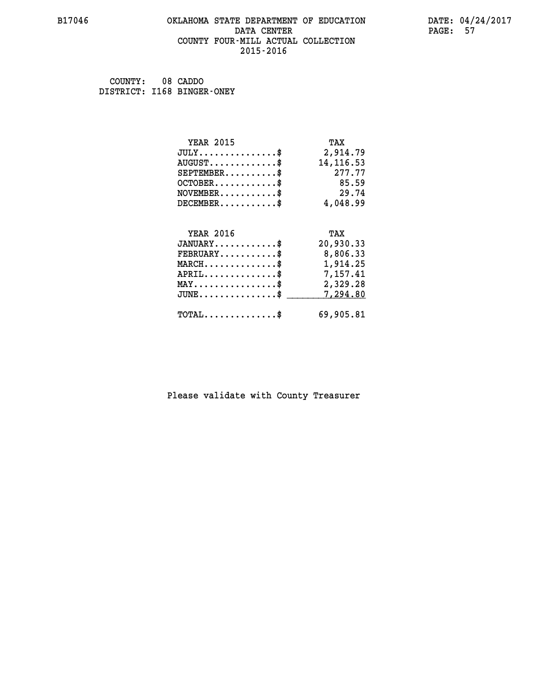#### **B17046 OKLAHOMA STATE DEPARTMENT OF EDUCATION DATE: 04/24/2017 DATA CENTER** PAGE: 57  **COUNTY FOUR-MILL ACTUAL COLLECTION 2015-2016**

 **COUNTY: 08 CADDO DISTRICT: I168 BINGER-ONEY**

| <b>YEAR 2015</b>                                                           | TAX        |
|----------------------------------------------------------------------------|------------|
| $JULY$ \$                                                                  | 2,914.79   |
| $AUGUST$ \$                                                                | 14, 116.53 |
| $SEPTEMBER$ \$                                                             | 277.77     |
| $OCTOBER$ \$                                                               | 85.59      |
| $\verb NOVEMBER , \verb , \verb , \verb , \verb , \verb , \verb , \verb }$ | 29.74      |
| $DECEMBER$ \$                                                              | 4,048.99   |
| <b>YEAR 2016</b>                                                           | TAX        |
| $JANUARY$ \$                                                               | 20,930.33  |
|                                                                            |            |
| $FEBRUARY$                                                                 | 8,806.33   |
| $\texttt{MARCH}\ldots\ldots\ldots\ldots\text{*}$                           | 1,914.25   |
| $APRIL \ldots \ldots \ldots \ldots \$                                      | 7,157.41   |
| $\texttt{MAX} \dots \dots \dots \dots \dots \$                             | 2,329.28   |
| $\texttt{JUNE} \dots \dots \dots \dots \dots \$$                           | 7,294.80   |
| $\texttt{TOTAL} \dots \dots \dots \dots$ \$                                | 69,905.81  |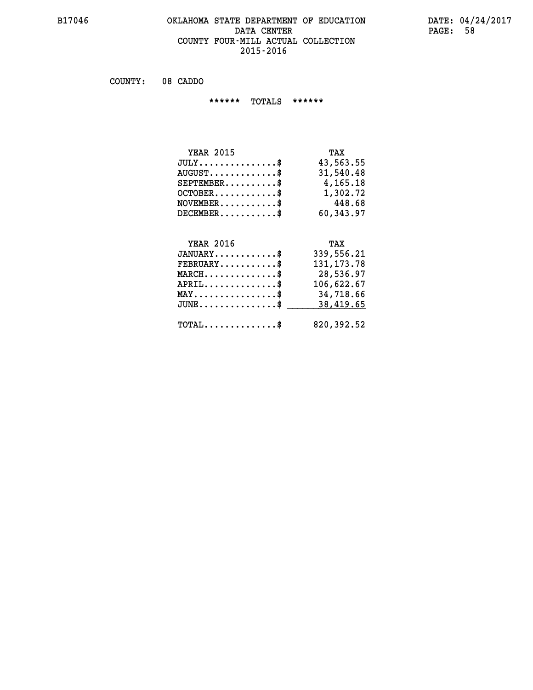#### **B17046 OKLAHOMA STATE DEPARTMENT OF EDUCATION DATE: 04/24/2017 DATA CENTER** PAGE: 58  **COUNTY FOUR-MILL ACTUAL COLLECTION 2015-2016**

 **COUNTY: 08 CADDO**

 **\*\*\*\*\*\* TOTALS \*\*\*\*\*\***

| <b>YEAR 2015</b>                     | TAX       |
|--------------------------------------|-----------|
| $JULY \ldots \ldots \ldots \ldots \$ | 43,563.55 |
| $AUGUST$ \$                          | 31,540.48 |
| $SEPTEMBER$ \$                       | 4,165.18  |
| $OCTOBER$ \$                         | 1,302.72  |
| $NOVEMBER$ \$                        | 448.68    |
| $DECEMBER$                           | 60,343.97 |

# **YEAR 2016**

| <b>YEAR 2016</b>                                    | TAX          |
|-----------------------------------------------------|--------------|
| $JANUARY$ \$                                        | 339,556.21   |
| $FEBRUARY$                                          | 131, 173. 78 |
| $MARCH$ \$                                          | 28,536.97    |
| $APRIL$ \$                                          | 106,622.67   |
| $\texttt{MAX} \dots \dots \dots \dots \dots \$      | 34,718.66    |
| $JUNE \ldots \ldots \ldots \ldots$ \$ 38,419.65     |              |
|                                                     |              |
| $\texttt{TOTAL} \dots \dots \dots \dots \texttt{S}$ | 820,392.52   |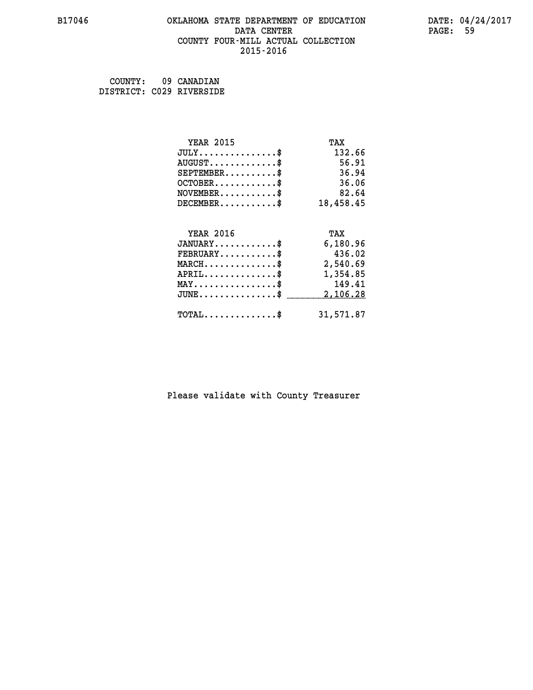#### **B17046 OKLAHOMA STATE DEPARTMENT OF EDUCATION DATE: 04/24/2017 DATA CENTER** PAGE: 59  **COUNTY FOUR-MILL ACTUAL COLLECTION 2015-2016**

| COUNTY: | 09 CANADIAN              |
|---------|--------------------------|
|         | DISTRICT: C029 RIVERSIDE |

| <b>YEAR 2015</b>                           | TAX       |
|--------------------------------------------|-----------|
| $JULY$ \$                                  | 132.66    |
| $AUGUST$ \$                                | 56.91     |
| $SEPTEMENT.$ \$                            | 36.94     |
| $OCTOBER$ \$                               | 36.06     |
| $NOVEMBER$ \$                              | 82.64     |
| $DECEMBER$ \$                              | 18,458.45 |
|                                            |           |
| <b>YEAR 2016</b>                           | TAX       |
| $JANUARY$ \$                               | 6,180.96  |
| $FEBRUARY$                                 | 436.02    |
| $MARCH$ \$                                 | 2,540.69  |
| $APRIL$ \$                                 | 1,354.85  |
| $MAX \dots \dots \dots \dots \dots$        | 149.41    |
| $JUNE$ \$                                  | 2,106.28  |
| $\texttt{TOTAL} \dots \dots \dots \dots \$ | 31,571.87 |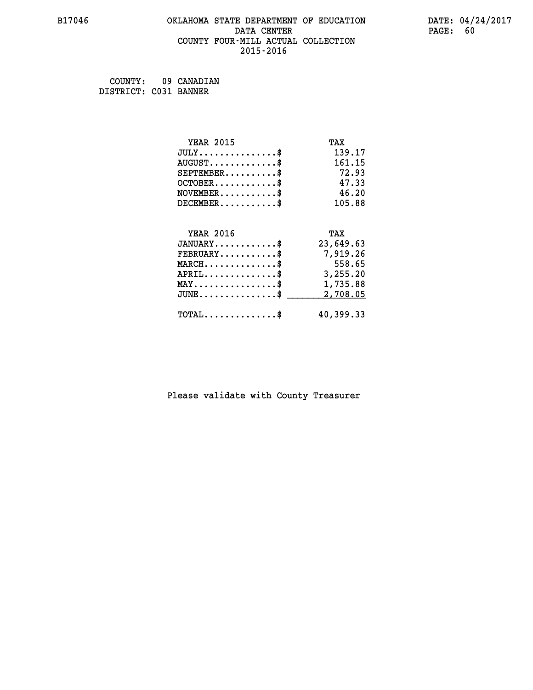#### **B17046 OKLAHOMA STATE DEPARTMENT OF EDUCATION DATE: 04/24/2017 DATA CENTER** PAGE: 60  **COUNTY FOUR-MILL ACTUAL COLLECTION 2015-2016**

 **COUNTY: 09 CANADIAN DISTRICT: C031 BANNER**

| <b>YEAR 2015</b>                               | TAX       |
|------------------------------------------------|-----------|
| $JULY$ \$                                      | 139.17    |
| $AUGUST$ \$                                    | 161.15    |
| $SEPTEMBER$                                    | 72.93     |
| $OCTOBER$ \$                                   | 47.33     |
| $NOVEMBER$ \$                                  | 46.20     |
| $DECEMBER$ \$                                  | 105.88    |
|                                                |           |
| <b>YEAR 2016</b>                               | TAX       |
| $JANUARY$ \$                                   | 23,649.63 |
| $FEBRUARY$                                     | 7,919.26  |
| $MARCH$ \$                                     | 558.65    |
| $APRIL$ \$                                     | 3,255.20  |
| $\texttt{MAX} \dots \dots \dots \dots \dots \$ | 1,735.88  |
| $JUNE$ \$                                      | 2,708.05  |
| $\texttt{TOTAL} \dots \dots \dots \dots \$     | 40,399.33 |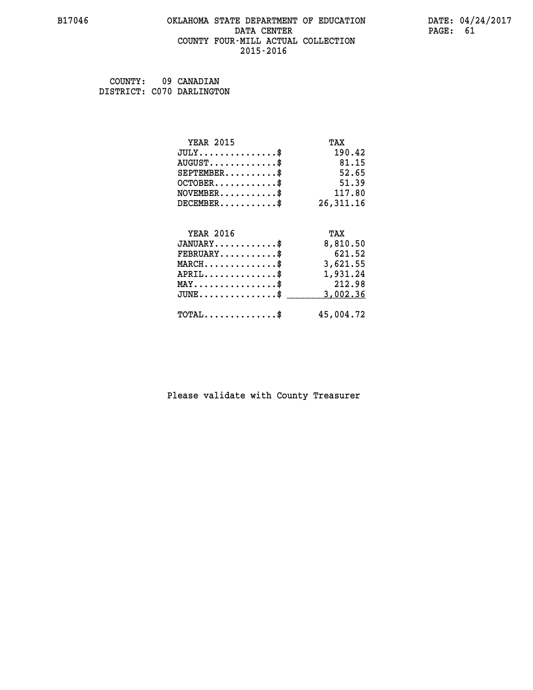#### **B17046 OKLAHOMA STATE DEPARTMENT OF EDUCATION DATE: 04/24/2017 DATA CENTER** PAGE: 61  **COUNTY FOUR-MILL ACTUAL COLLECTION 2015-2016**

| COUNTY: | 09 CANADIAN               |
|---------|---------------------------|
|         | DISTRICT: C070 DARLINGTON |

| <b>YEAR 2015</b>                                 | TAX        |
|--------------------------------------------------|------------|
| $JULY$ \$                                        | 190.42     |
| $AUGUST$ \$                                      | 81.15      |
| $SEPTEMENT.$ \$                                  | 52.65      |
| $OCTOBER$ \$                                     | 51.39      |
| $NOVEMBER.$ \$                                   | 117.80     |
| $DECEMBER$ \$                                    | 26, 311.16 |
|                                                  |            |
| <b>YEAR 2016</b>                                 | TAX        |
| $JANUARY$ \$                                     | 8,810.50   |
| $FEBRUARY$                                       | 621.52     |
| $\texttt{MARCH}\ldots\ldots\ldots\ldots\text{*}$ | 3,621.55   |
| $APRIL \ldots \ldots \ldots \ldots$              | 1,931.24   |
| $\texttt{MAX} \dots \dots \dots \dots \dots \$   | 212.98     |
| $JUNE$ \$                                        | 3,002.36   |
| $\texttt{TOTAL} \dots \dots \dots \dots \$       | 45,004.72  |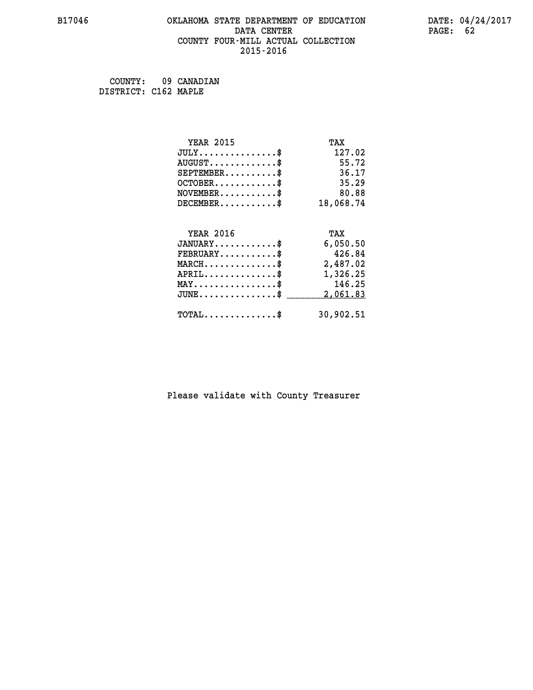#### **B17046 OKLAHOMA STATE DEPARTMENT OF EDUCATION DATE: 04/24/2017 DATA CENTER** PAGE: 62  **COUNTY FOUR-MILL ACTUAL COLLECTION 2015-2016**

 **COUNTY: 09 CANADIAN DISTRICT: C162 MAPLE**

| <b>YEAR 2015</b>                           | TAX       |
|--------------------------------------------|-----------|
| $JULY$ \$                                  | 127.02    |
| $AUGUST$ \$                                | 55.72     |
| $SEPTEMBER$                                | 36.17     |
| $OCTOBER$ \$                               | 35.29     |
| $NOVEMBER$ \$                              | 80.88     |
| $DECEMBER$ \$                              | 18,068.74 |
|                                            |           |
| <b>YEAR 2016</b>                           | TAX       |
| $JANUARY$ \$                               | 6,050.50  |
| $FEBRUARY$                                 | 426.84    |
| $MARCH$ \$                                 | 2,487.02  |
| $APRIL$ \$                                 | 1,326.25  |
| $MAX \dots \dots \dots \dots \dots$        | 146.25    |
| $JUNE$ \$                                  | 2,061.83  |
| $\texttt{TOTAL} \dots \dots \dots \dots \$ | 30,902.51 |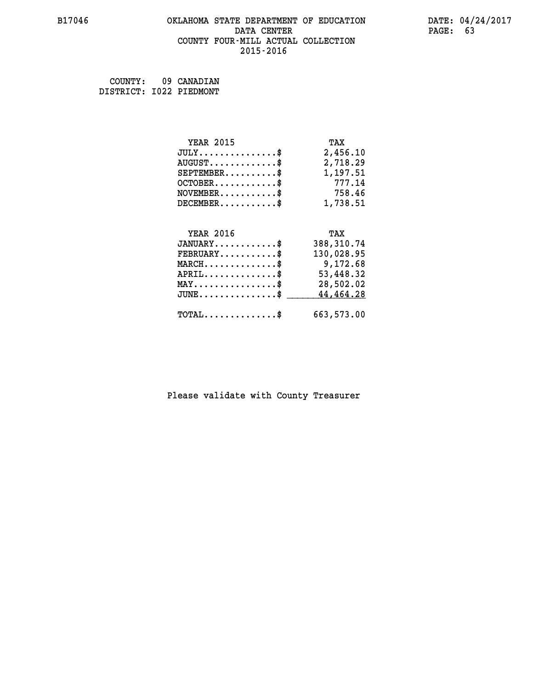#### **B17046 OKLAHOMA STATE DEPARTMENT OF EDUCATION DATE: 04/24/2017 DATA CENTER** PAGE: 63  **COUNTY FOUR-MILL ACTUAL COLLECTION 2015-2016**

 **COUNTY: 09 CANADIAN DISTRICT: I022 PIEDMONT**

| <b>YEAR 2015</b>                                | TAX         |
|-------------------------------------------------|-------------|
| $JULY$                                          | 2,456.10    |
| $AUGUST$ \$                                     | 2,718.29    |
| $SEPTEMBER$ \$                                  | 1,197.51    |
| $OCTOBER$ \$                                    | 777.14      |
| $NOVEMBER$ \$                                   | 758.46      |
| $DECEMBER$                                      | 1,738.51    |
| <b>YEAR 2016</b>                                | TAX         |
| $JANUARY$ \$                                    | 388, 310.74 |
| $FEBRUARY$ \$                                   | 130,028.95  |
| $MARCH$ \$                                      | 9,172.68    |
| $APRIL$ \$                                      | 53,448.32   |
| $\texttt{MAX} \dots \dots \dots \dots \text{*}$ | 28,502.02   |
| $J\texttt{UNE} \dots \dots \dots \dots \dots \$ | 44,464.28   |
| $\texttt{TOTAL} \dots \dots \dots \dots \$      | 663,573.00  |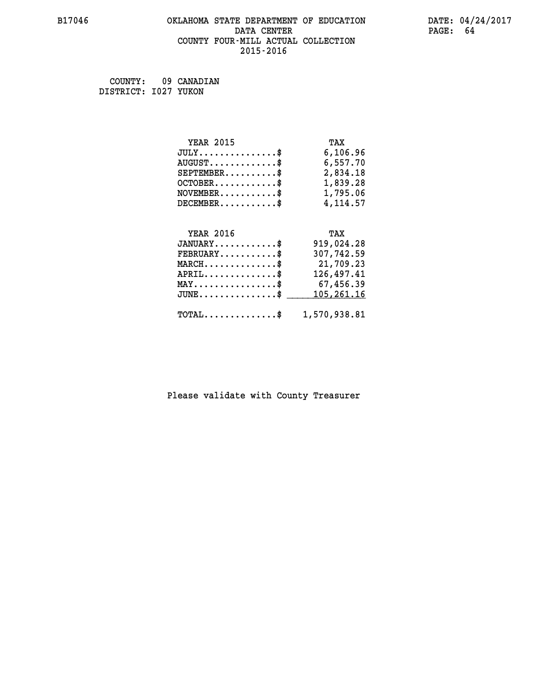#### **B17046 OKLAHOMA STATE DEPARTMENT OF EDUCATION DATE: 04/24/2017 DATA CENTER** PAGE: 64  **COUNTY FOUR-MILL ACTUAL COLLECTION 2015-2016**

 **COUNTY: 09 CANADIAN DISTRICT: I027 YUKON**

| <b>YEAR 2015</b>                               | TAX          |
|------------------------------------------------|--------------|
| $JULY$ \$                                      | 6,106.96     |
| $AUGUST$ \$                                    | 6,557.70     |
| $SEPTEMBER$ \$                                 | 2,834.18     |
| $OCTOBER$ \$                                   | 1,839.28     |
| $NOVEMBER.$ \$                                 | 1,795.06     |
| $DECEMBER$ \$                                  | 4,114.57     |
|                                                |              |
| <b>YEAR 2016</b>                               | TAX          |
| $JANUARY$ \$                                   | 919,024.28   |
| $FEBRUARY$                                     | 307,742.59   |
| $MARCH$ \$                                     | 21,709.23    |
| $APRIL$ \$                                     | 126,497.41   |
| $\texttt{MAX} \dots \dots \dots \dots \dots \$ | 67,456.39    |
| $JUNE$ \$                                      | 105,261.16   |
|                                                |              |
| $\texttt{TOTAL} \dots \dots \dots \dots$ \$    | 1,570,938.81 |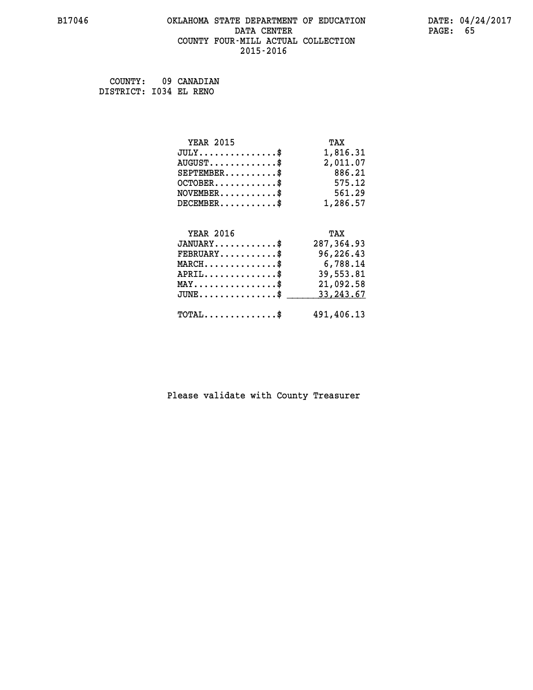#### **B17046 OKLAHOMA STATE DEPARTMENT OF EDUCATION DATE: 04/24/2017 DATA CENTER** PAGE: 65  **COUNTY FOUR-MILL ACTUAL COLLECTION 2015-2016**

 **COUNTY: 09 CANADIAN DISTRICT: I034 EL RENO**

| <b>YEAR 2015</b>                           | TAX         |
|--------------------------------------------|-------------|
| $JULY$ \$                                  | 1,816.31    |
| $AUGUST$ \$                                | 2,011.07    |
| $SEPTEMBER$ \$                             | 886.21      |
| $OCTOBER$ \$                               | 575.12      |
| $NOVEMBER$ \$                              | 561.29      |
| $DECEMBER$ \$                              | 1,286.57    |
|                                            |             |
| <b>YEAR 2016</b>                           | TAX         |
| $JANUARY$ \$                               | 287, 364.93 |
| $FEBRUARY$                                 | 96,226.43   |
| $MARCH$ \$                                 | 6,788.14    |
| $APRIL$ \$                                 | 39,553.81   |
| $MAX \dots \dots \dots \dots \dots$        | 21,092.58   |
| $JUNE$ \$                                  | 33, 243.67  |
| $\texttt{TOTAL} \dots \dots \dots \dots \$ | 491,406.13  |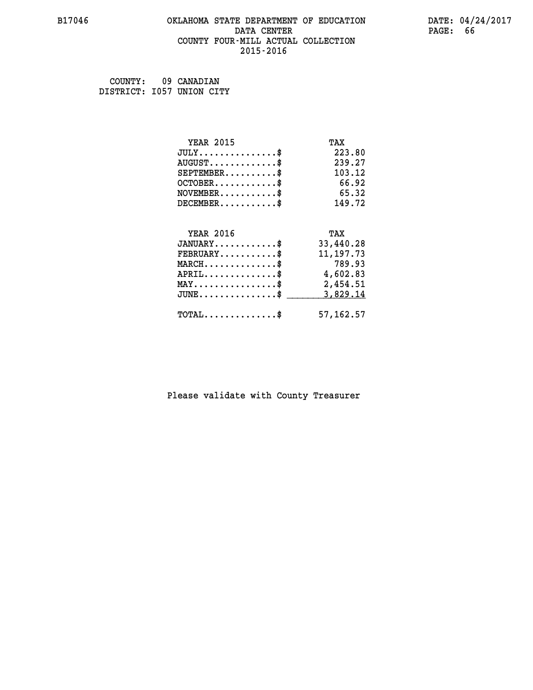#### **B17046 OKLAHOMA STATE DEPARTMENT OF EDUCATION DATE: 04/24/2017 DATA CENTER** PAGE: 66  **COUNTY FOUR-MILL ACTUAL COLLECTION 2015-2016**

 **COUNTY: 09 CANADIAN DISTRICT: I057 UNION CITY**

| <b>YEAR 2015</b>                               | TAX         |
|------------------------------------------------|-------------|
| $JULY$ \$                                      | 223.80      |
| $AUGUST$ \$                                    | 239.27      |
| $SEPTEMBER$ \$                                 | 103.12      |
| $OCTOBER$ \$                                   | 66.92       |
| $NOVEMBER$ \$                                  | 65.32       |
| $DECEMBER$ \$                                  | 149.72      |
|                                                |             |
| <b>YEAR 2016</b>                               | TAX         |
| $JANUARY$ \$                                   | 33,440.28   |
| $FEBRUARY$                                     | 11, 197. 73 |
| $MARCH$ \$                                     | 789.93      |
| $APRIL$ \$                                     | 4,602.83    |
| $\texttt{MAX} \dots \dots \dots \dots \dots \$ | 2,454.51    |
| $JUNE \ldots \ldots \ldots \ldots \bullet$     | 3,829.14    |
| $\texttt{TOTAL} \dots \dots \dots \dots \$     | 57, 162.57  |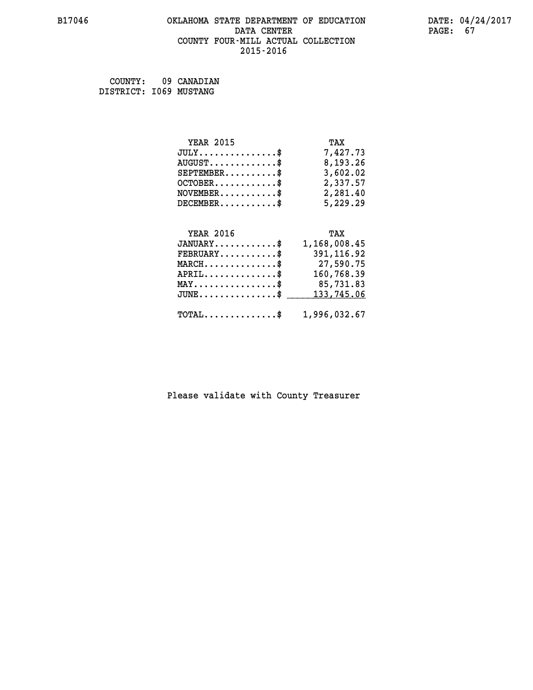#### **B17046 OKLAHOMA STATE DEPARTMENT OF EDUCATION DATE: 04/24/2017 DATA CENTER** PAGE: 67  **COUNTY FOUR-MILL ACTUAL COLLECTION 2015-2016**

 **COUNTY: 09 CANADIAN DISTRICT: I069 MUSTANG**

| <b>YEAR 2015</b>              | TAX      |
|-------------------------------|----------|
| $JULY \ldots \ldots \ldots \$ | 7,427.73 |
| $AUGUST$ \$                   | 8,193.26 |
| $SEPTEMENT.$ \$               | 3,602.02 |
| $OCTOBER$ \$                  | 2,337.57 |
| $NOVEMBER$ \$                 | 2,281.40 |
| $DECEMBER$ \$                 | 5,229,29 |
|                               |          |
|                               |          |

| <b>YEAR 2016</b>                                        | TAX          |
|---------------------------------------------------------|--------------|
| $JANUARY$ \$                                            | 1,168,008.45 |
| $FEBRUARY$ \$                                           | 391, 116.92  |
| $MARCH$ \$                                              | 27,590.75    |
| $APRIL$                                                 | 160,768.39   |
| $\texttt{MAX} \dots \dots \dots \dots \dots \$          | 85,731.83    |
| JUNE\$ 133,745.06                                       |              |
| $\texttt{TOTAL} \dots \dots \dots \dots \$ 1,996,032.67 |              |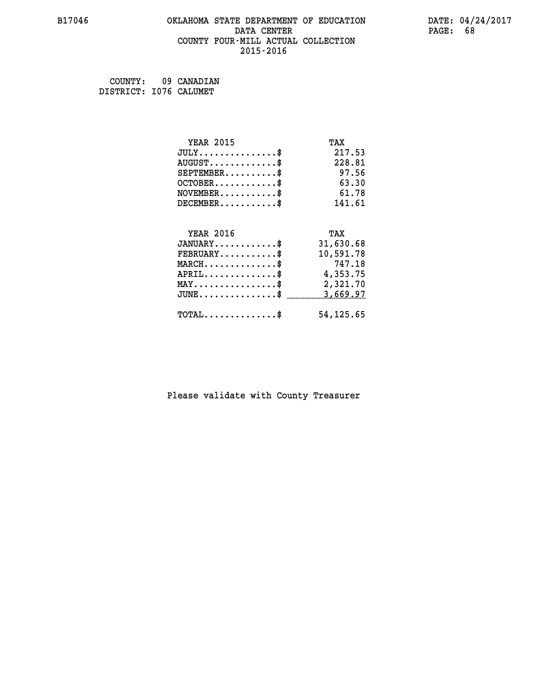#### **B17046 OKLAHOMA STATE DEPARTMENT OF EDUCATION DATE: 04/24/2017 DATA CENTER** PAGE: 68  **COUNTY FOUR-MILL ACTUAL COLLECTION 2015-2016**

 **COUNTY: 09 CANADIAN DISTRICT: I076 CALUMET**

| <b>YEAR 2015</b>                           | TAX        |
|--------------------------------------------|------------|
| $JULY$ \$                                  | 217.53     |
| $AUGUST$ \$                                | 228.81     |
| $SEPTEMENT.$                               | 97.56      |
| $OCTOBER$                                  | 63.30      |
| $NOVEMBER$ \$                              | 61.78      |
| $DECEMBER$ \$                              | 141.61     |
| <b>YEAR 2016</b>                           | TAX        |
| $JANUARY$ \$                               | 31,630.68  |
| $FEBRUARY$ \$                              | 10,591.78  |
| $MARCH$ \$                                 | 747.18     |
| $APRIL$ \$                                 | 4,353.75   |
| $MAX \dots \dots \dots \dots \dots$        | 2,321.70   |
| $JUNE$                                     | 3,669.97   |
| $\texttt{TOTAL} \dots \dots \dots \dots \$ | 54, 125.65 |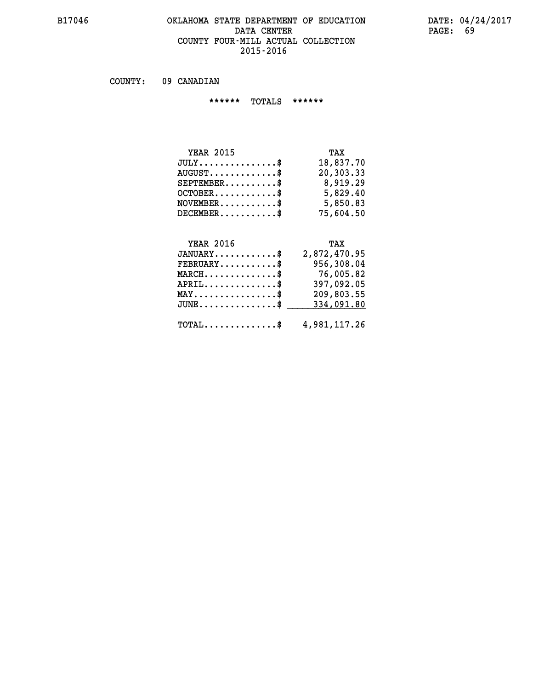#### **B17046 OKLAHOMA STATE DEPARTMENT OF EDUCATION DATE: 04/24/2017 DATA CENTER** PAGE: 69  **COUNTY FOUR-MILL ACTUAL COLLECTION 2015-2016**

 **COUNTY: 09 CANADIAN**

 **\*\*\*\*\*\* TOTALS \*\*\*\*\*\***

| <b>YEAR 2015</b>                 | TAX       |
|----------------------------------|-----------|
| $JULY$                           | 18,837.70 |
| $AUGUST \ldots \ldots \ldots$ \$ | 20,303.33 |
| $SEPTEMBER$ $\$                  | 8,919.29  |
| $OCTOBER$ \$                     | 5,829.40  |
| $NOVEMBER$ \$                    | 5,850.83  |
| $DECEMBER$                       | 75,604.50 |

## **YEAR 2016 TAX**

| $JANUARY$ \$                                            | 2,872,470.95 |
|---------------------------------------------------------|--------------|
| $FEBRUARY$                                              | 956,308.04   |
| $MARCH$ \$                                              | 76,005.82    |
| $APRIL$ \$                                              | 397,092.05   |
| $MAX \dots \dots \dots \dots \dots \$                   | 209,803.55   |
| $JUNE \dots \dots \dots \dots \$ 334,091.80             |              |
| $\texttt{TOTAL} \dots \dots \dots \dots \$ 4,981,117.26 |              |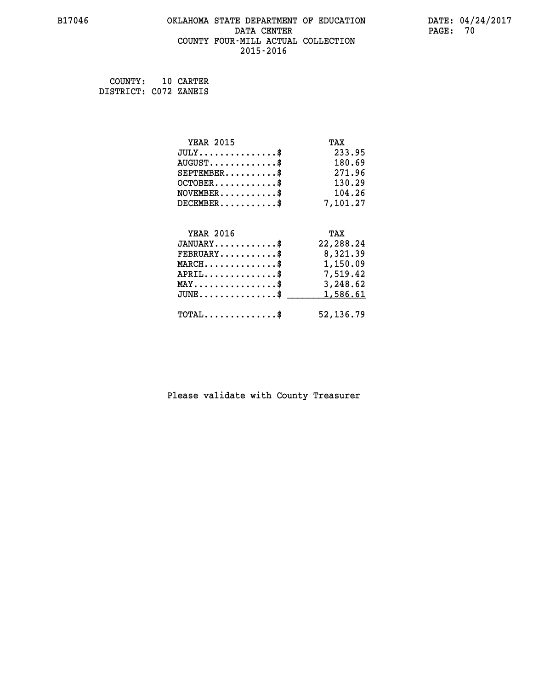#### **B17046 OKLAHOMA STATE DEPARTMENT OF EDUCATION DATE: 04/24/2017 DATA CENTER** PAGE: 70  **COUNTY FOUR-MILL ACTUAL COLLECTION 2015-2016**

 **COUNTY: 10 CARTER DISTRICT: C072 ZANEIS**

| <b>YEAR 2015</b>                                 | TAX        |
|--------------------------------------------------|------------|
| $JULY$ \$                                        | 233.95     |
| $AUGUST$ \$                                      | 180.69     |
| $SEPTEMBER$ \$                                   | 271.96     |
| $OCTOBER$ \$                                     | 130.29     |
| $\texttt{NOVEMBER} \dots \dots \dots \$          | 104.26     |
| $DECEMBER$ \$                                    | 7,101.27   |
|                                                  |            |
| <b>YEAR 2016</b>                                 | TAX        |
| $JANUARY$ \$                                     | 22,288.24  |
| $FEBRUARY$                                       | 8,321.39   |
| $\texttt{MARCH}\ldots\ldots\ldots\ldots\text{*}$ | 1,150.09   |
| $APRIL \ldots \ldots \ldots \ldots \$            | 7,519.42   |
| $\texttt{MAX} \dots \dots \dots \dots \dots \$   | 3,248.62   |
| $\texttt{JUNE} \dots \dots \dots \dots \dots \$$ | 1,586.61   |
| $\texttt{TOTAL} \dots \dots \dots \dots \$       | 52, 136.79 |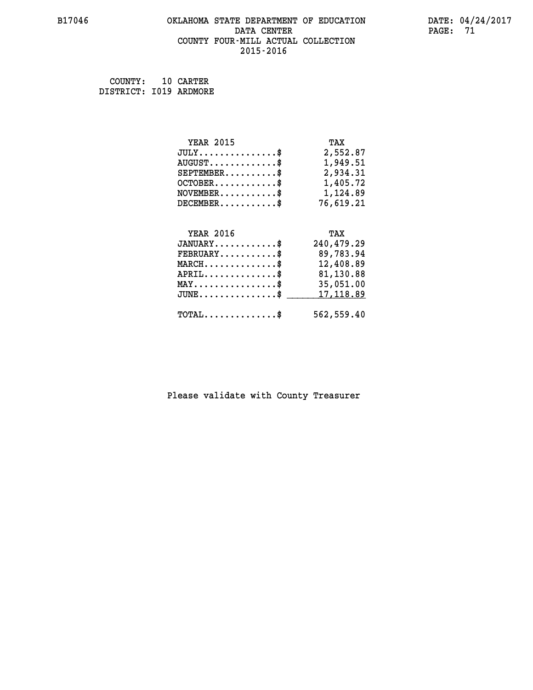#### **B17046 OKLAHOMA STATE DEPARTMENT OF EDUCATION DATE: 04/24/2017 DATA CENTER** PAGE: 71  **COUNTY FOUR-MILL ACTUAL COLLECTION 2015-2016**

| COUNTY:                | 10 CARTER |
|------------------------|-----------|
| DISTRICT: I019 ARDMORE |           |

| <b>YEAR 2015</b>                                                           | TAX        |
|----------------------------------------------------------------------------|------------|
| $JULY$ \$                                                                  | 2,552.87   |
| $AUGUST$ \$                                                                | 1,949.51   |
| $SEPTEMBER$ \$                                                             | 2,934.31   |
| $OCTOBER$ \$                                                               | 1,405.72   |
| $\verb NOVEMBER , \verb , \verb , \verb , \verb , \verb , \verb , \verb }$ | 1,124.89   |
| $DECEMBER$ \$                                                              | 76,619.21  |
|                                                                            |            |
| <b>YEAR 2016</b>                                                           | TAX        |
|                                                                            |            |
| $JANUARY$ \$                                                               | 240,479.29 |
| $FEBRUARY$                                                                 | 89,783.94  |
| $\texttt{MARCH}\ldots\ldots\ldots\ldots\$                                  | 12,408.89  |
| $APRIL \ldots \ldots \ldots \ldots *$                                      | 81,130.88  |
| $\texttt{MAX} \dots \dots \dots \dots \dots \$                             | 35,051.00  |
| $\texttt{JUNE} \dots \dots \dots \dots \dots \$$                           | 17,118.89  |
| $\texttt{TOTAL} \dots \dots \dots \dots \$                                 | 562,559.40 |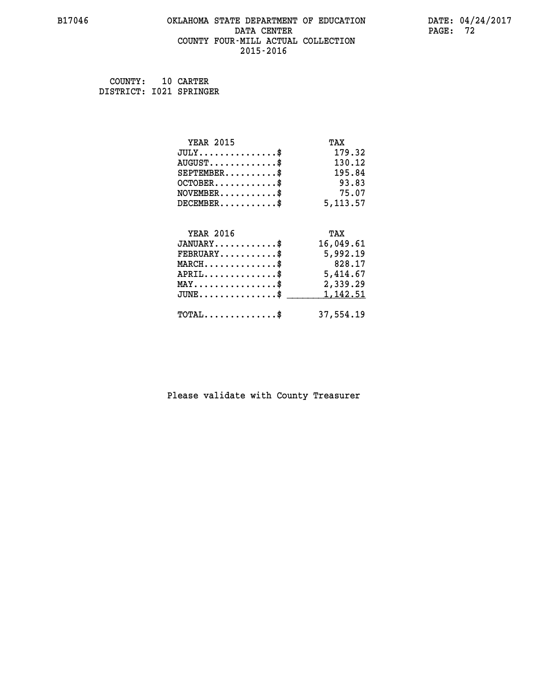#### **B17046 OKLAHOMA STATE DEPARTMENT OF EDUCATION DATE: 04/24/2017 DATA CENTER** PAGE: 72  **COUNTY FOUR-MILL ACTUAL COLLECTION 2015-2016**

 **COUNTY: 10 CARTER DISTRICT: I021 SPRINGER**

| <b>YEAR 2015</b>                               | TAX       |
|------------------------------------------------|-----------|
| $JULY$ \$                                      | 179.32    |
| $AUGUST$ \$                                    | 130.12    |
| $SEPTEMBER$ \$                                 | 195.84    |
| $OCTOBER$ \$                                   | 93.83     |
| $\texttt{NOVEMBER} \dots \dots \dots \$        | 75.07     |
| $DECEMBER$ \$                                  | 5, 113.57 |
|                                                |           |
| <b>YEAR 2016</b>                               | TAX       |
| $JANUARY$ \$                                   | 16,049.61 |
| $\texttt{FEBRUARY} \dots \dots \dots \$        | 5,992.19  |
| $MARCH$ \$                                     | 828.17    |
| $APRIL \ldots \ldots \ldots \ldots \$          | 5,414.67  |
| $\texttt{MAX} \dots \dots \dots \dots \dots \$ | 2,339.29  |
| $JUNE$ \$                                      | 1,142.51  |
| $\texttt{TOTAL} \dots \dots \dots \dots \$     | 37,554.19 |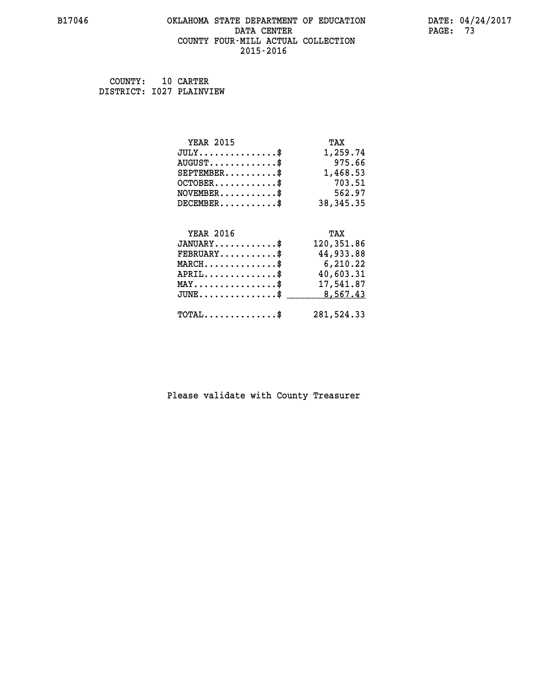#### **B17046 OKLAHOMA STATE DEPARTMENT OF EDUCATION DATE: 04/24/2017 DATA CENTER** PAGE: 73  **COUNTY FOUR-MILL ACTUAL COLLECTION 2015-2016**

 **COUNTY: 10 CARTER DISTRICT: I027 PLAINVIEW**

| <b>YEAR 2015</b>                               | TAX         |
|------------------------------------------------|-------------|
| $JULY$ \$                                      | 1,259.74    |
| $AUGUST$ \$                                    | 975.66      |
| $SEPTEMBER$ \$                                 | 1,468.53    |
| $OCTOBER$ \$                                   | 703.51      |
| $NOVEMBER$ \$                                  | 562.97      |
| $DECEMBER$ \$                                  | 38, 345. 35 |
|                                                |             |
| <b>YEAR 2016</b>                               | TAX         |
| $JANUARY$ \$                                   | 120,351.86  |
| $FEBRUARY$                                     | 44,933.88   |
| $MARCH$ \$                                     | 6,210.22    |
| $APRIL$ \$                                     | 40,603.31   |
| $\texttt{MAX} \dots \dots \dots \dots \dots \$ | 17,541.87   |
| $JUNE$ \$                                      | 8,567.43    |
| $\texttt{TOTAL} \dots \dots \dots \dots$ \$    | 281,524.33  |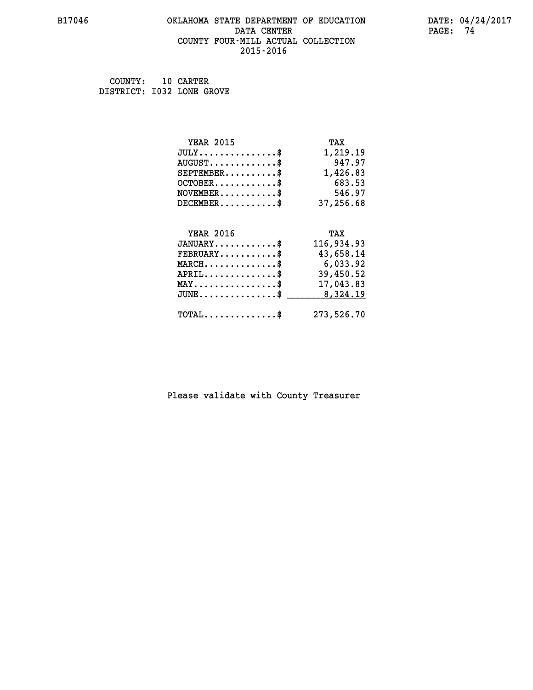#### **B17046 OKLAHOMA STATE DEPARTMENT OF EDUCATION DATE: 04/24/2017 DATA CENTER PAGE: 74 COUNTY FOUR-MILL ACTUAL COLLECTION 2015-2016**

 **COUNTY: 10 CARTER DISTRICT: I032 LONE GROVE**

| <b>YEAR 2015</b>                               | TAX        |
|------------------------------------------------|------------|
| $JULY$ \$                                      | 1,219.19   |
| $AUGUST$ \$                                    | 947.97     |
| $SEPTEMBER$ \$                                 | 1,426.83   |
| $OCTOBER$ \$                                   | 683.53     |
| $\texttt{NOVEMBER} \dots \dots \dots \$        | 546.97     |
| $DECEMBER$ \$                                  | 37,256.68  |
|                                                |            |
| <b>YEAR 2016</b>                               | TAX        |
| $JANUARY$ \$                                   | 116,934.93 |
| $FEBRUARY$                                     | 43,658.14  |
| $MARCH$ \$                                     | 6,033.92   |
| $APRIL$ \$                                     | 39,450.52  |
| $\texttt{MAX} \dots \dots \dots \dots \dots \$ | 17,043.83  |
| $JUNE$ \$                                      | 8,324.19   |
| $\texttt{TOTAL} \dots \dots \dots \dots \$     | 273,526.70 |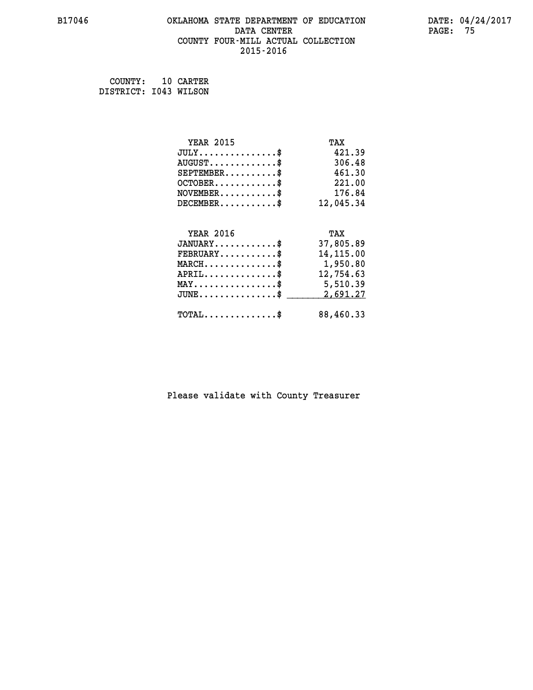#### **B17046 OKLAHOMA STATE DEPARTMENT OF EDUCATION DATE: 04/24/2017 DATA CENTER** PAGE: 75  **COUNTY FOUR-MILL ACTUAL COLLECTION 2015-2016**

 **COUNTY: 10 CARTER DISTRICT: I043 WILSON**

| <b>YEAR 2015</b>                               | TAX       |
|------------------------------------------------|-----------|
| $JULY$ \$                                      | 421.39    |
| $AUGUST$ \$                                    | 306.48    |
| $SEPTEMENT.$ \$                                | 461.30    |
| $OCTOBER$ \$                                   | 221.00    |
| $NOVEMBER$ \$                                  | 176.84    |
| $DECEMBER$ \$                                  | 12,045.34 |
|                                                |           |
| <b>YEAR 2016</b>                               | TAX       |
| $JANUARY$                                      | 37,805.89 |
| $FEBRUARY$                                     | 14,115.00 |
| $MARCH$ \$                                     | 1,950.80  |
| $APRIL$ \$                                     | 12,754.63 |
| $\texttt{MAX} \dots \dots \dots \dots \dots \$ | 5,510.39  |
| $JUNE \dots \dots \dots \dots \$               | 2,691.27  |
|                                                |           |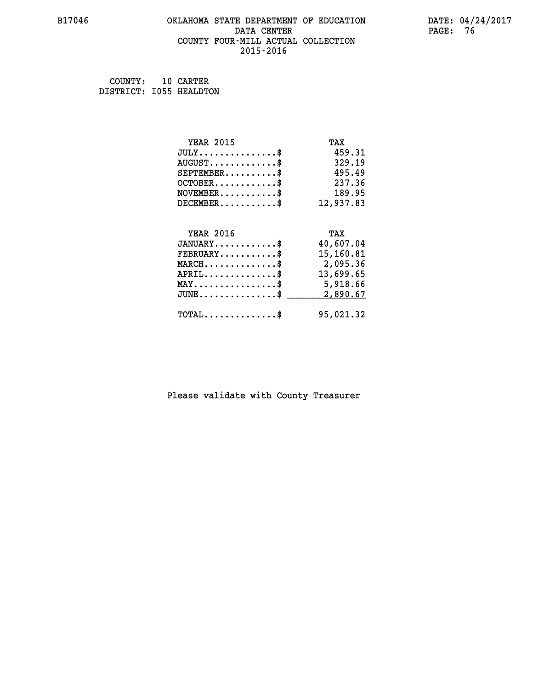#### **B17046 OKLAHOMA STATE DEPARTMENT OF EDUCATION DATE: 04/24/2017 DATA CENTER** PAGE: 76  **COUNTY FOUR-MILL ACTUAL COLLECTION 2015-2016**

 **COUNTY: 10 CARTER DISTRICT: I055 HEALDTON**

| <b>YEAR 2015</b>                               | TAX       |
|------------------------------------------------|-----------|
| $JULY$ \$                                      | 459.31    |
| $AUGUST$ \$                                    | 329.19    |
| $SEPTEMENT.$ \$                                | 495.49    |
| $OCTOBER$ \$                                   | 237.36    |
| $NOVEMBER$ \$                                  | 189.95    |
| $DECEMBER$ \$                                  | 12,937.83 |
|                                                |           |
| <b>YEAR 2016</b>                               | TAX       |
| $JANUARY$ \$                                   | 40,607.04 |
| $FEBRUARY$                                     | 15,160.81 |
| $MARCH$ \$                                     | 2,095.36  |
| $APRIL$ \$                                     | 13,699.65 |
| $\texttt{MAX} \dots \dots \dots \dots \dots \$ | 5,918.66  |
| $JUNE$ \$                                      | 2,890.67  |
| $\texttt{TOTAL} \dots \dots \dots \dots \$     | 95,021.32 |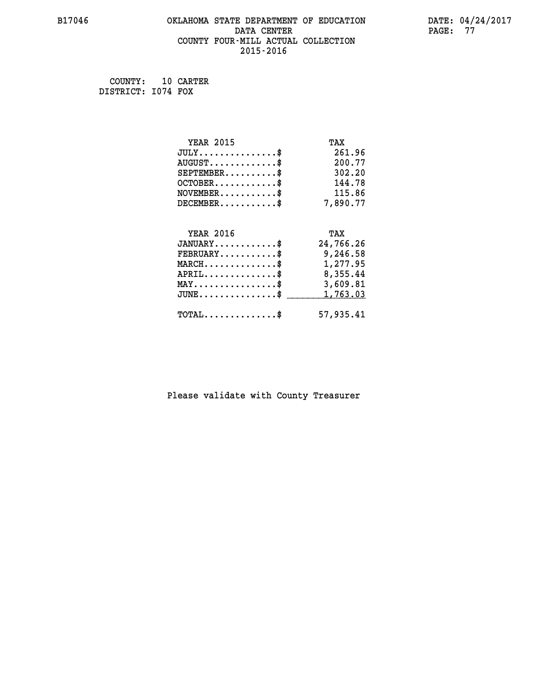#### **B17046 OKLAHOMA STATE DEPARTMENT OF EDUCATION DATE: 04/24/2017 DATA CENTER** PAGE: 77  **COUNTY FOUR-MILL ACTUAL COLLECTION 2015-2016**

 **COUNTY: 10 CARTER DISTRICT: I074 FOX**

| <b>YEAR 2015</b>                               | TAX       |
|------------------------------------------------|-----------|
| $JULY$ \$                                      | 261.96    |
| $AUGUST$ \$                                    | 200.77    |
| $SEPTEMBER$ \$                                 | 302.20    |
| $OCTOBER$ \$                                   | 144.78    |
| $\texttt{NOVEMBER} \dots \dots \dots \$        | 115.86    |
| $DECEMBER$ \$                                  | 7,890.77  |
|                                                |           |
| <b>YEAR 2016</b>                               | TAX       |
| $JANUARY$ \$                                   | 24,766.26 |
| $FEBRUARY$                                     | 9,246.58  |
| $MARCH$ \$                                     | 1,277.95  |
| $APRIL$                                        | 8,355.44  |
| $\texttt{MAX} \dots \dots \dots \dots \dots \$ | 3,609.81  |
| $JUNE \ldots \ldots \ldots \ldots \ldots$ \$   | 1,763.03  |
| $\texttt{TOTAL} \dots \dots \dots \dots \$     | 57,935.41 |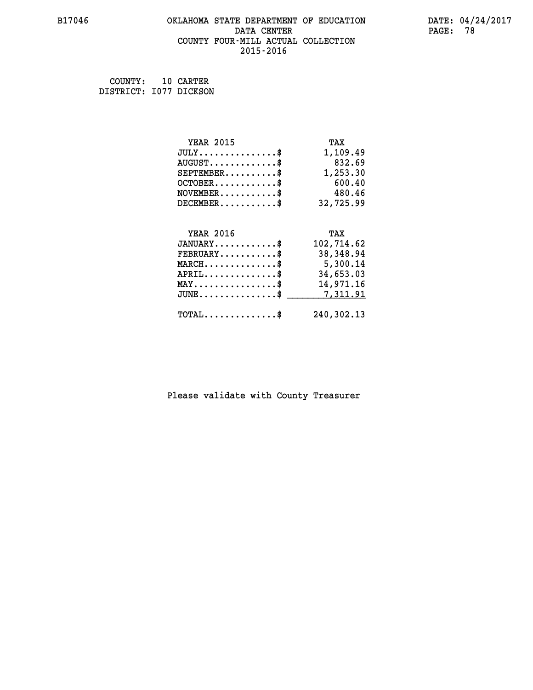#### **B17046 OKLAHOMA STATE DEPARTMENT OF EDUCATION DATE: 04/24/2017 DATA CENTER** PAGE: 78  **COUNTY FOUR-MILL ACTUAL COLLECTION 2015-2016**

 **COUNTY: 10 CARTER DISTRICT: I077 DICKSON**

| <b>YEAR 2015</b>                                   | TAX        |
|----------------------------------------------------|------------|
| $JULY$ \$                                          | 1,109.49   |
| $AUGUST$ \$                                        | 832.69     |
| $SEPTEMBER$ \$                                     | 1,253.30   |
| $OCTOBER$ \$                                       | 600.40     |
| $NOVEMBER$ \$                                      | 480.46     |
| $DECEMBER$ \$                                      | 32,725.99  |
|                                                    |            |
| <b>YEAR 2016</b>                                   | TAX        |
| $JANUARY$ \$                                       | 102,714.62 |
| $FEBRUARY$                                         | 38,348.94  |
| $MARCH$ \$                                         | 5,300.14   |
| $APRIL$ \$                                         | 34,653.03  |
| $\texttt{MAX} \dots \dots \dots \dots \dots \$     | 14,971.16  |
| $\texttt{JUNE} \dots \dots \dots \dots \texttt{S}$ | 7,311.91   |
| $TOTAL$ \$                                         | 240,302.13 |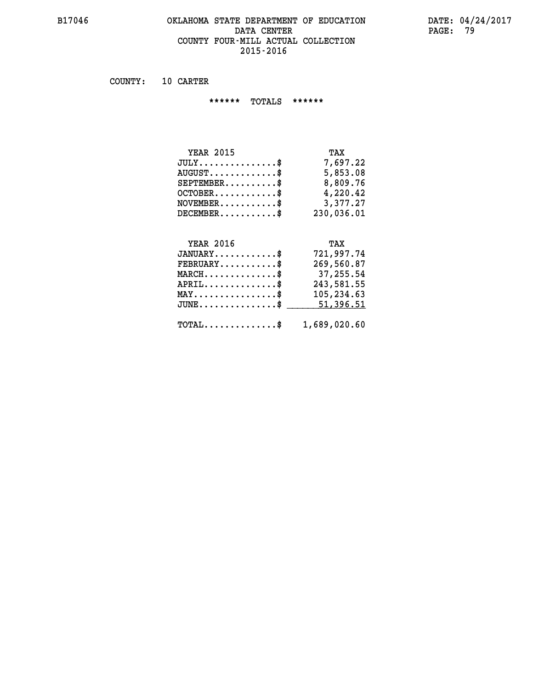#### **B17046 OKLAHOMA STATE DEPARTMENT OF EDUCATION DATE: 04/24/2017 DATA CENTER** PAGE: 79  **COUNTY FOUR-MILL ACTUAL COLLECTION 2015-2016**

 **COUNTY: 10 CARTER**

 **\*\*\*\*\*\* TOTALS \*\*\*\*\*\***

| <b>YEAR 2015</b>                 | TAX        |
|----------------------------------|------------|
| $JULY \ldots \ldots \ldots \$    | 7,697.22   |
| $AUGUST \ldots \ldots \ldots$ \$ | 5,853.08   |
| $SEPTEMBER$                      | 8,809.76   |
| $OCTOBER$ \$                     | 4,220.42   |
| $NOVEMBER$ \$                    | 3,377.27   |
| DECEMENT.                        | 230,036.01 |

### **YEAR 2016**

| <b>YEAR 2016</b>                                        | TAX        |
|---------------------------------------------------------|------------|
| $JANUARY$ \$                                            | 721,997.74 |
| $FEBRUARY$                                              | 269,560.87 |
| $MARCH$ \$                                              | 37,255.54  |
| $APRIL$ \$                                              | 243,581.55 |
| $MAX \dots \dots \dots \dots \dots \$                   | 105,234.63 |
| JUNE\$ 51,396.51                                        |            |
| $\texttt{TOTAL} \dots \dots \dots \dots \$ 1,689,020.60 |            |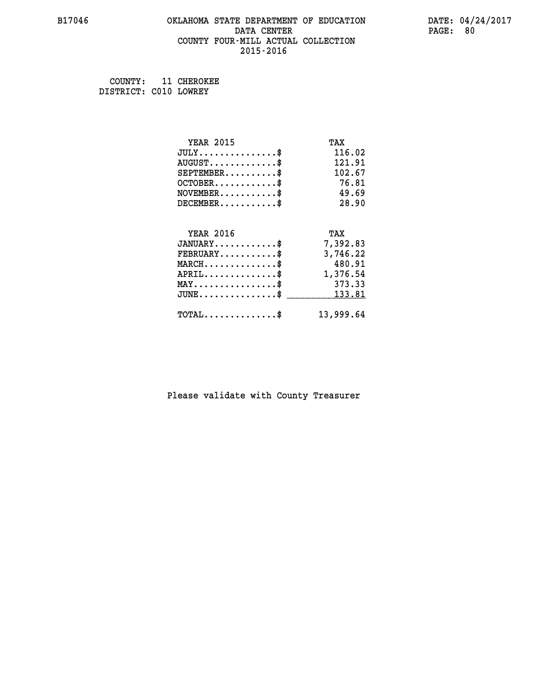#### **B17046 OKLAHOMA STATE DEPARTMENT OF EDUCATION DATE: 04/24/2017 DATA CENTER** PAGE: 80  **COUNTY FOUR-MILL ACTUAL COLLECTION 2015-2016**

 **COUNTY: 11 CHEROKEE DISTRICT: C010 LOWREY**

| <b>YEAR 2015</b>                           | TAX       |
|--------------------------------------------|-----------|
| $JULY$ \$                                  | 116.02    |
| $AUGUST$ \$                                | 121.91    |
| $SEPTEMBER$ \$                             | 102.67    |
| $OCTOBER$ \$                               | 76.81     |
| $NOVEMBER$ \$                              | 49.69     |
| $DECEMBER$ \$                              | 28.90     |
|                                            |           |
| <b>YEAR 2016</b>                           | TAX       |
| $JANUARY$ \$                               | 7,392.83  |
| $FEBRUARY$                                 | 3,746.22  |
| $MARCH$ \$                                 | 480.91    |
| $APRIL \ldots \ldots \ldots \$             | 1,376.54  |
| $MAX \dots \dots \dots \dots \dots$        | 373.33    |
| $JUNE$ \$                                  | 133.81    |
| $\texttt{TOTAL} \dots \dots \dots \dots \$ | 13,999.64 |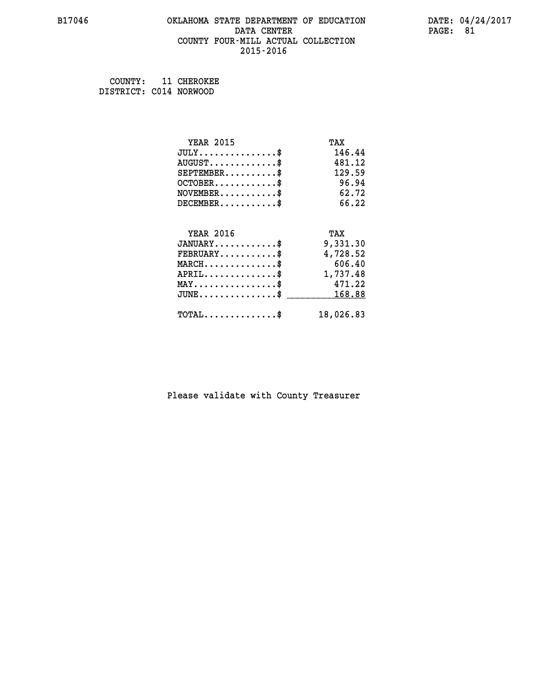#### **B17046 OKLAHOMA STATE DEPARTMENT OF EDUCATION DATE: 04/24/2017 DATA CENTER** PAGE: 81  **COUNTY FOUR-MILL ACTUAL COLLECTION 2015-2016**

 **COUNTY: 11 CHEROKEE DISTRICT: C014 NORWOOD**

| <b>YEAR 2015</b>                             | TAX       |
|----------------------------------------------|-----------|
| $JULY$ \$                                    | 146.44    |
| $AUGUST$ \$                                  | 481.12    |
| $SEPTEMBER$ \$                               | 129.59    |
| $OCTOBER$ \$                                 | 96.94     |
| $NOVEMBER$ \$                                | 62.72     |
| $DECEMBER$ \$                                | 66.22     |
|                                              |           |
| <b>YEAR 2016</b>                             | TAX       |
| $JANUARY$                                    | 9,331.30  |
| $FEBRUARY$                                   | 4,728.52  |
| $MARCH$ \$                                   | 606.40    |
| $APRIL$ \$                                   | 1,737.48  |
| $MAX \dots \dots \dots \dots \dots$          | 471.22    |
| $JUNE \ldots \ldots \ldots \ldots \ldots$ \$ | 168.88    |
| $\texttt{TOTAL} \dots \dots \dots \dots \$   | 18,026.83 |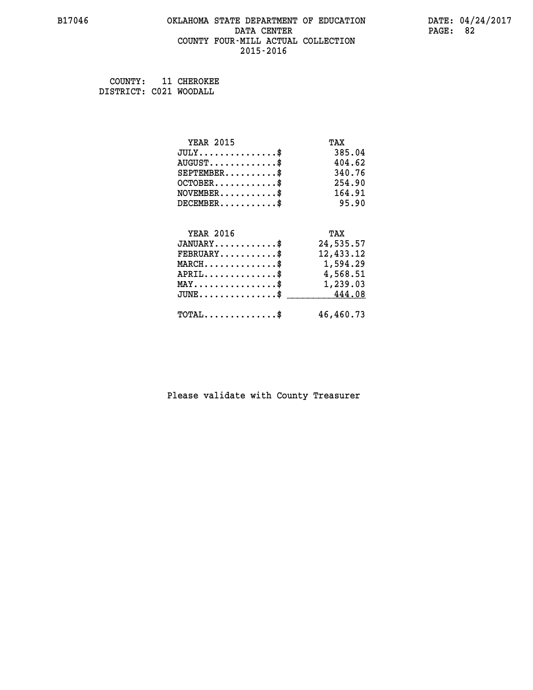#### **B17046 OKLAHOMA STATE DEPARTMENT OF EDUCATION DATE: 04/24/2017 DATA CENTER** PAGE: 82  **COUNTY FOUR-MILL ACTUAL COLLECTION 2015-2016**

 **COUNTY: 11 CHEROKEE DISTRICT: C021 WOODALL**

| <b>YEAR 2015</b>                                                          | TAX       |
|---------------------------------------------------------------------------|-----------|
| $JULY$ \$                                                                 | 385.04    |
| $AUGUST$ \$                                                               | 404.62    |
| $SEPTEMBER$ \$                                                            | 340.76    |
| $OCTOBER$ \$                                                              | 254.90    |
| $\verb NOVEMBER , \verb , \verb , \verb , \verb , \verb , \verb , \verb $ | 164.91    |
| $DECEMBER$ \$                                                             | 95.90     |
| <b>YEAR 2016</b>                                                          | TAX       |
| $JANUARY$                                                                 | 24,535.57 |
| $\texttt{FEBRUARY} \dots \dots \dots \$                                   | 12,433.12 |
|                                                                           |           |
| MARCH\$ 1,594.29                                                          |           |
| $APRIL \ldots \ldots \ldots \ldots \$                                     | 4,568.51  |
| MAY\$ 1,239.03                                                            |           |
| $JUNE \dots \dots \dots \dots \$ 444.08                                   |           |
| $\texttt{TOTAL} \dots \dots \dots \dots$ \$                               | 46,460.73 |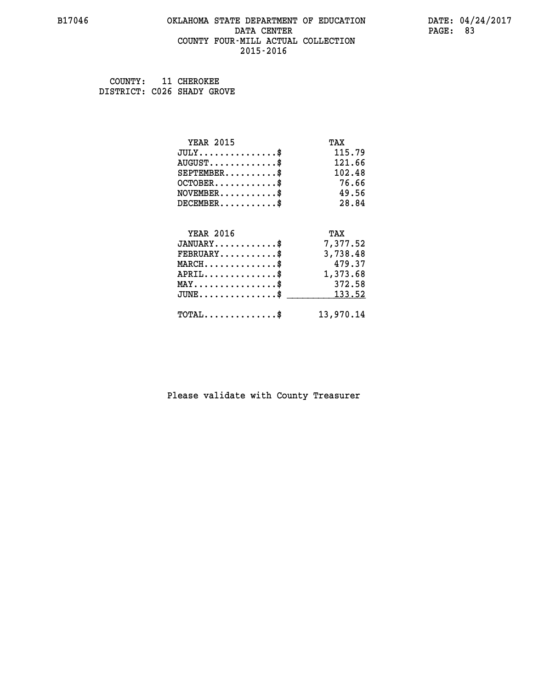#### **B17046 OKLAHOMA STATE DEPARTMENT OF EDUCATION DATE: 04/24/2017 DATA CENTER** PAGE: 83  **COUNTY FOUR-MILL ACTUAL COLLECTION 2015-2016**

 **COUNTY: 11 CHEROKEE DISTRICT: C026 SHADY GROVE**

| <b>YEAR 2015</b>                            | TAX       |
|---------------------------------------------|-----------|
| $JULY$ \$                                   | 115.79    |
| $AUGUST$ \$                                 | 121.66    |
| $SEPTEMENT.$ \$                             | 102.48    |
| $OCTOBER$ \$                                | 76.66     |
| $NOVEMBER$ \$                               | 49.56     |
| $DECEMBER$ \$                               | 28.84     |
|                                             |           |
| <b>YEAR 2016</b>                            | TAX       |
| $JANUARY$                                   | 7,377.52  |
| $FEBRUARY$                                  | 3,738.48  |
| $MARCH$ \$                                  | 479.37    |
| $APRIL$ \$                                  | 1,373.68  |
| $MAX \dots \dots \dots \dots \dots$         | 372.58    |
| $JUNE$ \$                                   | 133.52    |
| $\texttt{TOTAL} \dots \dots \dots \dots$ \$ | 13,970.14 |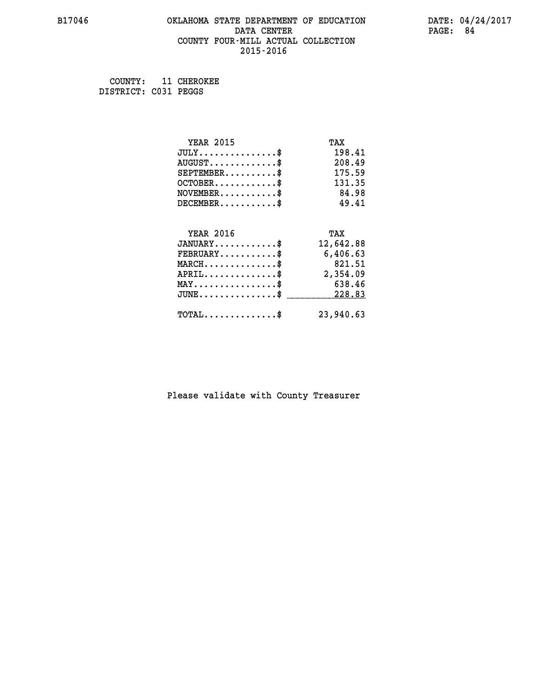#### **B17046 OKLAHOMA STATE DEPARTMENT OF EDUCATION DATE: 04/24/2017 DATA CENTER** PAGE: 84  **COUNTY FOUR-MILL ACTUAL COLLECTION 2015-2016**

 **COUNTY: 11 CHEROKEE DISTRICT: C031 PEGGS**

| <b>YEAR 2015</b>                           | TAX       |
|--------------------------------------------|-----------|
| $JULY$ \$                                  | 198.41    |
| $AUGUST$ \$                                | 208.49    |
| $SEPTEMBER$ \$                             | 175.59    |
| $OCTOBER$ \$                               | 131.35    |
| $NOVEMBER$ \$                              | 84.98     |
| $DECEMBER$ \$                              | 49.41     |
|                                            |           |
| <b>YEAR 2016</b>                           | TAX       |
| $JANUARY$ \$                               | 12,642.88 |
| $FEBRUARY$                                 | 6,406.63  |
| $MARCH$ \$                                 | 821.51    |
| $APRIL$ \$                                 | 2,354.09  |
| $MAX \dots \dots \dots \dots \dots$        | 638.46    |
| $JUNE$ \$                                  | 228.83    |
| $\texttt{TOTAL} \dots \dots \dots \dots \$ | 23,940.63 |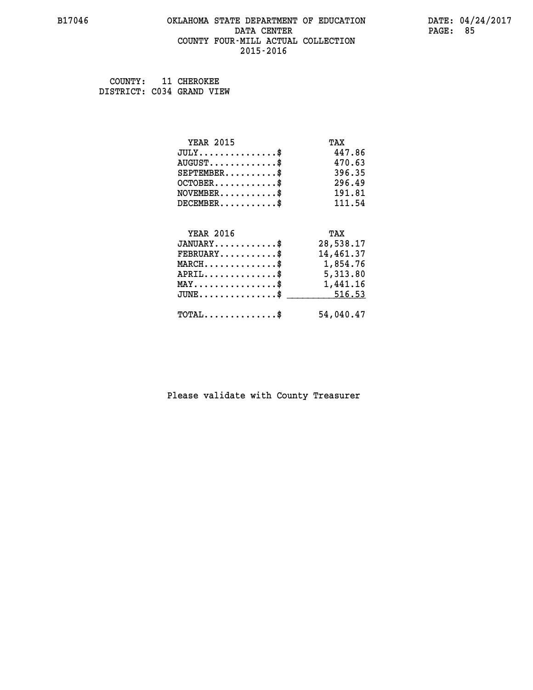#### **B17046 OKLAHOMA STATE DEPARTMENT OF EDUCATION DATE: 04/24/2017 DATA CENTER** PAGE: 85  **COUNTY FOUR-MILL ACTUAL COLLECTION 2015-2016**

 **COUNTY: 11 CHEROKEE DISTRICT: C034 GRAND VIEW**

| <b>YEAR 2015</b>                               | TAX       |
|------------------------------------------------|-----------|
| $JULY$ \$                                      | 447.86    |
| $AUGUST$ \$                                    | 470.63    |
| $SEPTEMBER$ \$                                 | 396.35    |
| $OCTOBER$ \$                                   | 296.49    |
| $NOVEMBER$ \$                                  | 191.81    |
| $DECEMBER$ \$                                  | 111.54    |
|                                                |           |
| <b>YEAR 2016</b>                               | TAX       |
| $JANUARY$ \$                                   | 28,538.17 |
| $FEBRUARY$ \$                                  | 14,461.37 |
| $MARCH$ \$                                     | 1,854.76  |
| $APRIL \ldots \ldots \ldots \ldots \$          | 5,313.80  |
| $\texttt{MAX} \dots \dots \dots \dots \dots \$ | 1,441.16  |
| $JUNE \ldots \ldots \ldots \ldots$ \$ 516.53   |           |
| $\texttt{TOTAL} \dots \dots \dots \dots \$     | 54,040.47 |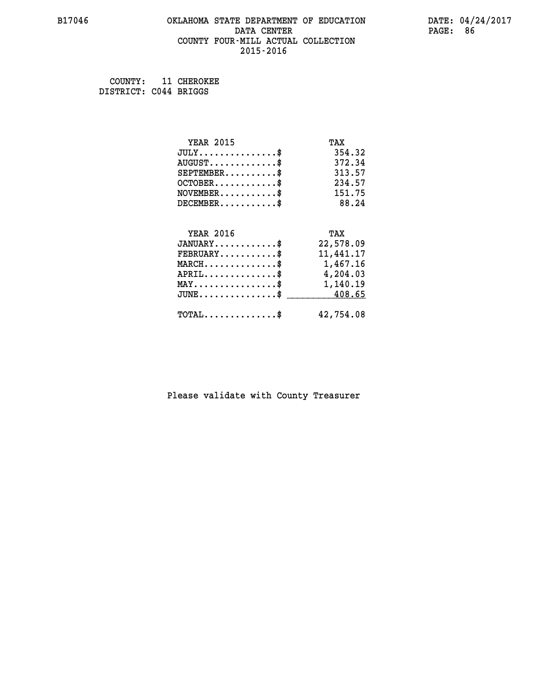#### **B17046 OKLAHOMA STATE DEPARTMENT OF EDUCATION DATE: 04/24/2017 DATA CENTER** PAGE: 86  **COUNTY FOUR-MILL ACTUAL COLLECTION 2015-2016**

 **COUNTY: 11 CHEROKEE DISTRICT: C044 BRIGGS**

| <b>YEAR 2015</b>                           | TAX       |
|--------------------------------------------|-----------|
| $JULY$ \$                                  | 354.32    |
| $AUGUST$ \$                                | 372.34    |
| $SEPTEMBER$ \$                             | 313.57    |
| $OCTOBER$ \$                               | 234.57    |
| $NOVEMBER$ \$                              | 151.75    |
| $DECEMBER$ \$                              | 88.24     |
|                                            |           |
| <b>YEAR 2016</b>                           | TAX       |
| $JANUARY$ \$                               | 22,578.09 |
| $FEBRUARY$                                 | 11,441.17 |
| MARCH\$ 1,467.16                           |           |
| $APRIL \ldots \ldots \ldots \ldots *$      | 4,204.03  |
| MAY\$ 1,140.19                             |           |
| $JUNE \dots \dots \dots \dots \$ 408.65    |           |
| $\texttt{TOTAL} \dots \dots \dots \dots \$ | 42,754.08 |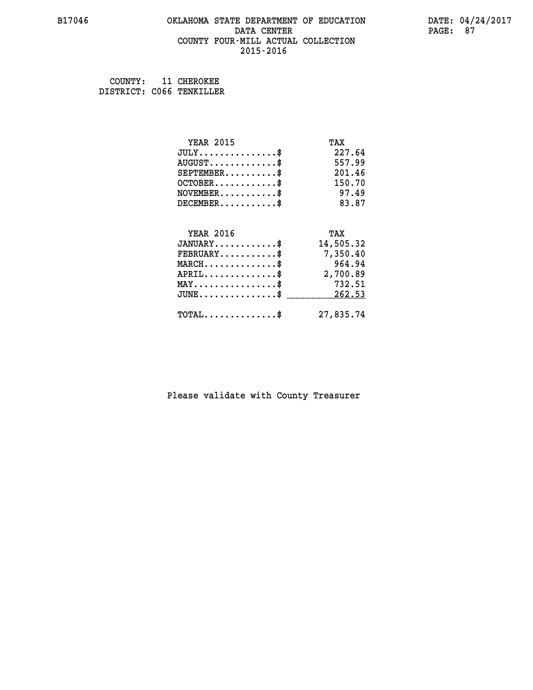#### **B17046 OKLAHOMA STATE DEPARTMENT OF EDUCATION DATE: 04/24/2017 DATA CENTER** PAGE: 87  **COUNTY FOUR-MILL ACTUAL COLLECTION 2015-2016**

 **COUNTY: 11 CHEROKEE DISTRICT: C066 TENKILLER**

| <b>YEAR 2015</b>                           | TAX       |
|--------------------------------------------|-----------|
| $JULY$ \$                                  | 227.64    |
| $AUGUST$ \$                                | 557.99    |
| $SEPTEMBER$ \$                             | 201.46    |
| $OCTOBER$ \$                               | 150.70    |
| $NOVEMBER$ \$                              | 97.49     |
| $DECEMBER$ \$                              | 83.87     |
|                                            |           |
| <b>YEAR 2016</b>                           | TAX       |
| $JANUARY$                                  | 14,505.32 |
| $FEBRUARY$                                 | 7,350.40  |
| $MARCH$ \$                                 | 964.94    |
| $APRIL$ \$                                 | 2,700.89  |
| $MAX \dots \dots \dots \dots \dots$        | 732.51    |
| $JUNE$ \$                                  | 262.53    |
| $\texttt{TOTAL} \dots \dots \dots \dots \$ | 27,835.74 |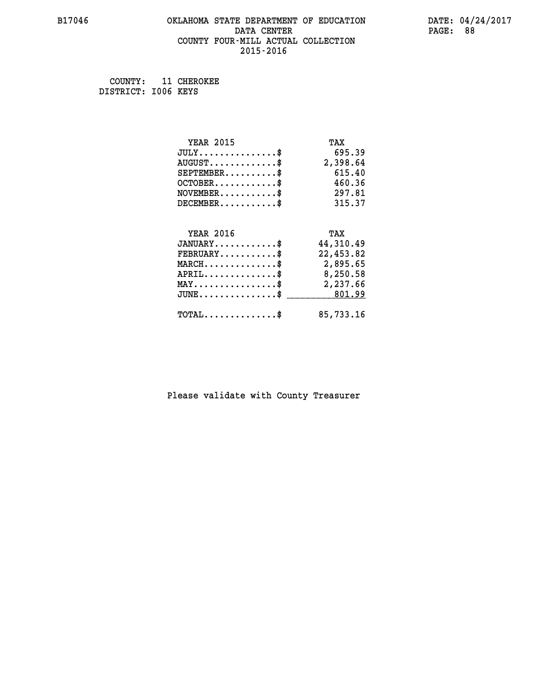#### **B17046 OKLAHOMA STATE DEPARTMENT OF EDUCATION DATE: 04/24/2017 DATA CENTER** PAGE: 88  **COUNTY FOUR-MILL ACTUAL COLLECTION 2015-2016**

 **COUNTY: 11 CHEROKEE DISTRICT: I006 KEYS**

| <b>YEAR 2015</b>                                 | TAX       |
|--------------------------------------------------|-----------|
| $JULY$ \$                                        | 695.39    |
| $AUGUST$ \$                                      | 2,398.64  |
| $SEPTEMBER$ \$                                   | 615.40    |
| $OCTOBER$ \$                                     | 460.36    |
| $\texttt{NOVEMBER} \dots \dots \dots \$          | 297.81    |
| $DECEMBER$ \$                                    | 315.37    |
|                                                  |           |
| <b>YEAR 2016</b>                                 | TAX       |
| $JANUARY$ \$                                     | 44,310.49 |
| $FEBRUARY$                                       | 22,453.82 |
| $\texttt{MARCH}\ldots\ldots\ldots\ldots\text{*}$ | 2,895.65  |
| $APRIL \ldots \ldots \ldots \ldots \$            | 8,250.58  |
| $\texttt{MAX} \dots \dots \dots \dots \dots \$   | 2,237.66  |
| $JUNE$ \$                                        | 801.99    |
| $\texttt{TOTAL} \dots \dots \dots \dots$         | 85,733.16 |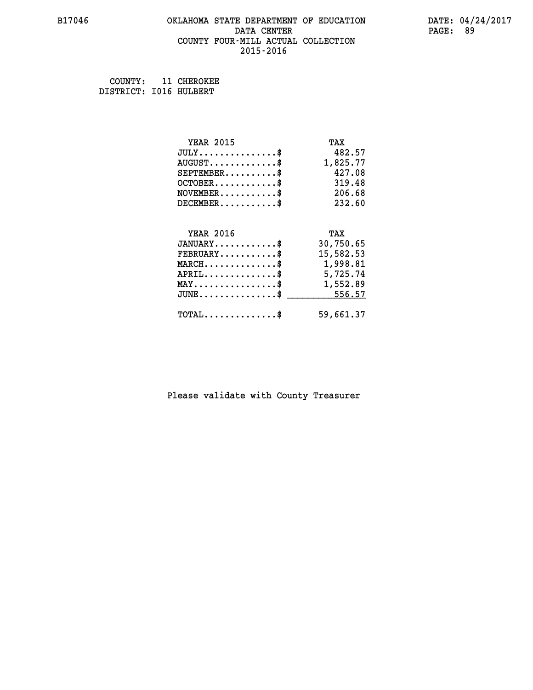#### **B17046 OKLAHOMA STATE DEPARTMENT OF EDUCATION DATE: 04/24/2017 DATA CENTER** PAGE: 89  **COUNTY FOUR-MILL ACTUAL COLLECTION 2015-2016**

 **COUNTY: 11 CHEROKEE DISTRICT: I016 HULBERT**

| <b>YEAR 2015</b>                                   | TAX       |
|----------------------------------------------------|-----------|
| $JULY$ \$                                          | 482.57    |
| $AUGUST$ \$                                        | 1,825.77  |
| $SEPTEMBER$ \$                                     | 427.08    |
| $OCTOBER$ \$                                       | 319.48    |
| $\texttt{NOVEMBER} \dots \dots \dots \$            | 206.68    |
| $DECEMBER$ \$                                      | 232.60    |
|                                                    |           |
| <b>YEAR 2016</b>                                   | TAX       |
| $JANUARY$ \$                                       | 30,750.65 |
| $FEBRUARY$ \$                                      | 15,582.53 |
| $\texttt{MARCH}\ldots\ldots\ldots\ldots\text{*}$   | 1,998.81  |
| $APRIL \ldots \ldots \ldots \ldots \$              | 5,725.74  |
| $\texttt{MAX} \dots \dots \dots \dots \dots \$     | 1,552.89  |
| $\texttt{JUNE} \dots \dots \dots \dots \texttt{S}$ | 556.57    |
| $\texttt{TOTAL} \dots \dots \dots \dots \$         | 59,661.37 |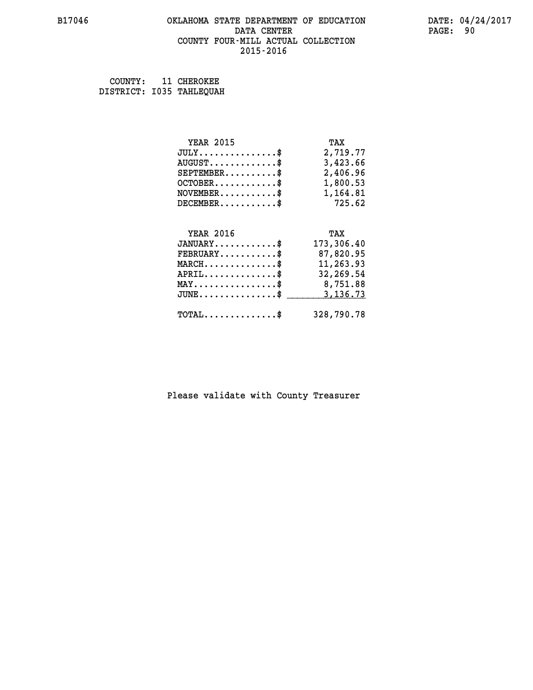#### **B17046 OKLAHOMA STATE DEPARTMENT OF EDUCATION DATE: 04/24/2017 DATA CENTER** PAGE: 90  **COUNTY FOUR-MILL ACTUAL COLLECTION 2015-2016**

 **COUNTY: 11 CHEROKEE DISTRICT: I035 TAHLEQUAH**

| <b>YEAR 2015</b>                           | TAX        |
|--------------------------------------------|------------|
| $JULY$ \$                                  | 2,719.77   |
| $AUGUST$ \$                                | 3,423.66   |
| $SEPTEMBER$ \$                             | 2,406.96   |
| $OCTOBER$ \$                               | 1,800.53   |
| $NOVEMBER.$ \$                             | 1,164.81   |
| $DECEMBER$ \$                              | 725.62     |
|                                            |            |
| <b>YEAR 2016</b>                           | TAX        |
| $JANUARY$ \$                               | 173,306.40 |
| $FEBRUARY$ \$                              | 87,820.95  |
| $MARCH$ \$                                 | 11,263.93  |
| $APRIL \ldots \ldots \ldots \ldots \$      | 32,269.54  |
| MAY\$ 8,751.88                             |            |
| $\texttt{JUNE} \dots \dots \dots \dots \$  | 3,136.73   |
| $\texttt{TOTAL} \dots \dots \dots \dots \$ | 328,790.78 |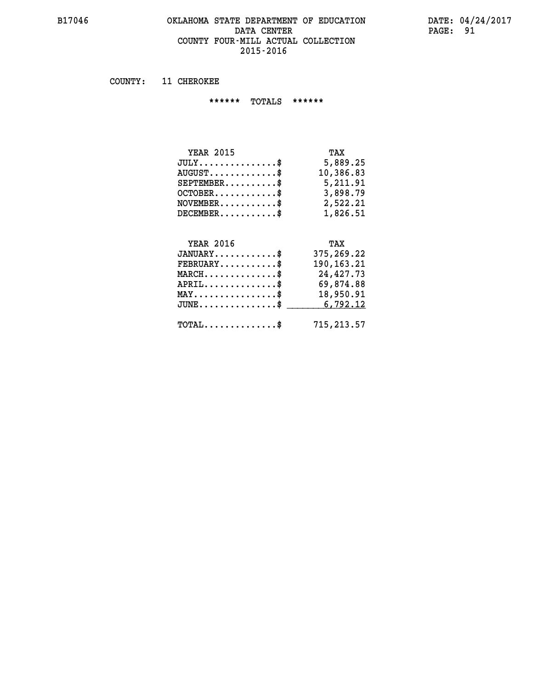#### **B17046 OKLAHOMA STATE DEPARTMENT OF EDUCATION DATE: 04/24/2017 DATA CENTER** PAGE: 91  **COUNTY FOUR-MILL ACTUAL COLLECTION 2015-2016**

 **COUNTY: 11 CHEROKEE**

 **\*\*\*\*\*\* TOTALS \*\*\*\*\*\***

| <b>YEAR 2015</b>                 | TAX       |
|----------------------------------|-----------|
| $JULY \ldots \ldots \ldots \$    | 5,889.25  |
| $AUGUST \ldots \ldots \ldots$ \$ | 10,386.83 |
| $SEPTEMBER$                      | 5,211.91  |
| $OCTOBER$ \$                     | 3,898.79  |
| $NOVEMBER$ \$                    | 2,522.21  |
| $DECEMBER$                       | 1,826.51  |

## **YEAR 2016 TAX**

| $JANUARY$                                    | 375,269.22 |
|----------------------------------------------|------------|
| $FEBRUARY$ \$                                | 190,163.21 |
| $MARCH$ \$                                   | 24,427.73  |
| $APRIL$ \$                                   | 69,874.88  |
| $MAX \dots \dots \dots \dots \$              | 18,950.91  |
| $JUNE \dots \dots \dots \dots \$ 6,792.12    |            |
| $\text{TOTAL} \dots \dots \dots \dots \dots$ | 715,213.57 |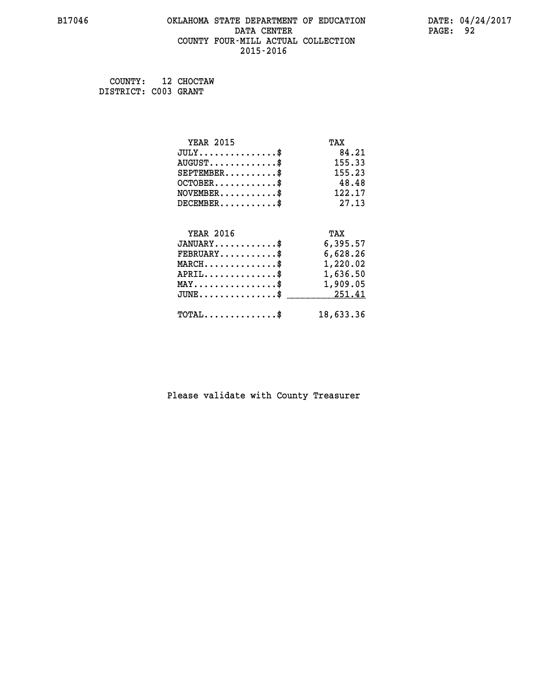#### **B17046 OKLAHOMA STATE DEPARTMENT OF EDUCATION DATE: 04/24/2017 DATA CENTER** PAGE: 92  **COUNTY FOUR-MILL ACTUAL COLLECTION 2015-2016**

 **COUNTY: 12 CHOCTAW DISTRICT: C003 GRANT**

| <b>YEAR 2015</b>                                 | TAX       |
|--------------------------------------------------|-----------|
| $JULY$ \$                                        | 84.21     |
| $AUGUST$ \$                                      | 155.33    |
| $SEPTEMBER$ \$                                   | 155.23    |
| $OCTOBER$ \$                                     | 48.48     |
| $NOVEMBER.$ \$                                   | 122.17    |
| $DECEMBER$ \$                                    | 27.13     |
|                                                  |           |
| <b>YEAR 2016</b>                                 | TAX       |
| $JANUARY$ \$                                     | 6,395.57  |
| $FEBRUARY$                                       | 6,628.26  |
| $\texttt{MARCH}\ldots\ldots\ldots\ldots\text{*}$ | 1,220.02  |
| $APRIL \ldots \ldots \ldots \ldots \$            | 1,636.50  |
| $\texttt{MAX} \dots \dots \dots \dots \dots \$   | 1,909.05  |
| $\mathtt{JUNE} \ldots \ldots \ldots \ldots \ast$ | 251.41    |
| $\texttt{TOTAL} \dots \dots \dots \dots$ \$      | 18,633.36 |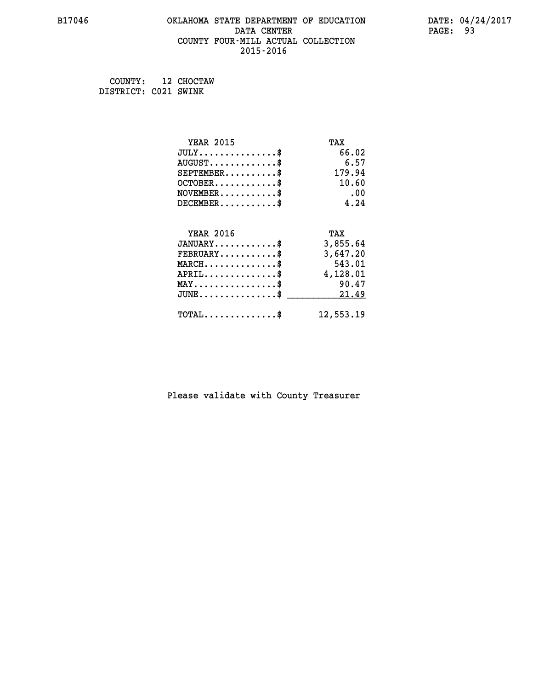#### **B17046 OKLAHOMA STATE DEPARTMENT OF EDUCATION DATE: 04/24/2017 DATA CENTER** PAGE: 93  **COUNTY FOUR-MILL ACTUAL COLLECTION 2015-2016**

 **COUNTY: 12 CHOCTAW DISTRICT: C021 SWINK**

| <b>YEAR 2015</b>                           | TAX       |
|--------------------------------------------|-----------|
| $JULY$ \$                                  | 66.02     |
| $AUGUST$ \$                                | 6.57      |
| $SEPTEMBER$ \$                             | 179.94    |
| $OCTOBER$ \$                               | 10.60     |
| $NOVEMBER$ \$                              | .00       |
| $DECEMBER$ \$                              | 4.24      |
|                                            |           |
| <b>YEAR 2016</b>                           | TAX       |
| $JANUARY$ \$                               | 3,855.64  |
| $FEBRUARY$                                 | 3,647.20  |
| $MARCH$ \$                                 | 543.01    |
| $APRIL$ \$                                 | 4,128.01  |
| $MAX \dots \dots \dots \dots \dots$        | 90.47     |
| $JUNE$                                     | 21.49     |
| $\texttt{TOTAL} \dots \dots \dots \dots \$ | 12,553.19 |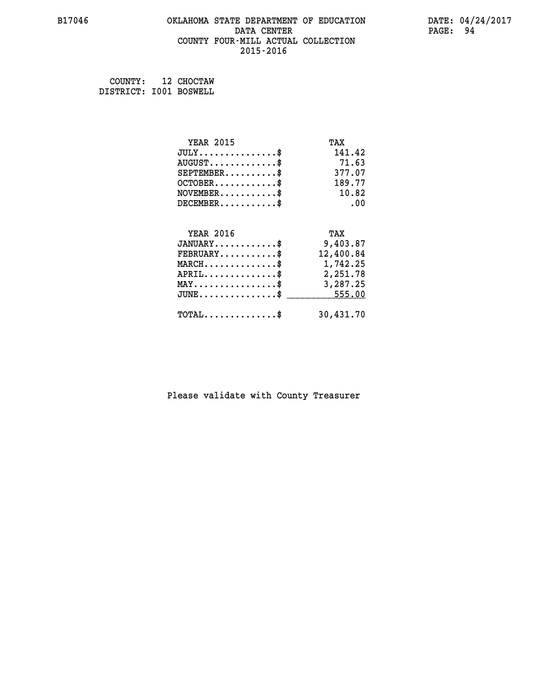#### **B17046 OKLAHOMA STATE DEPARTMENT OF EDUCATION DATE: 04/24/2017 DATA CENTER** PAGE: 94  **COUNTY FOUR-MILL ACTUAL COLLECTION 2015-2016**

 **COUNTY: 12 CHOCTAW DISTRICT: I001 BOSWELL**

| <b>YEAR 2015</b>                                | TAX       |
|-------------------------------------------------|-----------|
| $JULY$ \$                                       | 141.42    |
| $AUGUST$ \$                                     | 71.63     |
| $SEPTEMBER$ \$                                  | 377.07    |
| $OCTOBER$ \$                                    | 189.77    |
| $NOVEMBER$ \$                                   | 10.82     |
| $DECEMBER$ \$                                   | .00       |
| <b>YEAR 2016</b>                                | TAX       |
| $JANUARY$ \$                                    |           |
|                                                 | 9,403.87  |
| $FEBRUARY$                                      | 12,400.84 |
| $\texttt{MARCH}\ldots\ldots\ldots\ldots\cdots\$ | 1,742.25  |
| $APRIL \ldots \ldots \ldots$ \$                 | 2,251.78  |
| $\texttt{MAX} \dots \dots \dots \dots \dots \$  | 3,287.25  |
| $JUNE$ \$                                       | 555.00    |
| $TOTAL$ \$                                      | 30,431.70 |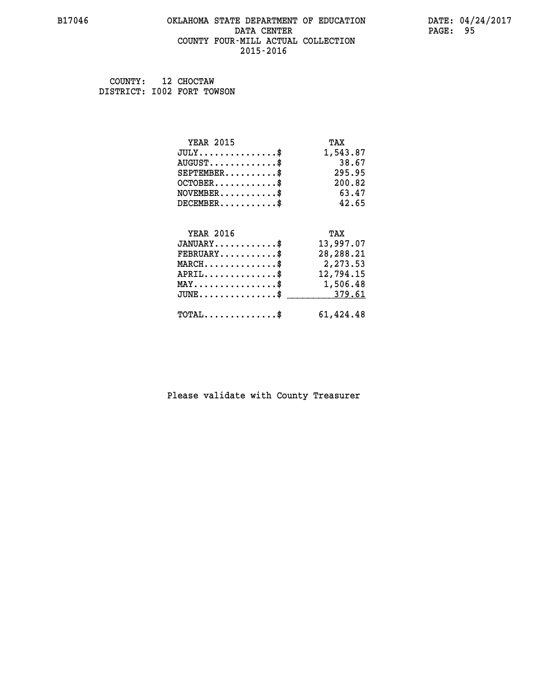#### **B17046 OKLAHOMA STATE DEPARTMENT OF EDUCATION DATE: 04/24/2017 DATA CENTER** PAGE: 95  **COUNTY FOUR-MILL ACTUAL COLLECTION 2015-2016**

 **COUNTY: 12 CHOCTAW DISTRICT: I002 FORT TOWSON**

| <b>YEAR 2015</b>                           | TAX       |
|--------------------------------------------|-----------|
| $JULY$ \$                                  | 1,543.87  |
| $AUGUST$ \$                                | 38.67     |
| $SEPTEMBER$ \$                             | 295.95    |
| $OCTOBER$ \$                               | 200.82    |
| $NOVEMBER$ \$                              | 63.47     |
| $DECEMBER$ \$                              | 42.65     |
|                                            |           |
| <b>YEAR 2016</b>                           | TAX       |
| $JANUARY$ \$                               | 13,997.07 |
| $FEBRUARY$                                 | 28,288.21 |
| $MARCH$ \$                                 | 2,273.53  |
| $APRIL \ldots \ldots \ldots \ldots$ \$     | 12,794.15 |
| MAY\$ 1,506.48                             |           |
| $\texttt{JUNE}\dots\dots\dots\dots\dots\$  | 379.61    |
| $\texttt{TOTAL} \dots \dots \dots \dots \$ | 61,424.48 |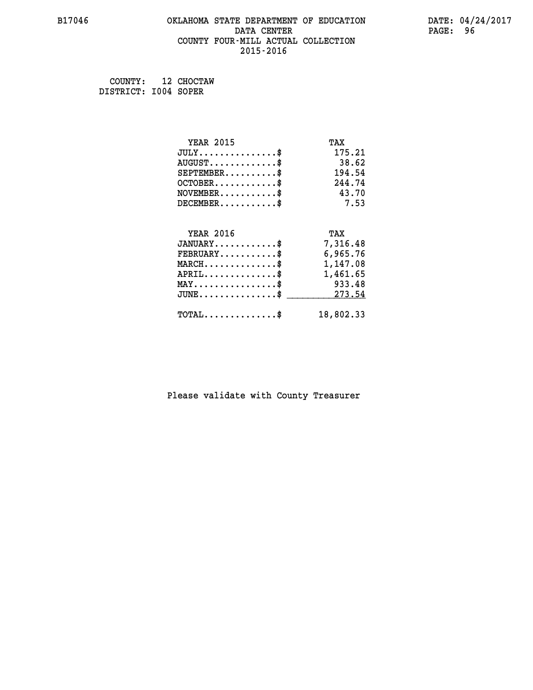#### **B17046 OKLAHOMA STATE DEPARTMENT OF EDUCATION DATE: 04/24/2017 DATA CENTER** PAGE: 96  **COUNTY FOUR-MILL ACTUAL COLLECTION 2015-2016**

 **COUNTY: 12 CHOCTAW DISTRICT: I004 SOPER**

| <b>YEAR 2015</b>                    | TAX       |
|-------------------------------------|-----------|
| $JULY$ \$                           | 175.21    |
| $AUGUST$ \$                         | 38.62     |
| $SEPTEMBER$ \$                      | 194.54    |
| $OCTOBER$ \$                        | 244.74    |
| $NOVEMBER$ \$                       | 43.70     |
| $DECEMBER$ \$                       | 7.53      |
|                                     |           |
| <b>YEAR 2016</b>                    | TAX       |
| $JANUARY$ \$                        | 7,316.48  |
| $FEBRUARY$                          | 6,965.76  |
| $MARCH$ \$                          | 1,147.08  |
| $APRIL \ldots \ldots \ldots \$      | 1,461.65  |
| $MAX \dots \dots \dots \dots \dots$ | 933.48    |
| $JUNE$ \$                           | 273.54    |
| $TOTAL$ \$                          | 18,802.33 |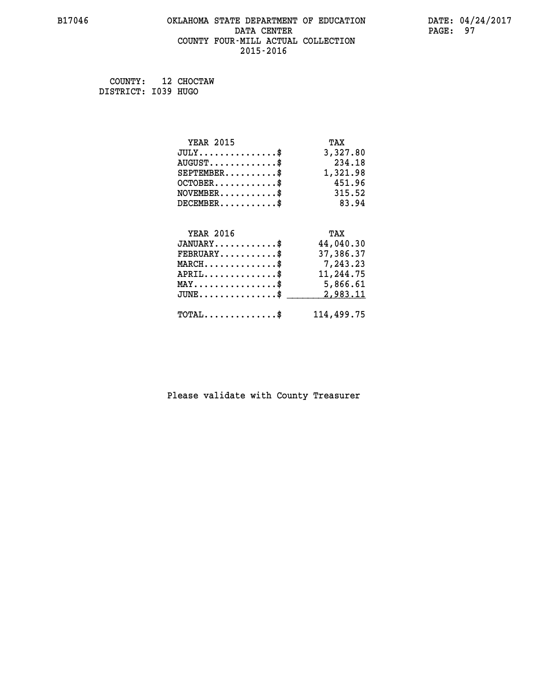#### **B17046 OKLAHOMA STATE DEPARTMENT OF EDUCATION DATE: 04/24/2017 DATA CENTER** PAGE: 97  **COUNTY FOUR-MILL ACTUAL COLLECTION 2015-2016**

 **COUNTY: 12 CHOCTAW DISTRICT: I039 HUGO**

| <b>YEAR 2015</b>                                 | TAX        |
|--------------------------------------------------|------------|
| $JULY$ \$                                        | 3,327.80   |
| $AUGUST$ \$                                      | 234.18     |
| $SEPTEMBER$ \$                                   | 1,321.98   |
| $OCTOBER$ \$                                     | 451.96     |
| $\texttt{NOVEMBER} \dots \dots \dots \$          | 315.52     |
| $DECEMBER$ \$                                    | 83.94      |
|                                                  |            |
| <b>YEAR 2016</b>                                 | TAX        |
| $JANUARY$ \$                                     | 44,040.30  |
| $FEBRUARY$ \$                                    | 37,386.37  |
| $\texttt{MARCH}\ldots\ldots\ldots\ldots\text{*}$ | 7,243.23   |
| $APRIL \ldots \ldots \ldots \ldots$              | 11,244.75  |
| $\texttt{MAX} \dots \dots \dots \dots \dots \$   | 5,866.61   |
| $JUNE$ \$                                        | 2,983.11   |
| $\texttt{TOTAL} \dots \dots \dots \dots \$       | 114,499.75 |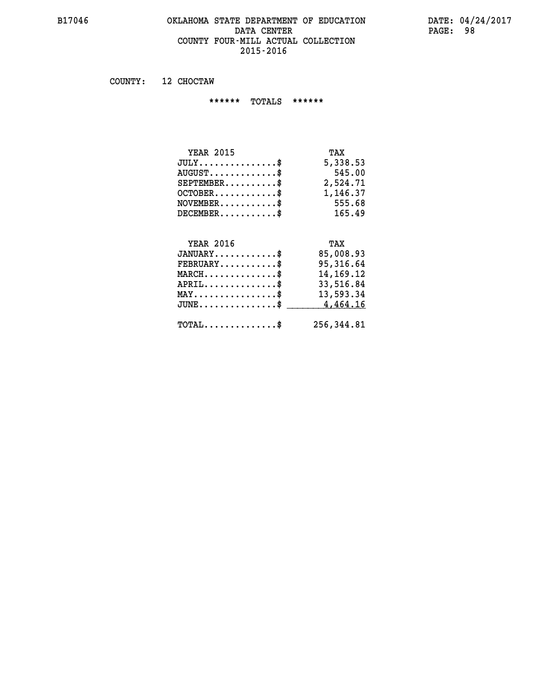#### **B17046 OKLAHOMA STATE DEPARTMENT OF EDUCATION DATE: 04/24/2017 DATA CENTER** PAGE: 98  **COUNTY FOUR-MILL ACTUAL COLLECTION 2015-2016**

 **COUNTY: 12 CHOCTAW**

 **\*\*\*\*\*\* TOTALS \*\*\*\*\*\***

| <b>YEAR 2015</b><br>TAX          |
|----------------------------------|
| 5,338.53<br>$JULY$               |
| 545.00<br>$AUGUST$ $\frac{1}{2}$ |
| 2,524.71<br>$SEPTEMBER$          |
| 1,146.37<br>$OCTOBER$ \$         |
| 555.68<br>$NOVEMBER$ \$          |
| 165.49<br>$DECEMBER$ \$          |

# **YEAR 2016 TAX**

| $JANUARY$                                             | 85,008.93  |
|-------------------------------------------------------|------------|
| $\texttt{FEBRUARY} \dots \dots \dots \$               | 95,316.64  |
| $MARCH$ \$                                            | 14,169.12  |
| $APRIL$ \$                                            | 33,516.84  |
| $\texttt{MAX} \dots \dots \dots \dots \dots \text{*}$ | 13,593.34  |
| $JUNE \dots \dots \dots \dots \$ 4,464.16             |            |
| $\texttt{TOTAL} \dots \dots \dots \dots \dots$        | 256,344.81 |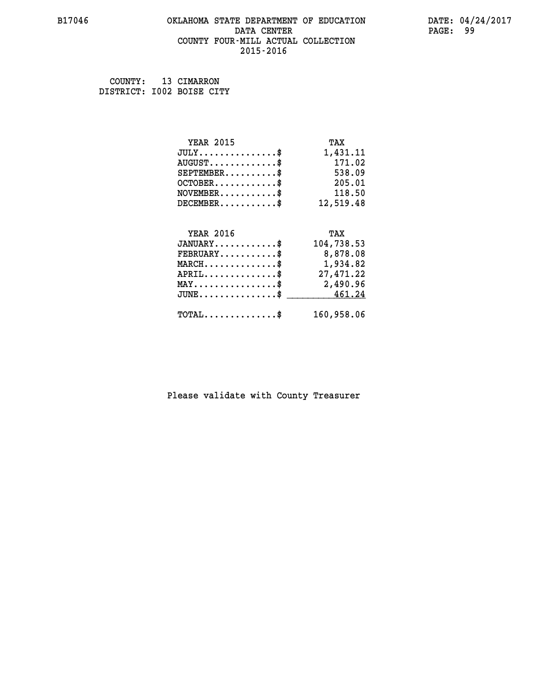#### **B17046 OKLAHOMA STATE DEPARTMENT OF EDUCATION DATE: 04/24/2017 DATA CENTER** PAGE: 99  **COUNTY FOUR-MILL ACTUAL COLLECTION 2015-2016**

 **COUNTY: 13 CIMARRON DISTRICT: I002 BOISE CITY**

| <b>YEAR 2015</b>                               | TAX        |
|------------------------------------------------|------------|
| $JULY$ \$                                      | 1,431.11   |
| $AUGUST$ \$                                    | 171.02     |
| $SEPTEMBER$ \$                                 | 538.09     |
| $OCTOBER$ \$                                   | 205.01     |
| $\texttt{NOVEMBER} \dots \dots \dots \$        | 118.50     |
| $DECEMBER$ \$                                  | 12,519.48  |
|                                                |            |
| <b>YEAR 2016</b>                               | TAX        |
|                                                |            |
| $JANUARY$ \$                                   | 104,738.53 |
| $FEBRUARY$                                     | 8,878.08   |
| $MARCH$ \$                                     | 1,934.82   |
| $APRIL$                                        | 27,471.22  |
| $\texttt{MAX} \dots \dots \dots \dots \dots \$ | 2,490.96   |
| $JUNE$ $$$                                     | 461.24     |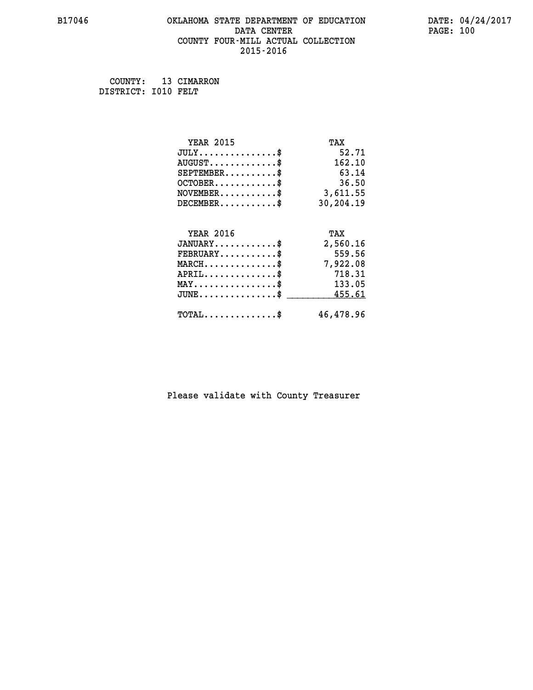#### **B17046 OKLAHOMA STATE DEPARTMENT OF EDUCATION DATE: 04/24/2017 DATA CENTER** PAGE: 100  **COUNTY FOUR-MILL ACTUAL COLLECTION 2015-2016**

 **COUNTY: 13 CIMARRON DISTRICT: I010 FELT**

| <b>YEAR 2015</b>                          | TAX       |
|-------------------------------------------|-----------|
| $JULY$ \$                                 | 52.71     |
| $AUGUST$ \$                               | 162.10    |
| $SEPTEMBER$ \$                            | 63.14     |
| $OCTOBER$ \$                              | 36.50     |
| $\texttt{NOVEMBER} \dots \dots \dots \$   | 3,611.55  |
| $DECEMBER$ \$                             | 30,204.19 |
|                                           |           |
| <b>YEAR 2016</b>                          | TAX       |
| $JANUARY$ \$                              | 2,560.16  |
| $FEBRUARY$                                | 559.56    |
| $\texttt{MARCH}\ldots\ldots\ldots\ldots\$ | 7,922.08  |
| $APRIL$ \$                                | 718.31    |
| $MAX \dots \dots \dots \dots \dots$       | 133.05    |
| $JUNE$ \$                                 | 455.61    |
| $TOTAL$ \$                                | 46,478.96 |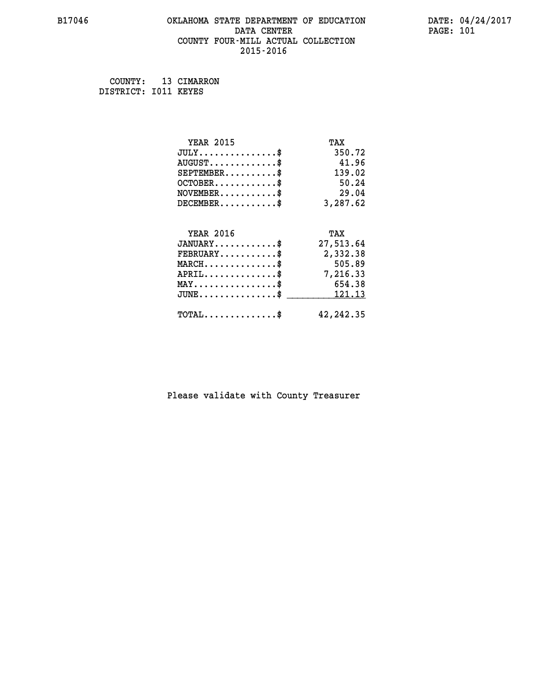#### **B17046 OKLAHOMA STATE DEPARTMENT OF EDUCATION DATE: 04/24/2017 DATA CENTER PAGE: 101 COUNTY FOUR-MILL ACTUAL COLLECTION 2015-2016**

 **COUNTY: 13 CIMARRON DISTRICT: I011 KEYES**

> **YEAR 2015 TAX JULY...............\$ 350.72 AUGUST.............\$ 41.96 SEPTEMBER..........\$ 139.02 OCTOBER............\$ 50.24 NOVEMBER...........\$ 29.04 DECEMBER...........\$ 3,287.62 YEAR 2016 TAX JANUARY............\$ 27,513.64 FEBRUARY...........\$ 2,332.38 MARCH..............\$ 505.89 APRIL..............\$ 7,216.33 MAY................\$ 654.38 JUNE................\$** \_\_\_\_\_\_\_\_\_\_<u>\_\_121.13</u>

### **TOTAL..............\$ 42,242.35**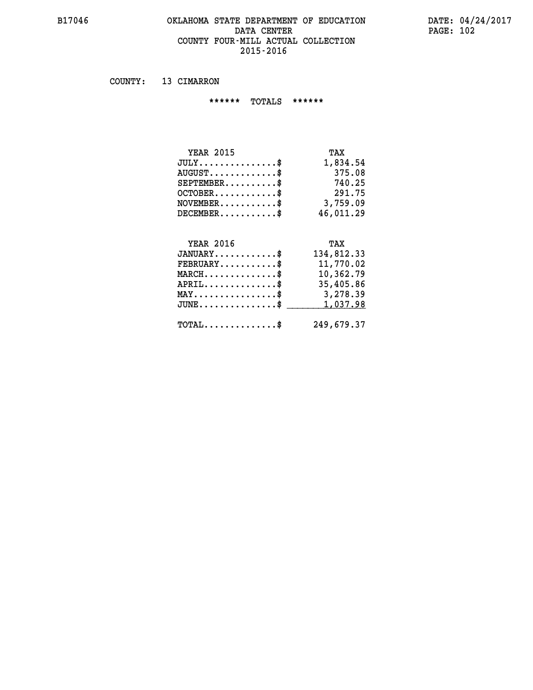#### **B17046 OKLAHOMA STATE DEPARTMENT OF EDUCATION DATE: 04/24/2017 DATA CENTER** PAGE: 102  **COUNTY FOUR-MILL ACTUAL COLLECTION 2015-2016**

 **COUNTY: 13 CIMARRON**

 **\*\*\*\*\*\* TOTALS \*\*\*\*\*\***

| <b>YEAR 2015</b>                 | TAX       |
|----------------------------------|-----------|
| $JULY$                           | 1,834.54  |
| $AUGUST \ldots \ldots \ldots$ \$ | 375.08    |
| $SEPTEMBER$                      | 740.25    |
| $OCTOBER$ \$                     | 291.75    |
| $NOVEMBER$ \$                    | 3,759.09  |
| $DECEMBER$ \$                    | 46,011.29 |

#### **YEAR 2016 TAX JANUARY............\$ 134,812.33 FEBRUARY...........\$ 11,770.02**

| $MARCH$ \$                                     | 10,362.79  |
|------------------------------------------------|------------|
| $APRIL$ \$                                     | 35,405.86  |
| $\texttt{MAX} \dots \dots \dots \dots \dots \$ | 3,278.39   |
| $JUNE \dots \dots \dots \dots \$ 1,037.98      |            |
| $\texttt{TOTAL} \dots \dots \dots \dots \$     | 249,679.37 |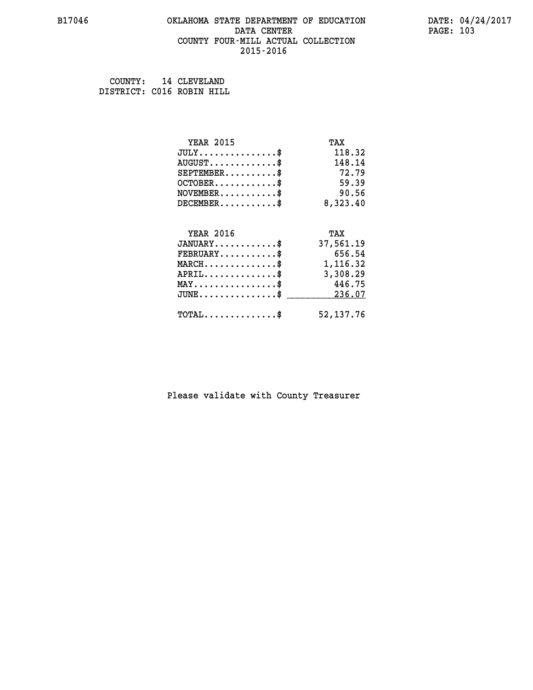#### **B17046 OKLAHOMA STATE DEPARTMENT OF EDUCATION DATE: 04/24/2017 DATA CENTER** PAGE: 103  **COUNTY FOUR-MILL ACTUAL COLLECTION 2015-2016**

 **COUNTY: 14 CLEVELAND DISTRICT: C016 ROBIN HILL**

| <b>YEAR 2015</b>                           | TAX         |
|--------------------------------------------|-------------|
| $JULY$ \$                                  | 118.32      |
| $AUGUST$ \$                                | 148.14      |
| $SEPTEMENT.$ \$                            | 72.79       |
| $OCTOBER$ \$                               | 59.39       |
| $NOVEMBER$ \$                              | 90.56       |
| $DECEMBER$ \$                              | 8,323.40    |
| <b>YEAR 2016</b>                           | TAX         |
|                                            |             |
| $JANUARY$ \$                               | 37,561.19   |
| $FEBRUARY$                                 | 656.54      |
| $MARCH$ \$                                 | 1,116.32    |
| $APRIL$ \$                                 | 3,308.29    |
| $MAX \dots \dots \dots \dots \$            | 446.75      |
| $JUNE$                                     | 236.07      |
| $\texttt{TOTAL} \dots \dots \dots \dots \$ | 52, 137. 76 |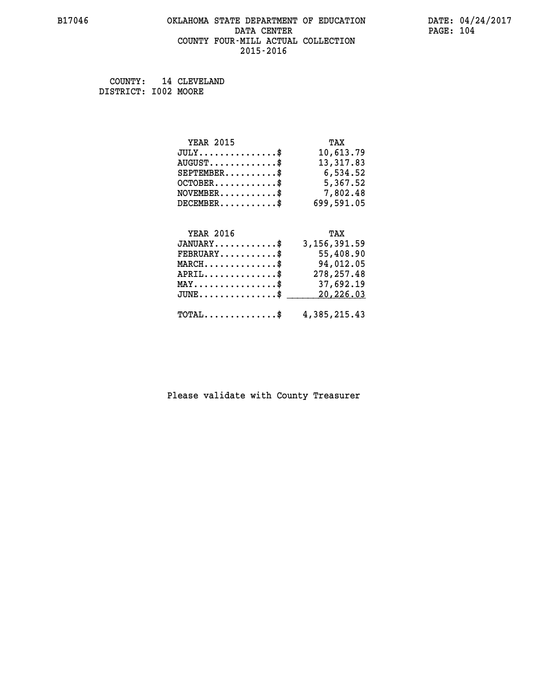#### **B17046 OKLAHOMA STATE DEPARTMENT OF EDUCATION DATE: 04/24/2017 DATA CENTER** PAGE: 104  **COUNTY FOUR-MILL ACTUAL COLLECTION 2015-2016**

 **COUNTY: 14 CLEVELAND DISTRICT: I002 MOORE**

| <b>YEAR 2015</b>              | TAX        |
|-------------------------------|------------|
| $JULY \ldots \ldots \ldots \$ | 10,613.79  |
| $AUGUST$ \$                   | 13, 317.83 |
| $SEPTEMBER$ \$                | 6,534.52   |
| $OCTOBER$ \$                  | 5,367.52   |
| $NOVEMBER$ \$                 | 7,802.48   |
| $DECEMBER$ \$                 | 699,591.05 |
| YEAR 2016                     | TAX        |

| $+11111$ $+11$                                          | .            |
|---------------------------------------------------------|--------------|
| $JANUARY$ \$                                            | 3,156,391.59 |
| $\mathtt{FERUARY} \dots \dots \dots \ast$               | 55,408.90    |
| $MARCH$ \$                                              | 94,012.05    |
| $APRIL$ \$                                              | 278,257.48   |
| $\texttt{MAX} \dots \dots \dots \dots \dots \$          | 37,692.19    |
| $JUNE \ldots \ldots \ldots \ldots$ \$ 20,226.03         |              |
|                                                         |              |
| $\texttt{TOTAL} \dots \dots \dots \dots \$ 4,385,215.43 |              |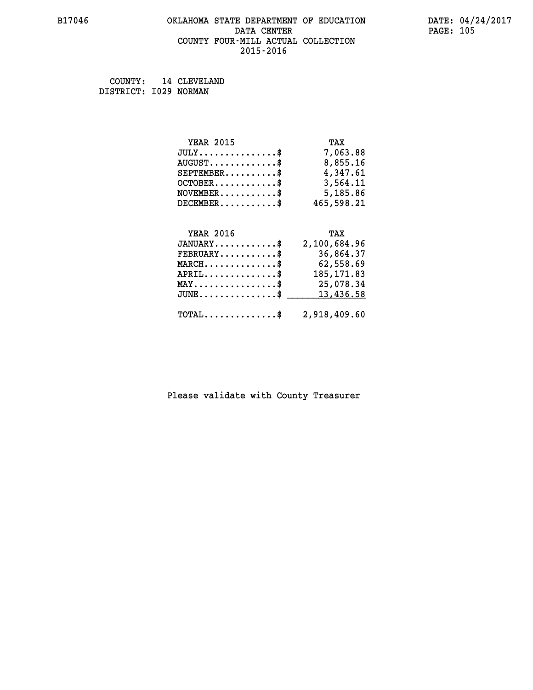#### **B17046 OKLAHOMA STATE DEPARTMENT OF EDUCATION DATE: 04/24/2017 DATA CENTER** PAGE: 105  **COUNTY FOUR-MILL ACTUAL COLLECTION 2015-2016**

 **COUNTY: 14 CLEVELAND DISTRICT: I029 NORMAN**

| <b>YEAR 2015</b> | TAX        |
|------------------|------------|
| JULY             | 7,063.88   |
| $AUGUST$ \$      | 8,855.16   |
| $SEPTEMBER$ \$   | 4,347.61   |
| $OCTOBER$ \$     | 3,564.11   |
| $NOVEMBER$ \$    | 5,185.86   |
| $DECEMBER$ \$    | 465,598.21 |
|                  |            |
|                  |            |

| <b>YEAR 2016</b>                                        | TAX          |
|---------------------------------------------------------|--------------|
| $JANUARY$ \$                                            | 2,100,684.96 |
| $\texttt{FEBRUARY} \dots \dots \dots \$                 | 36,864.37    |
| $\texttt{MARCH}\ldots\ldots\ldots\ldots\text{*}$        | 62,558.69    |
| $APRIL$ \$                                              | 185, 171.83  |
| $\texttt{MAX} \dots \dots \dots \dots \dots \$          | 25,078.34    |
| JUNE\$ 13,436.58                                        |              |
| $\texttt{TOTAL} \dots \dots \dots \dots \$ 2,918,409.60 |              |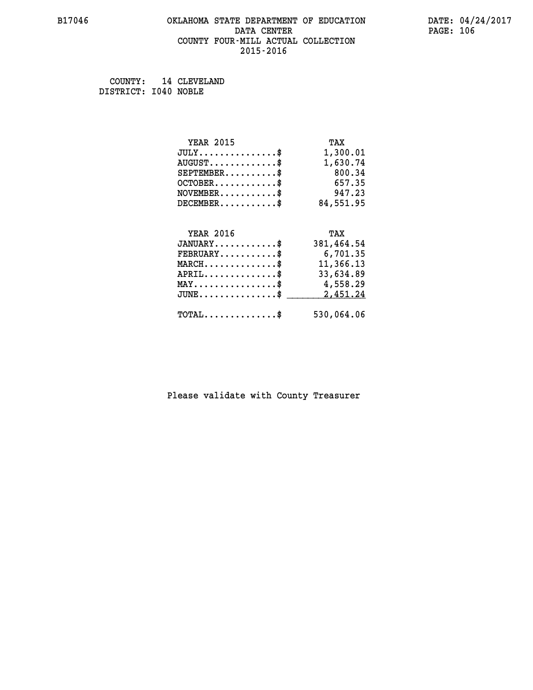#### **B17046 OKLAHOMA STATE DEPARTMENT OF EDUCATION DATE: 04/24/2017 DATA CENTER** PAGE: 106  **COUNTY FOUR-MILL ACTUAL COLLECTION 2015-2016**

 **COUNTY: 14 CLEVELAND DISTRICT: I040 NOBLE**

| <b>YEAR 2015</b>                               | TAX        |
|------------------------------------------------|------------|
| $JULY$ \$                                      | 1,300.01   |
| $AUGUST$ \$                                    | 1,630.74   |
| $SEPTEMBER$ \$                                 | 800.34     |
| $OCTOBER$ \$                                   | 657.35     |
| $NOVEMBER.$ \$                                 | 947.23     |
| $DECEMBER$ \$                                  | 84,551.95  |
|                                                |            |
| <b>YEAR 2016</b>                               | TAX        |
| $JANUARY$ \$                                   | 381,464.54 |
| $FEBRUARY$                                     | 6,701.35   |
| $MARCH$ \$                                     | 11,366.13  |
| $APRIL$ \$                                     | 33,634.89  |
| $\texttt{MAX} \dots \dots \dots \dots \dots \$ | 4,558.29   |
| $JUNE$ $\text{\$}$                             | 2,451.24   |
| $\texttt{TOTAL} \dots \dots \dots \dots \$     | 530,064.06 |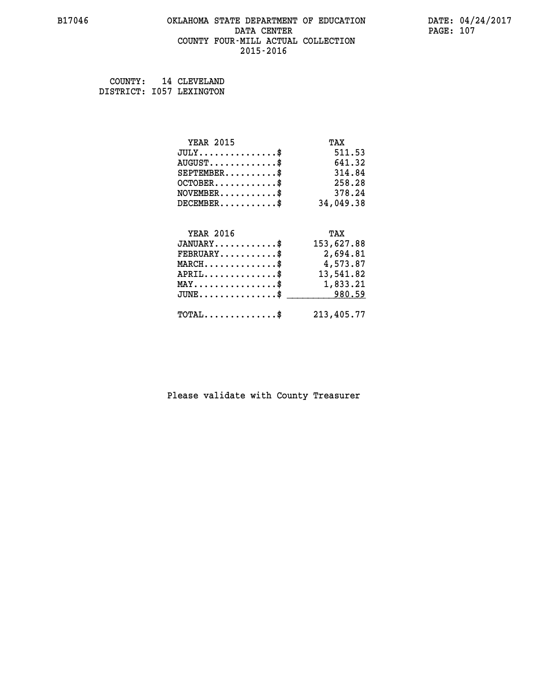#### **B17046 OKLAHOMA STATE DEPARTMENT OF EDUCATION DATE: 04/24/2017 DATA CENTER** PAGE: 107  **COUNTY FOUR-MILL ACTUAL COLLECTION 2015-2016**

 **COUNTY: 14 CLEVELAND DISTRICT: I057 LEXINGTON**

| <b>YEAR 2015</b>                                                          | TAX        |
|---------------------------------------------------------------------------|------------|
| $JULY$ \$                                                                 | 511.53     |
| $AUGUST$ \$                                                               | 641.32     |
| $SEPTEMBER$ \$                                                            | 314.84     |
| $OCTOBER$ \$                                                              | 258.28     |
| $\verb NOVEMBER , \verb , \verb , \verb , \verb , \verb , \verb + \verb $ | 378.24     |
| $DECEMBER$ \$                                                             | 34,049.38  |
|                                                                           |            |
| <b>YEAR 2016</b>                                                          | TAX        |
| $JANUARY$                                                                 | 153,627.88 |
| $FEBRUARY$                                                                | 2,694.81   |
| $\texttt{MARCH}\ldots\ldots\ldots\ldots\$                                 | 4,573.87   |
| $APRIL \ldots \ldots \ldots \ldots \$                                     | 13,541.82  |
| MAY\$ 1,833.21                                                            |            |
| $JUNE$ \$                                                                 | 980.59     |
| $\texttt{TOTAL} \dots \dots \dots \dots$ \$                               | 213,405.77 |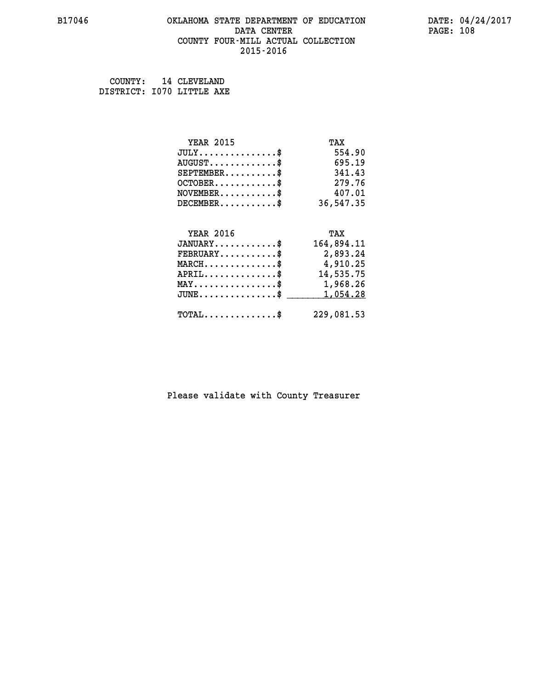#### **B17046 OKLAHOMA STATE DEPARTMENT OF EDUCATION DATE: 04/24/2017 DATA CENTER** PAGE: 108  **COUNTY FOUR-MILL ACTUAL COLLECTION 2015-2016**

 **COUNTY: 14 CLEVELAND DISTRICT: I070 LITTLE AXE**

| <b>YEAR 2015</b>                           | TAX        |
|--------------------------------------------|------------|
| $JULY$ \$                                  | 554.90     |
| $AUGUST$ \$                                | 695.19     |
| $SEPTEMBER$ \$                             | 341.43     |
| $OCTOBER$ \$                               | 279.76     |
| $\texttt{NOVEMBER} \dots \dots \dots \$    | 407.01     |
| $DECEMBER$ \$                              | 36,547.35  |
|                                            |            |
| <b>YEAR 2016</b>                           | TAX        |
| $JANUARY$ \$                               | 164,894.11 |
| $FEBRUARY$                                 | 2,893.24   |
| $MARCH$ \$                                 | 4,910.25   |
| $APRIL$ \$                                 | 14,535.75  |
| MAY\$ 1,968.26                             |            |
| $JUNE$ $\text{\$}$                         | 1,054.28   |
| $\texttt{TOTAL} \dots \dots \dots \dots \$ | 229,081.53 |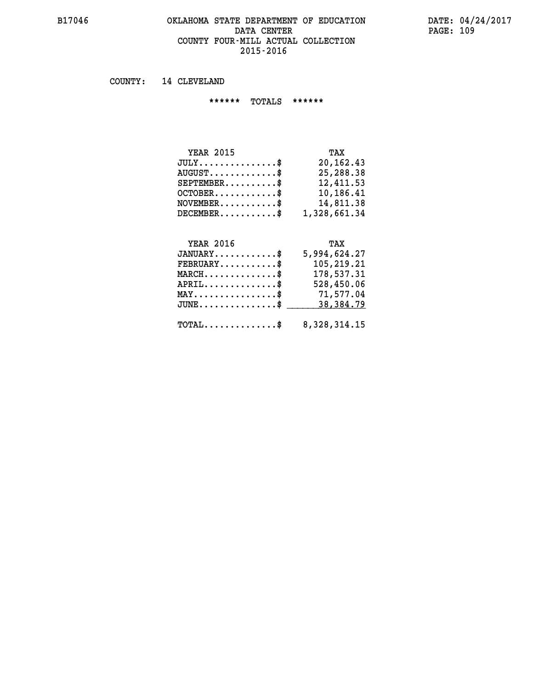### **B17046 OKLAHOMA STATE DEPARTMENT OF EDUCATION DATE: 04/24/2017 DATA CENTER** PAGE: 109  **COUNTY FOUR-MILL ACTUAL COLLECTION 2015-2016**

 **COUNTY: 14 CLEVELAND**

 **\*\*\*\*\*\* TOTALS \*\*\*\*\*\***

| <b>YEAR 2015</b>                          | TAX          |
|-------------------------------------------|--------------|
| $JULY$                                    | 20,162.43    |
| $\text{AUGUST} \dots \dots \dots \dots \$ | 25,288.38    |
| $SEPTEMENT.$ \$                           | 12,411.53    |
| $OCTOBER.$ \$                             | 10,186.41    |
| $NOVEMBER.$ \$                            | 14,811.38    |
| $DECEMBER$ \$                             | 1,328,661.34 |

## **YEAR 2016 TAX**

| $JANUARY$ \$                                            | 5,994,624.27 |
|---------------------------------------------------------|--------------|
| $\texttt{FEBRUARY} \dots \dots \dots \$                 | 105,219.21   |
| $MARCH$ \$                                              | 178,537.31   |
| $APRIL$ \$                                              | 528,450.06   |
| $MAX \dots \dots \dots \dots \dots \$                   | 71,577.04    |
| $JUNE \dots \dots \dots \dots \$ 38,384.79              |              |
| $\texttt{TOTAL} \dots \dots \dots \dots \$ 8,328,314.15 |              |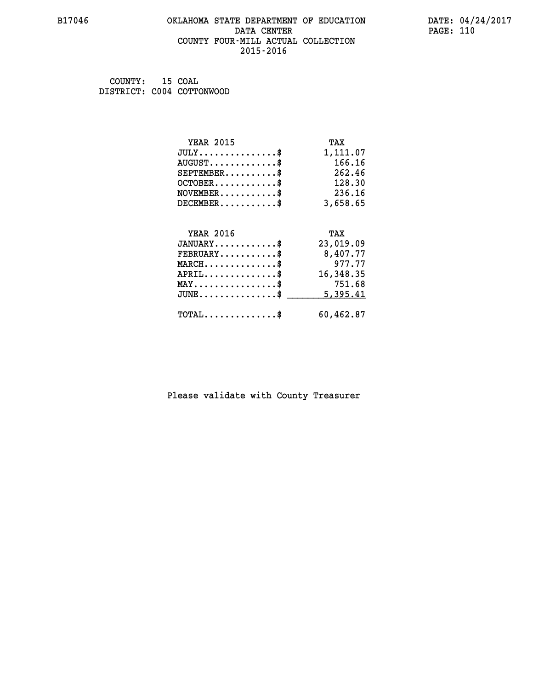### **B17046 OKLAHOMA STATE DEPARTMENT OF EDUCATION DATE: 04/24/2017 DATA CENTER** PAGE: 110  **COUNTY FOUR-MILL ACTUAL COLLECTION 2015-2016**

| COUNTY: | 15 COAL                   |
|---------|---------------------------|
|         | DISTRICT: C004 COTTONWOOD |

| <b>YEAR 2015</b>                           | TAX       |
|--------------------------------------------|-----------|
| $JULY$ \$                                  | 1,111.07  |
| $AUGUST$ \$                                | 166.16    |
| $SEPTEMBER$ \$                             | 262.46    |
| $OCTOBER$ \$                               | 128.30    |
| $NOVEMBER.$ \$                             | 236.16    |
| $DECEMBER$ \$                              | 3,658.65  |
|                                            |           |
| <b>YEAR 2016</b>                           | TAX       |
| $JANUARY$ \$                               | 23,019.09 |
| $FEBRUARY$                                 | 8,407.77  |
| $MARCH$ \$                                 | 977.77    |
| $APRIL$ \$                                 | 16,348.35 |
| $MAX \dots \dots \dots \dots \$            | 751.68    |
| $JUNE$ $\$\$                               | 5,395.41  |
| $\texttt{TOTAL} \dots \dots \dots \dots \$ | 60,462.87 |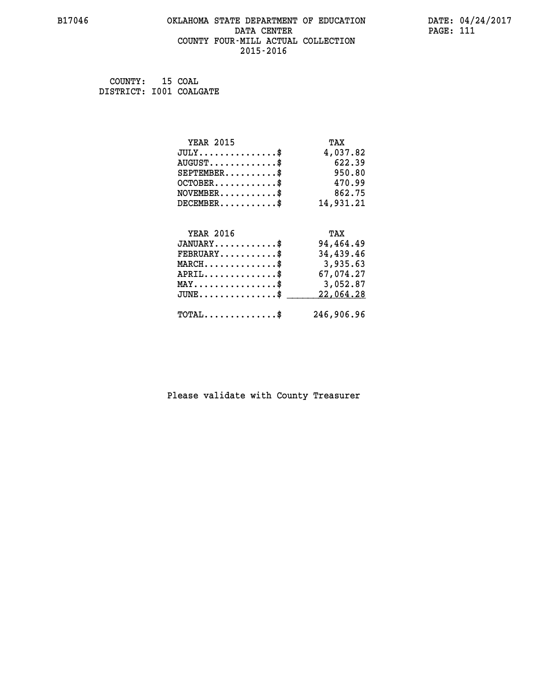## **B17046 OKLAHOMA STATE DEPARTMENT OF EDUCATION DATE: 04/24/2017 DATA CENTER** PAGE: 111  **COUNTY FOUR-MILL ACTUAL COLLECTION 2015-2016**

 **COUNTY: 15 COAL DISTRICT: I001 COALGATE**

| <b>YEAR 2015</b>                           | TAX        |
|--------------------------------------------|------------|
| $JULY$ \$                                  | 4,037.82   |
| $AUGUST$ \$                                | 622.39     |
| $SEPTEMENT.$ \$                            | 950.80     |
| $OCTOBER$ \$                               | 470.99     |
| $\texttt{NOVEMBER} \dots \dots \dots \$    | 862.75     |
| $DECEMBER$ \$                              | 14,931.21  |
|                                            |            |
| <b>YEAR 2016</b>                           | TAX        |
| $JANUARY$ \$                               | 94,464.49  |
| $FEBRUARY$                                 | 34,439.46  |
| $MARCH$ \$                                 | 3,935.63   |
| $APRIL$ \$                                 | 67,074.27  |
| $\texttt{MAX} \dots \dots \dots \dots \$   | 3,052.87   |
| $JUNE$ \$                                  | 22,064.28  |
| $\texttt{TOTAL} \dots \dots \dots \dots \$ | 246,906.96 |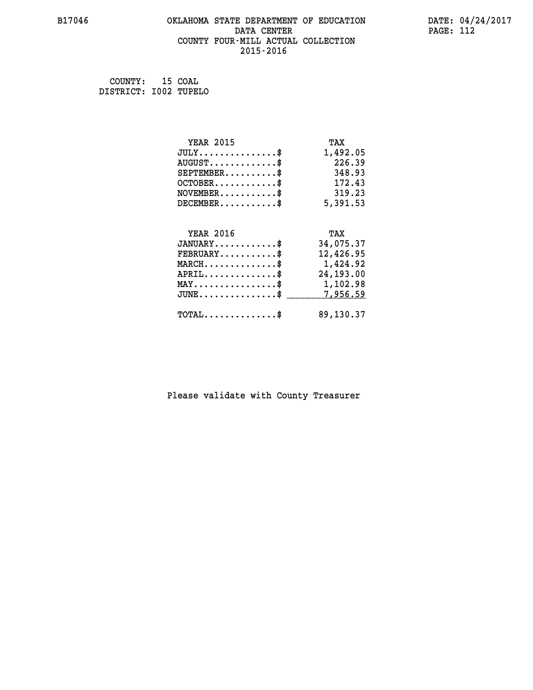## **B17046 OKLAHOMA STATE DEPARTMENT OF EDUCATION DATE: 04/24/2017 DATA CENTER** PAGE: 112  **COUNTY FOUR-MILL ACTUAL COLLECTION 2015-2016**

 **COUNTY: 15 COAL DISTRICT: I002 TUPELO**

| <b>YEAR 2015</b>                           | TAX       |
|--------------------------------------------|-----------|
| $JULY$ \$                                  | 1,492.05  |
| $AUGUST$ \$                                | 226.39    |
| $SEPTEMENT.$ \$                            | 348.93    |
| $OCTOBER$ \$                               | 172.43    |
| $\texttt{NOVEMBER} \dots \dots \dots \$    | 319.23    |
| $DECEMBER$ \$                              | 5,391.53  |
|                                            |           |
| <b>YEAR 2016</b>                           | TAX       |
| $JANUARY$ \$                               | 34,075.37 |
| $FEBRUARY$                                 | 12,426.95 |
| $MARCH$ \$                                 | 1,424.92  |
| $APRIL$ \$                                 | 24,193.00 |
| MAY\$ 1,102.98                             |           |
| $JUNE$ \$                                  | 7,956.59  |
| $\texttt{TOTAL} \dots \dots \dots \dots \$ | 89,130.37 |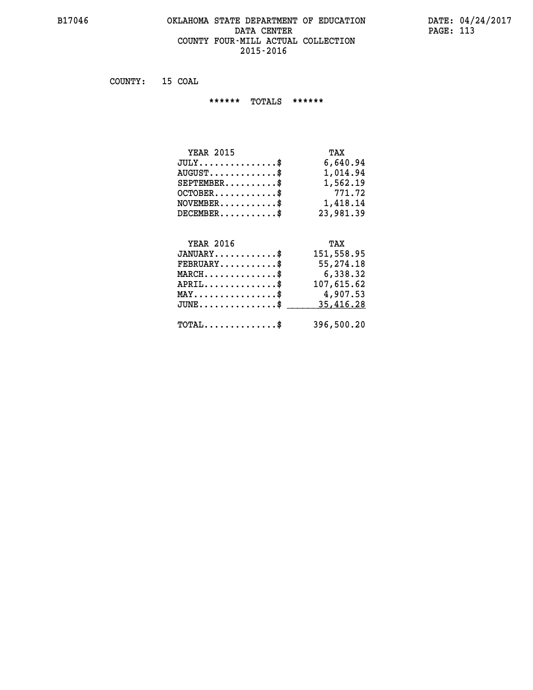### **B17046 OKLAHOMA STATE DEPARTMENT OF EDUCATION DATE: 04/24/2017 DATA CENTER PAGE: 113 COUNTY FOUR-MILL ACTUAL COLLECTION 2015-2016**

 **COUNTY: 15 COAL**

 **\*\*\*\*\*\* TOTALS \*\*\*\*\*\***

| <b>YEAR 2015</b>                | TAX       |
|---------------------------------|-----------|
| $JULY$                          | 6,640.94  |
| $AUGUST \ldots \ldots \ldots \$ | 1,014.94  |
| $SEPTEMBER$                     | 1,562.19  |
| $OCTOBER$ \$                    | 771.72    |
| $NOVEMBER$ \$                   | 1,418.14  |
| $DECEMBER$ \$                   | 23,981.39 |

# **YEAR 2016 TAX JANUARY............\$ 151,558.95 FEBRUARY...........\$ 55,274.18 MARCH..............\$ 6,338.32 APRIL..............\$ 107,615.62 MAY................\$ 4,907.53 JUNE...............\$ 35,416.28 \_\_\_\_\_\_\_\_\_\_\_\_\_\_\_ TOTAL..............\$ 396,500.20**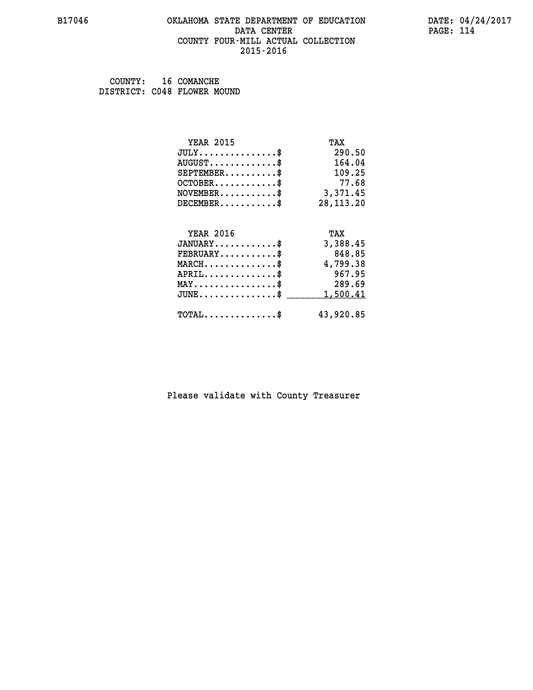### **B17046 OKLAHOMA STATE DEPARTMENT OF EDUCATION DATE: 04/24/2017 DATA CENTER** PAGE: 114  **COUNTY FOUR-MILL ACTUAL COLLECTION 2015-2016**

 **COUNTY: 16 COMANCHE DISTRICT: C048 FLOWER MOUND**

| <b>YEAR 2015</b>                           | TAX         |
|--------------------------------------------|-------------|
| $JULY$ \$                                  | 290.50      |
| $AUGUST$ \$                                | 164.04      |
| $SEPTEMBER$                                | 109.25      |
| $OCTOBER$ \$                               | 77.68       |
| $NOVEMBER$ \$                              | 3,371.45    |
| $DECEMBER$ \$                              | 28, 113. 20 |
|                                            |             |
| <b>YEAR 2016</b>                           | TAX         |
| $JANUARY$ \$                               | 3,388.45    |
| $FEBRUARY$                                 | 848.85      |
| $MARCH$ \$                                 | 4,799.38    |
| $APRIL$ \$                                 | 967.95      |
| $MAX \dots \dots \dots \dots \dots$        | 289.69      |
| $JUNE$                                     | 1,500.41    |
| $\texttt{TOTAL} \dots \dots \dots \dots \$ | 43,920.85   |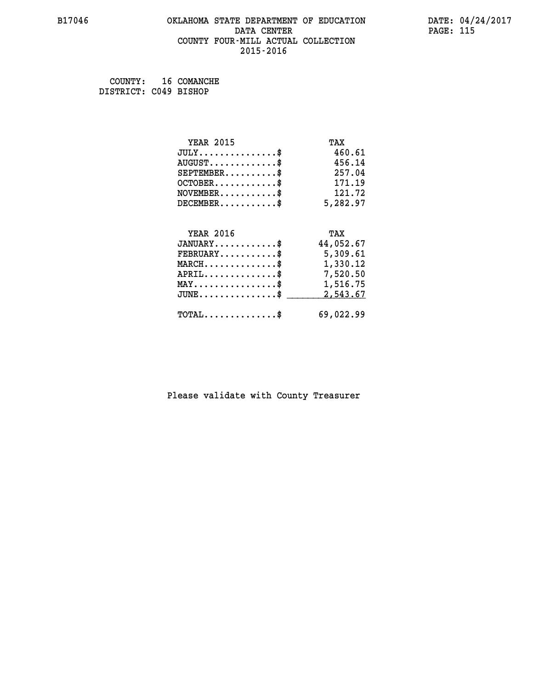## **B17046 OKLAHOMA STATE DEPARTMENT OF EDUCATION DATE: 04/24/2017 DATA CENTER** PAGE: 115  **COUNTY FOUR-MILL ACTUAL COLLECTION 2015-2016**

 **COUNTY: 16 COMANCHE DISTRICT: C049 BISHOP**

| <b>YEAR 2015</b>                                 | TAX       |
|--------------------------------------------------|-----------|
| $JULY$ \$                                        | 460.61    |
| $AUGUST$ \$                                      | 456.14    |
| $SEPTEMBER$ \$                                   | 257.04    |
| $OCTOBER$ \$                                     | 171.19    |
| $\texttt{NOVEMBER} \dots \dots \dots \$          | 121.72    |
| $DECEMBER$ \$                                    | 5,282.97  |
|                                                  |           |
| <b>YEAR 2016</b>                                 | TAX       |
| $JANUARY$ \$                                     | 44,052.67 |
| $FEBRUARY$                                       | 5,309.61  |
| $\texttt{MARCH}\ldots\ldots\ldots\ldots\text{*}$ | 1,330.12  |
| $APRIL \ldots \ldots \ldots \ldots \$            | 7,520.50  |
| $\texttt{MAX} \dots \dots \dots \dots \dots \$   | 1,516.75  |
| $J\texttt{UNE} \dots \dots \dots \dots \dots \$$ | 2,543.67  |
| $\texttt{TOTAL} \dots \dots \dots \dots \$       | 69,022.99 |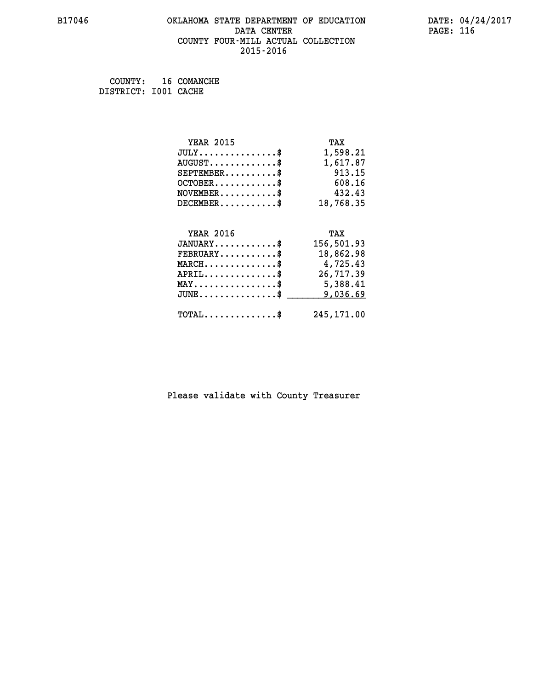## **B17046 OKLAHOMA STATE DEPARTMENT OF EDUCATION DATE: 04/24/2017 DATA CENTER** PAGE: 116  **COUNTY FOUR-MILL ACTUAL COLLECTION 2015-2016**

 **COUNTY: 16 COMANCHE DISTRICT: I001 CACHE**

| <b>YEAR 2015</b>                           | TAX        |
|--------------------------------------------|------------|
| $JULY$ \$                                  | 1,598.21   |
| $AUGUST$ \$                                | 1,617.87   |
| $SEPTEMBER$ \$                             | 913.15     |
| $OCTOBER$ \$                               | 608.16     |
| $\texttt{NOVEMBER} \dots \dots \dots \$    | 432.43     |
| $DECEMBER$ \$                              | 18,768.35  |
|                                            |            |
| <b>YEAR 2016</b>                           | TAX        |
| $JANUARY$ \$                               | 156,501.93 |
| $FEBRUARY$                                 | 18,862.98  |
| $MARCH$ \$                                 | 4,725.43   |
| $APRIL$ \$                                 | 26,717.39  |
| MAY\$ 5,388.41                             |            |
| $JUNE$ \$                                  | 9,036.69   |
| $\texttt{TOTAL} \dots \dots \dots \dots \$ | 245,171.00 |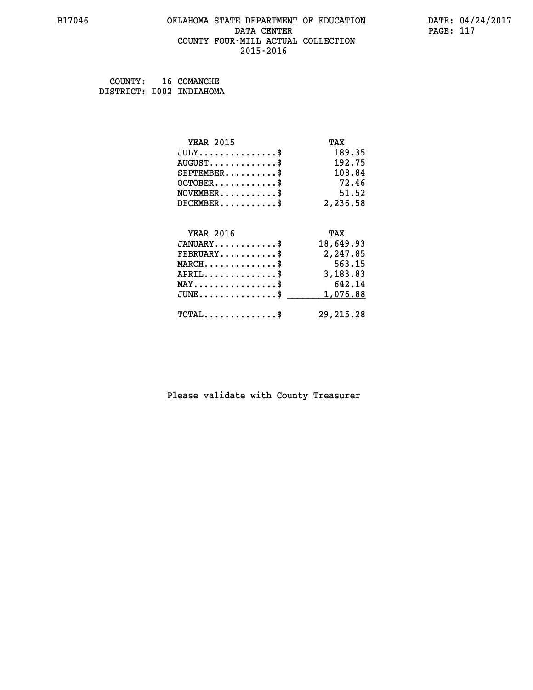### **B17046 OKLAHOMA STATE DEPARTMENT OF EDUCATION DATE: 04/24/2017 DATA CENTER** PAGE: 117  **COUNTY FOUR-MILL ACTUAL COLLECTION 2015-2016**

| COUNTY: | 16 COMANCHE              |
|---------|--------------------------|
|         | DISTRICT: I002 INDIAHOMA |

| <b>YEAR 2015</b>                           | TAX         |
|--------------------------------------------|-------------|
| $JULY$ \$                                  | 189.35      |
| $AUGUST$ \$                                | 192.75      |
| $SEPTEMBER$ \$                             | 108.84      |
| $OCTOBER$ \$                               | 72.46       |
| $NOVEMBER$ \$                              | 51.52       |
| $DECEMBER$ \$                              | 2,236.58    |
|                                            |             |
| <b>YEAR 2016</b>                           | TAX         |
| $JANUARY$ \$                               | 18,649.93   |
| $FEBRUARY$                                 | 2,247.85    |
| $MARCH$ \$                                 | 563.15      |
| $APRIL \ldots \ldots \ldots \ldots \$      | 3,183.83    |
| $MAX \dots \dots \dots \dots \dots$        | 642.14      |
| $JUNE$ \$                                  | 1,076.88    |
| $\texttt{TOTAL} \dots \dots \dots \dots \$ | 29, 215. 28 |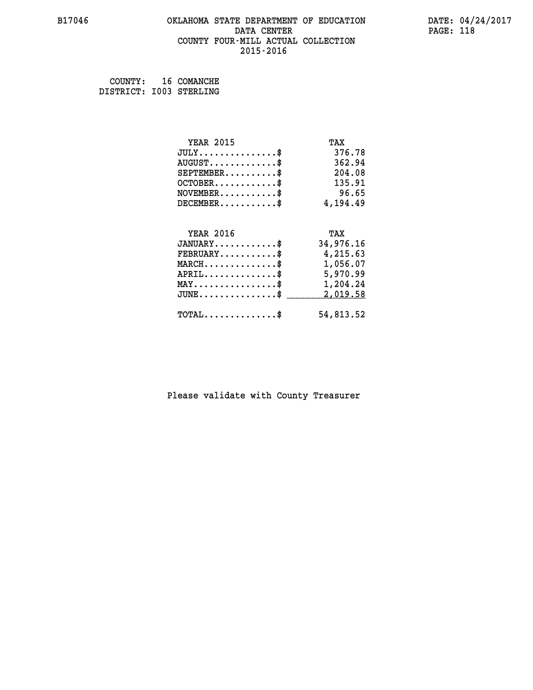## **B17046 OKLAHOMA STATE DEPARTMENT OF EDUCATION DATE: 04/24/2017 DATA CENTER** PAGE: 118  **COUNTY FOUR-MILL ACTUAL COLLECTION 2015-2016**

 **COUNTY: 16 COMANCHE DISTRICT: I003 STERLING**

| <b>YEAR 2015</b>                                                          | TAX       |
|---------------------------------------------------------------------------|-----------|
| $JULY$ \$                                                                 | 376.78    |
| $AUGUST$ \$                                                               | 362.94    |
| $SEPTEMBER$ \$                                                            | 204.08    |
| $OCTOBER$ \$                                                              | 135.91    |
| $\verb NOVEMBER , \verb , \verb , \verb , \verb , \verb , \verb , \verb $ | 96.65     |
| $DECEMBER$ \$                                                             | 4,194.49  |
|                                                                           |           |
| <b>YEAR 2016</b>                                                          | TAX       |
| $JANUARY$ \$                                                              | 34,976.16 |
| $FEBRUARY$                                                                | 4,215.63  |
| $\texttt{MARCH} \dots \dots \dots \dots \$$                               | 1,056.07  |
| $APRIL \ldots \ldots \ldots \ldots \$                                     | 5,970.99  |
| $\texttt{MAX} \dots \dots \dots \dots \dots \$                            | 1,204.24  |
| $\texttt{JUNE} \dots \dots \dots \dots \texttt{S}$                        | 2,019.58  |
| $\texttt{TOTAL} \dots \dots \dots \dots \$                                | 54,813.52 |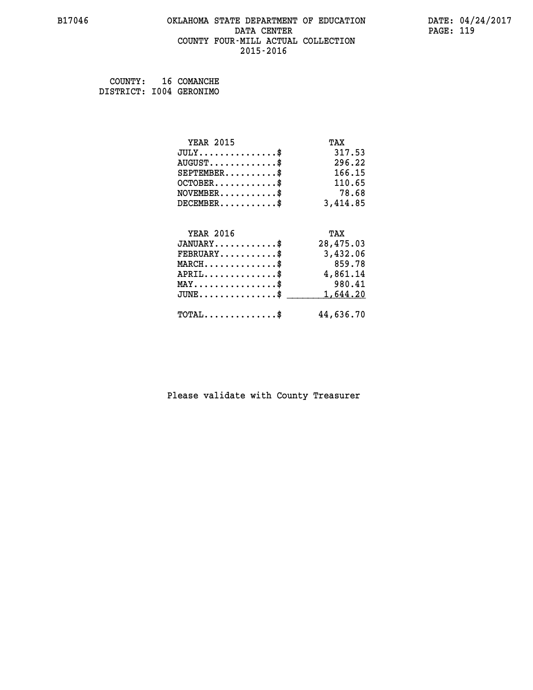## **B17046 OKLAHOMA STATE DEPARTMENT OF EDUCATION DATE: 04/24/2017 DATA CENTER** PAGE: 119  **COUNTY FOUR-MILL ACTUAL COLLECTION 2015-2016**

 **COUNTY: 16 COMANCHE DISTRICT: I004 GERONIMO**

| <b>YEAR 2015</b>                           | TAX       |
|--------------------------------------------|-----------|
| $JULY$ \$                                  | 317.53    |
| $AUGUST$ \$                                | 296.22    |
| $SEPTEMBER$ \$                             | 166.15    |
| $OCTOBER$ \$                               | 110.65    |
| $\texttt{NOVEMBER} \dots \dots \dots \$    | 78.68     |
| $DECEMBER$ \$                              | 3,414.85  |
|                                            |           |
| <b>YEAR 2016</b>                           | TAX       |
| $JANUARY$ \$                               | 28,475.03 |
| $FEBRUARY$                                 | 3,432.06  |
| $MARCH$ \$                                 | 859.78    |
| $APRIL$ \$                                 | 4,861.14  |
| $MAX \dots \dots \dots \dots \dots$        | 980.41    |
| $JUNE$ \$                                  | 1,644.20  |
| $\texttt{TOTAL} \dots \dots \dots \dots \$ | 44,636.70 |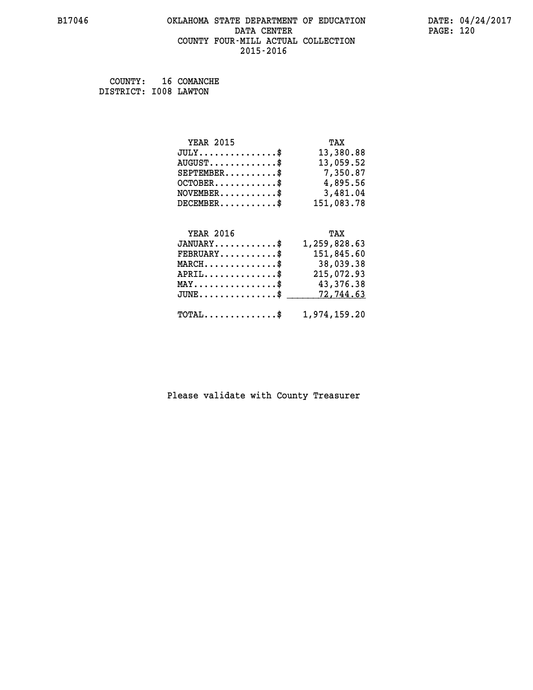## **B17046 OKLAHOMA STATE DEPARTMENT OF EDUCATION DATE: 04/24/2017 DATA CENTER** PAGE: 120  **COUNTY FOUR-MILL ACTUAL COLLECTION 2015-2016**

 **COUNTY: 16 COMANCHE DISTRICT: I008 LAWTON**

| <b>YEAR 2015</b>              | TAX        |
|-------------------------------|------------|
| $JULY \ldots \ldots \ldots \$ | 13,380.88  |
| $AUGUST$ \$                   | 13,059.52  |
| $SEPTEMBER$ \$                | 7,350.87   |
| $OCTOBER.$ \$                 | 4,895.56   |
| $NOVEMBER.$ \$                | 3,481.04   |
| $DECEMBER$ \$                 | 151,083.78 |
| <b>YEAR 2016</b>              | TAX        |
| $JANUARY$ \$ 1,259,828.63     |            |
|                               |            |

| $\texttt{FEBRUARY} \dots \dots \dots \$                 | 151,845.60 |
|---------------------------------------------------------|------------|
| $MARCH$ \$                                              | 38,039.38  |
| $APRIL$ \$                                              | 215,072.93 |
| $MAX \dots \dots \dots \dots \dots \$                   | 43,376.38  |
| $JUNE \dots \dots \dots \dots \$ 72,744.63              |            |
| $\texttt{TOTAL} \dots \dots \dots \dots \$ 1,974,159.20 |            |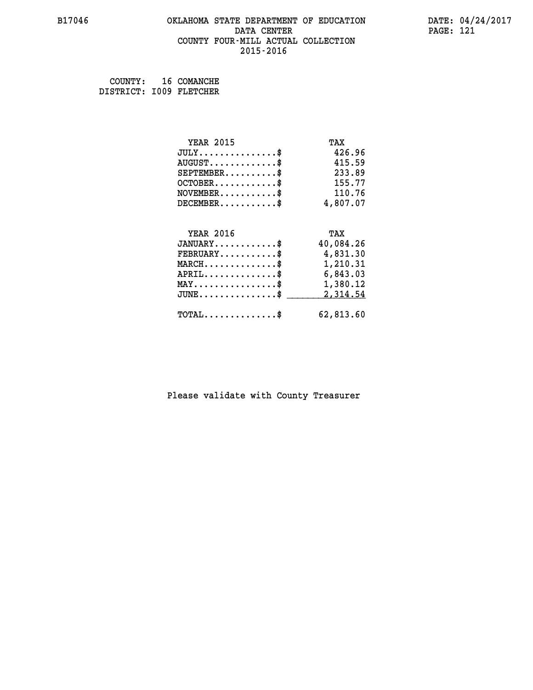#### **B17046 OKLAHOMA STATE DEPARTMENT OF EDUCATION DATE: 04/24/2017 DATA CENTER PAGE: 121 COUNTY FOUR-MILL ACTUAL COLLECTION 2015-2016**

 **COUNTY: 16 COMANCHE DISTRICT: I009 FLETCHER**

> **YEAR 2015 TAX JULY...............\$ 426.96 AUGUST.............\$ 415.59 SEPTEMBER..........\$ 233.89 OCTOBER.............\$** 155.77<br>NOVEMBER...........\$ 110.76  **NOVEMBER............\$ DECEMBER...........\$ 4,807.07 YEAR 2016 TAX JANUARY............\$ 40,084.26 FEBRUARY...........\$ 4,831.30 MARCH..............\$ 1,210.31 APRIL..............\$ 6,843.03 MAY................\$ 1,380.12 JUNE...............\$ 2,314.54 \_\_\_\_\_\_\_\_\_\_\_\_\_\_\_ TOTAL..............\$ 62,813.60**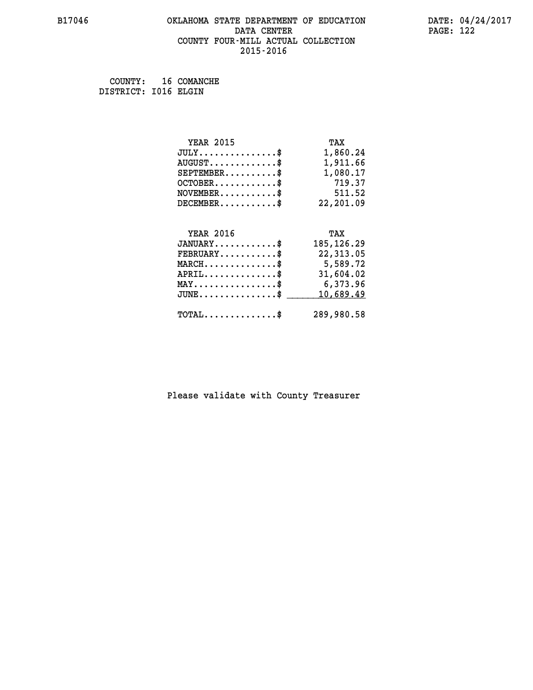## **B17046 OKLAHOMA STATE DEPARTMENT OF EDUCATION DATE: 04/24/2017 DATA CENTER** PAGE: 122  **COUNTY FOUR-MILL ACTUAL COLLECTION 2015-2016**

 **COUNTY: 16 COMANCHE DISTRICT: I016 ELGIN**

| <b>YEAR 2015</b>                               | TAX          |
|------------------------------------------------|--------------|
| $JULY$ \$                                      | 1,860.24     |
| $AUGUST$ \$                                    | 1,911.66     |
| $SEPTEMBER$ \$                                 | 1,080.17     |
| $OCTOBER$ \$                                   | 719.37       |
| $\texttt{NOVEMBER} \dots \dots \dots \$        | 511.52       |
| $DECEMBER$ \$                                  | 22,201.09    |
|                                                |              |
| <b>YEAR 2016</b>                               | TAX          |
| $JANUARY$ \$                                   | 185, 126. 29 |
| $FEBRUARY$                                     | 22, 313, 05  |
| $MARCH$ \$                                     | 5,589.72     |
| $APRIL$ \$                                     | 31,604.02    |
| $\texttt{MAX} \dots \dots \dots \dots \dots \$ | 6,373.96     |
|                                                |              |
| $JUNE$ \$                                      | 10,689.49    |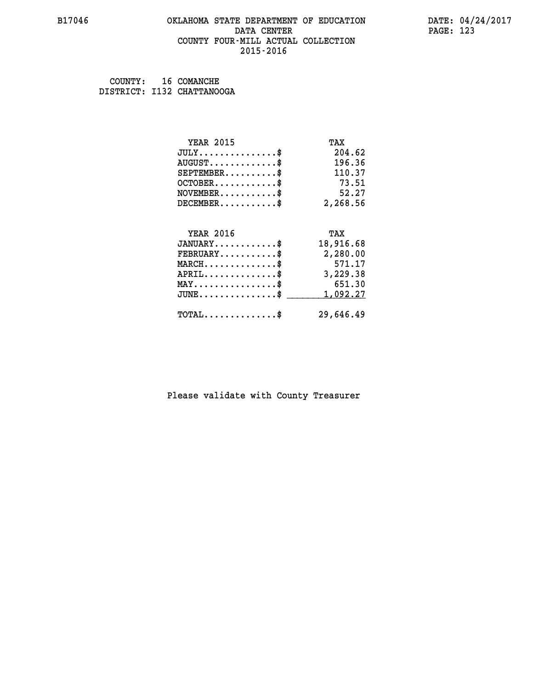## **B17046 OKLAHOMA STATE DEPARTMENT OF EDUCATION DATE: 04/24/2017 DATA CENTER** PAGE: 123  **COUNTY FOUR-MILL ACTUAL COLLECTION 2015-2016**

 **COUNTY: 16 COMANCHE DISTRICT: I132 CHATTANOOGA**

| <b>YEAR 2015</b>                           | TAX       |
|--------------------------------------------|-----------|
| $JULY$ \$                                  | 204.62    |
| $AUGUST$ \$                                | 196.36    |
| $SEPTEMBER$ \$                             | 110.37    |
| $OCTOBER$ \$                               | 73.51     |
| $NOVEMBER$ \$                              | 52.27     |
| $DECEMBER$ \$                              | 2,268.56  |
|                                            |           |
| <b>YEAR 2016</b>                           | TAX       |
| $JANUARY$ \$                               | 18,916.68 |
| $FEBRUARY$                                 | 2,280.00  |
| $MARCH$ \$                                 | 571.17    |
| $APRIL$ \$                                 | 3,229.38  |
| $MAX \dots \dots \dots \dots \$            | 651.30    |
| $JUNE$ \$                                  | 1,092.27  |
| $\texttt{TOTAL} \dots \dots \dots \dots \$ | 29,646.49 |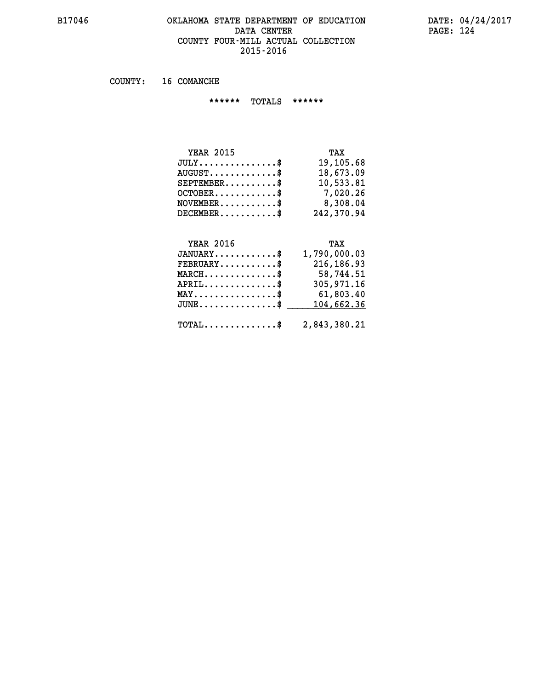### **B17046 OKLAHOMA STATE DEPARTMENT OF EDUCATION DATE: 04/24/2017 DATA CENTER** PAGE: 124  **COUNTY FOUR-MILL ACTUAL COLLECTION 2015-2016**

 **COUNTY: 16 COMANCHE**

 **\*\*\*\*\*\* TOTALS \*\*\*\*\*\***

| <b>YEAR 2015</b>                          | TAX        |
|-------------------------------------------|------------|
| $JULY$                                    | 19,105.68  |
| $\text{AUGUST} \dots \dots \dots \dots \$ | 18,673.09  |
| $SEPTEMENT.$ \$                           | 10,533.81  |
| $OCTOBER$ $\$                             | 7,020.26   |
| $NOVEMBER$ \$                             | 8,308.04   |
| $DECEMBER$ \$                             | 242,370.94 |

## **YEAR 2016 TAX**

| $JANUARY$                                               | 1,790,000.03 |
|---------------------------------------------------------|--------------|
| $FEBRUARY$ \$                                           | 216, 186.93  |
| $MARCH$ \$                                              | 58,744.51    |
| $APRIL$                                                 | 305,971.16   |
| $MAX \dots \dots \dots \dots \dots \$                   | 61,803.40    |
| JUNE\$ 104,662.36                                       |              |
| $\texttt{TOTAL} \dots \dots \dots \dots \$ 2,843,380.21 |              |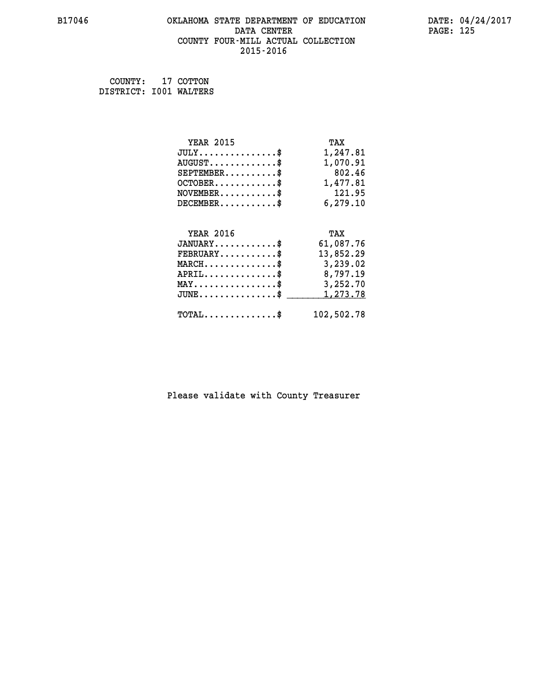## **B17046 OKLAHOMA STATE DEPARTMENT OF EDUCATION DATE: 04/24/2017 DATA CENTER** PAGE: 125  **COUNTY FOUR-MILL ACTUAL COLLECTION 2015-2016**

 **COUNTY: 17 COTTON DISTRICT: I001 WALTERS**

| <b>YEAR 2015</b>                               | TAX        |
|------------------------------------------------|------------|
| $JULY$ \$                                      | 1,247.81   |
| $AUGUST$ \$                                    | 1,070.91   |
| $SEPTEMBER$ \$                                 | 802.46     |
| $OCTOBER$ \$                                   | 1,477.81   |
| $\texttt{NOVEMBER} \dots \dots \dots \$        | 121.95     |
| $DECEMBER$ \$                                  | 6, 279.10  |
|                                                |            |
| <b>YEAR 2016</b>                               | TAX        |
| $JANUARY$ \$                                   | 61,087.76  |
| $FEBRUARY$                                     | 13,852.29  |
| $MARCH$ \$                                     | 3,239.02   |
| $APRIL \ldots \ldots \ldots \ldots \$          | 8,797.19   |
| $\texttt{MAX} \dots \dots \dots \dots \dots \$ | 3,252.70   |
| $JUNE$ \$                                      | 1,273.78   |
| $\texttt{TOTAL} \dots \dots \dots \dots \$     | 102,502.78 |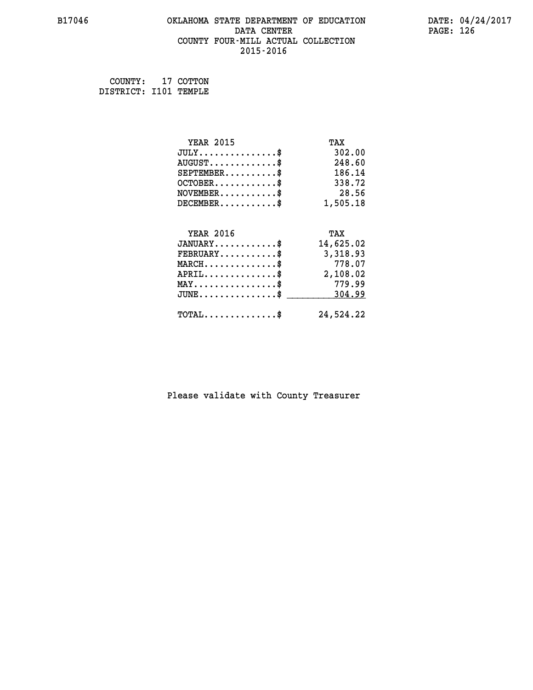## **B17046 OKLAHOMA STATE DEPARTMENT OF EDUCATION DATE: 04/24/2017 DATA CENTER** PAGE: 126  **COUNTY FOUR-MILL ACTUAL COLLECTION 2015-2016**

 **COUNTY: 17 COTTON DISTRICT: I101 TEMPLE**

| <b>YEAR 2015</b>                           | TAX       |
|--------------------------------------------|-----------|
| $JULY$ \$                                  | 302.00    |
| $AUGUST$ \$                                | 248.60    |
| $SEPTEMBER$ \$                             | 186.14    |
| $OCTOBER$ \$                               | 338.72    |
| $NOVEMBER.$ \$                             | 28.56     |
| $DECEMBER$ \$                              | 1,505.18  |
|                                            |           |
| <b>YEAR 2016</b>                           | TAX       |
| $JANUARY$                                  | 14,625.02 |
| $FEBRUARY$                                 | 3,318.93  |
| $MARCH$ \$                                 | 778.07    |
| $APRIL$ \$                                 | 2,108.02  |
| $MAX \dots \dots \dots \dots \$            | 779.99    |
| $JUNE$ \$                                  | 304.99    |
| $\texttt{TOTAL} \dots \dots \dots \dots \$ | 24,524.22 |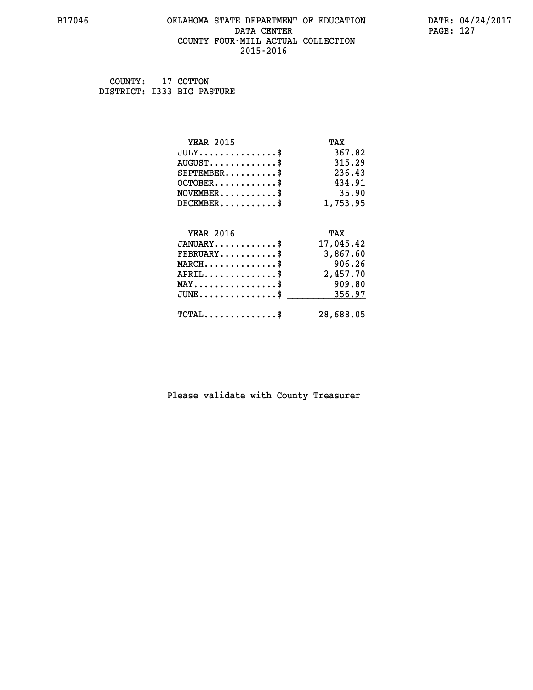### **B17046 OKLAHOMA STATE DEPARTMENT OF EDUCATION DATE: 04/24/2017 DATA CENTER** PAGE: 127  **COUNTY FOUR-MILL ACTUAL COLLECTION 2015-2016**

 **COUNTY: 17 COTTON DISTRICT: I333 BIG PASTURE**

| <b>YEAR 2015</b>                           | TAX       |
|--------------------------------------------|-----------|
| $JULY$ \$                                  | 367.82    |
| $AUGUST$ \$                                | 315.29    |
| $SEPTEMBER$ \$                             | 236.43    |
| $OCTOBER$ \$                               | 434.91    |
| $NOVEMBER$ \$                              | 35.90     |
| $DECEMBER$ \$                              | 1,753.95  |
|                                            |           |
| <b>YEAR 2016</b>                           | TAX       |
| $JANUARY$ \$                               | 17,045.42 |
| $FEBRUARY$                                 | 3,867.60  |
| $MARCH$ \$                                 | 906.26    |
| $APRIL$ \$                                 | 2,457.70  |
| $MAX \dots \dots \dots \dots \dots$        | 909.80    |
| $JUNE$ \$                                  | 356.97    |
| $\texttt{TOTAL} \dots \dots \dots \dots \$ | 28,688.05 |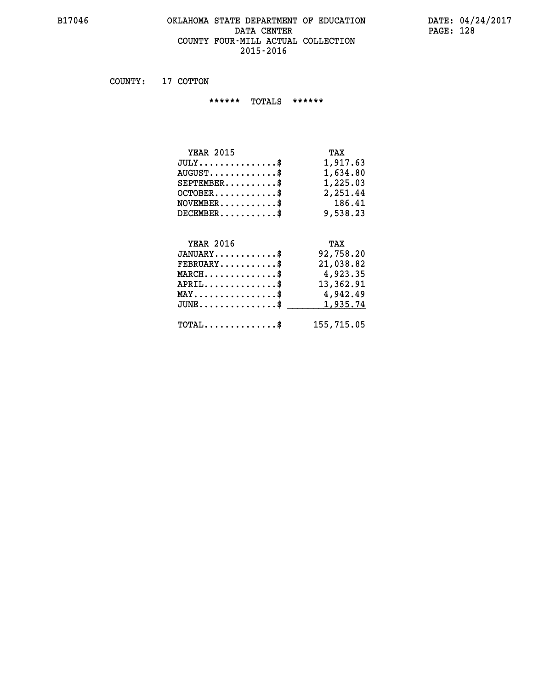### **B17046 OKLAHOMA STATE DEPARTMENT OF EDUCATION DATE: 04/24/2017 DATA CENTER PAGE: 128 COUNTY FOUR-MILL ACTUAL COLLECTION 2015-2016**

 **COUNTY: 17 COTTON**

 **\*\*\*\*\*\* TOTALS \*\*\*\*\*\***

| <b>YEAR 2015</b>                     | TAX      |
|--------------------------------------|----------|
| $JULY \ldots \ldots \ldots \ldots \$ | 1,917.63 |
| $AUGUST$ $\$\$                       | 1,634.80 |
| $SEPTEMBER$ $\$                      | 1,225.03 |
| $OCTOBER$ \$                         | 2,251.44 |
| $NOVEMBER$ \$                        | 186.41   |
| $DECEMBER$ \$                        | 9,538.23 |
|                                      |          |

# **YEAR 2016 TAX JANUARY............\$ 92,758.20 FEBRUARY...........\$ 21,038.82 MARCH..............\$ 4,923.35 APRIL..............\$ 13,362.91 MAY................\$ 4,942.49 JUNE................\$** <u>1,935.74</u>  **TOTAL..............\$ 155,715.05**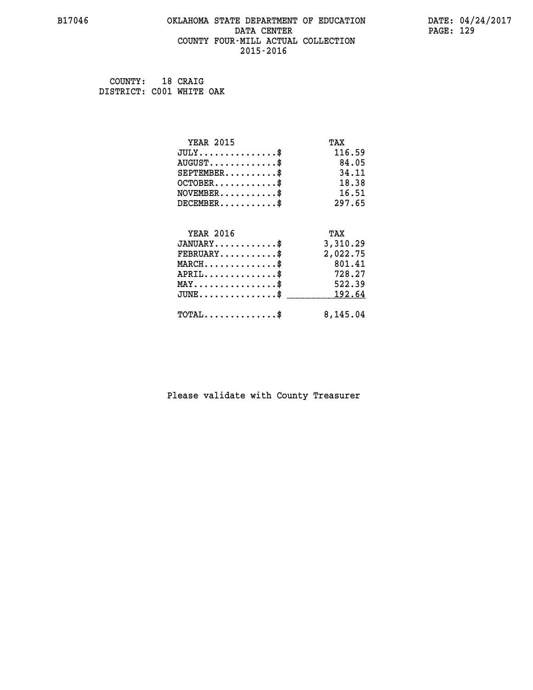## **B17046 OKLAHOMA STATE DEPARTMENT OF EDUCATION DATE: 04/24/2017 DATA CENTER** PAGE: 129  **COUNTY FOUR-MILL ACTUAL COLLECTION 2015-2016**

 **COUNTY: 18 CRAIG DISTRICT: C001 WHITE OAK**

| <b>YEAR 2015</b>                           | TAX      |
|--------------------------------------------|----------|
| $JULY$ \$                                  | 116.59   |
| $AUGUST$ \$                                | 84.05    |
| $SEPTEMENT.$ \$                            | 34.11    |
| $OCTOBER$ \$                               | 18.38    |
| $NOVEMBER$ \$                              | 16.51    |
| $DECEMBER$                                 | 297.65   |
|                                            |          |
| <b>YEAR 2016</b>                           | TAX      |
| $JANUARY$ \$                               | 3,310.29 |
| $FEBRUARY$ \$                              | 2,022.75 |
| $MARCH$ \$                                 | 801.41   |
| $APRIL$ \$                                 | 728.27   |
| $MAX \dots \dots \dots \dots \$            | 522.39   |
| $JUNE$ \$                                  | 192.64   |
| $\texttt{TOTAL} \dots \dots \dots \dots \$ | 8,145.04 |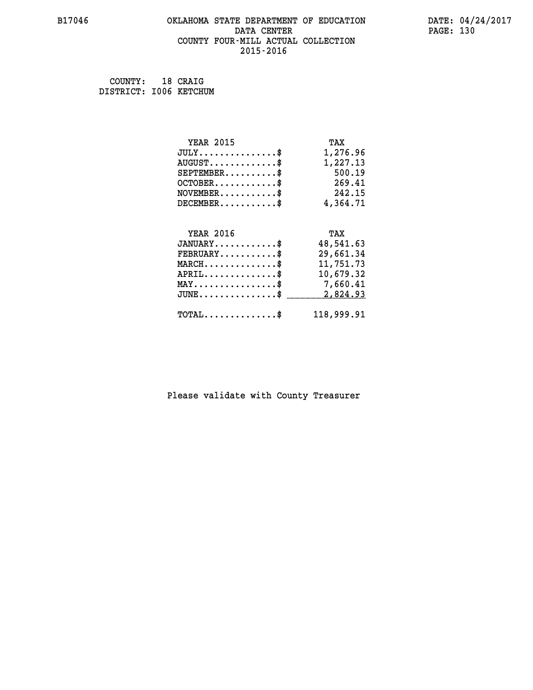### **B17046 OKLAHOMA STATE DEPARTMENT OF EDUCATION DATE: 04/24/2017 DATA CENTER** PAGE: 130  **COUNTY FOUR-MILL ACTUAL COLLECTION 2015-2016**

| COUNTY:                | 18 CRAIG |
|------------------------|----------|
| DISTRICT: 1006 KETCHUM |          |

| <b>YEAR 2015</b>                           | TAX        |
|--------------------------------------------|------------|
| $JULY$ \$                                  | 1,276.96   |
| $AUGUST$ \$                                | 1,227.13   |
| $SEPTEMENT.$ \$                            | 500.19     |
| $OCTOBER$ \$                               | 269.41     |
| $\texttt{NOVEMBER} \dots \dots \dots \$    | 242.15     |
| $DECEMBER$ \$                              | 4,364.71   |
|                                            |            |
| <b>YEAR 2016</b>                           | TAX        |
| $JANUARY$ \$                               | 48,541.63  |
| $FEBRUARY$                                 | 29,661.34  |
| $MARCH$ \$                                 | 11,751.73  |
| $APRIL \ldots \ldots \ldots \ldots$        | 10,679.32  |
| MAY\$ 7,660.41                             |            |
| $JUNE$ \$                                  | 2,824.93   |
| $\texttt{TOTAL} \dots \dots \dots \dots \$ | 118,999.91 |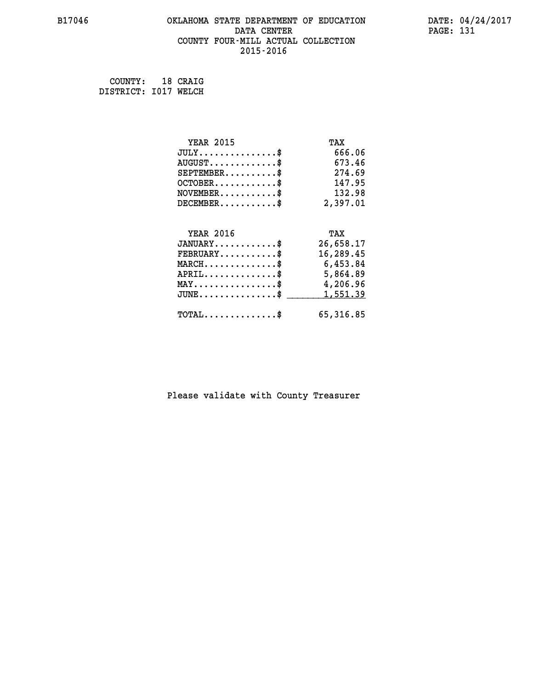## **B17046 OKLAHOMA STATE DEPARTMENT OF EDUCATION DATE: 04/24/2017 DATA CENTER** PAGE: 131  **COUNTY FOUR-MILL ACTUAL COLLECTION 2015-2016**

 **COUNTY: 18 CRAIG DISTRICT: I017 WELCH**

| <b>YEAR 2015</b>                                                          | TAX       |
|---------------------------------------------------------------------------|-----------|
| $JULY$ \$                                                                 | 666.06    |
| $AUGUST$ \$                                                               | 673.46    |
| $SEPTEMENT.$ \$                                                           | 274.69    |
| $OCTOBER$ \$                                                              | 147.95    |
| $\verb NOVEMBER , \verb , \verb , \verb , \verb , \verb , \verb , \verb $ | 132.98    |
| $DECEMBER$ \$                                                             | 2,397.01  |
|                                                                           |           |
| <b>YEAR 2016</b>                                                          | TAX       |
| $JANUARY$ \$                                                              | 26,658.17 |
| $FEBRUARY$                                                                | 16,289.45 |
| $MARCH$ \$                                                                | 6,453.84  |
| $APRIL \ldots \ldots \ldots \ldots$ \$                                    | 5,864.89  |
| $\texttt{MAX} \dots \dots \dots \dots \dots \$                            | 4,206.96  |
| $JUNE$ \$                                                                 | 1,551.39  |
| $\texttt{TOTAL} \dots \dots \dots \dots \$                                | 65,316.85 |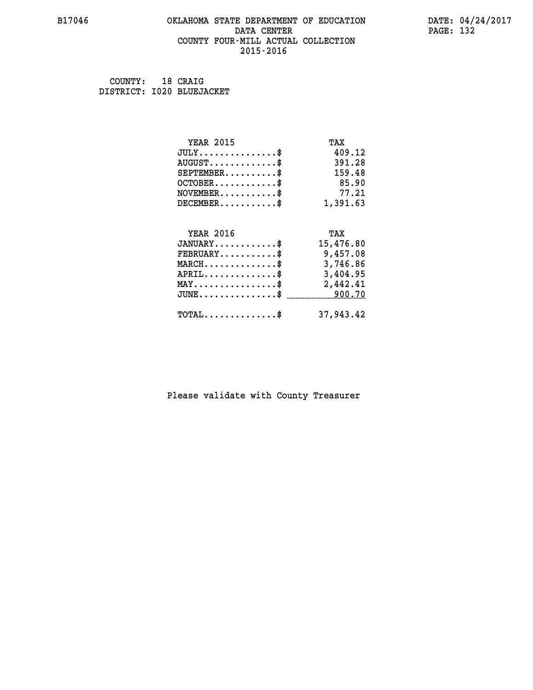## **B17046 OKLAHOMA STATE DEPARTMENT OF EDUCATION DATE: 04/24/2017 DATA CENTER** PAGE: 132  **COUNTY FOUR-MILL ACTUAL COLLECTION 2015-2016**

 **COUNTY: 18 CRAIG DISTRICT: I020 BLUEJACKET**

| <b>YEAR 2015</b>                                 | TAX       |
|--------------------------------------------------|-----------|
| $JULY$ \$                                        | 409.12    |
| $AUGUST$ \$                                      | 391.28    |
| $SEPTEMBER$ \$                                   | 159.48    |
| $OCTOBER$ \$                                     | 85.90     |
| $NOVEMBER.$ \$                                   | 77.21     |
| $DECEMBER$ \$                                    | 1,391.63  |
|                                                  |           |
| <b>YEAR 2016</b>                                 | TAX       |
| $JANUARY$ \$                                     | 15,476.80 |
| $\texttt{FEBRUARY} \dots \dots \dots \$          | 9,457.08  |
| $\texttt{MARCH} \dots \dots \dots \dots \$$      | 3,746.86  |
| $APRIL$ \$                                       | 3,404.95  |
| $\texttt{MAX} \dots \dots \dots \dots \dots$     | 2,442.41  |
| $\texttt{JUNE} \dots \dots \dots \dots \dots \$$ | 900.70    |
| $TOTAL$ \$                                       | 37,943.42 |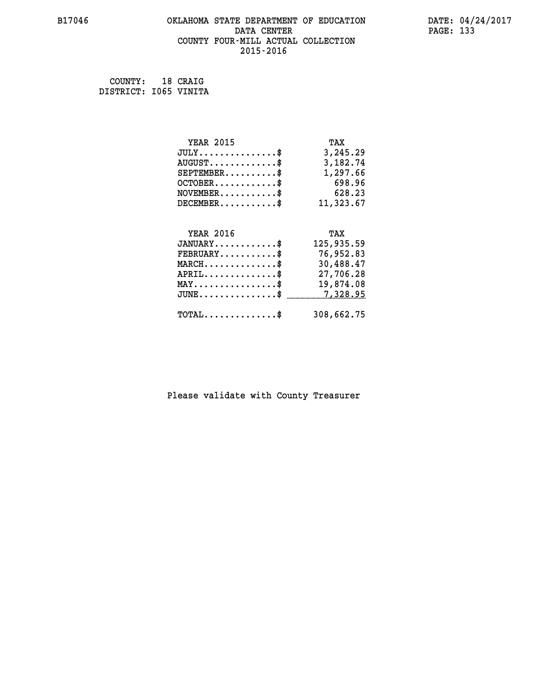## **B17046 OKLAHOMA STATE DEPARTMENT OF EDUCATION DATE: 04/24/2017 DATA CENTER** PAGE: 133  **COUNTY FOUR-MILL ACTUAL COLLECTION 2015-2016**

 **COUNTY: 18 CRAIG DISTRICT: I065 VINITA**

| <b>YEAR 2015</b>                               | TAX        |
|------------------------------------------------|------------|
| $JULY$ \$                                      | 3,245.29   |
| $AUGUST$ \$                                    | 3,182.74   |
| $SEPTEMBER$ \$                                 | 1,297.66   |
| $OCTOBER$ \$                                   | 698.96     |
| $NOVEMBER.$ \$                                 | 628.23     |
| $DECEMBER$ \$                                  | 11,323.67  |
|                                                |            |
| <b>YEAR 2016</b>                               | TAX        |
| $JANUARY$ \$                                   | 125,935.59 |
| $FEBRUARY$                                     | 76,952.83  |
| $MARCH$ \$                                     | 30,488.47  |
| $APRIL$ \$                                     | 27,706.28  |
| $\texttt{MAX} \dots \dots \dots \dots \dots \$ | 19,874.08  |
| $JUNE$ $$$                                     | 7,328.95   |
| $\texttt{TOTAL} \dots \dots \dots \dots \$     | 308,662.75 |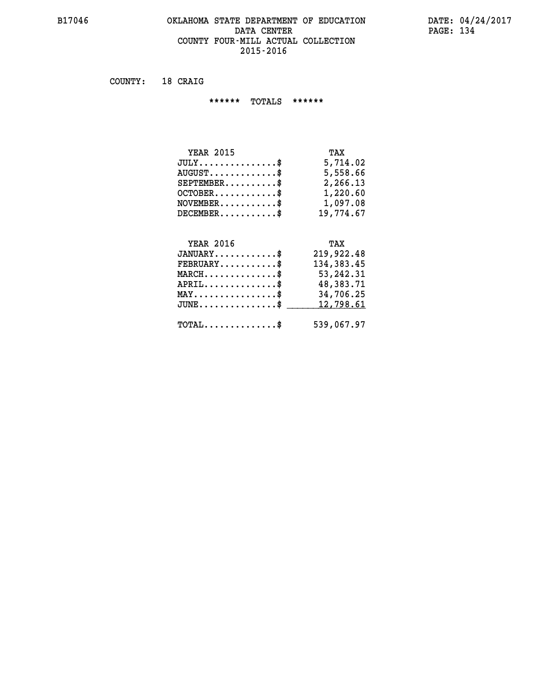### **B17046 OKLAHOMA STATE DEPARTMENT OF EDUCATION DATE: 04/24/2017 DATA CENTER** PAGE: 134  **COUNTY FOUR-MILL ACTUAL COLLECTION 2015-2016**

 **COUNTY: 18 CRAIG**

 **\*\*\*\*\*\* TOTALS \*\*\*\*\*\***

| TAX       |
|-----------|
| 5,714.02  |
| 5,558.66  |
| 2,266.13  |
| 1,220.60  |
| 1,097.08  |
| 19,774.67 |
|           |

#### **YEAR 2016 TAX JANUARY............\$ 219,922.48**

| $\texttt{FEBRUARY} \dots \dots \dots \$                    | 134,383.45 |
|------------------------------------------------------------|------------|
| $MARCH$ \$                                                 | 53,242.31  |
| $APRIL$ \$                                                 | 48,383.71  |
| $MAX \dots \dots \dots \dots \dots \$                      | 34,706.25  |
| $JUNE \dots \dots \dots \dots \$ 12,798.61                 |            |
|                                                            |            |
| $\texttt{TOTAL} \dots \dots \dots \dots \dots \texttt{\$}$ | 539,067.97 |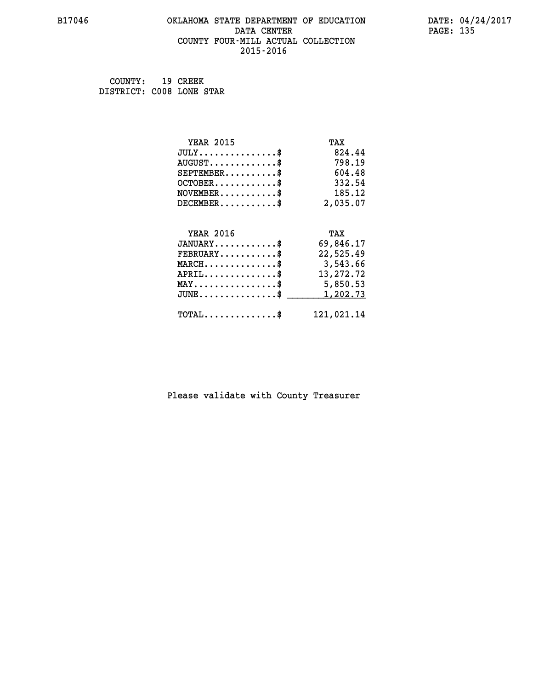## **B17046 OKLAHOMA STATE DEPARTMENT OF EDUCATION DATE: 04/24/2017 DATA CENTER** PAGE: 135  **COUNTY FOUR-MILL ACTUAL COLLECTION 2015-2016**

 **COUNTY: 19 CREEK DISTRICT: C008 LONE STAR**

| <b>YEAR 2015</b>                               | TAX        |
|------------------------------------------------|------------|
| $JULY$ \$                                      | 824.44     |
| $AUGUST$ \$                                    | 798.19     |
| $SEPTEMENT.$ \$                                | 604.48     |
| $OCTOBER$ \$                                   | 332.54     |
| $\texttt{NOVEMBER} \dots \dots \dots \$        | 185.12     |
| $DECEMBER$ \$                                  | 2,035.07   |
|                                                |            |
| <b>YEAR 2016</b>                               | TAX        |
| $JANUARY$ \$                                   | 69,846.17  |
| $FEBRUARY$                                     | 22,525.49  |
| $MARCH$ \$                                     | 3,543.66   |
| $APRIL \ldots \ldots \ldots \ldots \$          | 13,272.72  |
| $\texttt{MAX} \dots \dots \dots \dots \dots \$ | 5,850.53   |
| $JUNE$ \$                                      | 1,202.73   |
| $\texttt{TOTAL} \dots \dots \dots \dots \$     | 121,021.14 |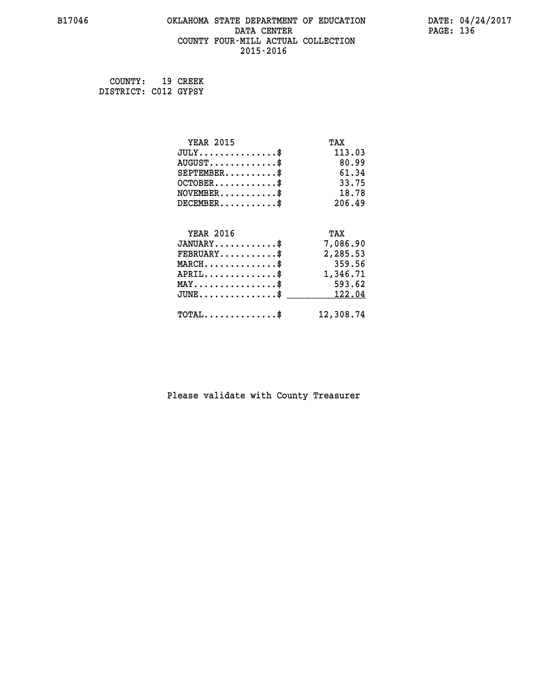## **B17046 OKLAHOMA STATE DEPARTMENT OF EDUCATION DATE: 04/24/2017 DATA CENTER** PAGE: 136  **COUNTY FOUR-MILL ACTUAL COLLECTION 2015-2016**

 **COUNTY: 19 CREEK DISTRICT: C012 GYPSY**

| <b>YEAR 2015</b>                                 | TAX       |
|--------------------------------------------------|-----------|
| $JULY$ \$                                        | 113.03    |
| $AUGUST$ \$                                      | 80.99     |
| $SEPTEMENT.$ \$                                  | 61.34     |
| $OCTOBER$ \$                                     | 33.75     |
| $NOVEMBER$ \$                                    | 18.78     |
| $DECEMBER$ \$                                    | 206.49    |
| <b>YEAR 2016</b>                                 |           |
|                                                  | TAX       |
| $JANUARY$                                        | 7,086.90  |
| $FEBRUARY$                                       | 2,285.53  |
| $MARCH$ \$                                       | 359.56    |
| $APRIL$ \$                                       | 1,346.71  |
| $MAX \dots \dots \dots \dots \dots$              | 593.62    |
| $\texttt{JUNE} \dots \dots \dots \dots \dots \$$ | 122.04    |
| $\texttt{TOTAL} \dots \dots \dots \dots$         | 12,308.74 |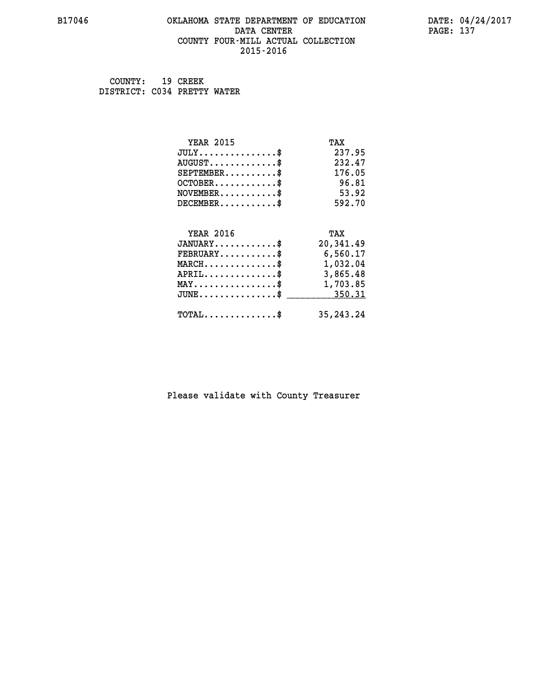## **B17046 OKLAHOMA STATE DEPARTMENT OF EDUCATION DATE: 04/24/2017 DATA CENTER** PAGE: 137  **COUNTY FOUR-MILL ACTUAL COLLECTION 2015-2016**

 **COUNTY: 19 CREEK DISTRICT: C034 PRETTY WATER**

| <b>YEAR 2015</b>                                | TAX       |
|-------------------------------------------------|-----------|
| $JULY$ \$                                       | 237.95    |
| $AUGUST$ \$                                     | 232.47    |
| $SEPTEMENT.$ \$                                 | 176.05    |
| $OCTOBER$ \$                                    | 96.81     |
| $NOVEMBER$ \$                                   | 53.92     |
| $DECEMBER$ \$                                   | 592.70    |
|                                                 |           |
| <b>YEAR 2016</b>                                | TAX       |
| $JANUARY$ \$                                    | 20,341.49 |
| $FEBRUARY$                                      | 6,560.17  |
| $MARCH$ \$                                      | 1,032.04  |
| $APRIL \ldots \ldots \ldots \ldots \$           | 3,865.48  |
| $\texttt{MAX} \dots \dots \dots \dots \dots \$$ | 1,703.85  |
| $JUNE \ldots \ldots \ldots \ldots \ast$         | 350.31    |
|                                                 |           |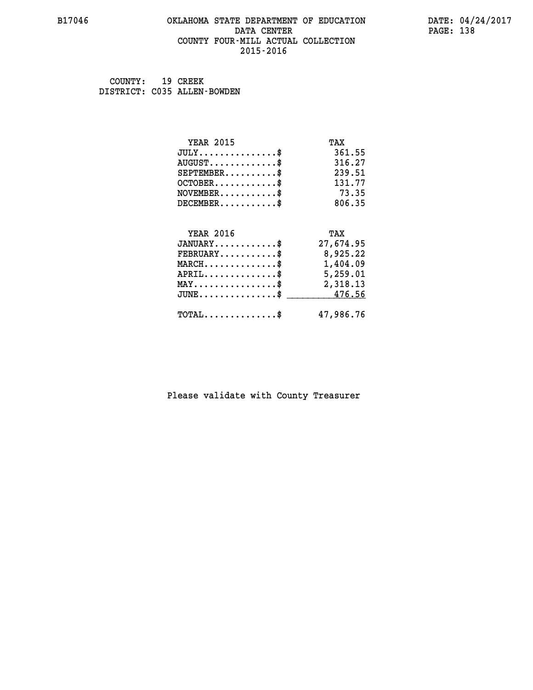### **B17046 OKLAHOMA STATE DEPARTMENT OF EDUCATION DATE: 04/24/2017 DATA CENTER** PAGE: 138  **COUNTY FOUR-MILL ACTUAL COLLECTION 2015-2016**

 **COUNTY: 19 CREEK DISTRICT: C035 ALLEN-BOWDEN**

| <b>YEAR 2015</b>                                   | TAX       |
|----------------------------------------------------|-----------|
| $JULY$ \$                                          | 361.55    |
| $AUGUST$ \$                                        | 316.27    |
| $SEPTEMBER$ \$                                     | 239.51    |
| $OCTOBER$ \$                                       | 131.77    |
| $\texttt{NOVEMBER} \dots \dots \dots \$            | 73.35     |
| $DECEMBER$ \$                                      | 806.35    |
| <b>YEAR 2016</b>                                   |           |
|                                                    | TAX       |
| $JANUARY$                                          | 27,674.95 |
| $FEBRUARY$                                         | 8,925.22  |
| $\texttt{MARCH}\ldots\ldots\ldots\ldots\text{*}$   | 1,404.09  |
| $APRIL \ldots \ldots \ldots \ldots$                | 5,259.01  |
| $\texttt{MAX} \dots \dots \dots \dots \dots \$     | 2,318.13  |
| $\texttt{JUNE} \dots \dots \dots \dots \texttt{S}$ | 476.56    |
| $\texttt{TOTAL} \dots \dots \dots \dots \$         | 47,986.76 |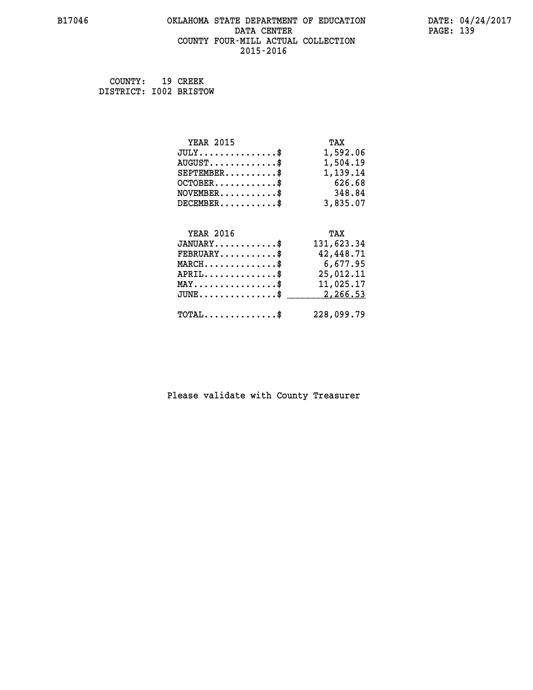### **B17046 OKLAHOMA STATE DEPARTMENT OF EDUCATION DATE: 04/24/2017 DATA CENTER** PAGE: 139  **COUNTY FOUR-MILL ACTUAL COLLECTION 2015-2016**

| COUNTY:                | 19 CREEK |
|------------------------|----------|
| DISTRICT: 1002 BRISTOW |          |

| <b>YEAR 2015</b>                               | TAX        |
|------------------------------------------------|------------|
| $JULY$ \$                                      | 1,592.06   |
| $AUGUST$ \$                                    | 1,504.19   |
| $SEPTEMBER$ \$                                 | 1,139.14   |
| $OCTOBER$ \$                                   | 626.68     |
| $\texttt{NOVEMBER} \dots \dots \dots \$        | 348.84     |
| $DECEMBER$ \$                                  | 3,835.07   |
|                                                |            |
| <b>YEAR 2016</b>                               | TAX        |
|                                                |            |
| $JANUARY$ \$                                   | 131,623.34 |
| $FEBRUARY$                                     | 42,448.71  |
| $MARCH$ \$                                     | 6,677.95   |
| $APRIL$ \$                                     | 25,012.11  |
| $\texttt{MAX} \dots \dots \dots \dots \dots \$ | 11,025.17  |
| $JUNE$ \$                                      | 2,266.53   |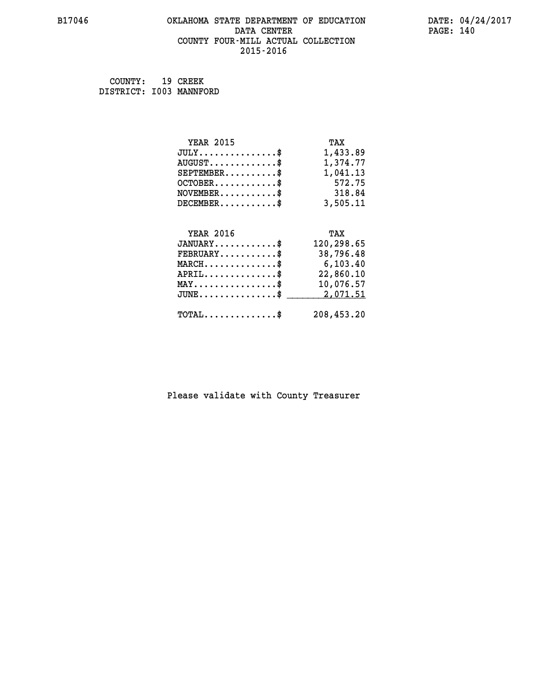## **B17046 OKLAHOMA STATE DEPARTMENT OF EDUCATION DATE: 04/24/2017 DATA CENTER** PAGE: 140  **COUNTY FOUR-MILL ACTUAL COLLECTION 2015-2016**

 **COUNTY: 19 CREEK DISTRICT: I003 MANNFORD**

| <b>YEAR 2015</b>                           | TAX        |
|--------------------------------------------|------------|
| $JULY$ \$                                  | 1,433.89   |
| $AUGUST$ \$                                | 1,374.77   |
| $SEPTEMENT.$ \$                            | 1,041.13   |
| $OCTOBER$ \$                               | 572.75     |
| $NOVEMBER$ \$                              | 318.84     |
| $DECEMBER$ \$                              | 3,505.11   |
|                                            |            |
|                                            |            |
| <b>YEAR 2016</b>                           | TAX        |
| $JANUARY$ \$                               | 120,298.65 |
| $FEBRUARY$                                 | 38,796.48  |
| $MARCH$ \$                                 | 6, 103.40  |
| $APRIL$ \$                                 | 22,860.10  |
| $MAX \dots \dots \dots \dots \dots$        | 10,076.57  |
| $JUNE$ \$                                  | 2,071.51   |
| $\texttt{TOTAL} \dots \dots \dots \dots \$ | 208,453.20 |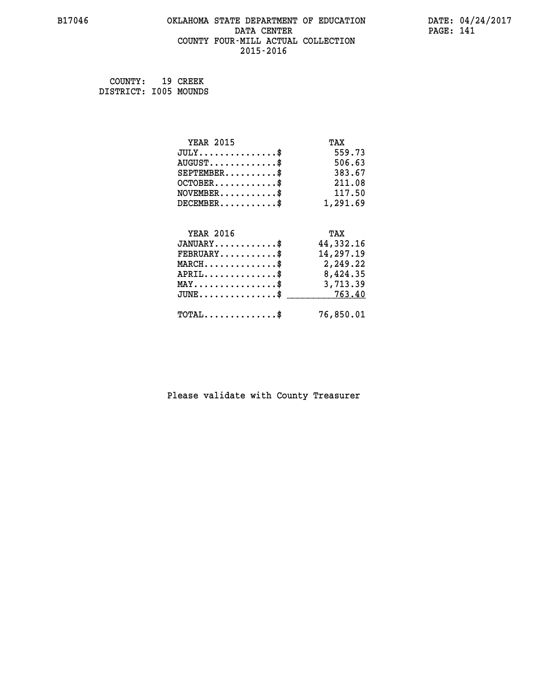## **B17046 OKLAHOMA STATE DEPARTMENT OF EDUCATION DATE: 04/24/2017 DATA CENTER** PAGE: 141  **COUNTY FOUR-MILL ACTUAL COLLECTION 2015-2016**

 **COUNTY: 19 CREEK DISTRICT: I005 MOUNDS**

| <b>YEAR 2015</b>                                 | TAX       |
|--------------------------------------------------|-----------|
| $JULY$ \$                                        | 559.73    |
| $AUGUST$ \$                                      | 506.63    |
| $SEPTEMBER$ \$                                   | 383.67    |
| $OCTOBER$ \$                                     | 211.08    |
| $\texttt{NOVEMBER} \dots \dots \dots \$          | 117.50    |
| $DECEMBER$ \$                                    | 1,291.69  |
|                                                  |           |
| <b>YEAR 2016</b>                                 | TAX       |
| $JANUARY$ \$                                     | 44,332.16 |
| $FEBRUARY$                                       | 14,297.19 |
| $MARCH$ \$                                       | 2,249.22  |
| $APRIL \ldots \ldots \ldots \ldots \$            | 8,424.35  |
| $\texttt{MAX} \dots \dots \dots \dots \dots \$   | 3,713.39  |
| $\texttt{JUNE} \dots \dots \dots \dots \dots \$$ | 763.40    |
| $\texttt{TOTAL} \dots \dots \dots \dots \$       | 76,850.01 |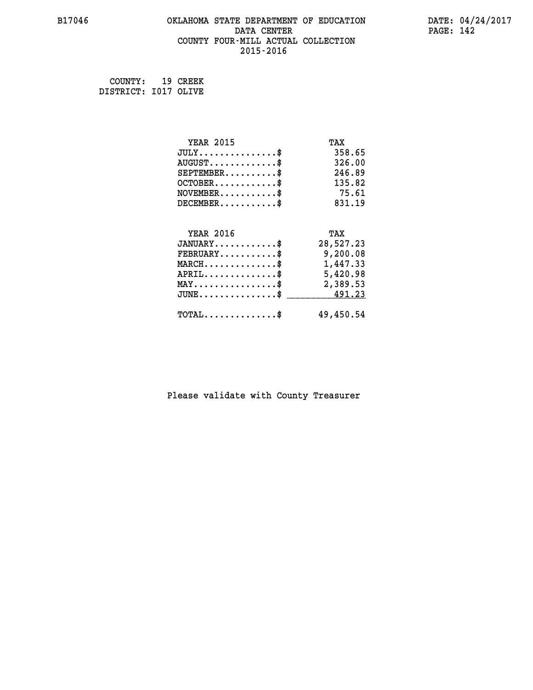## **B17046 OKLAHOMA STATE DEPARTMENT OF EDUCATION DATE: 04/24/2017 DATA CENTER** PAGE: 142  **COUNTY FOUR-MILL ACTUAL COLLECTION 2015-2016**

 **COUNTY: 19 CREEK DISTRICT: I017 OLIVE**

| <b>YEAR 2015</b>                               | TAX       |
|------------------------------------------------|-----------|
| $JULY$ \$                                      | 358.65    |
| $AUGUST$ \$                                    | 326.00    |
| $SEPTEMBER$ \$                                 | 246.89    |
| $OCTOBER$ \$                                   | 135.82    |
| $\texttt{NOVEMBER} \dots \dots \dots \$        | 75.61     |
| $DECEMBER$ \$                                  | 831.19    |
|                                                |           |
| <b>YEAR 2016</b>                               | TAX       |
| $JANUARY$ \$                                   | 28,527.23 |
| $FEBRUARY$                                     | 9,200.08  |
| $MARCH$ \$                                     | 1,447.33  |
| $APRIL \ldots \ldots \ldots \ldots \$          | 5,420.98  |
| $\texttt{MAX} \dots \dots \dots \dots \dots \$ | 2,389.53  |
| $JUNE \ldots \ldots \ldots \ldots$ \$ 491.23   |           |
| $\texttt{TOTAL} \dots \dots \dots \dots$ \$    | 49,450.54 |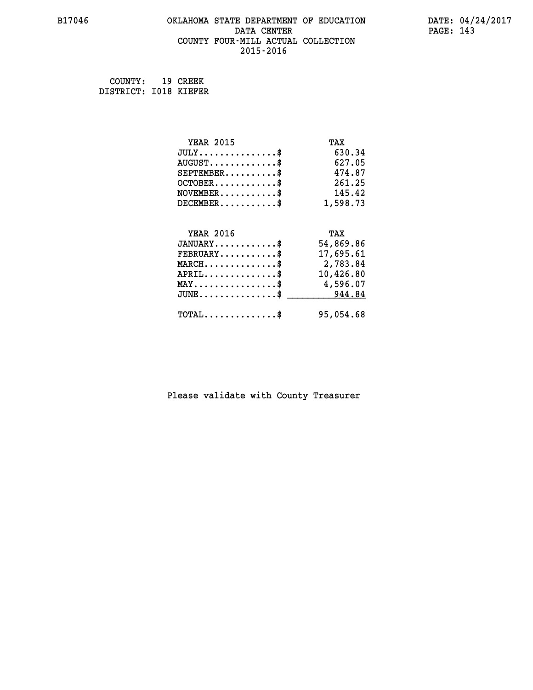## **B17046 OKLAHOMA STATE DEPARTMENT OF EDUCATION DATE: 04/24/2017 DATA CENTER** PAGE: 143  **COUNTY FOUR-MILL ACTUAL COLLECTION 2015-2016**

 **COUNTY: 19 CREEK DISTRICT: I018 KIEFER**

| <b>YEAR 2015</b>                                                          | TAX       |
|---------------------------------------------------------------------------|-----------|
| $JULY$ \$                                                                 | 630.34    |
| $AUGUST$ \$                                                               | 627.05    |
| $SEPTEMBER$ \$                                                            | 474.87    |
| $OCTOBER$ \$                                                              | 261.25    |
| $\verb NOVEMBER , \verb , \verb , \verb , \verb , \verb , \verb , \verb $ | 145.42    |
| $DECEMBER$ \$                                                             | 1,598.73  |
|                                                                           |           |
| <b>YEAR 2016</b>                                                          | TAX       |
| $JANUARY$ \$                                                              | 54,869.86 |
| $FEBRUARY$                                                                | 17,695.61 |
| $\texttt{MARCH}\ldots\ldots\ldots\ldots\clubsuit$                         | 2,783.84  |
| $APRIL \ldots \ldots \ldots \ldots \$                                     | 10,426.80 |
| $\texttt{MAX} \dots \dots \dots \dots \dots \$                            | 4,596.07  |
| $JUNE$ \$                                                                 | 944.84    |
| $\texttt{TOTAL} \dots \dots \dots \dots$ \$                               | 95,054.68 |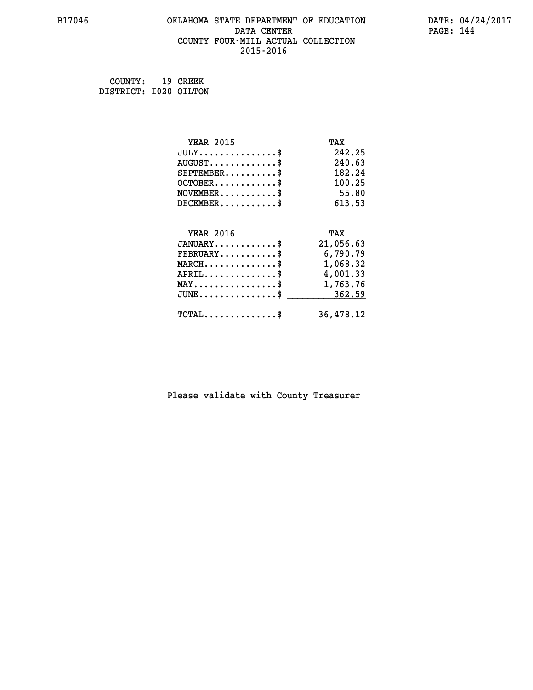## **B17046 OKLAHOMA STATE DEPARTMENT OF EDUCATION DATE: 04/24/2017 DATA CENTER** PAGE: 144  **COUNTY FOUR-MILL ACTUAL COLLECTION 2015-2016**

 **COUNTY: 19 CREEK DISTRICT: I020 OILTON**

| <b>YEAR 2015</b>                               | TAX       |
|------------------------------------------------|-----------|
| $JULY$ \$                                      | 242.25    |
| $AUGUST$ \$                                    | 240.63    |
| $SEPTEMBER$ \$                                 | 182.24    |
| $OCTOBER$ \$                                   | 100.25    |
| $NOVEMBER$ \$                                  | 55.80     |
| $DECEMBER$ \$                                  | 613.53    |
|                                                |           |
| <b>YEAR 2016</b>                               | TAX       |
| $JANUARY$ \$                                   | 21,056.63 |
| $FEBRUARY$ \$                                  | 6,790.79  |
| $MARCH$ \$                                     | 1,068.32  |
| $APRIL \ldots \ldots \ldots \ldots \$          | 4,001.33  |
| $\texttt{MAX} \dots \dots \dots \dots \dots \$ | 1,763.76  |
| $JUNE$ \$                                      | 362.59    |
| $\texttt{TOTAL} \dots \dots \dots \dots$       | 36,478.12 |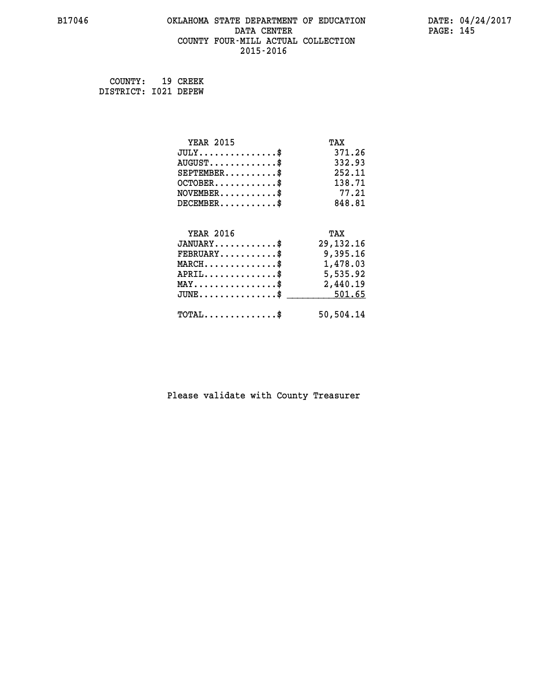### **B17046 OKLAHOMA STATE DEPARTMENT OF EDUCATION DATE: 04/24/2017 DATA CENTER** PAGE: 145  **COUNTY FOUR-MILL ACTUAL COLLECTION 2015-2016**

 **COUNTY: 19 CREEK DISTRICT: I021 DEPEW**

| <b>YEAR 2015</b>                                 | TAX         |
|--------------------------------------------------|-------------|
| $JULY$ \$                                        | 371.26      |
| $AUGUST$ \$                                      | 332.93      |
| $SEPTEMBER$ \$                                   | 252.11      |
| $OCTOBER$ \$                                     | 138.71      |
| $NOVEMBER$ \$                                    | 77.21       |
| $DECEMBER$ \$                                    | 848.81      |
|                                                  |             |
| <b>YEAR 2016</b>                                 | TAX         |
| $JANUARY$ \$                                     | 29, 132. 16 |
| $FEBRUARY$                                       | 9,395.16    |
| $\texttt{MARCH}\ldots\ldots\ldots\ldots\$        | 1,478.03    |
| $APRIL \ldots \ldots \ldots \ldots \$            | 5,535.92    |
| $\texttt{MAX} \dots \dots \dots \dots \dots \$   | 2,440.19    |
| $\mathtt{JUNE} \ldots \ldots \ldots \ldots \ast$ | 501.65      |
| $\texttt{TOTAL} \dots \dots \dots \dots \$       | 50,504.14   |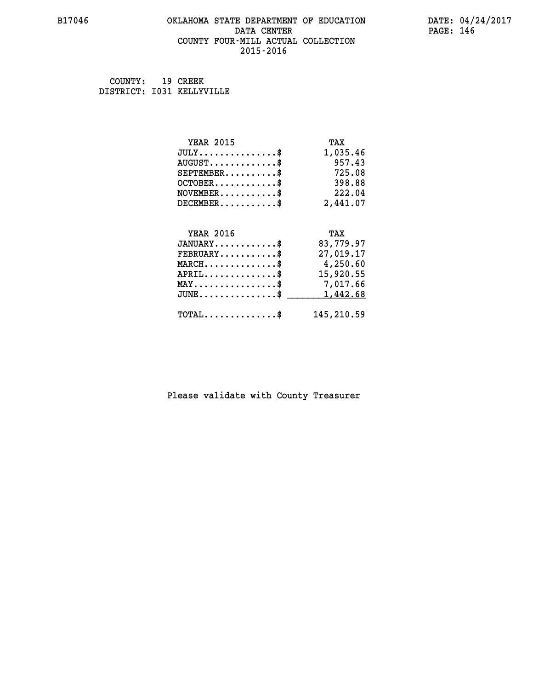### **B17046 OKLAHOMA STATE DEPARTMENT OF EDUCATION DATE: 04/24/2017 DATA CENTER** PAGE: 146  **COUNTY FOUR-MILL ACTUAL COLLECTION 2015-2016**

 **COUNTY: 19 CREEK DISTRICT: I031 KELLYVILLE**

| <b>YEAR 2015</b>                    | TAX        |
|-------------------------------------|------------|
| $JULY$ \$                           | 1,035.46   |
| $AUGUST$ \$                         | 957.43     |
| $SEPTEMBER$ \$                      | 725.08     |
| $OCTOBER$ \$                        | 398.88     |
| $NOVEMBER$ \$                       | 222.04     |
| $DECEMBER$ \$                       | 2,441.07   |
|                                     |            |
| <b>YEAR 2016</b>                    | TAX        |
| $JANUARY$ \$                        | 83,779.97  |
| $FEBRUARY$                          | 27,019.17  |
| $MARCH$ \$                          | 4,250.60   |
| $APRIL$ \$                          | 15,920.55  |
| $MAX \dots \dots \dots \dots \dots$ | 7,017.66   |
| $JUNE$ \$                           | 1,442.68   |
| $TOTAL$ \$                          | 145,210.59 |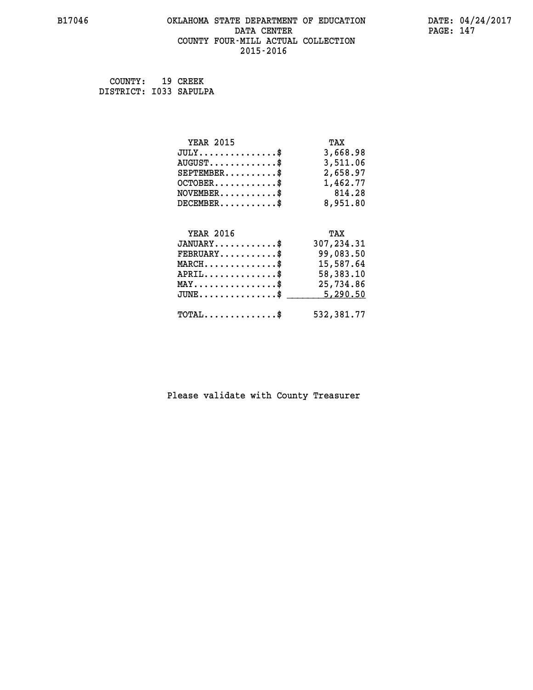### **B17046 OKLAHOMA STATE DEPARTMENT OF EDUCATION DATE: 04/24/2017 DATA CENTER** PAGE: 147  **COUNTY FOUR-MILL ACTUAL COLLECTION 2015-2016**

 **COUNTY: 19 CREEK DISTRICT: I033 SAPULPA**

| <b>YEAR 2015</b>                               | TAX        |
|------------------------------------------------|------------|
| $JULY$ \$                                      | 3,668.98   |
| $AUGUST$ \$                                    | 3,511.06   |
| $SEPTEMENT.$ \$                                | 2,658.97   |
| $OCTOBER$ \$                                   | 1,462.77   |
| $NOVEMBER$ \$                                  | 814.28     |
| $DECEMBER$ \$                                  | 8,951.80   |
|                                                |            |
|                                                |            |
| <b>YEAR 2016</b>                               | TAX        |
| $JANUARY$ \$                                   | 307,234.31 |
| $FEBRUARY$                                     | 99,083.50  |
| $MARCH$ \$                                     | 15,587.64  |
| $APRIL$ \$                                     | 58,383.10  |
| $\texttt{MAX} \dots \dots \dots \dots \dots \$ | 25,734.86  |
| $JUNE$ $$$                                     | 5,290.50   |
| $\texttt{TOTAL} \dots \dots \dots \dots \$     | 532,381.77 |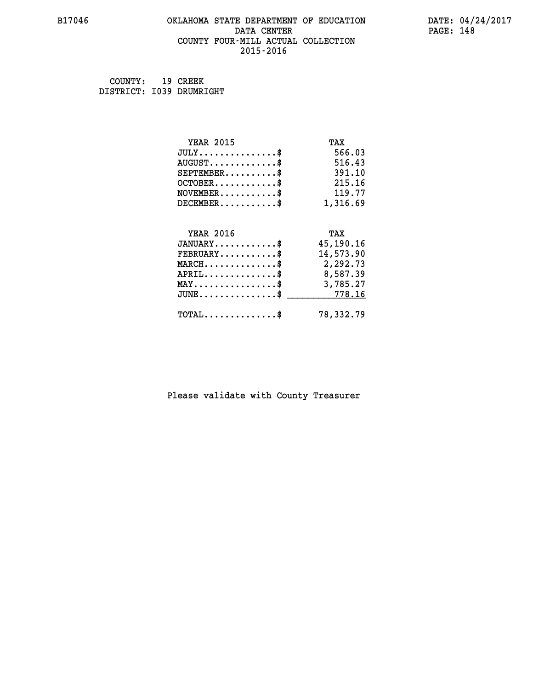### **B17046 OKLAHOMA STATE DEPARTMENT OF EDUCATION DATE: 04/24/2017 DATA CENTER** PAGE: 148  **COUNTY FOUR-MILL ACTUAL COLLECTION 2015-2016**

 **COUNTY: 19 CREEK DISTRICT: I039 DRUMRIGHT**

| <b>YEAR 2015</b>                                 | TAX       |
|--------------------------------------------------|-----------|
| $JULY$ \$                                        | 566.03    |
| $AUGUST$ \$                                      | 516.43    |
| $SEPTEMBER$ \$                                   | 391.10    |
| $OCTOBER$ \$                                     | 215.16    |
| $\texttt{NOVEMBER} \dots \dots \dots \$          | 119.77    |
| $DECEMBER$ \$                                    | 1,316.69  |
|                                                  |           |
| <b>YEAR 2016</b>                                 | TAX       |
| $JANUARY$ \$                                     | 45,190.16 |
| $FEBRUARY$                                       | 14,573.90 |
| $\texttt{MARCH}\ldots\ldots\ldots\ldots\text{*}$ | 2,292.73  |
| $APRIL \ldots \ldots \ldots \ldots \$            | 8,587.39  |
| $\texttt{MAX} \dots \dots \dots \dots \dots \$   | 3,785.27  |
| $JUNE \ldots \ldots \ldots \ldots$ \$ 778.16     |           |
| $\texttt{TOTAL} \dots \dots \dots \dots \$       | 78,332.79 |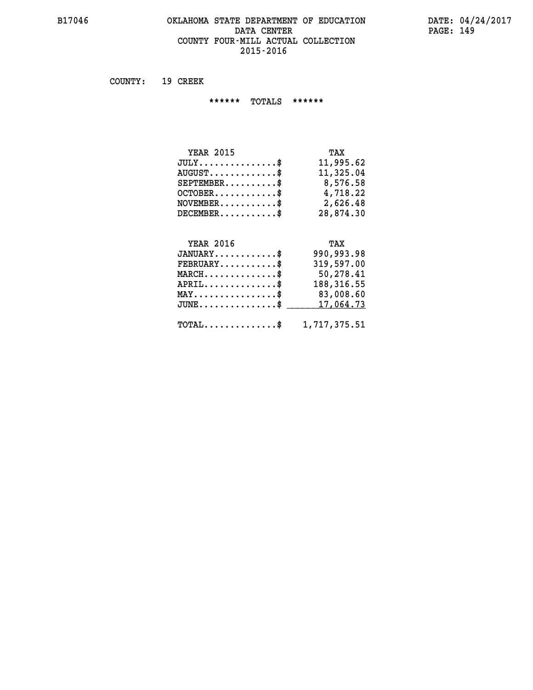### **B17046 OKLAHOMA STATE DEPARTMENT OF EDUCATION DATE: 04/24/2017 DATA CENTER** PAGE: 149  **COUNTY FOUR-MILL ACTUAL COLLECTION 2015-2016**

 **COUNTY: 19 CREEK**

 **\*\*\*\*\*\* TOTALS \*\*\*\*\*\***

| <b>YEAR 2015</b>                 | TAX       |
|----------------------------------|-----------|
| $JULY$                           | 11,995.62 |
| $AUGUST \ldots \ldots \ldots$ \$ | 11,325.04 |
| $SEPTEMBER$ $\$                  | 8,576.58  |
| $OCTOBER$ \$                     | 4,718.22  |
| $NOVEMBER$ \$                    | 2,626.48  |
| $DECEMBER$                       | 28,874.30 |

# **YEAR 2016 TAX**

| $JANUARY$                                      | 990,993.98                                              |
|------------------------------------------------|---------------------------------------------------------|
| $\texttt{FEBRUARY} \dots \dots \dots \$        | 319,597.00                                              |
| $MARCH$ \$                                     | 50,278.41                                               |
| $APRIL$ \$                                     | 188,316.55                                              |
| $\texttt{MAX} \dots \dots \dots \dots \dots \$ | 83,008.60                                               |
|                                                | $JUNE \dots \dots \dots \dots \$ 17,064.73              |
|                                                | $\texttt{TOTAL} \dots \dots \dots \dots \$ 1,717,375.51 |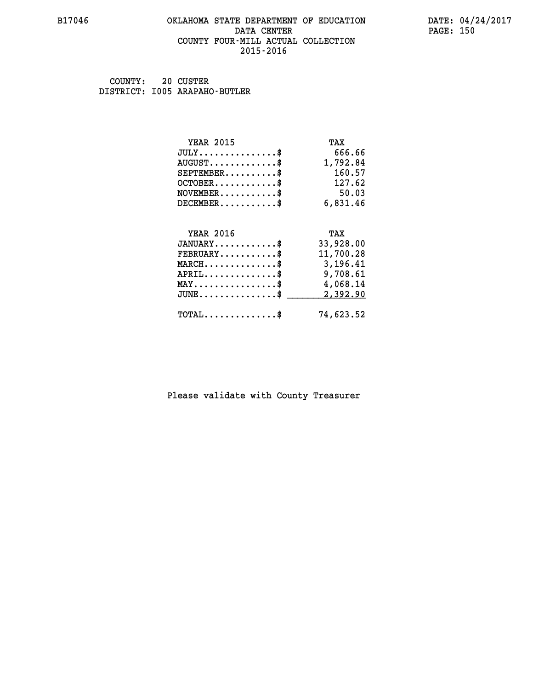### **B17046 OKLAHOMA STATE DEPARTMENT OF EDUCATION DATE: 04/24/2017 DATA CENTER** PAGE: 150  **COUNTY FOUR-MILL ACTUAL COLLECTION 2015-2016**

 **COUNTY: 20 CUSTER DISTRICT: I005 ARAPAHO-BUTLER**

| <b>YEAR 2015</b>                           | TAX       |
|--------------------------------------------|-----------|
| $JULY$ \$                                  | 666.66    |
| $AUGUST$ \$                                | 1,792.84  |
| $SEPTEMBER$ \$                             | 160.57    |
| $OCTOBER$ \$                               | 127.62    |
| $NOVEMBER$ \$                              | 50.03     |
| $DECEMBER$ \$                              | 6,831.46  |
| <b>YEAR 2016</b>                           | TAX       |
| $JANUARY$ \$                               | 33,928.00 |
| $FEBRUARY$                                 | 11,700.28 |
| $MARCH$ \$                                 | 3,196.41  |
| $APRIL$ \$                                 | 9,708.61  |
| $MAX \dots \dots \dots \dots \dots$        | 4,068.14  |
| $JUNE$ \$                                  | 2,392.90  |
| $\texttt{TOTAL} \dots \dots \dots \dots \$ | 74,623.52 |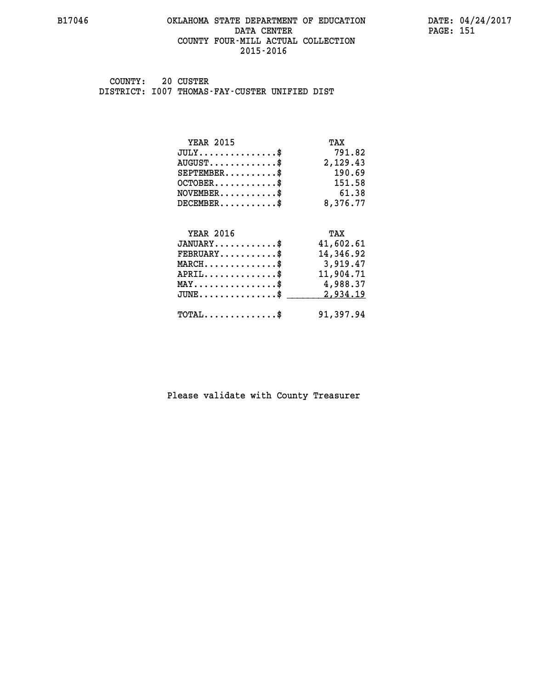### **B17046 OKLAHOMA STATE DEPARTMENT OF EDUCATION DATE: 04/24/2017 DATA CENTER** PAGE: 151  **COUNTY FOUR-MILL ACTUAL COLLECTION 2015-2016**

 **COUNTY: 20 CUSTER DISTRICT: I007 THOMAS-FAY-CUSTER UNIFIED DIST**

| <b>YEAR 2015</b>                               | TAX       |
|------------------------------------------------|-----------|
| $JULY$ \$                                      | 791.82    |
| $AUGUST$ \$                                    | 2,129.43  |
| $SEPTEMENT.$ \$                                | 190.69    |
| $OCTOBER$ \$                                   | 151.58    |
| $NOVEMBER$ \$                                  | 61.38     |
| $DECEMBER$ \$                                  | 8,376.77  |
|                                                |           |
| <b>YEAR 2016</b>                               | TAX       |
|                                                |           |
| $JANUARY$ \$                                   | 41,602.61 |
| $FEBRUARY$ \$                                  | 14,346.92 |
| $MARCH$ \$                                     | 3,919.47  |
| $APRIL$ \$                                     | 11,904.71 |
| $\texttt{MAX} \dots \dots \dots \dots \dots \$ | 4,988.37  |
| $JUNE$ \$                                      | 2,934.19  |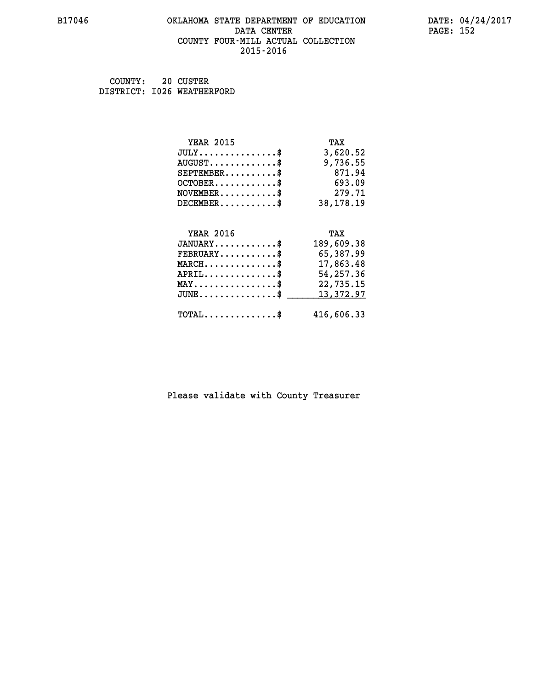### **B17046 OKLAHOMA STATE DEPARTMENT OF EDUCATION DATE: 04/24/2017 DATA CENTER** PAGE: 152  **COUNTY FOUR-MILL ACTUAL COLLECTION 2015-2016**

 **COUNTY: 20 CUSTER DISTRICT: I026 WEATHERFORD**

| <b>YEAR 2015</b>                           | TAX        |
|--------------------------------------------|------------|
| $JULY$ \$                                  | 3,620.52   |
| $AUGUST$ \$                                | 9,736.55   |
| $SEPTEMBER$ \$                             | 871.94     |
| $OCTOBER$ \$                               | 693.09     |
| $NOVEMBER$ \$                              | 279.71     |
| $DECEMBER$ \$                              | 38,178.19  |
|                                            |            |
| <b>YEAR 2016</b>                           | TAX        |
| $JANUARY$ \$                               | 189,609.38 |
| $FEBRUARY$                                 | 65,387.99  |
| $MARCH$ \$                                 | 17,863.48  |
| $APRIL$ \$                                 | 54,257.36  |
| $MAX \dots \dots \dots \dots \$            | 22,735.15  |
| $JUNE$ \$                                  | 13,372.97  |
|                                            |            |
| $\texttt{TOTAL} \dots \dots \dots \dots \$ | 416,606.33 |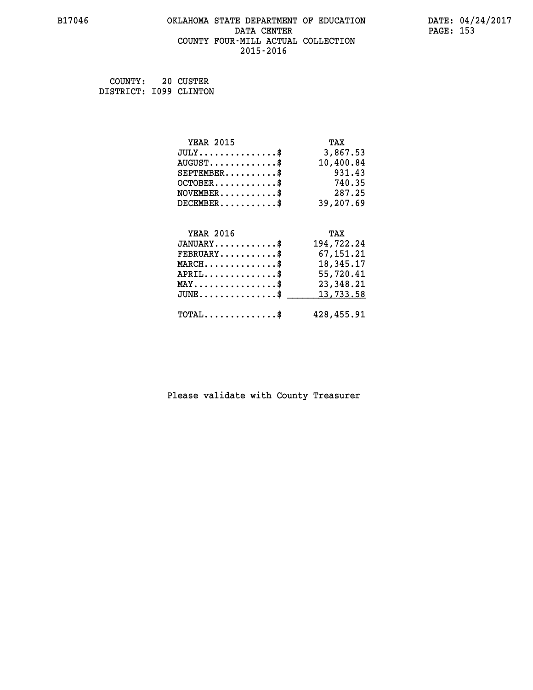### **B17046 OKLAHOMA STATE DEPARTMENT OF EDUCATION DATE: 04/24/2017 DATA CENTER** PAGE: 153  **COUNTY FOUR-MILL ACTUAL COLLECTION 2015-2016**

| COUNTY:                | 20 CUSTER |
|------------------------|-----------|
| DISTRICT: 1099 CLINTON |           |

| <b>YEAR 2015</b>                               | TAX        |
|------------------------------------------------|------------|
| $JULY$ \$                                      | 3,867.53   |
| $AUGUST$ \$                                    | 10,400.84  |
| $SEPTEMBER$ \$                                 | 931.43     |
| $OCTOBER$ \$                                   | 740.35     |
| $\texttt{NOVEMBER} \dots \dots \dots \$        | 287.25     |
| $DECEMBER$ \$                                  | 39,207.69  |
|                                                |            |
| <b>YEAR 2016</b>                               | TAX        |
| $JANUARY$ \$                                   | 194,722.24 |
| $FEBRUARY$                                     | 67,151.21  |
| $\texttt{MARCH}\ldots\ldots\ldots\ldots\$      | 18,345.17  |
| $APRIL \ldots \ldots \ldots \ldots \$          | 55,720.41  |
| $\texttt{MAX} \dots \dots \dots \dots \dots \$ | 23,348.21  |
|                                                |            |
| $JUNE$ \$                                      | 13,733.58  |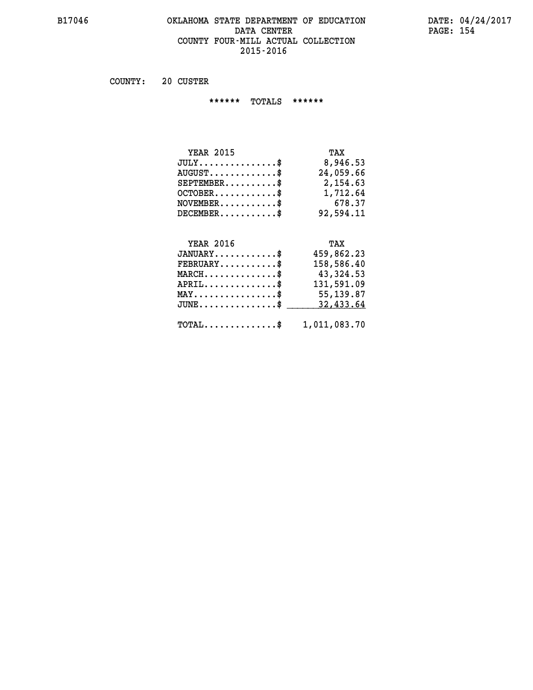### **B17046 OKLAHOMA STATE DEPARTMENT OF EDUCATION DATE: 04/24/2017 DATA CENTER** PAGE: 154  **COUNTY FOUR-MILL ACTUAL COLLECTION 2015-2016**

 **COUNTY: 20 CUSTER**

 **\*\*\*\*\*\* TOTALS \*\*\*\*\*\***

| <b>YEAR 2015</b> | TAX       |
|------------------|-----------|
| $JULY$           | 8,946.53  |
| $AUGUST$         | 24,059.66 |
| $SEPTEMBER$ $\$  | 2,154.63  |
| $OCTOBER$ \$     | 1,712.64  |
| $NOVEMBER$ \$    | 678.37    |
| $DECEMBER$ \$    | 92,594.11 |

## **YEAR 2016 TAX**

| $JANUARY$                                               | 459,862.23 |
|---------------------------------------------------------|------------|
| $FEBRUARY$ \$                                           | 158,586.40 |
| $MARCH$ \$                                              | 43,324.53  |
| $APRIL$ \$                                              | 131,591.09 |
| $MAX \dots \dots \dots \dots \dots \$                   | 55, 139.87 |
| $JUNE \dots \dots \dots \dots \$ 32,433.64              |            |
| $\texttt{TOTAL} \dots \dots \dots \dots \$ 1,011,083.70 |            |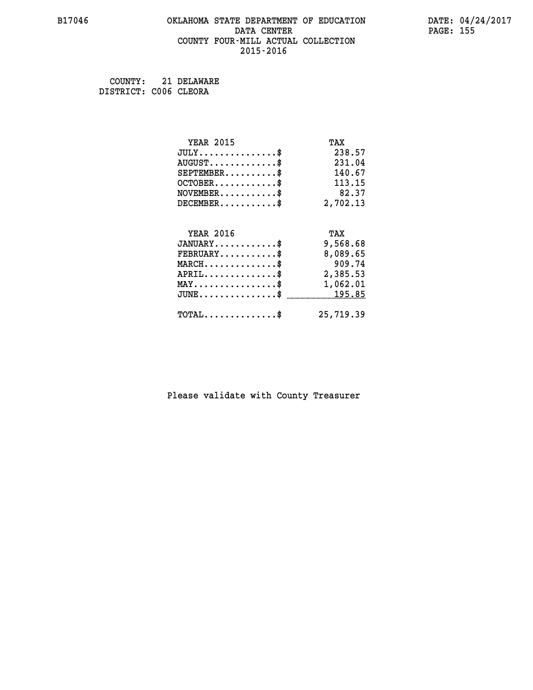### **B17046 OKLAHOMA STATE DEPARTMENT OF EDUCATION DATE: 04/24/2017 DATA CENTER** PAGE: 155  **COUNTY FOUR-MILL ACTUAL COLLECTION 2015-2016**

 **COUNTY: 21 DELAWARE DISTRICT: C006 CLEORA**

| <b>YEAR 2015</b>                                   | TAX       |
|----------------------------------------------------|-----------|
| $JULY$ \$                                          | 238.57    |
| $AUGUST$ \$                                        | 231.04    |
| $SEPTEMBER$ \$                                     | 140.67    |
| $OCTOBER$ \$                                       | 113.15    |
| $NOVEMBER$ \$                                      | 82.37     |
| $DECEMBER$ \$                                      | 2,702.13  |
|                                                    |           |
| <b>YEAR 2016</b>                                   | TAX       |
| $JANUARY$                                          | 9,568.68  |
| $FEBRUARY$                                         | 8,089.65  |
| $MARCH$ \$                                         | 909.74    |
| $APRIL$ \$                                         | 2,385.53  |
| $\texttt{MAX} \dots \dots \dots \dots \dots \$     | 1,062.01  |
| $\texttt{JUNE} \dots \dots \dots \dots \texttt{S}$ | 195.85    |
| $\texttt{TOTAL} \dots \dots \dots \dots \$         | 25,719.39 |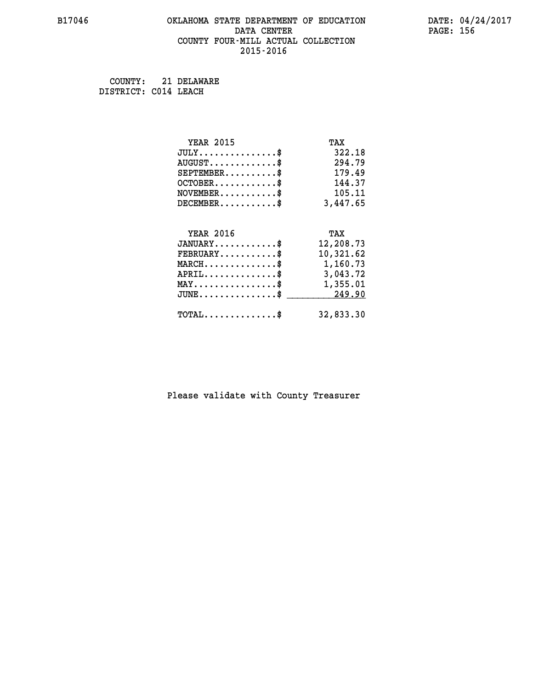### **B17046 OKLAHOMA STATE DEPARTMENT OF EDUCATION DATE: 04/24/2017 DATA CENTER** PAGE: 156  **COUNTY FOUR-MILL ACTUAL COLLECTION 2015-2016**

 **COUNTY: 21 DELAWARE DISTRICT: C014 LEACH**

| <b>YEAR 2015</b>                           | TAX       |
|--------------------------------------------|-----------|
| $JULY$                                     | 322.18    |
| $AUGUST$ \$                                | 294.79    |
| $SEPTEMBER$ \$                             | 179.49    |
| $OCTOBER$ \$                               | 144.37    |
| $NOVEMBER$ \$                              | 105.11    |
| $DECEMENT.$                                | 3,447.65  |
| <b>YEAR 2016</b>                           | TAX       |
| $JANUARY$ \$                               | 12,208.73 |
| $FEBRUARY$ \$                              | 10,321.62 |
| $MARCH$ \$                                 | 1,160.73  |
| $APRIL$ \$                                 | 3,043.72  |
| $MAX \dots \dots \dots \dots \dots$        | 1,355.01  |
| $JUNE$                                     | 249.90    |
| $\texttt{TOTAL} \dots \dots \dots \dots \$ | 32,833.30 |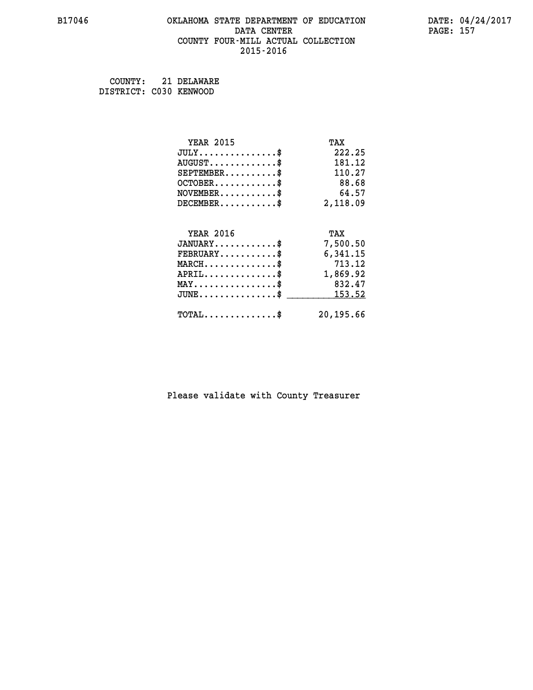### **B17046 OKLAHOMA STATE DEPARTMENT OF EDUCATION DATE: 04/24/2017 DATA CENTER** PAGE: 157  **COUNTY FOUR-MILL ACTUAL COLLECTION 2015-2016**

 **COUNTY: 21 DELAWARE DISTRICT: C030 KENWOOD**

| <b>YEAR 2015</b>                           | TAX       |
|--------------------------------------------|-----------|
| $JULY$ \$                                  | 222.25    |
| $AUGUST$ \$                                | 181.12    |
| $SEPTEMBER$ \$                             | 110.27    |
| $OCTOBER$ \$                               | 88.68     |
| $\texttt{NOVEMBER} \dots \dots \dots \$    | 64.57     |
| $DECEMBER$ \$                              | 2,118.09  |
| <b>YEAR 2016</b>                           | TAX       |
| $JANUARY$ \$                               | 7,500.50  |
| $FEBRUARY$ \$                              | 6,341.15  |
| $MARCH$ \$                                 | 713.12    |
| $APRIL \ldots \ldots \ldots \ldots$        | 1,869.92  |
|                                            |           |
| $MAX \dots \dots \dots \dots \dots$        | 832.47    |
| $JUNE$ \$                                  | 153.52    |
| $\texttt{TOTAL} \dots \dots \dots \dots \$ | 20,195.66 |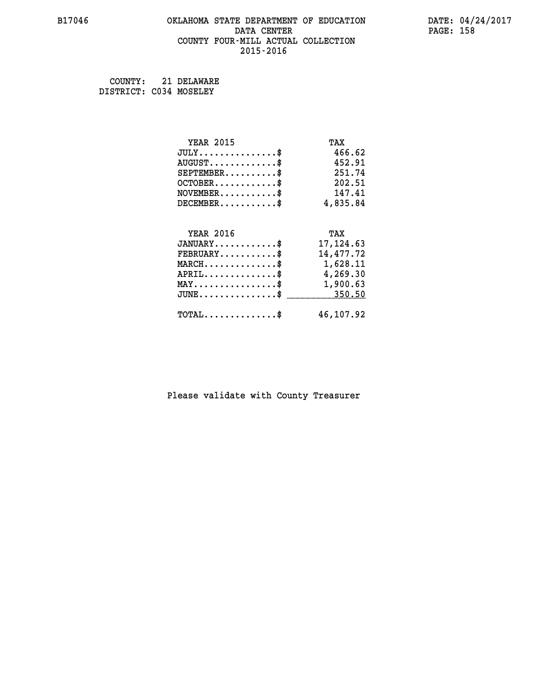### **B17046 OKLAHOMA STATE DEPARTMENT OF EDUCATION DATE: 04/24/2017 DATA CENTER** PAGE: 158  **COUNTY FOUR-MILL ACTUAL COLLECTION 2015-2016**

 **COUNTY: 21 DELAWARE DISTRICT: C034 MOSELEY**

| <b>YEAR 2015</b>                               | TAX         |
|------------------------------------------------|-------------|
| $JULY$ \$                                      | 466.62      |
| $AUGUST$ \$                                    | 452.91      |
| $SEPTEMENT.$ \$                                | 251.74      |
| $OCTOBER$ \$                                   | 202.51      |
| $\texttt{NOVEMBER} \dots \dots \dots \$        | 147.41      |
| $DECEMBER$ \$                                  | 4,835.84    |
|                                                |             |
| <b>YEAR 2016</b>                               | TAX         |
| $JANUARY$ \$                                   | 17, 124, 63 |
| $FEBRUARY$                                     | 14,477.72   |
| $MARCH$ \$                                     | 1,628.11    |
| $APRIL \ldots \ldots \ldots \ldots \$          | 4,269.30    |
| $\texttt{MAX} \dots \dots \dots \dots \dots \$ | 1,900.63    |
| $JUNE \ldots \ldots \ldots \ldots \ast$        | 350.50      |
| $\texttt{TOTAL} \dots \dots \dots \dots \$     | 46,107.92   |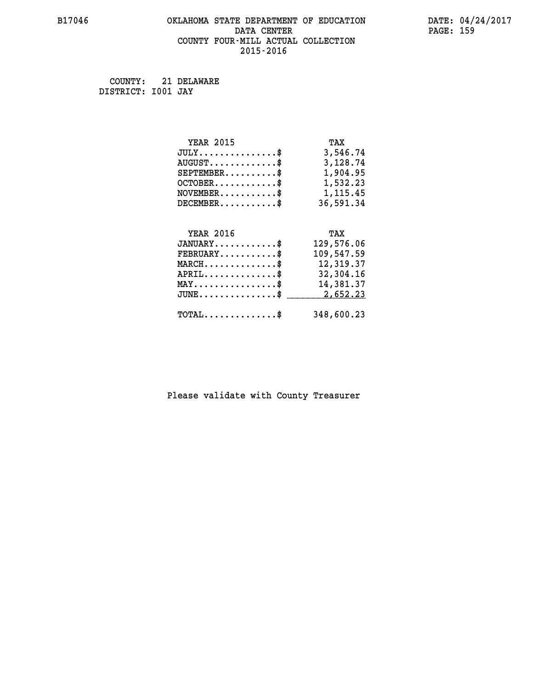### **B17046 OKLAHOMA STATE DEPARTMENT OF EDUCATION DATE: 04/24/2017 DATA CENTER** PAGE: 159  **COUNTY FOUR-MILL ACTUAL COLLECTION 2015-2016**

 **COUNTY: 21 DELAWARE DISTRICT: I001 JAY**

| <b>YEAR 2015</b>                               | TAX        |
|------------------------------------------------|------------|
| $JULY$ \$                                      | 3,546.74   |
| $AUGUST$ \$                                    | 3,128.74   |
| $SEPTEMBER$ \$                                 | 1,904.95   |
| $OCTOBER$ \$                                   | 1,532.23   |
| $\texttt{NOVEMBER} \dots \dots \dots \$        | 1,115.45   |
| $DECEMBER$ \$                                  | 36,591.34  |
|                                                |            |
| <b>YEAR 2016</b>                               | TAX        |
| $JANUARY$ \$                                   | 129,576.06 |
| $FEBRUARY$ \$                                  | 109,547.59 |
| $MARCH$ \$                                     | 12,319.37  |
| $APRIL \ldots \ldots \ldots \ldots$ \$         | 32,304.16  |
| $\texttt{MAX} \dots \dots \dots \dots \dots \$ | 14,381.37  |
| $JUNE$ \$                                      | 2,652.23   |
| $\texttt{TOTAL} \dots \dots \dots \dots \$     | 348,600.23 |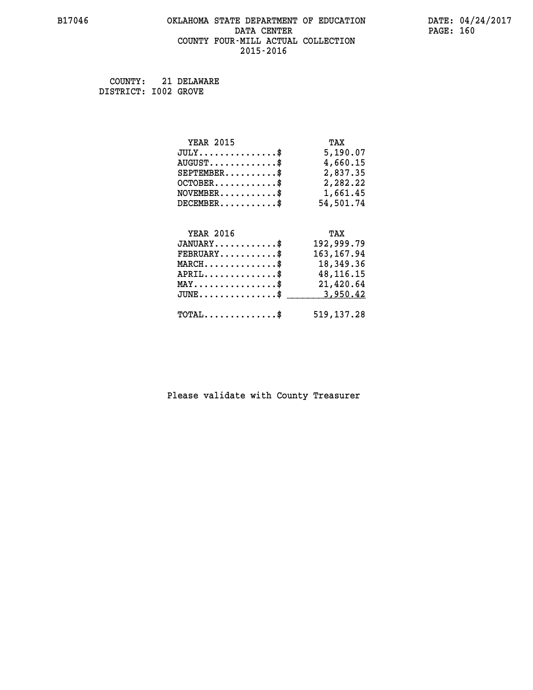### **B17046 OKLAHOMA STATE DEPARTMENT OF EDUCATION DATE: 04/24/2017 DATA CENTER** PAGE: 160  **COUNTY FOUR-MILL ACTUAL COLLECTION 2015-2016**

 **COUNTY: 21 DELAWARE DISTRICT: I002 GROVE**

| <b>YEAR 2015</b>                                   | TAX          |
|----------------------------------------------------|--------------|
| $JULY$ \$                                          | 5,190.07     |
| $AUGUST$ \$                                        | 4,660.15     |
| $SEPTEMBER$ \$                                     | 2,837.35     |
| $OCTOBER$ \$                                       | 2,282.22     |
| $\texttt{NOVEMBER} \dots \dots \dots \$            | 1,661.45     |
| $DECEMBER$ \$                                      | 54,501.74    |
|                                                    |              |
| <b>YEAR 2016</b>                                   | TAX          |
| $JANUARY$ \$                                       | 192,999.79   |
| $\texttt{FEBRUARY} \dots \dots \dots \$            | 163, 167.94  |
| $\texttt{MARCH}\ldots\ldots\ldots\ldots\clubsuit$  | 18,349.36    |
| $APRIL \ldots \ldots \ldots \ldots$                | 48,116.15    |
| $\texttt{MAX} \dots \dots \dots \dots \dots \$     | 21,420.64    |
| $\texttt{JUNE} \dots \dots \dots \dots \texttt{S}$ | 3,950.42     |
| $\texttt{TOTAL} \dots \dots \dots \dots \$         | 519, 137. 28 |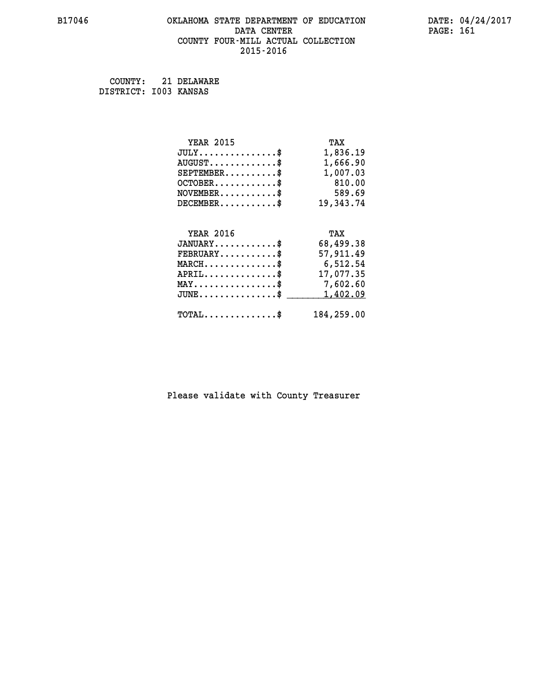### **B17046 OKLAHOMA STATE DEPARTMENT OF EDUCATION DATE: 04/24/2017 DATA CENTER** PAGE: 161  **COUNTY FOUR-MILL ACTUAL COLLECTION 2015-2016**

 **COUNTY: 21 DELAWARE DISTRICT: I003 KANSAS**

| <b>YEAR 2015</b>                               | TAX        |
|------------------------------------------------|------------|
| $JULY$ \$                                      | 1,836.19   |
| $AUGUST$ \$                                    | 1,666.90   |
| $SEPTEMBER$ \$                                 | 1,007.03   |
| $OCTOBER$ \$                                   | 810.00     |
| $NOVEMBER.$ \$                                 | 589.69     |
| $DECEMBER$ \$                                  | 19,343.74  |
|                                                |            |
| <b>YEAR 2016</b>                               | TAX        |
| $JANUARY$ \$                                   | 68,499.38  |
| $FEBRUARY$ \$                                  | 57,911.49  |
| $MARCH$ \$                                     | 6,512.54   |
| $APRIL \ldots \ldots \ldots \ldots$            | 17,077.35  |
| $\texttt{MAX} \dots \dots \dots \dots \dots \$ | 7,602.60   |
| $JUNE$ \$                                      | 1,402.09   |
|                                                |            |
| $\texttt{TOTAL} \dots \dots \dots \dots \$     | 184,259.00 |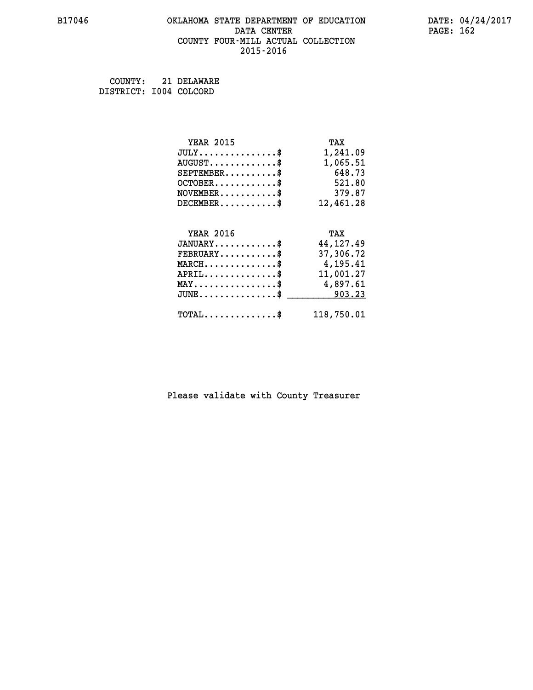### **B17046 OKLAHOMA STATE DEPARTMENT OF EDUCATION DATE: 04/24/2017 DATA CENTER** PAGE: 162  **COUNTY FOUR-MILL ACTUAL COLLECTION 2015-2016**

 **COUNTY: 21 DELAWARE DISTRICT: I004 COLCORD**

| <b>YEAR 2015</b>                                 | TAX         |
|--------------------------------------------------|-------------|
| $JULY$ \$                                        | 1,241.09    |
| $AUGUST$ \$                                      | 1,065.51    |
| $SEPTEMBER$ \$                                   | 648.73      |
| $OCTOBER$ \$                                     | 521.80      |
| $NOVEMBER.$ \$                                   | 379.87      |
| $DECEMBER$ \$                                    | 12,461.28   |
|                                                  |             |
| <b>YEAR 2016</b>                                 | TAX         |
| $JANUARY$ \$                                     | 44, 127, 49 |
| $FEBRUARY$                                       | 37,306.72   |
| $MARCH$ \$                                       | 4,195.41    |
| $APRIL \ldots \ldots \ldots \ldots *$            | 11,001.27   |
| MAY\$ 4,897.61                                   |             |
| $\texttt{JUNE} \dots \dots \dots \dots \dots \$$ | 903.23      |
| $\texttt{TOTAL} \dots \dots \dots \dots$ \$      | 118,750.01  |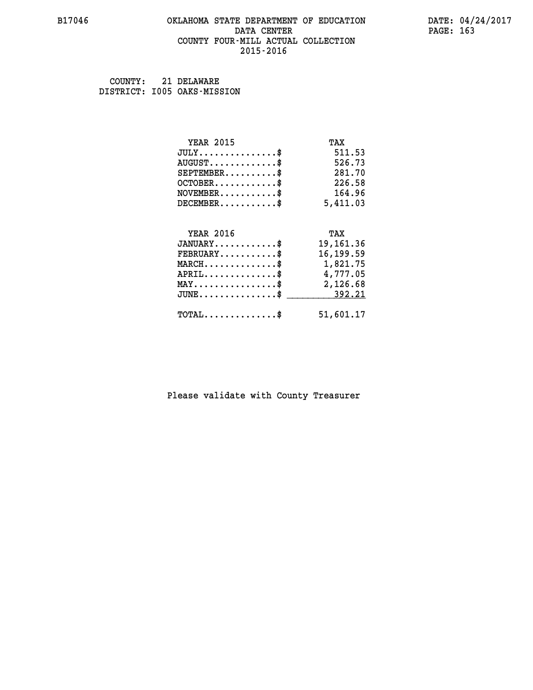### **B17046 OKLAHOMA STATE DEPARTMENT OF EDUCATION DATE: 04/24/2017 DATA CENTER** PAGE: 163  **COUNTY FOUR-MILL ACTUAL COLLECTION 2015-2016**

 **COUNTY: 21 DELAWARE DISTRICT: I005 OAKS-MISSION**

| <b>YEAR 2015</b>                               | TAX       |
|------------------------------------------------|-----------|
| $JULY$ \$                                      | 511.53    |
| $AUGUST$ \$                                    | 526.73    |
| $SEPTEMBER$ \$                                 | 281.70    |
| $OCTOBER$ \$                                   | 226.58    |
| $\texttt{NOVEMBER} \dots \dots \dots \$        | 164.96    |
| $DECEMBER$ \$                                  | 5,411.03  |
|                                                |           |
| <b>YEAR 2016</b>                               | TAX       |
| $JANUARY$ \$                                   | 19,161.36 |
| $FEBRUARY$                                     | 16,199.59 |
| MARCH\$ 1,821.75                               |           |
| $APRIL \ldots \ldots \ldots \ldots \$          | 4,777.05  |
| $\texttt{MAX} \dots \dots \dots \dots \dots \$ | 2,126.68  |
| $JUNE$ \$                                      | 392.21    |
| $\texttt{TOTAL} \dots \dots \dots \dots \$     | 51,601.17 |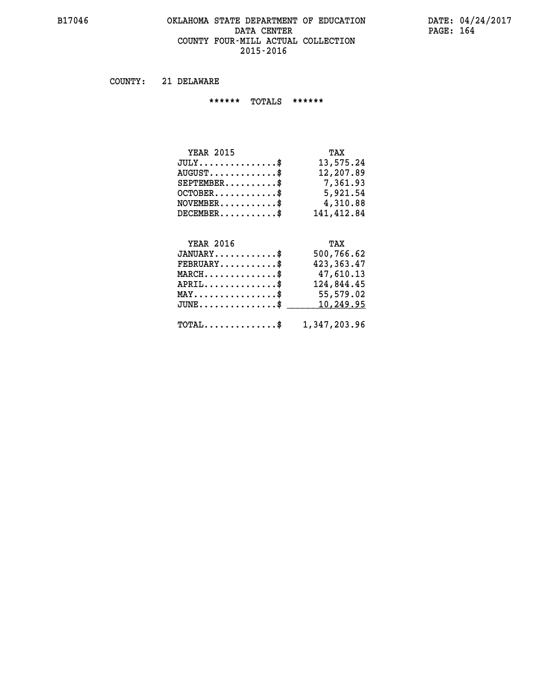### **B17046 OKLAHOMA STATE DEPARTMENT OF EDUCATION DATE: 04/24/2017 DATA CENTER** PAGE: 164  **COUNTY FOUR-MILL ACTUAL COLLECTION 2015-2016**

 **COUNTY: 21 DELAWARE**

 **\*\*\*\*\*\* TOTALS \*\*\*\*\*\***

| <b>YEAR 2015</b>                 | TAX        |
|----------------------------------|------------|
| $JULY \ldots \ldots \ldots \$    | 13,575.24  |
| $AUGUST \ldots \ldots \ldots$ \$ | 12,207.89  |
| $SEPTEMBER$ $\$                  | 7,361.93   |
| $OCTOBER$ \$                     | 5,921.54   |
| $NOVEMBER$ \$                    | 4,310.88   |
| $DECEMBER$ \$                    | 141,412.84 |

### **YEAR 2016**

| <b>YEAR 2016</b>                                        | TAX          |
|---------------------------------------------------------|--------------|
| $JANUARY$ \$                                            | 500,766.62   |
| $FEBRUARY$ \$                                           | 423, 363. 47 |
| $MARCH$ \$                                              | 47,610.13    |
| $APRIL$ \$                                              | 124,844.45   |
| $MAX \dots \dots \dots \dots \$                         | 55,579.02    |
| JUNE\$ 10,249.95                                        |              |
|                                                         |              |
| $\texttt{TOTAL} \dots \dots \dots \dots \$ 1,347,203.96 |              |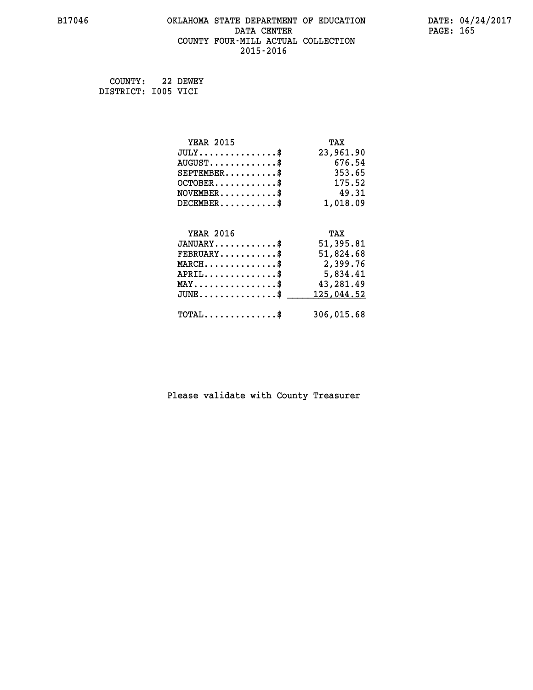### **B17046 OKLAHOMA STATE DEPARTMENT OF EDUCATION DATE: 04/24/2017 DATA CENTER** PAGE: 165  **COUNTY FOUR-MILL ACTUAL COLLECTION 2015-2016**

 **COUNTY: 22 DEWEY DISTRICT: I005 VICI**

| <b>YEAR 2015</b>                           | TAX        |
|--------------------------------------------|------------|
| $JULY$ \$                                  | 23,961.90  |
| $AUGUST$ \$                                | 676.54     |
| $SEPTEMBER$ \$                             | 353.65     |
| $OCTOBER$ \$                               | 175.52     |
| $NOVEMBER$ \$                              | 49.31      |
| $DECEMBER$ \$                              | 1,018.09   |
|                                            |            |
| <b>YEAR 2016</b>                           | TAX        |
| $JANUARY$ \$                               | 51,395.81  |
| $FEBRUARY$                                 | 51,824.68  |
| $MARCH$ \$                                 | 2,399.76   |
| $APRIL$ \$                                 | 5,834.41   |
| $MAX \dots \dots \dots \dots \dots$        | 43,281.49  |
| $JUNE$ \$                                  | 125,044.52 |
| $\texttt{TOTAL} \dots \dots \dots \dots \$ | 306,015.68 |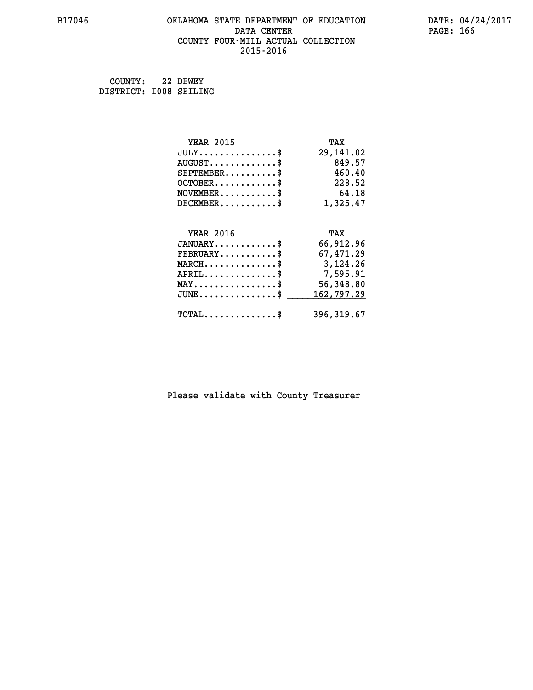### **B17046 OKLAHOMA STATE DEPARTMENT OF EDUCATION DATE: 04/24/2017 DATA CENTER** PAGE: 166  **COUNTY FOUR-MILL ACTUAL COLLECTION 2015-2016**

 **COUNTY: 22 DEWEY DISTRICT: I008 SEILING**

| <b>YEAR 2015</b>                           | TAX        |
|--------------------------------------------|------------|
| $JULY$ \$                                  | 29,141.02  |
| $AUGUST$ \$                                | 849.57     |
| $SEPTEMBER$ \$                             | 460.40     |
| $OCTOBER$ \$                               | 228.52     |
| $NOVEMBER.$ \$                             | 64.18      |
| $DECEMBER$ \$                              | 1,325.47   |
|                                            |            |
| <b>YEAR 2016</b>                           | TAX        |
| $JANUARY$ \$                               | 66,912.96  |
| $FEBRUARY$                                 | 67,471.29  |
| $MARCH$ \$                                 | 3,124.26   |
| $APRIL$ \$                                 | 7,595.91   |
| $MAX \dots \dots \dots \dots \dots$        | 56,348.80  |
| $JUNE$ \$                                  | 162,797.29 |
|                                            |            |
| $\texttt{TOTAL} \dots \dots \dots \dots \$ | 396,319.67 |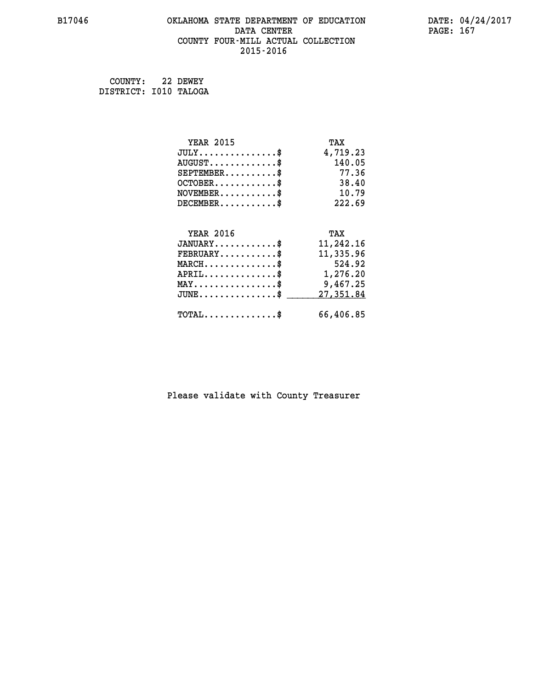### **B17046 OKLAHOMA STATE DEPARTMENT OF EDUCATION DATE: 04/24/2017 DATA CENTER** PAGE: 167  **COUNTY FOUR-MILL ACTUAL COLLECTION 2015-2016**

 **COUNTY: 22 DEWEY DISTRICT: I010 TALOGA**

| <b>YEAR 2015</b>                               | TAX       |
|------------------------------------------------|-----------|
| $JULY$ \$                                      | 4,719.23  |
| $AUGUST$ \$                                    | 140.05    |
| $SEPTEMENT.$ \$                                | 77.36     |
| $OCTOBER$ \$                                   | 38.40     |
| $NOVEMBER$ \$                                  | 10.79     |
| $DECEMBER$ \$                                  | 222.69    |
|                                                |           |
| <b>YEAR 2016</b>                               | TAX       |
| $JANUARY$ \$                                   | 11,242.16 |
| $FEBRUARY$                                     | 11,335.96 |
| $MARCH$ \$                                     | 524.92    |
| $APRIL \ldots \ldots \ldots \ldots \$          | 1,276.20  |
|                                                |           |
| $\texttt{MAX} \dots \dots \dots \dots \dots \$ | 9,467.25  |
| $JUNE$ \$                                      | 27,351.84 |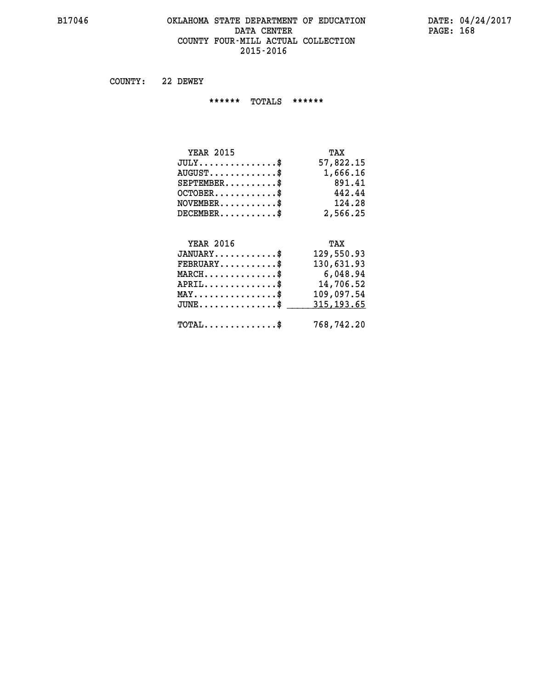### **B17046 OKLAHOMA STATE DEPARTMENT OF EDUCATION DATE: 04/24/2017 DATA CENTER PAGE: 168 COUNTY FOUR-MILL ACTUAL COLLECTION 2015-2016**

 **COUNTY: 22 DEWEY**

 **\*\*\*\*\*\* TOTALS \*\*\*\*\*\***

| <b>YEAR 2015</b> | TAX       |
|------------------|-----------|
| $JULY$           | 57,822.15 |
| $AUGUST$ \$      | 1,666.16  |
| $SEPTEMBER$      | 891.41    |
| $OCTOBER$ \$     | 442.44    |
| $NOVEMBER$ \$    | 124.28    |
| $DECEMBER$ \$    | 2,566.25  |

## **YEAR 2016 TAX**

| $JANUARY$                                         | 129,550.93 |
|---------------------------------------------------|------------|
| $\texttt{FEBRUARY} \dots \dots \dots \$           | 130,631.93 |
| $MARCH$ \$                                        | 6,048.94   |
| APRIL                                             | 14,706.52  |
| $MAX \dots \dots \dots \dots \dots \$             | 109,097.54 |
| $JUNE \dots \dots \dots \dots \dots$ \$           | 315,193.65 |
| $\texttt{TOTAL} \dots \dots \dots \dots \text{*}$ | 768,742.20 |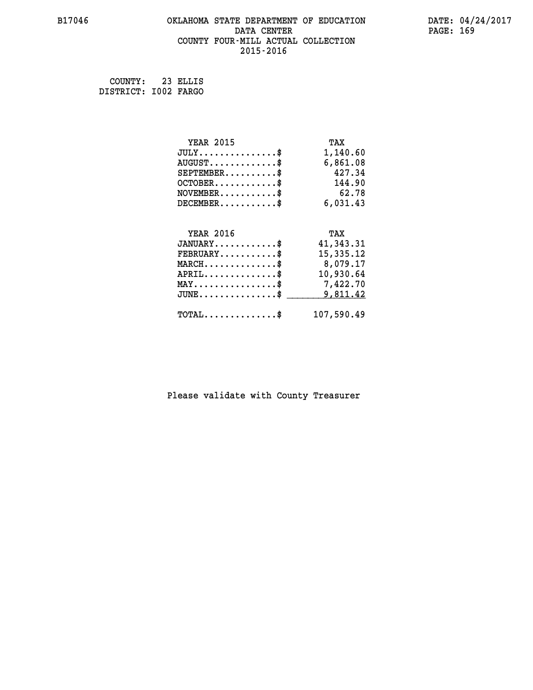### **B17046 OKLAHOMA STATE DEPARTMENT OF EDUCATION DATE: 04/24/2017 DATA CENTER** PAGE: 169  **COUNTY FOUR-MILL ACTUAL COLLECTION 2015-2016**

 **COUNTY: 23 ELLIS DISTRICT: I002 FARGO**

| <b>YEAR 2015</b>                               | TAX        |
|------------------------------------------------|------------|
| $JULY$ \$                                      | 1,140.60   |
| $AUGUST$ \$                                    | 6,861.08   |
| $SEPTEMBER$ \$                                 | 427.34     |
| $OCTOBER$ \$                                   | 144.90     |
| $\texttt{NOVEMBER} \dots \dots \dots \$        | 62.78      |
| $DECEMBER$ \$                                  | 6,031.43   |
|                                                |            |
| <b>YEAR 2016</b>                               | TAX        |
| $JANUARY$ \$                                   | 41,343.31  |
| $FEBRUARY$                                     | 15,335.12  |
| $\texttt{MARCH}\ldots\ldots\ldots\ldots\$      | 8,079.17   |
| $APRIL$ \$                                     | 10,930.64  |
| $\texttt{MAX} \dots \dots \dots \dots \dots \$ | 7,422.70   |
| $JUNE$ \$                                      | 9,811.42   |
| $\texttt{TOTAL} \dots \dots \dots \dots \$     | 107,590.49 |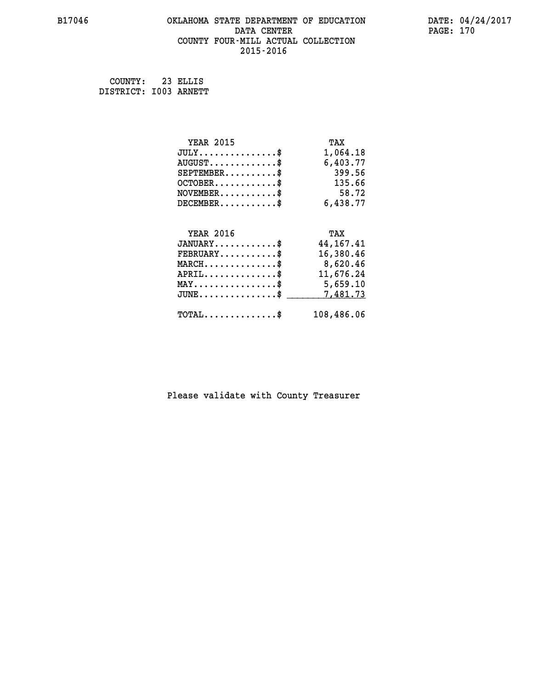### **B17046 OKLAHOMA STATE DEPARTMENT OF EDUCATION DATE: 04/24/2017 DATA CENTER** PAGE: 170  **COUNTY FOUR-MILL ACTUAL COLLECTION 2015-2016**

 **COUNTY: 23 ELLIS DISTRICT: I003 ARNETT**

| <b>YEAR 2015</b>                               | TAX         |
|------------------------------------------------|-------------|
| $JULY$ \$                                      | 1,064.18    |
| $AUGUST$ \$                                    | 6,403.77    |
| $SEPTEMBER$ \$                                 | 399.56      |
| $OCTOBER$ \$                                   | 135.66      |
| $\texttt{NOVEMBER} \dots \dots \dots \$        | 58.72       |
| $DECEMBER$ \$                                  | 6,438.77    |
|                                                |             |
| <b>YEAR 2016</b>                               | TAX         |
| $JANUARY$ \$                                   | 44, 167. 41 |
| $FEBRUARY$                                     | 16,380.46   |
| $MARCH$ \$                                     | 8,620.46    |
| $APRIL$ \$                                     | 11,676.24   |
| $\texttt{MAX} \dots \dots \dots \dots \dots \$ | 5,659.10    |
| $JUNE$ \$                                      | 7,481.73    |
| $\texttt{TOTAL} \dots \dots \dots \dots \$     | 108,486.06  |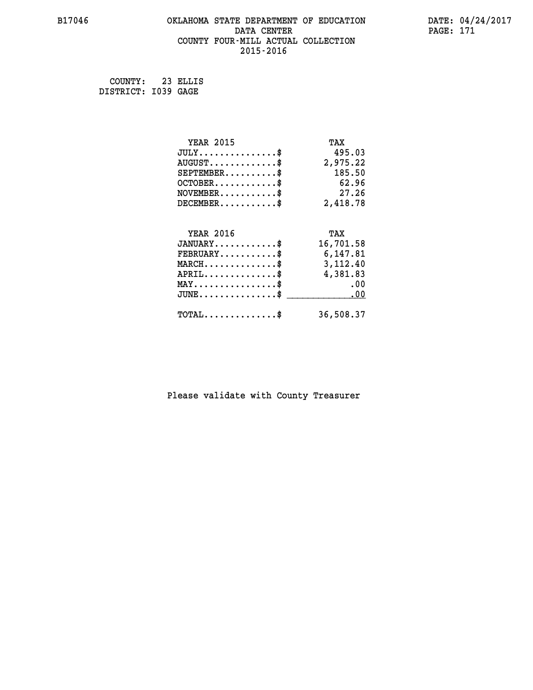### **B17046 OKLAHOMA STATE DEPARTMENT OF EDUCATION DATE: 04/24/2017 DATA CENTER** PAGE: 171  **COUNTY FOUR-MILL ACTUAL COLLECTION 2015-2016**

 **COUNTY: 23 ELLIS DISTRICT: I039 GAGE**

| <b>YEAR 2015</b>                           | TAX       |
|--------------------------------------------|-----------|
| $JULY$ \$                                  | 495.03    |
| $AUGUST$ \$                                | 2,975.22  |
| $SEPTEMBER$ \$                             | 185.50    |
| $OCTOBER$ \$                               | 62.96     |
| $\texttt{NOVEMBER} \dots \dots \dots \$    | 27.26     |
| $DECEMBER$ \$                              | 2,418.78  |
| <b>YEAR 2016</b>                           | TAX       |
| $JANUARY$ \$                               | 16,701.58 |
|                                            |           |
| $FEBRUARY$ \$                              | 6,147.81  |
| $\texttt{MARCH}\ldots\ldots\ldots\ldots\$  | 3,112.40  |
| $APRIL$ \$                                 | 4,381.83  |
| $MAX \dots \dots \dots \dots \$            | .00       |
| $JUNE$ \$                                  | .00       |
| $\texttt{TOTAL} \dots \dots \dots \dots \$ | 36,508.37 |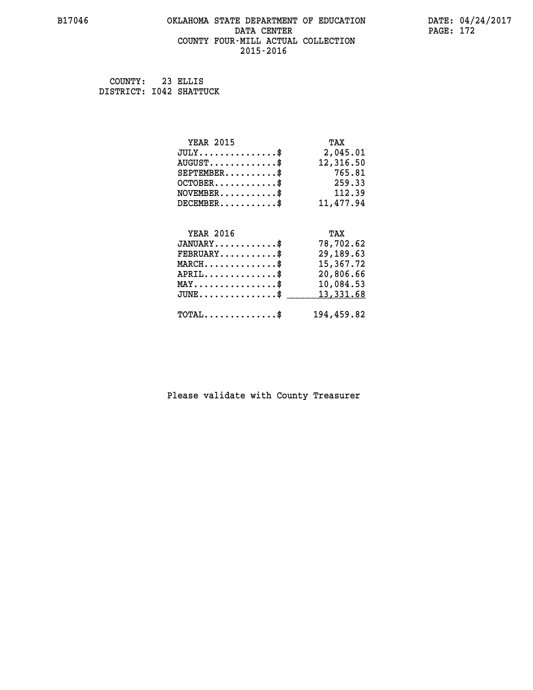### **B17046 OKLAHOMA STATE DEPARTMENT OF EDUCATION DATE: 04/24/2017 DATA CENTER** PAGE: 172  **COUNTY FOUR-MILL ACTUAL COLLECTION 2015-2016**

 **COUNTY: 23 ELLIS DISTRICT: I042 SHATTUCK**

| <b>YEAR 2015</b>                               | TAX        |
|------------------------------------------------|------------|
| $JULY$ \$                                      | 2,045.01   |
| $AUGUST$ \$                                    | 12,316.50  |
| $SEPTEMBER$ \$                                 | 765.81     |
| $OCTOBER$ \$                                   | 259.33     |
| $\texttt{NOVEMBER} \dots \dots \dots \$        | 112.39     |
| $DECEMBER$ \$                                  | 11,477.94  |
|                                                |            |
| <b>YEAR 2016</b>                               | TAX        |
| $JANUARY$ \$                                   | 78,702.62  |
| $FEBRUARY$                                     | 29, 189.63 |
| $MARCH$ \$                                     | 15,367.72  |
| $APRIL$ \$                                     | 20,806.66  |
| $\texttt{MAX} \dots \dots \dots \dots \dots \$ | 10,084.53  |
| $JUNE$ $$$                                     | 13,331.68  |
| $\texttt{TOTAL} \dots \dots \dots \dots \$     | 194,459.82 |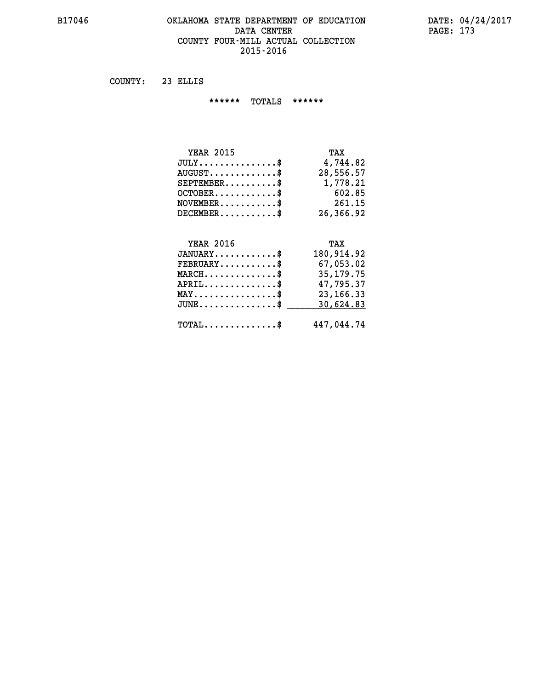### **B17046 OKLAHOMA STATE DEPARTMENT OF EDUCATION DATE: 04/24/2017 DATA CENTER PAGE: 173 COUNTY FOUR-MILL ACTUAL COLLECTION 2015-2016**

 **COUNTY: 23 ELLIS**

 **\*\*\*\*\*\* TOTALS \*\*\*\*\*\***

| <b>YEAR 2015</b>                   | TAX       |
|------------------------------------|-----------|
| $JULY \ldots \ldots \ldots \ldots$ | 4,744.82  |
| $AUGUST$ $\frac{1}{2}$             | 28,556.57 |
| $SEPTEMBER$ $\$                    | 1,778.21  |
| $OCTOBER$ \$                       | 602.85    |
| $NOVEMBER$ $\$                     | 261.15    |
| $DECEMBER$                         | 26,366.92 |

### **YEAR 2016 TAX JANUARY............\$ 180,914.92 FEBRUARY...........\$ 67,053.02 MARCH..............\$ 35,179.75 APRIL..............\$ 47,795.37 MAY................\$ 23,166.33 JUNE...............\$ 30,624.83 \_\_\_\_\_\_\_\_\_\_\_\_\_\_\_**

 **TOTAL..............\$ 447,044.74**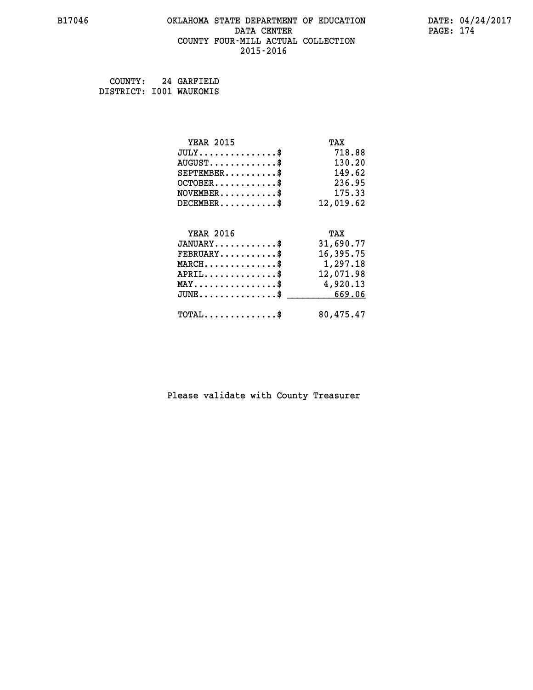### **B17046 OKLAHOMA STATE DEPARTMENT OF EDUCATION DATE: 04/24/2017 DATA CENTER PAGE: 174 COUNTY FOUR-MILL ACTUAL COLLECTION 2015-2016**

 **COUNTY: 24 GARFIELD DISTRICT: I001 WAUKOMIS**

| <b>YEAR 2015</b>                            | TAX       |
|---------------------------------------------|-----------|
| $JULY$ \$                                   | 718.88    |
| $AUGUST$ \$                                 | 130.20    |
| $SEPTEMBER$ \$                              | 149.62    |
| $OCTOBER$ \$                                | 236.95    |
| $\texttt{NOVEMBER} \dots \dots \dots \$     | 175.33    |
| $DECEMBER$ \$                               | 12,019.62 |
| <b>YEAR 2016</b>                            | TAX       |
| $JANUARY$ \$                                | 31,690.77 |
| $FEBRUARY$                                  | 16,395.75 |
| $MARCH$ \$                                  | 1,297.18  |
| $APRIL \ldots \ldots \ldots \ldots \$       | 12,071.98 |
| MAY\$ 4,920.13                              |           |
| $JUNE \ldots \ldots \ldots \ldots \$ 669.06 |           |
|                                             | 80,475.47 |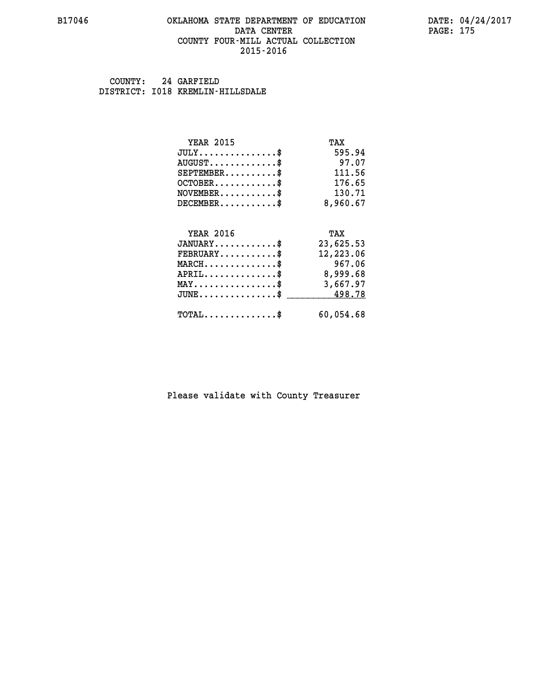### **B17046 OKLAHOMA STATE DEPARTMENT OF EDUCATION DATE: 04/24/2017 DATA CENTER** PAGE: 175  **COUNTY FOUR-MILL ACTUAL COLLECTION 2015-2016**

 **COUNTY: 24 GARFIELD DISTRICT: I018 KREMLIN-HILLSDALE**

| <b>YEAR 2015</b>                                 | TAX       |
|--------------------------------------------------|-----------|
| $JULY$ \$                                        | 595.94    |
| $AUGUST$ \$                                      | 97.07     |
| $SEPTEMBER$ \$                                   | 111.56    |
| $OCTOBER$ \$                                     | 176.65    |
| $\texttt{NOVEMBER} \dots \dots \dots \$          | 130.71    |
| $DECEMBER$ \$                                    | 8,960.67  |
|                                                  |           |
| <b>YEAR 2016</b>                                 | TAX       |
| $JANUARY$ \$                                     | 23,625.53 |
| $FEBRUARY$                                       | 12,223.06 |
| $MARCH$ \$                                       | 967.06    |
| $APRIL$ \$                                       | 8,999.68  |
| $\texttt{MAX} \dots \dots \dots \dots \dots \$   | 3,667.97  |
| $\texttt{JUNE} \dots \dots \dots \dots \dots \$$ | 498.78    |
| $\texttt{TOTAL} \dots \dots \dots \dots \$       | 60,054.68 |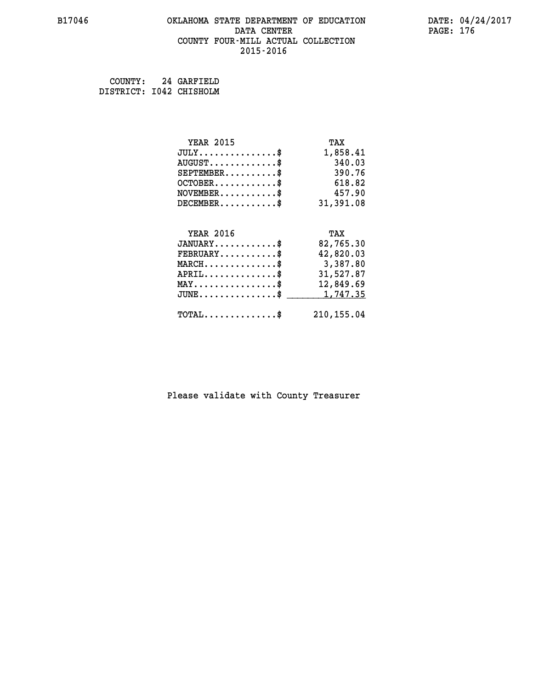### **B17046 OKLAHOMA STATE DEPARTMENT OF EDUCATION DATE: 04/24/2017 DATA CENTER** PAGE: 176  **COUNTY FOUR-MILL ACTUAL COLLECTION 2015-2016**

 **COUNTY: 24 GARFIELD DISTRICT: I042 CHISHOLM**

| <b>YEAR 2015</b>                                 | TAX         |
|--------------------------------------------------|-------------|
| $JULY$ \$                                        | 1,858.41    |
| $AUGUST$ \$                                      | 340.03      |
| $SEPTEMBER$ \$                                   | 390.76      |
| $OCTOBER$ \$                                     | 618.82      |
| $\texttt{NOVEMBER} \dots \dots \dots \$$         | 457.90      |
| $DECEMBER$ \$                                    | 31,391.08   |
|                                                  |             |
| <b>YEAR 2016</b>                                 | TAX         |
| $JANUARY$ \$                                     | 82,765.30   |
| $FEBRUARY$                                       | 42,820.03   |
| $\texttt{MARCH}\ldots\ldots\ldots\ldots\text{*}$ | 3,387.80    |
| $APRIL \ldots \ldots \ldots \ldots *$            | 31,527.87   |
| $\texttt{MAX} \dots \dots \dots \dots \dots \$$  | 12,849.69   |
| $\texttt{JUNE} \dots \dots \dots \dots \dots \$$ | 1,747.35    |
| $\texttt{TOTAL} \dots \dots \dots \dots$ \$      | 210, 155.04 |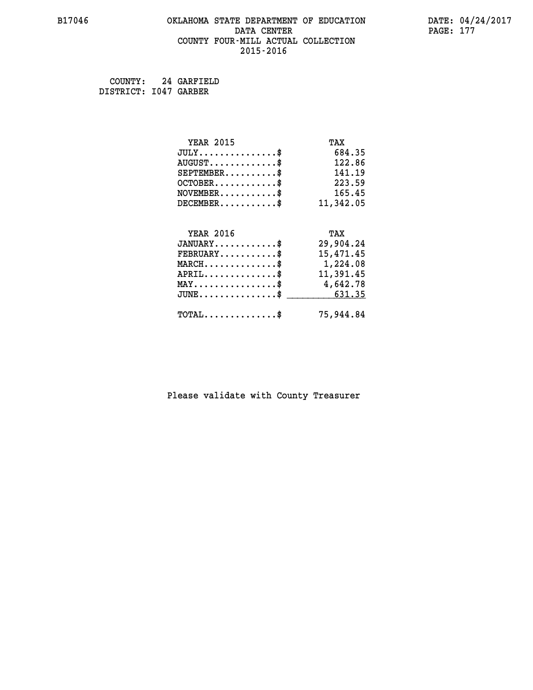### **B17046 OKLAHOMA STATE DEPARTMENT OF EDUCATION DATE: 04/24/2017 DATA CENTER** PAGE: 177  **COUNTY FOUR-MILL ACTUAL COLLECTION 2015-2016**

 **COUNTY: 24 GARFIELD DISTRICT: I047 GARBER**

| <b>YEAR 2015</b>                                                          | TAX       |
|---------------------------------------------------------------------------|-----------|
| $JULY$ \$                                                                 | 684.35    |
| $AUGUST$ \$                                                               | 122.86    |
| $SEPTEMBER$ \$                                                            | 141.19    |
| $OCTOBER$ $\frac{1}{2}$                                                   | 223.59    |
| $\verb NOVEMBER , \verb , \verb , \verb , \verb , \verb , \verb , \verb $ | 165.45    |
| $DECEMBER$ \$                                                             | 11,342.05 |
|                                                                           |           |
| <b>YEAR 2016</b>                                                          | TAX       |
| $JANUARY$ \$                                                              | 29,904.24 |
| $\texttt{FEBRUARY} \dots \dots \dots \$                                   | 15,471.45 |
| MARCH\$ 1,224.08                                                          |           |
| $APRIL \ldots \ldots \ldots \ldots$                                       | 11,391.45 |
| MAY\$ 4,642.78                                                            |           |
| $JUNE \dots \dots \dots \dots$ \$ 631.35                                  |           |
| $\texttt{TOTAL} \dots \dots \dots \dots$ \$                               | 75,944.84 |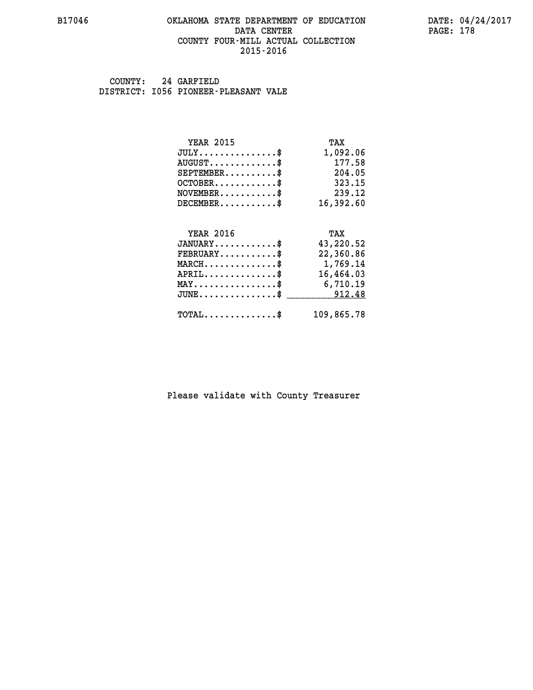### **B17046 OKLAHOMA STATE DEPARTMENT OF EDUCATION DATE: 04/24/2017 DATA CENTER** PAGE: 178  **COUNTY FOUR-MILL ACTUAL COLLECTION 2015-2016**

 **COUNTY: 24 GARFIELD DISTRICT: I056 PIONEER-PLEASANT VALE**

| <b>YEAR 2015</b>                               | TAX        |
|------------------------------------------------|------------|
| $JULY$ \$                                      | 1,092.06   |
| $AUGUST$ \$                                    | 177.58     |
| $SEPTEMBER$ \$                                 | 204.05     |
| $OCTOBER$ \$                                   | 323.15     |
| $\texttt{NOVEMBER} \dots \dots \dots \$        | 239.12     |
| $DECEMBER$ \$                                  | 16,392.60  |
|                                                |            |
| <b>YEAR 2016</b>                               | TAX        |
| $JANUARY$ \$                                   | 43,220.52  |
| $FEBRUARY$                                     | 22,360.86  |
| $MARCH$ \$                                     | 1,769.14   |
| $APRIL$ \$                                     | 16,464.03  |
| $\texttt{MAX} \dots \dots \dots \dots \dots \$ | 6,710.19   |
| $JUNE$ \$                                      | 912.48     |
| $\texttt{TOTAL} \dots \dots \dots \dots \$     | 109,865.78 |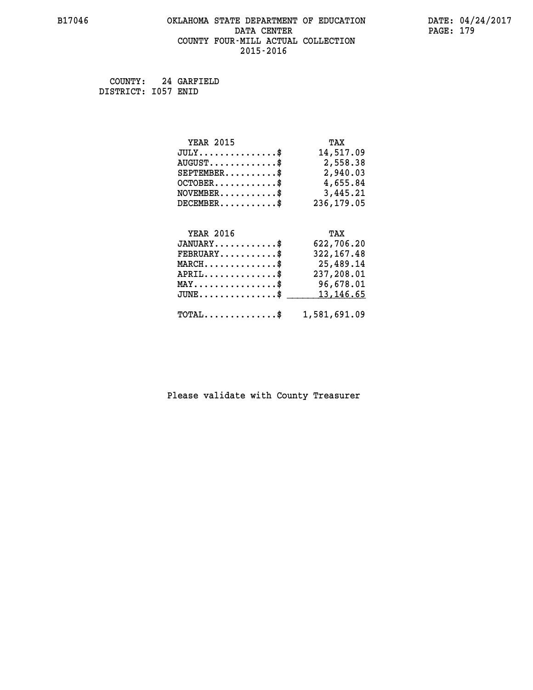### **B17046 OKLAHOMA STATE DEPARTMENT OF EDUCATION DATE: 04/24/2017 DATA CENTER** PAGE: 179  **COUNTY FOUR-MILL ACTUAL COLLECTION 2015-2016**

 **COUNTY: 24 GARFIELD DISTRICT: I057 ENID**

| <b>YEAR 2015</b>                                                                                                              | TAX          |
|-------------------------------------------------------------------------------------------------------------------------------|--------------|
| $JULY$ \$                                                                                                                     | 14,517.09    |
| $AUGUST$ \$                                                                                                                   | 2,558.38     |
| $SEPTEMBER$ \$                                                                                                                | 2,940.03     |
| $OCTOBER$ \$                                                                                                                  | 4,655.84     |
| $NOVEMBER.$ \$                                                                                                                | 3,445.21     |
| $DECEMBER$ \$                                                                                                                 | 236,179.05   |
|                                                                                                                               |              |
| <b>YEAR 2016</b>                                                                                                              | TAX          |
| $JANUARY$ \$                                                                                                                  | 622,706.20   |
| $\texttt{FEBRUARY} \dots \dots \dots \$                                                                                       | 322, 167.48  |
| $\texttt{MARCH}\ldots\ldots\ldots\ldots\overset{\hspace{0.1em}\mathsf{\scriptscriptstyle\$}}{\mathsf{\scriptscriptstyle\$}}}$ | 25,489.14    |
| $APRIL$ \$                                                                                                                    | 237,208.01   |
| $\texttt{MAX} \dots \dots \dots \dots \dots$                                                                                  | 96,678.01    |
| $JUNE$ \$                                                                                                                     | 13,146.65    |
| $TOTAL$ \$                                                                                                                    | 1,581,691.09 |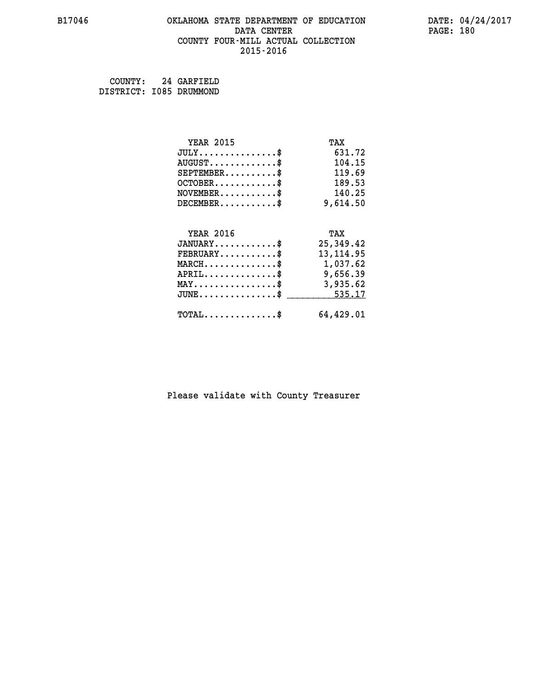### **B17046 OKLAHOMA STATE DEPARTMENT OF EDUCATION DATE: 04/24/2017 DATA CENTER** PAGE: 180  **COUNTY FOUR-MILL ACTUAL COLLECTION 2015-2016**

 **COUNTY: 24 GARFIELD DISTRICT: I085 DRUMMOND**

| <b>YEAR 2015</b>                                  | TAX        |
|---------------------------------------------------|------------|
| $JULY$ \$                                         | 631.72     |
| $AUGUST$ \$                                       | 104.15     |
| $SEPTEMBER$ \$                                    | 119.69     |
| $OCTOBER$ \$                                      | 189.53     |
| $\texttt{NOVEMBER} \dots \dots \dots \$           | 140.25     |
| $DECEMBER$ \$                                     | 9,614.50   |
| <b>YEAR 2016</b>                                  |            |
|                                                   | TAX        |
| $JANUARY$ \$                                      | 25, 349.42 |
| $FEBRUARY$ \$                                     | 13, 114.95 |
| $\texttt{MARCH}\ldots\ldots\ldots\ldots\clubsuit$ | 1,037.62   |
| $APRIL \ldots \ldots \ldots \ldots \$             | 9,656.39   |
| $\texttt{MAX} \dots \dots \dots \dots \dots \$$   | 3,935.62   |
| $\texttt{JUNE} \dots \dots \dots \dots \dots \$$  | 535.17     |
| $TOTAL$ \$                                        | 64,429.01  |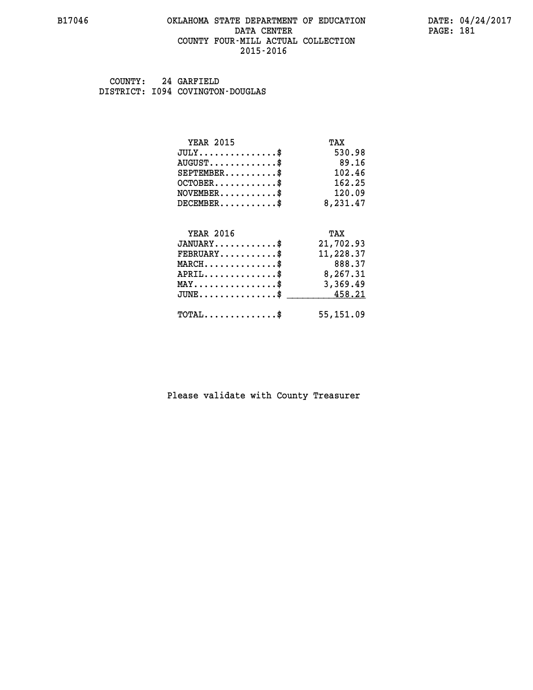#### **B17046 OKLAHOMA STATE DEPARTMENT OF EDUCATION DATE: 04/24/2017 DATA CENTER** PAGE: 181  **COUNTY FOUR-MILL ACTUAL COLLECTION 2015-2016**

 **COUNTY: 24 GARFIELD DISTRICT: I094 COVINGTON-DOUGLAS**

| <b>YEAR 2015</b>                               | TAX       |
|------------------------------------------------|-----------|
| $JULY$ \$                                      | 530.98    |
| $AUGUST$ \$                                    | 89.16     |
| $SEPTEMENT.$ \$                                | 102.46    |
| $OCTOBER$ \$                                   | 162.25    |
| $NOVEMBER$ \$                                  | 120.09    |
| $DECEMBER$ \$                                  | 8,231.47  |
|                                                |           |
| <b>YEAR 2016</b>                               | TAX       |
| $JANUARY$ \$                                   | 21,702.93 |
| $FEBRUARY$                                     | 11,228.37 |
| $MARCH$ \$                                     | 888.37    |
| $APRIL$ \$                                     | 8,267.31  |
| $\texttt{MAX} \dots \dots \dots \dots \dots \$ | 3,369.49  |
| $JUNE \ldots \ldots \ldots \ldots \ast$        | 458.21    |
| $\texttt{TOTAL} \dots \dots \dots \dots \$     | 55,151.09 |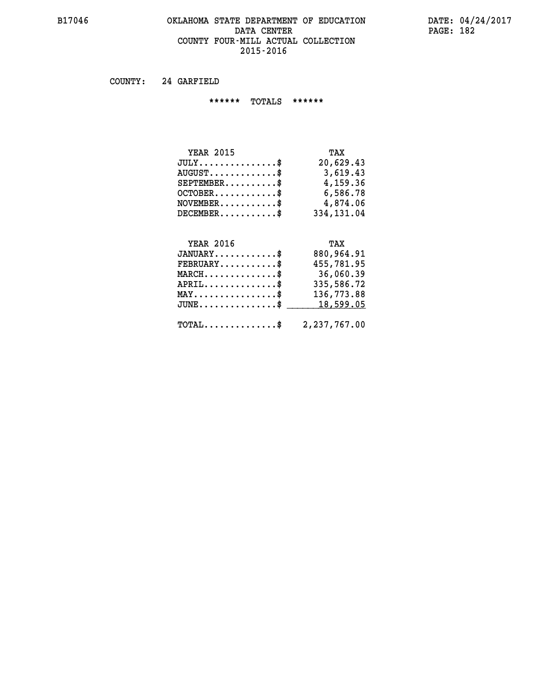#### **B17046 OKLAHOMA STATE DEPARTMENT OF EDUCATION DATE: 04/24/2017 DATA CENTER** PAGE: 182  **COUNTY FOUR-MILL ACTUAL COLLECTION 2015-2016**

 **COUNTY: 24 GARFIELD**

 **\*\*\*\*\*\* TOTALS \*\*\*\*\*\***

| <b>YEAR 2015</b>                     | TAX        |
|--------------------------------------|------------|
| $JULY \ldots \ldots \ldots \ldots \$ | 20,629.43  |
| $AUGUST \ldots \ldots \ldots$ \$     | 3,619.43   |
| $SEPTEMBER$ $\$                      | 4,159.36   |
| $OCTOBER$ \$                         | 6,586.78   |
| $NOVEMBER$ \$                        | 4,874.06   |
| $DECEMBER$ \$                        | 334,131.04 |

# **YEAR 2016 TAX**

| $JANUARY$                                               | 880,964.91 |
|---------------------------------------------------------|------------|
| $FEBRUARY$                                              | 455,781.95 |
| $MARCH$ \$                                              | 36,060.39  |
| $APRIL$ \$                                              | 335,586.72 |
| $MAX \dots \dots \dots \dots \dots \$                   | 136,773.88 |
| $JUNE \ldots \ldots \ldots \ldots$ \$ 18,599.05         |            |
| $\texttt{TOTAL} \dots \dots \dots \dots \$ 2,237,767.00 |            |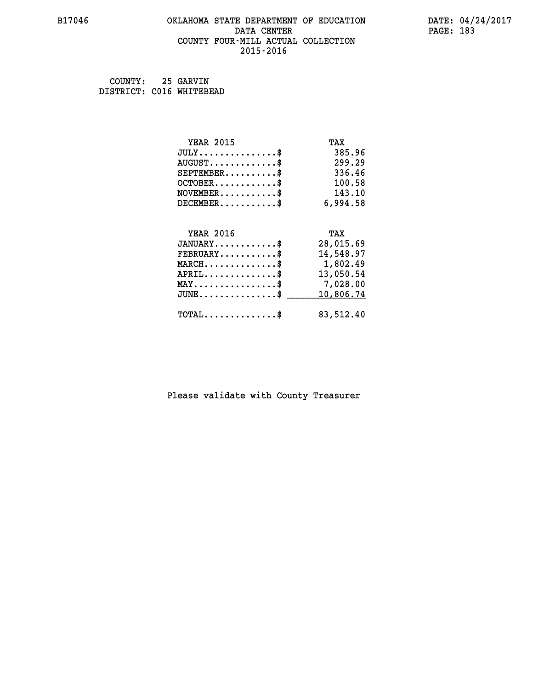#### **B17046 OKLAHOMA STATE DEPARTMENT OF EDUCATION DATE: 04/24/2017 DATA CENTER** PAGE: 183  **COUNTY FOUR-MILL ACTUAL COLLECTION 2015-2016**

 **COUNTY: 25 GARVIN DISTRICT: C016 WHITEBEAD**

| <b>YEAR 2015</b>                                | TAX       |
|-------------------------------------------------|-----------|
| $JULY$ \$                                       | 385.96    |
| $AUGUST$ \$                                     | 299.29    |
| $SEPTEMENT.$ \$                                 | 336.46    |
| $OCTOBER$ \$                                    | 100.58    |
| $\texttt{NOVEMBER} \dots \dots \dots \$         | 143.10    |
| $DECEMBER$ \$                                   | 6,994.58  |
|                                                 |           |
| <b>YEAR 2016</b>                                | TAX       |
| $JANUARY$ \$                                    | 28,015.69 |
| $FEBRUARY$                                      | 14,548.97 |
| $MARCH$ \$                                      | 1,802.49  |
| $APRIL$ \$                                      | 13,050.54 |
| $\texttt{MAX} \dots \dots \dots \dots \dots$ \$ | 7,028.00  |
| $JUNE \ldots \ldots \ldots \ldots \ldots$ \$    | 10,806.74 |
| $\texttt{TOTAL} \dots \dots \dots \dots \$      | 83,512.40 |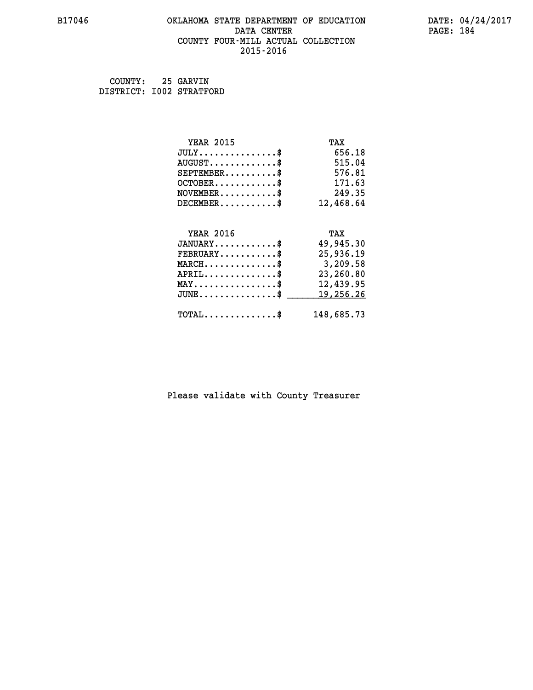#### **B17046 OKLAHOMA STATE DEPARTMENT OF EDUCATION DATE: 04/24/2017 DATA CENTER** PAGE: 184  **COUNTY FOUR-MILL ACTUAL COLLECTION 2015-2016**

 **COUNTY: 25 GARVIN DISTRICT: I002 STRATFORD**

| <b>YEAR 2015</b>                                | TAX        |
|-------------------------------------------------|------------|
| $JULY$ \$                                       | 656.18     |
| $AUGUST$ \$                                     | 515.04     |
| $SEPTEMBER$ \$                                  | 576.81     |
| $OCTOBER$ \$                                    | 171.63     |
| $\texttt{NOVEMBER} \dots \dots \dots \$         | 249.35     |
| $DECEMBER$ \$                                   | 12,468.64  |
|                                                 |            |
| <b>YEAR 2016</b>                                | TAX        |
| $JANUARY$ \$                                    | 49,945.30  |
| $FEBRUARY$                                      | 25,936.19  |
| MARCH\$ 3,209.58                                |            |
| $APRIL \ldots \ldots \ldots \ldots *$           | 23,260.80  |
| $\texttt{MAX} \dots \dots \dots \dots \dots \$$ | 12,439.95  |
| $J\texttt{UNE} \dots \dots \dots \dots \dots \$ | 19,256.26  |
| $\texttt{TOTAL} \dots \dots \dots \dots$        | 148,685.73 |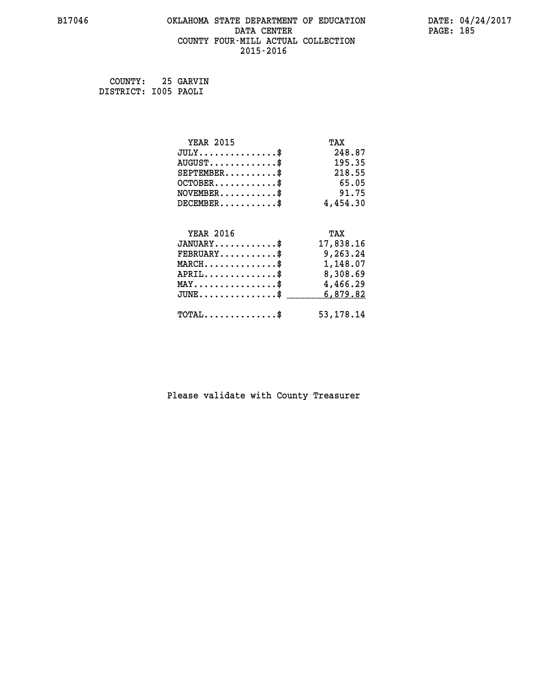#### **B17046 OKLAHOMA STATE DEPARTMENT OF EDUCATION DATE: 04/24/2017 DATA CENTER** PAGE: 185  **COUNTY FOUR-MILL ACTUAL COLLECTION 2015-2016**

 **COUNTY: 25 GARVIN DISTRICT: I005 PAOLI**

| <b>YEAR 2015</b>                               | TAX       |
|------------------------------------------------|-----------|
| $JULY$ \$                                      | 248.87    |
| $AUGUST$ \$                                    | 195.35    |
| $SEPTEMENT.$ \$                                | 218.55    |
| $OCTOBER$ \$                                   | 65.05     |
| $\texttt{NOVEMBER} \dots \dots \dots \$        | 91.75     |
| $DECEMBER$ \$                                  | 4,454.30  |
|                                                |           |
| <b>YEAR 2016</b>                               | TAX       |
| $JANUARY$ \$                                   | 17,838.16 |
| $FEBRUARY$                                     | 9,263.24  |
| $MARCH$ \$                                     | 1,148.07  |
| $APRIL \ldots \ldots \ldots \ldots \$          | 8,308.69  |
| $\texttt{MAX} \dots \dots \dots \dots \dots \$ | 4,466.29  |
| $JUNE$ \$                                      | 6,879.82  |
|                                                |           |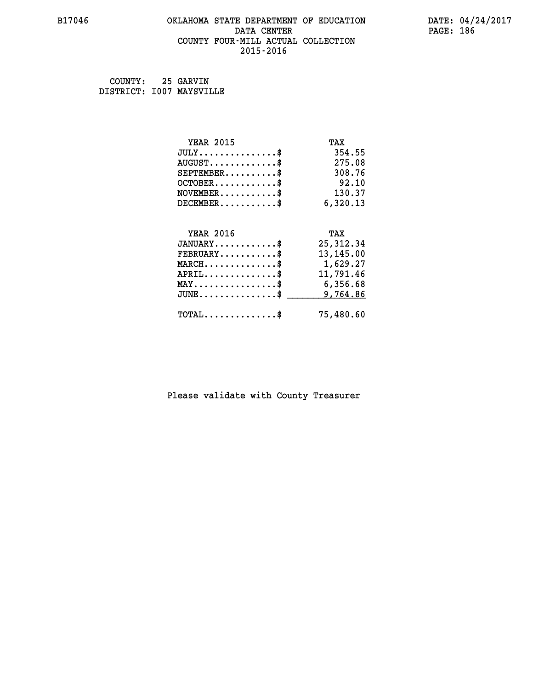#### **B17046 OKLAHOMA STATE DEPARTMENT OF EDUCATION DATE: 04/24/2017 DATA CENTER** PAGE: 186  **COUNTY FOUR-MILL ACTUAL COLLECTION 2015-2016**

 **COUNTY: 25 GARVIN DISTRICT: I007 MAYSVILLE**

| <b>YEAR 2015</b>                           | TAX        |
|--------------------------------------------|------------|
| $JULY$ \$                                  | 354.55     |
| $AUGUST$ \$                                | 275.08     |
| $SEPTEMENT.$ \$                            | 308.76     |
| $OCTOBER$ \$                               | 92.10      |
| $NOVEMBER$ \$                              | 130.37     |
| $DECEMBER$ \$                              | 6,320.13   |
|                                            |            |
| <b>YEAR 2016</b>                           | TAX        |
| $JANUARY$ \$                               | 25, 312.34 |
| $FEBRUARY$                                 | 13,145.00  |
| $MARCH$ \$                                 | 1,629.27   |
| $APRIL$ \$                                 | 11,791.46  |
| MAY\$ 6,356.68                             |            |
| $JUNE$ \$                                  | 9,764.86   |
| $\texttt{TOTAL} \dots \dots \dots \dots \$ | 75,480.60  |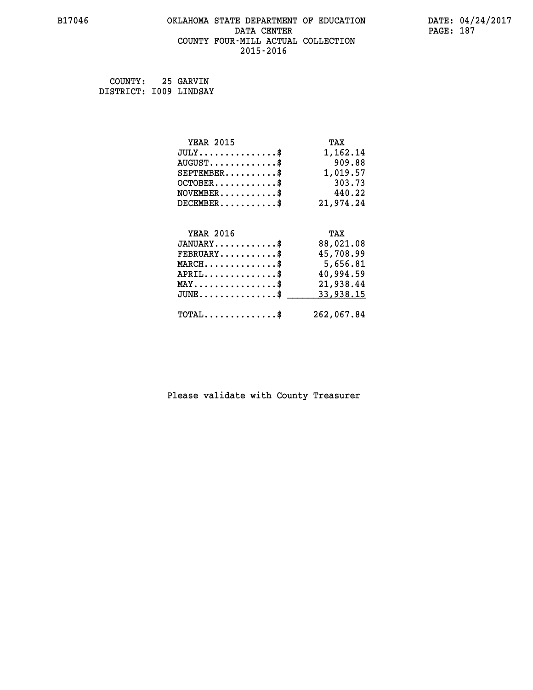#### **B17046 OKLAHOMA STATE DEPARTMENT OF EDUCATION DATE: 04/24/2017 DATA CENTER** PAGE: 187  **COUNTY FOUR-MILL ACTUAL COLLECTION 2015-2016**

| COUNTY:                | 25 GARVIN |
|------------------------|-----------|
| DISTRICT: 1009 LINDSAY |           |

| <b>YEAR 2015</b>                               | TAX        |
|------------------------------------------------|------------|
| $JULY$ \$                                      | 1,162.14   |
| $AUGUST$ \$                                    | 909.88     |
| $SEPTEMBER$ \$                                 | 1,019.57   |
| $OCTOBER$ \$                                   | 303.73     |
| $NOVEMBER.$ \$                                 | 440.22     |
| $DECEMBER$ \$                                  | 21,974.24  |
|                                                |            |
| <b>YEAR 2016</b>                               | TAX        |
| $JANUARY$ \$                                   | 88,021.08  |
| $\texttt{FEBRUARY} \dots \dots \dots \$        | 45,708.99  |
| $MARCH$ \$                                     | 5,656.81   |
| $APRIL$ \$                                     | 40,994.59  |
| $\texttt{MAX} \dots \dots \dots \dots \dots \$ | 21,938.44  |
| $JUNE$ \$                                      | 33,938.15  |
| $\texttt{TOTAL} \dots \dots \dots \dots$       | 262,067.84 |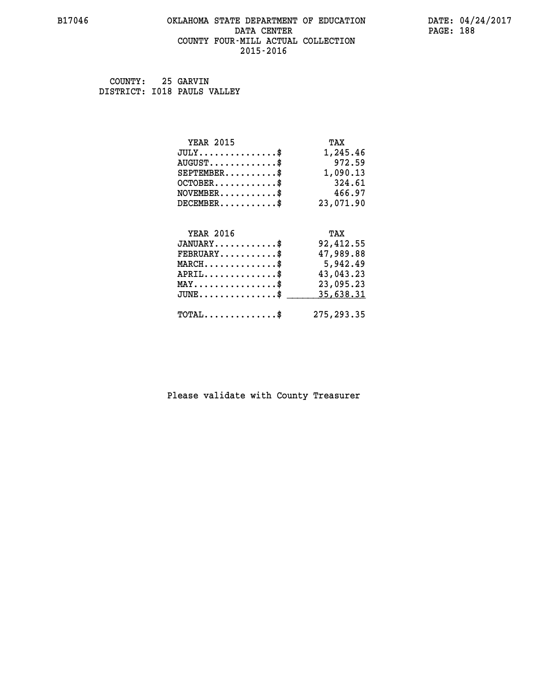#### **B17046 OKLAHOMA STATE DEPARTMENT OF EDUCATION DATE: 04/24/2017 DATA CENTER** PAGE: 188  **COUNTY FOUR-MILL ACTUAL COLLECTION 2015-2016**

 **COUNTY: 25 GARVIN DISTRICT: I018 PAULS VALLEY**

| <b>YEAR 2015</b>                               | TAX       |
|------------------------------------------------|-----------|
| $JULY$ \$                                      | 1,245.46  |
| $AUGUST$ \$                                    | 972.59    |
| $SEPTEMBER$ \$                                 | 1,090.13  |
| $OCTOBER$ \$                                   | 324.61    |
| $\texttt{NOVEMBER} \dots \dots \dots \$        | 466.97    |
| $DECEMBER$ \$                                  | 23,071.90 |
|                                                |           |
| <b>YEAR 2016</b>                               | TAX       |
| $JANUARY$                                      | 92,412.55 |
| $FEBRUARY$                                     | 47,989.88 |
| $MARCH$ \$                                     | 5,942.49  |
| $APRIL \ldots \ldots \ldots \ldots \$          | 43,043.23 |
| $\texttt{MAX} \dots \dots \dots \dots \dots \$ | 23,095.23 |
| $J\texttt{UNE} \dots \dots \dots \dots \$      | 35,638.31 |
|                                                |           |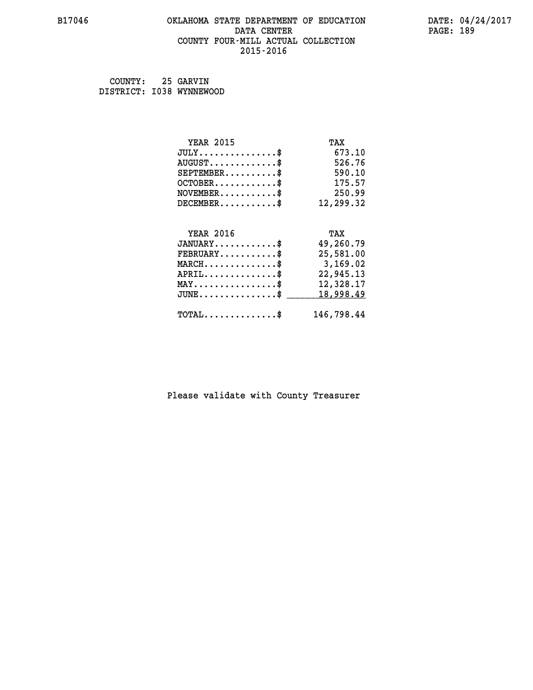#### **B17046 OKLAHOMA STATE DEPARTMENT OF EDUCATION DATE: 04/24/2017 DATA CENTER** PAGE: 189  **COUNTY FOUR-MILL ACTUAL COLLECTION 2015-2016**

 **COUNTY: 25 GARVIN DISTRICT: I038 WYNNEWOOD**

| <b>YEAR 2015</b>                                 | TAX        |
|--------------------------------------------------|------------|
| $JULY$ \$                                        | 673.10     |
| $AUGUST$ \$                                      | 526.76     |
| $SEPTEMENT.$ \$                                  | 590.10     |
| $OCTOBER$ \$                                     | 175.57     |
| $NOVEMBER.$ \$                                   | 250.99     |
| $DECEMBER$ \$                                    | 12,299.32  |
|                                                  |            |
| <b>YEAR 2016</b>                                 | TAX        |
| $JANUARY$ \$                                     | 49,260.79  |
| $FEBRUARY$                                       | 25,581.00  |
| $\texttt{MARCH}\ldots\ldots\ldots\ldots\text{*}$ | 3,169.02   |
| $APRIL \ldots \ldots \ldots \ldots \$            | 22,945.13  |
| $\texttt{MAX} \dots \dots \dots \dots \dots \$   | 12,328.17  |
| $JUNE$ \$                                        | 18,998.49  |
| $\texttt{TOTAL} \dots \dots \dots \dots \$       | 146,798.44 |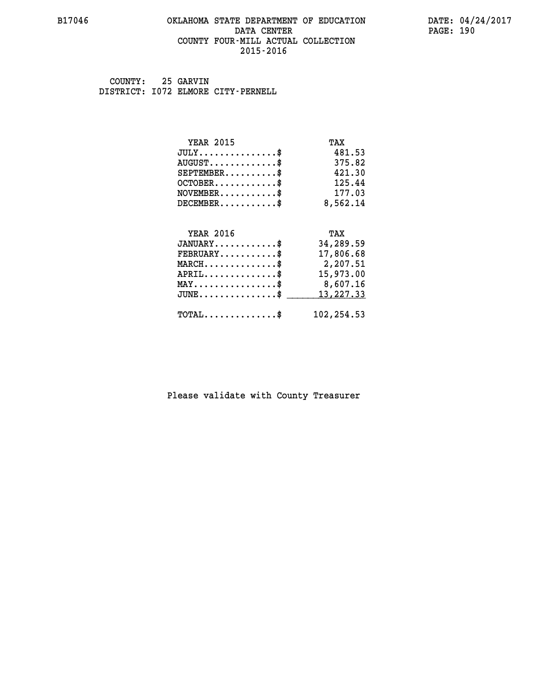#### **B17046 OKLAHOMA STATE DEPARTMENT OF EDUCATION DATE: 04/24/2017 DATA CENTER** PAGE: 190  **COUNTY FOUR-MILL ACTUAL COLLECTION 2015-2016**

 **COUNTY: 25 GARVIN DISTRICT: I072 ELMORE CITY-PERNELL**

| <b>YEAR 2015</b>                           | TAX         |
|--------------------------------------------|-------------|
| $JULY$ \$                                  | 481.53      |
| $AUGUST$ \$                                | 375.82      |
| $SEPTEMENT.$ \$                            | 421.30      |
| $OCTOBER$ \$                               | 125.44      |
| $NOVEMBER$ \$                              | 177.03      |
| $DECEMBER$ \$                              | 8,562.14    |
|                                            |             |
| <b>YEAR 2016</b>                           | TAX         |
| $JANUARY$ \$                               | 34,289.59   |
| $FEBRUARY$                                 | 17,806.68   |
| $MARCH$ \$                                 | 2,207.51    |
| $APRIL$ \$                                 | 15,973.00   |
| $MAX \dots \dots \dots \dots \dots$        | 8,607.16    |
| $JUNE$                                     | 13, 227. 33 |
| $\texttt{TOTAL} \dots \dots \dots \dots \$ | 102,254.53  |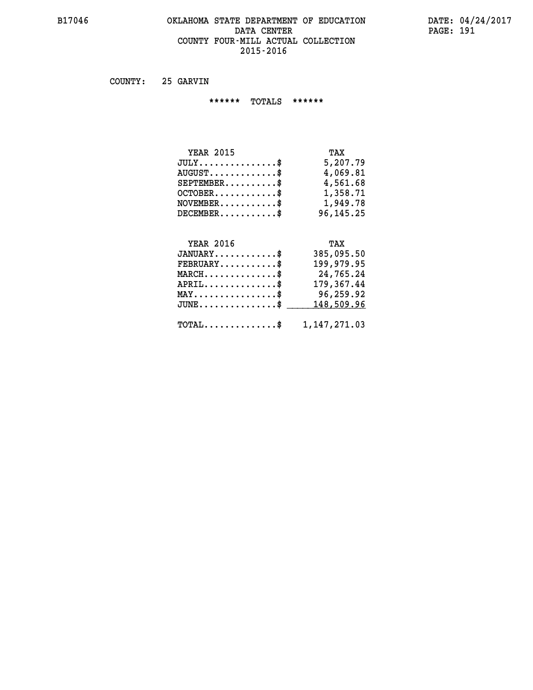#### **B17046 OKLAHOMA STATE DEPARTMENT OF EDUCATION DATE: 04/24/2017 DATA CENTER** PAGE: 191  **COUNTY FOUR-MILL ACTUAL COLLECTION 2015-2016**

 **COUNTY: 25 GARVIN**

 **\*\*\*\*\*\* TOTALS \*\*\*\*\*\***

| TAX       |
|-----------|
| 5,207.79  |
| 4,069.81  |
| 4,561.68  |
| 1,358.71  |
| 1,949.78  |
| 96,145.25 |
|           |

#### **YEAR 2016 TAX JANUARY............\$ 385,095.50**

|                                                           | ,,,,,,,,,,, |
|-----------------------------------------------------------|-------------|
| $FEBRUARY$                                                | 199,979.95  |
| $MARCH$ \$                                                | 24,765.24   |
| $APRIL$ \$                                                | 179,367.44  |
| $MAX \dots \dots \dots \dots \dots \$                     | 96,259.92   |
| $JUNE \ldots \ldots \ldots \ldots$ \$ 148,509.96          |             |
|                                                           |             |
| $\texttt{TOTAL} \dots \dots \dots \dots \$ 1, 147, 271.03 |             |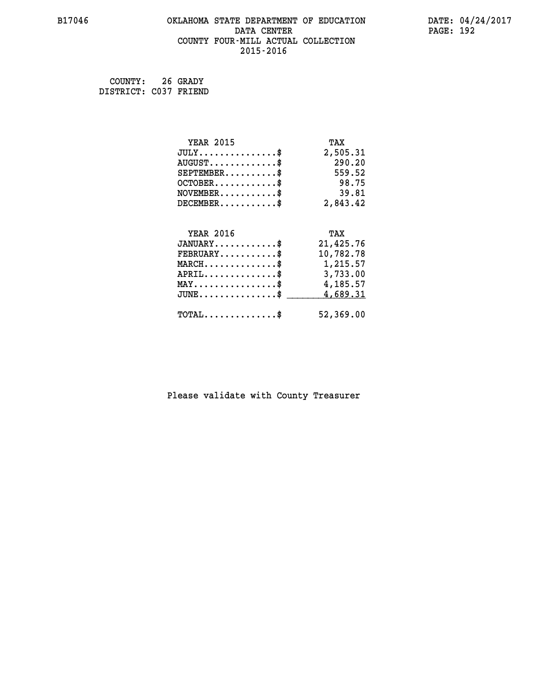#### **B17046 OKLAHOMA STATE DEPARTMENT OF EDUCATION DATE: 04/24/2017 DATA CENTER** PAGE: 192  **COUNTY FOUR-MILL ACTUAL COLLECTION 2015-2016**

 **COUNTY: 26 GRADY DISTRICT: C037 FRIEND**

| <b>YEAR 2015</b>                           | TAX       |
|--------------------------------------------|-----------|
| $JULY$ \$                                  | 2,505.31  |
| $AUGUST$ \$                                | 290.20    |
| $SEPTEMBER$ \$                             | 559.52    |
| $OCTOBER$ \$                               | 98.75     |
| $NOVEMBER.$ \$                             | 39.81     |
| $DECEMBER$ \$                              | 2,843.42  |
|                                            |           |
| <b>YEAR 2016</b>                           | TAX       |
| $JANUARY$ \$                               | 21,425.76 |
| $FEBRUARY$                                 | 10,782.78 |
| $MARCH$ \$                                 | 1,215.57  |
| $APRIL$ \$                                 | 3,733.00  |
| $MAX \dots \dots \dots \dots \dots$        | 4,185.57  |
| $JUNE$ \$                                  | 4,689.31  |
| $\texttt{TOTAL} \dots \dots \dots \dots \$ | 52,369.00 |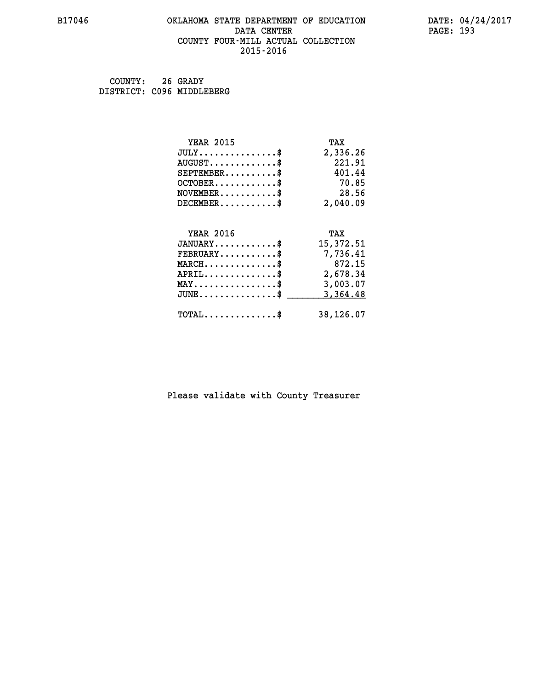#### **B17046 OKLAHOMA STATE DEPARTMENT OF EDUCATION DATE: 04/24/2017 DATA CENTER** PAGE: 193  **COUNTY FOUR-MILL ACTUAL COLLECTION 2015-2016**

 **COUNTY: 26 GRADY DISTRICT: C096 MIDDLEBERG**

| <b>YEAR 2015</b>                               | TAX       |
|------------------------------------------------|-----------|
| $JULY$ \$                                      | 2,336.26  |
| $AUGUST$ \$                                    | 221.91    |
| $SEPTEMBER$ \$                                 | 401.44    |
| $OCTOBER$ \$                                   | 70.85     |
| $NOVEMBER.$ \$                                 | 28.56     |
| $DECEMBER$ \$                                  | 2,040.09  |
|                                                |           |
| <b>YEAR 2016</b>                               | TAX       |
| $JANUARY$ \$                                   | 15,372.51 |
| $FEBRUARY$                                     | 7,736.41  |
| $MARCH$ \$                                     | 872.15    |
| $APRIL \ldots \ldots \ldots \ldots \$          | 2,678.34  |
| $\texttt{MAX} \dots \dots \dots \dots \dots \$ | 3,003.07  |
| $JUNE$ \$                                      | 3,364.48  |
| $\texttt{TOTAL} \dots \dots \dots \dots \$     | 38,126.07 |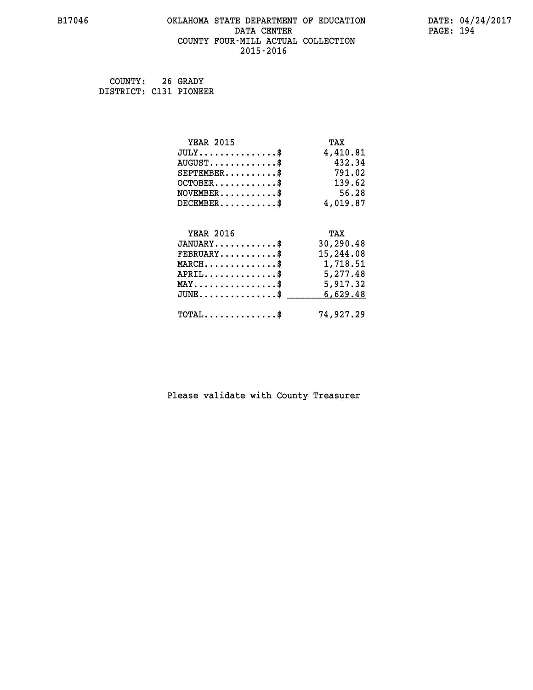#### **B17046 OKLAHOMA STATE DEPARTMENT OF EDUCATION DATE: 04/24/2017 DATA CENTER** PAGE: 194  **COUNTY FOUR-MILL ACTUAL COLLECTION 2015-2016**

 **COUNTY: 26 GRADY DISTRICT: C131 PIONEER**

| <b>YEAR 2015</b>                                 | TAX       |
|--------------------------------------------------|-----------|
| $JULY$ \$                                        | 4,410.81  |
| $AUGUST$ \$                                      | 432.34    |
| $SEPTEMBER$ \$                                   | 791.02    |
| $OCTOBER$ \$                                     | 139.62    |
| $\texttt{NOVEMBER} \dots \dots \dots \$          | 56.28     |
| $DECEMBER$ \$                                    | 4,019.87  |
|                                                  |           |
| <b>YEAR 2016</b>                                 | TAX       |
| $JANUARY$ \$                                     | 30,290.48 |
| $FEBRUARY$                                       | 15,244.08 |
| $\texttt{MARCH}\ldots\ldots\ldots\ldots\text{*}$ | 1,718.51  |
| $APRIL \ldots \ldots \ldots \ldots \$            | 5,277.48  |
| $\texttt{MAX} \dots \dots \dots \dots \dots \$   | 5,917.32  |
| $JUNE$ \$                                        | 6,629.48  |
| $\texttt{TOTAL} \dots \dots \dots \dots \$       | 74,927.29 |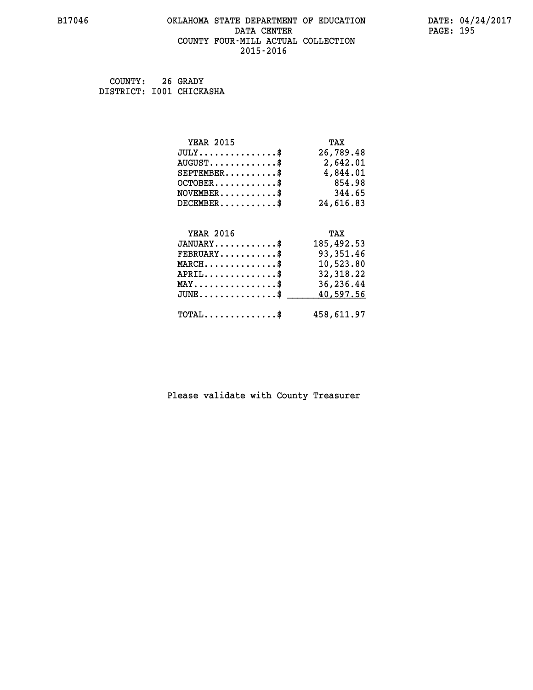#### **B17046 OKLAHOMA STATE DEPARTMENT OF EDUCATION DATE: 04/24/2017 DATA CENTER** PAGE: 195  **COUNTY FOUR-MILL ACTUAL COLLECTION 2015-2016**

 **COUNTY: 26 GRADY DISTRICT: I001 CHICKASHA**

| <b>YEAR 2015</b>                                | TAX        |
|-------------------------------------------------|------------|
| $JULY$ \$                                       | 26,789.48  |
| $AUGUST$ \$                                     | 2,642.01   |
| $SEPTEMBER$ \$                                  | 4,844.01   |
| $OCTOBER$ \$                                    | 854.98     |
| $\texttt{NOVEMBER} \dots \dots \dots \$         | 344.65     |
| $DECEMBER$ \$                                   | 24,616.83  |
|                                                 |            |
| <b>YEAR 2016</b>                                | TAX        |
| $JANUARY$ \$                                    | 185,492.53 |
| $FEBRUARY$                                      | 93,351.46  |
| $MARCH$ \$                                      | 10,523.80  |
| $APRIL \ldots \ldots \ldots \ldots$ \$          | 32,318.22  |
| $\texttt{MAX} \dots \dots \dots \dots \dots \$$ | 36,236.44  |
| $JUNE$ \$                                       | 40,597.56  |
| $\texttt{TOTAL} \dots \dots \dots \dots \$      | 458,611.97 |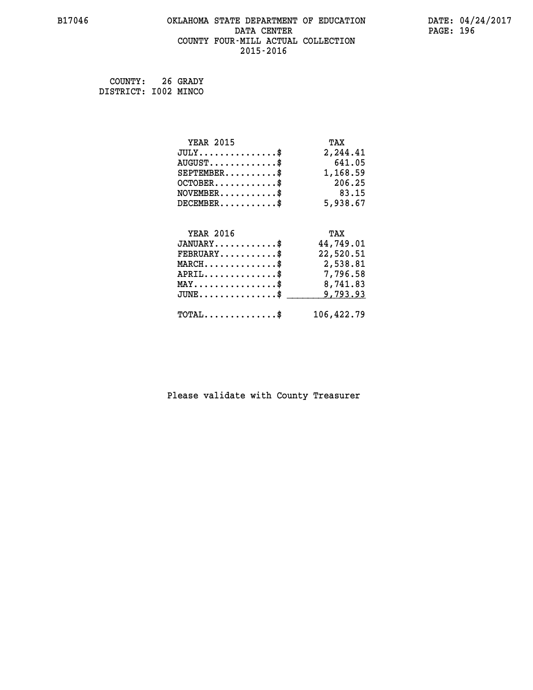#### **B17046 OKLAHOMA STATE DEPARTMENT OF EDUCATION DATE: 04/24/2017 DATA CENTER** PAGE: 196  **COUNTY FOUR-MILL ACTUAL COLLECTION 2015-2016**

 **COUNTY: 26 GRADY DISTRICT: I002 MINCO**

| <b>YEAR 2015</b>                                | TAX        |
|-------------------------------------------------|------------|
| $JULY$ \$                                       | 2,244.41   |
| $AUGUST$ \$                                     | 641.05     |
| $SEPTEMBER$ \$                                  | 1,168.59   |
| $OCTOBER$ \$                                    | 206.25     |
| $NOVEMBER$ \$                                   | 83.15      |
| $DECEMBER$ \$                                   | 5,938.67   |
|                                                 |            |
| <b>YEAR 2016</b>                                | TAX        |
| $JANUARY$ \$                                    | 44,749.01  |
| $FEBRUARY$ \$                                   | 22,520.51  |
| $MARCH$ \$                                      | 2,538.81   |
| $APRIL$ \$                                      | 7,796.58   |
| $\texttt{MAX} \dots \dots \dots \dots \dots$ \$ | 8,741.83   |
| $JUNE$ \$                                       | 9,793.93   |
| $TOTAL$ \$                                      | 106,422.79 |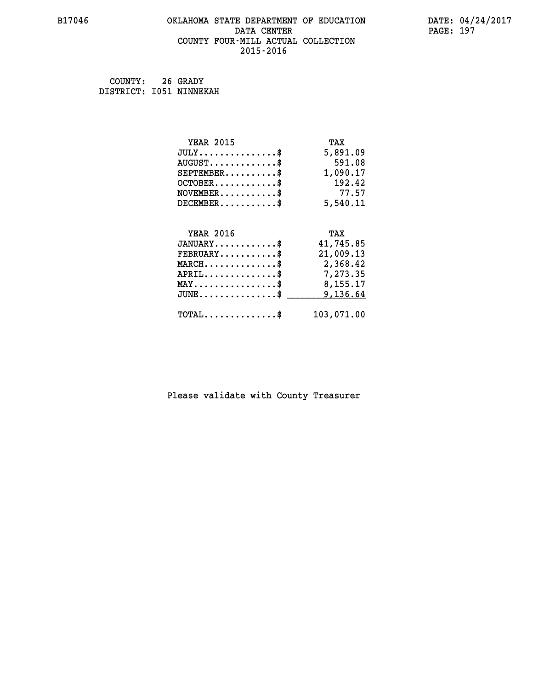#### **B17046 OKLAHOMA STATE DEPARTMENT OF EDUCATION DATE: 04/24/2017 DATA CENTER** PAGE: 197  **COUNTY FOUR-MILL ACTUAL COLLECTION 2015-2016**

 **COUNTY: 26 GRADY DISTRICT: I051 NINNEKAH**

| <b>YEAR 2015</b>                               | TAX        |
|------------------------------------------------|------------|
| $JULY$ \$                                      | 5,891.09   |
| $AUGUST$ \$                                    | 591.08     |
| $SEPTEMBER$ \$                                 | 1,090.17   |
| $OCTOBER$ \$                                   | 192.42     |
| $NOVEMBER$ \$                                  | 77.57      |
| $DECEMBER$ \$                                  | 5,540.11   |
|                                                |            |
| <b>YEAR 2016</b>                               | TAX        |
| $JANUARY$ \$                                   | 41,745.85  |
| $FEBRUARY$ \$                                  | 21,009.13  |
| $MARCH$ \$                                     | 2,368.42   |
| $APRIL$ \$                                     | 7,273.35   |
| $\texttt{MAX} \dots \dots \dots \dots \dots \$ | 8,155.17   |
| $JUNE$ \$                                      | 9,136.64   |
| $\texttt{TOTAL} \dots \dots \dots \dots$       | 103,071.00 |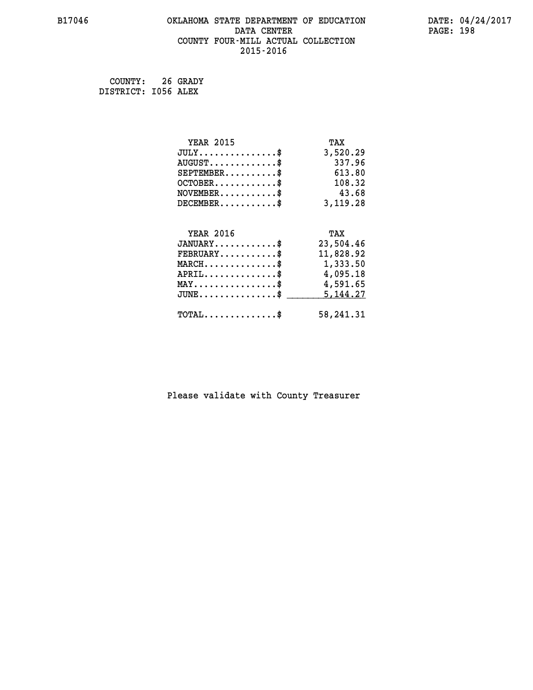#### **B17046 OKLAHOMA STATE DEPARTMENT OF EDUCATION DATE: 04/24/2017 DATA CENTER** PAGE: 198  **COUNTY FOUR-MILL ACTUAL COLLECTION 2015-2016**

 **COUNTY: 26 GRADY DISTRICT: I056 ALEX**

| <b>YEAR 2015</b>                               | TAX        |
|------------------------------------------------|------------|
| $JULY$ \$                                      | 3,520.29   |
| $AUGUST$ \$                                    | 337.96     |
| $SEPTEMBER$ \$                                 | 613.80     |
| $OCTOBER$ \$                                   | 108.32     |
| $\texttt{NOVEMBER} \dots \dots \dots \$        | 43.68      |
| $DECEMBER$ \$                                  | 3,119.28   |
|                                                |            |
| <b>YEAR 2016</b>                               | TAX        |
| $JANUARY$ \$                                   | 23,504.46  |
| $FEBRUARY$                                     | 11,828.92  |
| $MARCH$ \$                                     | 1,333.50   |
| $APRIL \ldots \ldots \ldots \ldots \$          | 4,095.18   |
| $\texttt{MAX} \dots \dots \dots \dots \dots \$ | 4,591.65   |
| $JUNE$ \$                                      | 5, 144. 27 |
| $\texttt{TOTAL} \dots \dots \dots \dots \$     | 58,241.31  |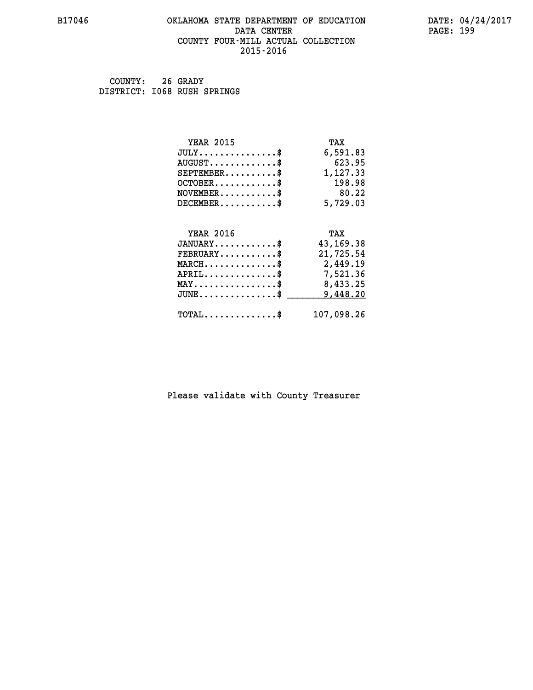#### **B17046 OKLAHOMA STATE DEPARTMENT OF EDUCATION DATE: 04/24/2017 DATA CENTER** PAGE: 199  **COUNTY FOUR-MILL ACTUAL COLLECTION 2015-2016**

 **COUNTY: 26 GRADY DISTRICT: I068 RUSH SPRINGS**

| <b>YEAR 2015</b>                                 | TAX        |
|--------------------------------------------------|------------|
| $JULY$ \$                                        | 6,591.83   |
| $AUGUST$ \$                                      | 623.95     |
| $SEPTEMBER$ \$                                   | 1,127.33   |
| $OCTOBER$ \$                                     | 198.98     |
| $\texttt{NOVEMBER} \dots \dots \dots \$          | 80.22      |
| $DECEMBER$ \$                                    | 5,729.03   |
|                                                  |            |
| <b>YEAR 2016</b>                                 | TAX        |
| $JANUARY$ \$                                     | 43,169.38  |
| $FEBRUARY$                                       | 21,725.54  |
| $\texttt{MARCH}\ldots\ldots\ldots\ldots\text{*}$ | 2,449.19   |
| $APRIL \ldots \ldots \ldots \ldots \$            | 7,521.36   |
| $\texttt{MAX} \dots \dots \dots \dots \dots \$   | 8,433.25   |
| $JUNE$ \$                                        | 9,448.20   |
| $\texttt{TOTAL} \dots \dots \dots \dots$ \$      | 107,098.26 |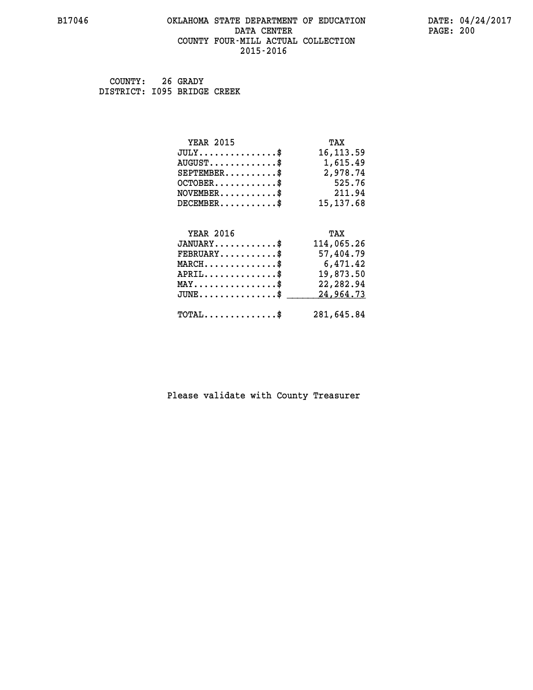#### **B17046 OKLAHOMA STATE DEPARTMENT OF EDUCATION DATE: 04/24/2017 DATA CENTER** PAGE: 200  **COUNTY FOUR-MILL ACTUAL COLLECTION 2015-2016**

 **COUNTY: 26 GRADY DISTRICT: I095 BRIDGE CREEK**

| <b>YEAR 2015</b>                                | TAX        |
|-------------------------------------------------|------------|
| $JULY$ \$                                       | 16, 113.59 |
| $AUGUST$ \$                                     | 1,615.49   |
| $SEPTEMBER$ \$                                  | 2,978.74   |
| $OCTOBER$ \$                                    | 525.76     |
| $NOVEMBER.$ \$                                  | 211.94     |
| $DECEMBER$ \$                                   | 15, 137.68 |
|                                                 |            |
| <b>YEAR 2016</b>                                | TAX        |
| $JANUARY$ \$                                    | 114,065.26 |
| $FEBRUARY$ \$                                   | 57,404.79  |
| $MARCH$ \$                                      | 6,471.42   |
| $APRIL$ \$                                      | 19,873.50  |
| $\texttt{MAX} \dots \dots \dots \dots \dots$ \$ | 22,282.94  |
| $JUNE$ \$                                       | 24,964.73  |
| $\texttt{TOTAL} \dots \dots \dots \dots \$      | 281,645.84 |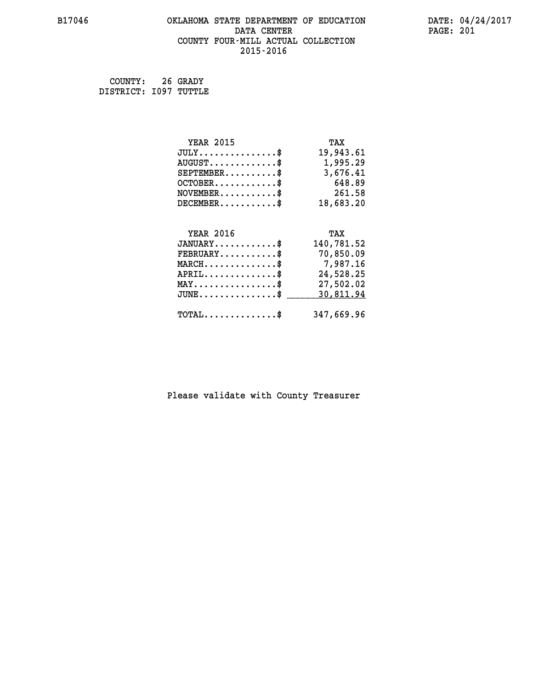#### **B17046 OKLAHOMA STATE DEPARTMENT OF EDUCATION DATE: 04/24/2017 DATA CENTER** PAGE: 201  **COUNTY FOUR-MILL ACTUAL COLLECTION 2015-2016**

 **COUNTY: 26 GRADY DISTRICT: I097 TUTTLE**

| <b>YEAR 2015</b>                               | TAX        |
|------------------------------------------------|------------|
| $JULY$ \$                                      | 19,943.61  |
| $AUGUST$ \$                                    | 1,995.29   |
| $SEPTEMBER$ \$                                 | 3,676.41   |
| $OCTOBER$ \$                                   | 648.89     |
| $\texttt{NOVEMBER} \dots \dots \dots \$        | 261.58     |
| $DECEMBER$ \$                                  | 18,683.20  |
|                                                |            |
| <b>YEAR 2016</b>                               | TAX        |
| $JANUARY$ \$                                   | 140,781.52 |
| $FEBRUARY$                                     | 70,850.09  |
| $MARCH$ \$                                     | 7,987.16   |
| $APRIL$ \$                                     | 24,528.25  |
| $\texttt{MAX} \dots \dots \dots \dots \dots \$ | 27,502.02  |
| $JUNE$ \$                                      | 30,811.94  |
| $\texttt{TOTAL} \dots \dots \dots \dots \$     | 347,669.96 |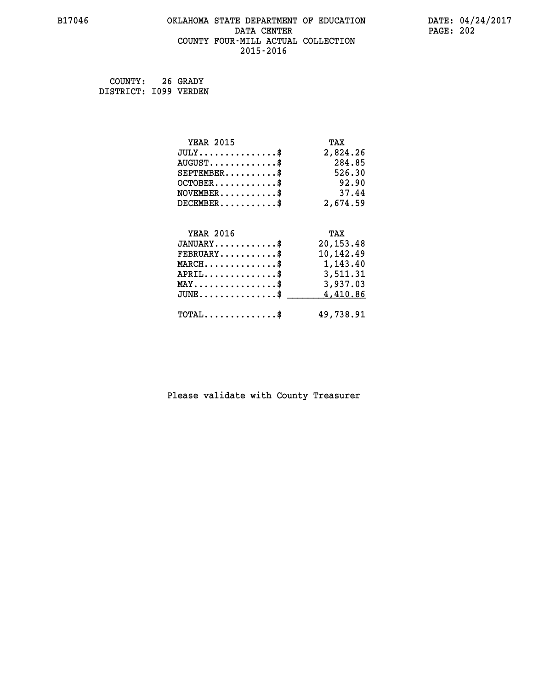#### **B17046 OKLAHOMA STATE DEPARTMENT OF EDUCATION DATE: 04/24/2017 DATA CENTER** PAGE: 202  **COUNTY FOUR-MILL ACTUAL COLLECTION 2015-2016**

 **COUNTY: 26 GRADY DISTRICT: I099 VERDEN**

| <b>YEAR 2015</b>                                 | TAX         |
|--------------------------------------------------|-------------|
| $JULY$ \$                                        | 2,824.26    |
| $AUGUST$ \$                                      | 284.85      |
| $SEPTEMBER$ \$                                   | 526.30      |
| $OCTOBER$ \$                                     | 92.90       |
| $\texttt{NOVEMBER} \dots \dots \dots \$          | 37.44       |
| $DECEMBER$ \$                                    | 2,674.59    |
|                                                  |             |
| <b>YEAR 2016</b>                                 | TAX         |
| $JANUARY$ \$                                     | 20, 153. 48 |
| $FEBRUARY$                                       | 10,142.49   |
| MARCH\$ 1,143.40                                 |             |
| $APRIL \ldots \ldots \ldots \ldots \$            | 3,511.31    |
| $\texttt{MAX} \dots \dots \dots \dots \dots \$   | 3,937.03    |
| $\texttt{JUNE} \dots \dots \dots \dots \dots \$$ | 4,410.86    |
| $\texttt{TOTAL} \dots \dots \dots \dots \$       | 49,738.91   |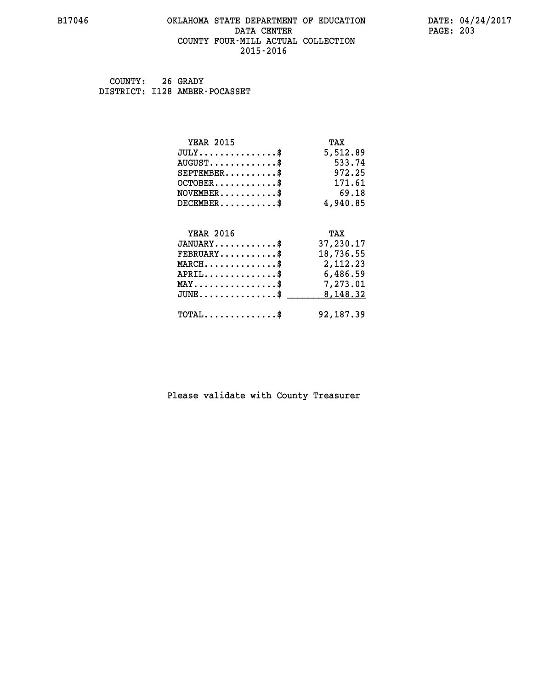#### **B17046 OKLAHOMA STATE DEPARTMENT OF EDUCATION DATE: 04/24/2017 DATA CENTER** PAGE: 203  **COUNTY FOUR-MILL ACTUAL COLLECTION 2015-2016**

 **COUNTY: 26 GRADY DISTRICT: I128 AMBER-POCASSET**

| <b>YEAR 2015</b>                               | TAX       |
|------------------------------------------------|-----------|
| $JULY$ \$                                      | 5,512.89  |
| $AUGUST$ \$                                    | 533.74    |
| $SEPTEMENT.$ \$                                | 972.25    |
| $OCTOBER$ \$                                   | 171.61    |
| $NOVEMBER$ \$                                  | 69.18     |
| $DECEMBER$ \$                                  | 4,940.85  |
| <b>YEAR 2016</b>                               | TAX       |
| $JANUARY$ \$                                   | 37,230.17 |
| $FEBRUARY$                                     | 18,736.55 |
| $MARCH$ \$                                     | 2,112.23  |
| $APRIL$ \$                                     | 6,486.59  |
| $\texttt{MAX} \dots \dots \dots \dots \dots \$ | 7,273.01  |
| $JUNE$                                         | 8,148.32  |
| $\texttt{TOTAL} \dots \dots \dots \dots \$     | 92,187.39 |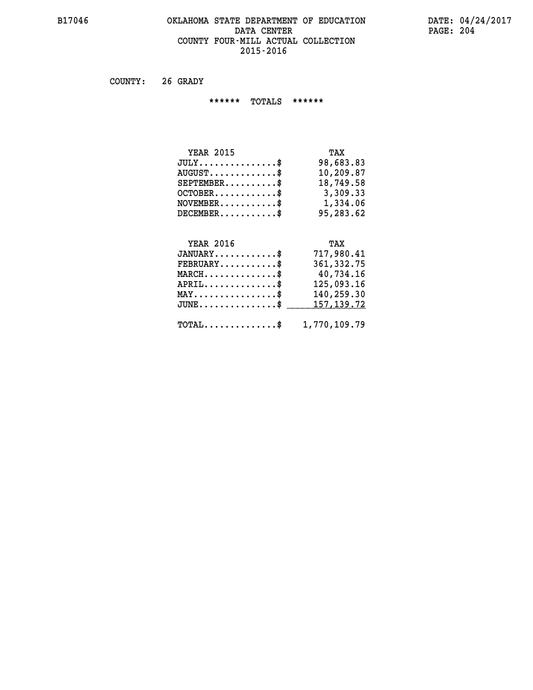#### **B17046 OKLAHOMA STATE DEPARTMENT OF EDUCATION DATE: 04/24/2017 DATA CENTER** PAGE: 204  **COUNTY FOUR-MILL ACTUAL COLLECTION 2015-2016**

 **COUNTY: 26 GRADY**

 **\*\*\*\*\*\* TOTALS \*\*\*\*\*\***

| <b>YEAR 2015</b>                     | TAX       |
|--------------------------------------|-----------|
| $JULY \ldots \ldots \ldots \ldots \$ | 98,683.83 |
| $AUGUST \ldots \ldots \ldots$ \$     | 10,209.87 |
| $SEPTEMBER$ $\$                      | 18,749.58 |
| $OCTOBER$ \$                         | 3,309.33  |
| $NOVEMBER.$ $\frac{\$}{}$            | 1,334.06  |
| $DECEMENTER$ \$                      | 95,283.62 |

## **YEAR 2016**

| <b>YEAR 2016</b>                                        | TAX         |
|---------------------------------------------------------|-------------|
| $JANUARY$ \$                                            | 717,980.41  |
| $FEBRUARY$ \$                                           | 361, 332.75 |
| $MARCH$                                                 | 40,734.16   |
| $APRIL$                                                 | 125,093.16  |
| $MAX \dots \dots \dots \dots \dots$                     | 140,259.30  |
| JUNE\$ 157,139.72                                       |             |
|                                                         |             |
| $\texttt{TOTAL} \dots \dots \dots \dots \$ 1,770,109.79 |             |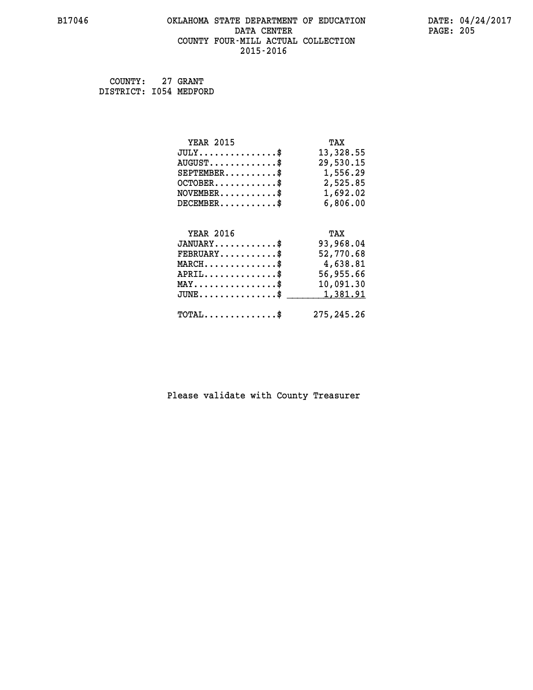### **B17046 OKLAHOMA STATE DEPARTMENT OF EDUCATION DATE: 04/24/2017 DATA CENTER PAGE: 205 COUNTY FOUR-MILL ACTUAL COLLECTION 2015-2016**

 **COUNTY: 27 GRANT DISTRICT: I054 MEDFORD**

| <b>YEAR 2015</b>                                  | TAX          |
|---------------------------------------------------|--------------|
| $JULY$ \$                                         | 13,328.55    |
| $AUGUST$ \$                                       | 29,530.15    |
| $SEPTEMBER$ \$                                    | 1,556.29     |
| $OCTOBER$ \$                                      | 2,525.85     |
| $NOVEMBER.$ \$                                    | 1,692.02     |
| $DECEMBER$ \$                                     | 6,806.00     |
|                                                   |              |
| <b>YEAR 2016</b>                                  | TAX          |
| $JANUARY$ \$                                      | 93,968.04    |
| $\texttt{FEBRUARY} \dots \dots \dots \$           | 52,770.68    |
| $\texttt{MARCH}\ldots\ldots\ldots\ldots\clubsuit$ | 4,638.81     |
| $APRIL \ldots \ldots \ldots \ldots \$             | 56,955.66    |
| $\texttt{MAX} \dots \dots \dots \dots \dots \$$   | 10,091.30    |
| $\texttt{JUNE} \dots \dots \dots \dots \dots \$$  | 1,381.91     |
| $\texttt{TOTAL} \dots \dots \dots \dots \$        | 275, 245. 26 |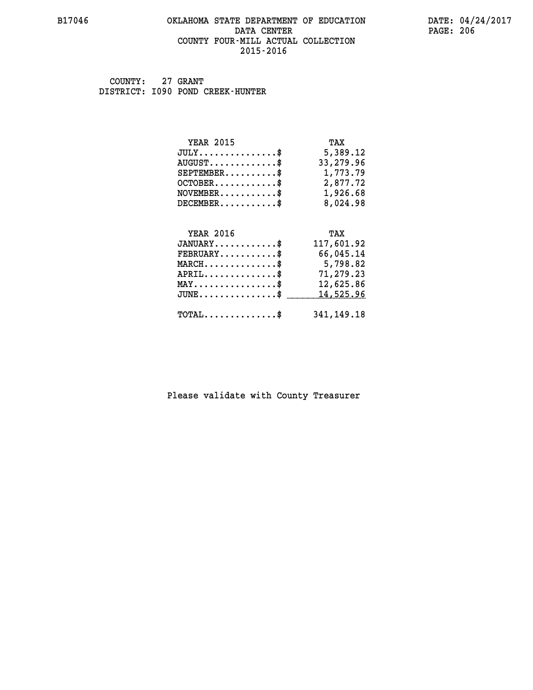#### **B17046 OKLAHOMA STATE DEPARTMENT OF EDUCATION DATE: 04/24/2017 DATA CENTER** PAGE: 206  **COUNTY FOUR-MILL ACTUAL COLLECTION 2015-2016**

 **COUNTY: 27 GRANT DISTRICT: I090 POND CREEK-HUNTER**

| <b>YEAR 2015</b>                                   | TAX          |
|----------------------------------------------------|--------------|
| $JULY$ \$                                          | 5,389.12     |
| $AUGUST$ \$                                        | 33,279.96    |
| $SEPTEMBER$ \$                                     | 1,773.79     |
| $OCTOBER$ \$                                       | 2,877.72     |
| $\texttt{NOVEMBER} \dots \dots \dots \$            | 1,926.68     |
| $DECEMBER$ \$                                      | 8,024.98     |
|                                                    |              |
| <b>YEAR 2016</b>                                   | TAX          |
| $JANUARY$ \$                                       | 117,601.92   |
| $FEBRUARY$ \$                                      | 66,045.14    |
| $\texttt{MARCH}\ldots\ldots\ldots\ldots\text{*}$   | 5,798.82     |
| $APRIL \ldots \ldots \ldots \ldots \$              | 71,279.23    |
| $\texttt{MAX} \dots \dots \dots \dots \dots \$     | 12,625.86    |
| $\texttt{JUNE} \dots \dots \dots \dots \texttt{S}$ | 14,525.96    |
| $\texttt{TOTAL} \dots \dots \dots \dots \$         | 341, 149. 18 |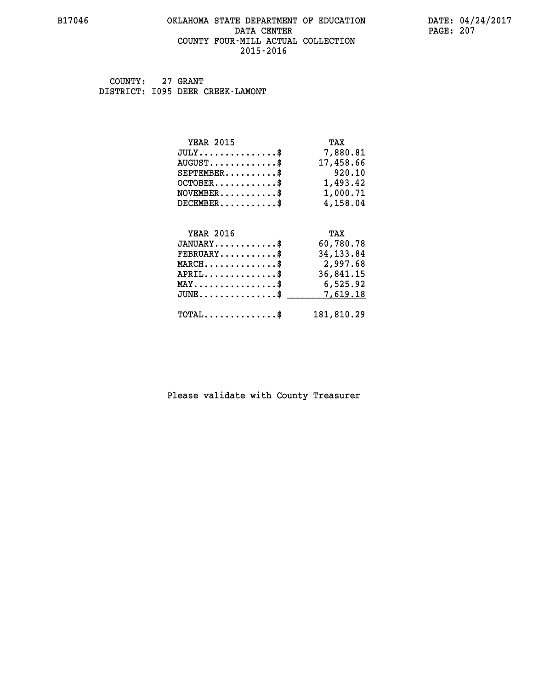#### **B17046 OKLAHOMA STATE DEPARTMENT OF EDUCATION DATE: 04/24/2017 DATA CENTER** PAGE: 207  **COUNTY FOUR-MILL ACTUAL COLLECTION 2015-2016**

 **COUNTY: 27 GRANT DISTRICT: I095 DEER CREEK-LAMONT**

| <b>YEAR 2015</b>                               | TAX        |
|------------------------------------------------|------------|
| $JULY$ \$                                      | 7,880.81   |
| $AUGUST$ \$                                    | 17,458.66  |
| $SEPTEMBER$ \$                                 | 920.10     |
| $OCTOBER$ \$                                   | 1,493.42   |
| $\texttt{NOVEMBER} \dots \dots \dots \$        | 1,000.71   |
| $DECEMBER$ \$                                  | 4,158.04   |
|                                                |            |
| <b>YEAR 2016</b>                               | TAX        |
| $JANUARY$ \$                                   | 60,780.78  |
| $FEBRUARY$                                     | 34, 133.84 |
| $MARCH$ \$                                     | 2,997.68   |
| $APRIL$ \$                                     | 36,841.15  |
| $\texttt{MAX} \dots \dots \dots \dots \dots \$ | 6,525.92   |
| $JUNE$ $\text{\$}$                             | 7,619.18   |
| $\texttt{TOTAL} \dots \dots \dots \dots \$     | 181,810.29 |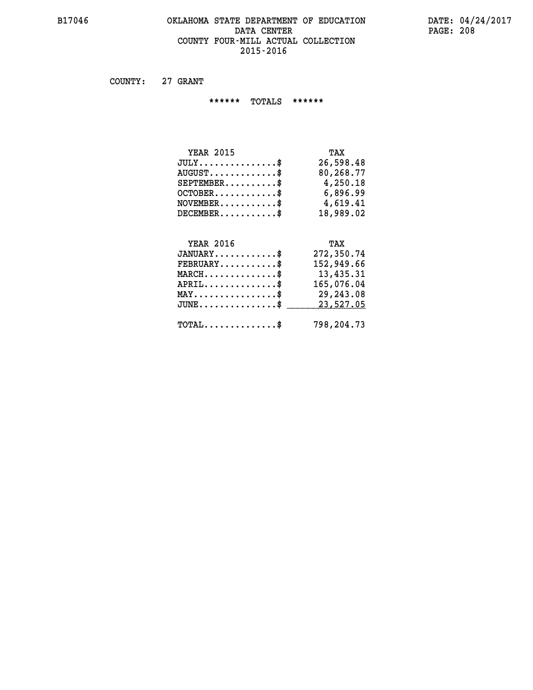#### **B17046 OKLAHOMA STATE DEPARTMENT OF EDUCATION DATE: 04/24/2017 DATA CENTER** PAGE: 208  **COUNTY FOUR-MILL ACTUAL COLLECTION 2015-2016**

 **COUNTY: 27 GRANT**

 **\*\*\*\*\*\* TOTALS \*\*\*\*\*\***

| <b>YEAR 2015</b>                       | TAX       |
|----------------------------------------|-----------|
| $JULY \ldots \ldots \ldots \mathbb{S}$ | 26,598.48 |
| $AUGUST$ \$                            | 80,268.77 |
| $SEPTEMBER$ \$                         | 4,250.18  |
| $OCTOBER$ \$                           | 6,896.99  |
| $NOVEMBER$ $\$                         | 4,619.41  |
| $DECEMBER$ $\$                         | 18,989.02 |

## **YEAR 2016**

| <b>YEAR 2016</b>                           | TAX        |
|--------------------------------------------|------------|
| $JANUARY$ \$                               | 272,350.74 |
| $FEBRUARY$ \$                              | 152,949.66 |
| $MARCH$ \$                                 | 13,435.31  |
| $APRIL$ \$                                 | 165,076.04 |
| $MAX \dots \dots \dots \dots \dots \$      | 29,243.08  |
| $JUNE$ \$                                  | 23,527.05  |
| $\texttt{TOTAL} \dots \dots \dots \dots \$ | 798,204.73 |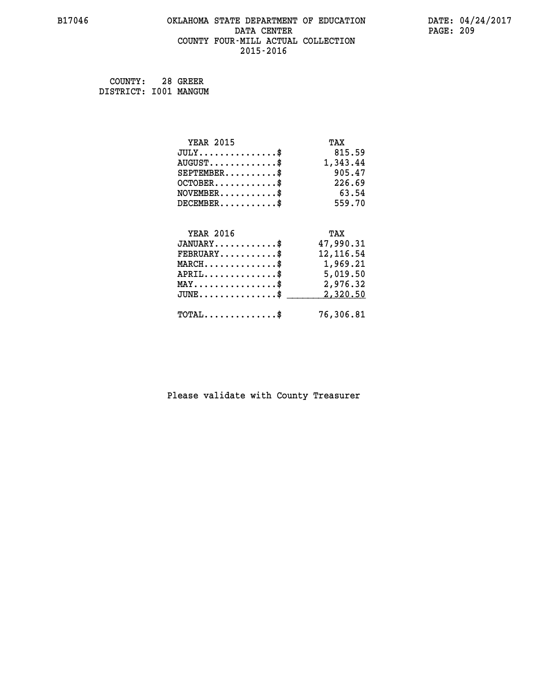#### **B17046 OKLAHOMA STATE DEPARTMENT OF EDUCATION DATE: 04/24/2017 DATA CENTER** PAGE: 209  **COUNTY FOUR-MILL ACTUAL COLLECTION 2015-2016**

 **COUNTY: 28 GREER DISTRICT: I001 MANGUM**

| <b>YEAR 2015</b>                               | TAX        |
|------------------------------------------------|------------|
| $JULY$ \$                                      | 815.59     |
| $AUGUST$ \$                                    | 1,343.44   |
| $SEPTEMENT.$ \$                                | 905.47     |
| $OCTOBER$ \$                                   | 226.69     |
| $NOVEMBER$ \$                                  | 63.54      |
| $DECEMBER$ \$                                  | 559.70     |
|                                                |            |
| <b>YEAR 2016</b>                               | TAX        |
| $JANUARY$ \$                                   | 47,990.31  |
| $FEBRUARY$                                     | 12, 116.54 |
| $MARCH$ \$                                     | 1,969.21   |
| $APRIL$ \$                                     | 5,019.50   |
| $\texttt{MAX} \dots \dots \dots \dots \dots \$ | 2,976.32   |
|                                                |            |
| $JUNE$ \$                                      | 2,320.50   |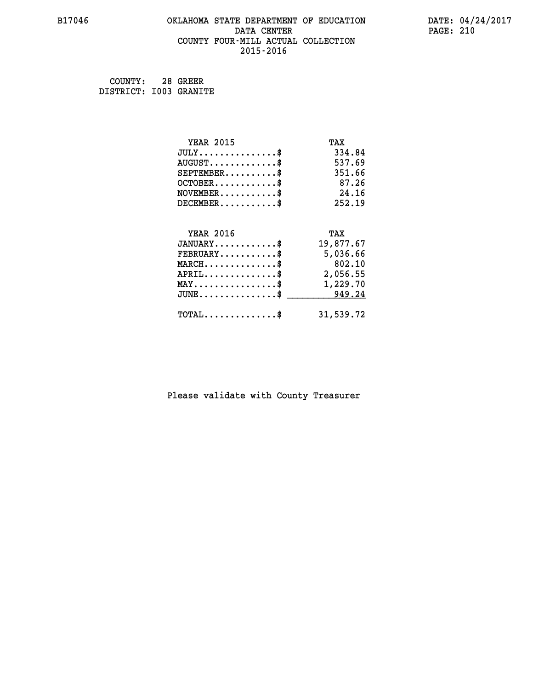#### **B17046 OKLAHOMA STATE DEPARTMENT OF EDUCATION DATE: 04/24/2017 DATA CENTER** PAGE: 210  **COUNTY FOUR-MILL ACTUAL COLLECTION 2015-2016**

 **COUNTY: 28 GREER DISTRICT: I003 GRANITE**

| <b>YEAR 2015</b>                               | TAX       |
|------------------------------------------------|-----------|
| $JULY$ \$                                      | 334.84    |
| $AUGUST$ \$                                    | 537.69    |
| $SEPTEMBER$ \$                                 | 351.66    |
| $OCTOBER$ \$                                   | 87.26     |
| $NOVEMBER$ \$                                  | 24.16     |
| $DECEMBER$ \$                                  | 252.19    |
|                                                |           |
| <b>YEAR 2016</b>                               | TAX       |
| $JANUARY$ \$                                   | 19,877.67 |
| $FEBRUARY$ \$                                  | 5,036.66  |
| $MARCH$ \$                                     | 802.10    |
| $APRIL$ \$                                     | 2,056.55  |
| $\texttt{MAX} \dots \dots \dots \dots \dots \$ | 1,229.70  |
| $JUNE$ \$                                      | 949.24    |
| $\texttt{TOTAL} \dots \dots \dots \dots$ \$    | 31,539.72 |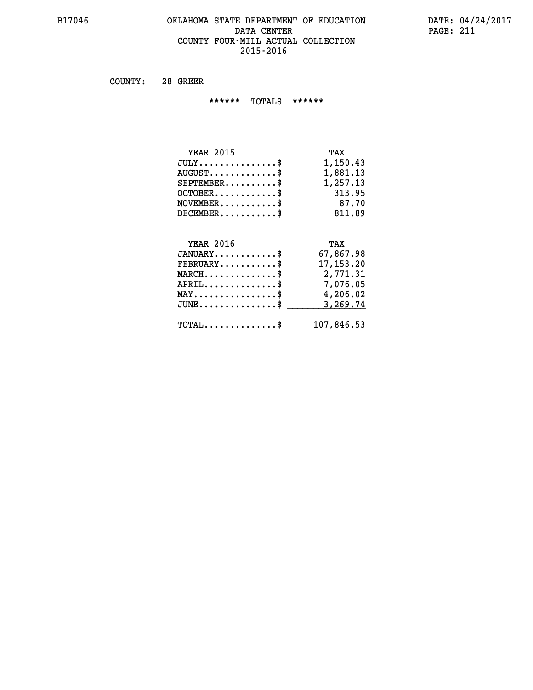#### **B17046 OKLAHOMA STATE DEPARTMENT OF EDUCATION DATE: 04/24/2017 DATA CENTER** PAGE: 211  **COUNTY FOUR-MILL ACTUAL COLLECTION 2015-2016**

 **COUNTY: 28 GREER**

 **\*\*\*\*\*\* TOTALS \*\*\*\*\*\***

| <b>YEAR 2015</b>                   | TAX      |
|------------------------------------|----------|
| $JULY \ldots \ldots \ldots \ldots$ | 1,150.43 |
| $AUGUST$ \$                        | 1,881.13 |
| $SEPTEMBER$                        | 1,257.13 |
| $OCTOBER$ \$                       | 313.95   |
| $NOVEMBER$ $\$                     | 87.70    |
| $DECEMBER$ \$                      | 811.89   |

## **YEAR 2016 TAX JANUARY............\$ 67,867.98 FEBRUARY...........\$ 17,153.20 MARCH..............\$ 2,771.31 APRIL..............\$ 7,076.05 MAY................\$ 4,206.02 JUNE...............\$ 3,269.74 \_\_\_\_\_\_\_\_\_\_\_\_\_\_\_ TOTAL..............\$ 107,846.53**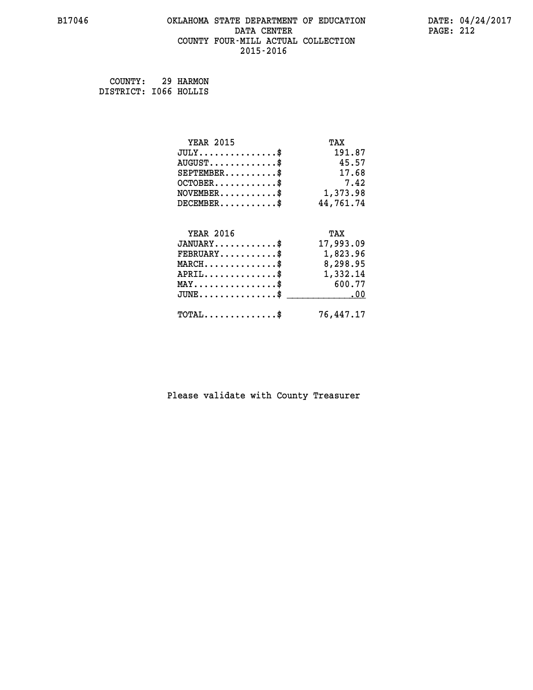#### **B17046 OKLAHOMA STATE DEPARTMENT OF EDUCATION DATE: 04/24/2017 DATA CENTER** PAGE: 212  **COUNTY FOUR-MILL ACTUAL COLLECTION 2015-2016**

 **COUNTY: 29 HARMON DISTRICT: I066 HOLLIS**

| <b>YEAR 2015</b>                    | TAX       |
|-------------------------------------|-----------|
| $JULY$ \$                           | 191.87    |
| $AUGUST$ \$                         | 45.57     |
| $SEPTEMENT.$ \$                     | 17.68     |
| $OCTOBER$ \$                        | 7.42      |
| $NOVEMBER$ \$                       | 1,373.98  |
| $DECEMBER$ \$                       | 44,761.74 |
|                                     |           |
| <b>YEAR 2016</b>                    | TAX       |
| $JANUARY$ \$                        | 17,993.09 |
| $FEBRUARY$                          | 1,823.96  |
| $MARCH$ \$                          | 8,298.95  |
| $APRIL$ \$                          | 1,332.14  |
| $MAX \dots \dots \dots \dots \dots$ | 600.77    |
| $JUNE$                              | .00       |
| $TOTAL$ \$                          | 76,447.17 |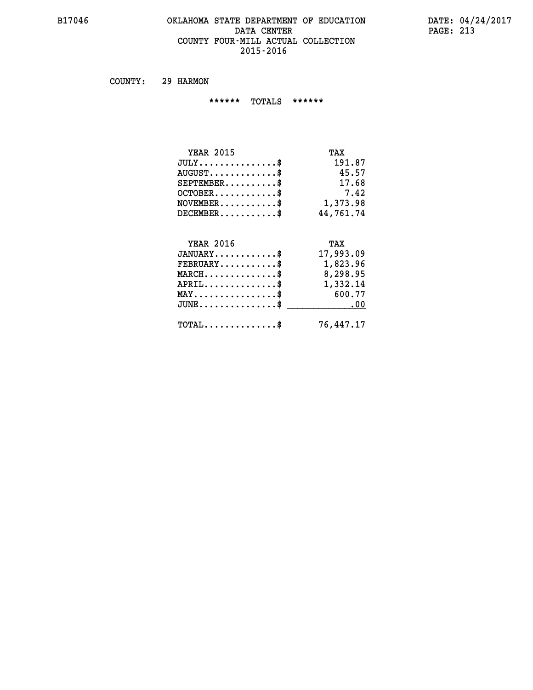#### **B17046 OKLAHOMA STATE DEPARTMENT OF EDUCATION DATE: 04/24/2017 DATA CENTER** PAGE: 213  **COUNTY FOUR-MILL ACTUAL COLLECTION 2015-2016**

 **COUNTY: 29 HARMON**

 **\*\*\*\*\*\* TOTALS \*\*\*\*\*\***

| <b>YEAR 2015</b>                           | TAX       |
|--------------------------------------------|-----------|
| $JULY$ \$                                  | 191.87    |
| $AUGUST$ \$                                | 45.57     |
| $SEPTEMBER$ \$                             | 17.68     |
| $OCTOBER$ \$                               | 7.42      |
| $NOVEMBER$ \$                              | 1,373.98  |
| $DECEMBER$ \$                              | 44,761.74 |
| <b>YEAR 2016</b>                           | TAX       |
| $JANUARY$ \$                               | 17,993.09 |
| $FEBRUARY$                                 | 1,823.96  |
| $MARCH$ \$                                 | 8,298.95  |
| $APRIL$ \$                                 | 1,332.14  |
| $MAX \dots \dots \dots \dots \$            | 600.77    |
| $JUNE$ \$                                  | .00       |
| $\texttt{TOTAL} \dots \dots \dots \dots \$ | 76,447.17 |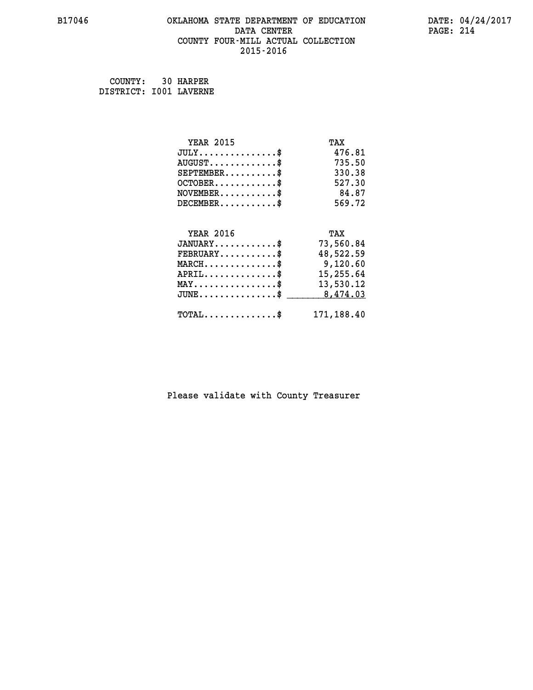#### **B17046 OKLAHOMA STATE DEPARTMENT OF EDUCATION DATE: 04/24/2017 DATA CENTER** PAGE: 214  **COUNTY FOUR-MILL ACTUAL COLLECTION 2015-2016**

 **COUNTY: 30 HARPER DISTRICT: I001 LAVERNE**

| <b>YEAR 2015</b>                                 | TAX        |
|--------------------------------------------------|------------|
| $JULY$ \$                                        | 476.81     |
| $AUGUST$ \$                                      | 735.50     |
| $SEPTEMBER$ \$                                   | 330.38     |
| $OCTOBER$ \$                                     | 527.30     |
| $NOVEMBER$ \$ 84.87                              |            |
| $DECEMBER$ \$                                    | 569.72     |
|                                                  |            |
| <b>YEAR 2016</b>                                 | TAX        |
| $JANUARY$                                        | 73,560.84  |
| $FEBRUARY$                                       | 48,522.59  |
| $\texttt{MARCH}\ldots\ldots\ldots\ldots\text{*}$ | 9,120.60   |
| $APRIL \ldots \ldots \ldots \ldots \$            | 15,255.64  |
| $\texttt{MAX} \dots \dots \dots \dots \dots \$   | 13,530.12  |
| $\texttt{JUNE} \dots \dots \dots \dots \dots \$$ | 8, 474.03  |
| $\texttt{TOTAL} \dots \dots \dots \dots$         | 171,188.40 |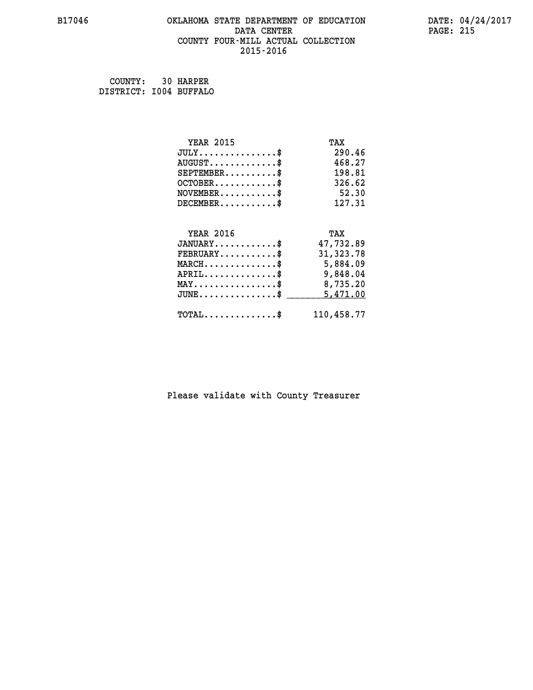#### **B17046 OKLAHOMA STATE DEPARTMENT OF EDUCATION DATE: 04/24/2017 DATA CENTER** PAGE: 215  **COUNTY FOUR-MILL ACTUAL COLLECTION 2015-2016**

| COUNTY:                | 30 HARPER |
|------------------------|-----------|
| DISTRICT: I004 BUFFALO |           |

| <b>YEAR 2015</b>                                 | TAX        |
|--------------------------------------------------|------------|
| $JULY$ \$                                        | 290.46     |
| $AUGUST$ \$                                      | 468.27     |
| $SEPTEMBER$ \$                                   | 198.81     |
| $OCTOBER$ \$                                     | 326.62     |
| $NOVEMBER$ \$                                    | 52.30      |
| $DECEMBER$ \$                                    | 127.31     |
|                                                  |            |
| <b>YEAR 2016</b>                                 | TAX        |
| $JANUARY$                                        | 47,732.89  |
| $FEBRUARY$                                       | 31, 323.78 |
| $MARCH$ \$                                       | 5,884.09   |
| $APRIL \ldots \ldots \ldots \ldots \$            | 9,848.04   |
| $\texttt{MAX} \dots \dots \dots \dots \dots \$   | 8,735.20   |
| $\texttt{JUNE} \dots \dots \dots \dots \dots \$$ | 5,471.00   |
| $\texttt{TOTAL} \dots \dots \dots \dots$         | 110,458.77 |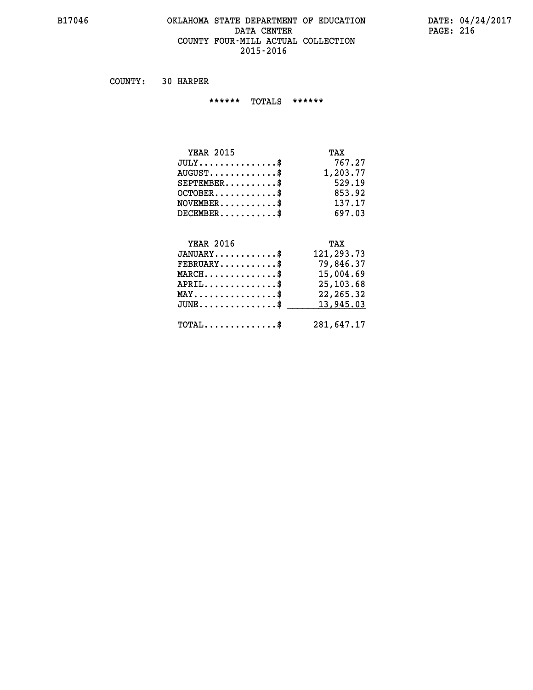### **B17046 OKLAHOMA STATE DEPARTMENT OF EDUCATION DATE: 04/24/2017 DATA CENTER** PAGE: 216  **COUNTY FOUR-MILL ACTUAL COLLECTION 2015-2016**

 **COUNTY: 30 HARPER**

 **\*\*\*\*\*\* TOTALS \*\*\*\*\*\***

| <b>YEAR 2015</b>                 | TAX      |
|----------------------------------|----------|
| $JULY$                           | 767.27   |
| $AUGUST \ldots \ldots \ldots$ \$ | 1,203.77 |
| $SEPTEMBER$                      | 529.19   |
| $OCTOBER$ \$                     | 853.92   |
| $NOVEMBER$ \$                    | 137.17   |
| $DECEMBER$                       | 697.03   |

## **YEAR 2016 TAX**

| $JANUARY$                                        | 121,293.73 |
|--------------------------------------------------|------------|
| $FEBRUARY$                                       | 79,846.37  |
| $MARCH$ \$                                       | 15,004.69  |
| $APRIL$ \$                                       | 25,103.68  |
| $MAX \dots \dots \dots \dots \dots \$            | 22,265.32  |
| JUNE\$ 13,945.03                                 |            |
| $\texttt{TOTAL} \dots \dots \dots \dots \dots \$ | 281,647.17 |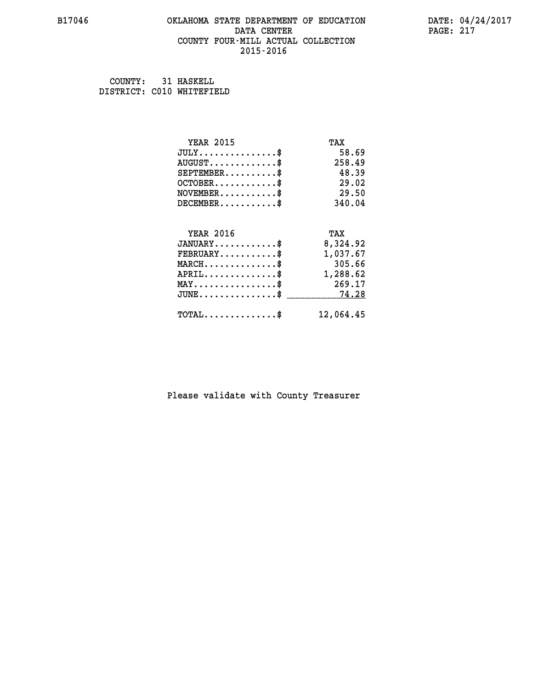### **B17046 OKLAHOMA STATE DEPARTMENT OF EDUCATION DATE: 04/24/2017 DATA CENTER** PAGE: 217  **COUNTY FOUR-MILL ACTUAL COLLECTION 2015-2016**

 **COUNTY: 31 HASKELL DISTRICT: C010 WHITEFIELD**

| <b>YEAR 2015</b>                                | TAX       |
|-------------------------------------------------|-----------|
| $JULY$ \$                                       | 58.69     |
| $AUGUST$ \$                                     | 258.49    |
| $SEPTEMENT.$ \$                                 | 48.39     |
| $OCTOBER$ \$                                    | 29.02     |
| $\texttt{NOVEMBER} \dots \dots \dots \$         | 29.50     |
| $DECEMBER$ \$                                   | 340.04    |
| <b>YEAR 2016</b>                                | TAX       |
| $JANUARY$ \$                                    | 8,324.92  |
| $FEBRUARY$                                      | 1,037.67  |
| $MARCH$ \$                                      | 305.66    |
| $APRIL \ldots \ldots \ldots \ldots \$           | 1,288.62  |
| $\texttt{MAX} \dots \dots \dots \dots \dots \$  | 269.17    |
| $\texttt{JUNE} \dots \dots \dots \dots \dots *$ | 74.28     |
| $\texttt{TOTAL} \dots \dots \dots \dots \$      | 12,064.45 |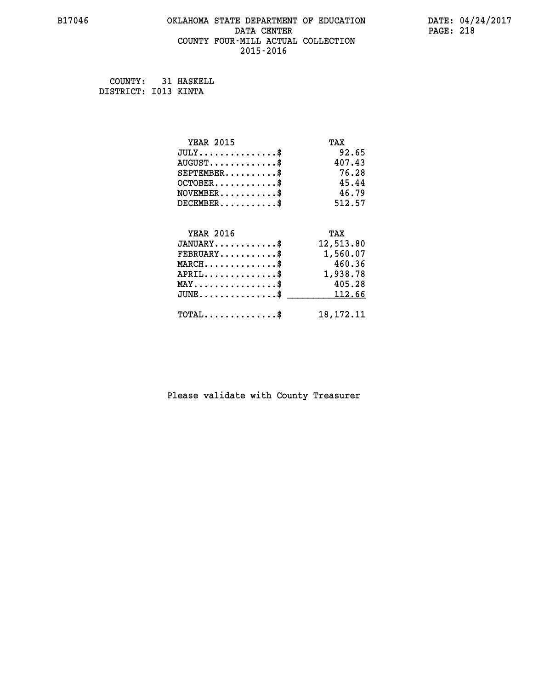### **B17046 OKLAHOMA STATE DEPARTMENT OF EDUCATION DATE: 04/24/2017 DATA CENTER** PAGE: 218  **COUNTY FOUR-MILL ACTUAL COLLECTION 2015-2016**

 **COUNTY: 31 HASKELL DISTRICT: I013 KINTA**

| <b>YEAR 2015</b>                           | TAX         |
|--------------------------------------------|-------------|
| $JULY$                                     | 92.65       |
| $AUGUST$ \$                                | 407.43      |
| $SEPTEMENT.$                               | 76.28       |
| $OCTOBER$                                  | 45.44       |
| NOVEMENT.                                  | 46.79       |
| $DECEMBER$ \$                              | 512.57      |
| <b>YEAR 2016</b>                           | TAX         |
| $JANUARY$ \$                               | 12,513.80   |
| $FEBRUARY$ \$                              | 1,560.07    |
| $MARCH$ \$                                 | 460.36      |
| $APRIL$ \$                                 | 1,938.78    |
| $MAX \dots \dots \dots \dots \dots$        | 405.28      |
| $JUNE$ \$                                  | 112.66      |
| $\texttt{TOTAL} \dots \dots \dots \dots \$ | 18, 172. 11 |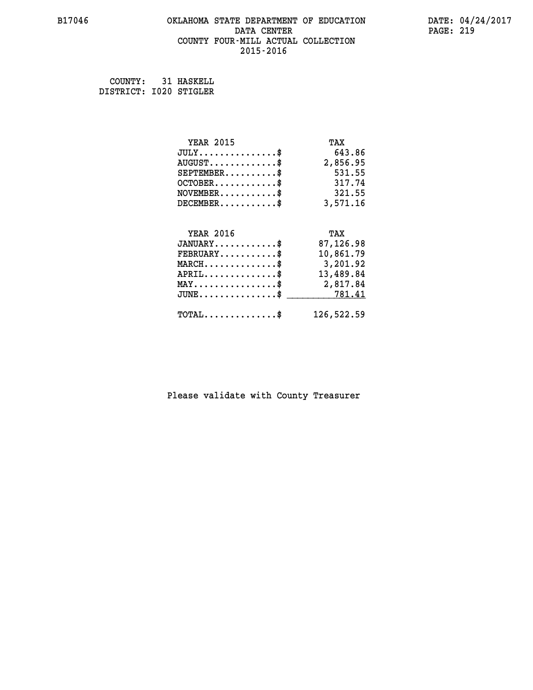### **B17046 OKLAHOMA STATE DEPARTMENT OF EDUCATION DATE: 04/24/2017 DATA CENTER** PAGE: 219  **COUNTY FOUR-MILL ACTUAL COLLECTION 2015-2016**

 **COUNTY: 31 HASKELL DISTRICT: I020 STIGLER**

| <b>YEAR 2015</b>                                 | TAX        |
|--------------------------------------------------|------------|
| $JULY$ \$                                        | 643.86     |
| $AUGUST$ \$                                      | 2,856.95   |
| $SEPTEMENT.$ \$                                  | 531.55     |
| $OCTOBER$ \$                                     | 317.74     |
| $NOVEMBER$ \$                                    | 321.55     |
| $DECEMBER$ \$                                    | 3,571.16   |
|                                                  |            |
| <b>YEAR 2016</b>                                 | TAX        |
| $JANUARY$ \$                                     | 87,126.98  |
| $FEBRUARY$                                       | 10,861.79  |
| $MARCH$ \$                                       | 3,201.92   |
| $APRIL$ \$                                       | 13,489.84  |
| $\texttt{MAX} \dots \dots \dots \dots \dots \$   | 2,817.84   |
| $\texttt{JUNE} \dots \dots \dots \dots \dots \$$ | 781.41     |
| $\texttt{TOTAL} \dots \dots \dots \dots \$       | 126,522.59 |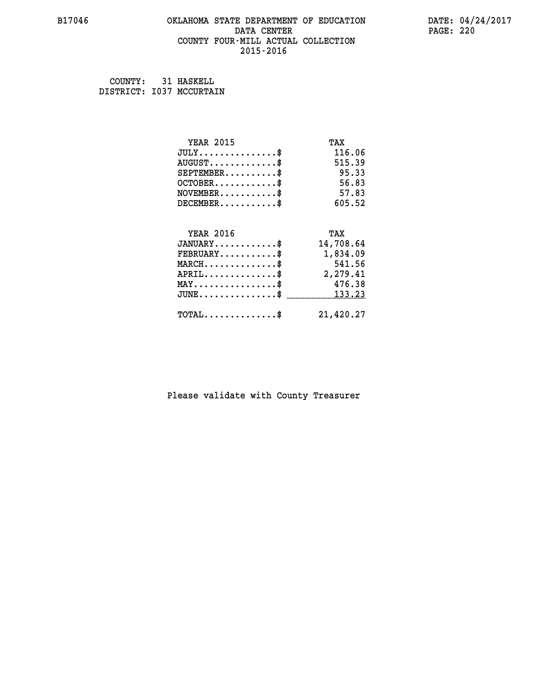### **B17046 OKLAHOMA STATE DEPARTMENT OF EDUCATION DATE: 04/24/2017 DATA CENTER** PAGE: 220  **COUNTY FOUR-MILL ACTUAL COLLECTION 2015-2016**

 **COUNTY: 31 HASKELL DISTRICT: I037 MCCURTAIN**

| <b>YEAR 2015</b>                           | TAX       |
|--------------------------------------------|-----------|
| $JULY$ \$                                  | 116.06    |
| $AUGUST$ \$                                | 515.39    |
| $SEPTEMBER$ \$                             | 95.33     |
| $OCTOBER$ \$                               | 56.83     |
| $NOVEMBER$ \$                              | 57.83     |
| $DECEMBER$ \$                              | 605.52    |
|                                            |           |
| <b>YEAR 2016</b>                           | TAX       |
| $JANUARY$                                  | 14,708.64 |
| $FEBRUARY$                                 | 1,834.09  |
| $MARCH$ \$                                 | 541.56    |
| $APRIL \ldots \ldots \ldots$ \$            | 2,279.41  |
| $MAX \dots \dots \dots \dots \dots$        | 476.38    |
| $JUNE$ \$                                  | 133.23    |
| $\texttt{TOTAL} \dots \dots \dots \dots \$ | 21,420.27 |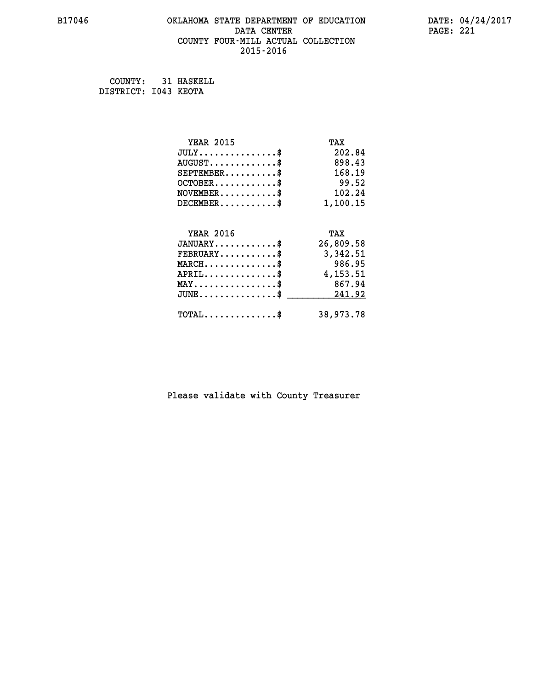### **B17046 OKLAHOMA STATE DEPARTMENT OF EDUCATION DATE: 04/24/2017 DATA CENTER** PAGE: 221  **COUNTY FOUR-MILL ACTUAL COLLECTION 2015-2016**

 **COUNTY: 31 HASKELL DISTRICT: I043 KEOTA**

| <b>YEAR 2015</b>                                 | TAX       |
|--------------------------------------------------|-----------|
| $JULY$ \$                                        | 202.84    |
| $AUGUST$ \$                                      | 898.43    |
| $SEPTEMENT.$ \$                                  | 168.19    |
| $OCTOBER$ \$                                     | 99.52     |
| $NOVEMBER$ \$                                    | 102.24    |
| $DECEMBER$ \$                                    | 1,100.15  |
|                                                  |           |
| <b>YEAR 2016</b>                                 | TAX       |
| $JANUARY$ \$                                     | 26,809.58 |
| $FEBRUARY$                                       | 3,342.51  |
| $MARCH$ \$                                       | 986.95    |
| $APRIL$ \$                                       | 4,153.51  |
| $MAX \dots \dots \dots \dots \dots$              | 867.94    |
| $\texttt{JUNE} \dots \dots \dots \dots \dots \$$ | 241.92    |
| $\texttt{TOTAL} \dots \dots \dots \dots \$       | 38,973.78 |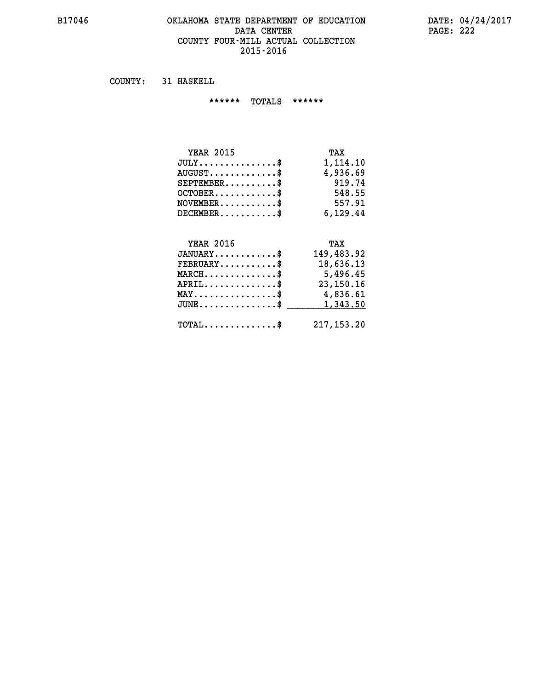### **B17046 OKLAHOMA STATE DEPARTMENT OF EDUCATION DATE: 04/24/2017 DATA CENTER PAGE: 222 COUNTY FOUR-MILL ACTUAL COLLECTION 2015-2016**

 **COUNTY: 31 HASKELL**

 **\*\*\*\*\*\* TOTALS \*\*\*\*\*\***

| <b>YEAR 2015</b>                       | TAX      |
|----------------------------------------|----------|
| $JULY \ldots \ldots \ldots \mathbb{S}$ | 1,114,10 |
| $AUGUST$                               | 4,936.69 |
| $SEPTEMBER$                            | 919.74   |
| $OCTOBER$ \$                           | 548.55   |
| $NOVEMBER$ $\$                         | 557.91   |
| $DECEMBER$ \$                          | 6,129.44 |

#### **TAX**<br>ANUARY............\$ 149,483.92<br>BRUARY...........\$ 18,636.13  **JANUARY...........\$ FEBRUARY...........\$ 18,636.13 MARCH..............\$ 5,496.45**

| $APRIL$<br>$\texttt{MAX} \dots \dots \dots \dots \dots \$<br>$JUNE \ldots \ldots \ldots \ldots \$ 1,343.50 | 23,150.16<br>4,836.61 |
|------------------------------------------------------------------------------------------------------------|-----------------------|
| $\texttt{TOTAL} \dots \dots \dots \dots \$ 217,153.20                                                      |                       |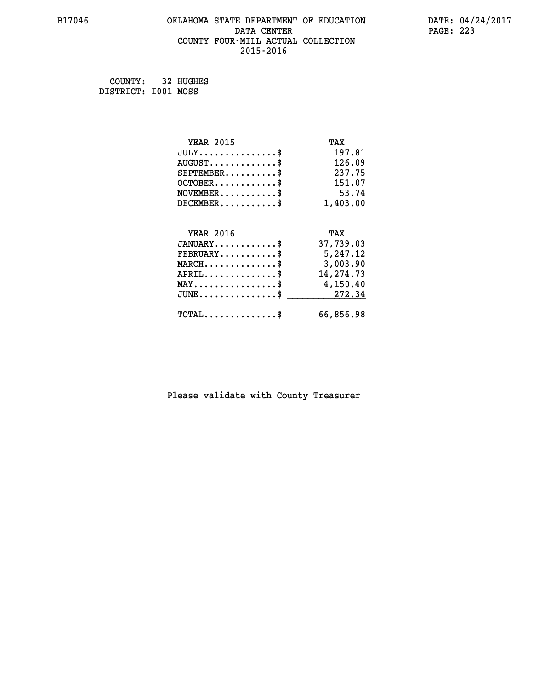### **B17046 OKLAHOMA STATE DEPARTMENT OF EDUCATION DATE: 04/24/2017 DATA CENTER** PAGE: 223  **COUNTY FOUR-MILL ACTUAL COLLECTION 2015-2016**

 **COUNTY: 32 HUGHES DISTRICT: I001 MOSS**

| <b>YEAR 2015</b>                                 | TAX       |
|--------------------------------------------------|-----------|
| $JULY$ \$                                        | 197.81    |
| $AUGUST$ \$                                      | 126.09    |
| $SEPTEMENT.$ \$                                  | 237.75    |
| $OCTOBER$ \$                                     | 151.07    |
| $NOVEMBER$ \$                                    | 53.74     |
| $DECEMBER$ \$                                    | 1,403.00  |
| <b>YEAR 2016</b>                                 | TAX       |
| $JANUARY$ \$                                     | 37,739.03 |
|                                                  |           |
| $FEBRUARY$ \$                                    | 5,247.12  |
| $MARCH$ \$                                       | 3,003.90  |
| $APRIL$ \$                                       | 14,274.73 |
| $\texttt{MAX} \dots \dots \dots \dots \dots \$   | 4,150.40  |
| $\texttt{JUNE} \dots \dots \dots \dots \dots \$$ | 272.34    |
| $\texttt{TOTAL} \dots \dots \dots \dots \$       | 66,856.98 |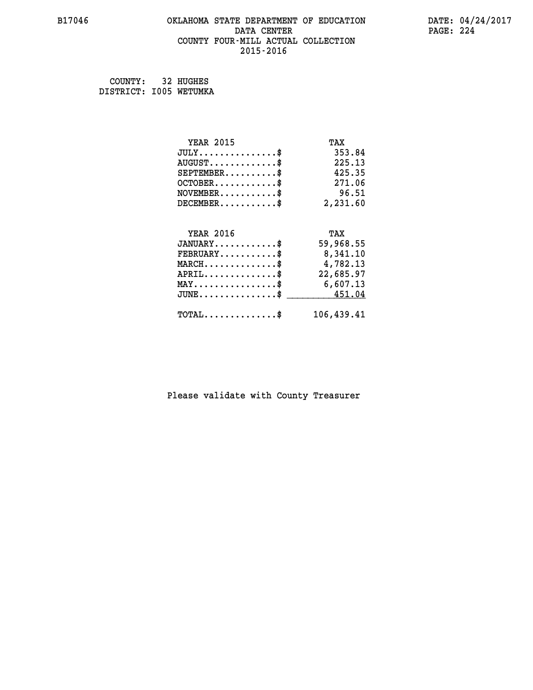### **B17046 OKLAHOMA STATE DEPARTMENT OF EDUCATION DATE: 04/24/2017 DATA CENTER** PAGE: 224  **COUNTY FOUR-MILL ACTUAL COLLECTION 2015-2016**

 **COUNTY: 32 HUGHES DISTRICT: I005 WETUMKA**

| <b>YEAR 2015</b>                                 | TAX        |
|--------------------------------------------------|------------|
| $JULY$ \$                                        | 353.84     |
| $AUGUST$ \$                                      | 225.13     |
| $SEPTEMBER$ \$                                   | 425.35     |
| $OCTOBER$ \$                                     | 271.06     |
| $NOVEMBER$ \$                                    | 96.51      |
| $DECEMBER$ \$                                    | 2,231.60   |
| <b>YEAR 2016</b>                                 | TAX        |
| $JANUARY$ \$                                     | 59,968.55  |
| $FEBRUARY$ \$                                    | 8,341.10   |
| $\texttt{MARCH} \dots \dots \dots \dots \$       | 4,782.13   |
| $APRIL$ \$                                       | 22,685.97  |
| $\texttt{MAX} \dots \dots \dots \dots \dots \$   | 6,607.13   |
| $\texttt{JUNE} \dots \dots \dots \dots \dots \$$ | 451.04     |
|                                                  |            |
| $TOTAL$ \$                                       | 106,439.41 |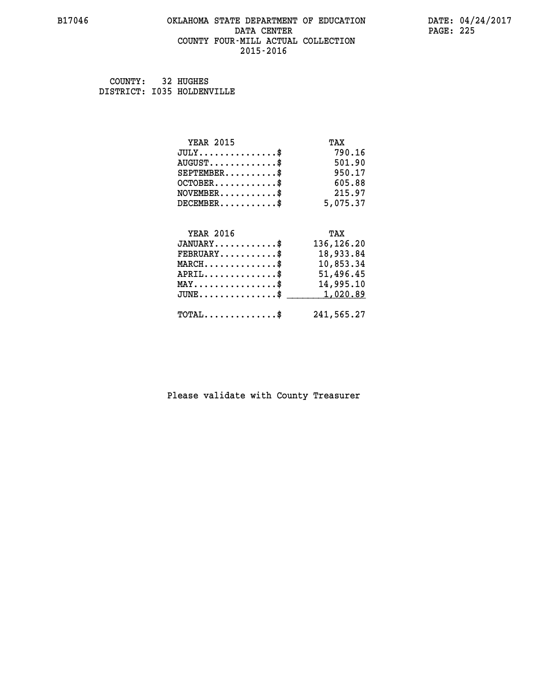#### **B17046 OKLAHOMA STATE DEPARTMENT OF EDUCATION DATE: 04/24/2017 DATA CENTER** PAGE: 225  **COUNTY FOUR-MILL ACTUAL COLLECTION 2015-2016**

 **COUNTY: 32 HUGHES DISTRICT: I035 HOLDENVILLE**

| <b>YEAR 2015</b>                                | TAX          |
|-------------------------------------------------|--------------|
| $JULY$ \$                                       | 790.16       |
| $AUGUST$ \$                                     | 501.90       |
| $SEPTEMBER$ \$                                  | 950.17       |
| $OCTOBER$ \$                                    | 605.88       |
| $\texttt{NOVEMBER} \dots \dots \dots \$         | 215.97       |
| $DECEMBER$ \$                                   | 5,075.37     |
|                                                 |              |
| <b>YEAR 2016</b>                                | TAX          |
| $JANUARY$ \$                                    | 136, 126. 20 |
| $FEBRUARY$                                      | 18,933.84    |
| $MARCH$ \$                                      | 10,853.34    |
| $APRIL \ldots \ldots \ldots \ldots \$           | 51,496.45    |
|                                                 |              |
| $\texttt{MAX} \dots \dots \dots \dots \dots \$$ | 14,995.10    |
| $JUNE$ \$                                       | 1,020.89     |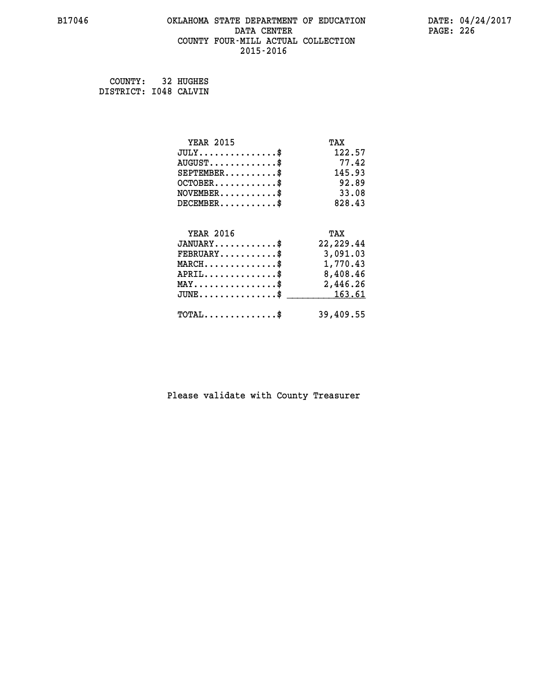### **B17046 OKLAHOMA STATE DEPARTMENT OF EDUCATION DATE: 04/24/2017 DATA CENTER** PAGE: 226  **COUNTY FOUR-MILL ACTUAL COLLECTION 2015-2016**

 **COUNTY: 32 HUGHES DISTRICT: I048 CALVIN**

| <b>YEAR 2015</b>                               | TAX        |
|------------------------------------------------|------------|
| $JULY$ \$                                      | 122.57     |
| $AUGUST$ \$                                    | 77.42      |
| $SEPTEMBER$ \$                                 | 145.93     |
| $OCTOBER$ \$                                   | 92.89      |
| $NOVEMBER$ \$                                  | 33.08      |
| $DECEMBER$ \$                                  | 828.43     |
|                                                |            |
| <b>YEAR 2016</b>                               | TAX        |
| $JANUARY$                                      | 22, 229.44 |
| $FEBRUARY$                                     | 3,091.03   |
| $MARCH$ \$                                     | 1,770.43   |
| $APRIL \ldots \ldots \ldots \ldots *$          | 8,408.46   |
| $\texttt{MAX} \dots \dots \dots \dots \dots \$ | 2,446.26   |
| $JUNE \ldots \ldots \ldots \ldots \ast$        | 163.61     |
| $TOTAL$ \$                                     | 39,409.55  |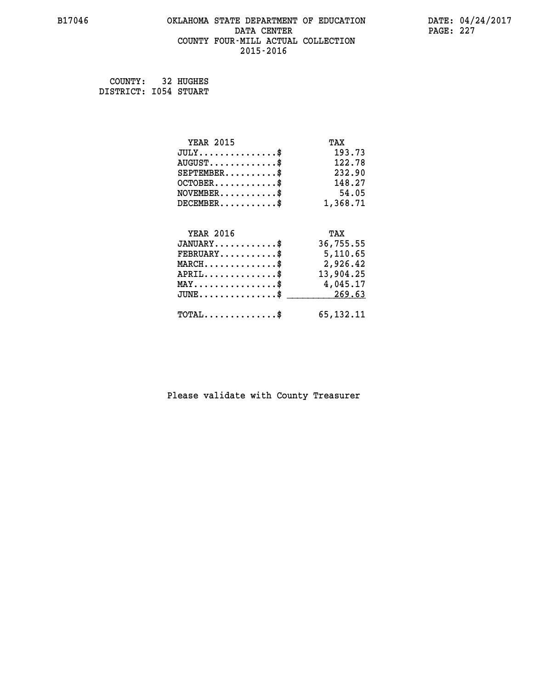### **B17046 OKLAHOMA STATE DEPARTMENT OF EDUCATION DATE: 04/24/2017 DATA CENTER** PAGE: 227  **COUNTY FOUR-MILL ACTUAL COLLECTION 2015-2016**

 **COUNTY: 32 HUGHES DISTRICT: I054 STUART**

| <b>YEAR 2015</b>                                 | TAX         |
|--------------------------------------------------|-------------|
| $JULY$ \$                                        | 193.73      |
| $AUGUST$ \$                                      | 122.78      |
| $SEPTEMBER$ \$                                   | 232.90      |
| $OCTOBER$ \$                                     | 148.27      |
| $NOVEMBER$ \$                                    | 54.05       |
| $DECEMBER$ \$                                    | 1,368.71    |
|                                                  |             |
| <b>YEAR 2016</b>                                 | TAX         |
| $JANUARY$ \$                                     | 36,755.55   |
| $FEBRUARY$                                       | 5,110.65    |
| $\texttt{MARCH}\ldots\ldots\ldots\ldots\text{*}$ | 2,926.42    |
| $APRIL \ldots \ldots \ldots \ldots$ \$           | 13,904.25   |
| MAY\$ 4,045.17                                   |             |
| $JUNE \dots \dots \dots \dots \$ 269.63          |             |
| $\texttt{TOTAL} \dots \dots \dots \dots \$       | 65, 132. 11 |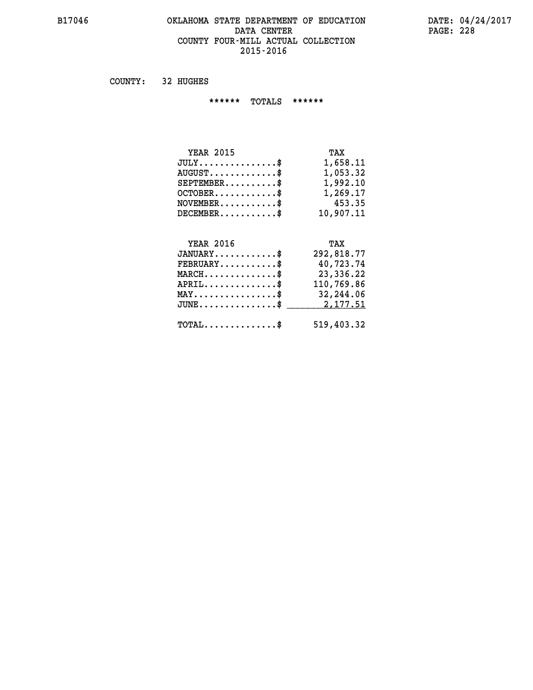### **B17046 OKLAHOMA STATE DEPARTMENT OF EDUCATION DATE: 04/24/2017** DATA CENTER PAGE: 228  **COUNTY FOUR-MILL ACTUAL COLLECTION 2015-2016**

 **COUNTY: 32 HUGHES**

 **\*\*\*\*\*\* TOTALS \*\*\*\*\*\***

| <b>YEAR 2015</b> | TAX       |
|------------------|-----------|
| $JULY$           | 1,658.11  |
| $AUGUST$ $\$\$   | 1,053.32  |
| $SEPTEMBER$ \$   | 1,992.10  |
| $OCTOBER$ \$     | 1,269.17  |
| $NOVEMBER$ \$    | 453.35    |
| $DECEMBER$ \$    | 10,907.11 |

# **YEAR 2016 TAX**

| $JANUARY$                                     | 292,818.77 |
|-----------------------------------------------|------------|
| $\texttt{FEBRUARY} \dots \dots \dots \dots \$ | 40,723.74  |
| $MARCH$ \$                                    | 23,336.22  |
| $APRIL$ \$                                    | 110,769.86 |
| $MAX \dots \dots \dots \dots \dots$           | 32,244.06  |
| $JUNE \dots \dots \dots \dots \$ 2,177.51     |            |
| $\texttt{TOTAL} \dots \dots \dots \dots \$    | 519,403.32 |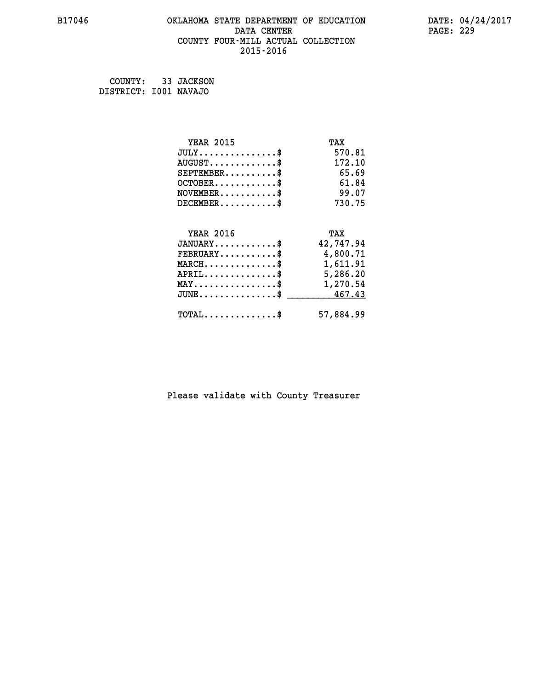### **B17046 OKLAHOMA STATE DEPARTMENT OF EDUCATION DATE: 04/24/2017 DATA CENTER** PAGE: 229  **COUNTY FOUR-MILL ACTUAL COLLECTION 2015-2016**

 **COUNTY: 33 JACKSON DISTRICT: I001 NAVAJO**

| <b>YEAR 2015</b>                                 | TAX       |
|--------------------------------------------------|-----------|
| $JULY$ \$                                        | 570.81    |
| $AUGUST$ \$                                      | 172.10    |
| $SEPTEMENT.$ \$                                  | 65.69     |
| $OCTOBER$ \$                                     | 61.84     |
| $NOVEMBER$ \$                                    | 99.07     |
| $DECEMBER$ \$                                    | 730.75    |
|                                                  |           |
| <b>YEAR 2016</b>                                 | TAX       |
| $JANUARY$ \$                                     | 42,747.94 |
| $FEBRUARY$                                       | 4,800.71  |
| $\texttt{MARCH}\ldots\ldots\ldots\ldots\text{*}$ | 1,611.91  |
| $APRIL \ldots \ldots \ldots \ldots \$            | 5,286.20  |
| $\texttt{MAX} \dots \dots \dots \dots \dots \$   | 1,270.54  |
| $\texttt{JUNE} \dots \dots \dots \dots \dots \$$ | 467.43    |
| $TOTAL$ \$                                       | 57,884.99 |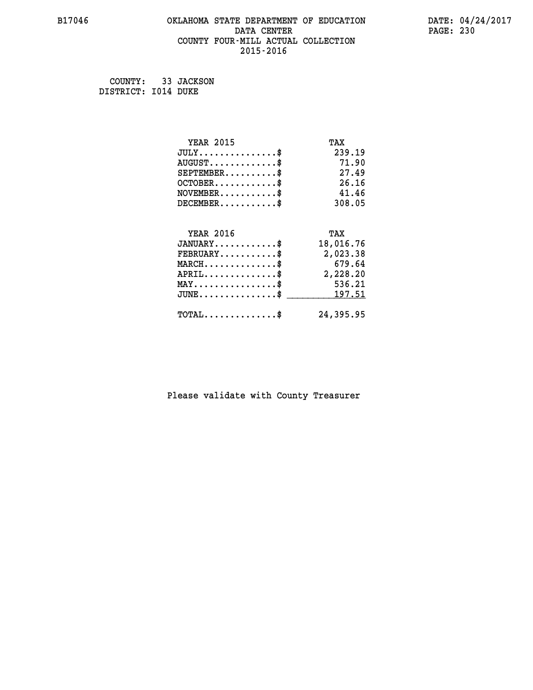### **B17046 OKLAHOMA STATE DEPARTMENT OF EDUCATION DATE: 04/24/2017 DATA CENTER** PAGE: 230  **COUNTY FOUR-MILL ACTUAL COLLECTION 2015-2016**

 **COUNTY: 33 JACKSON DISTRICT: I014 DUKE**

| <b>YEAR 2015</b>                                   | TAX       |
|----------------------------------------------------|-----------|
| $JULY$ \$                                          | 239.19    |
| $AUGUST$ \$                                        | 71.90     |
| $SEPTEMBER$ \$                                     | 27.49     |
| $OCTOBER$ \$                                       | 26.16     |
| $NOVEMBER$ \$                                      | 41.46     |
| $DECEMBER$ \$                                      | 308.05    |
|                                                    |           |
| <b>YEAR 2016</b>                                   | TAX       |
| $JANUARY$ \$                                       | 18,016.76 |
| $FEBRUARY$                                         | 2,023.38  |
| $MARCH$ \$                                         | 679.64    |
| $APRIL$ \$                                         | 2,228.20  |
| $MAX \dots \dots \dots \dots \dots$                | 536.21    |
| $\texttt{JUNE} \dots \dots \dots \dots \texttt{S}$ | 197.51    |
| $TOTAL$ \$                                         | 24,395.95 |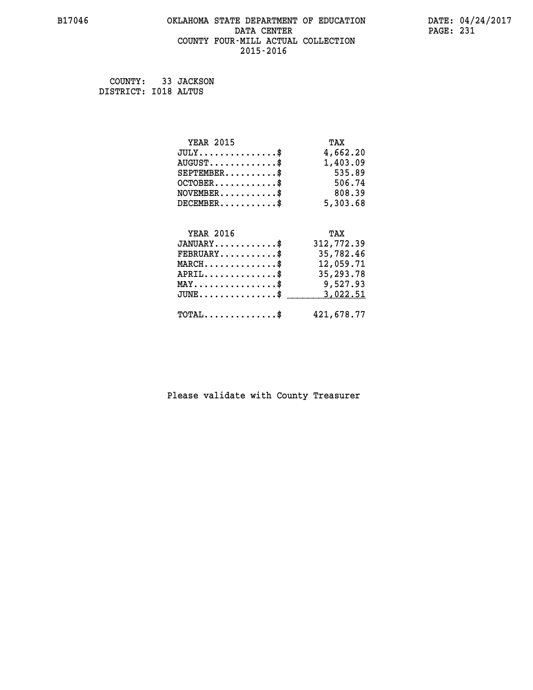### **B17046 OKLAHOMA STATE DEPARTMENT OF EDUCATION DATE: 04/24/2017 DATA CENTER** PAGE: 231  **COUNTY FOUR-MILL ACTUAL COLLECTION 2015-2016**

 **COUNTY: 33 JACKSON DISTRICT: I018 ALTUS**

| <b>YEAR 2015</b>                               | TAX         |
|------------------------------------------------|-------------|
| $JULY$ \$                                      | 4,662.20    |
| $AUGUST$ \$                                    | 1,403.09    |
| $SEPTEMBER$ \$                                 | 535.89      |
| $OCTOBER$ \$                                   | 506.74      |
| $\texttt{NOVEMBER} \dots \dots \dots \$        | 808.39      |
| $DECEMBER$ \$                                  | 5,303.68    |
|                                                |             |
| <b>YEAR 2016</b>                               | TAX         |
| $JANUARY$ \$                                   | 312,772.39  |
| $FEBRUARY$                                     | 35,782.46   |
| $MARCH$ \$                                     | 12,059.71   |
| $APRIL$ \$                                     | 35, 293. 78 |
| $\texttt{MAX} \dots \dots \dots \dots \dots \$ | 9,527.93    |
| $JUNE$ \$                                      | 3,022.51    |
| $\texttt{TOTAL} \dots \dots \dots \dots \$     | 421,678.77  |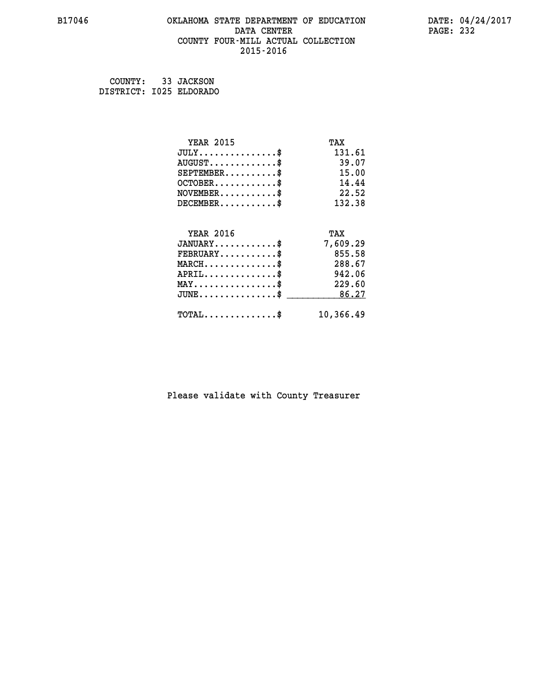### **B17046 OKLAHOMA STATE DEPARTMENT OF EDUCATION DATE: 04/24/2017 DATA CENTER** PAGE: 232  **COUNTY FOUR-MILL ACTUAL COLLECTION 2015-2016**

 **COUNTY: 33 JACKSON DISTRICT: I025 ELDORADO**

| <b>YEAR 2015</b>                | TAX       |
|---------------------------------|-----------|
| $JULY$                          | 131.61    |
| $AUGUST$ \$                     | 39.07     |
| $SEPTEMBER$ \$                  | 15.00     |
| $OCTOBER$                       | 14.44     |
| $NOVEMBER.$                     | 22.52     |
| $DECEMENTER$                    | 132.38    |
| <b>YEAR 2016</b>                | TAX       |
| $JANUARY$ \$                    | 7,609.29  |
| $FEBRUARY$ \$                   | 855.58    |
| $MARCH$ \$                      | 288.67    |
| $APRIL$ \$                      | 942.06    |
| $MAX \dots \dots \dots \dots \$ | 229.60    |
| $JUNE$                          | 86.27     |
| $TOTAL$ \$                      | 10,366.49 |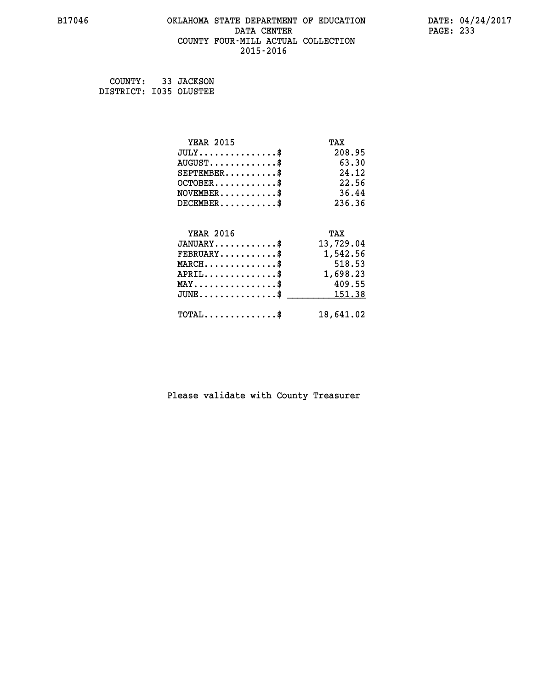### **B17046 OKLAHOMA STATE DEPARTMENT OF EDUCATION DATE: 04/24/2017 DATA CENTER** PAGE: 233  **COUNTY FOUR-MILL ACTUAL COLLECTION 2015-2016**

 **COUNTY: 33 JACKSON DISTRICT: I035 OLUSTEE**

| <b>YEAR 2015</b>                           | TAX       |
|--------------------------------------------|-----------|
| $JULY$ \$                                  | 208.95    |
| $AUGUST$ \$                                | 63.30     |
| $SEPTEMBER$ \$                             | 24.12     |
| $OCTOBER$ \$                               | 22.56     |
| $NOVEMBER$ \$                              | 36.44     |
| $DECEMBER$ \$                              | 236.36    |
|                                            |           |
| <b>YEAR 2016</b>                           | TAX       |
| $JANUARY$ \$                               | 13,729.04 |
| $FEBRUARY$                                 | 1,542.56  |
| $MARCH$ \$                                 | 518.53    |
| $APRIL$ \$                                 | 1,698.23  |
| $MAX \dots \dots \dots \dots \dots$        | 409.55    |
| $JUNE$ $$$                                 | 151.38    |
| $\texttt{TOTAL} \dots \dots \dots \dots \$ | 18,641.02 |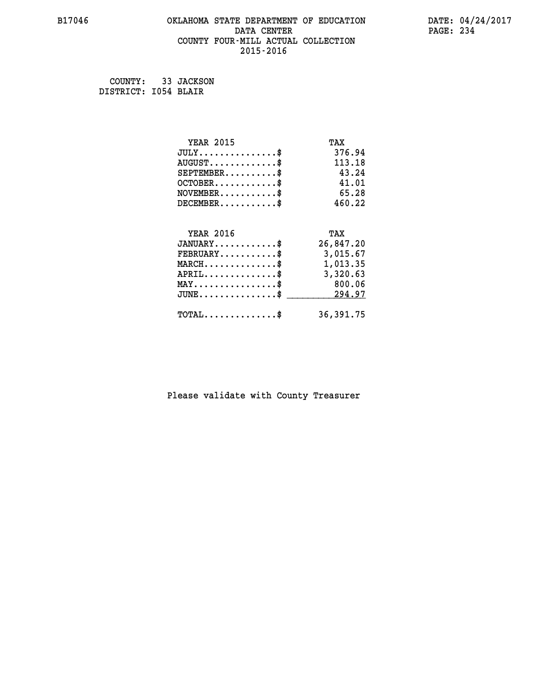### **B17046 OKLAHOMA STATE DEPARTMENT OF EDUCATION DATE: 04/24/2017 DATA CENTER** PAGE: 234  **COUNTY FOUR-MILL ACTUAL COLLECTION 2015-2016**

 **COUNTY: 33 JACKSON DISTRICT: I054 BLAIR**

| <b>YEAR 2015</b>                                 | TAX        |
|--------------------------------------------------|------------|
| $JULY$ \$                                        | 376.94     |
| $AUGUST$ \$                                      | 113.18     |
| $SEPTEMBER$ \$                                   | 43.24      |
| $OCTOBER$ \$                                     | 41.01      |
| $NOVEMBER$ \$                                    | 65.28      |
| $DECEMBER$ \$                                    | 460.22     |
| <b>YEAR 2016</b>                                 | TAX        |
|                                                  |            |
| $JANUARY$ \$                                     | 26,847.20  |
| $FEBRUARY$                                       | 3,015.67   |
| $MARCH$ \$                                       | 1,013.35   |
| $APRIL \ldots \ldots \ldots \ldots \$            | 3,320.63   |
| $\texttt{MAX} \dots \dots \dots \dots \dots \$   | 800.06     |
| $\texttt{JUNE} \dots \dots \dots \dots \dots \$$ | 294.97     |
| $\texttt{TOTAL} \dots \dots \dots \dots$         | 36, 391.75 |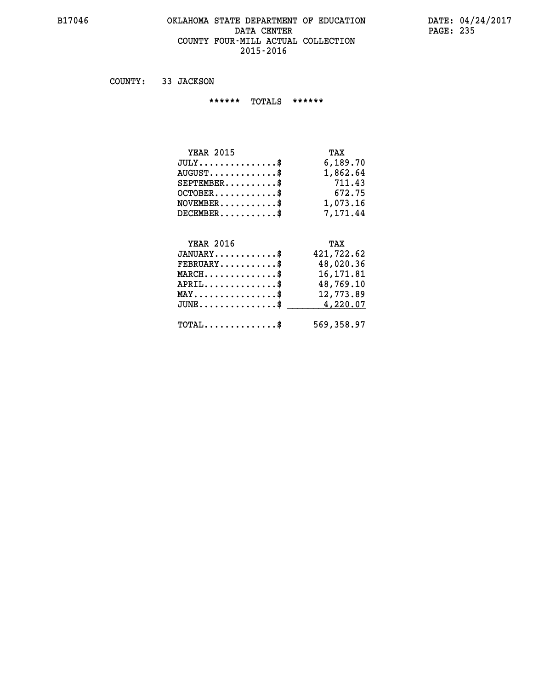#### **B17046 OKLAHOMA STATE DEPARTMENT OF EDUCATION DATE: 04/24/2017 DATA CENTER PAGE: 235 COUNTY FOUR-MILL ACTUAL COLLECTION 2015-2016**

 **COUNTY: 33 JACKSON**

 **\*\*\*\*\*\* TOTALS \*\*\*\*\*\***

| <b>YEAR 2015</b>                     | TAX      |
|--------------------------------------|----------|
| $JULY \ldots \ldots \ldots \ldots \$ | 6,189.70 |
| $AUGUST$                             | 1,862.64 |
| $SEPTEMBER$                          | 711.43   |
| $OCTOBER$                            | 672.75   |
| $NOVEMBER$ \$                        | 1,073.16 |
| $DECEMBER$ \$                        | 7.171.44 |

## **YEAR 2016 TAX JANUARY............\$ 421,722.62 FEBRUARY...........\$ 48,020.36 MARCH..............\$ 16,171.81 APRIL..............\$ 48,769.10 MAY................\$ 12,773.89 JUNE................\$** 4,220.07  **TOTAL..............\$ 569,358.97**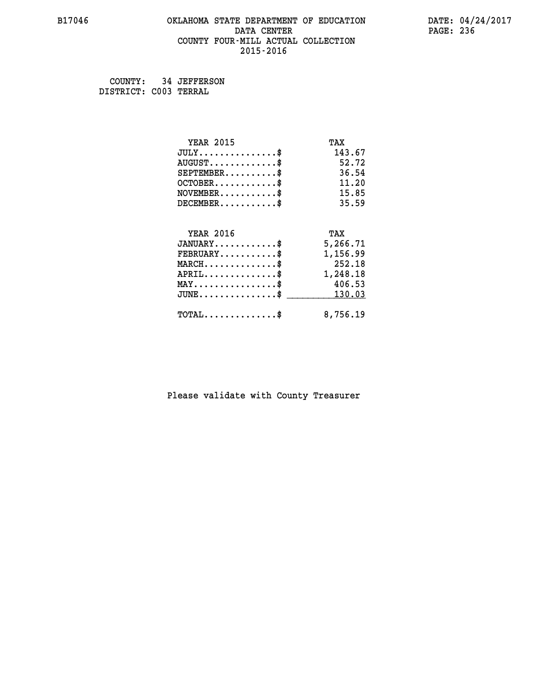### **B17046 OKLAHOMA STATE DEPARTMENT OF EDUCATION DATE: 04/24/2017 DATA CENTER** PAGE: 236  **COUNTY FOUR-MILL ACTUAL COLLECTION 2015-2016**

 **COUNTY: 34 JEFFERSON DISTRICT: C003 TERRAL**

| <b>YEAR 2015</b>                           | TAX      |
|--------------------------------------------|----------|
| $JULY$                                     | 143.67   |
| $AUGUST$ \$                                | 52.72    |
| $SEPTEMBER$                                | 36.54    |
| $OCTOBER$ \$                               | 11.20    |
| NOVEMENT.                                  | 15.85    |
| $DECEMBER$                                 | 35.59    |
| <b>YEAR 2016</b>                           | TAX      |
| $JANUARY$ \$                               | 5,266.71 |
| $FEBRUARY$ \$                              | 1,156.99 |
| $MARCH$ \$                                 | 252.18   |
| $APRIL$                                    | 1,248.18 |
| $MAX \dots \dots \dots \dots \dots$        | 406.53   |
| $JUNE$ \$                                  | 130.03   |
| $\texttt{TOTAL} \dots \dots \dots \dots \$ | 8,756.19 |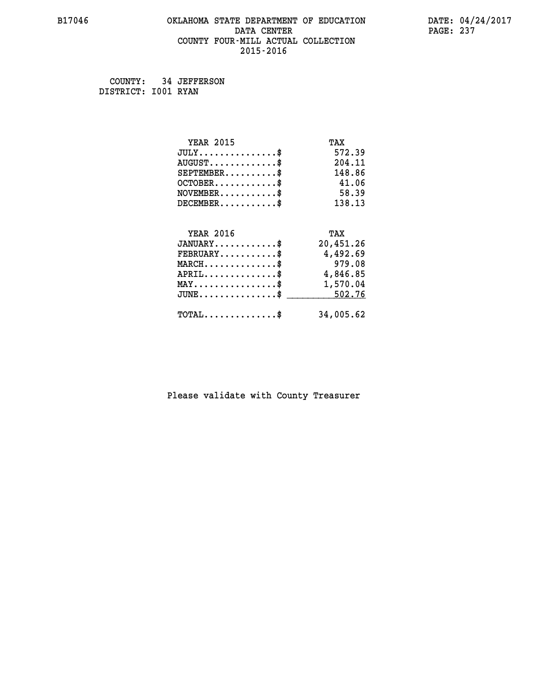### **B17046 OKLAHOMA STATE DEPARTMENT OF EDUCATION DATE: 04/24/2017 DATA CENTER** PAGE: 237  **COUNTY FOUR-MILL ACTUAL COLLECTION 2015-2016**

 **COUNTY: 34 JEFFERSON DISTRICT: I001 RYAN**

| <b>YEAR 2015</b>                               | TAX       |
|------------------------------------------------|-----------|
| $JULY$ \$                                      | 572.39    |
| $AUGUST$ \$                                    | 204.11    |
| $SEPTEMBER$ \$                                 | 148.86    |
| $OCTOBER$ \$                                   | 41.06     |
| $NOVEMBER$ \$                                  | 58.39     |
| $DECEMBER$ \$                                  | 138.13    |
|                                                |           |
| <b>YEAR 2016</b>                               | TAX       |
| $JANUARY$ \$                                   | 20,451.26 |
| $FEBRUARY$                                     | 4,492.69  |
| $MARCH$ \$                                     | 979.08    |
| $APRIL \ldots \ldots \ldots \ldots \$          | 4,846.85  |
| $\texttt{MAX} \dots \dots \dots \dots \dots \$ | 1,570.04  |
| $JUNE \ldots \ldots \ldots \ldots \ast$        | 502.76    |
| $\texttt{TOTAL} \dots \dots \dots \dots$ \$    | 34,005.62 |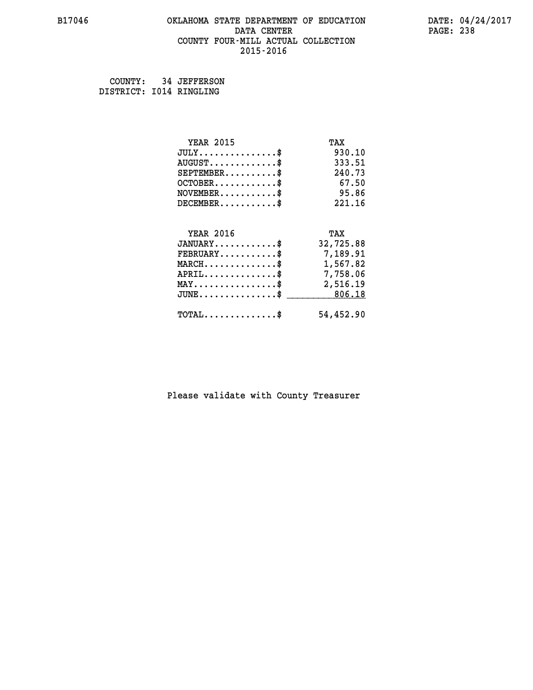### **B17046 OKLAHOMA STATE DEPARTMENT OF EDUCATION DATE: 04/24/2017 DATA CENTER** PAGE: 238  **COUNTY FOUR-MILL ACTUAL COLLECTION 2015-2016**

 **COUNTY: 34 JEFFERSON DISTRICT: I014 RINGLING**

| <b>YEAR 2015</b>                                 | TAX       |
|--------------------------------------------------|-----------|
| $JULY$ \$                                        | 930.10    |
| $AUGUST$ \$                                      | 333.51    |
| $SEPTEMBER$ \$                                   | 240.73    |
| $OCTOBER$ \$                                     | 67.50     |
| $NOVEMBER$ \$                                    | 95.86     |
| $DECEMBER$ \$                                    | 221.16    |
|                                                  |           |
| <b>YEAR 2016</b>                                 | TAX       |
| $JANUARY$ \$                                     | 32,725.88 |
| $FEBRUARY$ \$                                    | 7,189.91  |
| $\texttt{MARCH}\ldots\ldots\ldots\ldots\$        | 1,567.82  |
| $APRIL \ldots \ldots \ldots \ldots \$            | 7,758.06  |
| $\texttt{MAX} \dots \dots \dots \dots \dots \$   | 2,516.19  |
| $\texttt{JUNE} \dots \dots \dots \dots \dots \$$ | 806.18    |
| $\texttt{TOTAL} \dots \dots \dots \dots \$       | 54,452.90 |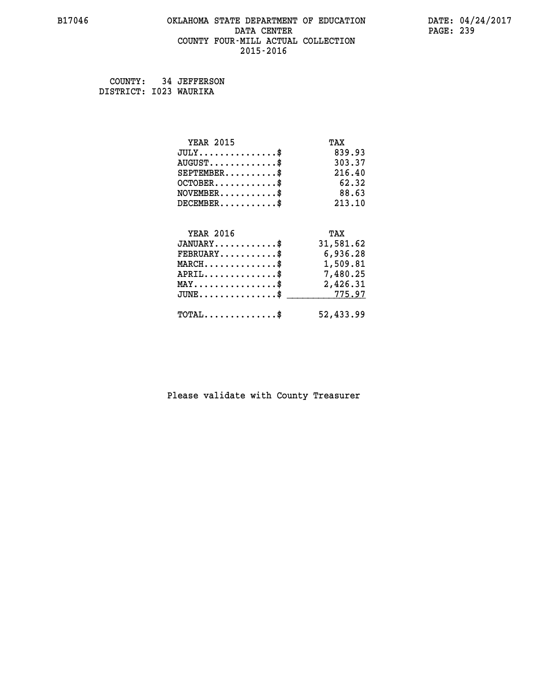### **B17046 OKLAHOMA STATE DEPARTMENT OF EDUCATION DATE: 04/24/2017 DATA CENTER** PAGE: 239  **COUNTY FOUR-MILL ACTUAL COLLECTION 2015-2016**

 **COUNTY: 34 JEFFERSON DISTRICT: I023 WAURIKA**

| <b>YEAR 2015</b>                                   | TAX       |
|----------------------------------------------------|-----------|
| $JULY$ \$                                          | 839.93    |
| $AUGUST$ \$                                        | 303.37    |
| $SEPTEMBER$ \$                                     | 216.40    |
| $OCTOBER$ \$                                       | 62.32     |
| $NOVEMBER$ \$                                      | 88.63     |
| $DECEMBER$ \$                                      | 213.10    |
|                                                    |           |
| <b>YEAR 2016</b>                                   | TAX       |
| $JANUARY$ \$                                       | 31,581.62 |
| $FEBRUARY$                                         | 6,936.28  |
| $\texttt{MARCH}\ldots\ldots\ldots\ldots\text{*}$   | 1,509.81  |
| $APRIL \ldots \ldots \ldots \ldots \$              | 7,480.25  |
| $\texttt{MAX} \dots \dots \dots \dots \dots \$     | 2,426.31  |
| $\texttt{JUNE} \dots \dots \dots \dots \texttt{S}$ | 775.97    |
| $\texttt{TOTAL} \dots \dots \dots \dots \$         | 52,433.99 |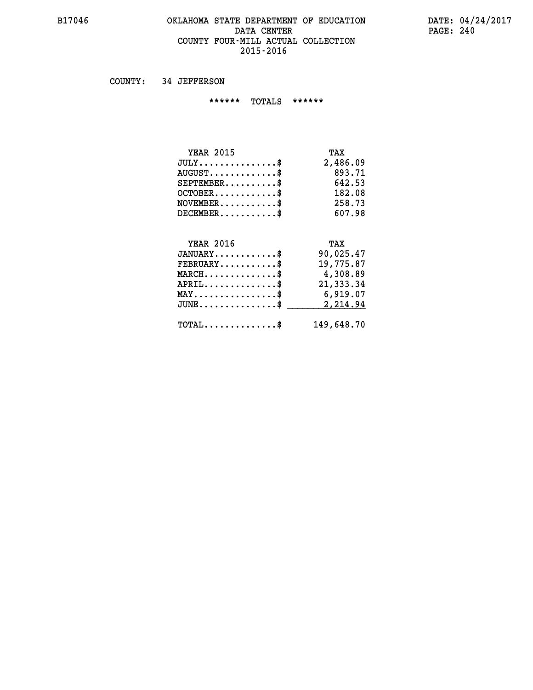#### **B17046 OKLAHOMA STATE DEPARTMENT OF EDUCATION DATE: 04/24/2017 DATA CENTER PAGE: 240 COUNTY FOUR-MILL ACTUAL COLLECTION 2015-2016**

 **COUNTY: 34 JEFFERSON**

 **\*\*\*\*\*\* TOTALS \*\*\*\*\*\***

| <b>YEAR 2015</b>                     | TAX      |
|--------------------------------------|----------|
| $JULY \ldots \ldots \ldots \ldots \$ | 2,486.09 |
| $AUGUST$ \$                          | 893.71   |
| $SEPTEMBER$                          | 642.53   |
| $OCTOBER$ \$                         | 182.08   |
| $NOVEMBER$ $$\$                      | 258.73   |
| $DECEMBER$ \$                        | 607.98   |

## **YEAR 2016 TAX JANUARY............\$ 90,025.47 FEBRUARY...........\$ 19,775.87 MARCH..............\$ 4,308.89 APRIL..............\$ 21,333.34 MAY................\$ 6,919.07 JUNE................\$** 2,214.94  **TOTAL..............\$ 149,648.70**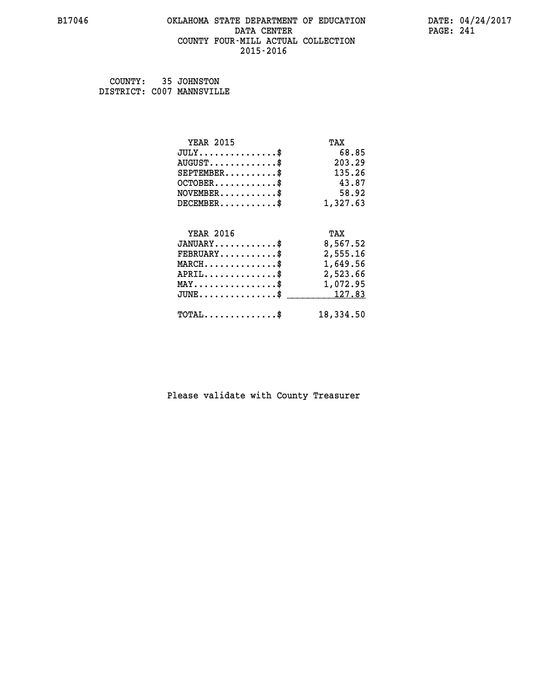### **B17046 OKLAHOMA STATE DEPARTMENT OF EDUCATION DATE: 04/24/2017 DATA CENTER** PAGE: 241  **COUNTY FOUR-MILL ACTUAL COLLECTION 2015-2016**

 **COUNTY: 35 JOHNSTON DISTRICT: C007 MANNSVILLE**

| <b>YEAR 2015</b>                                 | TAX       |
|--------------------------------------------------|-----------|
| $JULY$ \$                                        | 68.85     |
| $AUGUST$ \$                                      | 203.29    |
| $SEPTEMENT.$ \$                                  | 135.26    |
| $OCTOBER$ \$                                     | 43.87     |
| $\texttt{NOVEMBER} \dots \dots \dots \$          | 58.92     |
| $DECEMBER$ \$                                    | 1,327.63  |
| <b>YEAR 2016</b>                                 | TAX       |
|                                                  |           |
| $JANUARY$ \$                                     | 8,567.52  |
| $FEBRUARY$ \$                                    | 2,555.16  |
| $\texttt{MARCH} \dots \dots \dots \dots \$$      | 1,649.56  |
| $APRIL$ \$                                       | 2,523.66  |
| $\texttt{MAX} \dots \dots \dots \dots \dots \$   | 1,072.95  |
| $\texttt{JUNE} \dots \dots \dots \dots \dots \$$ | 127.83    |
| $\texttt{TOTAL} \dots \dots \dots \dots$ \$      | 18,334.50 |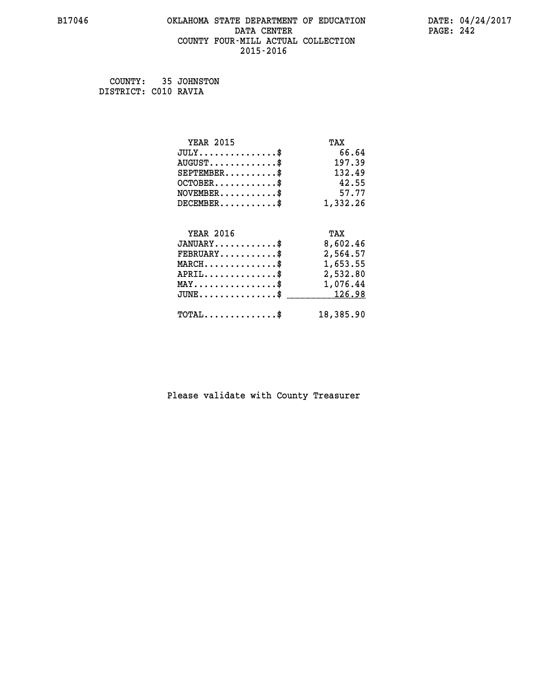### **B17046 OKLAHOMA STATE DEPARTMENT OF EDUCATION DATE: 04/24/2017 DATA CENTER** PAGE: 242  **COUNTY FOUR-MILL ACTUAL COLLECTION 2015-2016**

 **COUNTY: 35 JOHNSTON DISTRICT: C010 RAVIA**

| <b>YEAR 2015</b>                                 | TAX       |
|--------------------------------------------------|-----------|
| $JULY$ \$                                        | 66.64     |
| $AUGUST$ \$                                      | 197.39    |
| $SEPTEMBER$ \$                                   | 132.49    |
| $OCTOBER$ \$                                     | 42.55     |
| $NOVEMBER$ \$                                    | 57.77     |
| $DECEMBER$ \$                                    | 1,332.26  |
|                                                  |           |
| <b>YEAR 2016</b>                                 | TAX       |
| $JANUARY$ \$                                     | 8,602.46  |
| $FEBRUARY$                                       | 2,564.57  |
| $\texttt{MARCH}\ldots\ldots\ldots\ldots\text{*}$ | 1,653.55  |
| $APRIL \ldots \ldots \ldots \ldots$ \$           | 2,532.80  |
| $\texttt{MAX} \dots \dots \dots \dots \dots \$   | 1,076.44  |
| $\texttt{JUNE} \dots \dots \dots \dots \dots *$  | 126.98    |
| $\texttt{TOTAL} \dots \dots \dots \dots$ \$      | 18,385.90 |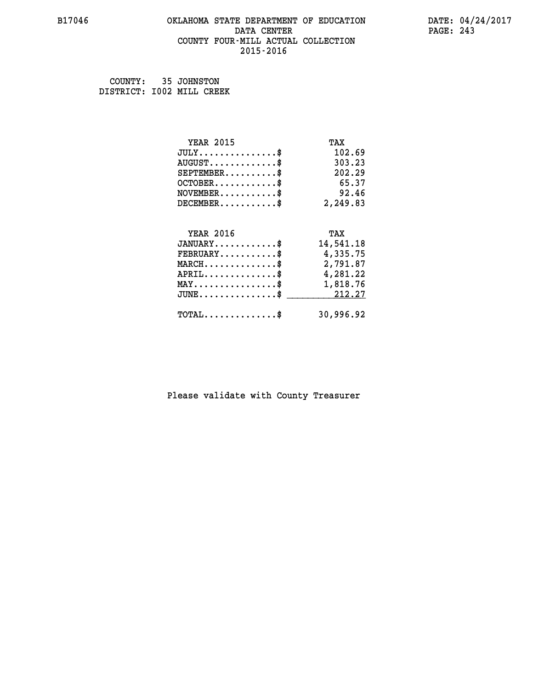### **B17046 OKLAHOMA STATE DEPARTMENT OF EDUCATION DATE: 04/24/2017 DATA CENTER** PAGE: 243  **COUNTY FOUR-MILL ACTUAL COLLECTION 2015-2016**

 **COUNTY: 35 JOHNSTON DISTRICT: I002 MILL CREEK**

| <b>YEAR 2015</b>                                | TAX       |
|-------------------------------------------------|-----------|
| $JULY$ \$                                       | 102.69    |
| $AUGUST$ \$                                     | 303.23    |
| $SEPTEMBER$ \$                                  | 202.29    |
| $OCTOBER$ \$                                    | 65.37     |
| $\texttt{NOVEMBER} \dots \dots \dots \$         | 92.46     |
| $DECEMBER$ \$                                   | 2,249.83  |
|                                                 |           |
| <b>YEAR 2016</b>                                | TAX       |
| $JANUARY$ \$                                    | 14,541.18 |
| $FEBRUARY$                                      | 4,335.75  |
| $\texttt{MARCH} \dots \dots \dots \dots \$$     | 2,791.87  |
| $APRIL \ldots \ldots \ldots \ldots \$           | 4,281.22  |
| $\texttt{MAX} \dots \dots \dots \dots \dots \$$ | 1,818.76  |
| $JUNE \dots \dots \dots \dots$ \$ 212.27        |           |
| $\texttt{TOTAL} \dots \dots \dots \dots \$      | 30,996.92 |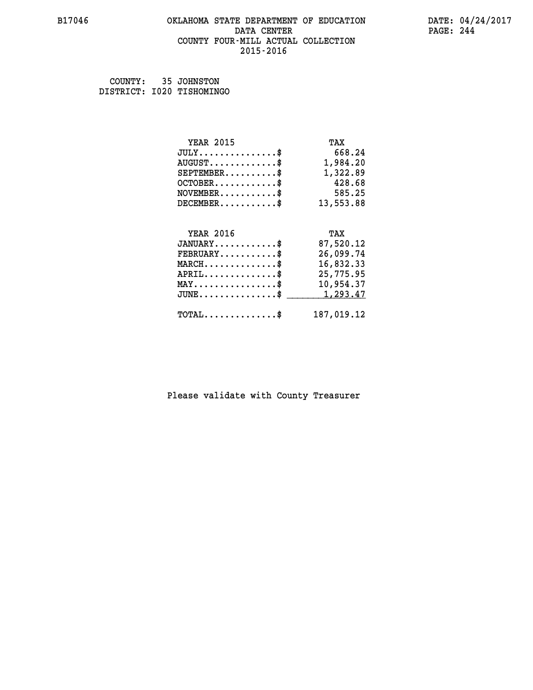### **B17046 OKLAHOMA STATE DEPARTMENT OF EDUCATION DATE: 04/24/2017 DATA CENTER** PAGE: 244  **COUNTY FOUR-MILL ACTUAL COLLECTION 2015-2016**

 **COUNTY: 35 JOHNSTON DISTRICT: I020 TISHOMINGO**

| <b>YEAR 2015</b>                                 | TAX        |
|--------------------------------------------------|------------|
| $JULY$ \$                                        | 668.24     |
| $AUGUST$ \$                                      | 1,984.20   |
| $SEPTEMBER$ \$                                   | 1,322.89   |
| $OCTOBER$ \$                                     | 428.68     |
| $\texttt{NOVEMBER} \dots \dots \dots \$          | 585.25     |
| $DECEMBER$ \$                                    | 13,553.88  |
|                                                  |            |
| <b>YEAR 2016</b>                                 | TAX        |
| $JANUARY$ \$                                     | 87,520.12  |
| $FEBRUARY$ \$                                    | 26,099.74  |
| $MARCH$ \$                                       | 16,832.33  |
| $APRIL \ldots \ldots \ldots \ldots \$            | 25,775.95  |
| $\texttt{MAX} \dots \dots \dots \dots \dots \$   | 10,954.37  |
| $\texttt{JUNE} \dots \dots \dots \dots \dots \$$ | 1,293.47   |
| $\texttt{TOTAL} \dots \dots \dots \dots \$       | 187,019.12 |
|                                                  |            |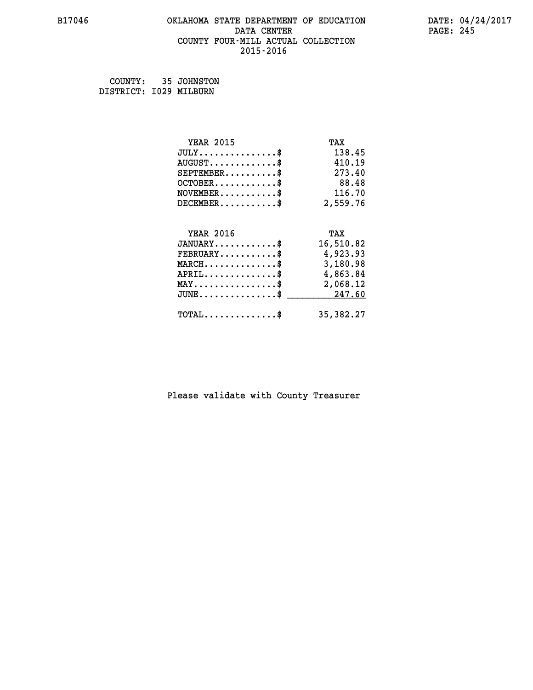### **B17046 OKLAHOMA STATE DEPARTMENT OF EDUCATION DATE: 04/24/2017 DATA CENTER** PAGE: 245  **COUNTY FOUR-MILL ACTUAL COLLECTION 2015-2016**

 **COUNTY: 35 JOHNSTON DISTRICT: I029 MILBURN**

| <b>YEAR 2015</b>                                 | TAX         |
|--------------------------------------------------|-------------|
| $JULY$ \$                                        | 138.45      |
| $AUGUST$ \$                                      | 410.19      |
| $SEPTEMENT.$ \$                                  | 273.40      |
| $OCTOBER$ \$                                     | 88.48       |
| $NOVEMBER.$ \$                                   | 116.70      |
| $DECEMBER$ \$                                    | 2,559.76    |
| <b>YEAR 2016</b>                                 | TAX         |
| $JANUARY$ \$                                     | 16,510.82   |
| $FEBRUARY$                                       | 4,923.93    |
| $MARCH$ \$                                       | 3,180.98    |
| $APRIL$ \$                                       | 4,863.84    |
| $\texttt{MAX} \dots \dots \dots \dots \dots$     | 2,068.12    |
| $\texttt{JUNE} \dots \dots \dots \dots \dots \$$ | 247.60      |
| $\texttt{TOTAL} \dots \dots \dots \dots$         | 35, 382. 27 |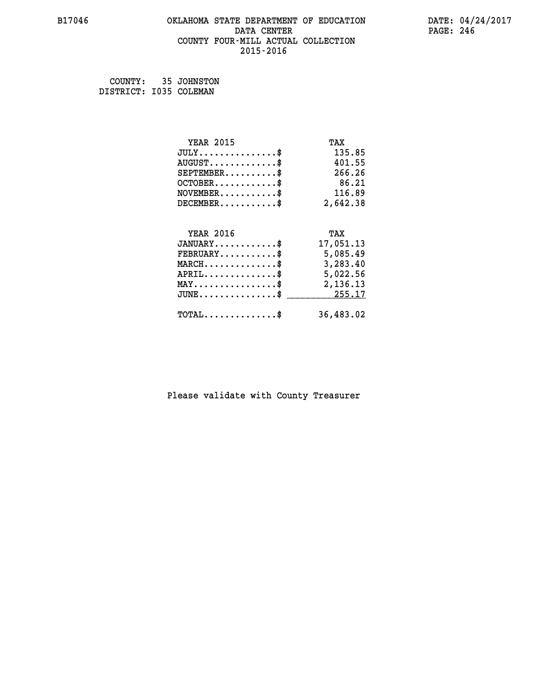### **B17046 OKLAHOMA STATE DEPARTMENT OF EDUCATION DATE: 04/24/2017 DATA CENTER** PAGE: 246  **COUNTY FOUR-MILL ACTUAL COLLECTION 2015-2016**

 **COUNTY: 35 JOHNSTON DISTRICT: I035 COLEMAN**

| <b>YEAR 2015</b>                                 | TAX       |
|--------------------------------------------------|-----------|
| $JULY$ \$                                        | 135.85    |
| $AUGUST$ \$                                      | 401.55    |
| $SEPTEMBER$ \$                                   | 266.26    |
| $OCTOBER$ \$                                     | 86.21     |
| $\texttt{NOVEMBER} \dots \dots \dots \$          | 116.89    |
| $DECEMBER$ \$                                    | 2,642.38  |
|                                                  |           |
| <b>YEAR 2016</b>                                 | TAX       |
| $JANUARY$ \$                                     | 17,051.13 |
| $FEBRUARY$ \$                                    | 5,085.49  |
| $\texttt{MARCH}\ldots\ldots\ldots\ldots\cdots\$  | 3,283.40  |
| $APRIL \ldots \ldots \ldots \ldots$              | 5,022.56  |
| $\texttt{MAX} \dots \dots \dots \dots \dots \$   | 2,136.13  |
| $\texttt{JUNE} \dots \dots \dots \dots \dots \$$ | 255.17    |
| $\texttt{TOTAL} \dots \dots \dots \dots$ \$      | 36,483.02 |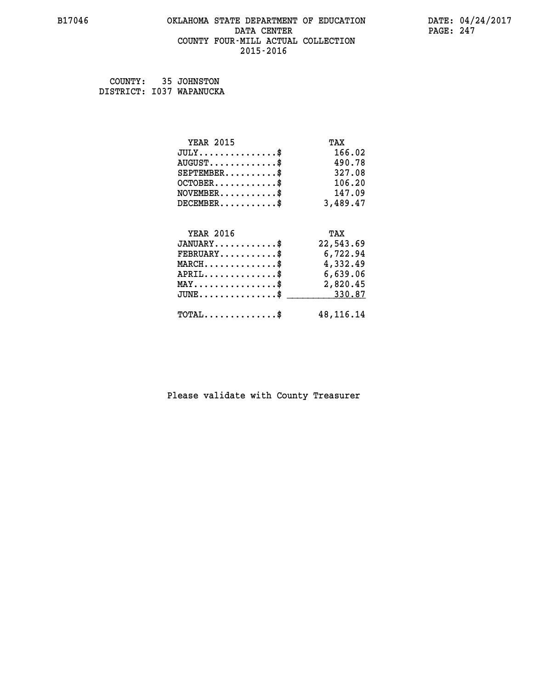### **B17046 OKLAHOMA STATE DEPARTMENT OF EDUCATION DATE: 04/24/2017 DATA CENTER** PAGE: 247  **COUNTY FOUR-MILL ACTUAL COLLECTION 2015-2016**

 **COUNTY: 35 JOHNSTON DISTRICT: I037 WAPANUCKA**

| <b>YEAR 2015</b>                                 | TAX         |
|--------------------------------------------------|-------------|
| $JULY$ \$                                        | 166.02      |
| $AUGUST$ \$                                      | 490.78      |
| $SEPTEMENT.$ \$                                  | 327.08      |
| $OCTOBER$ \$                                     | 106.20      |
| $NOVEMBER.$ \$                                   | 147.09      |
| $DECEMBER$ \$                                    | 3,489.47    |
|                                                  |             |
| <b>YEAR 2016</b>                                 | TAX         |
| $JANUARY$ \$                                     | 22,543.69   |
| $FEBRUARY$                                       | 6,722.94    |
| $\texttt{MARCH}\ldots\ldots\ldots\ldots\text{*}$ | 4,332.49    |
| $APRIL$ \$                                       | 6,639.06    |
| $\texttt{MAX} \dots \dots \dots \dots \dots \$   | 2,820.45    |
| $\texttt{JUNE} \dots \dots \dots \dots \dots \$$ | 330.87      |
| $\texttt{TOTAL} \dots \dots \dots \dots \$       | 48, 116. 14 |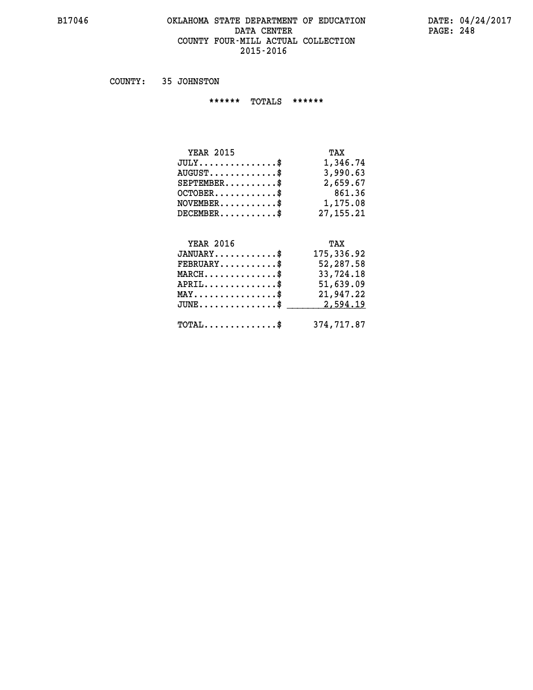#### **B17046 OKLAHOMA STATE DEPARTMENT OF EDUCATION DATE: 04/24/2017 DATA CENTER PAGE: 248 COUNTY FOUR-MILL ACTUAL COLLECTION 2015-2016**

 **COUNTY: 35 JOHNSTON**

 **\*\*\*\*\*\* TOTALS \*\*\*\*\*\***

| <b>YEAR 2015</b>                 | TAX       |
|----------------------------------|-----------|
| $JULY$                           | 1,346.74  |
| $AUGUST \ldots \ldots \ldots$ \$ | 3,990.63  |
| $SEPTEMBER$ \$                   | 2,659.67  |
| $OCTOBER$ $\$                    | 861.36    |
| $NOVEMBER$ \$                    | 1,175.08  |
| $DECEMBER$                       | 27,155.21 |

## **YEAR 2016 TAX JANUARY............\$ 175,336.92 FEBRUARY...........\$ 52,287.58 MARCH..............\$ 33,724.18 APRIL..............\$ 51,639.09 MAY................\$ 21,947.22 JUNE................\$** 2,594.19  **TOTAL..............\$ 374,717.87**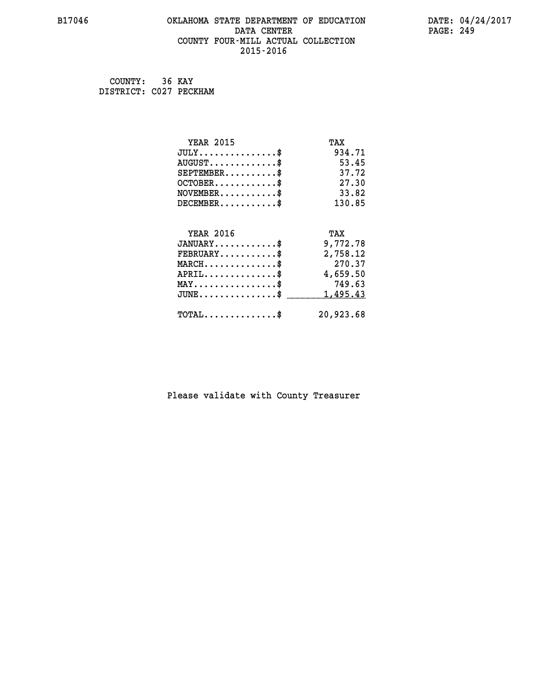### **B17046 OKLAHOMA STATE DEPARTMENT OF EDUCATION DATE: 04/24/2017 DATA CENTER** PAGE: 249  **COUNTY FOUR-MILL ACTUAL COLLECTION 2015-2016**

 **COUNTY: 36 KAY DISTRICT: C027 PECKHAM**

| <b>YEAR 2015</b>                           | TAX       |
|--------------------------------------------|-----------|
| $JULY$ \$                                  | 934.71    |
| $AUGUST$ \$                                | 53.45     |
| $SEPTEMBER$ \$                             | 37.72     |
| $OCTOBER$ \$                               | 27.30     |
| $NOVEMBER$ \$                              | 33.82     |
| $DECEMBER$ \$                              | 130.85    |
|                                            |           |
| <b>YEAR 2016</b>                           | TAX       |
| $JANUARY$                                  | 9,772.78  |
| $FEBRUARY$                                 | 2,758.12  |
| $MARCH$ \$                                 | 270.37    |
| $APRIL$ \$                                 | 4,659.50  |
| $MAX \dots \dots \dots \dots \dots$        | 749.63    |
| $JUNE$ \$                                  | 1,495.43  |
| $\texttt{TOTAL} \dots \dots \dots \dots \$ | 20,923.68 |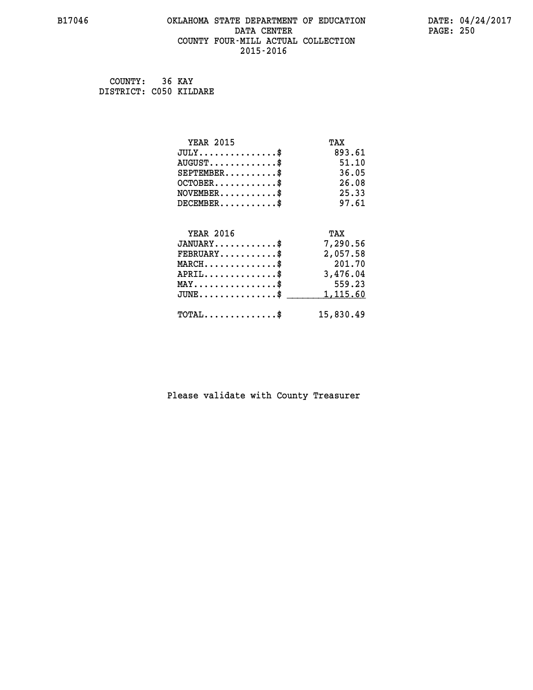### **B17046 OKLAHOMA STATE DEPARTMENT OF EDUCATION DATE: 04/24/2017 DATA CENTER** PAGE: 250  **COUNTY FOUR-MILL ACTUAL COLLECTION 2015-2016**

 **COUNTY: 36 KAY DISTRICT: C050 KILDARE**

| <b>YEAR 2015</b>                                   | TAX       |
|----------------------------------------------------|-----------|
| $JULY$ \$                                          | 893.61    |
| $AUGUST$ \$                                        | 51.10     |
| $SEPTEMBER$ \$                                     | 36.05     |
| $OCTOBER$ \$                                       | 26.08     |
| $NOVEMBER$ \$                                      | 25.33     |
| $DECEMBER$ \$                                      | 97.61     |
|                                                    |           |
| <b>YEAR 2016</b>                                   | TAX       |
| $JANUARY$                                          | 7,290.56  |
| $FEBRUARY$ \$                                      | 2,057.58  |
| $MARCH$ \$                                         | 201.70    |
| $APRIL$ \$                                         | 3,476.04  |
| $MAX \dots \dots \dots \dots \$                    | 559.23    |
| $\texttt{JUNE} \dots \dots \dots \dots \texttt{S}$ | 1,115.60  |
| $\texttt{TOTAL} \dots \dots \dots \dots \$         | 15,830.49 |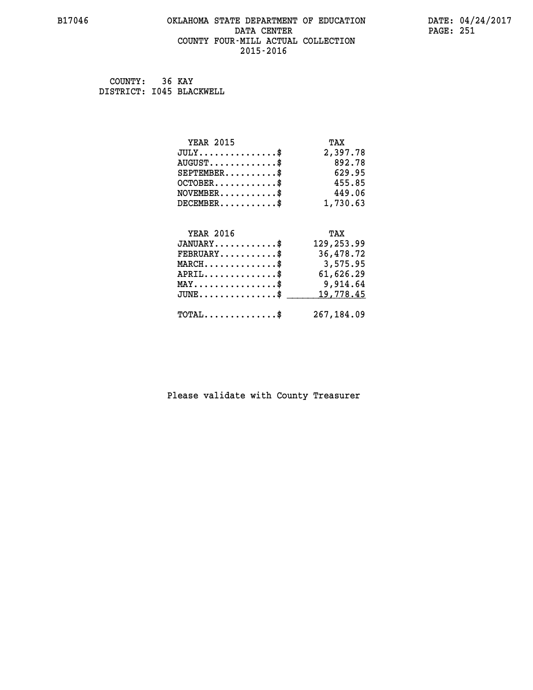### **B17046 OKLAHOMA STATE DEPARTMENT OF EDUCATION DATE: 04/24/2017 DATA CENTER** PAGE: 251  **COUNTY FOUR-MILL ACTUAL COLLECTION 2015-2016**

 **COUNTY: 36 KAY DISTRICT: I045 BLACKWELL**

| <b>YEAR 2015</b>                                   | TAX        |
|----------------------------------------------------|------------|
| $JULY$ \$                                          | 2,397.78   |
| $AUGUST$ \$                                        | 892.78     |
| $SEPTEMENT.$ \$                                    | 629.95     |
| $OCTOBER$ \$                                       | 455.85     |
| $NOVEMBER$ \$                                      | 449.06     |
| $DECEMBER$ \$                                      | 1,730.63   |
|                                                    |            |
| <b>YEAR 2016</b>                                   | TAX        |
| $JANUARY$ \$                                       | 129,253.99 |
| $FEBRUARY$                                         | 36,478.72  |
| $MARCH$ \$                                         | 3,575.95   |
|                                                    |            |
| $APRIL$                                            | 61,626.29  |
| $\texttt{MAX} \dots \dots \dots \dots \texttt{\$}$ | 9,914.64   |
| $JUNE$ $$$                                         | 19,778.45  |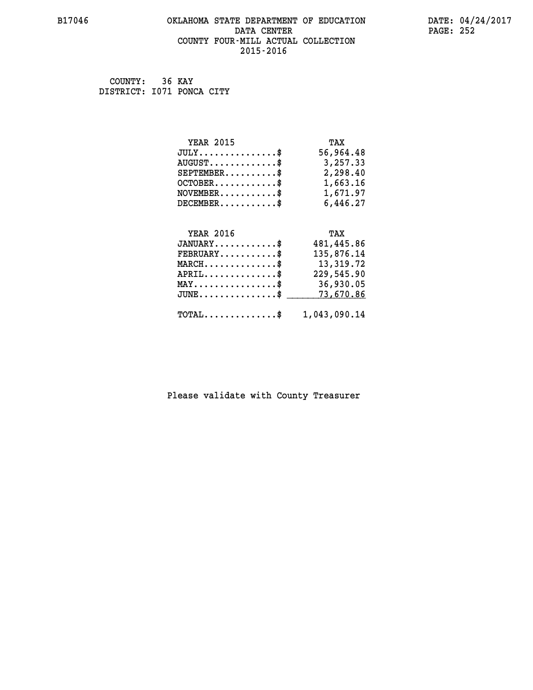### **B17046 OKLAHOMA STATE DEPARTMENT OF EDUCATION DATE: 04/24/2017 DATA CENTER** PAGE: 252  **COUNTY FOUR-MILL ACTUAL COLLECTION 2015-2016**

 **COUNTY: 36 KAY DISTRICT: I071 PONCA CITY**

| <b>YEAR 2015</b>                               | TAX          |
|------------------------------------------------|--------------|
| $JULY$ \$                                      | 56,964.48    |
| $AUGUST$ \$                                    | 3,257.33     |
| $SEPTEMBER$ \$                                 | 2,298.40     |
| $OCTOBER$ \$                                   | 1,663.16     |
| $NOVEMBER.$ \$                                 | 1,671.97     |
| $DECEMBER$ \$                                  | 6,446.27     |
|                                                |              |
| <b>YEAR 2016</b>                               | TAX          |
| $JANUARY$ \$                                   | 481,445.86   |
| $\texttt{FEBRUARY} \dots \dots \dots \$        | 135,876.14   |
| $\texttt{MARCH}\ldots\ldots\ldots\ldots\ast$   | 13,319.72    |
| $APRIL$ \$                                     | 229,545.90   |
| $\texttt{MAX} \dots \dots \dots \dots \dots \$ | 36,930.05    |
| $JUNE$ \$                                      | 73,670.86    |
| $TOTAL$ \$                                     | 1,043,090.14 |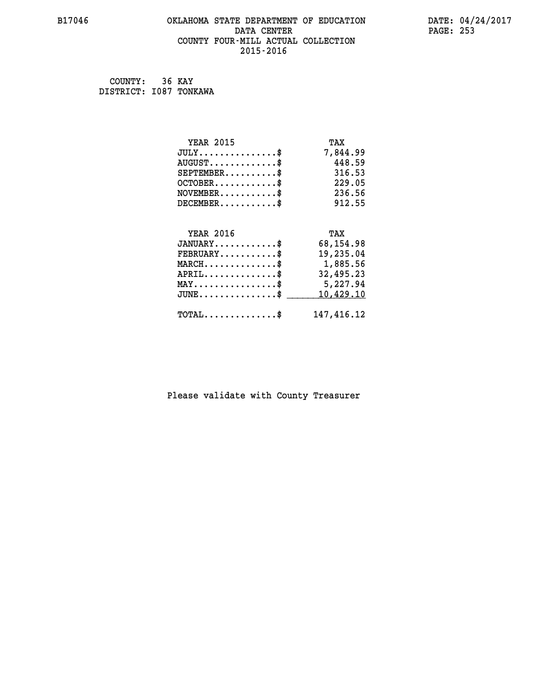## **B17046 OKLAHOMA STATE DEPARTMENT OF EDUCATION DATE: 04/24/2017 DATA CENTER** PAGE: 253  **COUNTY FOUR-MILL ACTUAL COLLECTION 2015-2016**

 **COUNTY: 36 KAY DISTRICT: I087 TONKAWA**

| <b>YEAR 2015</b>                                   | TAX        |
|----------------------------------------------------|------------|
| $JULY$ \$                                          | 7,844.99   |
| $AUGUST$ \$                                        | 448.59     |
| $SEPTEMENT.$ \$                                    | 316.53     |
| $OCTOBER$ \$                                       | 229.05     |
| $NOVEMBER$ \$                                      | 236.56     |
| $DECEMBER$ \$                                      | 912.55     |
|                                                    |            |
| <b>YEAR 2016</b>                                   | TAX        |
| $JANUARY$ \$                                       | 68,154.98  |
| $FEBRUARY$                                         | 19,235.04  |
| $MARCH$ \$                                         | 1,885.56   |
| $APRIL$ \$                                         | 32,495.23  |
| $\texttt{MAX} \dots \dots \dots \dots \dots \$     | 5,227.94   |
| $\texttt{JUNE} \dots \dots \dots \dots \texttt{S}$ | 10,429.10  |
| $TOTAL$ \$                                         | 147,416.12 |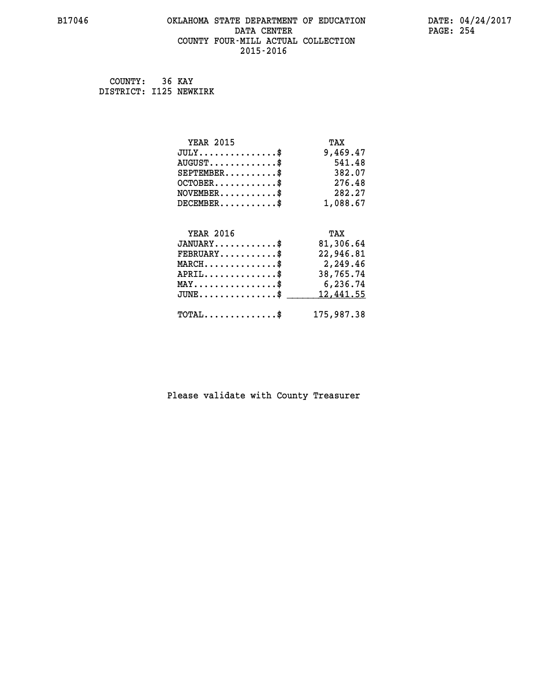## **B17046 OKLAHOMA STATE DEPARTMENT OF EDUCATION DATE: 04/24/2017 DATA CENTER** PAGE: 254  **COUNTY FOUR-MILL ACTUAL COLLECTION 2015-2016**

 **COUNTY: 36 KAY DISTRICT: I125 NEWKIRK**

| <b>YEAR 2015</b>                           | TAX        |
|--------------------------------------------|------------|
| $JULY$ \$                                  | 9,469.47   |
| $AUGUST$ \$                                | 541.48     |
| $SEPTEMBER$ \$                             | 382.07     |
| $OCTOBER$ \$                               | 276.48     |
| $NOVEMBER$ \$                              | 282.27     |
| $DECEMBER$ \$                              | 1,088.67   |
|                                            |            |
| <b>YEAR 2016</b>                           | TAX        |
| $JANUARY$ \$                               | 81,306.64  |
| $FEBRUARY$ \$                              | 22,946.81  |
| $MARCH$ \$                                 | 2,249.46   |
| $APRIL$ \$                                 | 38,765.74  |
| $MAX \dots \dots \dots \dots \dots$        | 6,236.74   |
| $JUNE$                                     | 12,441.55  |
| $\texttt{TOTAL} \dots \dots \dots \dots \$ | 175,987.38 |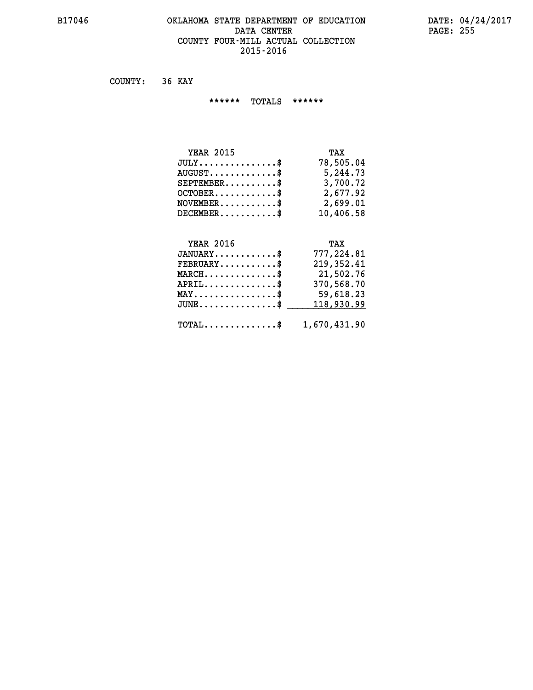## **B17046 OKLAHOMA STATE DEPARTMENT OF EDUCATION DATE: 04/24/2017** DATA CENTER PAGE: 255  **COUNTY FOUR-MILL ACTUAL COLLECTION 2015-2016**

 **COUNTY: 36 KAY**

 **\*\*\*\*\*\* TOTALS \*\*\*\*\*\***

| <b>YEAR 2015</b>                          | TAX       |
|-------------------------------------------|-----------|
| $JULY$                                    | 78,505.04 |
| $\text{AUGUST} \dots \dots \dots \dots \$ | 5,244.73  |
| $SEPTEMBER$ \$                            | 3,700.72  |
| $OCTOBER$ \$                              | 2,677.92  |
| $NOVEMBER$ \$                             | 2,699.01  |
| $DECEMBER$ \$                             | 10,406.58 |

# **YEAR 2016 TAX**

| $JANUARY$                                               | 777,224.81 |
|---------------------------------------------------------|------------|
| $FEBRUARY$ \$                                           | 219,352.41 |
| $MARCH$ \$                                              | 21,502.76  |
| $APRIL$ \$                                              | 370,568.70 |
| $MAX \dots \dots \dots \dots \dots \$                   | 59,618.23  |
| JUNE\$ 118,930.99                                       |            |
| $\texttt{TOTAL} \dots \dots \dots \dots \$ 1,670,431.90 |            |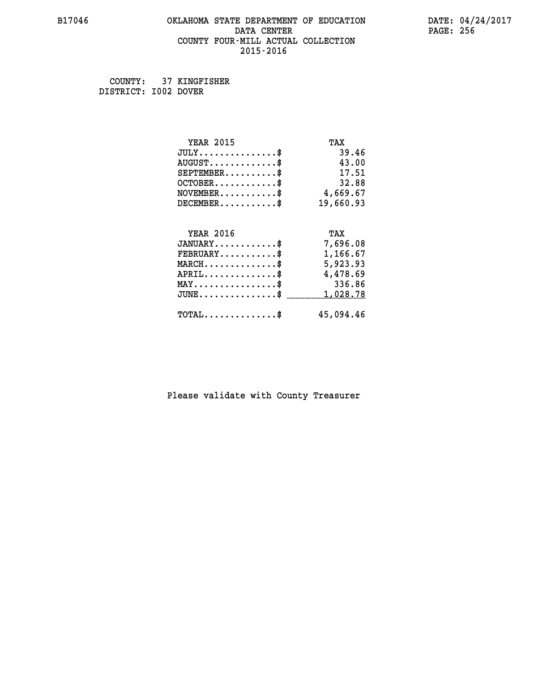## **B17046 OKLAHOMA STATE DEPARTMENT OF EDUCATION DATE: 04/24/2017 DATA CENTER** PAGE: 256  **COUNTY FOUR-MILL ACTUAL COLLECTION 2015-2016**

 **COUNTY: 37 KINGFISHER DISTRICT: I002 DOVER**

| <b>YEAR 2015</b>                           | TAX       |
|--------------------------------------------|-----------|
| $JULY$ \$                                  | 39.46     |
| $AUGUST$ \$                                | 43.00     |
| $SEPTEMBER$ \$                             | 17.51     |
| $OCTOBER$ \$                               | 32.88     |
| $NOVEMBER$ \$                              | 4,669.67  |
| $DECEMBER$ \$                              | 19,660.93 |
|                                            |           |
| <b>YEAR 2016</b>                           | TAX       |
| $JANUARY$                                  | 7,696.08  |
| $FEBRUARY$                                 | 1,166.67  |
| $MARCH$ \$                                 | 5,923.93  |
| $APRIL$ \$                                 | 4,478.69  |
| $MAX \dots \dots \dots \dots \dots$        | 336.86    |
| $JUNE$ \$                                  | 1,028.78  |
| $\texttt{TOTAL} \dots \dots \dots \dots \$ | 45,094.46 |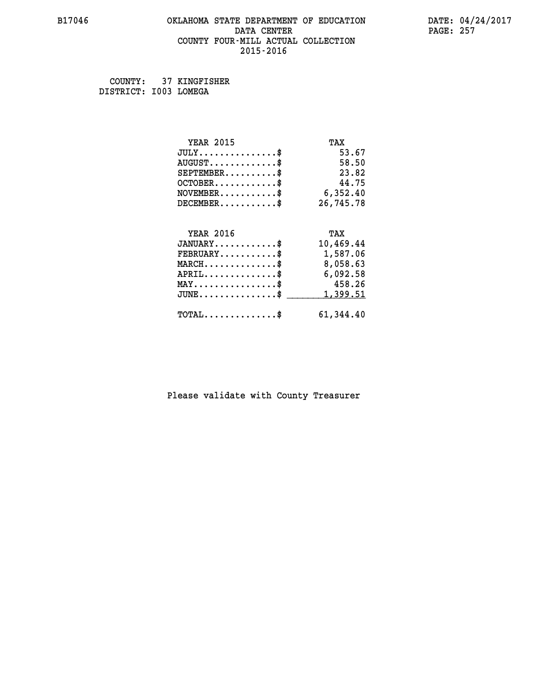## **B17046 OKLAHOMA STATE DEPARTMENT OF EDUCATION DATE: 04/24/2017 DATA CENTER** PAGE: 257  **COUNTY FOUR-MILL ACTUAL COLLECTION 2015-2016**

 **COUNTY: 37 KINGFISHER DISTRICT: I003 LOMEGA**

| <b>YEAR 2015</b>                           | TAX       |
|--------------------------------------------|-----------|
| $JULY$ \$                                  | 53.67     |
| $AUGUST$ \$                                | 58.50     |
| $SEPTEMBER$ \$                             | 23.82     |
| $OCTOBER$ \$                               | 44.75     |
| $NOVEMBER$ \$                              | 6,352.40  |
| $DECEMBER$ \$                              | 26,745.78 |
|                                            |           |
| <b>YEAR 2016</b>                           | TAX       |
| $JANUARY$ \$                               | 10,469.44 |
| $FEBRUARY$                                 | 1,587.06  |
| $MARCH$ \$                                 | 8,058.63  |
| $APRIL$ \$                                 | 6,092.58  |
| $MAX \dots \dots \dots \dots \dots$        | 458.26    |
| $JUNE$                                     | 1,399.51  |
| $\texttt{TOTAL} \dots \dots \dots \dots \$ | 61,344.40 |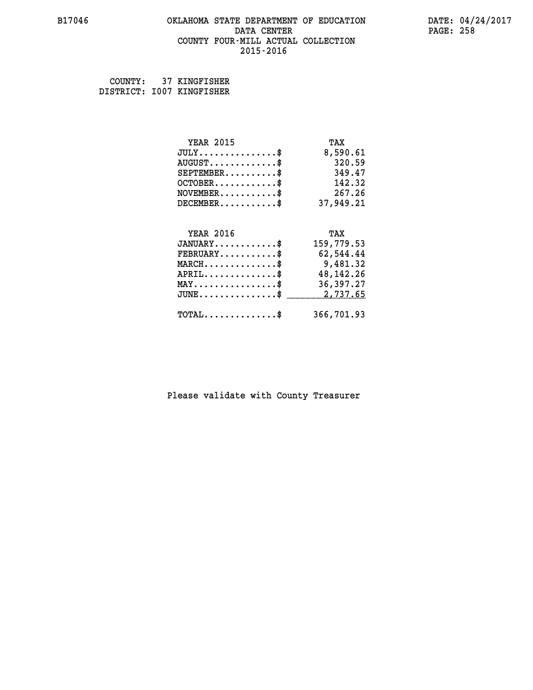## **B17046 OKLAHOMA STATE DEPARTMENT OF EDUCATION DATE: 04/24/2017 DATA CENTER** PAGE: 258  **COUNTY FOUR-MILL ACTUAL COLLECTION 2015-2016**

 **COUNTY: 37 KINGFISHER DISTRICT: I007 KINGFISHER**

| <b>YEAR 2015</b>                               | TAX         |
|------------------------------------------------|-------------|
| $JULY$ \$                                      | 8,590.61    |
| $AUGUST$ \$                                    | 320.59      |
| $SEPTEMBER$ \$                                 | 349.47      |
| $OCTOBER$ \$                                   | 142.32      |
| $\texttt{NOVEMBER} \dots \dots \dots \$        | 267.26      |
| $DECEMBER$ \$                                  | 37,949.21   |
|                                                |             |
| <b>YEAR 2016</b>                               | TAX         |
| $JANUARY$ \$                                   | 159,779.53  |
| $FEBRUARY$                                     | 62,544.44   |
| $MARCH$ \$                                     | 9,481.32    |
| $APRIL \ldots \ldots \ldots \ldots$ \$         | 48, 142. 26 |
| $\texttt{MAX} \dots \dots \dots \dots \dots \$ | 36,397.27   |
| $JUNE$ \$                                      | 2,737.65    |
| $\texttt{TOTAL} \dots \dots \dots \dots \$     | 366,701.93  |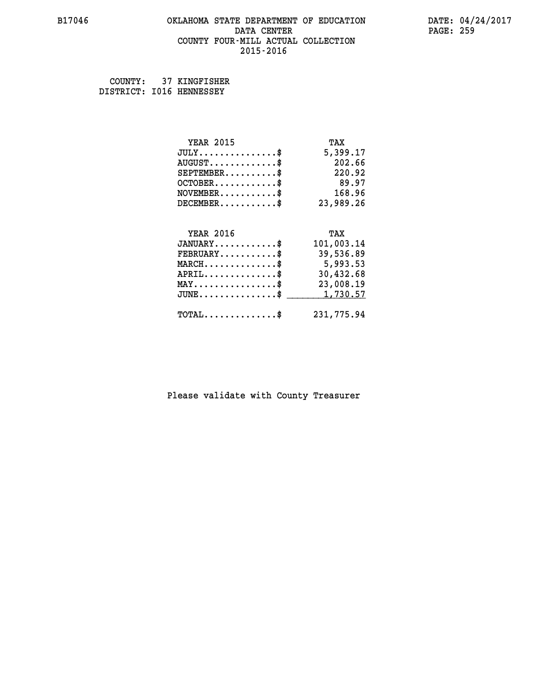#### **B17046 OKLAHOMA STATE DEPARTMENT OF EDUCATION DATE: 04/24/2017 DATA CENTER** PAGE: 259  **COUNTY FOUR-MILL ACTUAL COLLECTION 2015-2016**

 **COUNTY: 37 KINGFISHER DISTRICT: I016 HENNESSEY**

| <b>YEAR 2015</b>                            | TAX        |
|---------------------------------------------|------------|
| $JULY$                                      | 5,399.17   |
| $AUGUST$ \$                                 | 202.66     |
| $SEPTEMBER$ \$                              | 220.92     |
| $OCTOBER$ \$                                | 89.97      |
| $NOVEMBER$ \$                               | 168.96     |
| $DECEMBER$ \$                               | 23,989.26  |
| <b>YEAR 2016</b>                            | TAX        |
| $JANUARY$ \$                                | 101,003.14 |
| $FEBRUARY$                                  | 39,536.89  |
| $MARCH$ \$                                  | 5,993.53   |
| $APRIL$ \$                                  | 30,432.68  |
| $\texttt{MAX} \dots \dots \dots \dots \ast$ | 23,008.19  |
| $JUNE$ \$                                   | 1,730.57   |
| $\texttt{TOTAL} \dots \dots \dots \dots \$  | 231,775.94 |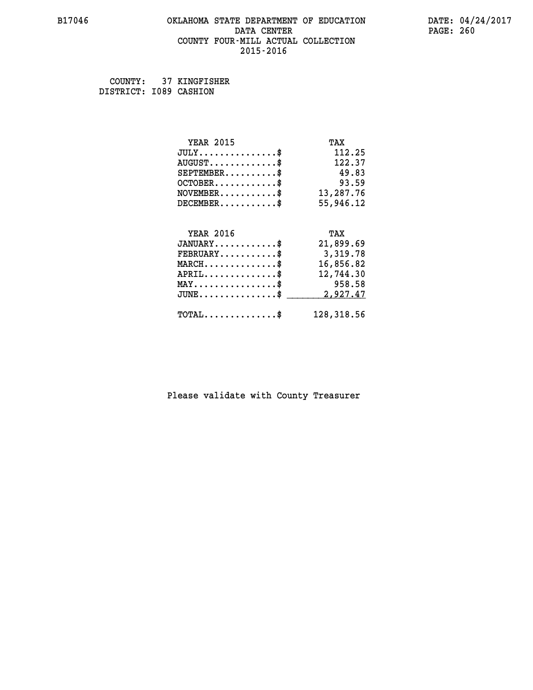## **B17046 OKLAHOMA STATE DEPARTMENT OF EDUCATION DATE: 04/24/2017 DATA CENTER PAGE: 260 COUNTY FOUR-MILL ACTUAL COLLECTION 2015-2016**

 **COUNTY: 37 KINGFISHER DISTRICT: I089 CASHION**

| <b>YEAR 2015</b>                                                          | TAX        |
|---------------------------------------------------------------------------|------------|
| $JULY$ \$                                                                 | 112.25     |
| $AUGUST$ \$                                                               | 122.37     |
| $SEPTEMENT.$ \$                                                           | 49.83      |
| $OCTOBER$ \$                                                              | 93.59      |
| $\verb NOVEMBER , \verb , \verb , \verb , \verb , \verb , \verb , \verb $ | 13,287.76  |
| $DECEMBER$ \$                                                             | 55,946.12  |
|                                                                           |            |
| <b>YEAR 2016</b>                                                          | TAX        |
| $JANUARY$ \$                                                              | 21,899.69  |
| $FEBRUARY$ \$                                                             | 3,319.78   |
| $MARCH$ \$                                                                | 16,856.82  |
| $APRIL$ \$                                                                | 12,744.30  |
| $MAX \dots \dots \dots \dots \dots$                                       | 958.58     |
| $JUNE$ \$                                                                 | 2,927.47   |
| $\texttt{TOTAL} \dots \dots \dots \dots \$                                | 128,318.56 |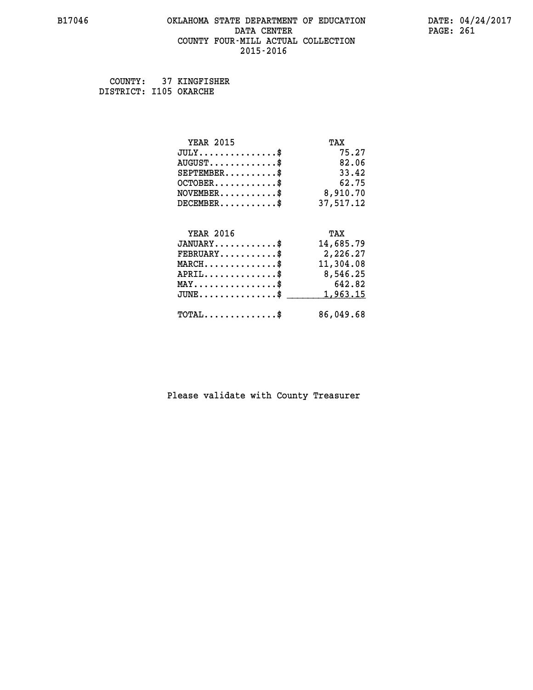## **B17046 OKLAHOMA STATE DEPARTMENT OF EDUCATION DATE: 04/24/2017 DATA CENTER** PAGE: 261  **COUNTY FOUR-MILL ACTUAL COLLECTION 2015-2016**

 **COUNTY: 37 KINGFISHER DISTRICT: I105 OKARCHE**

| <b>YEAR 2015</b>                           | TAX       |
|--------------------------------------------|-----------|
| $JULY$ \$                                  | 75.27     |
| $AUGUST$ \$                                | 82.06     |
| $SEPTEMBER$ \$                             | 33.42     |
| $OCTOBER$ \$                               | 62.75     |
| $NOVEMBER$ \$                              | 8,910.70  |
| $DECEMBER$ \$                              | 37,517.12 |
|                                            |           |
| <b>YEAR 2016</b>                           | TAX       |
| $JANUARY$ \$                               | 14,685.79 |
| $FEBRUARY$                                 | 2,226.27  |
| $MARCH$ \$                                 | 11,304.08 |
| $APRIL$ \$                                 | 8,546.25  |
| $MAX \dots \dots \dots \dots \dots$        | 642.82    |
| $JUNE$                                     | 1,963.15  |
| $\texttt{TOTAL} \dots \dots \dots \dots \$ | 86,049.68 |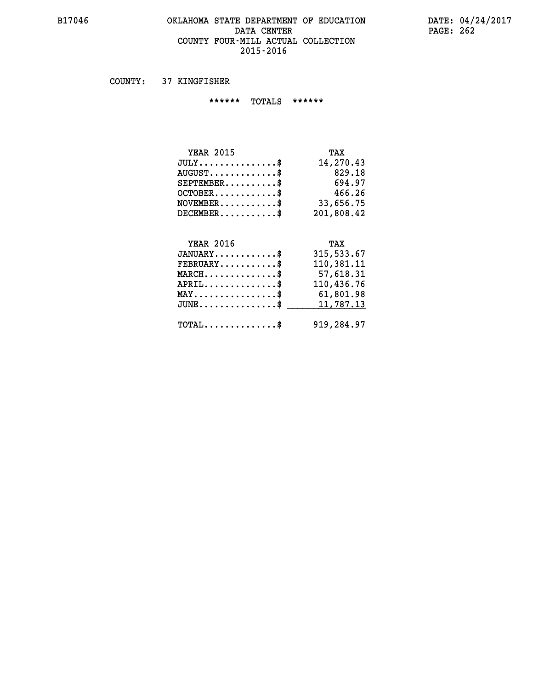#### **B17046 OKLAHOMA STATE DEPARTMENT OF EDUCATION DATE: 04/24/2017 DATA CENTER** PAGE: 262  **COUNTY FOUR-MILL ACTUAL COLLECTION 2015-2016**

 **COUNTY: 37 KINGFISHER**

 **\*\*\*\*\*\* TOTALS \*\*\*\*\*\***

| <b>YEAR 2015</b>                     | TAX        |
|--------------------------------------|------------|
| $JULY \ldots \ldots \ldots \ldots \$ | 14,270.43  |
| $AUGUST$ \$                          | 829.18     |
| $SEPTEMBER$                          | 694.97     |
| $OCTOBER$ \$                         | 466.26     |
| $NOVEMBER$ $\$                       | 33,656.75  |
| $DECEMBER$ \$                        | 201,808.42 |

# **YEAR 2016**

| <b>YEAR 2016</b>                                 | TAX        |
|--------------------------------------------------|------------|
| $JANUARY$ \$                                     | 315,533.67 |
| $FEBRUARY$ \$                                    | 110,381.11 |
| $MARCH$ \$                                       | 57,618.31  |
| $APRIL$ \$                                       | 110,436.76 |
| $MAX \dots \dots \dots \dots \dots$              | 61,801.98  |
| $\texttt{JUNE} \dots \dots \dots \dots \dots \$$ | 11,787.13  |
| $\texttt{TOTAL} \dots \dots \dots \dots \$       | 919,284.97 |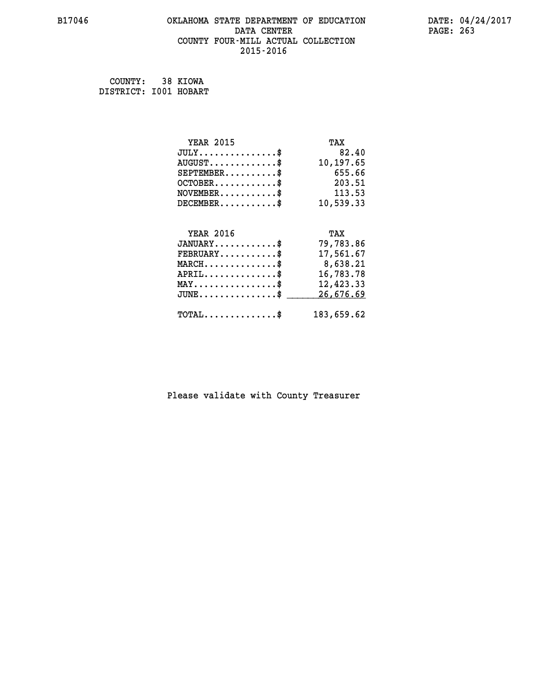## **B17046 OKLAHOMA STATE DEPARTMENT OF EDUCATION DATE: 04/24/2017 DATA CENTER** PAGE: 263  **COUNTY FOUR-MILL ACTUAL COLLECTION 2015-2016**

 **COUNTY: 38 KIOWA DISTRICT: I001 HOBART**

| <b>YEAR 2015</b>                               | TAX        |
|------------------------------------------------|------------|
| $JULY$ \$                                      | 82.40      |
| $AUGUST$ \$                                    | 10,197.65  |
| $SEPTEMENT.$ \$                                | 655.66     |
| $OCTOBER$ \$                                   | 203.51     |
| $\texttt{NOVEMBER} \dots \dots \dots \$        | 113.53     |
| $DECEMBER$ \$                                  | 10,539.33  |
|                                                |            |
| <b>YEAR 2016</b>                               | TAX        |
| $JANUARY$ \$                                   | 79,783.86  |
| $FEBRUARY$                                     | 17,561.67  |
| $MARCH$ \$                                     | 8,638.21   |
| $APRIL$ \$                                     | 16,783.78  |
| $\texttt{MAX} \dots \dots \dots \dots \dots \$ | 12,423.33  |
| $JUNE$ \$                                      | 26,676.69  |
| $\texttt{TOTAL} \dots \dots \dots \dots \$     | 183,659.62 |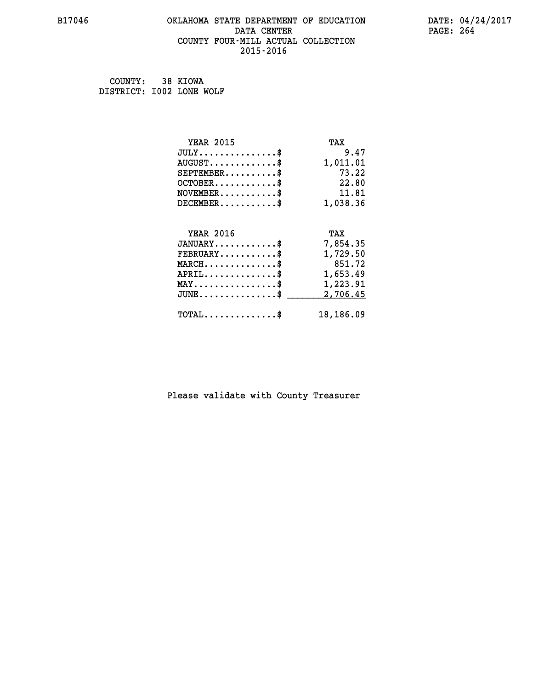## **B17046 OKLAHOMA STATE DEPARTMENT OF EDUCATION DATE: 04/24/2017 DATA CENTER** PAGE: 264  **COUNTY FOUR-MILL ACTUAL COLLECTION 2015-2016**

 **COUNTY: 38 KIOWA DISTRICT: I002 LONE WOLF**

| <b>YEAR 2015</b>                               | TAX       |
|------------------------------------------------|-----------|
| $JULY$ \$                                      | 9.47      |
| $AUGUST$ \$                                    | 1,011.01  |
| $SEPTEMBER$ \$                                 | 73.22     |
| $OCTOBER$ \$                                   | 22.80     |
| $NOVEMBER$ \$                                  | 11.81     |
| $DECEMBER$ \$                                  | 1,038.36  |
|                                                |           |
| <b>YEAR 2016</b>                               | TAX       |
| $JANUARY$ \$                                   | 7,854.35  |
| $FEBRUARY$                                     | 1,729.50  |
| $MARCH$ \$                                     | 851.72    |
| $APRIL \ldots \ldots \ldots \ldots \$          | 1,653.49  |
| $\texttt{MAX} \dots \dots \dots \dots \dots \$ | 1,223.91  |
| $JUNE$ \$                                      | 2,706.45  |
| $\texttt{TOTAL} \dots \dots \dots \dots \$     | 18,186.09 |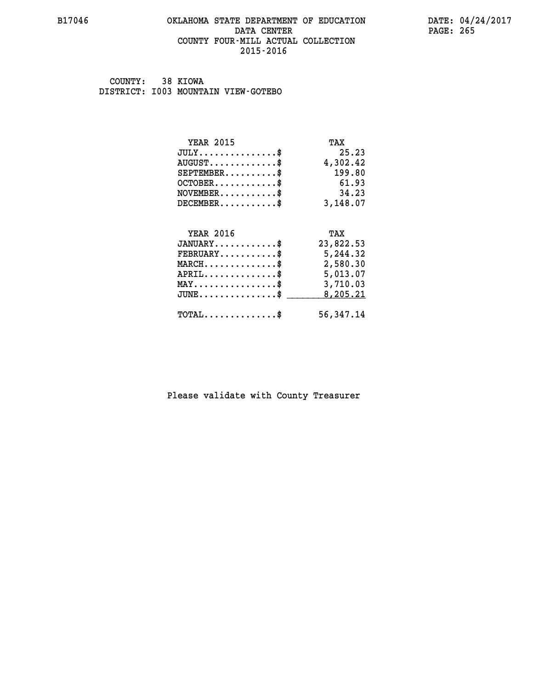#### **B17046 OKLAHOMA STATE DEPARTMENT OF EDUCATION DATE: 04/24/2017 DATA CENTER** PAGE: 265  **COUNTY FOUR-MILL ACTUAL COLLECTION 2015-2016**

 **COUNTY: 38 KIOWA DISTRICT: I003 MOUNTAIN VIEW-GOTEBO**

| <b>YEAR 2015</b>                                                          | TAX       |
|---------------------------------------------------------------------------|-----------|
| $JULY$ \$                                                                 | 25.23     |
| $AUGUST$ \$                                                               | 4,302.42  |
| $SEPTEMBER$ \$                                                            | 199.80    |
| $OCTOBER$ \$                                                              | 61.93     |
| $\verb NOVEMBER , \verb , \verb , \verb , \verb , \verb , \verb , \verb $ | 34.23     |
| $DECEMBER$ \$                                                             | 3,148.07  |
|                                                                           |           |
| <b>YEAR 2016</b>                                                          | TAX       |
| $JANUARY$                                                                 | 23,822.53 |
| $FEBRUARY$                                                                | 5,244.32  |
| $MARCH$ \$                                                                | 2,580.30  |
| $APRIL \ldots \ldots \ldots \ldots \$                                     | 5,013.07  |
| $\texttt{MAX} \dots \dots \dots \dots \dots \$                            | 3,710.03  |
| $\texttt{JUNE} \dots \dots \dots \dots \texttt{S}$                        | 8,205.21  |
| $\texttt{TOTAL} \dots \dots \dots \dots \$                                | 56,347.14 |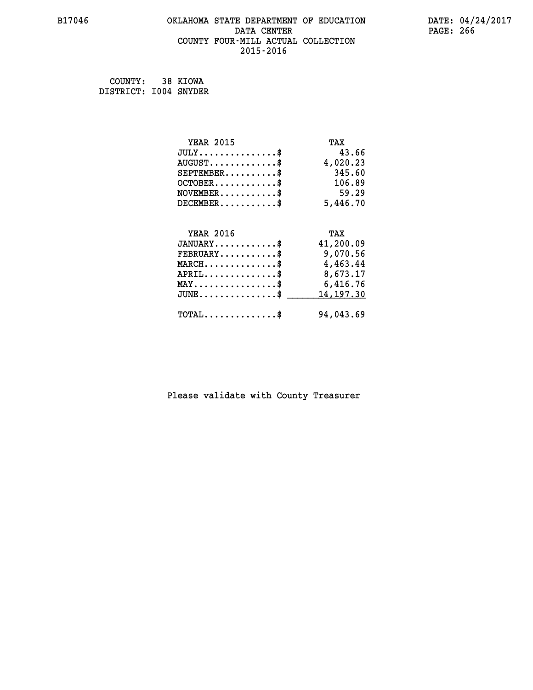## **B17046 OKLAHOMA STATE DEPARTMENT OF EDUCATION DATE: 04/24/2017 DATA CENTER** PAGE: 266  **COUNTY FOUR-MILL ACTUAL COLLECTION 2015-2016**

 **COUNTY: 38 KIOWA DISTRICT: I004 SNYDER**

| <b>YEAR 2015</b>                           | TAX        |
|--------------------------------------------|------------|
| $JULY$                                     | 43.66      |
| $AUGUST$ \$                                | 4,020.23   |
| $SEPTEMENT.$ $\frac{1}{2}$                 | 345.60     |
| $OCTOBER$ \$                               | 106.89     |
| $NOVEMBER$ \$                              | 59.29      |
| $DECEMENT.$                                | 5,446.70   |
| <b>YEAR 2016</b>                           | TAX        |
| $JANUARY$ \$                               | 41,200.09  |
| $FEBRUARY$                                 | 9,070.56   |
| $MARCH$ \$                                 | 4,463.44   |
| $APRIL$ \$                                 | 8,673.17   |
| $MAX \dots \dots \dots \dots \dots$        | 6,416.76   |
| $JUNE$                                     | 14, 197.30 |
| $\texttt{TOTAL} \dots \dots \dots \dots \$ | 94,043.69  |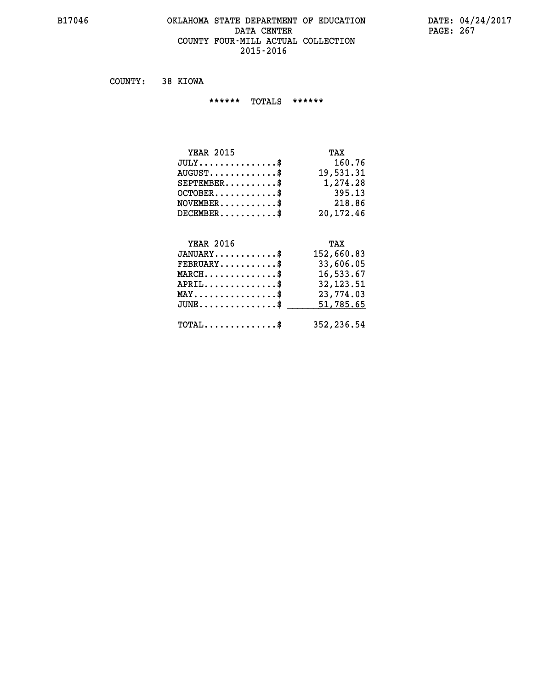#### **B17046 OKLAHOMA STATE DEPARTMENT OF EDUCATION DATE: 04/24/2017** DATA CENTER PAGE: 267  **COUNTY FOUR-MILL ACTUAL COLLECTION 2015-2016**

 **COUNTY: 38 KIOWA**

 **\*\*\*\*\*\* TOTALS \*\*\*\*\*\***

| <b>YEAR 2015</b>              | TAX       |
|-------------------------------|-----------|
| $JULY \ldots \ldots \ldots \$ | 160.76    |
| $AUGUST$ \$                   | 19,531.31 |
| $SEPTEMBER$ $\$               | 1,274.28  |
| $OCTOBER$ \$                  | 395.13    |
| $NOVEMBER$ \$                 | 218.86    |
| $DECEMBER$                    | 20,172.46 |

#### **YEAR 2016 TAX JANUARY............\$ 152,660.83 FEBRUARY...........\$ 33,606.05 MARCH..............\$ 16,533.67 APRIL..............\$ 32,123.51**

| $\texttt{MAX} \dots \dots \dots \dots \dots \$<br>$JUNE \dots \dots \dots \dots \$ 51,785.65 | 23,774.03  |
|----------------------------------------------------------------------------------------------|------------|
| ${\tt TOTAL} \dots \dots \dots \dots \, . \, \$$                                             | 352,236.54 |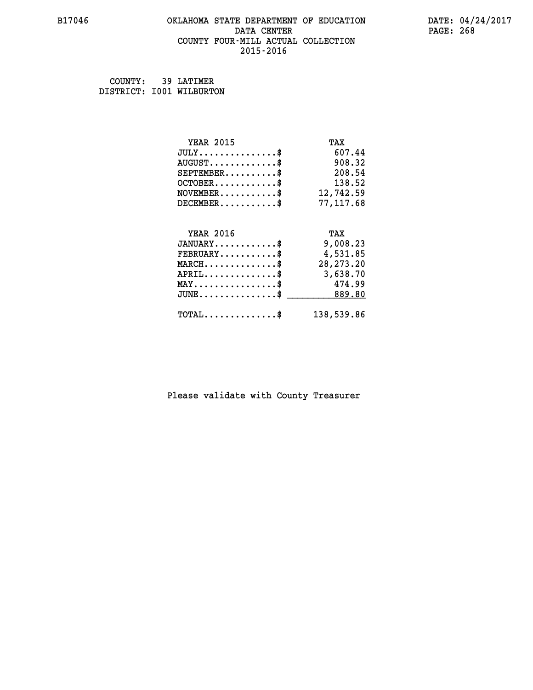## **B17046 OKLAHOMA STATE DEPARTMENT OF EDUCATION DATE: 04/24/2017 DATA CENTER** PAGE: 268  **COUNTY FOUR-MILL ACTUAL COLLECTION 2015-2016**

 **COUNTY: 39 LATIMER DISTRICT: I001 WILBURTON**

| <b>YEAR 2015</b>                                                          | TAX         |
|---------------------------------------------------------------------------|-------------|
| $JULY$ \$                                                                 | 607.44      |
| $AUGUST$ \$                                                               | 908.32      |
| $SEPTEMBER$ \$                                                            | 208.54      |
| $OCTOBER$ \$                                                              | 138.52      |
| $\verb NOVEMBER , \verb , \verb , \verb , \verb , \verb , \verb , \verb $ | 12,742.59   |
| $DECEMBER$ \$                                                             | 77,117.68   |
|                                                                           |             |
| <b>YEAR 2016</b>                                                          | TAX         |
| $JANUARY$ \$                                                              | 9,008.23    |
| $FEBRUARY$                                                                | 4,531.85    |
| $MARCH$ \$                                                                | 28, 273. 20 |
| $APRIL \ldots \ldots \ldots \ldots *$                                     | 3,638.70    |
| $\texttt{MAX} \dots \dots \dots \dots \dots \$                            | 474.99      |
| $\texttt{JUNE} \dots \dots \dots \dots \dots \$$                          | 889.80      |
| $\texttt{TOTAL} \dots \dots \dots \dots \$                                | 138,539.86  |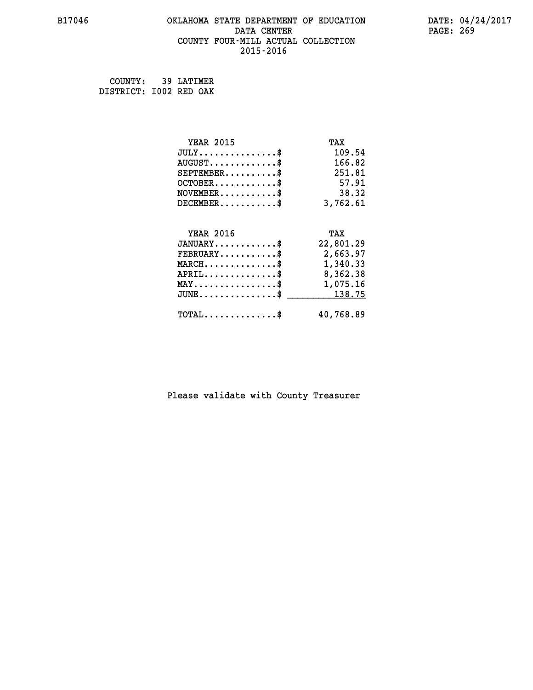## **B17046 OKLAHOMA STATE DEPARTMENT OF EDUCATION DATE: 04/24/2017 DATA CENTER** PAGE: 269  **COUNTY FOUR-MILL ACTUAL COLLECTION 2015-2016**

 **COUNTY: 39 LATIMER DISTRICT: I002 RED OAK**

| <b>YEAR 2015</b>                                   | TAX       |
|----------------------------------------------------|-----------|
| $JULY$ \$                                          | 109.54    |
| $AUGUST$ \$                                        | 166.82    |
| $SEPTEMBER$ \$                                     | 251.81    |
| $OCTOBER$ \$                                       | 57.91     |
| $NOVEMBER$ \$                                      | 38.32     |
| $DECEMBER$ \$                                      | 3,762.61  |
|                                                    |           |
| <b>YEAR 2016</b>                                   | TAX       |
| $JANUARY$ \$                                       | 22,801.29 |
| $FEBRUARY$                                         | 2,663.97  |
| $MARCH$ \$                                         | 1,340.33  |
| $APRIL \ldots \ldots \ldots \ldots \$              | 8,362.38  |
| $\texttt{MAX} \dots \dots \dots \dots \dots \$     | 1,075.16  |
| $\texttt{JUNE} \dots \dots \dots \dots \texttt{S}$ | 138.75    |
| $\texttt{TOTAL} \dots \dots \dots \dots \$         | 40,768.89 |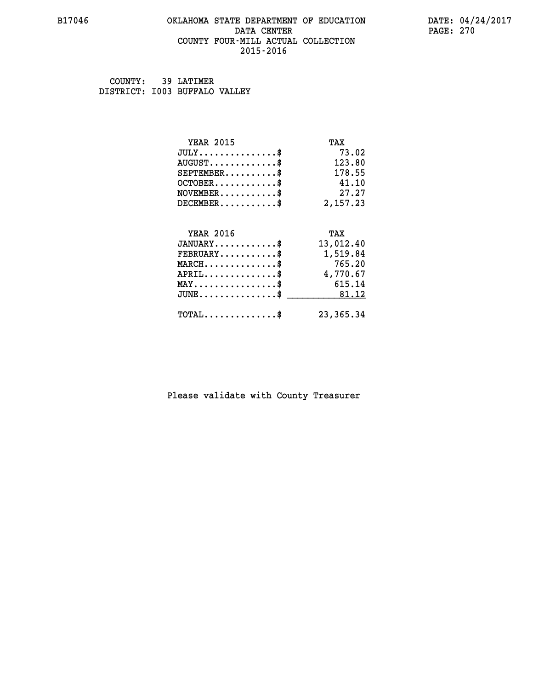#### **B17046 OKLAHOMA STATE DEPARTMENT OF EDUCATION DATE: 04/24/2017 DATA CENTER** PAGE: 270  **COUNTY FOUR-MILL ACTUAL COLLECTION 2015-2016**

 **COUNTY: 39 LATIMER DISTRICT: I003 BUFFALO VALLEY**

| <b>YEAR 2015</b>                           | TAX         |
|--------------------------------------------|-------------|
| $JULY$ \$                                  | 73.02       |
| $AUGUST$ \$                                | 123.80      |
| $SEPTEMENT.$ \$                            | 178.55      |
| $OCTOBER$ \$                               | 41.10       |
| $NOVEMBER$ \$                              | 27.27       |
| $DECEMBER$ \$                              | 2,157.23    |
|                                            |             |
| <b>YEAR 2016</b>                           | TAX         |
| $JANUARY$                                  | 13,012.40   |
| $FEBRUARY$                                 | 1,519.84    |
| $MARCH$ \$                                 | 765.20      |
| $APRIL \ldots \ldots \ldots \ldots *$      | 4,770.67    |
| $MAX \dots \dots \dots \dots \$            | 615.14      |
| $JUNE$ \$                                  | 81.12       |
| $\texttt{TOTAL} \dots \dots \dots \dots \$ | 23, 365. 34 |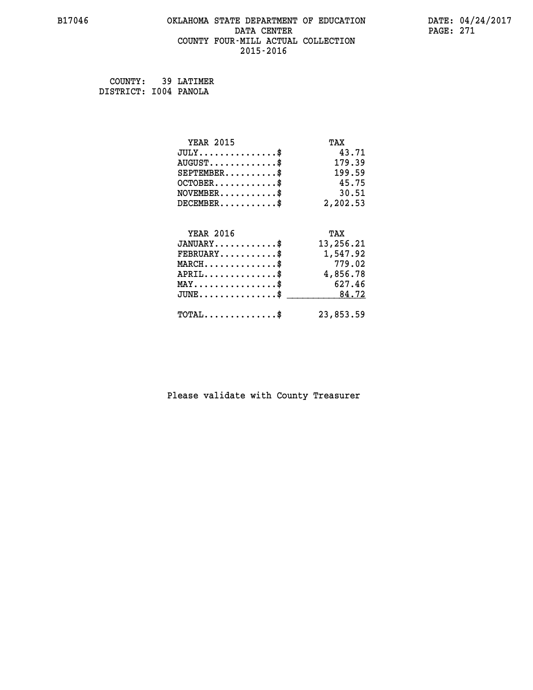## **B17046 OKLAHOMA STATE DEPARTMENT OF EDUCATION DATE: 04/24/2017 DATA CENTER** PAGE: 271  **COUNTY FOUR-MILL ACTUAL COLLECTION 2015-2016**

 **COUNTY: 39 LATIMER DISTRICT: I004 PANOLA**

| <b>YEAR 2015</b>                           | TAX       |
|--------------------------------------------|-----------|
| $JULY$ \$                                  | 43.71     |
| $AUGUST$ \$                                | 179.39    |
| $SEPTEMBER$ \$                             | 199.59    |
| $OCTOBER$                                  | 45.75     |
| $NOVEMBER$ \$                              | 30.51     |
| $DECEMENT.$                                | 2,202.53  |
| <b>YEAR 2016</b>                           | TAX       |
| $JANUARY$ \$                               | 13,256.21 |
| $FEBRUARY$                                 | 1,547.92  |
| $MARCH$ \$                                 | 779.02    |
| $APRIL$ \$                                 | 4,856.78  |
| $MAX \dots \dots \dots \dots \dots$        | 627.46    |
| $JUNE$ \$                                  | 84.72     |
| $\texttt{TOTAL} \dots \dots \dots \dots \$ | 23,853.59 |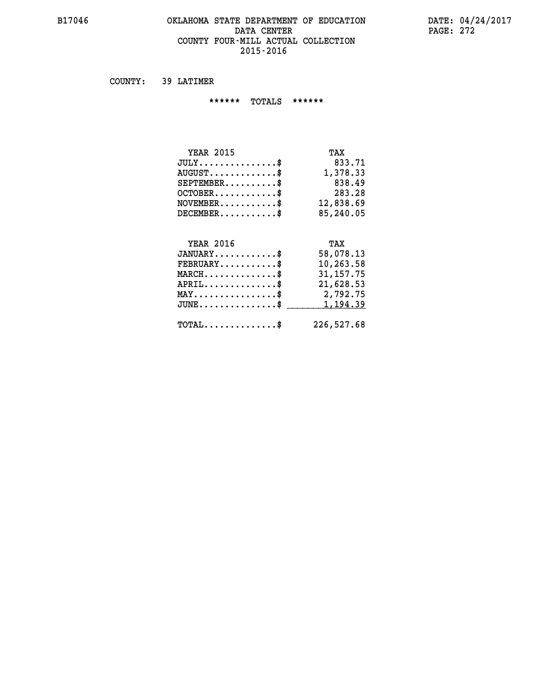#### **B17046 OKLAHOMA STATE DEPARTMENT OF EDUCATION DATE: 04/24/2017 DATA CENTER** PAGE: 272  **COUNTY FOUR-MILL ACTUAL COLLECTION 2015-2016**

 **COUNTY: 39 LATIMER**

 **\*\*\*\*\*\* TOTALS \*\*\*\*\*\***

| <b>YEAR 2015</b> | TAX       |
|------------------|-----------|
| JULY             | 833.71    |
| $AUGUST$ \$      | 1,378.33  |
| $SEPTEMBER$ \$   | 838.49    |
| $OCTOBER$ \$     | 283.28    |
| $NOVEMBER$ \$    | 12,838.69 |
| $DECEMBER$ \$    | 85,240.05 |
|                  |           |
|                  |           |

# **YEAR 2016 TAX JANUARY............\$ 58,078.13 FEBRUARY...........\$ 10,263.58 MARCH..............\$ 31,157.75 APRIL..............\$ 21,628.53 MAY................\$ 2,792.75 JUNE...............\$** \_\_\_\_\_\_\_\_<u>1,194.39</u>  **TOTAL..............\$ 226,527.68**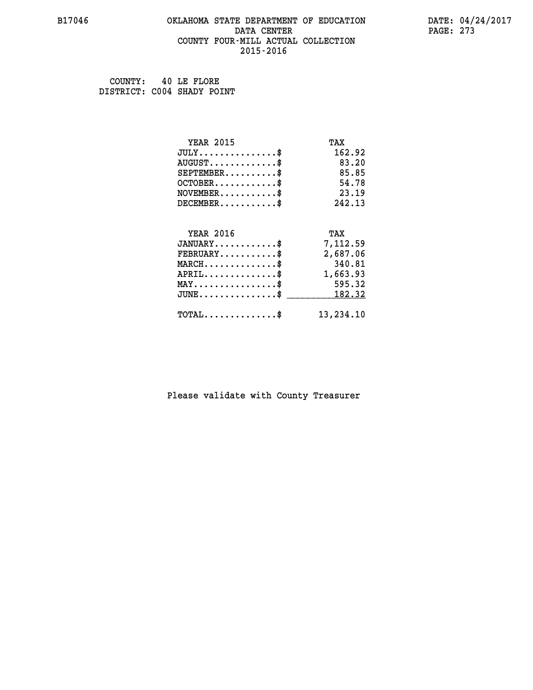## **B17046 OKLAHOMA STATE DEPARTMENT OF EDUCATION DATE: 04/24/2017 DATA CENTER** PAGE: 273  **COUNTY FOUR-MILL ACTUAL COLLECTION 2015-2016**

 **COUNTY: 40 LE FLORE DISTRICT: C004 SHADY POINT**

| <b>YEAR 2015</b>                           | TAX       |
|--------------------------------------------|-----------|
| $JULY$ \$                                  | 162.92    |
| $AUGUST$ \$                                | 83.20     |
| $SEPTEMBER$                                | 85.85     |
| $OCTOBER$ \$                               | 54.78     |
| $NOVEMBER$ \$                              | 23.19     |
| $DECEMBER$ \$                              | 242.13    |
|                                            |           |
| <b>YEAR 2016</b>                           | TAX       |
| $JANUARY$ \$                               | 7,112.59  |
| $FEBRUARY$                                 | 2,687.06  |
| $MARCH$ \$                                 | 340.81    |
| $APRIL$ \$                                 | 1,663.93  |
| $MAX \dots \dots \dots \dots \dots$        | 595.32    |
| $JUNE$ \$                                  | 182.32    |
| $\texttt{TOTAL} \dots \dots \dots \dots \$ | 13,234.10 |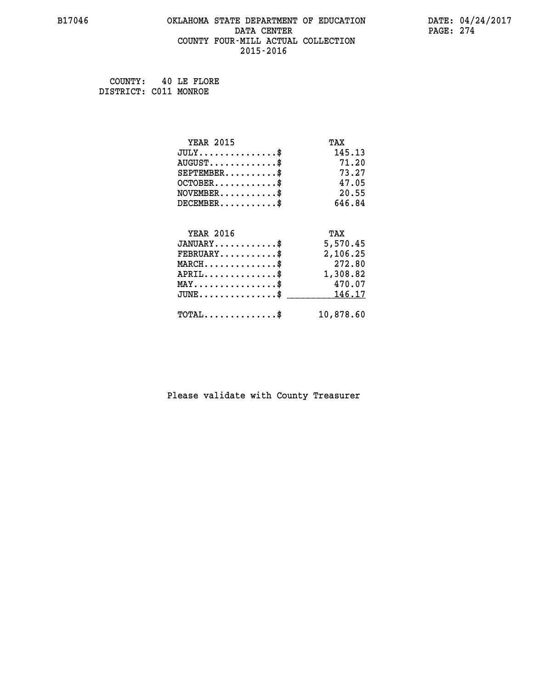## **B17046 OKLAHOMA STATE DEPARTMENT OF EDUCATION DATE: 04/24/2017 DATA CENTER** PAGE: 274  **COUNTY FOUR-MILL ACTUAL COLLECTION 2015-2016**

 **COUNTY: 40 LE FLORE DISTRICT: C011 MONROE**

| <b>YEAR 2015</b>                           | TAX       |
|--------------------------------------------|-----------|
| $JULY$ \$                                  | 145.13    |
| $AUGUST$ \$                                | 71.20     |
| $SEPTEMENT.$ \$                            | 73.27     |
| $OCTOBER$ \$                               | 47.05     |
| $NOVEMBER$ \$                              | 20.55     |
| $DECEMBER$ \$                              | 646.84    |
|                                            |           |
| <b>YEAR 2016</b>                           | TAX       |
| $JANUARY$ \$                               | 5,570.45  |
| $FEBRUARY$                                 | 2,106.25  |
| $MARCH$ \$                                 | 272.80    |
| $APRIL$ \$                                 | 1,308.82  |
| $MAX \dots \dots \dots \dots \dots$        | 470.07    |
| $JUNE$ \$                                  | 146.17    |
| $\texttt{TOTAL} \dots \dots \dots \dots \$ | 10,878.60 |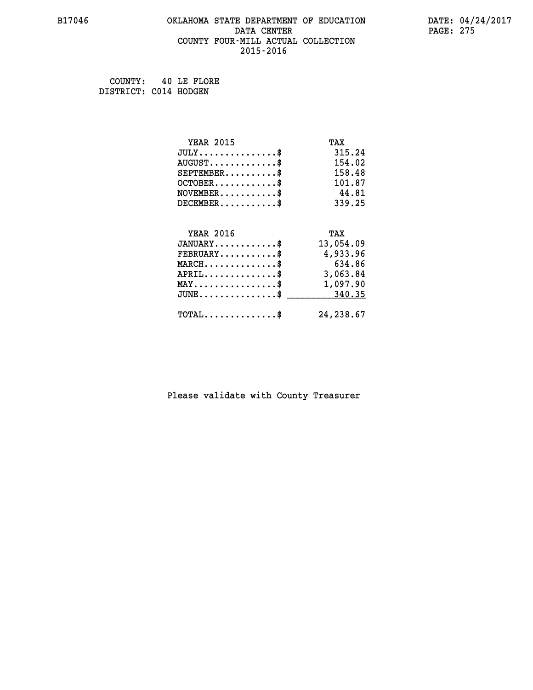## **B17046 OKLAHOMA STATE DEPARTMENT OF EDUCATION DATE: 04/24/2017 DATA CENTER** PAGE: 275  **COUNTY FOUR-MILL ACTUAL COLLECTION 2015-2016**

 **COUNTY: 40 LE FLORE DISTRICT: C014 HODGEN**

| <b>YEAR 2015</b>                                   | TAX       |
|----------------------------------------------------|-----------|
| $JULY$ \$                                          | 315.24    |
| $AUGUST$ \$                                        | 154.02    |
| $SEPTEMBER$ \$                                     | 158.48    |
| $OCTOBER$ \$                                       | 101.87    |
| $NOVEMBER$ \$                                      | 44.81     |
| $DECEMBER$ \$                                      | 339.25    |
|                                                    |           |
| <b>YEAR 2016</b>                                   | TAX       |
| $JANUARY$ \$                                       | 13,054.09 |
| $FEBRUARY$                                         | 4,933.96  |
| $MARCH$ \$                                         | 634.86    |
| $APRIL$ \$                                         | 3,063.84  |
| $\texttt{MAX} \dots \dots \dots \dots \dots \$     | 1,097.90  |
| $\texttt{JUNE} \dots \dots \dots \dots \texttt{S}$ | 340.35    |
| $TOTAL$ \$                                         | 24,238.67 |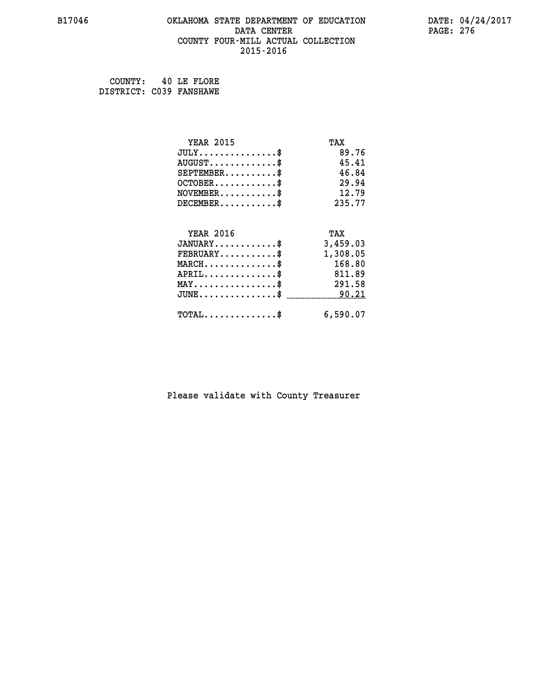## **B17046 OKLAHOMA STATE DEPARTMENT OF EDUCATION DATE: 04/24/2017 DATA CENTER** PAGE: 276  **COUNTY FOUR-MILL ACTUAL COLLECTION 2015-2016**

 **COUNTY: 40 LE FLORE DISTRICT: C039 FANSHAWE**

| <b>YEAR 2015</b>                           | TAX      |
|--------------------------------------------|----------|
| $JULY$ \$                                  | 89.76    |
| $AUGUST$ \$                                | 45.41    |
| $SEPTEMENT.$ \$                            | 46.84    |
| $OCTOBER$ \$                               | 29.94    |
| $NOVEMBER$ \$                              | 12.79    |
| $DECEMBER$ \$                              | 235.77   |
| <b>YEAR 2016</b>                           | TAX      |
| $JANUARY$ \$                               | 3,459.03 |
| $FEBRUARY$ \$                              | 1,308.05 |
| $MARCH$ \$                                 | 168.80   |
| $APRIL$ \$                                 | 811.89   |
| $MAX \dots \dots \dots \dots \$            | 291.58   |
| $JUNE$                                     | 90.21    |
| $\texttt{TOTAL} \dots \dots \dots \dots \$ | 6,590.07 |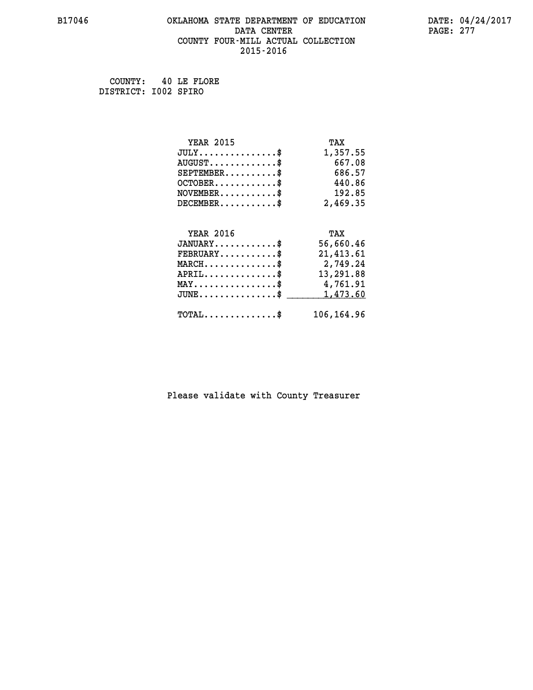## **B17046 OKLAHOMA STATE DEPARTMENT OF EDUCATION DATE: 04/24/2017 DATA CENTER** PAGE: 277  **COUNTY FOUR-MILL ACTUAL COLLECTION 2015-2016**

 **COUNTY: 40 LE FLORE DISTRICT: I002 SPIRO**

| <b>YEAR 2015</b>                           | TAX        |
|--------------------------------------------|------------|
| $JULY$ \$                                  | 1,357.55   |
| $AUGUST$ \$                                | 667.08     |
| $SEPTEMBER$ \$                             | 686.57     |
| $OCTOBER$ \$                               | 440.86     |
| $NOVEMBER$ \$                              | 192.85     |
| $DECEMBER$ \$                              | 2,469.35   |
|                                            |            |
| <b>YEAR 2016</b>                           | TAX        |
| $JANUARY$ \$                               | 56,660.46  |
| $FEBRUARY$                                 | 21,413.61  |
| $MARCH$ \$                                 | 2,749.24   |
| $APRIL$ \$                                 | 13,291.88  |
| $MAX \dots \dots \dots \dots \dots$        | 4,761.91   |
| $JUNE$                                     | 1,473.60   |
| $\texttt{TOTAL} \dots \dots \dots \dots \$ | 106,164.96 |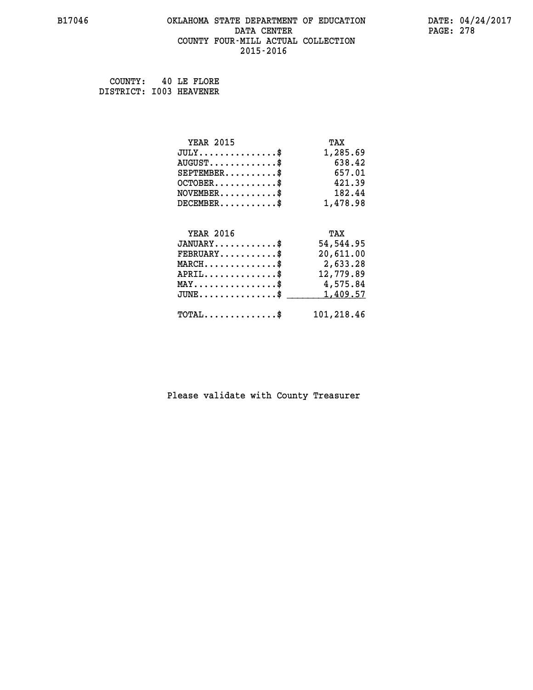## **B17046 OKLAHOMA STATE DEPARTMENT OF EDUCATION DATE: 04/24/2017 DATA CENTER** PAGE: 278  **COUNTY FOUR-MILL ACTUAL COLLECTION 2015-2016**

 **COUNTY: 40 LE FLORE DISTRICT: I003 HEAVENER**

| <b>YEAR 2015</b>                                | TAX        |
|-------------------------------------------------|------------|
| $JULY$ \$                                       | 1,285.69   |
| $AUGUST$ \$                                     | 638.42     |
| $SEPTEMBER$ \$                                  | 657.01     |
| $OCTOBER$ \$                                    | 421.39     |
| $NOVEMBER$ \$                                   | 182.44     |
| $DECEMBER$ \$                                   | 1,478.98   |
|                                                 |            |
| <b>YEAR 2016</b>                                | TAX        |
| $JANUARY$ \$                                    | 54,544.95  |
| $FEBRUARY$ \$                                   | 20,611.00  |
| $MARCH$ \$                                      | 2,633.28   |
| $APRIL$ \$                                      | 12,779.89  |
| $\texttt{MAX} \dots \dots \dots \dots \dots$ \$ | 4,575.84   |
| $JUNE$                                          | 1,409.57   |
| $\texttt{TOTAL} \dots \dots \dots \dots \$      | 101,218.46 |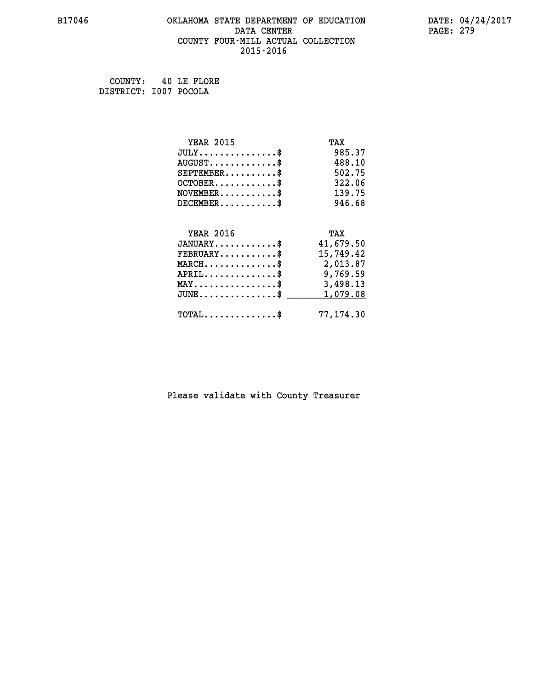## **B17046 OKLAHOMA STATE DEPARTMENT OF EDUCATION DATE: 04/24/2017 DATA CENTER** PAGE: 279  **COUNTY FOUR-MILL ACTUAL COLLECTION 2015-2016**

 **COUNTY: 40 LE FLORE DISTRICT: I007 POCOLA**

| <b>YEAR 2015</b>                                   | TAX       |
|----------------------------------------------------|-----------|
| $JULY$ \$                                          | 985.37    |
| $AUGUST$ \$                                        | 488.10    |
| $SEPTEMENT.$ \$                                    | 502.75    |
| $OCTOBER$ \$                                       | 322.06    |
| $NOVEMBER$ \$                                      | 139.75    |
| $DECEMBER$ \$                                      | 946.68    |
|                                                    |           |
| <b>YEAR 2016</b>                                   | TAX       |
| $JANUARY$ \$                                       | 41,679.50 |
| $FEBRUARY$ \$                                      | 15,749.42 |
| $MARCH$ \$                                         | 2,013.87  |
| $APRIL \ldots \ldots \ldots \ldots \$              | 9,769.59  |
| $\texttt{MAX} \dots \dots \dots \dots \dots \$$    | 3,498.13  |
| $\texttt{JUNE} \dots \dots \dots \dots \texttt{S}$ | 1,079.08  |
| $\texttt{TOTAL} \dots \dots \dots \dots \$         | 77,174.30 |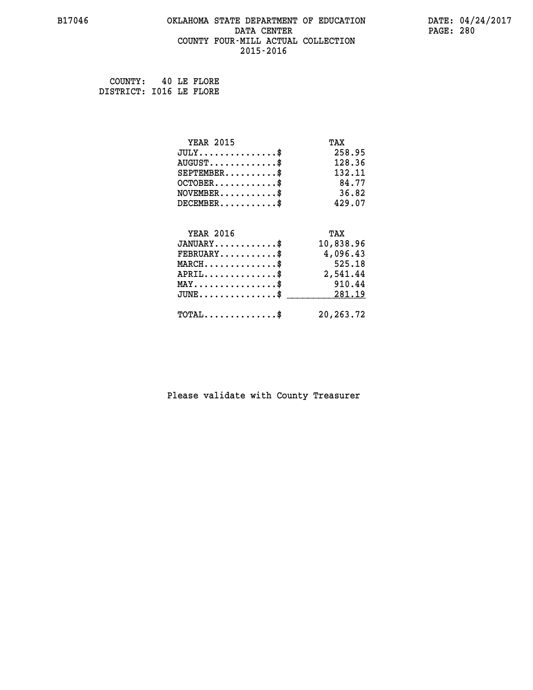## **B17046 OKLAHOMA STATE DEPARTMENT OF EDUCATION DATE: 04/24/2017 DATA CENTER** PAGE: 280  **COUNTY FOUR-MILL ACTUAL COLLECTION 2015-2016**

 **COUNTY: 40 LE FLORE DISTRICT: I016 LE FLORE**

| <b>YEAR 2015</b>                           | TAX       |
|--------------------------------------------|-----------|
| $JULY$ \$                                  | 258.95    |
| $AUGUST$ \$                                | 128.36    |
| $SEPTEMBER$ \$                             | 132.11    |
| $OCTOBER$ \$                               | 84.77     |
| $NOVEMBER$ \$                              | 36.82     |
| $DECEMBER$ \$                              | 429.07    |
|                                            |           |
| <b>YEAR 2016</b>                           | TAX       |
| $JANUARY$ \$                               | 10,838.96 |
| $FEBRUARY$                                 | 4,096.43  |
| $MARCH$ \$                                 | 525.18    |
| $APRIL$ \$                                 | 2,541.44  |
| $MAX \dots \dots \dots \dots \dots$        | 910.44    |
| $JUNE$ \$                                  | 281.19    |
| $\texttt{TOTAL} \dots \dots \dots \dots \$ | 20,263.72 |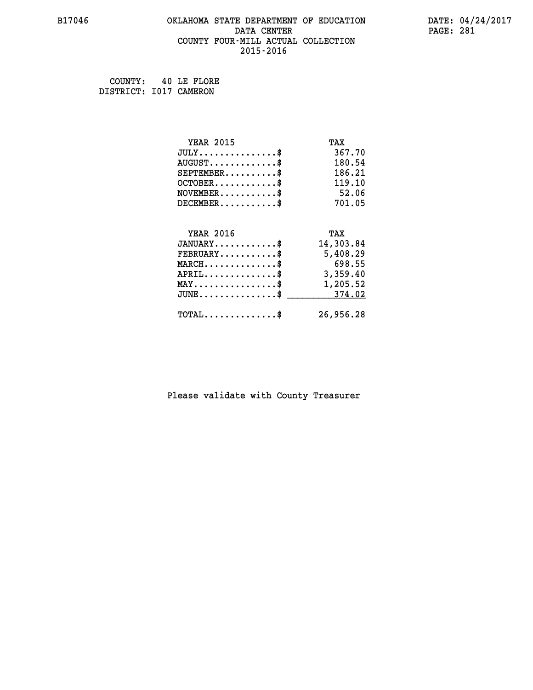## **B17046 OKLAHOMA STATE DEPARTMENT OF EDUCATION DATE: 04/24/2017 DATA CENTER** PAGE: 281  **COUNTY FOUR-MILL ACTUAL COLLECTION 2015-2016**

 **COUNTY: 40 LE FLORE DISTRICT: I017 CAMERON**

| <b>YEAR 2015</b>                               | TAX       |
|------------------------------------------------|-----------|
| $JULY$ \$                                      | 367.70    |
| $AUGUST$ \$                                    | 180.54    |
| $SEPTEMBER$ \$                                 | 186.21    |
| $OCTOBER$ \$                                   | 119.10    |
| $NOVEMBER$ \$                                  | 52.06     |
| $DECEMBER$ \$                                  | 701.05    |
|                                                |           |
| <b>YEAR 2016</b>                               | TAX       |
| $JANUARY$ \$                                   | 14,303.84 |
| $FEBRUARY$                                     | 5,408.29  |
| $MARCH$ \$                                     | 698.55    |
| $\texttt{APRIL} \dots \dots \dots \dots \$     | 3,359.40  |
| $\texttt{MAX} \dots \dots \dots \dots \dots \$ | 1,205.52  |
| $\texttt{JUNE}\dots\dots\dots\dots\dots\$      | 374.02    |
| $TOTAL$ \$                                     | 26,956.28 |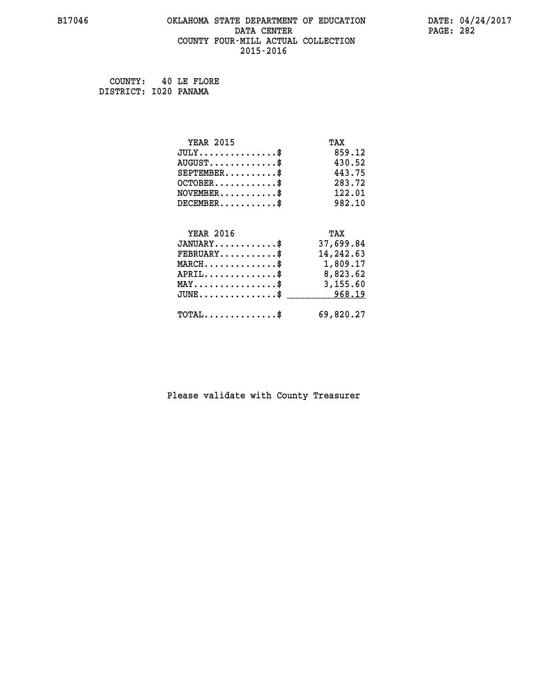## **B17046 OKLAHOMA STATE DEPARTMENT OF EDUCATION DATE: 04/24/2017 DATA CENTER** PAGE: 282  **COUNTY FOUR-MILL ACTUAL COLLECTION 2015-2016**

 **COUNTY: 40 LE FLORE DISTRICT: I020 PANAMA**

| <b>YEAR 2015</b>                                                          | TAX       |
|---------------------------------------------------------------------------|-----------|
| $JULY$ \$                                                                 | 859.12    |
| $AUGUST$ \$                                                               | 430.52    |
| $SEPTEMBER$ \$                                                            | 443.75    |
| $OCTOBER$ \$                                                              | 283.72    |
| $\verb NOVEMBER , \verb , \verb , \verb , \verb , \verb , \verb + \verb $ | 122.01    |
| $DECEMBER$ \$                                                             | 982.10    |
|                                                                           |           |
| <b>YEAR 2016</b>                                                          | TAX       |
| $JANUARY$ \$                                                              | 37,699.84 |
| $FEBRUARY$                                                                | 14,242.63 |
| $MARCH$ \$                                                                | 1,809.17  |
| $APRIL \ldots \ldots \ldots \ldots \$                                     | 8,823.62  |
| $\texttt{MAX} \dots \dots \dots \dots \dots \$                            | 3,155.60  |
| $JUNE \ldots \ldots \ldots \ldots \ast$                                   | 968.19    |
| $\texttt{TOTAL} \dots \dots \dots \dots$ \$                               | 69,820.27 |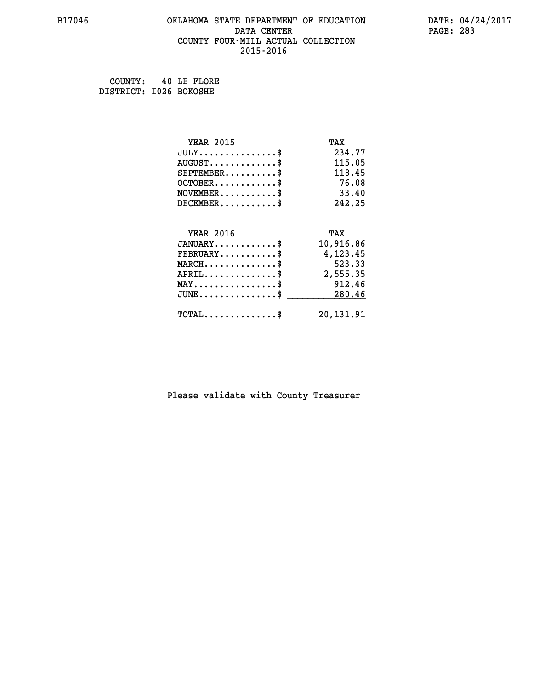## **B17046 OKLAHOMA STATE DEPARTMENT OF EDUCATION DATE: 04/24/2017 DATA CENTER** PAGE: 283  **COUNTY FOUR-MILL ACTUAL COLLECTION 2015-2016**

 **COUNTY: 40 LE FLORE DISTRICT: I026 BOKOSHE**

| <b>YEAR 2015</b>                                 | TAX       |
|--------------------------------------------------|-----------|
| $JULY$ \$                                        | 234.77    |
| $AUGUST$ \$                                      | 115.05    |
| $SEPTEMBER$ \$                                   | 118.45    |
| $OCTOBER$ \$                                     | 76.08     |
| $NOVEMBER$ \$                                    | 33.40     |
| $DECEMBER$ \$                                    | 242.25    |
|                                                  |           |
| <b>YEAR 2016</b>                                 | TAX       |
| $JANUARY$ \$                                     | 10,916.86 |
| $FEBRUARY$                                       | 4,123.45  |
| $MARCH$ \$                                       | 523.33    |
| $APRIL$ \$                                       | 2,555.35  |
| $MAX \dots \dots \dots \dots \dots$              | 912.46    |
| $\texttt{JUNE} \dots \dots \dots \dots \dots \$$ | 280.46    |
| $\texttt{TOTAL} \dots \dots \dots \dots \$       | 20,131.91 |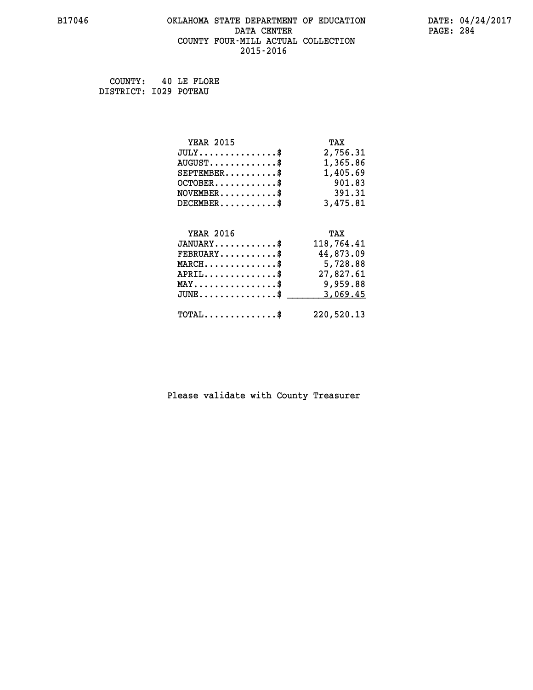## **B17046 OKLAHOMA STATE DEPARTMENT OF EDUCATION DATE: 04/24/2017 DATA CENTER** PAGE: 284  **COUNTY FOUR-MILL ACTUAL COLLECTION 2015-2016**

 **COUNTY: 40 LE FLORE DISTRICT: I029 POTEAU**

| <b>YEAR 2015</b>                               | TAX        |
|------------------------------------------------|------------|
| $JULY$ \$                                      | 2,756.31   |
| $AUGUST$ \$                                    | 1,365.86   |
| $SEPTEMBER$ \$                                 | 1,405.69   |
| $OCTOBER$ \$                                   | 901.83     |
| $NOVEMBER$ \$                                  | 391.31     |
| $DECEMBER$ \$                                  | 3,475.81   |
|                                                |            |
| <b>YEAR 2016</b>                               | TAX        |
| $JANUARY$ \$                                   | 118,764.41 |
| $FEBRUARY$                                     | 44,873.09  |
| $MARCH$ \$                                     | 5,728.88   |
| $APRIL$ \$                                     | 27,827.61  |
| $\texttt{MAX} \dots \dots \dots \dots \dots \$ | 9,959.88   |
|                                                |            |
| $JUNE$ \$                                      | 3,069.45   |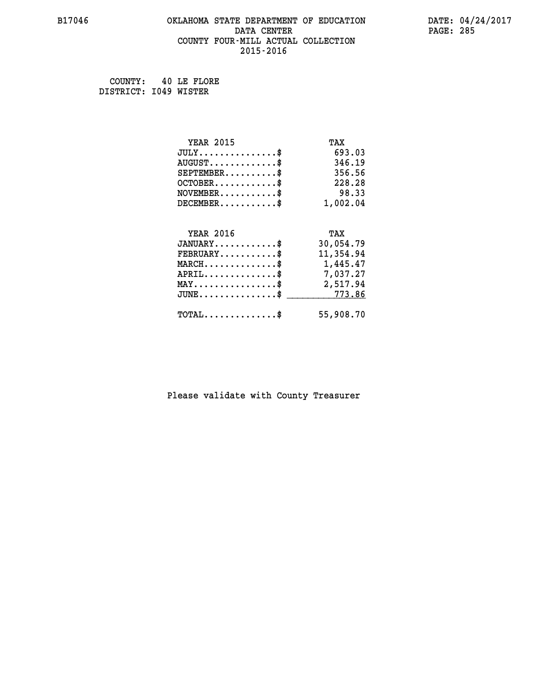## **B17046 OKLAHOMA STATE DEPARTMENT OF EDUCATION DATE: 04/24/2017 DATA CENTER** PAGE: 285  **COUNTY FOUR-MILL ACTUAL COLLECTION 2015-2016**

 **COUNTY: 40 LE FLORE DISTRICT: I049 WISTER**

| <b>YEAR 2015</b>                               | TAX       |
|------------------------------------------------|-----------|
| $JULY$ \$                                      | 693.03    |
| $AUGUST$ \$                                    | 346.19    |
| $SEPTEMBER$ \$                                 | 356.56    |
| $OCTOBER$ \$                                   | 228.28    |
| $NOVEMBER$ \$                                  | 98.33     |
| $DECEMBER$ \$                                  | 1,002.04  |
|                                                |           |
| <b>YEAR 2016</b>                               | TAX       |
| $JANUARY$ \$                                   | 30,054.79 |
| $FEBRUARY$                                     | 11,354.94 |
| $MARCH$ \$                                     | 1,445.47  |
| $APRIL$                                        | 7,037.27  |
| $\texttt{MAX} \dots \dots \dots \dots \dots \$ | 2,517.94  |
| $JUNE \ldots \ldots \ldots \ldots \ldots$ \$   | 773.86    |
| $\texttt{TOTAL} \dots \dots \dots \dots \$     | 55,908.70 |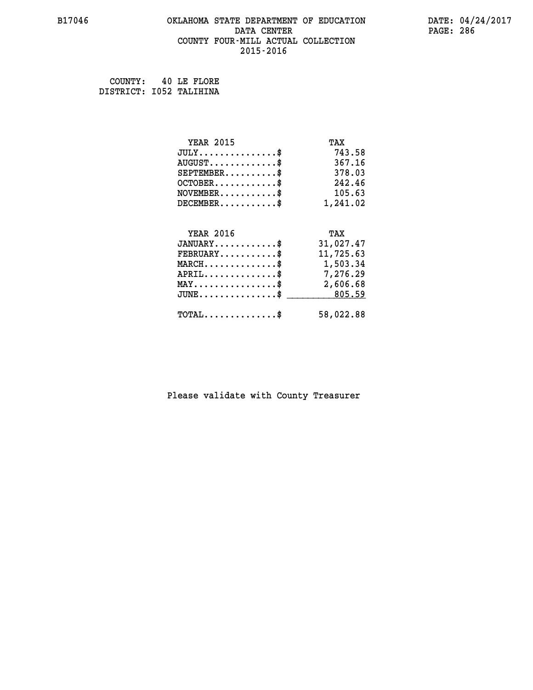## **B17046 OKLAHOMA STATE DEPARTMENT OF EDUCATION DATE: 04/24/2017 DATA CENTER** PAGE: 286  **COUNTY FOUR-MILL ACTUAL COLLECTION 2015-2016**

 **COUNTY: 40 LE FLORE DISTRICT: I052 TALIHINA**

| <b>YEAR 2015</b>                               | TAX       |
|------------------------------------------------|-----------|
| $JULY$ \$                                      | 743.58    |
| $AUGUST$ \$                                    | 367.16    |
| $SEPTEMBER$ \$                                 | 378.03    |
| $OCTOBER$ \$                                   | 242.46    |
| $\texttt{NOVEMBER} \dots \dots \dots \$        | 105.63    |
| $DECEMBER$ \$                                  | 1,241.02  |
|                                                |           |
| <b>YEAR 2016</b>                               | TAX       |
| $JANUARY$ \$                                   | 31,027.47 |
| $FEBRUARY$                                     | 11,725.63 |
| $MARCH$ \$                                     | 1,503.34  |
|                                                | 7,276.29  |
| $APRIL \ldots \ldots \ldots \ldots \$          |           |
| $\texttt{MAX} \dots \dots \dots \dots \dots \$ | 2,606.68  |
| $JUNE$ \$                                      | 805.59    |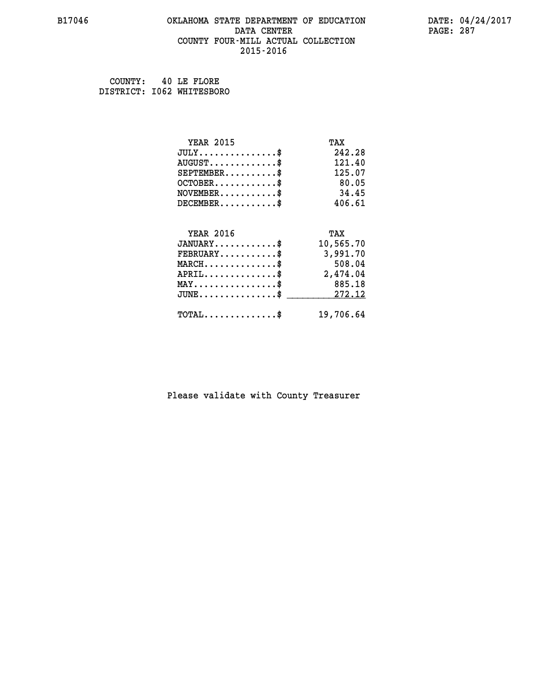## **B17046 OKLAHOMA STATE DEPARTMENT OF EDUCATION DATE: 04/24/2017 DATA CENTER** PAGE: 287  **COUNTY FOUR-MILL ACTUAL COLLECTION 2015-2016**

 **COUNTY: 40 LE FLORE DISTRICT: I062 WHITESBORO**

| <b>YEAR 2015</b>                    | TAX       |
|-------------------------------------|-----------|
| $JULY$ \$                           | 242.28    |
| $AUGUST$ \$                         | 121.40    |
| $SEPTEMBER$ \$                      | 125.07    |
| $OCTOBER$ \$                        | 80.05     |
| $NOVEMBER$ \$                       | 34.45     |
| $DECEMBER$ \$                       | 406.61    |
|                                     |           |
| <b>YEAR 2016</b>                    | TAX       |
| $JANUARY$                           | 10,565.70 |
| $FEBRUARY$                          | 3,991.70  |
| $MARCH$ \$                          | 508.04    |
| $APRIL$ \$                          | 2,474.04  |
| $MAX \dots \dots \dots \dots \dots$ | 885.18    |
| $JUNE$ \$                           | 272.12    |
| $TOTAL$ \$                          | 19,706.64 |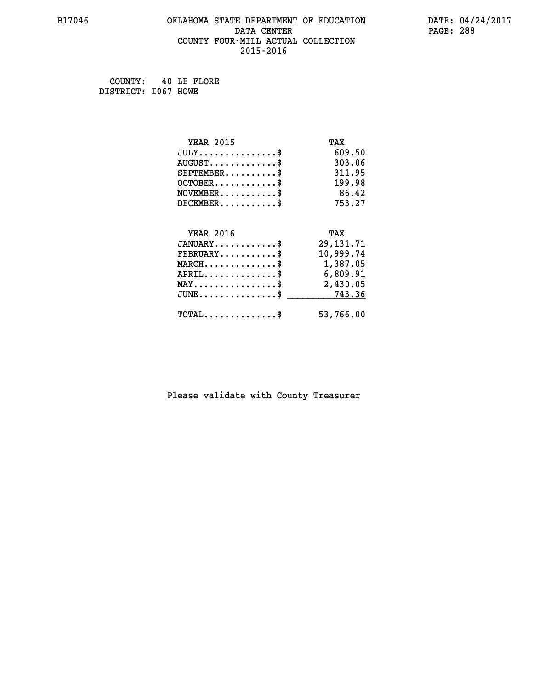## **B17046 OKLAHOMA STATE DEPARTMENT OF EDUCATION DATE: 04/24/2017 DATA CENTER** PAGE: 288  **COUNTY FOUR-MILL ACTUAL COLLECTION 2015-2016**

 **COUNTY: 40 LE FLORE DISTRICT: I067 HOWE**

| <b>YEAR 2015</b>                                 | TAX         |
|--------------------------------------------------|-------------|
| $JULY$ \$                                        | 609.50      |
| $AUGUST$ \$                                      | 303.06      |
| $SEPTEMBER$ \$                                   | 311.95      |
| $OCTOBER$ \$                                     | 199.98      |
| $NOVEMBER$ \$                                    | 86.42       |
| $DECEMBER$ \$                                    | 753.27      |
|                                                  |             |
| <b>YEAR 2016</b>                                 | TAX         |
| $JANUARY$ \$                                     | 29, 131. 71 |
| $FEBRUARY$                                       | 10,999.74   |
| $MARCH$ \$                                       | 1,387.05    |
| $APRIL \ldots \ldots \ldots \ldots \$            | 6,809.91    |
| $\texttt{MAX} \dots \dots \dots \dots \dots \$   | 2,430.05    |
| $\mathtt{JUNE} \ldots \ldots \ldots \ldots \ast$ | 743.36      |
| $\texttt{TOTAL} \dots \dots \dots \dots \$       | 53,766.00   |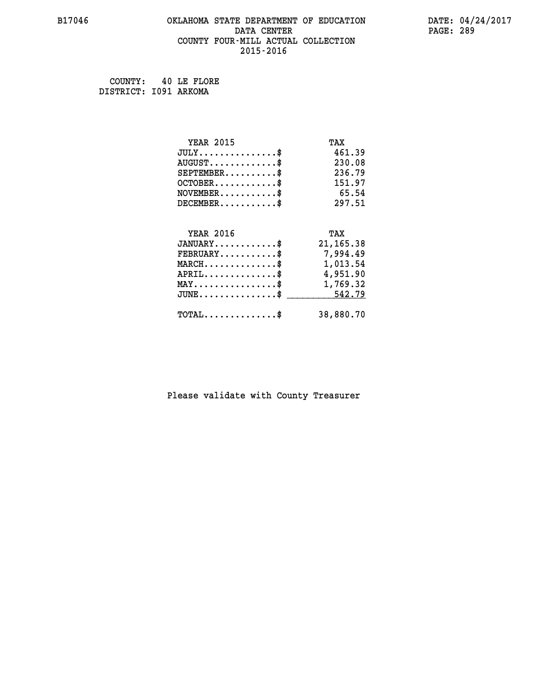# **B17046 OKLAHOMA STATE DEPARTMENT OF EDUCATION DATE: 04/24/2017 DATA CENTER** PAGE: 289  **COUNTY FOUR-MILL ACTUAL COLLECTION 2015-2016**

 **COUNTY: 40 LE FLORE DISTRICT: I091 ARKOMA**

| <b>YEAR 2015</b>                                | TAX         |
|-------------------------------------------------|-------------|
| $JULY$ \$                                       | 461.39      |
| $AUGUST$ \$                                     | 230.08      |
| $SEPTEMENT.$ \$                                 | 236.79      |
| $OCTOBER$ \$                                    | 151.97      |
| $NOVEMBER$ \$                                   | 65.54       |
| $DECEMBER$ \$                                   | 297.51      |
|                                                 |             |
| <b>YEAR 2016</b>                                | TAX         |
| $JANUARY$ \$                                    | 21, 165. 38 |
| $FEBRUARY$                                      | 7,994.49    |
| $MARCH$ \$                                      | 1,013.54    |
| $APRIL$ \$                                      | 4,951.90    |
| $\texttt{MAX} \dots \dots \dots \dots \dots \$$ | 1,769.32    |
| $JUNE \dots \dots \dots \dots \$ 542.79         |             |
| $\texttt{TOTAL} \dots \dots \dots \dots \$      | 38,880.70   |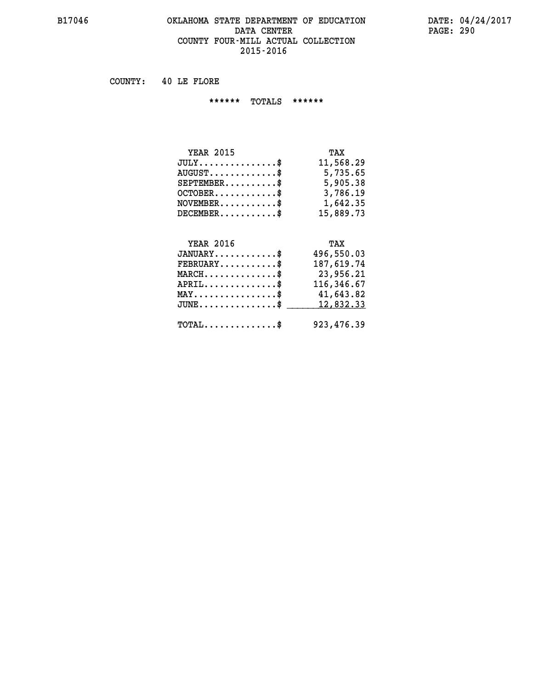# **B17046 OKLAHOMA STATE DEPARTMENT OF EDUCATION DATE: 04/24/2017 DATA CENTER PAGE: 290 COUNTY FOUR-MILL ACTUAL COLLECTION 2015-2016**

 **COUNTY: 40 LE FLORE**

 **\*\*\*\*\*\* TOTALS \*\*\*\*\*\***

| <b>YEAR 2015</b>          | TAX       |
|---------------------------|-----------|
| $JULY$                    | 11,568.29 |
| $AUGUST$ $\$\$            | 5,735.65  |
| $SEPTEMBER$ $\$           | 5,905.38  |
| $OCTOBER$ \$              | 3,786.19  |
| $NOVEMBER.$ $\frac{\$}{}$ | 1,642.35  |
| $DECEMBER$ \$             | 15,889.73 |

# **YEAR 2016 TAX**

| $JANUARY$                                    | 496,550.03 |
|----------------------------------------------|------------|
| $\texttt{FEBRUARY} \dots \dots \dots \$      | 187,619.74 |
| $MARCH$ \$                                   | 23,956.21  |
| $APRIL$ \$                                   | 116,346.67 |
| $MAX \dots \dots \dots \dots \dots \$        | 41,643.82  |
| JUNE\$ 12,832.33                             |            |
| $\text{TOTAL} \dots \dots \dots \dots \dots$ | 923,476.39 |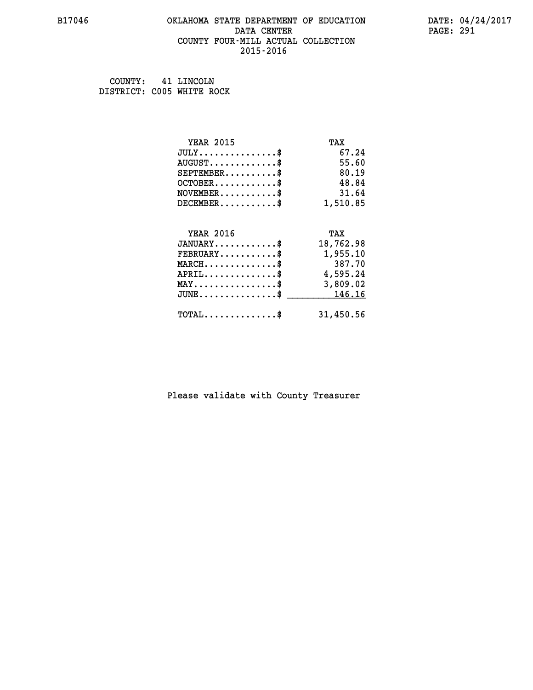# **B17046 OKLAHOMA STATE DEPARTMENT OF EDUCATION DATE: 04/24/2017 DATA CENTER** PAGE: 291  **COUNTY FOUR-MILL ACTUAL COLLECTION 2015-2016**

 **COUNTY: 41 LINCOLN DISTRICT: C005 WHITE ROCK**

| <b>YEAR 2015</b>                               | TAX       |
|------------------------------------------------|-----------|
| $JULY$ \$                                      | 67.24     |
| $AUGUST$ \$                                    | 55.60     |
| $SEPTEMENT.$ \$                                | 80.19     |
| $OCTOBER$ \$                                   | 48.84     |
| $NOVEMBER$ \$                                  | 31.64     |
| $DECEMBER$ \$                                  | 1,510.85  |
| <b>YEAR 2016</b>                               |           |
|                                                | TAX       |
| $JANUARY$                                      | 18,762.98 |
| $FEBRUARY$                                     | 1,955.10  |
| $MARCH$ \$                                     | 387.70    |
| $APRIL$ \$                                     | 4,595.24  |
| $\texttt{MAX} \dots \dots \dots \dots \dots \$ | 3,809.02  |
| $JUNE$ \$                                      | 146.16    |
|                                                |           |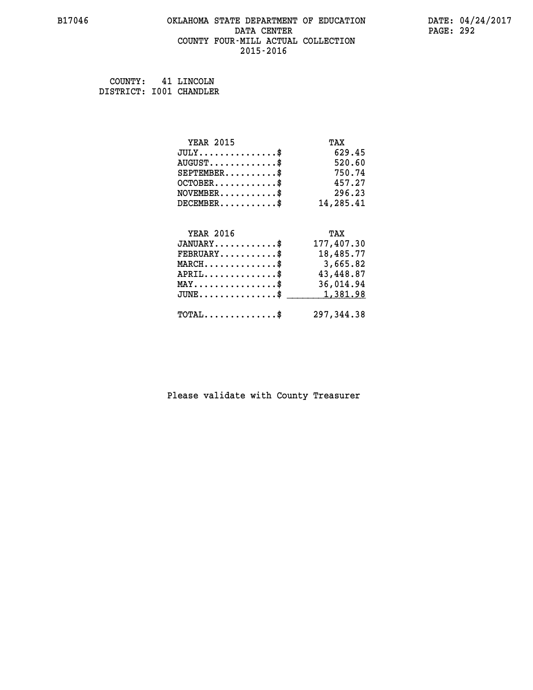# **B17046 OKLAHOMA STATE DEPARTMENT OF EDUCATION DATE: 04/24/2017 DATA CENTER** PAGE: 292  **COUNTY FOUR-MILL ACTUAL COLLECTION 2015-2016**

 **COUNTY: 41 LINCOLN DISTRICT: I001 CHANDLER**

| <b>YEAR 2015</b>                                 | TAX        |
|--------------------------------------------------|------------|
| $JULY$ \$                                        | 629.45     |
| $AUGUST$ \$                                      | 520.60     |
| $SEPTEMENT.$ \$                                  | 750.74     |
| $OCTOBER$ \$                                     | 457.27     |
| $\texttt{NOVEMBER} \dots \dots \dots \$          | 296.23     |
| $DECEMBER$ \$                                    | 14,285.41  |
|                                                  |            |
| <b>YEAR 2016</b>                                 | TAX        |
| $JANUARY$                                        | 177,407.30 |
| $FEBRUARY$ \$                                    | 18,485.77  |
| $MARCH$ \$                                       | 3,665.82   |
| $APRIL$ \$                                       | 43,448.87  |
| $\texttt{MAX} \dots \dots \dots \dots \text{*}$  | 36,014.94  |
| $\texttt{JUNE} \dots \dots \dots \dots \dots \$$ | 1,381.98   |
| $\texttt{TOTAL} \dots \dots \dots \dots \$       | 297,344.38 |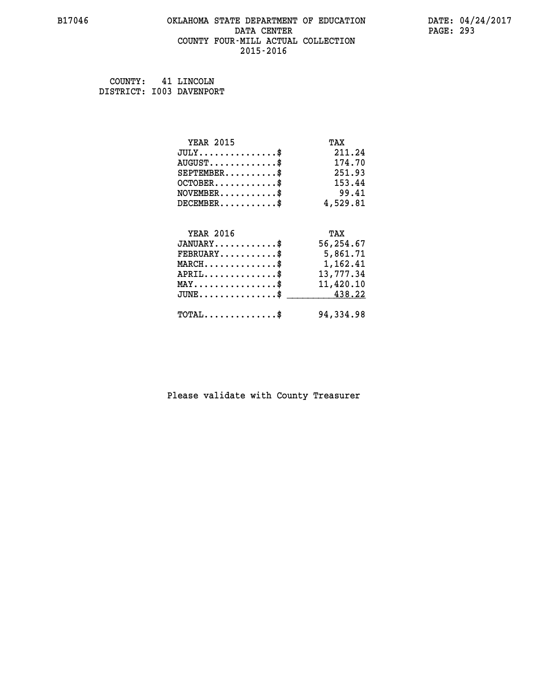# **B17046 OKLAHOMA STATE DEPARTMENT OF EDUCATION DATE: 04/24/2017 DATA CENTER** PAGE: 293  **COUNTY FOUR-MILL ACTUAL COLLECTION 2015-2016**

 **COUNTY: 41 LINCOLN DISTRICT: I003 DAVENPORT**

| <b>YEAR 2015</b>                               | TAX       |
|------------------------------------------------|-----------|
| $JULY$ \$                                      | 211.24    |
| $AUGUST$ \$                                    | 174.70    |
| $SEPTEMBER$ \$                                 | 251.93    |
| $OCTOBER$ \$                                   | 153.44    |
| $NOVEMBER$ \$                                  | 99.41     |
| $DECEMBER$ \$                                  | 4,529.81  |
| <b>YEAR 2016</b>                               | TAX       |
| $JANUARY$ \$                                   | 56,254.67 |
|                                                |           |
| $\texttt{FEBRUARY} \dots \dots \dots \$        | 5,861.71  |
| $MARCH$ \$                                     | 1,162.41  |
| $APRIL \ldots \ldots \ldots \ldots$            | 13,777.34 |
| $\texttt{MAX} \dots \dots \dots \dots \dots \$ | 11,420.10 |
| $JUNE$ \$                                      | 438.22    |
| $\texttt{TOTAL} \dots \dots \dots \dots$ \$    | 94,334.98 |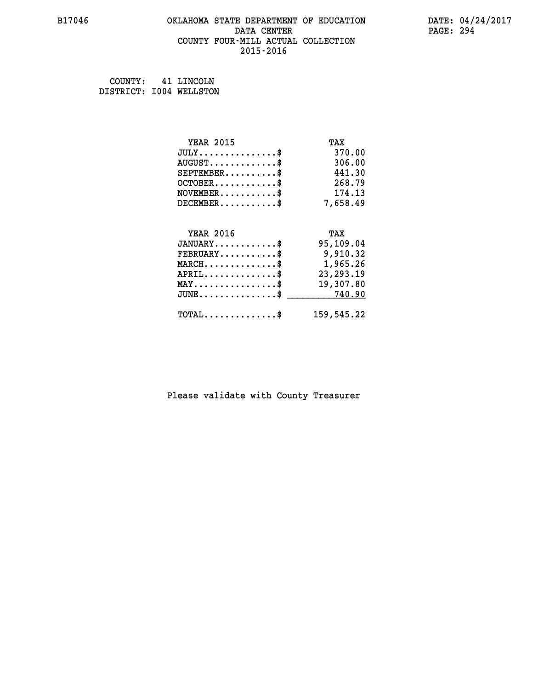# **B17046 OKLAHOMA STATE DEPARTMENT OF EDUCATION DATE: 04/24/2017 DATA CENTER** PAGE: 294  **COUNTY FOUR-MILL ACTUAL COLLECTION 2015-2016**

 **COUNTY: 41 LINCOLN DISTRICT: I004 WELLSTON**

| <b>YEAR 2015</b>                            | TAX         |
|---------------------------------------------|-------------|
| $JULY$ \$                                   | 370.00      |
| $AUGUST$ \$                                 | 306.00      |
| $SEPTEMENT.$ \$                             | 441.30      |
| $OCTOBER$ \$                                | 268.79      |
| $NOVEMBER.$ \$                              | 174.13      |
| $DECEMBER$ \$                               | 7,658.49    |
| <b>YEAR 2016</b>                            | TAX         |
| $JANUARY$ \$                                | 95,109.04   |
| $\texttt{FEBRUARY} \dots \dots \dots \$     | 9,910.32    |
|                                             | 1,965.26    |
| $MARCH \ldots \ldots \ldots \ldots \ast$    |             |
| $APRIL \ldots \ldots \ldots \ldots$         | 23, 293. 19 |
| $\texttt{MAY}\dots\dots\dots\dots\dots\$    | 19,307.80   |
| $JUNE$ \$                                   | 740.90      |
| $\texttt{TOTAL} \dots \dots \dots \dots$ \$ | 159,545.22  |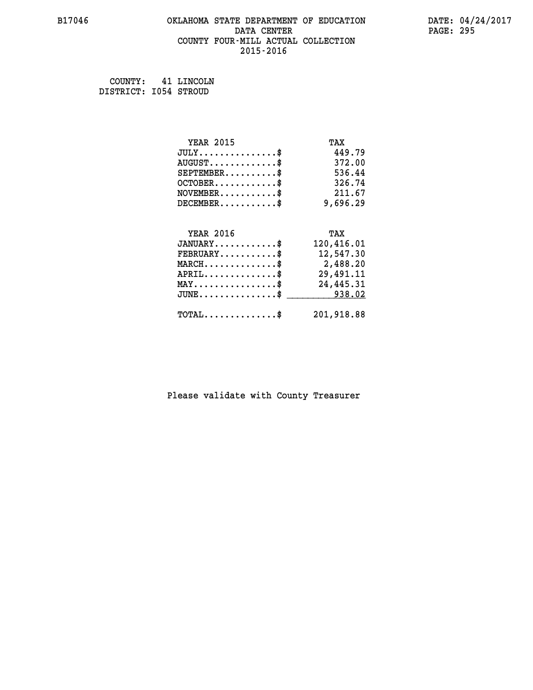# **B17046 OKLAHOMA STATE DEPARTMENT OF EDUCATION DATE: 04/24/2017 DATA CENTER** PAGE: 295  **COUNTY FOUR-MILL ACTUAL COLLECTION 2015-2016**

 **COUNTY: 41 LINCOLN DISTRICT: I054 STROUD**

| <b>YEAR 2015</b>                                 | TAX        |
|--------------------------------------------------|------------|
| $JULY$ \$                                        | 449.79     |
| $AUGUST$ \$                                      | 372.00     |
| $SEPTEMENT.$ \$                                  | 536.44     |
| $OCTOBER$ \$                                     | 326.74     |
| $NOVEMBER$ \$                                    | 211.67     |
| $DECEMBER$ \$                                    | 9,696.29   |
|                                                  |            |
| <b>YEAR 2016</b>                                 | TAX        |
| $JANUARY$ \$                                     | 120,416.01 |
| $FEBRUARY$ \$                                    | 12,547.30  |
| $MARCH$ \$                                       | 2,488.20   |
| $APRIL$ \$                                       | 29,491.11  |
| $\texttt{MAX} \dots \dots \dots \dots \dots \$   | 24,445.31  |
| $\texttt{JUNE} \dots \dots \dots \dots \dots \$$ | 938.02     |
| $\texttt{TOTAL} \dots \dots \dots \dots \$       | 201,918.88 |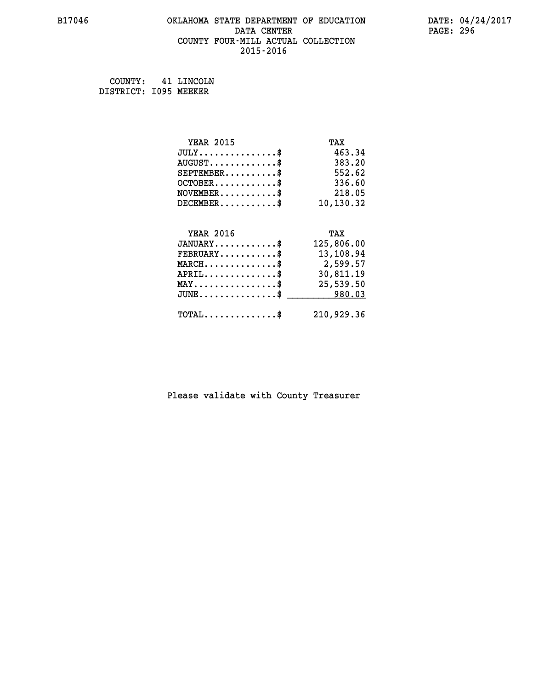# **B17046 OKLAHOMA STATE DEPARTMENT OF EDUCATION DATE: 04/24/2017 DATA CENTER** PAGE: 296  **COUNTY FOUR-MILL ACTUAL COLLECTION 2015-2016**

 **COUNTY: 41 LINCOLN DISTRICT: I095 MEEKER**

| <b>YEAR 2015</b>                           | TAX        |
|--------------------------------------------|------------|
| $JULY$ \$                                  | 463.34     |
| $AUGUST$ \$                                | 383.20     |
| $SEPTEMBER$ \$                             | 552.62     |
| $OCTOBER$ \$                               | 336.60     |
| $NOVEMBER.$ \$                             | 218.05     |
| $DECEMBER$ \$                              | 10,130.32  |
|                                            |            |
| <b>YEAR 2016</b>                           | TAX        |
| $JANUARY$ \$                               | 125,806.00 |
| $FEBRUARY$                                 | 13,108.94  |
| $MARCH$ \$                                 | 2,599.57   |
| $APRIL$ \$                                 | 30,811.19  |
| $MAX \dots \dots \dots \dots \dots$        | 25,539.50  |
| $JUNE$ \$                                  | 980.03     |
| $\texttt{TOTAL} \dots \dots \dots \dots \$ | 210,929.36 |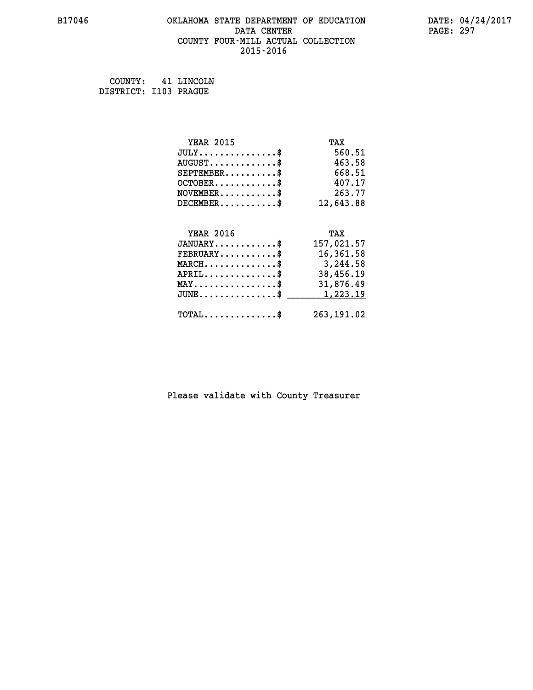# **B17046 OKLAHOMA STATE DEPARTMENT OF EDUCATION DATE: 04/24/2017 DATA CENTER** PAGE: 297  **COUNTY FOUR-MILL ACTUAL COLLECTION 2015-2016**

 **COUNTY: 41 LINCOLN DISTRICT: I103 PRAGUE**

| <b>YEAR 2015</b>                                 | TAX        |
|--------------------------------------------------|------------|
| $JULY$ \$                                        | 560.51     |
| $AUGUST$ \$                                      | 463.58     |
| $SEPTEMENT.$ \$                                  | 668.51     |
| $OCTOBER$ \$                                     | 407.17     |
| $NOVEMBER$ \$                                    | 263.77     |
| $DECEMBER$ \$                                    | 12,643.88  |
|                                                  |            |
| <b>YEAR 2016</b>                                 | TAX        |
| $JANUARY$ \$                                     | 157,021.57 |
| $FEBRUARY$                                       | 16,361.58  |
| $MARCH$ \$                                       | 3,244.58   |
| $APRIL$ \$                                       | 38,456.19  |
| $\texttt{MAX} \dots \dots \dots \dots \dots \$   | 31,876.49  |
| $\texttt{JUNE} \dots \dots \dots \dots \dots \$$ | 1,223.19   |
|                                                  |            |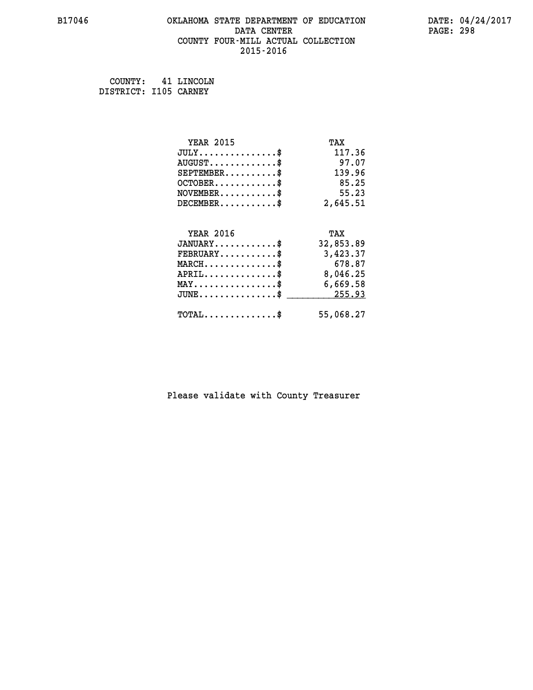# **B17046 OKLAHOMA STATE DEPARTMENT OF EDUCATION DATE: 04/24/2017 DATA CENTER PAGE: 298 COUNTY FOUR-MILL ACTUAL COLLECTION 2015-2016**

 **COUNTY: 41 LINCOLN DISTRICT: I105 CARNEY**

| <b>YEAR 2015</b>                                 | TAX       |
|--------------------------------------------------|-----------|
| $JULY$ \$                                        | 117.36    |
| $AUGUST$ \$                                      | 97.07     |
| $SEPTEMBER$ \$                                   | 139.96    |
| $OCTOBER$ \$                                     | 85.25     |
| $NOVEMBER$ \$                                    | 55.23     |
| $DECEMBER$ \$                                    | 2,645.51  |
|                                                  |           |
| <b>YEAR 2016</b>                                 | TAX       |
| $JANUARY$ \$                                     | 32,853.89 |
| $FEBRUARY$                                       | 3,423.37  |
| $MARCH$ \$                                       | 678.87    |
| $APRIL$ \$                                       | 8,046.25  |
| $\texttt{MAX} \dots \dots \dots \dots \dots \$   | 6,669.58  |
| $\texttt{JUNE} \dots \dots \dots \dots \dots \$$ | 255.93    |
| $TOTAL$ \$                                       | 55,068.27 |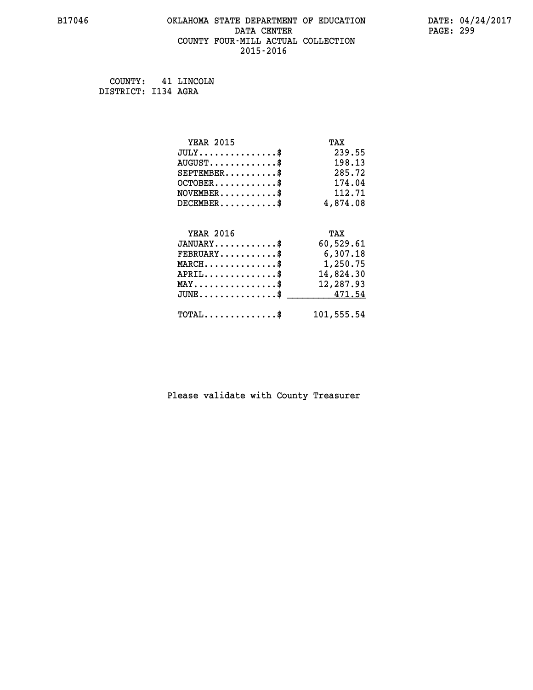# **B17046 OKLAHOMA STATE DEPARTMENT OF EDUCATION DATE: 04/24/2017 DATA CENTER** PAGE: 299  **COUNTY FOUR-MILL ACTUAL COLLECTION 2015-2016**

 **COUNTY: 41 LINCOLN DISTRICT: I134 AGRA**

| <b>YEAR 2015</b>                                 | TAX        |
|--------------------------------------------------|------------|
| $JULY$ \$                                        | 239.55     |
| $AUGUST$ \$                                      | 198.13     |
| $SEPTEMBER$ \$                                   | 285.72     |
| $OCTOBER$ \$                                     | 174.04     |
| $\texttt{NOVEMBER} \dots \dots \dots \$          | 112.71     |
| $DECEMBER$ \$                                    | 4,874.08   |
|                                                  |            |
| <b>YEAR 2016</b>                                 | TAX        |
| $JANUARY$ \$                                     | 60,529.61  |
| $FEBRUARY$                                       | 6,307.18   |
| $\texttt{MARCH}\ldots\ldots\ldots\ldots\text{*}$ | 1,250.75   |
| $APRIL \ldots \ldots \ldots \ldots *$            | 14,824.30  |
| $\texttt{MAX} \dots \dots \dots \dots \dots \$   | 12,287.93  |
| $JUNE \ldots \ldots \ldots \ldots$ \$ 471.54     |            |
| $\texttt{TOTAL} \dots \dots \dots \dots \$       | 101,555.54 |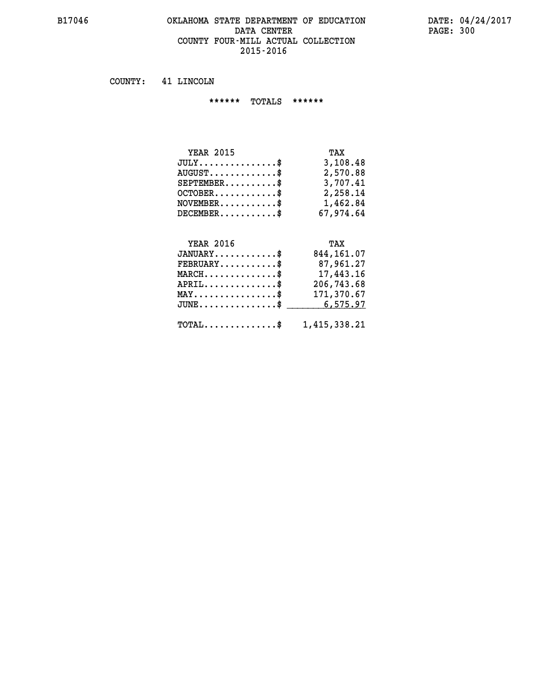# **B17046 OKLAHOMA STATE DEPARTMENT OF EDUCATION DATE: 04/24/2017 DATA CENTER PAGE: 300 COUNTY FOUR-MILL ACTUAL COLLECTION 2015-2016**

 **COUNTY: 41 LINCOLN**

 **\*\*\*\*\*\* TOTALS \*\*\*\*\*\***

| <b>YEAR 2015</b>       | TAX       |
|------------------------|-----------|
| $JULY$                 | 3,108.48  |
| $AUGUST$ $\frac{1}{2}$ | 2,570.88  |
| $SEPTEMBER$            | 3,707.41  |
| $OCTOBER$ \$           | 2,258.14  |
| $NOVEMBER$ \$          | 1,462.84  |
| DECEMBER\$             | 67,974.64 |

# **YEAR 2016 TAX JANUARY............\$ 844,161.07 FEBRUARY...........\$ 87,961.27 MARCH..............\$ 17,443.16 APRIL..............\$ 206,743.68 MAY................\$ 171,370.67 JUNE...............\$ 6,575.97 \_\_\_\_\_\_\_\_\_\_\_\_\_\_\_ TOTAL..............\$ 1,415,338.21**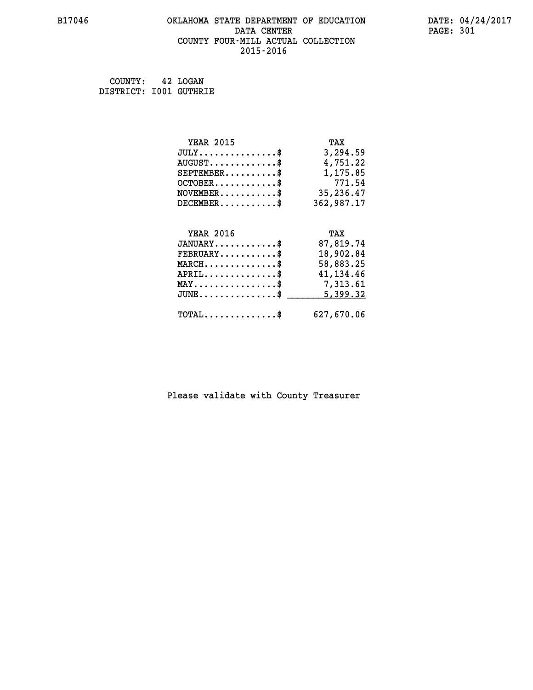# **B17046 OKLAHOMA STATE DEPARTMENT OF EDUCATION DATE: 04/24/2017 DATA CENTER** PAGE: 301  **COUNTY FOUR-MILL ACTUAL COLLECTION 2015-2016**

 **COUNTY: 42 LOGAN DISTRICT: I001 GUTHRIE**

| <b>YEAR 2015</b>                                   | TAX         |
|----------------------------------------------------|-------------|
| $JULY$ \$                                          | 3,294.59    |
| $AUGUST$ \$                                        | 4,751.22    |
| $SEPTEMBER$ \$                                     | 1,175.85    |
| $OCTOBER$ \$                                       | 771.54      |
| $\texttt{NOVEMBER} \dots \dots \dots \$            | 35,236.47   |
| $DECEMBER$ \$                                      | 362,987.17  |
|                                                    |             |
| <b>YEAR 2016</b>                                   | TAX         |
| $JANUARY$ \$                                       | 87,819.74   |
| $\texttt{FEBRUARY} \dots \dots \dots \$            | 18,902.84   |
| $MARCH$ \$                                         | 58,883.25   |
| $APRIL \ldots \ldots \ldots$ \$                    | 41, 134. 46 |
| MAY\$ 7,313.61                                     |             |
| $\texttt{JUNE} \dots \dots \dots \dots \texttt{S}$ | 5,399.32    |
| $\texttt{TOTAL} \dots \dots \dots \dots$ \$        | 627,670.06  |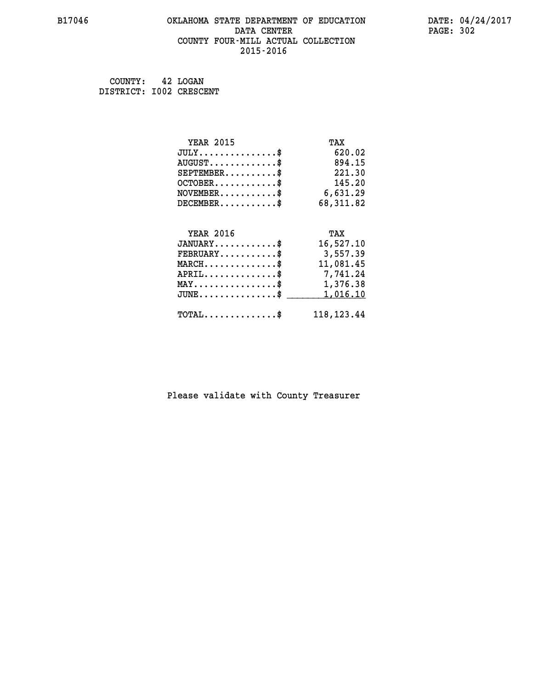# **B17046 OKLAHOMA STATE DEPARTMENT OF EDUCATION DATE: 04/24/2017 DATA CENTER** PAGE: 302  **COUNTY FOUR-MILL ACTUAL COLLECTION 2015-2016**

 **COUNTY: 42 LOGAN DISTRICT: I002 CRESCENT**

| <b>YEAR 2015</b>                           | TAX          |
|--------------------------------------------|--------------|
| $JULY$ \$                                  | 620.02       |
| $AUGUST$ \$                                | 894.15       |
| $SEPTEMENT.$ \$                            | 221.30       |
| $OCTOBER$ \$                               | 145.20       |
| $\texttt{NOVEMBER} \dots \dots \dots \$    | 6,631.29     |
| $DECEMBER$ \$                              | 68,311.82    |
|                                            |              |
| <b>YEAR 2016</b>                           | TAX          |
| $JANUARY$ \$                               | 16,527.10    |
| $FEBRUARY$                                 | 3,557.39     |
| $MARCH$ \$                                 | 11,081.45    |
| ${\tt APRIL} \dots \dots \dots \dots \$    | 7,741.24     |
| MAY\$ 1,376.38                             |              |
| $JUNE$ \$                                  | 1,016.10     |
| $\texttt{TOTAL} \dots \dots \dots \dots \$ | 118, 123. 44 |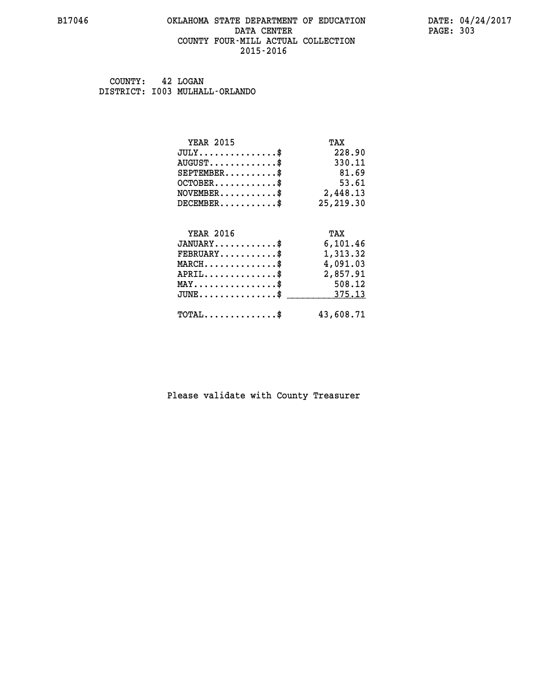#### **B17046 OKLAHOMA STATE DEPARTMENT OF EDUCATION DATE: 04/24/2017 DATA CENTER** PAGE: 303  **COUNTY FOUR-MILL ACTUAL COLLECTION 2015-2016**

 **COUNTY: 42 LOGAN DISTRICT: I003 MULHALL-ORLANDO**

| <b>YEAR 2015</b>                                 | TAX        |
|--------------------------------------------------|------------|
| $JULY$ \$                                        | 228.90     |
| $AUGUST$ \$                                      | 330.11     |
| $SEPTEMBER$ \$                                   | 81.69      |
| $OCTOBER$ \$                                     | 53.61      |
| $NOVEMBER.$ \$                                   | 2,448.13   |
| $DECEMBER$ \$                                    | 25, 219.30 |
|                                                  |            |
| <b>YEAR 2016</b>                                 | TAX        |
| $JANUARY$ \$                                     | 6,101.46   |
| $FEBRUARY$                                       | 1,313.32   |
| $MARCH$ \$                                       | 4,091.03   |
| $APRIL \ldots \ldots \ldots \ldots \$            | 2,857.91   |
| $MAX \dots \dots \dots \dots \dots$              | 508.12     |
| $\texttt{JUNE} \dots \dots \dots \dots \dots \$$ | 375.13     |
| $TOTAL$ \$                                       | 43,608.71  |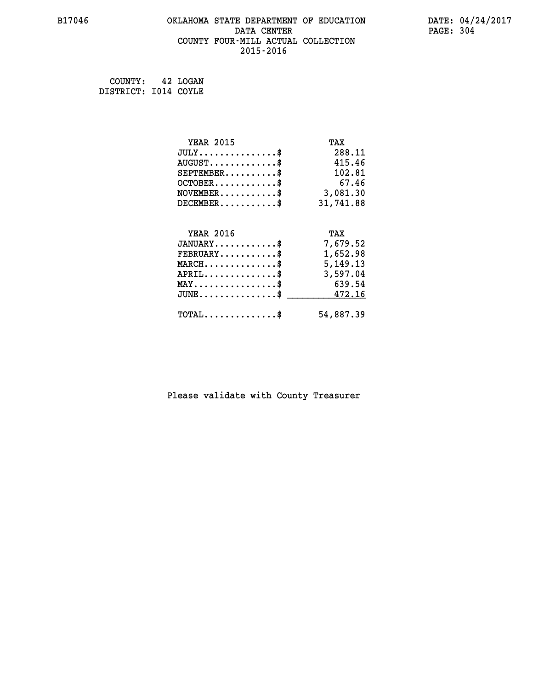# **B17046 OKLAHOMA STATE DEPARTMENT OF EDUCATION DATE: 04/24/2017 DATA CENTER** PAGE: 304  **COUNTY FOUR-MILL ACTUAL COLLECTION 2015-2016**

 **COUNTY: 42 LOGAN DISTRICT: I014 COYLE**

| <b>YEAR 2015</b>                                 | TAX        |
|--------------------------------------------------|------------|
| $JULY$ \$                                        | 288.11     |
| $AUGUST$ \$                                      | 415.46     |
| $SEPTEMBER$ \$                                   | 102.81     |
| $OCTOBER$ \$                                     | 67.46      |
| $\texttt{NOVEMBER} \dots \dots \dots \$          | 3,081.30   |
| $DECEMBER$ \$                                    | 31,741.88  |
|                                                  |            |
| <b>YEAR 2016</b>                                 | TAX        |
| $JANUARY$ \$                                     | 7,679.52   |
| $FEBRUARY$ \$                                    | 1,652.98   |
| $\texttt{MARCH}\ldots\ldots\ldots\ldots\text{*}$ | 5, 149. 13 |
| $APRIL \ldots \ldots \ldots \ldots \$            | 3,597.04   |
| $\texttt{MAX} \dots \dots \dots \dots \dots \$   | 639.54     |
| $\texttt{JUNE} \dots \dots \dots \dots \dots \$$ | 472.16     |
| $\texttt{TOTAL} \dots \dots \dots \dots \$       | 54,887.39  |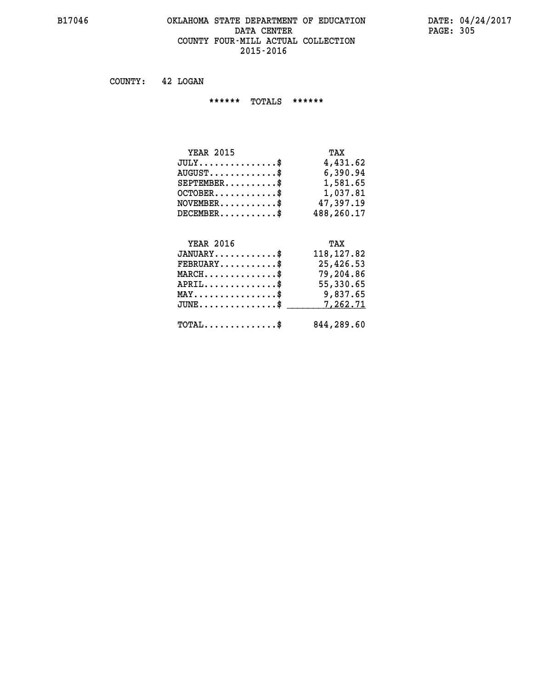#### **B17046 OKLAHOMA STATE DEPARTMENT OF EDUCATION DATE: 04/24/2017** DATA CENTER PAGE: 305  **COUNTY FOUR-MILL ACTUAL COLLECTION 2015-2016**

 **COUNTY: 42 LOGAN**

 **\*\*\*\*\*\* TOTALS \*\*\*\*\*\***

| <b>YEAR 2015</b>                       | TAX        |
|----------------------------------------|------------|
| $JULY \ldots \ldots \ldots \mathbb{S}$ | 4,431.62   |
| $AUGUST$ $\frac{1}{2}$                 | 6,390.94   |
| $SEPTEMENT.$ $\$                       | 1,581.65   |
| $OCTOBER$ \$                           | 1,037.81   |
| $NOVEMBER$ \$                          | 47,397.19  |
| $DECEMBER$ \$                          | 488,260.17 |

# **YEAR 2016 TAX JANUARY............\$ 118,127.82 FEBRUARY...........\$ 25,426.53 MARCH..............\$ 79,204.86 APRIL..............\$ 55,330.65 MAY................\$ 9,837.65 JUNE...............\$ 7,262.71 \_\_\_\_\_\_\_\_\_\_\_\_\_\_\_ TOTAL..............\$ 844,289.60**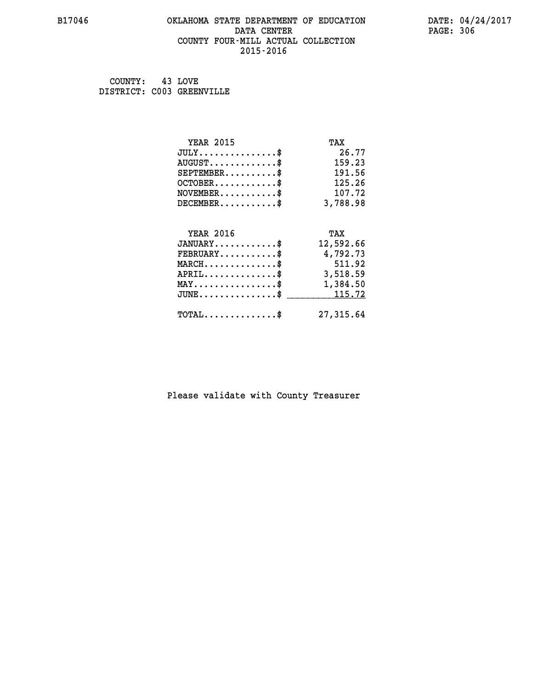#### **B17046 OKLAHOMA STATE DEPARTMENT OF EDUCATION DATE: 04/24/2017 DATA CENTER** PAGE: 306  **COUNTY FOUR-MILL ACTUAL COLLECTION 2015-2016**

 **COUNTY: 43 LOVE DISTRICT: C003 GREENVILLE**

| <b>YEAR 2015</b>                                 | TAX        |
|--------------------------------------------------|------------|
| $JULY$ \$                                        | 26.77      |
| $AUGUST$ \$                                      | 159.23     |
| $SEPTEMBER$ \$                                   | 191.56     |
| $OCTOBER$ \$                                     | 125.26     |
| $\texttt{NOVEMBER} \dots \dots \dots \$          | 107.72     |
| $DECEMBER$ \$                                    | 3,788.98   |
|                                                  |            |
| <b>YEAR 2016</b>                                 | TAX        |
| $JANUARY$                                        | 12,592.66  |
| $FEBRUARY$                                       | 4,792.73   |
| $MARCH$ \$                                       | 511.92     |
| $APRIL \ldots \ldots \ldots \ldots$              | 3,518.59   |
| $\texttt{MAX} \dots \dots \dots \dots \dots \$   | 1,384.50   |
| $\texttt{JUNE} \dots \dots \dots \dots \dots \$$ | 115.72     |
| $\texttt{TOTAL} \dots \dots \dots \dots \$       | 27, 315.64 |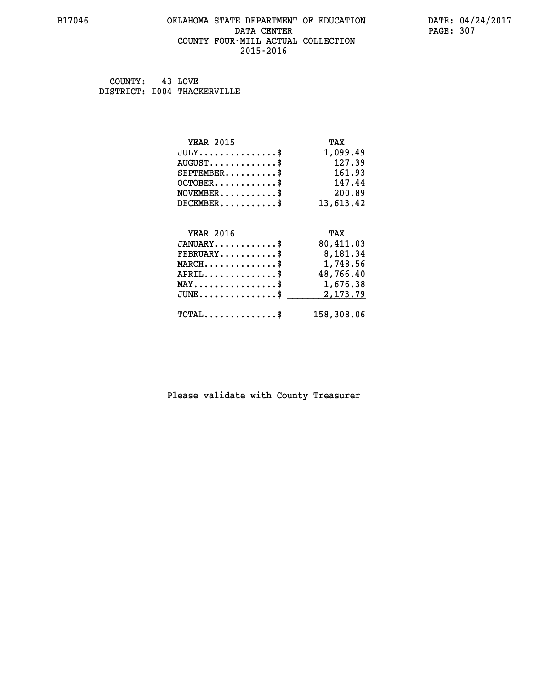#### **B17046 OKLAHOMA STATE DEPARTMENT OF EDUCATION DATE: 04/24/2017 DATA CENTER** PAGE: 307  **COUNTY FOUR-MILL ACTUAL COLLECTION 2015-2016**

 **COUNTY: 43 LOVE DISTRICT: I004 THACKERVILLE**

| <b>YEAR 2015</b>                               | TAX       |
|------------------------------------------------|-----------|
| $JULY$ \$                                      | 1,099.49  |
| $AUGUST$ \$                                    | 127.39    |
| $SEPTEMBER$ \$                                 | 161.93    |
| $OCTOBER$ \$                                   | 147.44    |
| $\texttt{NOVEMBER} \dots \dots \dots \$        | 200.89    |
| $DECEMBER$ \$                                  | 13,613.42 |
|                                                |           |
| <b>YEAR 2016</b>                               | TAX       |
|                                                |           |
| $JANUARY$ \$                                   | 80,411.03 |
| $FEBRUARY$                                     | 8,181.34  |
| $MARCH$ \$                                     | 1,748.56  |
| $APRIL$ \$                                     | 48,766.40 |
| $\texttt{MAX} \dots \dots \dots \dots \dots \$ | 1,676.38  |
| $JUNE$ \$                                      | 2,173.79  |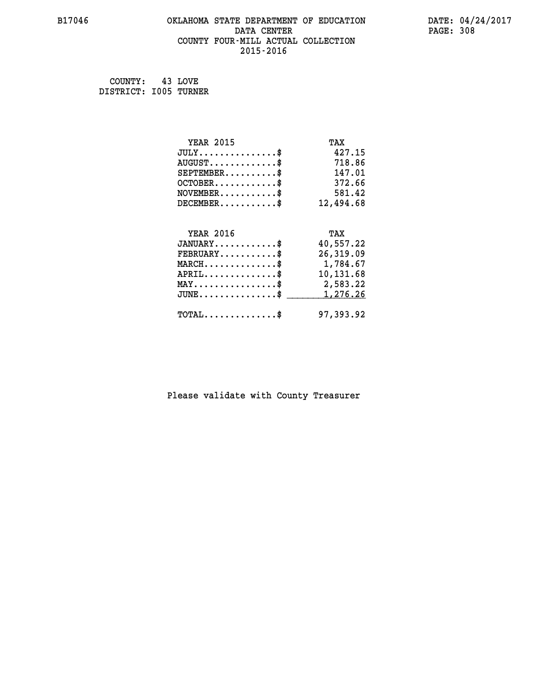# **B17046 OKLAHOMA STATE DEPARTMENT OF EDUCATION DATE: 04/24/2017 DATA CENTER** PAGE: 308  **COUNTY FOUR-MILL ACTUAL COLLECTION 2015-2016**

 **COUNTY: 43 LOVE DISTRICT: I005 TURNER**

| <b>YEAR 2015</b>                           | TAX       |
|--------------------------------------------|-----------|
| $JULY$ \$                                  | 427.15    |
| $AUGUST$ \$                                | 718.86    |
| $SEPTEMENT.$ \$                            | 147.01    |
| $OCTOBER$ \$                               | 372.66    |
| $NOVEMBER$ \$                              | 581.42    |
| $DECEMBER$ \$                              | 12,494.68 |
|                                            |           |
| <b>YEAR 2016</b>                           | TAX       |
| $JANUARY$                                  | 40,557.22 |
| $FEBRUARY$                                 | 26,319.09 |
| $MARCH$ \$                                 | 1,784.67  |
| $APRIL$ \$                                 | 10,131.68 |
| MAY\$ 2,583.22                             |           |
| $JUNE$ \$                                  | 1,276.26  |
| $\texttt{TOTAL} \dots \dots \dots \dots \$ | 97,393.92 |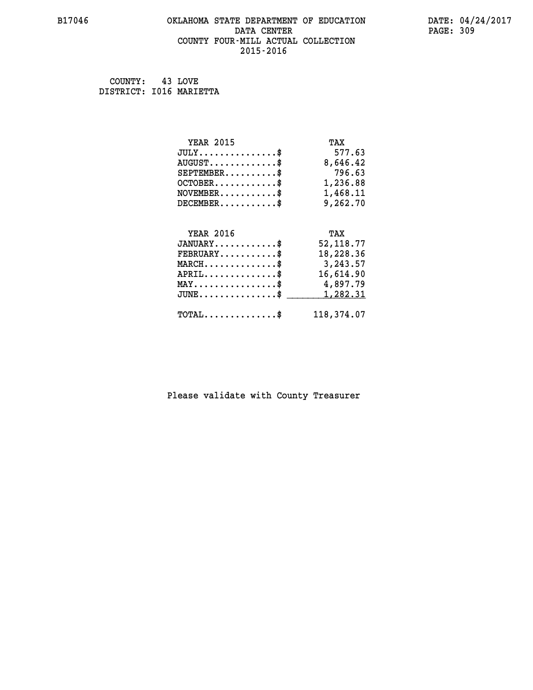# **B17046 OKLAHOMA STATE DEPARTMENT OF EDUCATION DATE: 04/24/2017 DATA CENTER** PAGE: 309  **COUNTY FOUR-MILL ACTUAL COLLECTION 2015-2016**

 **COUNTY: 43 LOVE DISTRICT: I016 MARIETTA**

| <b>YEAR 2015</b>                               | TAX        |
|------------------------------------------------|------------|
| $JULY$ \$                                      | 577.63     |
| $AUGUST$ \$                                    | 8,646.42   |
| $SEPTEMBER$ \$                                 | 796.63     |
| $OCTOBER$ \$                                   | 1,236.88   |
| $NOVEMBER$ \$                                  | 1,468.11   |
| $DECEMBER$ \$                                  | 9,262.70   |
|                                                |            |
| <b>YEAR 2016</b>                               | TAX        |
| $JANUARY$ \$                                   | 52, 118.77 |
| $FEBRUARY$ \$                                  | 18,228.36  |
| $MARCH$ \$                                     | 3,243.57   |
| $APRIL \ldots \ldots \ldots \ldots$            | 16,614.90  |
| $\texttt{MAX} \dots \dots \dots \dots \dots \$ | 4,897.79   |
| $JUNE$ \$                                      | 1,282.31   |
| $TOTAL$ \$                                     | 118,374.07 |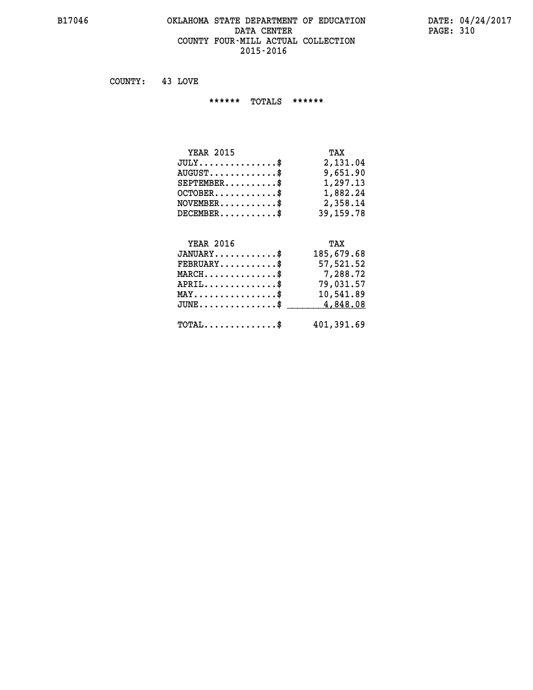#### **B17046 OKLAHOMA STATE DEPARTMENT OF EDUCATION DATE: 04/24/2017 DATA CENTER** PAGE: 310  **COUNTY FOUR-MILL ACTUAL COLLECTION 2015-2016**

 **COUNTY: 43 LOVE**

 **\*\*\*\*\*\* TOTALS \*\*\*\*\*\***

| <b>YEAR 2015</b>                 | TAX       |
|----------------------------------|-----------|
| $JULY$                           | 2,131.04  |
| $AUGUST \ldots \ldots \ldots$ \$ | 9,651.90  |
| $SEPTEMBER$                      | 1,297.13  |
| $OCTOBER$ \$                     | 1,882.24  |
| $NOVEMBER$ \$                    | 2,358.14  |
| $DECEMBER$                       | 39,159.78 |

# **YEAR 2016 TAX JANUARY............\$ 185,679.68 FEBRUARY...........\$ 57,521.52 MARCH..............\$ 7,288.72 APRIL..............\$ 79,031.57 MAY................\$ 10,541.89 JUNE................\$** 4,848.08  **TOTAL..............\$ 401,391.69**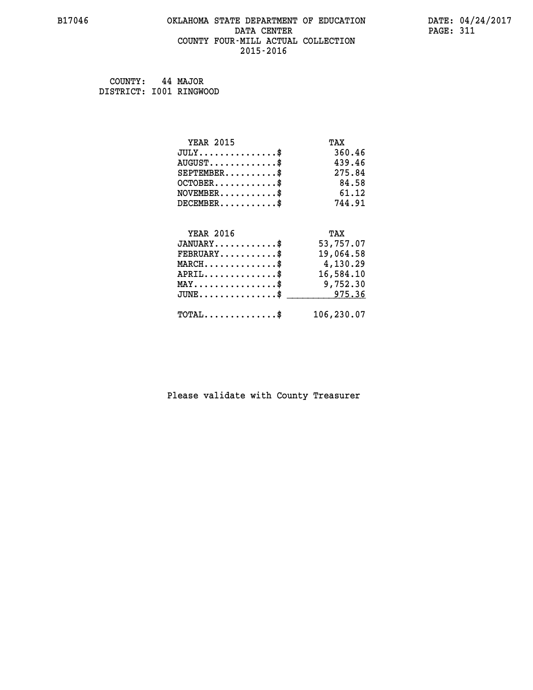#### **B17046 OKLAHOMA STATE DEPARTMENT OF EDUCATION DATE: 04/24/2017 DATA CENTER** PAGE: 311  **COUNTY FOUR-MILL ACTUAL COLLECTION 2015-2016**

| COUNTY:                 | 44 MAJOR |
|-------------------------|----------|
| DISTRICT: I001 RINGWOOD |          |

| <b>YEAR 2015</b>                                 | TAX        |
|--------------------------------------------------|------------|
| $JULY$ \$                                        | 360.46     |
| $AUGUST$ \$                                      | 439.46     |
| $SEPTEMBER$ \$                                   | 275.84     |
| $OCTOBER$ \$                                     | 84.58      |
| $NOVEMBER$ \$                                    | 61.12      |
| $DECEMBER$ \$                                    | 744.91     |
|                                                  |            |
| <b>YEAR 2016</b>                                 | TAX        |
| $JANUARY$                                        | 53,757.07  |
| $FEBRUARY$                                       | 19,064.58  |
| $MARCH$ \$                                       | 4,130.29   |
| $APRIL \ldots \ldots \ldots$ \$                  | 16,584.10  |
| $\texttt{MAX} \dots \dots \dots \dots \dots \$   | 9,752.30   |
| $\texttt{JUNE} \dots \dots \dots \dots \dots \$$ | 975.36     |
| $\texttt{TOTAL} \dots \dots \dots \dots \$       | 106,230.07 |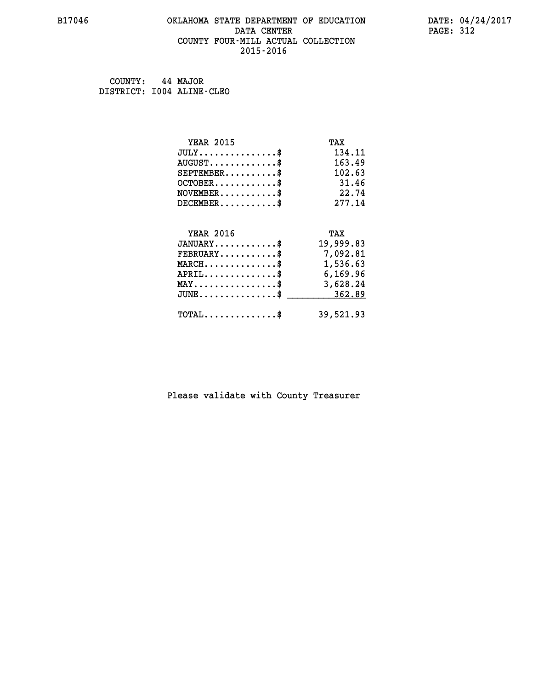# **B17046 OKLAHOMA STATE DEPARTMENT OF EDUCATION DATE: 04/24/2017 DATA CENTER** PAGE: 312  **COUNTY FOUR-MILL ACTUAL COLLECTION 2015-2016**

 **COUNTY: 44 MAJOR DISTRICT: I004 ALINE-CLEO**

| <b>YEAR 2015</b>                                  | TAX       |
|---------------------------------------------------|-----------|
| $JULY$ \$                                         | 134.11    |
| $AUGUST$ \$                                       | 163.49    |
| $SEPTEMBER$ \$                                    | 102.63    |
| $OCTOBER$ \$                                      | 31.46     |
| $NOVEMBER$ \$                                     | 22.74     |
| $DECEMBER$ \$                                     | 277.14    |
|                                                   |           |
| <b>YEAR 2016</b>                                  | TAX       |
| $JANUARY$                                         | 19,999.83 |
| $FEBRUARY$                                        | 7,092.81  |
| $\texttt{MARCH}\ldots\ldots\ldots\ldots\clubsuit$ | 1,536.63  |
| $APRIL \ldots \ldots \ldots \ldots \$             | 6,169.96  |
| $\texttt{MAX} \dots \dots \dots \dots \dots \$    | 3,628.24  |
| $JUNE \ldots \ldots \ldots \ldots \ast$           | 362.89    |
| $TOTAL$ \$                                        | 39,521.93 |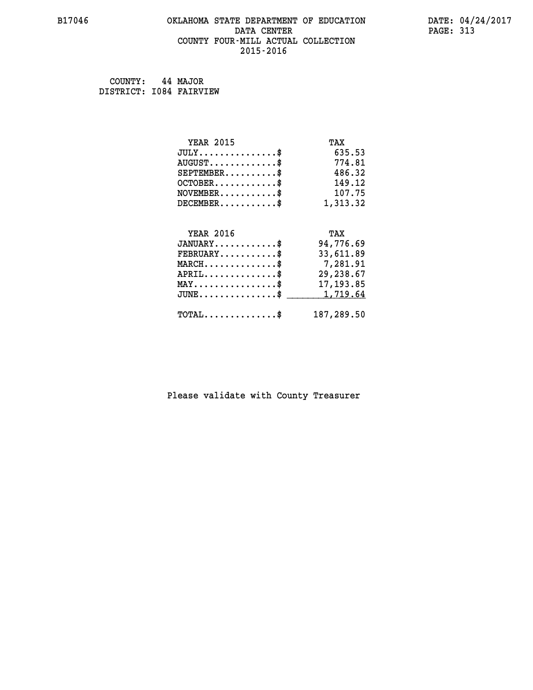# **B17046 OKLAHOMA STATE DEPARTMENT OF EDUCATION DATE: 04/24/2017 DATA CENTER** PAGE: 313  **COUNTY FOUR-MILL ACTUAL COLLECTION 2015-2016**

 **COUNTY: 44 MAJOR DISTRICT: I084 FAIRVIEW**

| <b>YEAR 2015</b>                                | TAX        |
|-------------------------------------------------|------------|
| $JULY$ \$                                       | 635.53     |
| $AUGUST$ \$                                     | 774.81     |
| $SEPTEMENT.$ \$                                 | 486.32     |
| $OCTOBER$ \$                                    | 149.12     |
| $\texttt{NOVEMBER} \dots \dots \dots \$         | 107.75     |
| $DECEMBER$ \$                                   | 1,313.32   |
|                                                 |            |
| <b>YEAR 2016</b>                                | TAX        |
| $JANUARY$ \$                                    | 94,776.69  |
| $FEBRUARY$ \$                                   | 33,611.89  |
| $MARCH$ \$                                      | 7,281.91   |
| $APRIL$ \$                                      | 29,238.67  |
| $\texttt{MAX} \dots \dots \dots \dots \dots \$$ | 17, 193.85 |
| $JUNE$ \$                                       | 1,719.64   |
| $\texttt{TOTAL} \dots \dots \dots \dots$ \$     | 187,289.50 |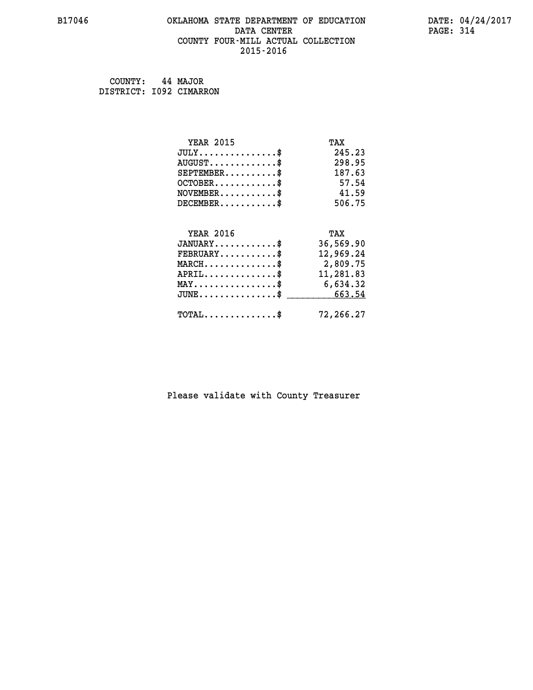#### **B17046 OKLAHOMA STATE DEPARTMENT OF EDUCATION DATE: 04/24/2017 DATA CENTER** PAGE: 314  **COUNTY FOUR-MILL ACTUAL COLLECTION 2015-2016**

| COUNTY:                 | 44 MAJOR |
|-------------------------|----------|
| DISTRICT: 1092 CIMARRON |          |

| <b>YEAR 2015</b>                                   | TAX       |
|----------------------------------------------------|-----------|
| $JULY$ \$                                          | 245.23    |
| $AUGUST$ \$                                        | 298.95    |
| $SEPTEMBER$ \$                                     | 187.63    |
| $OCTOBER$ \$                                       | 57.54     |
| $NOVEMBER$ \$                                      | 41.59     |
| $DECEMBER$ \$                                      | 506.75    |
| <b>YEAR 2016</b>                                   | TAX       |
| $JANUARY$ \$                                       | 36,569.90 |
| $FEBRUARY$ \$                                      | 12,969.24 |
| $MARCH \ldots \ldots \ldots \ldots$                | 2,809.75  |
| $APRIL$ \$                                         | 11,281.83 |
| $\texttt{MAX} \dots \dots \dots \dots \dots \$     | 6,634.32  |
| $\texttt{JUNE} \dots \dots \dots \dots \texttt{I}$ | 663.54    |
|                                                    |           |
| $\texttt{TOTAL} \dots \dots \dots \dots \$         | 72,266.27 |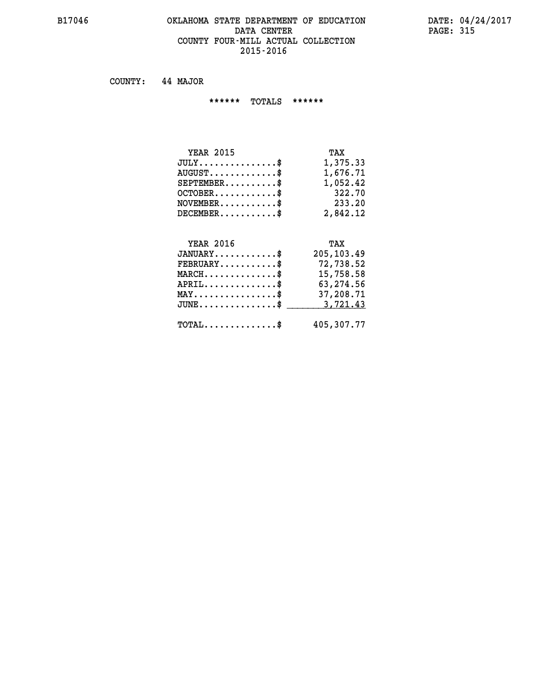#### **B17046 OKLAHOMA STATE DEPARTMENT OF EDUCATION DATE: 04/24/2017 DATA CENTER PAGE: 315 COUNTY FOUR-MILL ACTUAL COLLECTION 2015-2016**

 **COUNTY: 44 MAJOR**

 **\*\*\*\*\*\* TOTALS \*\*\*\*\*\***

| <b>YEAR 2015</b>                       | TAX      |
|----------------------------------------|----------|
| $JULY \ldots \ldots \ldots \mathbb{S}$ | 1,375.33 |
| $AUGUST$ \$                            | 1,676.71 |
| $SEPTEMBER$                            | 1,052.42 |
| $OCTOBER$ \$                           | 322.70   |
| $NOVEMBER$ \$                          | 233.20   |
| $DECEMBER$ \$                          | 2,842.12 |

# **YEAR 2016 TAX JANUARY............\$ 205,103.49 FEBRUARY...........\$ 72,738.52 MARCH..............\$ 15,758.58 APRIL..............\$ 63,274.56 MAY................\$ 37,208.71 JUNE...............\$ 3,721.43 \_\_\_\_\_\_\_\_\_\_\_\_\_\_\_ TOTAL..............\$ 405,307.77**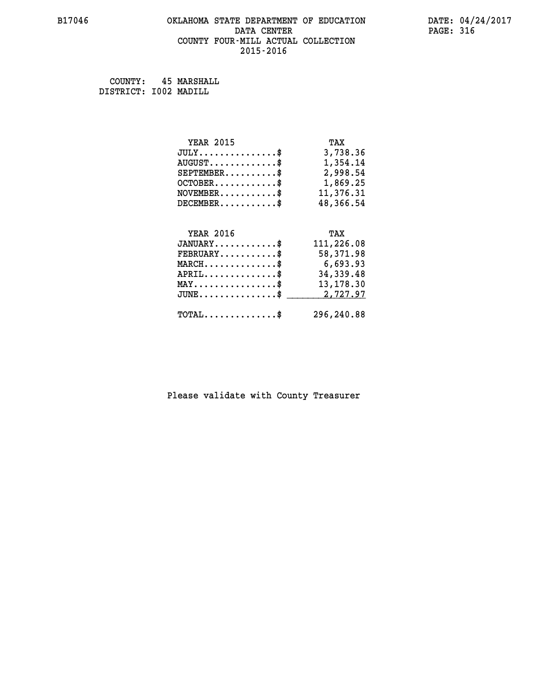# **B17046 OKLAHOMA STATE DEPARTMENT OF EDUCATION DATE: 04/24/2017 DATA CENTER** PAGE: 316  **COUNTY FOUR-MILL ACTUAL COLLECTION 2015-2016**

 **COUNTY: 45 MARSHALL DISTRICT: I002 MADILL**

| <b>YEAR 2015</b>                                  | TAX        |
|---------------------------------------------------|------------|
| $JULY$ \$                                         | 3,738.36   |
| $AUGUST$ \$                                       | 1,354.14   |
| $SEPTEMBER$ \$                                    | 2,998.54   |
| $OCTOBER$ \$                                      | 1,869.25   |
| $\texttt{NOVEMBER} \dots \dots \dots \$           | 11,376.31  |
| $DECEMBER$ \$                                     | 48,366.54  |
|                                                   |            |
| <b>YEAR 2016</b>                                  | TAX        |
| $JANUARY$ \$                                      | 111,226.08 |
| $FEBRUARY$                                        | 58,371.98  |
| $\texttt{MARCH}\ldots\ldots\ldots\ldots\text{\$}$ | 6,693.93   |
| $APRIL \ldots \ldots \ldots \ldots *$             | 34,339.48  |
| $\texttt{MAX} \dots \dots \dots \dots \dots \$$   | 13, 178.30 |
| $\texttt{JUNE} \dots \dots \dots \dots \dots \$$  | 2,727.97   |
|                                                   |            |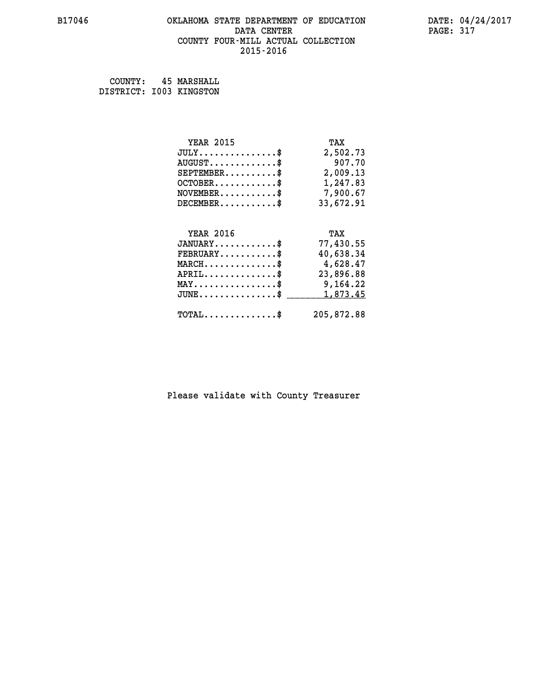# **B17046 OKLAHOMA STATE DEPARTMENT OF EDUCATION DATE: 04/24/2017 DATA CENTER** PAGE: 317  **COUNTY FOUR-MILL ACTUAL COLLECTION 2015-2016**

 **COUNTY: 45 MARSHALL DISTRICT: I003 KINGSTON**

| <b>YEAR 2015</b>                                   | TAX        |
|----------------------------------------------------|------------|
| $JULY$ \$                                          | 2,502.73   |
| $AUGUST$ \$                                        | 907.70     |
| $SEPTEMBER$ \$                                     | 2,009.13   |
| $OCTOBER$ \$                                       | 1,247.83   |
| $NOVEMBER.$ \$                                     | 7,900.67   |
| $DECEMBER$ \$                                      | 33,672.91  |
|                                                    |            |
| <b>YEAR 2016</b>                                   | TAX        |
| $JANUARY$ \$                                       | 77,430.55  |
| $FEBRUARY$                                         | 40,638.34  |
| $MARCH$ \$                                         | 4,628.47   |
| $APRIL$ \$                                         | 23,896.88  |
| $\texttt{MAX} \dots \dots \dots \dots \dots \$     | 9,164.22   |
| $\texttt{JUNE} \dots \dots \dots \dots \texttt{S}$ | 1,873.45   |
| $\texttt{TOTAL} \dots \dots \dots \dots$ \$        | 205,872.88 |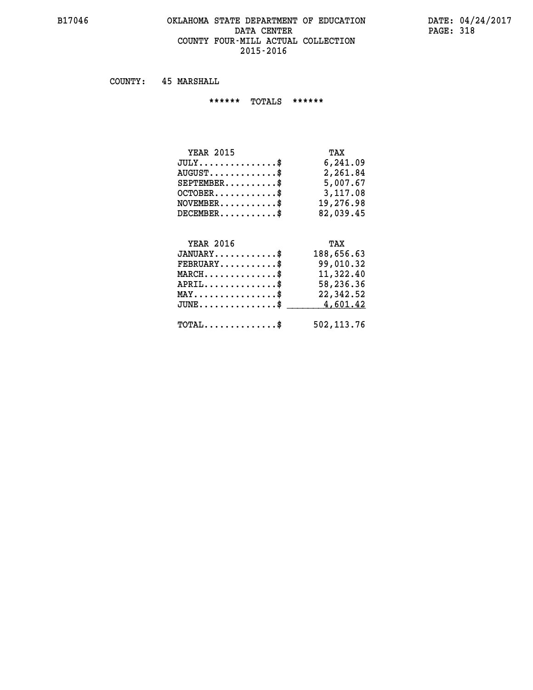#### **B17046 OKLAHOMA STATE DEPARTMENT OF EDUCATION DATE: 04/24/2017 DATA CENTER** PAGE: 318  **COUNTY FOUR-MILL ACTUAL COLLECTION 2015-2016**

 **COUNTY: 45 MARSHALL**

 **\*\*\*\*\*\* TOTALS \*\*\*\*\*\***

| <b>YEAR 2015</b>       | TAX       |
|------------------------|-----------|
| $JULY$                 | 6,241.09  |
| $AUGUST$ $\frac{1}{2}$ | 2,261.84  |
| $SEPTEMBER$ $\$        | 5,007.67  |
| $OCTOBER$ \$           | 3,117.08  |
| $NOVEMBER$ \$          | 19,276.98 |
| $DECEMBER$             | 82,039.45 |

# **YEAR 2016 TAX JANUARY............\$ 188,656.63 FEBRUARY...........\$ 99,010.32 MARCH..............\$ 11,322.40 APRIL..............\$ 58,236.36 MAY................\$ 22,342.52 JUNE................\$** 4,601.42  **TOTAL..............\$ 502,113.76**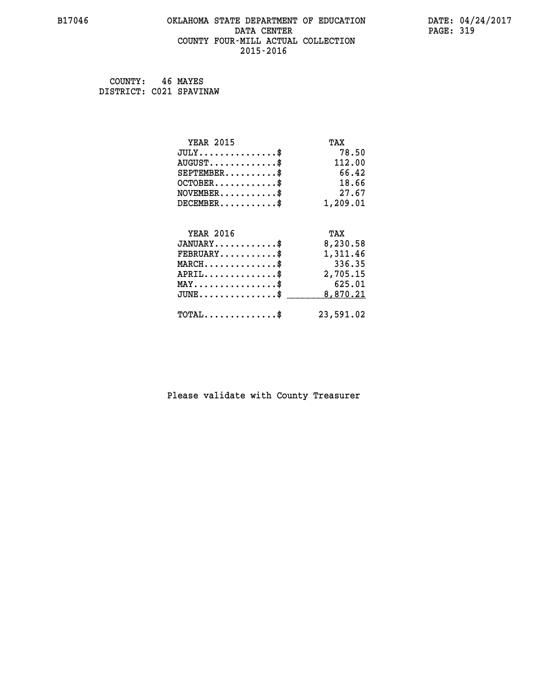# **B17046 OKLAHOMA STATE DEPARTMENT OF EDUCATION DATE: 04/24/2017 DATA CENTER** PAGE: 319  **COUNTY FOUR-MILL ACTUAL COLLECTION 2015-2016**

 **COUNTY: 46 MAYES DISTRICT: C021 SPAVINAW**

| <b>YEAR 2015</b>                           | TAX       |
|--------------------------------------------|-----------|
| $JULY$ \$                                  | 78.50     |
| $AUGUST$ \$                                | 112.00    |
| $SEPTEMENT.$ \$                            | 66.42     |
| $OCTOBER$ \$                               | 18.66     |
| $NOVEMBER$ \$                              | 27.67     |
| $DECEMBER$ \$                              | 1,209.01  |
|                                            |           |
| <b>YEAR 2016</b>                           | TAX       |
| $JANUARY$ \$                               | 8,230.58  |
| $FEBRUARY$                                 | 1,311.46  |
| $MARCH$ \$                                 | 336.35    |
| $APRIL$ \$                                 | 2,705.15  |
| $MAX \dots \dots \dots \dots \dots$        | 625.01    |
| $JUNE$ $\$\$                               | 8,870.21  |
| $\texttt{TOTAL} \dots \dots \dots \dots \$ | 23,591.02 |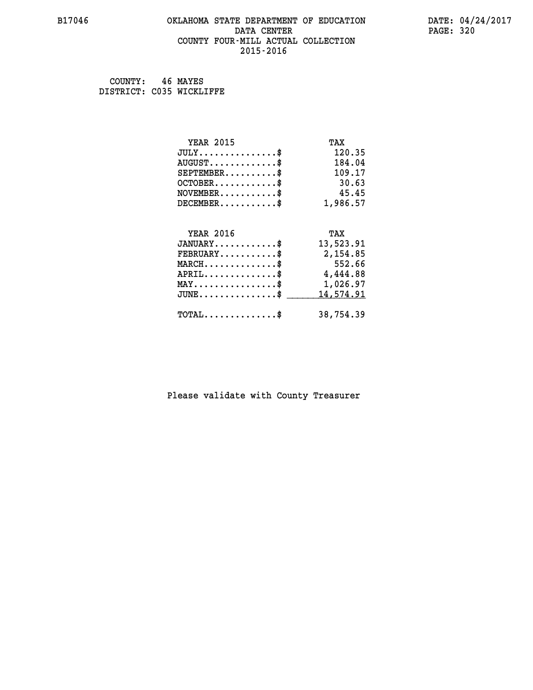# **B17046 OKLAHOMA STATE DEPARTMENT OF EDUCATION DATE: 04/24/2017 DATA CENTER** PAGE: 320  **COUNTY FOUR-MILL ACTUAL COLLECTION 2015-2016**

 **COUNTY: 46 MAYES DISTRICT: C035 WICKLIFFE**

| <b>YEAR 2015</b>                               | TAX       |
|------------------------------------------------|-----------|
| $JULY$ \$                                      | 120.35    |
| $AUGUST$ \$                                    | 184.04    |
| $SEPTEMENT.$ \$                                | 109.17    |
| $OCTOBER$ \$                                   | 30.63     |
| $NOVEMBER$ \$                                  | 45.45     |
| $DECEMBER$ \$                                  | 1,986.57  |
|                                                |           |
| <b>YEAR 2016</b>                               | TAX       |
| $JANUARY$ \$                                   | 13,523.91 |
| $FEBRUARY$                                     | 2,154.85  |
| $MARCH$ \$                                     | 552.66    |
| $APRIL$ \$                                     | 4,444.88  |
| $\texttt{MAX} \dots \dots \dots \dots \dots \$ | 1,026.97  |
| $JUNE$ \$                                      | 14,574.91 |
| $\texttt{TOTAL} \dots \dots \dots \dots \$     | 38,754.39 |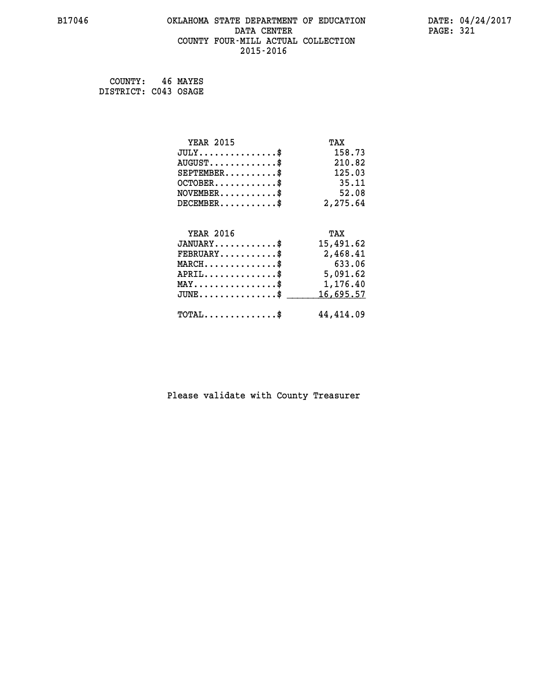# **B17046 OKLAHOMA STATE DEPARTMENT OF EDUCATION DATE: 04/24/2017 DATA CENTER** PAGE: 321  **COUNTY FOUR-MILL ACTUAL COLLECTION 2015-2016**

 **COUNTY: 46 MAYES DISTRICT: C043 OSAGE**

| <b>YEAR 2015</b>                               | TAX       |
|------------------------------------------------|-----------|
| $JULY$ \$                                      | 158.73    |
| $AUGUST$ \$                                    | 210.82    |
| $SEPTEMENT.$ \$                                | 125.03    |
| $OCTOBER$ \$                                   | 35.11     |
| $NOVEMBER$ \$                                  | 52.08     |
| $DECEMBER$ \$                                  | 2,275.64  |
|                                                |           |
| <b>YEAR 2016</b>                               | TAX       |
|                                                |           |
| $JANUARY$ \$                                   | 15,491.62 |
| $FEBRUARY$                                     | 2,468.41  |
| $MARCH$ \$                                     | 633.06    |
| $APRIL$ \$                                     | 5,091.62  |
| $\texttt{MAX} \dots \dots \dots \dots \dots \$ | 1,176.40  |
| $JUNE$ \$                                      | 16,695.57 |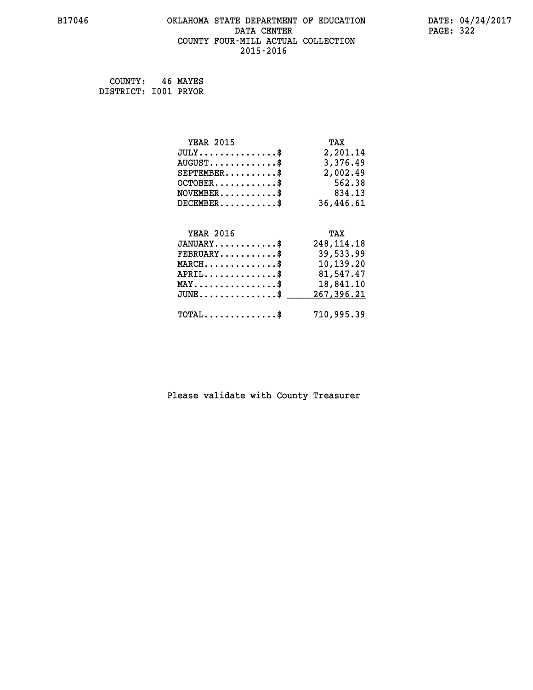# **B17046 OKLAHOMA STATE DEPARTMENT OF EDUCATION DATE: 04/24/2017 DATA CENTER** PAGE: 322  **COUNTY FOUR-MILL ACTUAL COLLECTION 2015-2016**

 **COUNTY: 46 MAYES DISTRICT: I001 PRYOR**

| <b>YEAR 2015</b>                                 | TAX          |
|--------------------------------------------------|--------------|
| $JULY$ \$                                        | 2,201.14     |
| $AUGUST$ \$                                      | 3,376.49     |
| $SEPTEMENT.$ \$                                  | 2,002.49     |
| $OCTOBER$ \$                                     | 562.38       |
| $\texttt{NOVEMBER} \dots \dots \dots \$          | 834.13       |
| $DECEMBER$ \$                                    | 36,446.61    |
|                                                  |              |
|                                                  |              |
| <b>YEAR 2016</b>                                 | TAX          |
| $JANUARY$ \$                                     | 248, 114. 18 |
| $FEBRUARY$                                       | 39,533.99    |
| $MARCH$ \$                                       | 10,139.20    |
| $APRIL$ \$                                       | 81,547.47    |
| $\texttt{MAX} \dots \dots \dots \dots \dots \$   | 18,841.10    |
| $\texttt{JUNE} \dots \dots \dots \dots \dots \$$ | 267,396.21   |
| $\texttt{TOTAL} \dots \dots \dots \dots \$       | 710,995.39   |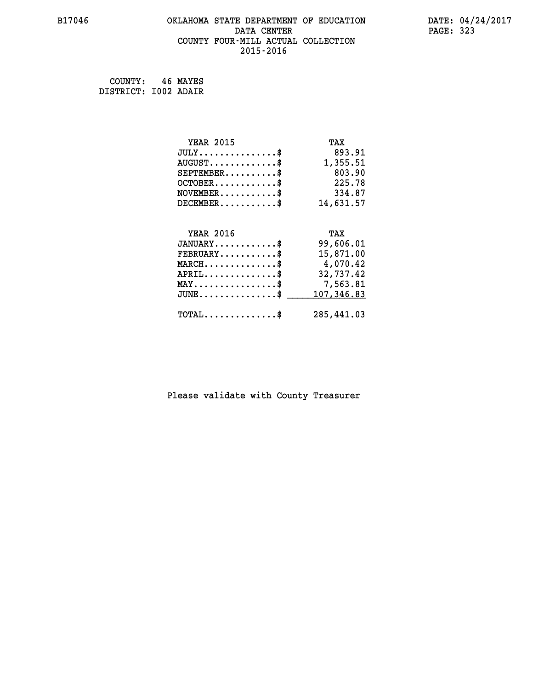# **B17046 OKLAHOMA STATE DEPARTMENT OF EDUCATION DATE: 04/24/2017 DATA CENTER** PAGE: 323  **COUNTY FOUR-MILL ACTUAL COLLECTION 2015-2016**

 **COUNTY: 46 MAYES DISTRICT: I002 ADAIR**

| <b>YEAR 2015</b>                           | TAX        |
|--------------------------------------------|------------|
| $JULY$ \$                                  | 893.91     |
| $AUGUST$ \$                                | 1,355.51   |
| $SEPTEMBER$ \$                             | 803.90     |
| $OCTOBER$ \$                               | 225.78     |
| $NOVEMBER$ \$                              | 334.87     |
| $DECEMBER$ \$                              | 14,631.57  |
|                                            |            |
| <b>YEAR 2016</b>                           | TAX        |
| $JANUARY$ \$                               | 99,606.01  |
| $FEBRUARY$                                 | 15,871.00  |
| $MARCH$ \$                                 | 4,070.42   |
| $APRIL$ \$                                 | 32,737.42  |
| $MAX \dots \dots \dots \dots \dots$        | 7,563.81   |
| $JUNE$ \$                                  | 107,346.83 |
| $\texttt{TOTAL} \dots \dots \dots \dots \$ | 285,441.03 |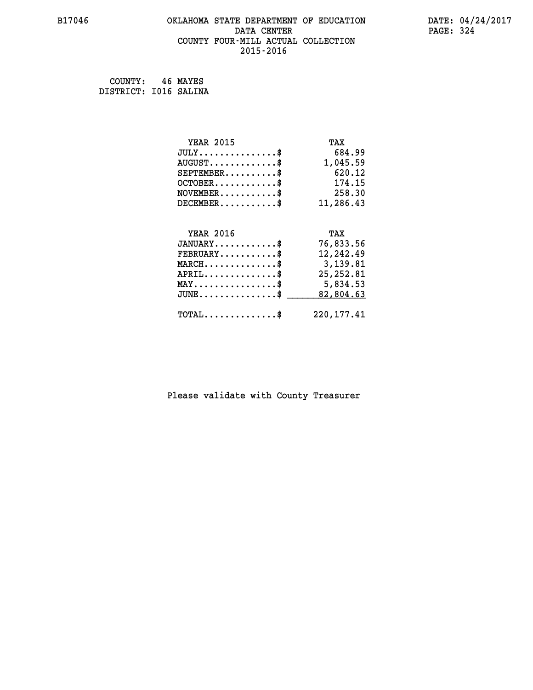# **B17046 OKLAHOMA STATE DEPARTMENT OF EDUCATION DATE: 04/24/2017 DATA CENTER** PAGE: 324  **COUNTY FOUR-MILL ACTUAL COLLECTION 2015-2016**

 **COUNTY: 46 MAYES DISTRICT: I016 SALINA**

| <b>YEAR 2015</b>                           | TAX          |
|--------------------------------------------|--------------|
| $JULY$                                     | 684.99       |
| $AUGUST$ \$                                | 1,045.59     |
| $SEPTEMBER$ \$                             | 620.12       |
| $OCTOBER$ \$                               | 174.15       |
| $NOVEMBER$ \$                              | 258.30       |
| $DECEMBER$ \$                              | 11,286.43    |
| <b>YEAR 2016</b>                           | TAX          |
| $JANUARY$ \$                               | 76,833.56    |
| $FEBRUARY$                                 | 12,242.49    |
| $MARCH$ \$                                 | 3,139.81     |
| $APRIL$ \$                                 | 25, 252.81   |
| $MAX \dots \dots \dots \dots \dots$        | 5,834.53     |
| $JUNE$                                     | 82,804.63    |
| $\texttt{TOTAL} \dots \dots \dots \dots \$ | 220, 177. 41 |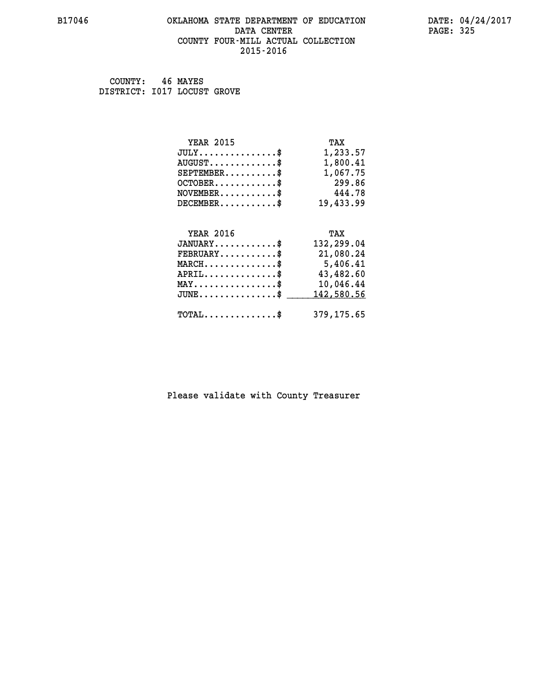### **B17046 OKLAHOMA STATE DEPARTMENT OF EDUCATION DATE: 04/24/2017 DATA CENTER** PAGE: 325  **COUNTY FOUR-MILL ACTUAL COLLECTION 2015-2016**

 **COUNTY: 46 MAYES DISTRICT: I017 LOCUST GROVE**

| <b>YEAR 2015</b>                                  | TAX        |
|---------------------------------------------------|------------|
| $JULY$ \$                                         | 1,233.57   |
| $AUGUST$ \$                                       | 1,800.41   |
| $SEPTEMBER$ \$                                    | 1,067.75   |
| $OCTOBER$ \$                                      | 299.86     |
| $\texttt{NOVEMBER} \dots \dots \dots \$           | 444.78     |
| $DECEMBER$ \$                                     | 19,433.99  |
|                                                   |            |
| <b>YEAR 2016</b>                                  | TAX        |
| $JANUARY$ \$                                      | 132,299.04 |
| $FEBRUARY$                                        | 21,080.24  |
| $MARCH$ \$                                        | 5,406.41   |
| $APRIL$ \$                                        | 43,482.60  |
| $\texttt{MAX} \dots \dots \dots \dots \texttt{*}$ | 10,046.44  |
| $JUNE \dots \dots \dots \dots \$                  | 142,580.56 |
| $\texttt{TOTAL} \dots \dots \dots \dots \$        | 379,175.65 |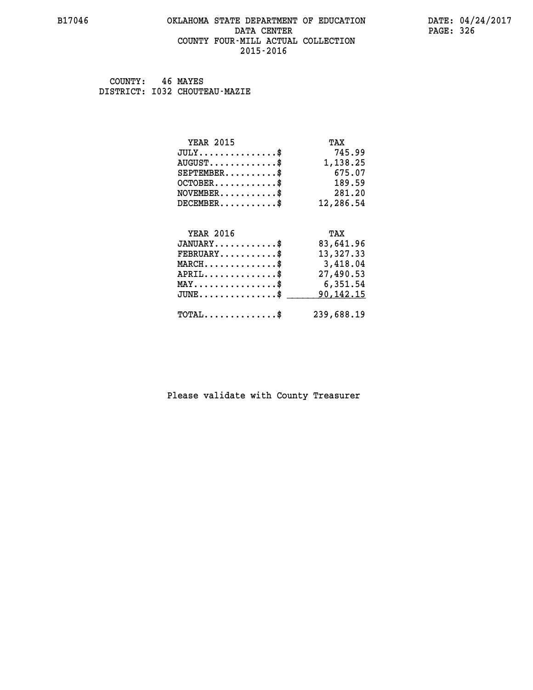### **B17046 OKLAHOMA STATE DEPARTMENT OF EDUCATION DATE: 04/24/2017 DATA CENTER** PAGE: 326  **COUNTY FOUR-MILL ACTUAL COLLECTION 2015-2016**

 **COUNTY: 46 MAYES DISTRICT: I032 CHOUTEAU-MAZIE**

| <b>YEAR 2015</b>                           | TAX        |
|--------------------------------------------|------------|
| $JULY$ \$                                  | 745.99     |
| $AUGUST$ \$                                | 1,138.25   |
| $SEPTEMENT.$ \$                            | 675.07     |
| $OCTOBER$ \$                               | 189.59     |
| $NOVEMBER$ \$                              | 281.20     |
| $DECEMBER$ \$                              | 12,286.54  |
|                                            |            |
| <b>YEAR 2016</b>                           | TAX        |
| $JANUARY$ \$                               | 83,641.96  |
| $FEBRUARY$                                 | 13,327.33  |
| $MARCH$ \$                                 | 3,418.04   |
| $APRIL$ \$                                 | 27,490.53  |
| $MAX \dots \dots \dots \dots \dots$        | 6,351.54   |
| $JUNE$                                     | 90,142.15  |
| $\texttt{TOTAL} \dots \dots \dots \dots \$ | 239,688.19 |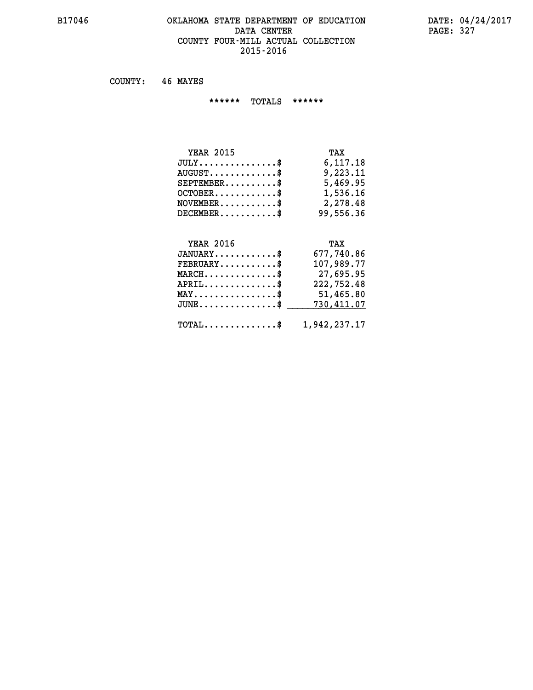### **B17046 OKLAHOMA STATE DEPARTMENT OF EDUCATION DATE: 04/24/2017 DATA CENTER** PAGE: 327  **COUNTY FOUR-MILL ACTUAL COLLECTION 2015-2016**

 **COUNTY: 46 MAYES**

 **\*\*\*\*\*\* TOTALS \*\*\*\*\*\***

| <b>YEAR 2015</b>              | TAX       |
|-------------------------------|-----------|
| $JULY \ldots \ldots \ldots \$ | 6, 117.18 |
| $AUGUST$ \$                   | 9,223.11  |
| $SEPTEMBER$ $\$               | 5,469.95  |
| $OCTOBER$ $\frac{1}{2}$       | 1,536.16  |
| $NOVEMBER$ \$                 | 2,278.48  |
| $DECEMBER$ \$                 | 99,556.36 |

#### **YEAR 2016 TAX JANUARY............\$ 677,740.86**

| ,,,,,,,,,,,,                                            |
|---------------------------------------------------------|
| 107,989.77<br>$FEBRUARY$                                |
| 27,695.95<br>$MARCH$ \$                                 |
| 222,752.48<br>$APRIL$ \$                                |
| 51,465.80<br>$MAX \dots \dots \dots \dots \$            |
| $JUNE \dots \dots \dots \dots \$ 730,411.07             |
| $\texttt{TOTAL} \dots \dots \dots \dots \$ 1,942,237.17 |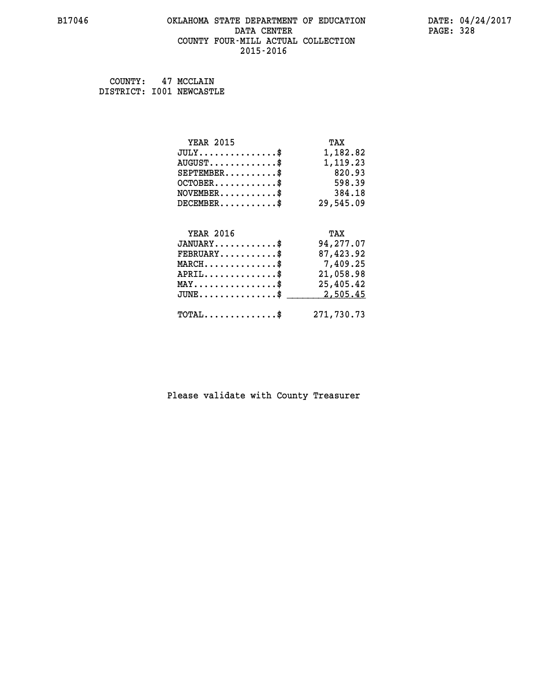## **B17046 OKLAHOMA STATE DEPARTMENT OF EDUCATION DATE: 04/24/2017 DATA CENTER** PAGE: 328  **COUNTY FOUR-MILL ACTUAL COLLECTION 2015-2016**

 **COUNTY: 47 MCCLAIN DISTRICT: I001 NEWCASTLE**

| <b>YEAR 2015</b>                               | TAX        |
|------------------------------------------------|------------|
| $JULY$ \$                                      | 1,182.82   |
| $AUGUST$ \$                                    | 1,119.23   |
| $SEPTEMBER$ \$                                 | 820.93     |
| $OCTOBER$ \$                                   | 598.39     |
| $\texttt{NOVEMBER} \dots \dots \dots \$        | 384.18     |
| $DECEMBER$ \$                                  | 29,545.09  |
|                                                |            |
| <b>YEAR 2016</b>                               | TAX        |
| $JANUARY$ \$                                   | 94,277.07  |
| $FEBRUARY$ \$                                  | 87,423.92  |
| $MARCH$ \$                                     | 7,409.25   |
| $APRIL \ldots \ldots \ldots \ldots \$          | 21,058.98  |
| $\texttt{MAX} \dots \dots \dots \dots \dots \$ | 25,405.42  |
| $JUNE$ \$                                      | 2,505.45   |
| $\texttt{TOTAL} \dots \dots \dots \dots \$     | 271,730.73 |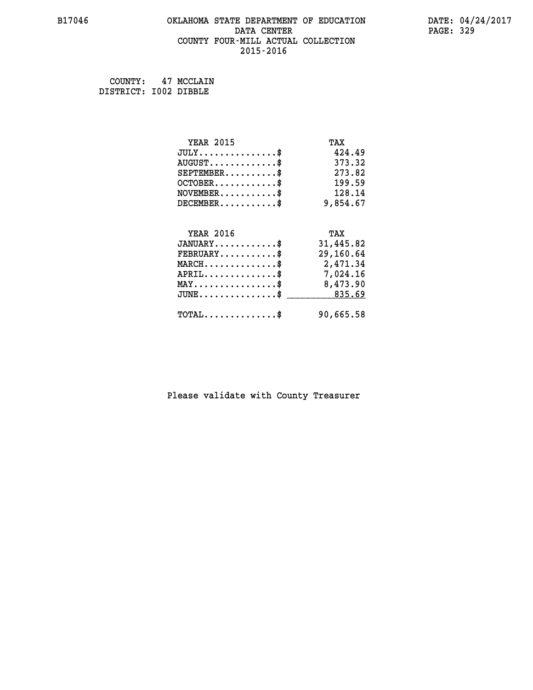## **B17046 OKLAHOMA STATE DEPARTMENT OF EDUCATION DATE: 04/24/2017 DATA CENTER** PAGE: 329  **COUNTY FOUR-MILL ACTUAL COLLECTION 2015-2016**

 **COUNTY: 47 MCCLAIN DISTRICT: I002 DIBBLE**

| <b>YEAR 2015</b>                                 | TAX       |
|--------------------------------------------------|-----------|
| $JULY$ \$                                        | 424.49    |
| $AUGUST$ \$                                      | 373.32    |
| $SEPTEMENT.$ \$                                  | 273.82    |
| $OCTOBER$ \$                                     | 199.59    |
| $NOVEMBER$ \$                                    | 128.14    |
| $DECEMBER$ \$                                    | 9,854.67  |
|                                                  |           |
| <b>YEAR 2016</b>                                 | TAX       |
| $JANUARY$ \$                                     | 31,445.82 |
| $FEBRUARY$ \$                                    | 29,160.64 |
| $MARCH$ \$                                       | 2,471.34  |
| $APRIL \ldots \ldots \ldots \$                   | 7,024.16  |
| $\texttt{MAX} \dots \dots \dots \dots \dots \$   | 8,473.90  |
| $\texttt{JUNE} \dots \dots \dots \dots \dots \$$ | 835.69    |
| $\texttt{TOTAL} \dots \dots \dots \dots \$       | 90,665.58 |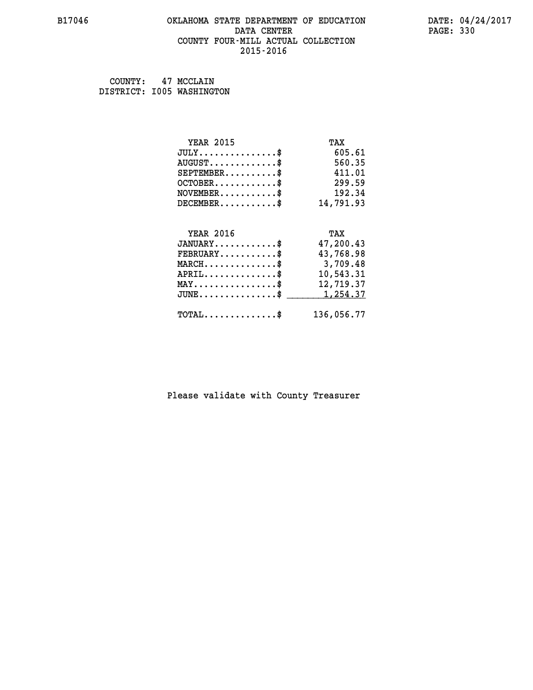## **B17046 OKLAHOMA STATE DEPARTMENT OF EDUCATION DATE: 04/24/2017 DATA CENTER** PAGE: 330  **COUNTY FOUR-MILL ACTUAL COLLECTION 2015-2016**

 **COUNTY: 47 MCCLAIN DISTRICT: I005 WASHINGTON**

| <b>YEAR 2015</b>                                  | TAX        |
|---------------------------------------------------|------------|
| $JULY$ \$                                         | 605.61     |
| $AUGUST$ \$                                       | 560.35     |
| $SEPTEMENT.$ \$                                   | 411.01     |
| $OCTOBER$ \$                                      | 299.59     |
| $\texttt{NOVEMBER} \dots \dots \dots \$           | 192.34     |
| $DECEMBER$ \$                                     | 14,791.93  |
|                                                   |            |
| <b>YEAR 2016</b>                                  | TAX        |
| $JANUARY$ \$                                      | 47,200.43  |
| $FEBRUARY$                                        | 43,768.98  |
| $MARCH$ \$                                        | 3,709.48   |
| $APRIL.$ \$                                       | 10,543.31  |
| $\texttt{MAX} \dots \dots \dots \dots \texttt{*}$ | 12,719.37  |
| $JUNE$ \$                                         | 1,254.37   |
| $\texttt{TOTAL} \dots \dots \dots \dots \$        | 136,056.77 |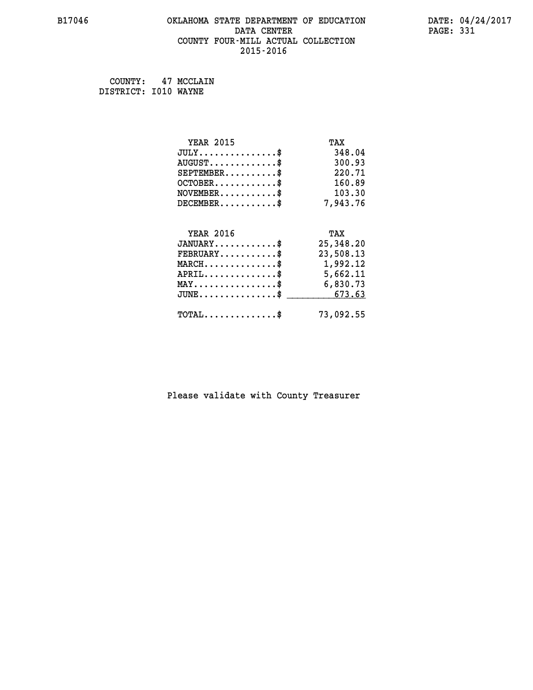## **B17046 OKLAHOMA STATE DEPARTMENT OF EDUCATION DATE: 04/24/2017 DATA CENTER** PAGE: 331  **COUNTY FOUR-MILL ACTUAL COLLECTION 2015-2016**

 **COUNTY: 47 MCCLAIN DISTRICT: I010 WAYNE**

| <b>YEAR 2015</b>                                   | TAX       |
|----------------------------------------------------|-----------|
| $JULY$ \$                                          | 348.04    |
| $AUGUST$ \$                                        | 300.93    |
| $SEPTEMBER$ \$                                     | 220.71    |
| $OCTOBER$ \$                                       | 160.89    |
| $\texttt{NOVEMBER} \dots \dots \dots \$            | 103.30    |
| $DECEMBER$ \$                                      | 7,943.76  |
|                                                    |           |
| <b>YEAR 2016</b>                                   | TAX       |
| $JANUARY$                                          | 25,348.20 |
| $\texttt{FEBRUARY} \dots \dots \dots \$            | 23,508.13 |
| $\texttt{MARCH}\ldots\ldots\ldots\ldots\clubsuit$  | 1,992.12  |
| $APRIL \ldots \ldots \ldots \ldots \$              | 5,662.11  |
| MAY\$ 6,830.73                                     |           |
| $\texttt{JUNE} \dots \dots \dots \dots \texttt{S}$ | 673.63    |
| $\texttt{TOTAL} \dots \dots \dots \dots$ \$        | 73,092.55 |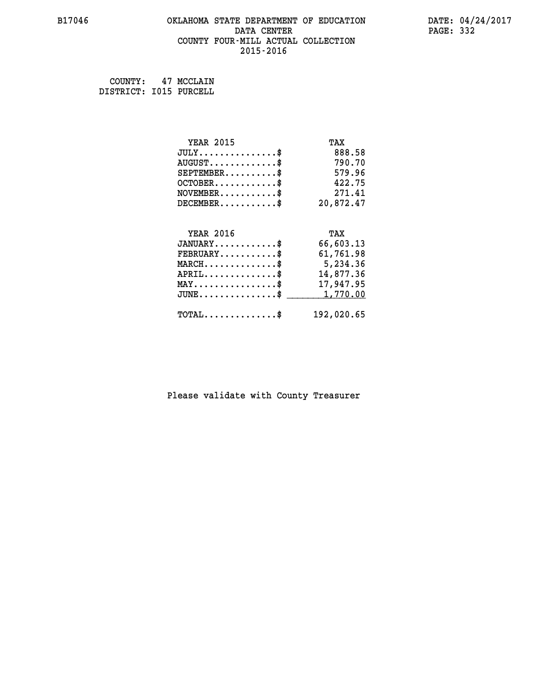## **B17046 OKLAHOMA STATE DEPARTMENT OF EDUCATION DATE: 04/24/2017 DATA CENTER** PAGE: 332  **COUNTY FOUR-MILL ACTUAL COLLECTION 2015-2016**

 **COUNTY: 47 MCCLAIN DISTRICT: I015 PURCELL**

| <b>YEAR 2015</b>                               | TAX        |
|------------------------------------------------|------------|
| $JULY$ \$                                      | 888.58     |
| $AUGUST$ \$                                    | 790.70     |
| $SEPTEMENT.$ \$                                | 579.96     |
| $OCTOBER$ \$                                   | 422.75     |
| $NOVEMBER$ \$                                  | 271.41     |
| $DECEMBER$ \$                                  | 20,872.47  |
|                                                |            |
| <b>YEAR 2016</b>                               | TAX        |
| $JANUARY$ \$                                   | 66,603.13  |
| $FEBRUARY$                                     | 61,761.98  |
| $MARCH$ \$                                     | 5,234.36   |
| $APRIL \ldots \ldots \ldots \ldots$            | 14,877.36  |
| $\texttt{MAX} \dots \dots \dots \dots \dots \$ | 17,947.95  |
| $JUNE$ \$                                      | 1,770.00   |
| $\texttt{TOTAL} \dots \dots \dots \dots \$     | 192,020.65 |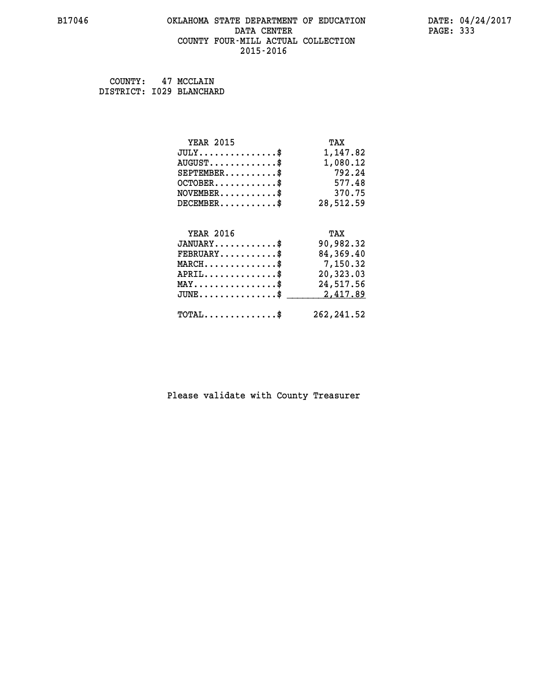## **B17046 OKLAHOMA STATE DEPARTMENT OF EDUCATION DATE: 04/24/2017 DATA CENTER** PAGE: 333  **COUNTY FOUR-MILL ACTUAL COLLECTION 2015-2016**

 **COUNTY: 47 MCCLAIN DISTRICT: I029 BLANCHARD**

| <b>YEAR 2015</b>                               | TAX         |
|------------------------------------------------|-------------|
| $JULY$ \$                                      | 1,147.82    |
| $AUGUST$ \$                                    | 1,080.12    |
| $SEPTEMBER$ \$                                 | 792.24      |
| $OCTOBER$ \$                                   | 577.48      |
| $NOVEMBER.$ \$                                 | 370.75      |
| $DECEMBER$ \$                                  | 28,512.59   |
|                                                |             |
| <b>YEAR 2016</b>                               | TAX         |
| $JANUARY$ \$                                   | 90,982.32   |
| $FEBRUARY$                                     | 84, 369.40  |
| $MARCH \ldots \ldots \ldots \ldots \$          | 7,150.32    |
| $APRIL$ \$                                     | 20,323.03   |
| $\texttt{MAX} \dots \dots \dots \dots \dots \$ | 24,517.56   |
| $JUNE$ \$                                      | 2,417.89    |
| $\texttt{TOTAL} \dots \dots \dots \dots$ \$    | 262, 241.52 |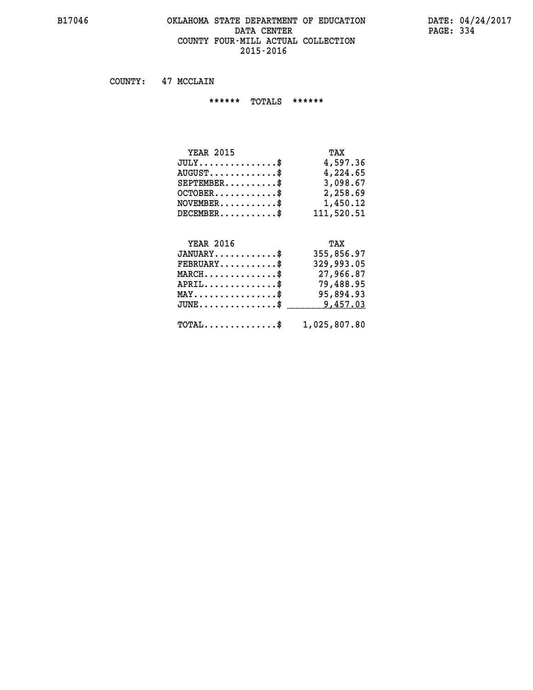## **B17046 OKLAHOMA STATE DEPARTMENT OF EDUCATION DATE: 04/24/2017** DATA CENTER PAGE: 334  **COUNTY FOUR-MILL ACTUAL COLLECTION 2015-2016**

 **COUNTY: 47 MCCLAIN**

 **\*\*\*\*\*\* TOTALS \*\*\*\*\*\***

| <b>YEAR 2015</b>                 | TAX        |
|----------------------------------|------------|
| $JULY \ldots \ldots \ldots \$    | 4,597.36   |
| $AUGUST \ldots \ldots \ldots$ \$ | 4,224.65   |
| $SEPTEMBER$                      | 3,098.67   |
| $OCTOBER$ \$                     | 2,258.69   |
| $NOVEMBER$ $\$                   | 1,450.12   |
| $DECEMBER$                       | 111,520.51 |

# **YEAR 2016**

| <b>YEAR 2016</b>                            | TAX          |
|---------------------------------------------|--------------|
| $JANUARY$ \$                                | 355,856.97   |
| $FEBRUARY$ \$                               | 329,993.05   |
| $MARCH$ \$                                  | 27,966.87    |
| $APRIL$ \$                                  | 79,488.95    |
| $MAX \dots \dots \dots \dots \$             | 95,894.93    |
| $JUNE \dots \dots \dots \dots \$ 9,457.03   |              |
|                                             |              |
| $\texttt{TOTAL} \dots \dots \dots \dots \$$ | 1,025,807.80 |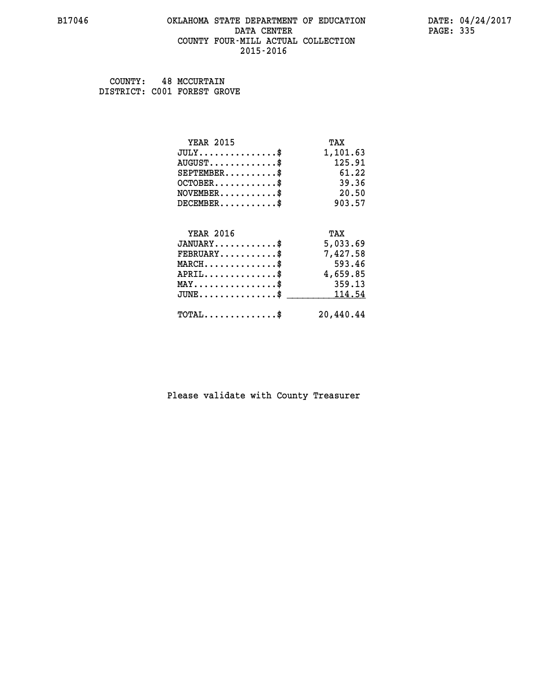### **B17046 OKLAHOMA STATE DEPARTMENT OF EDUCATION DATE: 04/24/2017 DATA CENTER** PAGE: 335  **COUNTY FOUR-MILL ACTUAL COLLECTION 2015-2016**

 **COUNTY: 48 MCCURTAIN DISTRICT: C001 FOREST GROVE**

| <b>YEAR 2015</b>                           | TAX       |
|--------------------------------------------|-----------|
| $JULY$ \$                                  | 1,101.63  |
| $AUGUST$ \$                                | 125.91    |
| $SEPTEMENT.$ \$                            | 61.22     |
| $OCTOBER$ \$                               | 39.36     |
| $NOVEMBER$ \$                              | 20.50     |
| $DECEMBER$ \$                              | 903.57    |
|                                            |           |
| <b>YEAR 2016</b>                           | TAX       |
| $JANUARY$ \$                               | 5,033.69  |
| $FEBRUARY$                                 | 7,427.58  |
| $MARCH$ \$                                 | 593.46    |
| $APRIL$ \$                                 | 4,659.85  |
| $MAX \dots \dots \dots \dots \dots$        | 359.13    |
| $JUNE$                                     | 114.54    |
| $\texttt{TOTAL} \dots \dots \dots \dots \$ | 20,440.44 |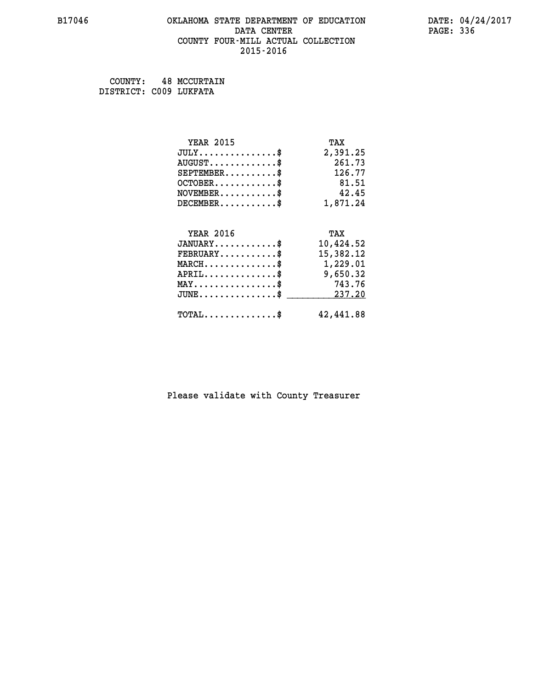## **B17046 OKLAHOMA STATE DEPARTMENT OF EDUCATION DATE: 04/24/2017 DATA CENTER** PAGE: 336  **COUNTY FOUR-MILL ACTUAL COLLECTION 2015-2016**

 **COUNTY: 48 MCCURTAIN DISTRICT: C009 LUKFATA**

| <b>YEAR 2015</b>                                 | TAX       |
|--------------------------------------------------|-----------|
| $JULY$ \$                                        | 2,391.25  |
| $AUGUST$ \$                                      | 261.73    |
| $SEPTEMBER$ \$                                   | 126.77    |
| $OCTOBER$ \$                                     | 81.51     |
| $NOVEMBER$ \$                                    | 42.45     |
| $DECEMBER$ \$                                    | 1,871.24  |
|                                                  |           |
| <b>YEAR 2016</b>                                 | TAX       |
| $JANUARY$ \$                                     | 10,424.52 |
| $FEBRUARY$                                       | 15,382.12 |
| $MARCH$ \$                                       | 1,229.01  |
| $APRIL \ldots \ldots \ldots \ldots$              | 9,650.32  |
| $\texttt{MAX} \dots \dots \dots \dots \dots \$$  | 743.76    |
| $\texttt{JUNE} \dots \dots \dots \dots \dots \$$ | 237.20    |
| $\texttt{TOTAL} \dots \dots \dots \dots \$       | 42,441.88 |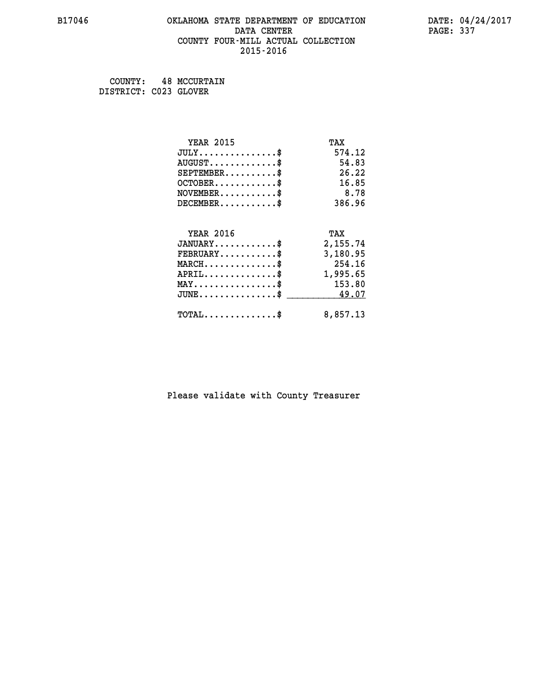## **B17046 OKLAHOMA STATE DEPARTMENT OF EDUCATION DATE: 04/24/2017 DATA CENTER** PAGE: 337  **COUNTY FOUR-MILL ACTUAL COLLECTION 2015-2016**

 **COUNTY: 48 MCCURTAIN DISTRICT: C023 GLOVER**

| <b>YEAR 2015</b>                           | TAX      |
|--------------------------------------------|----------|
| $JULY$ \$                                  | 574.12   |
| $AUGUST$ \$                                | 54.83    |
| $SEPTEMBER$ \$                             | 26.22    |
| $OCTOBER$ \$                               | 16.85    |
| $NOVEMBER$ \$                              | 8.78     |
| $DECEMBER$ \$                              | 386.96   |
|                                            |          |
| <b>YEAR 2016</b>                           | TAX      |
| $JANUARY$ \$                               | 2,155.74 |
| $FEBRUARY$                                 | 3,180.95 |
| $MARCH$ \$                                 | 254.16   |
| $APRIL \ldots \ldots \ldots \$             | 1,995.65 |
| $MAX \dots \dots \dots \dots \dots$        | 153.80   |
| $JUNE$ \$                                  | 49.07    |
| $\texttt{TOTAL} \dots \dots \dots \dots \$ | 8,857.13 |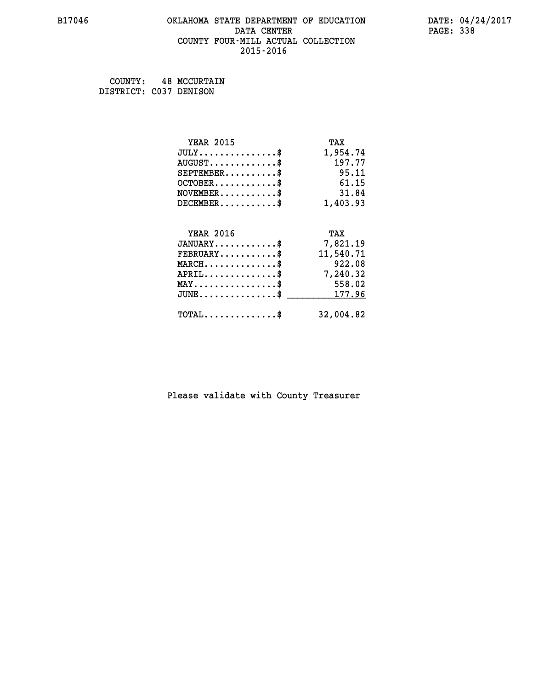## **B17046 OKLAHOMA STATE DEPARTMENT OF EDUCATION DATE: 04/24/2017 DATA CENTER** PAGE: 338  **COUNTY FOUR-MILL ACTUAL COLLECTION 2015-2016**

 **COUNTY: 48 MCCURTAIN DISTRICT: C037 DENISON**

| <b>YEAR 2015</b>                               | TAX       |
|------------------------------------------------|-----------|
| $JULY$ \$                                      | 1,954.74  |
| $AUGUST$ \$                                    | 197.77    |
| $SEPTEMENT.$ \$                                | 95.11     |
| $OCTOBER$ \$                                   | 61.15     |
| $NOVEMBER.$ \$                                 | 31.84     |
| $DECEMBER$ \$                                  | 1,403.93  |
|                                                |           |
| <b>YEAR 2016</b>                               | TAX       |
| $JANUARY$ \$                                   | 7,821.19  |
| $FEBRUARY$ \$                                  | 11,540.71 |
| $MARCH$ \$                                     | 922.08    |
| $APRIL$ \$                                     | 7,240.32  |
| $\texttt{MAX} \dots \dots \dots \dots \dots \$ | 558.02    |
| $JUNE$ \$                                      | 177.96    |
| $\texttt{TOTAL} \dots \dots \dots \dots \$     | 32,004.82 |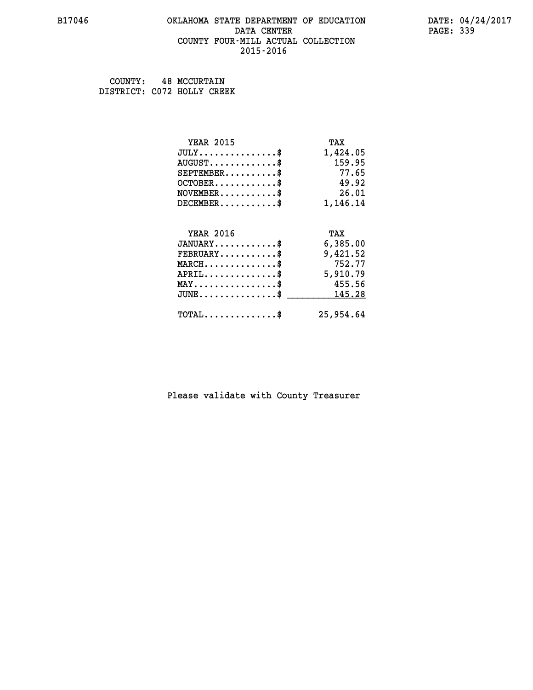## **B17046 OKLAHOMA STATE DEPARTMENT OF EDUCATION DATE: 04/24/2017 DATA CENTER** PAGE: 339  **COUNTY FOUR-MILL ACTUAL COLLECTION 2015-2016**

 **COUNTY: 48 MCCURTAIN DISTRICT: C072 HOLLY CREEK**

| <b>YEAR 2015</b>                               | TAX       |
|------------------------------------------------|-----------|
| $JULY$ \$                                      | 1,424.05  |
| $AUGUST$ \$                                    | 159.95    |
| $SEPTEMENT.$ \$                                | 77.65     |
| $OCTOBER$ \$                                   | 49.92     |
| $\texttt{NOVEMBER} \dots \dots \dots \$        | 26.01     |
| $DECEMBER$ \$                                  | 1,146.14  |
|                                                |           |
| <b>YEAR 2016</b>                               | TAX       |
| $JANUARY$ \$                                   | 6,385.00  |
| $FEBRUARY$ \$                                  | 9,421.52  |
| $MARCH$ \$                                     | 752.77    |
| $APRIL$ \$                                     | 5,910.79  |
| $\texttt{MAX} \dots \dots \dots \dots \dots \$ | 455.56    |
| $JUNE$ \$                                      | 145.28    |
| $\texttt{TOTAL} \dots \dots \dots \dots \$     | 25,954.64 |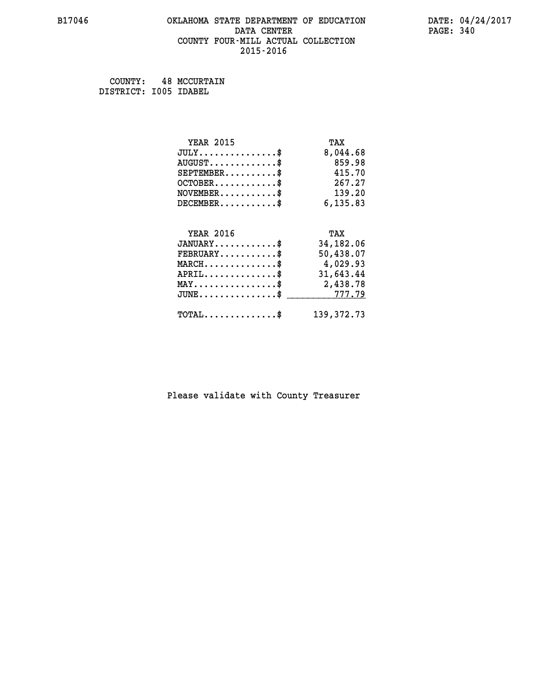## **B17046 OKLAHOMA STATE DEPARTMENT OF EDUCATION DATE: 04/24/2017 DATA CENTER** PAGE: 340  **COUNTY FOUR-MILL ACTUAL COLLECTION 2015-2016**

 **COUNTY: 48 MCCURTAIN DISTRICT: I005 IDABEL**

| <b>YEAR 2015</b>                               | TAX          |
|------------------------------------------------|--------------|
| $JULY$ \$                                      | 8,044.68     |
| $AUGUST$ \$                                    | 859.98       |
| $SEPTEMBER$                                    | 415.70       |
| $OCTOBER$ \$                                   | 267.27       |
| $\texttt{NOVEMBER} \dots \dots \dots \$        | 139.20       |
| $DECEMBER$ \$                                  | 6,135.83     |
|                                                |              |
| <b>YEAR 2016</b>                               | TAX          |
| $JANUARY$ \$                                   | 34,182.06    |
| $FEBRUARY$                                     | 50,438.07    |
| $MARCH$ \$                                     | 4,029.93     |
| $APRIL$ \$                                     | 31,643.44    |
| $\texttt{MAX} \dots \dots \dots \dots \dots \$ | 2,438.78     |
| $JUNE$ \$                                      | 777.79       |
| $\texttt{TOTAL} \dots \dots \dots \dots \$     | 139, 372. 73 |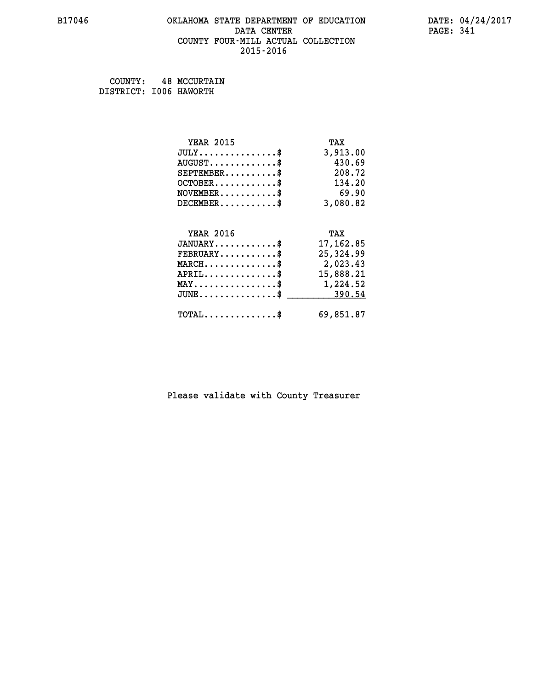## **B17046 OKLAHOMA STATE DEPARTMENT OF EDUCATION DATE: 04/24/2017 DATA CENTER** PAGE: 341  **COUNTY FOUR-MILL ACTUAL COLLECTION 2015-2016**

 **COUNTY: 48 MCCURTAIN DISTRICT: I006 HAWORTH**

| <b>YEAR 2015</b>                               | TAX        |
|------------------------------------------------|------------|
| $JULY$ \$                                      | 3,913.00   |
| $AUGUST$ \$                                    | 430.69     |
| $SEPTEMBER$ \$                                 | 208.72     |
| $OCTOBER$ \$                                   | 134.20     |
| $\texttt{NOVEMBER} \dots \dots \dots \$        | 69.90      |
| $DECEMBER$ \$                                  | 3,080.82   |
|                                                |            |
| <b>YEAR 2016</b>                               | TAX        |
| $JANUARY$ \$                                   | 17, 162.85 |
| $FEBRUARY$                                     | 25,324.99  |
| MARCH\$ 2,023.43                               |            |
| $APRIL \ldots \ldots \ldots \ldots \$          | 15,888.21  |
| $\texttt{MAX} \dots \dots \dots \dots \dots \$ | 1,224.52   |
| $JUNE \ldots \ldots \ldots \ldots \$ 390.54    |            |
| $\texttt{TOTAL} \dots \dots \dots \dots \$     | 69,851.87  |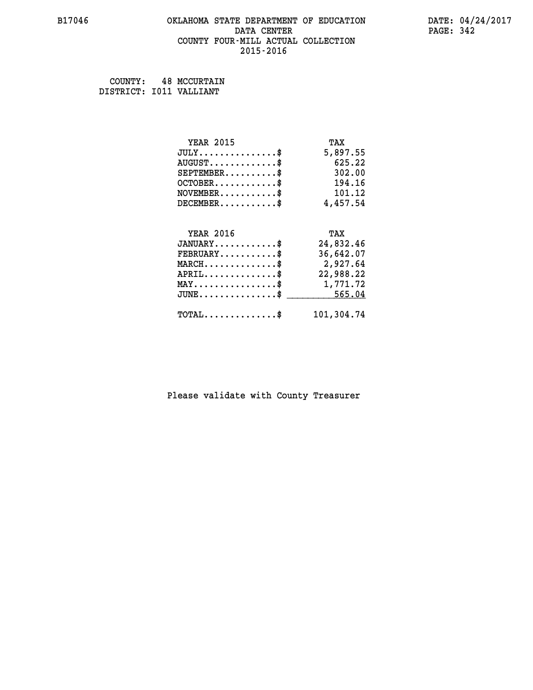## **B17046 OKLAHOMA STATE DEPARTMENT OF EDUCATION DATE: 04/24/2017 DATA CENTER** PAGE: 342  **COUNTY FOUR-MILL ACTUAL COLLECTION 2015-2016**

 **COUNTY: 48 MCCURTAIN DISTRICT: I011 VALLIANT**

| <b>YEAR 2015</b>                               | TAX        |
|------------------------------------------------|------------|
| $JULY$ \$                                      | 5,897.55   |
| $AUGUST$ \$                                    | 625.22     |
| $SEPTEMBER$ \$                                 | 302.00     |
| $OCTOBER$ \$                                   | 194.16     |
| $NOVEMBER$ \$                                  | 101.12     |
| $DECEMBER$ \$                                  | 4,457.54   |
|                                                |            |
| <b>YEAR 2016</b>                               | TAX        |
| $JANUARY$ \$                                   | 24,832.46  |
| $FEBRUARY$                                     | 36,642.07  |
| $MARCH$ \$                                     | 2,927.64   |
| $APRIL$ \$                                     | 22,988.22  |
| $\texttt{MAX} \dots \dots \dots \dots \dots \$ | 1,771.72   |
| $JUNE$ $$$                                     | 565.04     |
| $\texttt{TOTAL} \dots \dots \dots \dots \$     | 101,304.74 |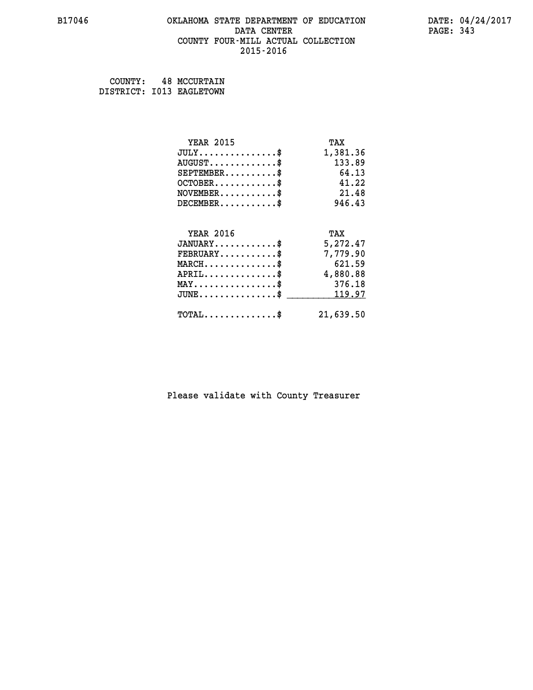## **B17046 OKLAHOMA STATE DEPARTMENT OF EDUCATION DATE: 04/24/2017 DATA CENTER** PAGE: 343  **COUNTY FOUR-MILL ACTUAL COLLECTION 2015-2016**

 **COUNTY: 48 MCCURTAIN DISTRICT: I013 EAGLETOWN**

| <b>YEAR 2015</b>                                   | TAX       |
|----------------------------------------------------|-----------|
| $JULY$ \$                                          | 1,381.36  |
| $AUGUST$ \$                                        | 133.89    |
| $SEPTEMBER$ \$                                     | 64.13     |
| $OCTOBER$ \$                                       | 41.22     |
| $NOVEMBER$ \$                                      | 21.48     |
| $DECEMBER$ \$                                      | 946.43    |
|                                                    |           |
| <b>YEAR 2016</b>                                   | TAX       |
| $JANUARY$ \$                                       | 5,272.47  |
| $FEBRUARY$                                         | 7,779.90  |
| $MARCH$ \$                                         | 621.59    |
| $APRIL$ \$                                         | 4,880.88  |
| $MAX \dots \dots \dots \dots \dots$                | 376.18    |
| $\texttt{JUNE} \dots \dots \dots \dots \texttt{S}$ | 119.97    |
| $TOTAL$ \$                                         | 21,639.50 |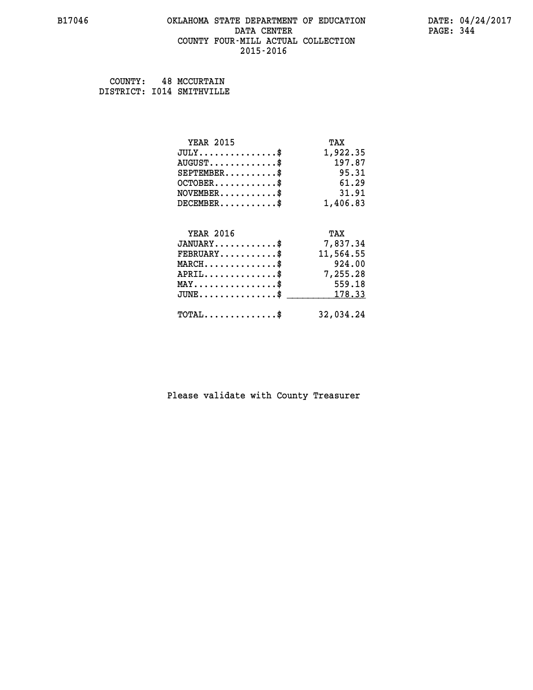## **B17046 OKLAHOMA STATE DEPARTMENT OF EDUCATION DATE: 04/24/2017 DATA CENTER** PAGE: 344  **COUNTY FOUR-MILL ACTUAL COLLECTION 2015-2016**

 **COUNTY: 48 MCCURTAIN DISTRICT: I014 SMITHVILLE**

| <b>YEAR 2015</b>                                 | TAX       |
|--------------------------------------------------|-----------|
| $JULY$ \$                                        | 1,922.35  |
| $AUGUST$ \$                                      | 197.87    |
| $SEPTEMBER$ \$                                   | 95.31     |
| $OCTOBER$ \$                                     | 61.29     |
| $NOVEMBER.$ \$                                   | 31.91     |
| $DECEMBER$ \$                                    | 1,406.83  |
|                                                  |           |
| <b>YEAR 2016</b>                                 | TAX       |
| $JANUARY$ \$                                     | 7,837.34  |
| $FEBRUARY$ \$                                    | 11,564.55 |
| $MARCH$ \$                                       | 924.00    |
| $APRIL \ldots \ldots \ldots \ldots$              | 7,255.28  |
| $\texttt{MAX} \dots \dots \dots \dots \dots \$   | 559.18    |
| $\texttt{JUNE} \dots \dots \dots \dots \dots \$$ | 178.33    |
| $\texttt{TOTAL} \dots \dots \dots \dots \$       | 32,034.24 |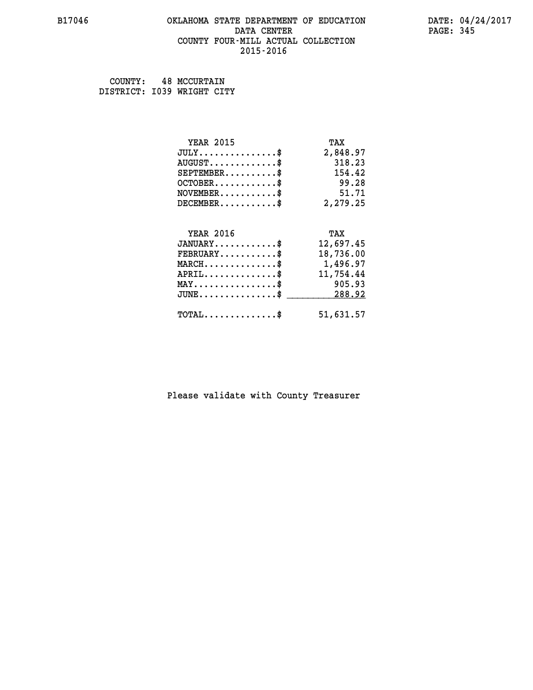### **B17046 OKLAHOMA STATE DEPARTMENT OF EDUCATION DATE: 04/24/2017 DATA CENTER** PAGE: 345  **COUNTY FOUR-MILL ACTUAL COLLECTION 2015-2016**

 **COUNTY: 48 MCCURTAIN DISTRICT: I039 WRIGHT CITY**

| <b>YEAR 2015</b>                           | TAX       |
|--------------------------------------------|-----------|
| $JULY$ \$                                  | 2,848.97  |
| $AUGUST$ \$                                | 318.23    |
| $SEPTEMBER$                                | 154.42    |
| $OCTOBER$ \$                               | 99.28     |
| $NOVEMENTER$ \$                            | 51.71     |
| $DECEMBER$ \$                              | 2,279.25  |
|                                            |           |
|                                            |           |
| <b>YEAR 2016</b>                           | TAX       |
| $JANUARY$ \$                               | 12,697.45 |
| $FEBRUARY$                                 | 18,736.00 |
| $MARCH$ \$                                 | 1,496.97  |
| $APRIL$ \$                                 | 11,754.44 |
| $MAX \dots \dots \dots \dots \dots$        | 905.93    |
| $JUNE$                                     | 288.92    |
| $\texttt{TOTAL} \dots \dots \dots \dots \$ | 51,631.57 |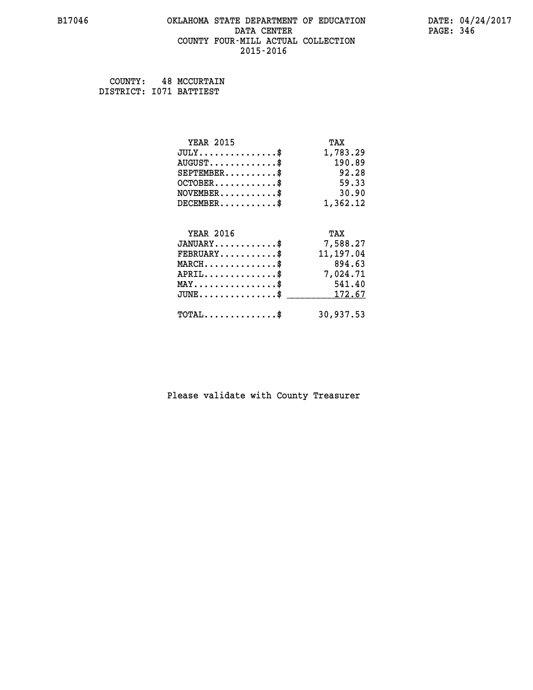## **B17046 OKLAHOMA STATE DEPARTMENT OF EDUCATION DATE: 04/24/2017 DATA CENTER** PAGE: 346  **COUNTY FOUR-MILL ACTUAL COLLECTION 2015-2016**

 **COUNTY: 48 MCCURTAIN DISTRICT: I071 BATTIEST**

| <b>YEAR 2015</b>                | TAX        |
|---------------------------------|------------|
| $JULY$ \$                       | 1,783.29   |
| $AUGUST$ \$                     | 190.89     |
| $SEPTEMENT.$ \$                 | 92.28      |
| $OCTOBER$ \$                    | 59.33      |
| $NOVEMBER$ \$                   | 30.90      |
| $DECEMBER$ \$                   | 1,362.12   |
|                                 |            |
| <b>YEAR 2016</b>                | TAX        |
| $JANUARY$ \$                    | 7,588.27   |
| $FEBRUARY$ \$                   | 11, 197.04 |
| $MARCH$ \$                      | 894.63     |
| $APRIL$ \$                      | 7,024.71   |
| $MAX \dots \dots \dots \dots \$ | 541.40     |
| $JUNE$                          | 172.67     |
| $TOTAL$ \$                      | 30,937.53  |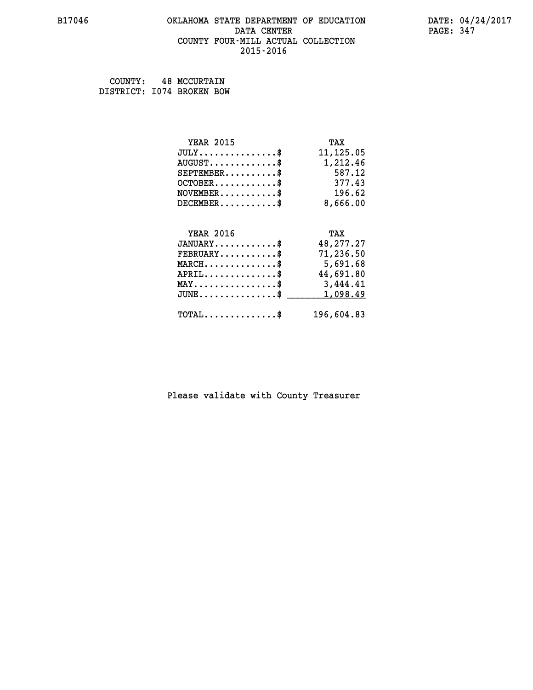## **B17046 OKLAHOMA STATE DEPARTMENT OF EDUCATION DATE: 04/24/2017 DATA CENTER** PAGE: 347  **COUNTY FOUR-MILL ACTUAL COLLECTION 2015-2016**

 **COUNTY: 48 MCCURTAIN DISTRICT: I074 BROKEN BOW**

| <b>YEAR 2015</b>                               | TAX        |
|------------------------------------------------|------------|
| $JULY$ \$                                      | 11,125.05  |
| $AUGUST$ \$                                    | 1,212.46   |
| $SEPTEMBER$ \$                                 | 587.12     |
| $OCTOBER$ \$                                   | 377.43     |
| $NOVEMBER.$ \$                                 | 196.62     |
| $DECEMBER$ \$                                  | 8,666.00   |
|                                                |            |
| <b>YEAR 2016</b>                               | TAX        |
| $JANUARY$ \$                                   | 48,277.27  |
| $FEBRUARY$                                     | 71,236.50  |
| $MARCH$ \$                                     | 5,691.68   |
| $APRIL$ \$                                     | 44,691.80  |
| $\texttt{MAX} \dots \dots \dots \dots \dots \$ | 3,444.41   |
| $JUNE$ \$                                      | 1,098.49   |
| $\texttt{TOTAL} \dots \dots \dots \dots \$     | 196,604.83 |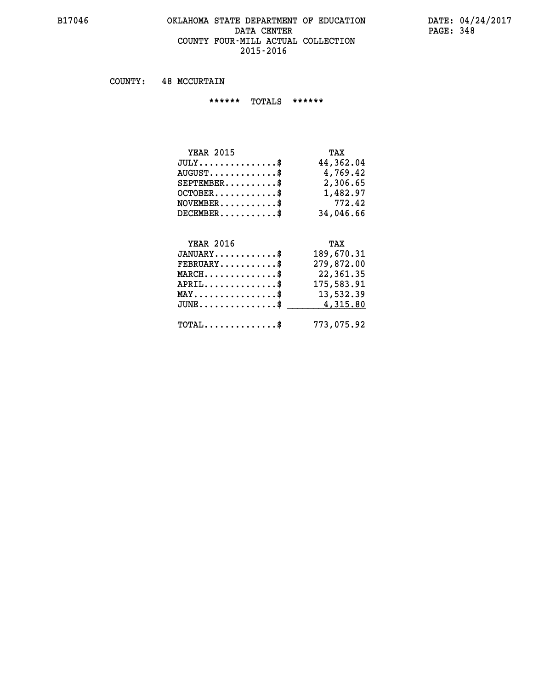## **B17046 OKLAHOMA STATE DEPARTMENT OF EDUCATION DATE: 04/24/2017** DATA CENTER PAGE: 348  **COUNTY FOUR-MILL ACTUAL COLLECTION 2015-2016**

 **COUNTY: 48 MCCURTAIN**

 **\*\*\*\*\*\* TOTALS \*\*\*\*\*\***

| <b>YEAR 2015</b>                       | TAX       |
|----------------------------------------|-----------|
| $JULY \ldots \ldots \ldots \mathbb{S}$ | 44,362.04 |
| $AUGUST$ \$                            | 4,769.42  |
| $SEPTEMBER$                            | 2,306.65  |
| $OCTOBER$ \$                           | 1,482.97  |
| $NOVEMBER$ \$                          | 772.42    |
| $DECEMBER$                             | 34,046.66 |

#### **YEAR 2016 TAX JANUARY............\$ 189,670.31 FEBRUARY...........\$ 279,872.00 MARCH..............\$ 22,361.35 APRIL..............\$ 175,583.91**

| MAY\$ 13,532.39<br>$JUNE \ldots \ldots \ldots \ldots$ \$ 4,315.80 |  |
|-------------------------------------------------------------------|--|
| $\texttt{TOTAL} \dots \dots \dots \dots \$ 773,075.92             |  |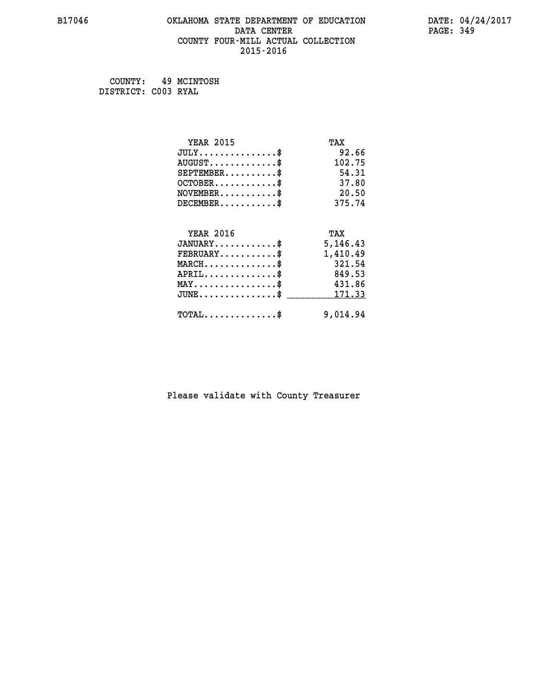## **B17046 OKLAHOMA STATE DEPARTMENT OF EDUCATION DATE: 04/24/2017 DATA CENTER** PAGE: 349  **COUNTY FOUR-MILL ACTUAL COLLECTION 2015-2016**

 **COUNTY: 49 MCINTOSH DISTRICT: C003 RYAL**

| <b>YEAR 2015</b>                           | TAX      |
|--------------------------------------------|----------|
| $JULY$ \$                                  | 92.66    |
| $AUGUST$ \$                                | 102.75   |
| $SEPTEMBER$ \$                             | 54.31    |
| $OCTOBER$ \$                               | 37.80    |
| $NOVEMBER$ \$                              | 20.50    |
| $DECEMBER$                                 | 375.74   |
|                                            |          |
| <b>YEAR 2016</b>                           | TAX      |
| $JANUARY$ \$                               | 5,146.43 |
| $FEBRUARY$                                 | 1,410.49 |
| $MARCH$ \$                                 | 321.54   |
| $APRIL$ \$                                 | 849.53   |
| $MAX \dots \dots \dots \dots \dots$        | 431.86   |
| $JUNE$ \$                                  | 171.33   |
| $\texttt{TOTAL} \dots \dots \dots \dots \$ | 9,014.94 |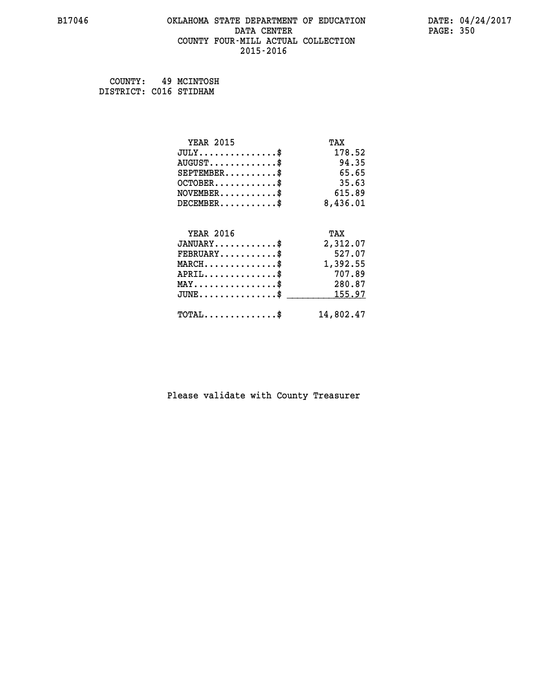## **B17046 OKLAHOMA STATE DEPARTMENT OF EDUCATION DATE: 04/24/2017 DATA CENTER** PAGE: 350  **COUNTY FOUR-MILL ACTUAL COLLECTION 2015-2016**

 **COUNTY: 49 MCINTOSH DISTRICT: C016 STIDHAM**

| <b>YEAR 2015</b>                                  | TAX       |
|---------------------------------------------------|-----------|
| $JULY$ \$                                         | 178.52    |
| $AUGUST$ \$                                       | 94.35     |
| $SEPTEMENT.$ \$                                   | 65.65     |
| $OCTOBER$ \$                                      | 35.63     |
| $NOVEMBER.$ \$                                    | 615.89    |
| $DECEMBER$ \$                                     | 8,436.01  |
| <b>YEAR 2016</b>                                  | TAX       |
| $JANUARY$ \$                                      | 2,312.07  |
| $FEBRUARY$                                        | 527.07    |
|                                                   |           |
| $\texttt{MARCH}\ldots\ldots\ldots\ldots\clubsuit$ | 1,392.55  |
| $APRIL$ \$                                        | 707.89    |
| $MAX \dots \dots \dots \dots \$                   | 280.87    |
| $JUNE$ \$                                         | 155.97    |
| $\texttt{TOTAL} \dots \dots \dots \dots \$        | 14,802.47 |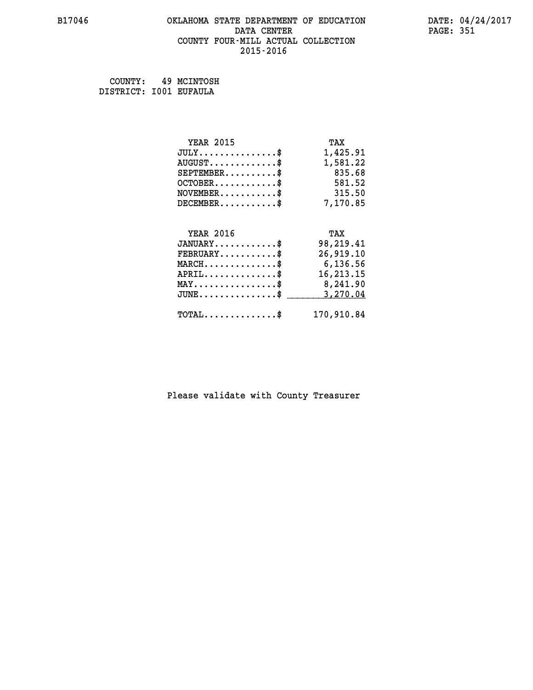## **B17046 OKLAHOMA STATE DEPARTMENT OF EDUCATION DATE: 04/24/2017 DATA CENTER** PAGE: 351  **COUNTY FOUR-MILL ACTUAL COLLECTION 2015-2016**

 **COUNTY: 49 MCINTOSH DISTRICT: I001 EUFAULA**

| <b>YEAR 2015</b>                                 | TAX        |
|--------------------------------------------------|------------|
| $JULY$ \$                                        | 1,425.91   |
| $AUGUST$ \$                                      | 1,581.22   |
| $SEPTEMBER$ \$                                   | 835.68     |
| $OCTOBER$ \$                                     | 581.52     |
| $\texttt{NOVEMBER} \dots \dots \dots \$$         | 315.50     |
| $DECEMBER$ \$                                    | 7,170.85   |
|                                                  |            |
| <b>YEAR 2016</b>                                 | TAX        |
| $JANUARY$ \$                                     | 98,219.41  |
| $FEBRUARY$                                       | 26,919.10  |
| MARCH\$ 6,136.56                                 |            |
| $APRIL \ldots \ldots \ldots \ldots$              | 16,213.15  |
| MAY\$ 8,241.90                                   |            |
| $\texttt{JUNE} \dots \dots \dots \dots \dots \$$ | 3,270.04   |
| $\texttt{TOTAL} \dots \dots \dots \dots$         | 170,910.84 |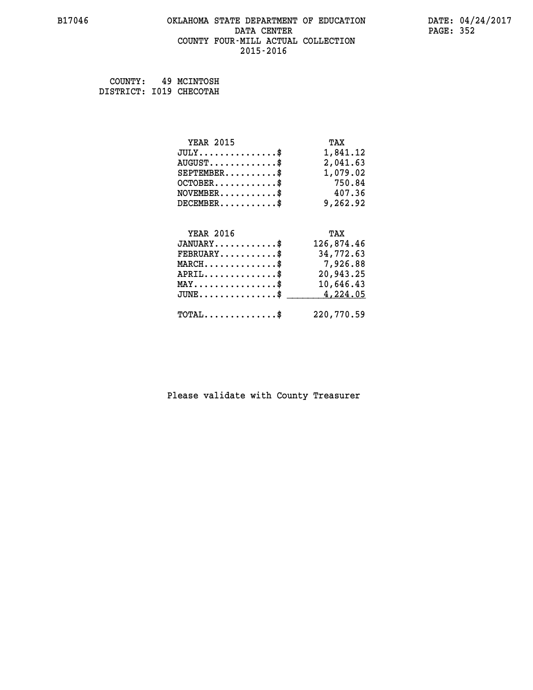## **B17046 OKLAHOMA STATE DEPARTMENT OF EDUCATION DATE: 04/24/2017 DATA CENTER** PAGE: 352  **COUNTY FOUR-MILL ACTUAL COLLECTION 2015-2016**

 **COUNTY: 49 MCINTOSH DISTRICT: I019 CHECOTAH**

| <b>YEAR 2015</b>                               | TAX        |
|------------------------------------------------|------------|
| $JULY$ \$                                      | 1,841.12   |
| $AUGUST$ \$                                    | 2,041.63   |
| $SEPTEMBER$                                    | 1,079.02   |
| $OCTOBER$ \$                                   | 750.84     |
| $\texttt{NOVEMBER} \dots \dots \dots \$        | 407.36     |
| $DECEMBER$ \$                                  | 9,262.92   |
|                                                |            |
| <b>YEAR 2016</b>                               | TAX        |
| $JANUARY$ \$                                   | 126,874.46 |
| $FEBRUARY$                                     | 34,772.63  |
| $MARCH$ \$                                     | 7,926.88   |
| $APRIL$ \$                                     | 20,943.25  |
| $\texttt{MAX} \dots \dots \dots \dots \dots \$ | 10,646.43  |
| $JUNE$ \$                                      | 4,224.05   |
| $\texttt{TOTAL} \dots \dots \dots \dots \$     | 220,770.59 |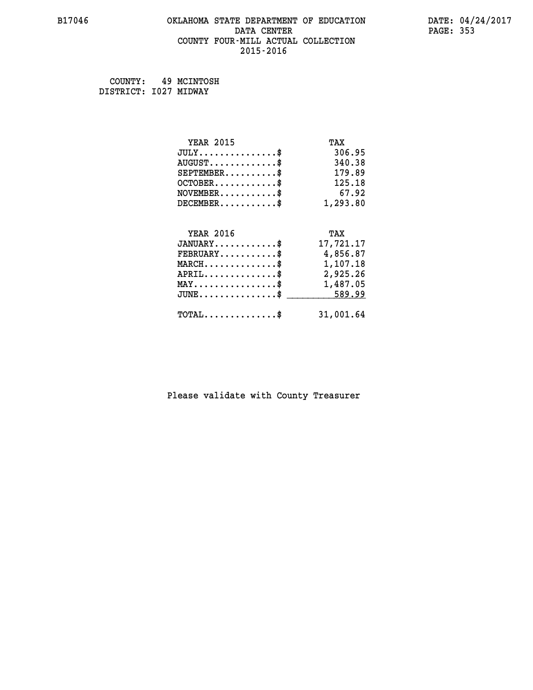## **B17046 OKLAHOMA STATE DEPARTMENT OF EDUCATION DATE: 04/24/2017 DATA CENTER** PAGE: 353  **COUNTY FOUR-MILL ACTUAL COLLECTION 2015-2016**

 **COUNTY: 49 MCINTOSH DISTRICT: I027 MIDWAY**

| <b>YEAR 2015</b>                                 | TAX       |
|--------------------------------------------------|-----------|
| $JULY$ \$                                        | 306.95    |
| $AUGUST$ \$                                      | 340.38    |
| $SEPTEMBER$ \$                                   | 179.89    |
| $OCTOBER$ \$                                     | 125.18    |
| $\texttt{NOVEMBER} \dots \dots \dots \$          | 67.92     |
| $DECEMBER$ \$                                    | 1,293.80  |
|                                                  |           |
| <b>YEAR 2016</b>                                 | TAX       |
| $JANUARY$ \$                                     | 17,721.17 |
| $FEBRUARY$                                       | 4,856.87  |
| $\texttt{MARCH}\ldots\ldots\ldots\ldots\text{*}$ | 1,107.18  |
| $APRIL \ldots \ldots \ldots \ldots \$            | 2,925.26  |
| $\texttt{MAX} \dots \dots \dots \dots \dots \$   | 1,487.05  |
| $JUNE \ldots \ldots \ldots \ldots \ast$          | 589.99    |
| $\texttt{TOTAL} \dots \dots \dots \dots \$       | 31,001.64 |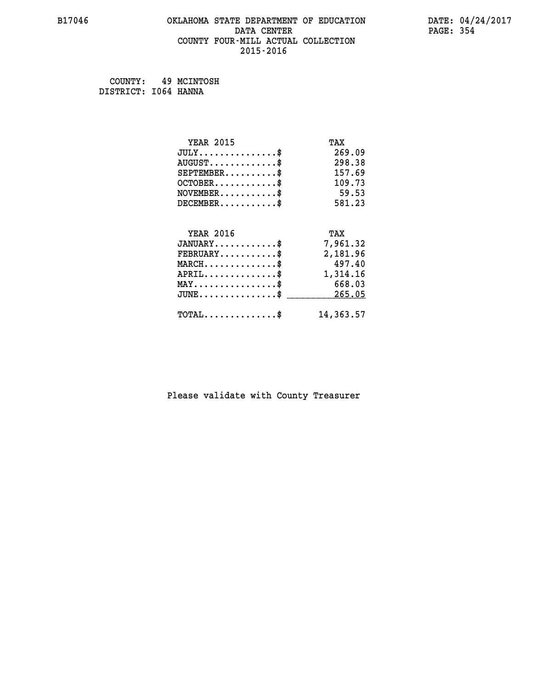## **B17046 OKLAHOMA STATE DEPARTMENT OF EDUCATION DATE: 04/24/2017 DATA CENTER** PAGE: 354  **COUNTY FOUR-MILL ACTUAL COLLECTION 2015-2016**

 **COUNTY: 49 MCINTOSH DISTRICT: I064 HANNA**

| <b>YEAR 2015</b>                                   | TAX       |
|----------------------------------------------------|-----------|
| $JULY$ \$                                          | 269.09    |
| $AUGUST$ \$                                        | 298.38    |
| $SEPTEMBER$ \$                                     | 157.69    |
| $OCTOBER$ \$                                       | 109.73    |
| $NOVEMBER$ \$                                      | 59.53     |
| $DECEMBER$ \$                                      | 581.23    |
|                                                    |           |
| <b>YEAR 2016</b>                                   | TAX       |
| $JANUARY$ \$                                       | 7,961.32  |
| $FEBRUARY$                                         | 2,181.96  |
| $MARCH$ \$                                         | 497.40    |
| $APRIL$ \$                                         | 1,314.16  |
| $MAX \dots \dots \dots \dots \dots$                | 668.03    |
| $\texttt{JUNE} \dots \dots \dots \dots \texttt{S}$ | 265.05    |
| $\texttt{TOTAL} \dots \dots \dots \dots \$         | 14,363.57 |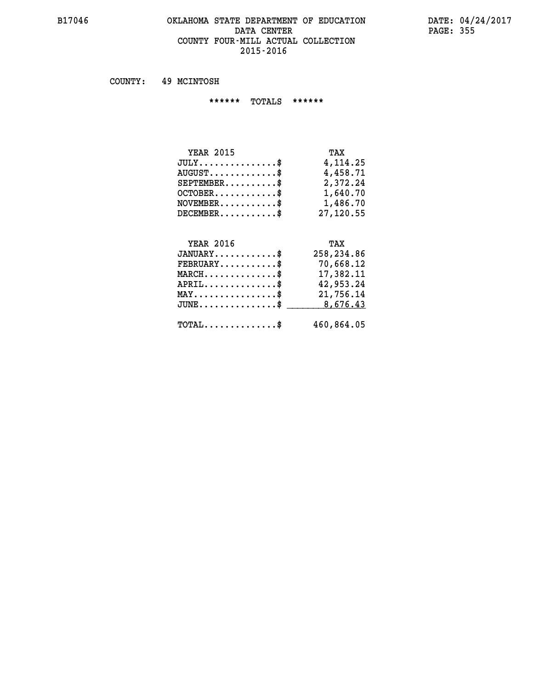### **B17046 OKLAHOMA STATE DEPARTMENT OF EDUCATION DATE: 04/24/2017** DATA CENTER PAGE: 355  **COUNTY FOUR-MILL ACTUAL COLLECTION 2015-2016**

 **COUNTY: 49 MCINTOSH**

 **\*\*\*\*\*\* TOTALS \*\*\*\*\*\***

| <b>YEAR 2015</b>                 | TAX        |
|----------------------------------|------------|
| $JULY \ldots \ldots \ldots \$    | 4, 114, 25 |
| $AUGUST \ldots \ldots \ldots$ \$ | 4,458.71   |
| $SEPTEMBER$                      | 2,372.24   |
| $OCTOBER$                        | 1,640.70   |
| $NOVEMBER$ $\$                   | 1,486.70   |
| $DECEMBER$                       | 27,120.55  |

## **YEAR 2016 TAX JANUARY............\$ 258,234.86 FEBRUARY...........\$ 70,668.12 MARCH..............\$ 17,382.11 APRIL..............\$ 42,953.24 MAY................\$ 21,756.14 JUNE................\$** \_\_\_\_\_\_\_\_\_ 8,676.43  **TOTAL..............\$ 460,864.05**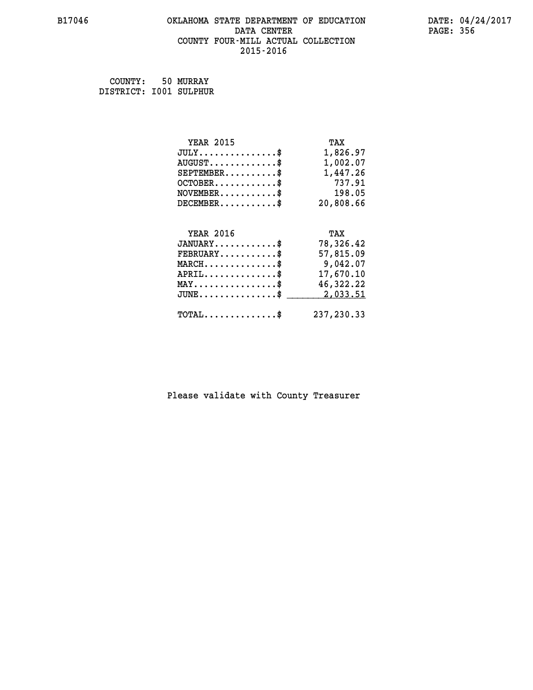## **B17046 OKLAHOMA STATE DEPARTMENT OF EDUCATION DATE: 04/24/2017 DATA CENTER** PAGE: 356  **COUNTY FOUR-MILL ACTUAL COLLECTION 2015-2016**

 **COUNTY: 50 MURRAY DISTRICT: I001 SULPHUR**

| <b>YEAR 2015</b>                               | TAX        |
|------------------------------------------------|------------|
| $JULY$ \$                                      | 1,826.97   |
| $AUGUST$ \$                                    | 1,002.07   |
| $SEPTEMBER$ \$                                 | 1,447.26   |
| $OCTOBER$ \$                                   | 737.91     |
| $NOVEMBER$ \$                                  | 198.05     |
| $DECEMBER$ \$                                  | 20,808.66  |
|                                                |            |
| <b>YEAR 2016</b>                               | TAX        |
| $JANUARY$ \$                                   | 78,326.42  |
| $FEBRUARY$                                     | 57,815.09  |
| $MARCH$ \$                                     | 9,042.07   |
| $APRIL$ \$                                     | 17,670.10  |
| $\texttt{MAX} \dots \dots \dots \dots \dots \$ | 46,322.22  |
| $JUNE$ \$                                      | 2,033.51   |
| $\texttt{TOTAL} \dots \dots \dots \dots \$     | 237,230.33 |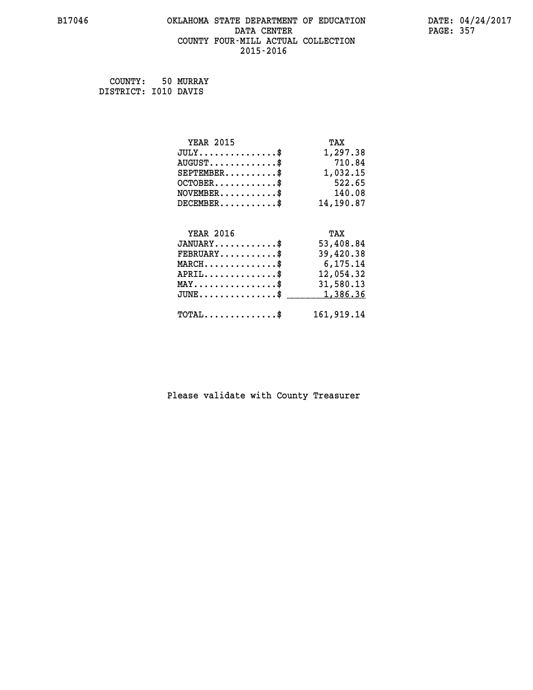## **B17046 OKLAHOMA STATE DEPARTMENT OF EDUCATION DATE: 04/24/2017 DATA CENTER** PAGE: 357  **COUNTY FOUR-MILL ACTUAL COLLECTION 2015-2016**

 **COUNTY: 50 MURRAY DISTRICT: I010 DAVIS**

| <b>YEAR 2015</b>                                  | TAX        |
|---------------------------------------------------|------------|
| $JULY$ \$                                         | 1,297.38   |
| $AUGUST$ \$                                       | 710.84     |
| $SEPTEMBER$ \$                                    | 1,032.15   |
| $OCTOBER$ \$                                      | 522.65     |
| $\texttt{NOVEMBER} \dots \dots \dots \$           | 140.08     |
| $DECEMBER$ \$                                     | 14,190.87  |
|                                                   |            |
|                                                   |            |
| <b>YEAR 2016</b>                                  | TAX        |
| $JANUARY$                                         | 53,408.84  |
| $FEBRUARY$                                        | 39,420.38  |
| $MARCH$ \$                                        | 6,175.14   |
| $APRIL \ldots \ldots \ldots \ldots *$             | 12,054.32  |
| $\texttt{MAX} \dots \dots \dots \dots \texttt{*}$ | 31,580.13  |
| $JUNE$ \$                                         | 1,386.36   |
| $\texttt{TOTAL} \dots \dots \dots \dots$          | 161,919.14 |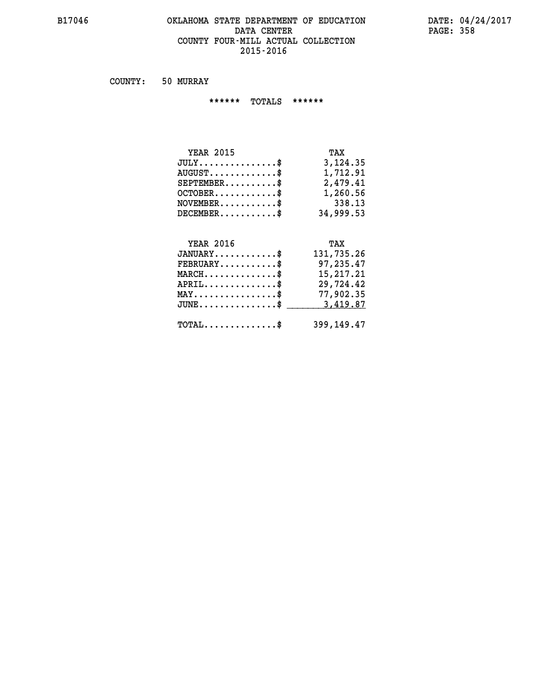### **B17046 OKLAHOMA STATE DEPARTMENT OF EDUCATION DATE: 04/24/2017 DATA CENTER PAGE: 358 COUNTY FOUR-MILL ACTUAL COLLECTION 2015-2016**

 **COUNTY: 50 MURRAY**

 **\*\*\*\*\*\* TOTALS \*\*\*\*\*\***

| <b>YEAR 2015</b>                 | TAX       |
|----------------------------------|-----------|
| $JULY \ldots \ldots \ldots \$    | 3,124.35  |
| $AUGUST \ldots \ldots \ldots$ \$ | 1,712.91  |
| $SEPTEMBER$ \$                   | 2,479.41  |
| $OCTOBER$                        | 1,260.56  |
| $NOVEMBER$ $\$                   | 338.13    |
| $DECEMBER$                       | 34,999.53 |

## **YEAR 2016 TAX JANUARY............\$ 131,735.26 FEBRUARY...........\$ 97,235.47 MARCH..............\$ 15,217.21 APRIL..............\$ 29,724.42 MAY................\$ 77,902.35 JUNE...............\$ 3,419.87 \_\_\_\_\_\_\_\_\_\_\_\_\_\_\_ TOTAL..............\$ 399,149.47**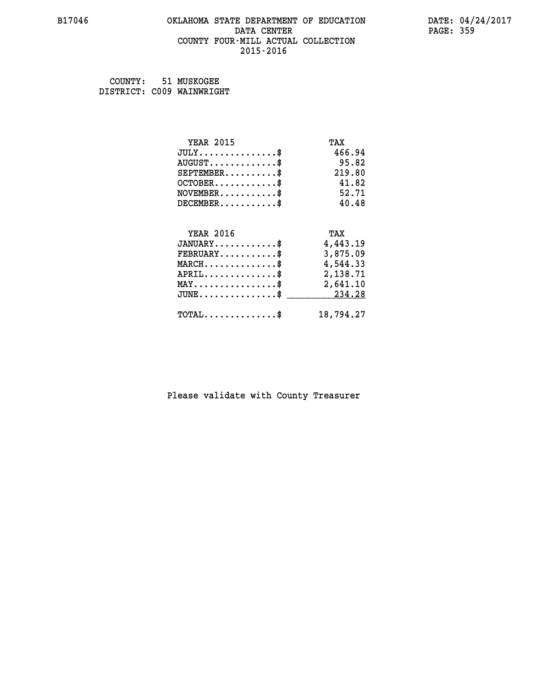## **B17046 OKLAHOMA STATE DEPARTMENT OF EDUCATION DATE: 04/24/2017 DATA CENTER** PAGE: 359  **COUNTY FOUR-MILL ACTUAL COLLECTION 2015-2016**

 **COUNTY: 51 MUSKOGEE DISTRICT: C009 WAINWRIGHT**

| <b>YEAR 2015</b>                                  | TAX       |
|---------------------------------------------------|-----------|
| $JULY$ \$                                         | 466.94    |
| $AUGUST$ \$                                       | 95.82     |
| $SEPTEMBER$ \$                                    | 219.80    |
| $OCTOBER$ \$                                      | 41.82     |
| $NOVEMBER$ \$                                     | 52.71     |
| $DECEMBER$ \$                                     | 40.48     |
| <b>YEAR 2016</b>                                  |           |
|                                                   | TAX       |
| $JANUARY$ \$                                      | 4,443.19  |
| $FEBRUARY$ \$                                     | 3,875.09  |
| $\texttt{MARCH}\ldots\ldots\ldots\ldots\clubsuit$ | 4,544.33  |
| $APRIL \ldots \ldots \ldots \ldots \$             | 2,138.71  |
| $\texttt{MAX} \dots \dots \dots \dots \dots \$    | 2,641.10  |
| $\texttt{JUNE}\dots\dots\dots\dots\dots\$         | 234.28    |
| $\texttt{TOTAL} \dots \dots \dots \dots \$        | 18,794.27 |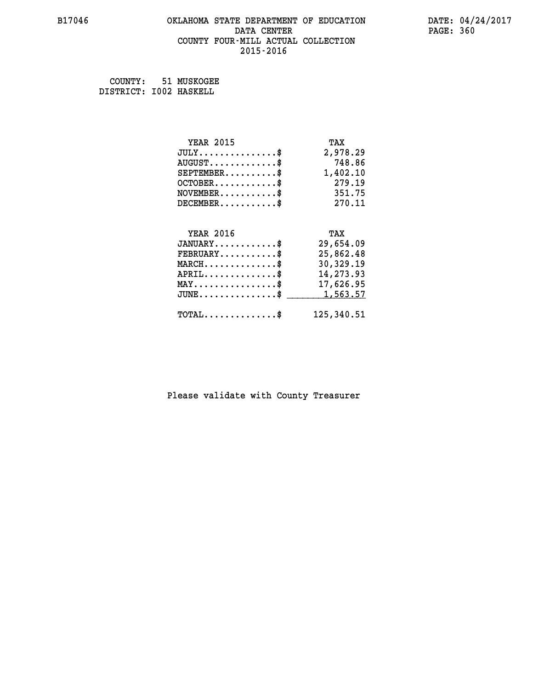## **B17046 OKLAHOMA STATE DEPARTMENT OF EDUCATION DATE: 04/24/2017 DATA CENTER** PAGE: 360  **COUNTY FOUR-MILL ACTUAL COLLECTION 2015-2016**

 **COUNTY: 51 MUSKOGEE DISTRICT: I002 HASKELL**

| <b>YEAR 2015</b>                               | TAX        |
|------------------------------------------------|------------|
| $JULY$ \$                                      | 2,978.29   |
| $AUGUST$ \$                                    | 748.86     |
| $SEPTEMBER$ \$                                 | 1,402.10   |
| $OCTOBER$ \$                                   | 279.19     |
| $NOVEMBER$ \$                                  | 351.75     |
| $DECEMBER$ \$                                  | 270.11     |
|                                                |            |
| <b>YEAR 2016</b>                               | TAX        |
| $JANUARY$ \$                                   | 29,654.09  |
| $FEBRUARY$                                     | 25,862.48  |
| $MARCH$ \$                                     | 30,329.19  |
| $APRIL$ \$                                     | 14,273.93  |
| $\texttt{MAX} \dots \dots \dots \dots \dots \$ | 17,626.95  |
| $JUNE \dots \dots \dots \dots \$               | 1,563.57   |
| $\texttt{TOTAL} \dots \dots \dots \dots \$     | 125,340.51 |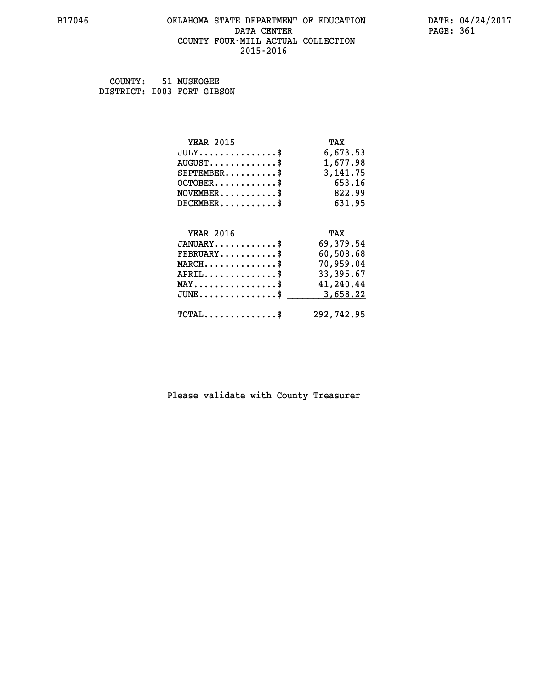#### **B17046 OKLAHOMA STATE DEPARTMENT OF EDUCATION DATE: 04/24/2017 DATA CENTER** PAGE: 361  **COUNTY FOUR-MILL ACTUAL COLLECTION 2015-2016**

 **COUNTY: 51 MUSKOGEE DISTRICT: I003 FORT GIBSON**

| <b>YEAR 2015</b>                                  | TAX        |
|---------------------------------------------------|------------|
| $JULY$ \$                                         | 6,673.53   |
| $AUGUST$ \$                                       | 1,677.98   |
| $SEPTEMENT.$ \$                                   | 3, 141. 75 |
| $OCTOBER$ \$                                      | 653.16     |
| $\texttt{NOVEMBER} \dots \dots \dots \$           | 822.99     |
| $DECEMBER$ \$                                     | 631.95     |
|                                                   |            |
| <b>YEAR 2016</b>                                  | TAX        |
| $JANUARY$ \$                                      | 69,379.54  |
| $FEBRUARY$                                        | 60,508.68  |
| $MARCH$ \$                                        | 70,959.04  |
| $APRIL \ldots \ldots \ldots \ldots \$             | 33,395.67  |
| $\texttt{MAX} \dots \dots \dots \dots \texttt{*}$ | 41,240.44  |
| $JUNE$ \$                                         | 3,658.22   |
| $\texttt{TOTAL} \dots \dots \dots \dots \$        | 292,742.95 |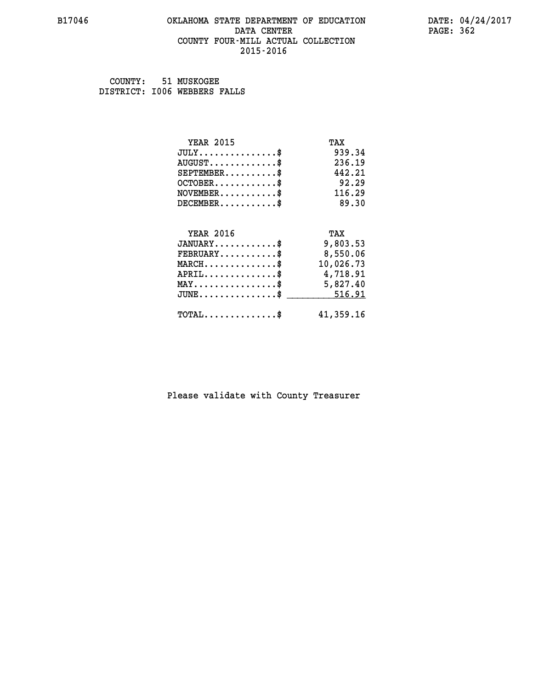#### **B17046 OKLAHOMA STATE DEPARTMENT OF EDUCATION DATE: 04/24/2017 DATA CENTER** PAGE: 362  **COUNTY FOUR-MILL ACTUAL COLLECTION 2015-2016**

 **COUNTY: 51 MUSKOGEE DISTRICT: I006 WEBBERS FALLS**

| <b>YEAR 2015</b>                               | TAX       |
|------------------------------------------------|-----------|
| $JULY$ \$                                      | 939.34    |
| $AUGUST$ \$                                    | 236.19    |
| $SEPTEMENT.$ \$                                | 442.21    |
| $OCTOBER$ \$                                   | 92.29     |
| $NOVEMBER$ \$                                  | 116.29    |
| $DECEMBER$ \$                                  | 89.30     |
|                                                |           |
| <b>YEAR 2016</b>                               | TAX       |
| $JANUARY$                                      | 9,803.53  |
| $FEBRUARY$                                     | 8,550.06  |
| $MARCH$ \$                                     | 10,026.73 |
| $APRIL$ \$                                     | 4,718.91  |
| $\texttt{MAX} \dots \dots \dots \dots \dots \$ | 5,827.40  |
| $JUNE$ \$                                      | 516.91    |
| $\texttt{TOTAL} \dots \dots \dots \dots \$     | 41,359.16 |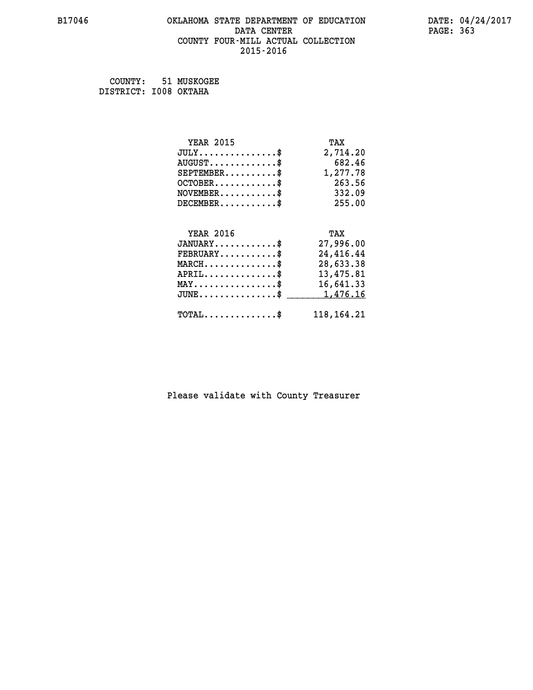# **B17046 OKLAHOMA STATE DEPARTMENT OF EDUCATION DATE: 04/24/2017 DATA CENTER** PAGE: 363  **COUNTY FOUR-MILL ACTUAL COLLECTION 2015-2016**

 **COUNTY: 51 MUSKOGEE DISTRICT: I008 OKTAHA**

| <b>YEAR 2015</b>                               | TAX          |
|------------------------------------------------|--------------|
| $JULY$ \$                                      | 2,714.20     |
| $AUGUST$ \$                                    | 682.46       |
| $SEPTEMBER$ \$                                 | 1,277.78     |
| $OCTOBER$ \$                                   | 263.56       |
| $\texttt{NOVEMBER} \dots \dots \dots \$        | 332.09       |
| $DECEMBER$ \$                                  | 255.00       |
|                                                |              |
| <b>YEAR 2016</b>                               | TAX          |
| $JANUARY$ \$                                   | 27,996.00    |
| $FEBRUARY$                                     | 24,416.44    |
| $MARCH$ \$                                     | 28,633.38    |
| $APRIL \ldots \ldots \ldots \ldots \$          | 13,475.81    |
| $\texttt{MAX} \dots \dots \dots \dots \dots \$ | 16,641.33    |
| $JUNE$ \$                                      | 1,476.16     |
| $\texttt{TOTAL} \dots \dots \dots \dots$       | 118, 164. 21 |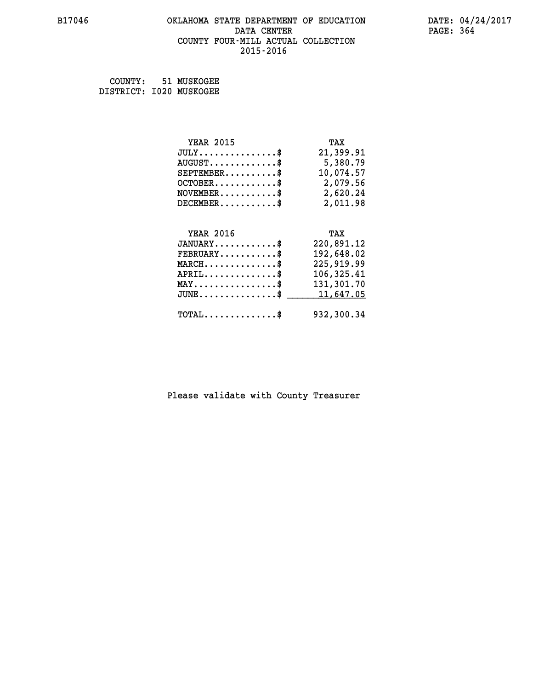# **B17046 OKLAHOMA STATE DEPARTMENT OF EDUCATION DATE: 04/24/2017 DATA CENTER** PAGE: 364  **COUNTY FOUR-MILL ACTUAL COLLECTION 2015-2016**

 **COUNTY: 51 MUSKOGEE DISTRICT: I020 MUSKOGEE**

| <b>YEAR 2015</b>                               | TAX        |
|------------------------------------------------|------------|
| $JULY$ \$                                      | 21,399.91  |
| $AUGUST$ \$                                    | 5,380.79   |
| $SEPTEMBER$ \$                                 | 10,074.57  |
| $OCTOBER$ \$                                   | 2,079.56   |
| $\texttt{NOVEMBER} \dots \dots \dots \$        | 2,620.24   |
| $DECEMBER$ \$                                  | 2,011.98   |
|                                                |            |
| <b>YEAR 2016</b>                               | TAX        |
| $JANUARY$ \$                                   | 220,891.12 |
| $FEBRUARY$ \$                                  | 192,648.02 |
| $MARCH \ldots \ldots \ldots \ldots \$          | 225,919.99 |
| $APRIL \ldots \ldots \ldots \ldots$            | 106,325.41 |
| $\texttt{MAX} \dots \dots \dots \dots \dots \$ | 131,301.70 |
| $JUNE$ \$                                      | 11,647.05  |
|                                                |            |
| $\texttt{TOTAL} \dots \dots \dots \dots \$     | 932,300.34 |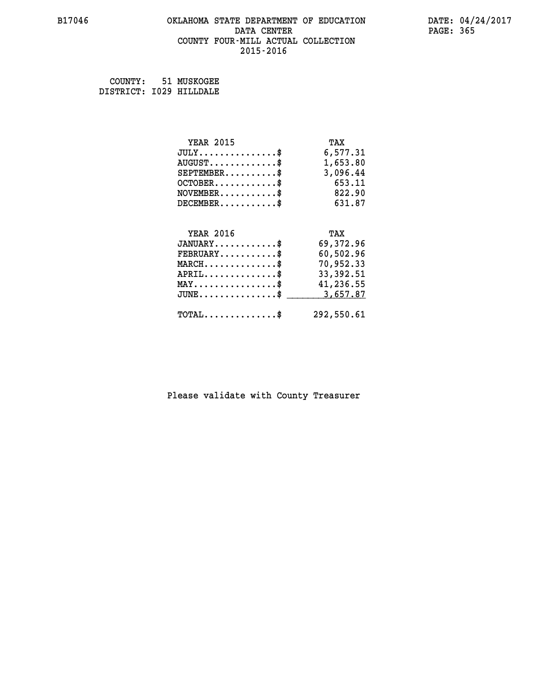# **B17046 OKLAHOMA STATE DEPARTMENT OF EDUCATION DATE: 04/24/2017 DATA CENTER** PAGE: 365  **COUNTY FOUR-MILL ACTUAL COLLECTION 2015-2016**

 **COUNTY: 51 MUSKOGEE DISTRICT: I029 HILLDALE**

| <b>YEAR 2015</b>                               | TAX        |
|------------------------------------------------|------------|
| $JULY$ \$                                      | 6,577.31   |
| $AUGUST$ \$                                    | 1,653.80   |
| $SEPTEMENT.$ \$                                | 3,096.44   |
| $OCTOBER$ \$                                   | 653.11     |
| $NOVEMBER$ \$                                  | 822.90     |
| $DECEMBER$ \$                                  | 631.87     |
|                                                |            |
| <b>YEAR 2016</b>                               | TAX        |
| $JANUARY$ \$                                   | 69,372.96  |
| $FEBRUARY$                                     | 60,502.96  |
| $MARCH$ \$                                     | 70,952.33  |
| $APRIL$ \$                                     | 33, 392.51 |
| $\texttt{MAX} \dots \dots \dots \dots \dots \$ | 41,236.55  |
| $JUNE$ $\text{\$}$                             | 3,657.87   |
| $\texttt{TOTAL} \dots \dots \dots \dots \$     | 292,550.61 |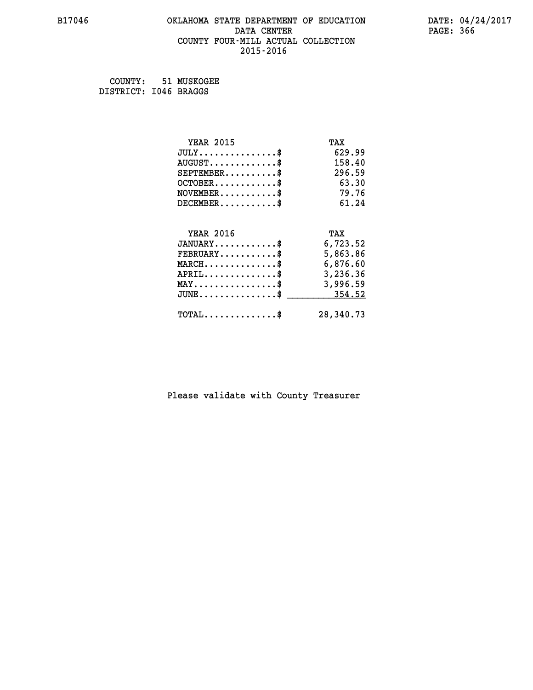# **B17046 OKLAHOMA STATE DEPARTMENT OF EDUCATION DATE: 04/24/2017 DATA CENTER** PAGE: 366  **COUNTY FOUR-MILL ACTUAL COLLECTION 2015-2016**

 **COUNTY: 51 MUSKOGEE DISTRICT: I046 BRAGGS**

| <b>YEAR 2015</b>                                 | TAX       |
|--------------------------------------------------|-----------|
| $JULY$ \$                                        | 629.99    |
| $AUGUST$ \$                                      | 158.40    |
| $SEPTEMBER$ \$                                   | 296.59    |
| $OCTOBER$ \$                                     | 63.30     |
| $NOVEMBER$ \$                                    | 79.76     |
| $DECEMBER$ \$                                    | 61.24     |
|                                                  |           |
| <b>YEAR 2016</b>                                 | TAX       |
| $JANUARY$                                        | 6,723.52  |
| $FEBRUARY$                                       | 5,863.86  |
| $MARCH$ \$                                       | 6,876.60  |
| $APRIL$ \$                                       | 3,236.36  |
| $\texttt{MAX} \dots \dots \dots \dots \dots \$   | 3,996.59  |
| $\texttt{JUNE} \dots \dots \dots \dots \dots \$$ | 354.52    |
| $\texttt{TOTAL} \dots \dots \dots \dots$         | 28,340.73 |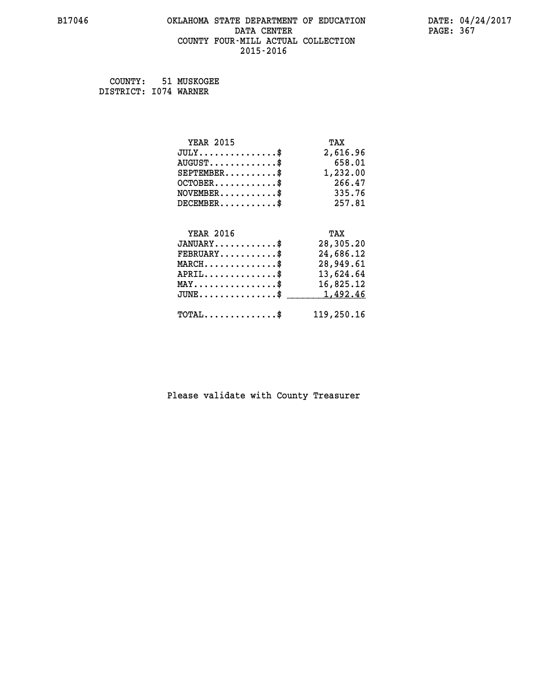# **B17046 OKLAHOMA STATE DEPARTMENT OF EDUCATION DATE: 04/24/2017 DATA CENTER** PAGE: 367  **COUNTY FOUR-MILL ACTUAL COLLECTION 2015-2016**

 **COUNTY: 51 MUSKOGEE**

 **DISTRICT: I074 WARNER**

| <b>YEAR 2015</b>                           | TAX        |
|--------------------------------------------|------------|
| $JULY$ \$                                  | 2,616.96   |
| $AUGUST$ \$                                | 658.01     |
| $SEPTEMBER$ \$                             | 1,232.00   |
| $OCTOBER$ \$                               | 266.47     |
| $NOVEMBER$ \$                              | 335.76     |
| $DECEMBER$ \$                              | 257.81     |
|                                            |            |
| <b>YEAR 2016</b>                           | TAX        |
| $JANUARY$ \$                               | 28,305.20  |
| $FEBRUARY$                                 | 24,686.12  |
| $MARCH$ \$                                 | 28,949.61  |
| $APRIL$ \$                                 | 13,624.64  |
| $MAX \dots \dots \dots \dots \dots$        | 16,825.12  |
| $JUNE$                                     | 1,492.46   |
| $\texttt{TOTAL} \dots \dots \dots \dots \$ | 119,250.16 |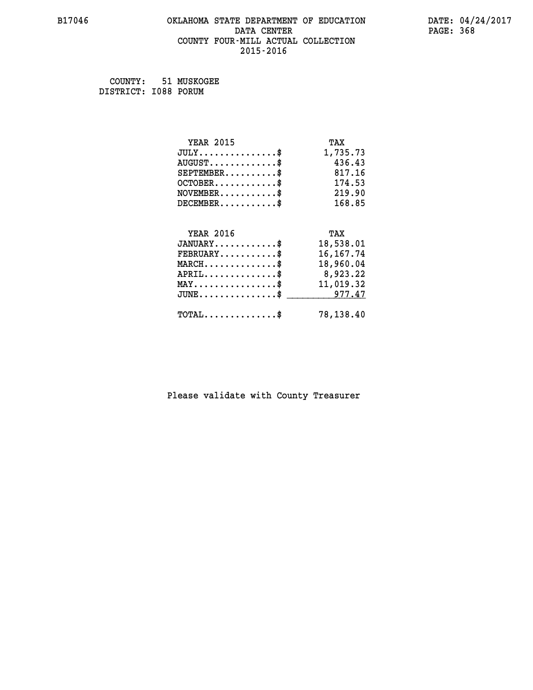# **B17046 OKLAHOMA STATE DEPARTMENT OF EDUCATION DATE: 04/24/2017 DATA CENTER** PAGE: 368  **COUNTY FOUR-MILL ACTUAL COLLECTION 2015-2016**

 **COUNTY: 51 MUSKOGEE DISTRICT: I088 PORUM**

| <b>YEAR 2015</b>                                 | TAX         |
|--------------------------------------------------|-------------|
| $JULY$ \$                                        | 1,735.73    |
| $AUGUST$ \$                                      | 436.43      |
| $SEPTEMBER$ \$                                   | 817.16      |
| $OCTOBER$ \$                                     | 174.53      |
| $\texttt{NOVEMBER} \dots \dots \dots \$          | 219.90      |
| $DECEMBER$ \$                                    | 168.85      |
|                                                  |             |
| <b>YEAR 2016</b>                                 | TAX         |
| $JANUARY$ \$                                     | 18,538.01   |
| $FEBRUARY$                                       | 16, 167. 74 |
| $MARCH$ \$                                       | 18,960.04   |
| $APRIL$ \$ 8,923.22                              |             |
| $\texttt{MAX} \dots \dots \dots \dots \dots \$   | 11,019.32   |
| $\texttt{JUNE} \dots \dots \dots \dots \dots \$$ | 977.47      |
| $\texttt{TOTAL} \dots \dots \dots \dots$         | 78,138.40   |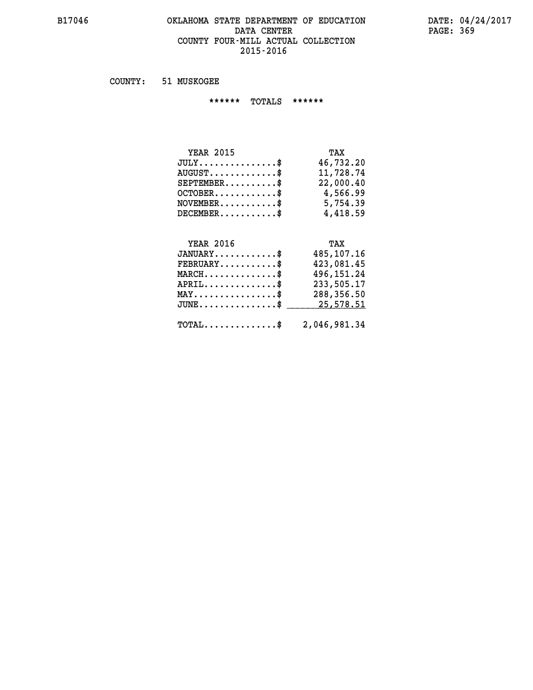# **B17046 OKLAHOMA STATE DEPARTMENT OF EDUCATION DATE: 04/24/2017** DATA CENTER PAGE: 369  **COUNTY FOUR-MILL ACTUAL COLLECTION 2015-2016**

 **COUNTY: 51 MUSKOGEE**

 **\*\*\*\*\*\* TOTALS \*\*\*\*\*\***

| <b>YEAR 2015</b>                          | TAX       |
|-------------------------------------------|-----------|
| $JULY$                                    | 46,732.20 |
| $\text{AUGUST} \dots \dots \dots \dots \$ | 11,728.74 |
| $SEPTEMBER$                               | 22,000.40 |
| $OCTOBER$ $\frac{1}{2}$                   | 4,566.99  |
| $NOVEMENTER$ \$                           | 5,754.39  |
| $DECEMBER$                                | 4,418.59  |

# **YEAR 2016 TAX**

| $JANUARY$ \$                                            | 485,107.16 |
|---------------------------------------------------------|------------|
| $\texttt{FEBRUARY} \dots \dots \dots \$                 | 423,081.45 |
| $MARCH$ \$                                              | 496,151.24 |
| $APRIL$ \$                                              | 233,505.17 |
| $MAX \dots \dots \dots \dots \$                         | 288,356.50 |
| JUNE\$ 25,578.51                                        |            |
| $\texttt{TOTAL} \dots \dots \dots \dots \$ 2,046,981.34 |            |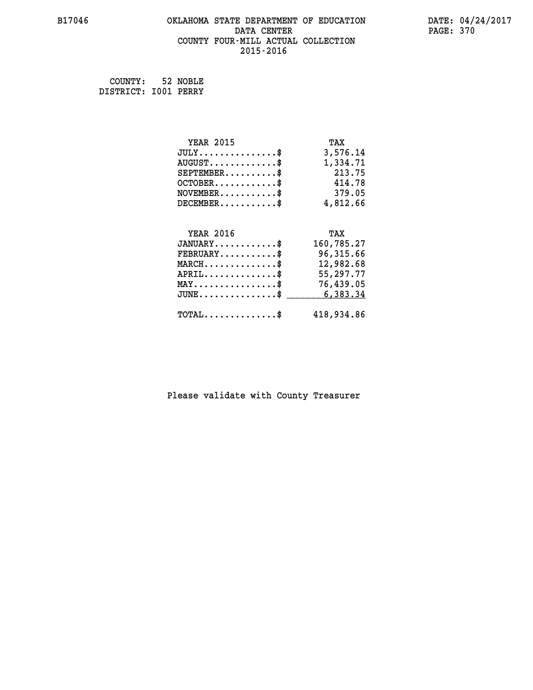# **B17046 OKLAHOMA STATE DEPARTMENT OF EDUCATION DATE: 04/24/2017 DATA CENTER** PAGE: 370  **COUNTY FOUR-MILL ACTUAL COLLECTION 2015-2016**

 **COUNTY: 52 NOBLE DISTRICT: I001 PERRY**

| <b>YEAR 2015</b>                                 | TAX        |
|--------------------------------------------------|------------|
| $JULY$ \$                                        | 3,576.14   |
| $AUGUST$ \$                                      | 1,334.71   |
| $SEPTEMENT.$ \$                                  | 213.75     |
| $OCTOBER$ \$                                     | 414.78     |
| $NOVEMBER.$ \$                                   | 379.05     |
| $DECEMBER$ \$                                    | 4,812.66   |
|                                                  |            |
| <b>YEAR 2016</b>                                 | TAX        |
| $JANUARY$ \$                                     | 160,785.27 |
| $FEBRUARY$                                       | 96,315.66  |
| $MARCH$ \$                                       | 12,982.68  |
| $APRIL \ldots \ldots \ldots \ldots \$            | 55,297.77  |
| $\texttt{MAX} \dots \dots \dots \dots \dots \$   | 76,439.05  |
| $\texttt{JUNE} \dots \dots \dots \dots \dots \$$ | 6,383.34   |
| $\texttt{TOTAL} \dots \dots \dots \dots$ \$      | 418,934.86 |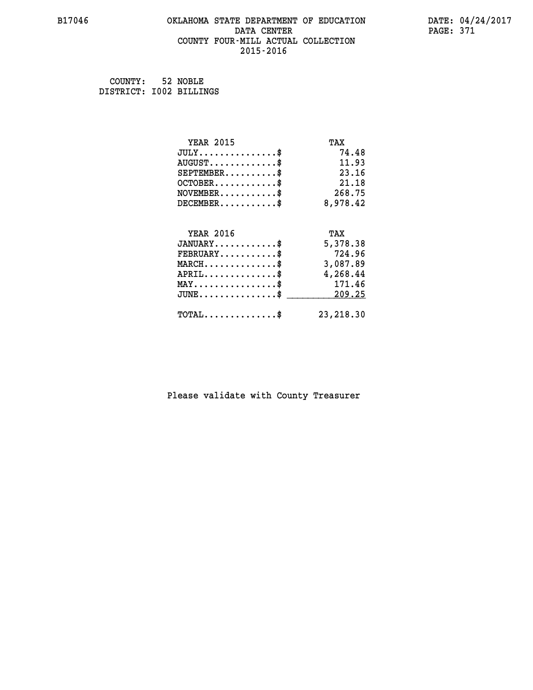# **B17046 OKLAHOMA STATE DEPARTMENT OF EDUCATION DATE: 04/24/2017 DATA CENTER** PAGE: 371  **COUNTY FOUR-MILL ACTUAL COLLECTION 2015-2016**

 **COUNTY: 52 NOBLE DISTRICT: I002 BILLINGS**

| <b>YEAR 2015</b>                           | TAX        |
|--------------------------------------------|------------|
| $JULY$ \$                                  | 74.48      |
| $AUGUST$ \$                                | 11.93      |
| $SEPTEMENT.$ \$                            | 23.16      |
| $OCTOBER$ \$                               | 21.18      |
| $\texttt{NOVEMBER} \dots \dots \dots \$    | 268.75     |
| $DECEMBER$ \$                              | 8,978.42   |
|                                            |            |
| <b>YEAR 2016</b>                           | TAX        |
| $JANUARY$ \$                               | 5,378.38   |
| $FEBRUARY$                                 | 724.96     |
| $MARCH$ \$                                 | 3,087.89   |
| $APRIL$ \$                                 | 4,268.44   |
| $MAX \dots \dots \dots \dots \dots$        | 171.46     |
| $JUNE$ \$                                  | 209.25     |
| $\texttt{TOTAL} \dots \dots \dots \dots \$ | 23, 218.30 |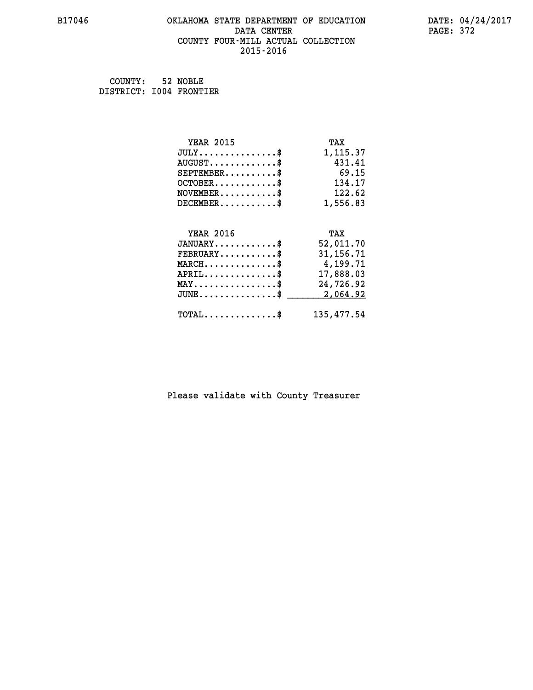# **B17046 OKLAHOMA STATE DEPARTMENT OF EDUCATION DATE: 04/24/2017 DATA CENTER** PAGE: 372  **COUNTY FOUR-MILL ACTUAL COLLECTION 2015-2016**

 **COUNTY: 52 NOBLE DISTRICT: I004 FRONTIER**

| <b>YEAR 2015</b>                               | TAX         |
|------------------------------------------------|-------------|
| $JULY$ \$                                      | 1,115.37    |
| $AUGUST$ \$                                    | 431.41      |
| $SEPTEMENT.$ \$                                | 69.15       |
| $OCTOBER$ \$                                   | 134.17      |
| $\texttt{NOVEMBER} \dots \dots \dots \$        | 122.62      |
| $DECEMBER$ \$                                  | 1,556.83    |
|                                                |             |
| <b>YEAR 2016</b>                               | TAX         |
| $JANUARY$ \$                                   | 52,011.70   |
| $FEBRUARY$ \$                                  | 31, 156. 71 |
| $MARCH$ \$                                     | 4,199.71    |
| $APRIL$ \$                                     | 17,888.03   |
| $\texttt{MAX} \dots \dots \dots \dots \dots \$ | 24,726.92   |
| $JUNE$ \$                                      | 2,064.92    |
| $\texttt{TOTAL} \dots \dots \dots \dots \$     | 135,477.54  |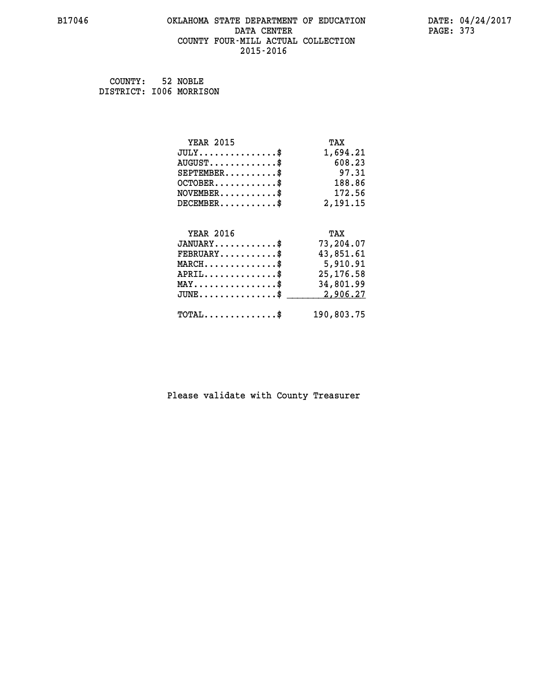#### **B17046 OKLAHOMA STATE DEPARTMENT OF EDUCATION DATE: 04/24/2017 DATA CENTER** PAGE: 373  **COUNTY FOUR-MILL ACTUAL COLLECTION 2015-2016**

| COUNTY:                 | 52 NOBLE |
|-------------------------|----------|
| DISTRICT: 1006 MORRISON |          |

| <b>YEAR 2015</b>                               | TAX        |
|------------------------------------------------|------------|
| $JULY$ \$                                      | 1,694.21   |
| $AUGUST$ \$                                    | 608.23     |
| $SEPTEMBER$ \$                                 | 97.31      |
| $OCTOBER$ \$                                   | 188.86     |
| $NOVEMBER.$ \$                                 | 172.56     |
| $DECEMBER$ \$                                  | 2,191.15   |
|                                                |            |
| <b>YEAR 2016</b>                               | TAX        |
| $JANUARY$ \$                                   | 73,204.07  |
| $FEBRUARY$ \$                                  | 43,851.61  |
| $\texttt{MARCH} \dots \dots \dots \dots \$     | 5,910.91   |
| $APRIL \ldots \ldots \ldots \ldots \$          | 25, 176.58 |
| $\texttt{MAX} \dots \dots \dots \dots \dots \$ | 34,801.99  |
| $JUNE$ \$                                      | 2,906.27   |
| $\texttt{TOTAL} \dots \dots \dots \dots \$     | 190,803.75 |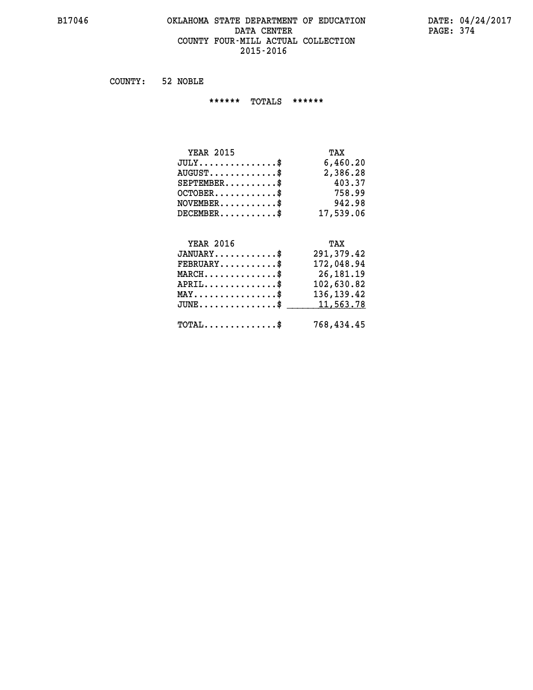# **B17046 OKLAHOMA STATE DEPARTMENT OF EDUCATION DATE: 04/24/2017 DATA CENTER PAGE: 374 COUNTY FOUR-MILL ACTUAL COLLECTION 2015-2016**

 **COUNTY: 52 NOBLE**

 **\*\*\*\*\*\* TOTALS \*\*\*\*\*\***

| <b>YEAR 2015</b>       | TAX       |
|------------------------|-----------|
| $JULY$                 | 6,460.20  |
| $AUGUST$ $\frac{1}{2}$ | 2,386.28  |
| $SEPTEMBER$ \$         | 403.37    |
| $OCTOBER$ \$           | 758.99    |
| $NOVEMBER$ \$          | 942.98    |
| $DECEMBER$             | 17,539.06 |

# **YEAR 2016 TAX**

| $JANUARY$                                      | 291,379.42   |
|------------------------------------------------|--------------|
| $FEBRUARY$                                     | 172,048.94   |
| $MARCH$ \$                                     | 26,181.19    |
| $APRIL$ \$                                     | 102,630.82   |
| $MAX \dots \dots \dots \dots \dots \$          | 136, 139. 42 |
| $JUNE \dots \dots \dots \dots \$ 11,563.78     |              |
| $\texttt{TOTAL} \dots \dots \dots \dots \dots$ | 768,434.45   |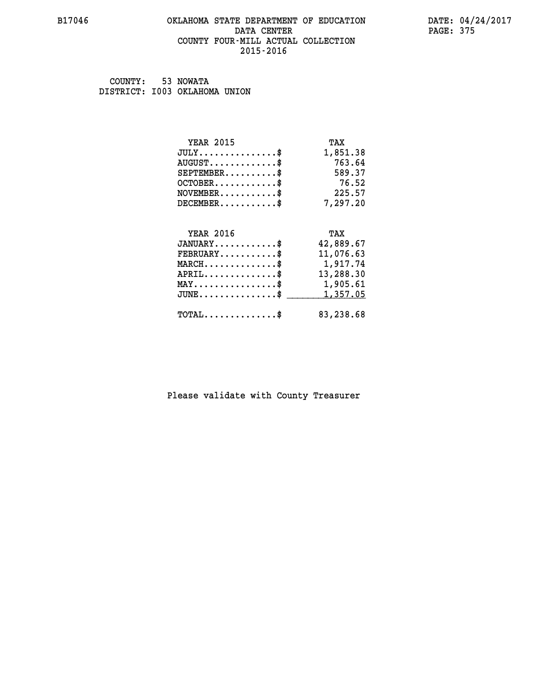# **B17046 OKLAHOMA STATE DEPARTMENT OF EDUCATION DATE: 04/24/2017 DATA CENTER** PAGE: 375  **COUNTY FOUR-MILL ACTUAL COLLECTION 2015-2016**

 **COUNTY: 53 NOWATA DISTRICT: I003 OKLAHOMA UNION**

| <b>YEAR 2015</b>                               | TAX       |
|------------------------------------------------|-----------|
| $JULY$ \$                                      | 1,851.38  |
| $AUGUST$ \$                                    | 763.64    |
| $SEPTEMENT.$ \$                                | 589.37    |
| $OCTOBER$ \$                                   | 76.52     |
| $NOVEMBER$ \$                                  | 225.57    |
| $DECEMBER$ \$                                  | 7,297.20  |
|                                                |           |
| <b>YEAR 2016</b>                               | TAX       |
| $JANUARY$ \$                                   | 42,889.67 |
| $FEBRUARY$                                     | 11,076.63 |
| $MARCH$ \$                                     | 1,917.74  |
| $APRIL$ \$                                     | 13,288.30 |
| $\texttt{MAX} \dots \dots \dots \dots \dots \$ | 1,905.61  |
| $JUNE$ \$                                      | 1,357.05  |
| $\texttt{TOTAL} \dots \dots \dots \dots \$     | 83,238.68 |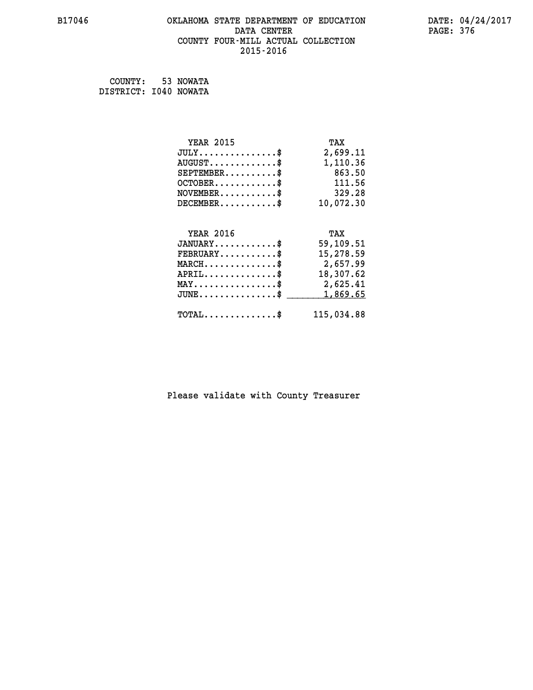# **B17046 OKLAHOMA STATE DEPARTMENT OF EDUCATION DATE: 04/24/2017 DATA CENTER** PAGE: 376  **COUNTY FOUR-MILL ACTUAL COLLECTION 2015-2016**

 **COUNTY: 53 NOWATA DISTRICT: I040 NOWATA**

| <b>YEAR 2015</b>                               | TAX        |
|------------------------------------------------|------------|
| $JULY$ \$                                      | 2,699.11   |
| $AUGUST$ \$                                    | 1,110.36   |
| $SEPTEMBER$ \$                                 | 863.50     |
| $OCTOBER$ \$                                   | 111.56     |
| $NOVEMBER$ \$                                  | 329.28     |
| $DECEMBER$ \$                                  | 10,072.30  |
|                                                |            |
| <b>YEAR 2016</b>                               | TAX        |
| $JANUARY$                                      | 59,109.51  |
| $FEBRUARY$                                     | 15,278.59  |
| $MARCH$ \$                                     | 2,657.99   |
| $APRIL$ \$                                     | 18,307.62  |
| $\texttt{MAX} \dots \dots \dots \dots \dots \$ | 2,625.41   |
| $JUNE \ldots \ldots \ldots \ldots \bullet$     | 1,869.65   |
| $\texttt{TOTAL} \dots \dots \dots \dots \$     | 115,034.88 |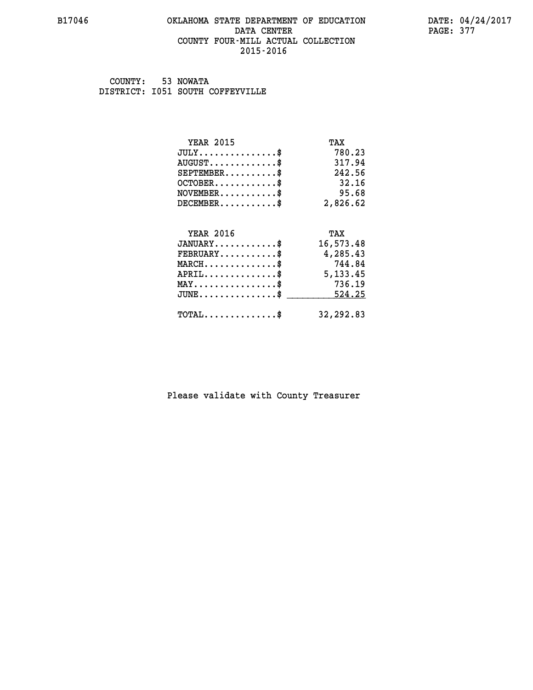# **B17046 OKLAHOMA STATE DEPARTMENT OF EDUCATION DATE: 04/24/2017 DATA CENTER** PAGE: 377  **COUNTY FOUR-MILL ACTUAL COLLECTION 2015-2016**

 **COUNTY: 53 NOWATA DISTRICT: I051 SOUTH COFFEYVILLE**

| <b>YEAR 2015</b>                           | TAX        |
|--------------------------------------------|------------|
| $JULY$ \$                                  | 780.23     |
| $AUGUST$ \$                                | 317.94     |
| $SEPTEMBER$ \$                             | 242.56     |
| $OCTOBER$ \$                               | 32.16      |
| $NOVEMBER$ \$                              | 95.68      |
| $DECEMBER$ \$                              | 2,826.62   |
|                                            |            |
| <b>YEAR 2016</b>                           | TAX        |
| $JANUARY$ \$                               | 16,573.48  |
| $FEBRUARY$                                 | 4,285.43   |
| $MARCH$ \$                                 | 744.84     |
| $APRIL$ \$                                 | 5, 133. 45 |
| $MAX \dots \dots \dots \dots \dots$        | 736.19     |
| $JUNE$ $$$                                 | 524.25     |
| $\texttt{TOTAL} \dots \dots \dots \dots \$ | 32,292.83  |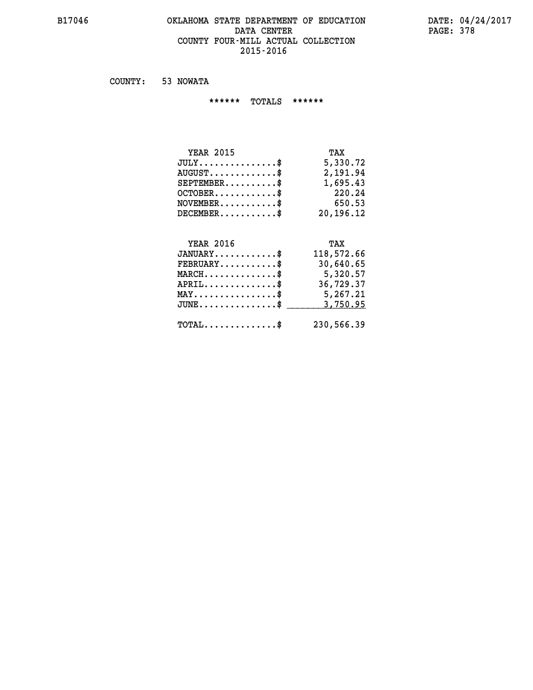#### **B17046 OKLAHOMA STATE DEPARTMENT OF EDUCATION DATE: 04/24/2017 DATA CENTER** PAGE: 378  **COUNTY FOUR-MILL ACTUAL COLLECTION 2015-2016**

 **COUNTY: 53 NOWATA**

 **\*\*\*\*\*\* TOTALS \*\*\*\*\*\***

| <b>YEAR 2015</b>                 | TAX       |
|----------------------------------|-----------|
| $JULY$                           | 5,330.72  |
| $AUGUST \ldots \ldots \ldots$ \$ | 2,191.94  |
| $SEPTEMBER$                      | 1,695.43  |
| $OCTOBER$ \$                     | 220.24    |
| $NOVEMBER$ \$                    | 650.53    |
| $DECEMBER$ \$                    | 20,196.12 |

# **YEAR 2016 TAX JANUARY............\$ 118,572.66 FEBRUARY...........\$ 30,640.65 MARCH..............\$ 5,320.57 APRIL..............\$ 36,729.37 MAY................\$ 5,267.21 JUNE...............\$ 3,750.95 \_\_\_\_\_\_\_\_\_\_\_\_\_\_\_ TOTAL..............\$ 230,566.39**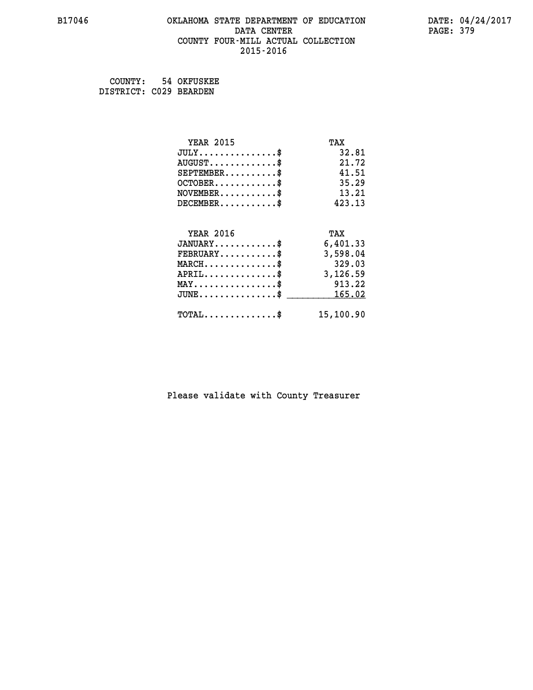# **B17046 OKLAHOMA STATE DEPARTMENT OF EDUCATION DATE: 04/24/2017 DATA CENTER** PAGE: 379  **COUNTY FOUR-MILL ACTUAL COLLECTION 2015-2016**

 **COUNTY: 54 OKFUSKEE DISTRICT: C029 BEARDEN**

| <b>YEAR 2015</b>                                 | TAX       |
|--------------------------------------------------|-----------|
| $JULY$ \$                                        | 32.81     |
| $AUGUST$ \$                                      | 21.72     |
| $SEPTEMENT.$ \$                                  | 41.51     |
| $OCTOBER$ \$                                     | 35.29     |
| $NOVEMBER$ \$                                    | 13.21     |
| $DECEMBER$ \$                                    | 423.13    |
|                                                  |           |
| <b>YEAR 2016</b>                                 | TAX       |
| $JANUARY$                                        | 6,401.33  |
| $FEBRUARY$                                       | 3,598.04  |
| $MARCH$ \$                                       | 329.03    |
| $APRIL$ \$                                       | 3,126.59  |
| $MAX \dots \dots \dots \dots \dots$              | 913.22    |
| $\texttt{JUNE} \dots \dots \dots \dots \dots \$$ | 165.02    |
| $\texttt{TOTAL} \dots \dots \dots \dots \$       | 15,100.90 |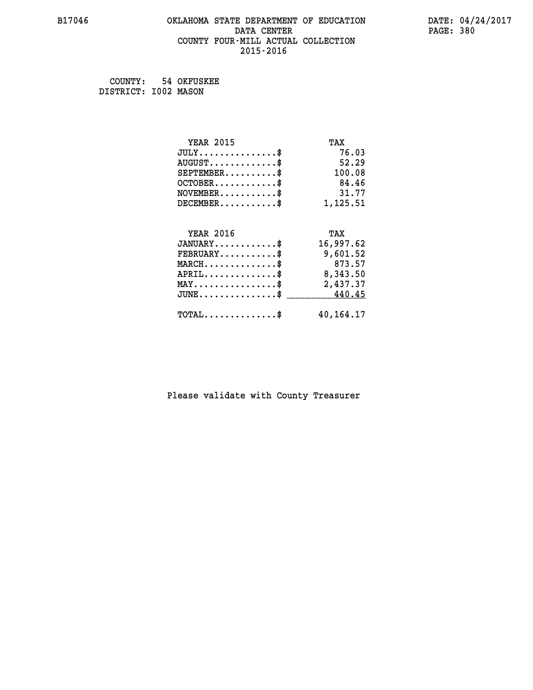# **B17046 OKLAHOMA STATE DEPARTMENT OF EDUCATION DATE: 04/24/2017 DATA CENTER** PAGE: 380  **COUNTY FOUR-MILL ACTUAL COLLECTION 2015-2016**

 **COUNTY: 54 OKFUSKEE DISTRICT: I002 MASON**

| <b>YEAR 2015</b>                                 | TAX       |
|--------------------------------------------------|-----------|
| $JULY$ \$                                        | 76.03     |
| $AUGUST$ \$                                      | 52.29     |
| $SEPTEMBER$ \$                                   | 100.08    |
| $OCTOBER$ \$                                     | 84.46     |
| $NOVEMBER$ \$                                    | 31.77     |
| $DECEMBER$ \$                                    | 1,125.51  |
|                                                  |           |
| <b>YEAR 2016</b>                                 | TAX       |
| $JANUARY$ \$                                     | 16,997.62 |
| $FEBRUARY$                                       | 9,601.52  |
| $MARCH$ \$                                       | 873.57    |
| $APRIL$ \$                                       | 8,343.50  |
| $\texttt{MAX} \dots \dots \dots \dots \dots \$   | 2,437.37  |
| $\texttt{JUNE} \dots \dots \dots \dots \dots \$$ | 440.45    |
| $\texttt{TOTAL} \dots \dots \dots \dots \$       | 40,164.17 |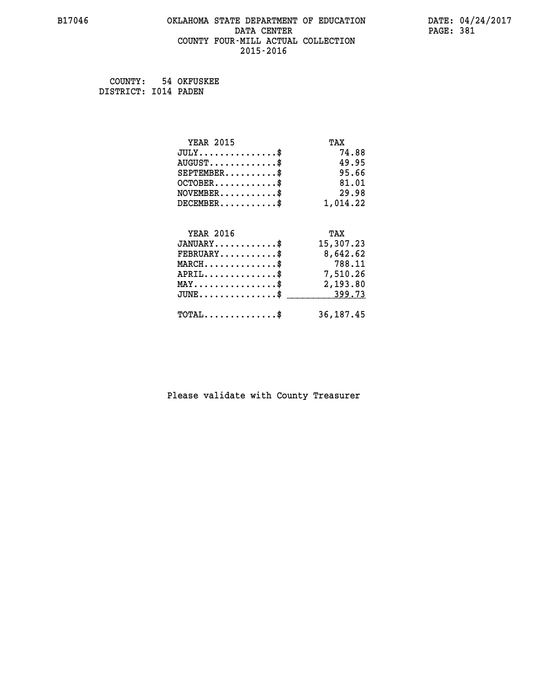#### **B17046 OKLAHOMA STATE DEPARTMENT OF EDUCATION DATE: 04/24/2017 DATA CENTER PAGE: 381 COUNTY FOUR-MILL ACTUAL COLLECTION 2015-2016**

 **COUNTY: 54 OKFUSKEE DISTRICT: I014 PADEN**

> **YEAR 2015 TAX JULY...............\$ 74.88 AUGUST.............\$ 49.95 SEPTEMBER..........\$ 95.66 OCTOBER............\$ 81.01 NOVEMBER...........\$ 29.98 DECEMBER...........\$ 1,014.22 YEAR 2016 TAX JANUARY............\$ 15,307.23 FEBRUARY...........\$ 8,642.62 MARCH..............\$ 788.11 APRIL..............\$ 7,510.26 MAY................\$ 2,193.80 JUNE...............\$ 399.73 \_\_\_\_\_\_\_\_\_\_\_\_\_\_\_ TOTAL..............\$ 36,187.45**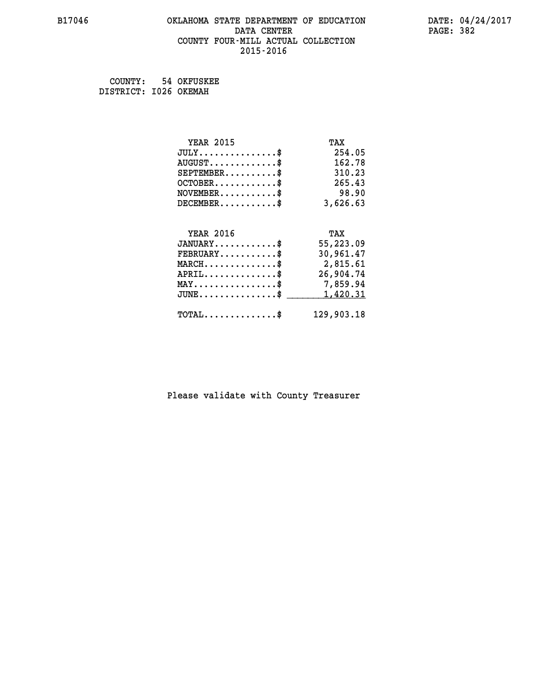# **B17046 OKLAHOMA STATE DEPARTMENT OF EDUCATION DATE: 04/24/2017 DATA CENTER** PAGE: 382  **COUNTY FOUR-MILL ACTUAL COLLECTION 2015-2016**

 **COUNTY: 54 OKFUSKEE DISTRICT: I026 OKEMAH**

| <b>YEAR 2015</b>                               | TAX        |
|------------------------------------------------|------------|
| $JULY$ \$                                      | 254.05     |
| $AUGUST$ \$                                    | 162.78     |
| $SEPTEMBER$ \$                                 | 310.23     |
| $OCTOBER$ \$                                   | 265.43     |
| $\texttt{NOVEMBER} \dots \dots \dots \$        | 98.90      |
| $DECEMBER$ \$                                  | 3,626.63   |
|                                                |            |
| <b>YEAR 2016</b>                               | TAX        |
| $JANUARY$ \$                                   | 55,223.09  |
| $FEBRUARY$                                     | 30,961.47  |
| $MARCH$ \$                                     | 2,815.61   |
| $APRIL$ \$                                     | 26,904.74  |
| $\texttt{MAX} \dots \dots \dots \dots \dots \$ | 7,859.94   |
| $JUNE$ \$                                      | 1,420.31   |
| $TOTAL$ \$                                     | 129,903.18 |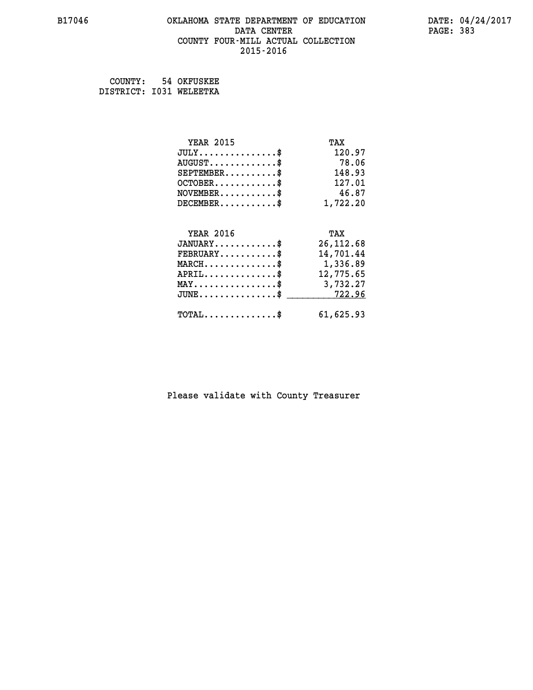# **B17046 OKLAHOMA STATE DEPARTMENT OF EDUCATION DATE: 04/24/2017 DATA CENTER** PAGE: 383  **COUNTY FOUR-MILL ACTUAL COLLECTION 2015-2016**

 **COUNTY: 54 OKFUSKEE DISTRICT: I031 WELEETKA**

| <b>YEAR 2015</b>                               | TAX        |
|------------------------------------------------|------------|
| $JULY$ \$                                      | 120.97     |
| $AUGUST$ \$                                    | 78.06      |
| $SEPTEMENT.$ \$                                | 148.93     |
| $OCTOBER$ \$                                   | 127.01     |
| $NOVEMBER$ \$                                  | 46.87      |
| $DECEMBER$ \$                                  | 1,722.20   |
| <b>YEAR 2016</b>                               | TAX        |
| $JANUARY$ \$                                   | 26, 112.68 |
| $FEBRUARY$                                     | 14,701.44  |
| $MARCH$ \$                                     | 1,336.89   |
| $APRIL$ \$                                     | 12,775.65  |
| $\texttt{MAX} \dots \dots \dots \dots \dots \$ | 3,732.27   |
| $JUNE$                                         | 722.96     |
| $\texttt{TOTAL} \dots \dots \dots \dots \$     | 61,625.93  |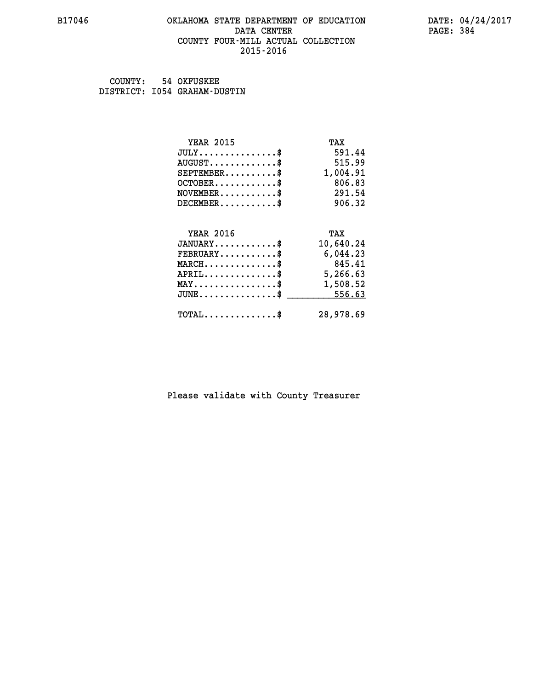# **B17046 OKLAHOMA STATE DEPARTMENT OF EDUCATION DATE: 04/24/2017 DATA CENTER** PAGE: 384  **COUNTY FOUR-MILL ACTUAL COLLECTION 2015-2016**

 **COUNTY: 54 OKFUSKEE DISTRICT: I054 GRAHAM-DUSTIN**

| <b>YEAR 2015</b>                               | TAX       |
|------------------------------------------------|-----------|
| $JULY$ \$                                      | 591.44    |
| $AUGUST$ \$                                    | 515.99    |
| $SEPTEMENT.$ \$                                | 1,004.91  |
| $OCTOBER$ \$                                   | 806.83    |
| $NOVEMBER$ \$                                  | 291.54    |
| $DECEMBER$ \$                                  | 906.32    |
|                                                |           |
| <b>YEAR 2016</b>                               | TAX       |
| $JANUARY$ \$                                   | 10,640.24 |
| $FEBRUARY$                                     | 6,044.23  |
| $MARCH$ \$                                     | 845.41    |
| $APRIL$ \$                                     | 5,266.63  |
| $\texttt{MAX} \dots \dots \dots \dots \dots \$ | 1,508.52  |
| $JUNE$                                         | 556.63    |
| $\texttt{TOTAL} \dots \dots \dots \dots \$     | 28,978.69 |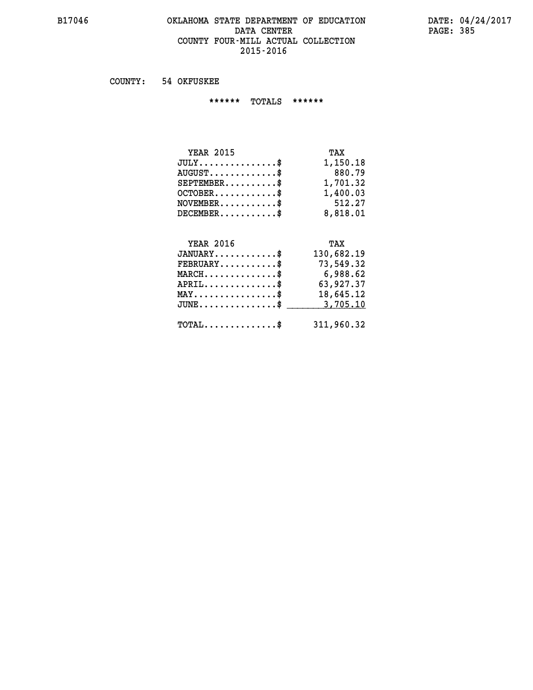#### **B17046 OKLAHOMA STATE DEPARTMENT OF EDUCATION DATE: 04/24/2017 DATA CENTER** PAGE: 385  **COUNTY FOUR-MILL ACTUAL COLLECTION 2015-2016**

 **COUNTY: 54 OKFUSKEE**

 **\*\*\*\*\*\* TOTALS \*\*\*\*\*\***

| <b>YEAR 2015</b>       | TAX      |
|------------------------|----------|
| $JULY$                 | 1,150.18 |
| $AUGUST$ $\frac{1}{2}$ | 880.79   |
| $SEPTEMBER$            | 1,701.32 |
| $OCTOBER$ \$           | 1,400.03 |
| $NOVEMBER$ \$          | 512.27   |
| $DECEMBER$ \$          | 8,818.01 |

# **YEAR 2016 TAX JANUARY............\$ 130,682.19 FEBRUARY...........\$ 73,549.32**

| $MARCH$ \$<br>$APRIL$ \$<br>$\texttt{MAX} \dots \dots \dots \dots \texttt{S}$ | 6,988.62<br>63,927.37<br>18,645.12 |
|-------------------------------------------------------------------------------|------------------------------------|
| $JUNE \dots \dots \dots \dots \$ 3,705.10                                     |                                    |
| $\texttt{TOTAL} \dots \dots \dots \dots \$ 311,960.32                         |                                    |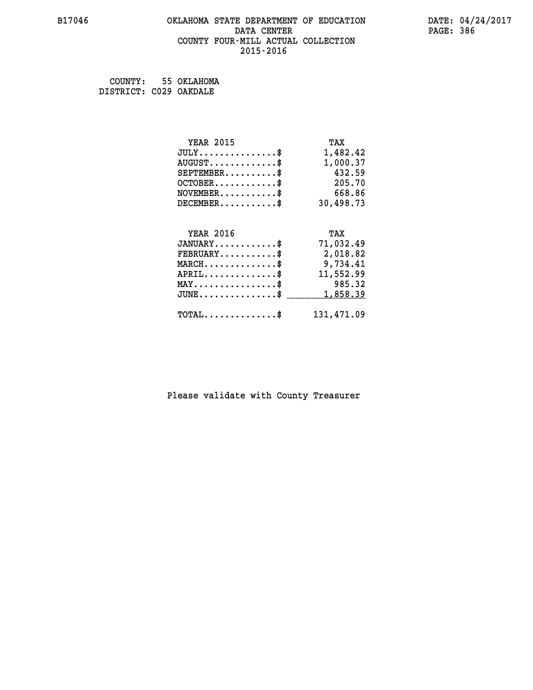# **B17046 OKLAHOMA STATE DEPARTMENT OF EDUCATION DATE: 04/24/2017 DATA CENTER** PAGE: 386  **COUNTY FOUR-MILL ACTUAL COLLECTION 2015-2016**

 **COUNTY: 55 OKLAHOMA DISTRICT: C029 OAKDALE**

| <b>YEAR 2015</b>                    | TAX       |
|-------------------------------------|-----------|
| $JULY$ \$                           | 1,482.42  |
| $AUGUST$ \$                         | 1,000.37  |
| $SEPTEMBER$ \$                      | 432.59    |
| $OCTOBER$ \$                        | 205.70    |
| $NOVEMBER$ \$                       | 668.86    |
| $DECEMBER$ \$                       | 30,498.73 |
|                                     |           |
| <b>YEAR 2016</b>                    | TAX       |
| $JANUARY$                           | 71,032.49 |
| $FEBRUARY$                          | 2,018.82  |
|                                     |           |
| $MARCH$ \$                          | 9,734.41  |
| $APRIL$ \$                          | 11,552.99 |
| $MAX \dots \dots \dots \dots \dots$ | 985.32    |
| $JUNE$ \$                           | 1,858.39  |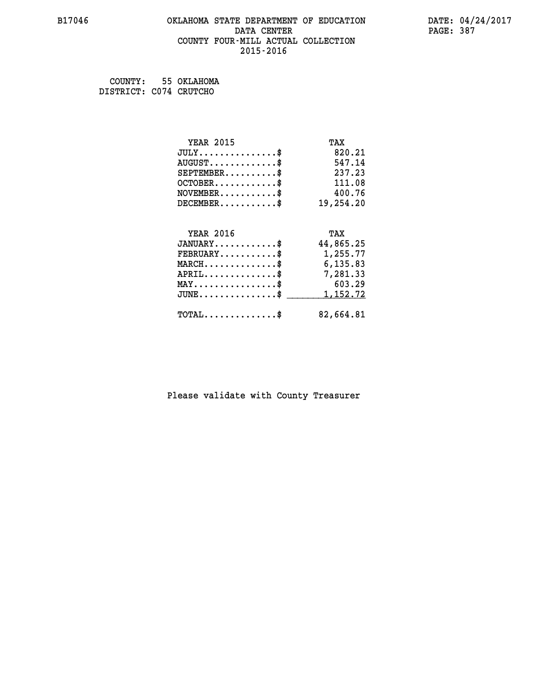# **B17046 OKLAHOMA STATE DEPARTMENT OF EDUCATION DATE: 04/24/2017 DATA CENTER** PAGE: 387  **COUNTY FOUR-MILL ACTUAL COLLECTION 2015-2016**

 **COUNTY: 55 OKLAHOMA DISTRICT: C074 CRUTCHO**

| <b>YEAR 2015</b>                    | TAX       |
|-------------------------------------|-----------|
| $JULY$ \$                           | 820.21    |
| $AUGUST$ \$                         | 547.14    |
| $SEPTEMBER$                         | 237.23    |
| $OCTOBER$ \$                        | 111.08    |
| $NOVEMBER$ \$                       | 400.76    |
| $DECEMBER$ \$                       | 19,254.20 |
|                                     |           |
|                                     |           |
| <b>YEAR 2016</b>                    | TAX       |
| $JANUARY$                           | 44,865.25 |
| $FEBRUARY$                          | 1,255.77  |
| $MARCH$ \$                          | 6,135.83  |
| $APRIL$ \$                          | 7,281.33  |
| $MAX \dots \dots \dots \dots \dots$ | 603.29    |
| $JUNE$ \$                           | 1, 152.72 |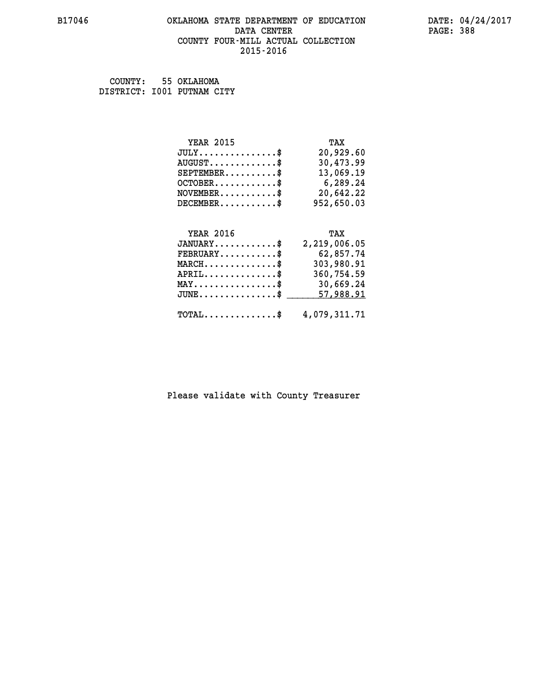# **B17046 OKLAHOMA STATE DEPARTMENT OF EDUCATION DATE: 04/24/2017 DATA CENTER** PAGE: 388  **COUNTY FOUR-MILL ACTUAL COLLECTION 2015-2016**

 **COUNTY: 55 OKLAHOMA DISTRICT: I001 PUTNAM CITY**

| <b>YEAR 2015</b>              | TAX        |
|-------------------------------|------------|
| $JULY \ldots \ldots \ldots \$ | 20,929.60  |
| $AUGUST$ \$                   | 30,473.99  |
| $SEPTEMBER$ \$                | 13,069.19  |
| $OCTOBER$ \$                  | 6,289.24   |
| $NOVEMBER$ \$                 | 20,642.22  |
| $DECEMBER$ \$                 | 952,650.03 |
| YEAR 2016                     | TAX        |

| $+11111$ $+11$                          | .                                                       |
|-----------------------------------------|---------------------------------------------------------|
| $JANUARY$ \$                            | 2,219,006.05                                            |
| $\texttt{FEBRUARY} \dots \dots \dots \$ | 62,857.74                                               |
| $MARCH$                                 | 303,980.91                                              |
| $APRIL$ \$                              | 360,754.59                                              |
| $MAX \dots \dots \dots \dots \dots \$   | 30,669.24                                               |
|                                         | $JUNE \ldots \ldots \ldots \ldots$ \$ 57,988.91         |
|                                         |                                                         |
|                                         | $\texttt{TOTAL} \dots \dots \dots \dots \$ 4,079,311.71 |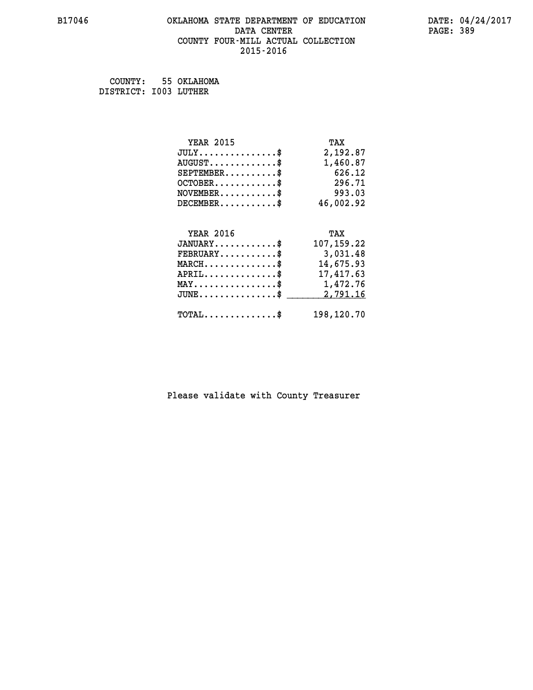# **B17046 OKLAHOMA STATE DEPARTMENT OF EDUCATION DATE: 04/24/2017 DATA CENTER** PAGE: 389  **COUNTY FOUR-MILL ACTUAL COLLECTION 2015-2016**

 **COUNTY: 55 OKLAHOMA DISTRICT: I003 LUTHER**

| <b>YEAR 2015</b>                        | TAX         |
|-----------------------------------------|-------------|
| $JULY$ \$                               | 2,192.87    |
| $AUGUST$ \$                             | 1,460.87    |
| $SEPTEMBER$                             | 626.12      |
| $OCTOBER$ \$                            | 296.71      |
| $\texttt{NOVEMBER} \dots \dots \dots \$ | 993.03      |
| $DECEMBER$ \$                           | 46,002.92   |
|                                         |             |
| <b>YEAR 2016</b>                        | TAX         |
| $JANUARY$ \$                            | 107, 159.22 |
| $FEBRUARY$                              | 3,031.48    |
| $MARCH$ \$                              | 14,675.93   |
|                                         |             |
| $APRIL$ \$                              | 17,417.63   |
| MAY\$ 1,472.76                          |             |
| $JUNE$ \$                               | 2,791.16    |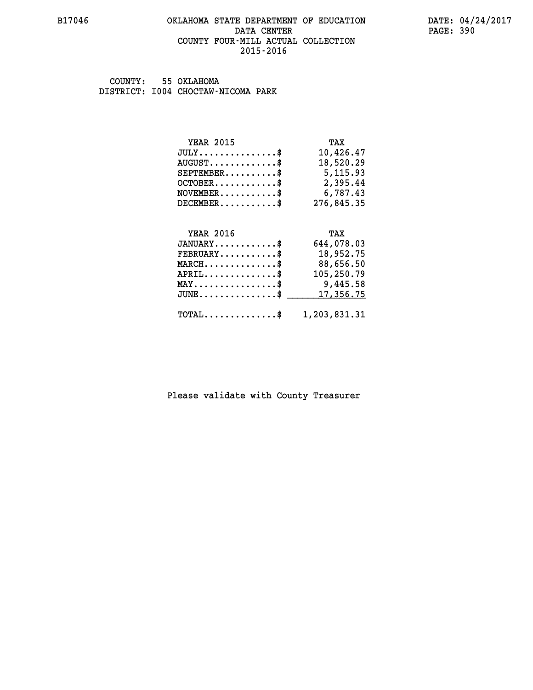#### **B17046 OKLAHOMA STATE DEPARTMENT OF EDUCATION DATE: 04/24/2017 DATA CENTER** PAGE: 390  **COUNTY FOUR-MILL ACTUAL COLLECTION 2015-2016**

 **COUNTY: 55 OKLAHOMA DISTRICT: I004 CHOCTAW-NICOMA PARK**

| <b>YEAR 2015</b>                               | TAX          |
|------------------------------------------------|--------------|
| $JULY$ \$                                      | 10,426.47    |
| $AUGUST$ \$                                    | 18,520.29    |
| $SEPTEMBER$ \$                                 | 5,115.93     |
| $OCTOBER$ \$                                   | 2,395.44     |
| $NOVEMBER.$ \$                                 | 6,787.43     |
| $DECEMBER$ \$                                  | 276,845.35   |
|                                                |              |
| <b>YEAR 2016</b>                               | TAX          |
| $JANUARY$ \$                                   | 644,078.03   |
| $FEBRUARY$ \$                                  | 18,952.75    |
| $\texttt{MARCH}\ldots\ldots\ldots\ldots\ast$   | 88,656.50    |
| $APRIL$ \$                                     | 105,250.79   |
| $\texttt{MAX} \dots \dots \dots \dots \dots \$ | 9,445.58     |
| $JUNE$ \$                                      | 17,356.75    |
| $\texttt{TOTAL} \dots \dots \dots \dots \$     | 1,203,831.31 |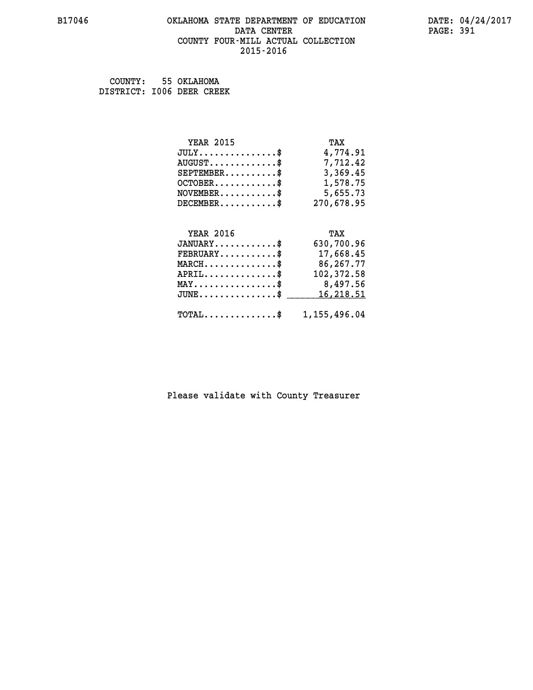# **B17046 OKLAHOMA STATE DEPARTMENT OF EDUCATION DATE: 04/24/2017 DATA CENTER** PAGE: 391  **COUNTY FOUR-MILL ACTUAL COLLECTION 2015-2016**

 **COUNTY: 55 OKLAHOMA DISTRICT: I006 DEER CREEK**

| <b>YEAR 2015</b>                               | TAX            |
|------------------------------------------------|----------------|
| $JULY$ \$                                      | 4,774.91       |
| $AUGUST$ \$                                    | 7,712.42       |
| $SEPTEMBER$ \$                                 | 3,369.45       |
| $OCTOBER$ \$                                   | 1,578.75       |
| $NOVEMBER$ \$                                  | 5,655.73       |
| $DECEMBER$ \$                                  | 270,678.95     |
|                                                |                |
| <b>YEAR 2016</b>                               | TAX            |
| $JANUARY$ \$                                   | 630,700.96     |
| $\texttt{FEBRUARY} \dots \dots \dots \$        | 17,668.45      |
| $MARCH$ \$                                     | 86,267.77      |
| $APRIL$ \$                                     | 102,372.58     |
| $\texttt{MAX} \dots \dots \dots \dots \dots \$ | 8,497.56       |
| $JUNE$ \$                                      | 16,218.51      |
| $\texttt{TOTAL} \dots \dots \dots \dots \$     | 1, 155, 496.04 |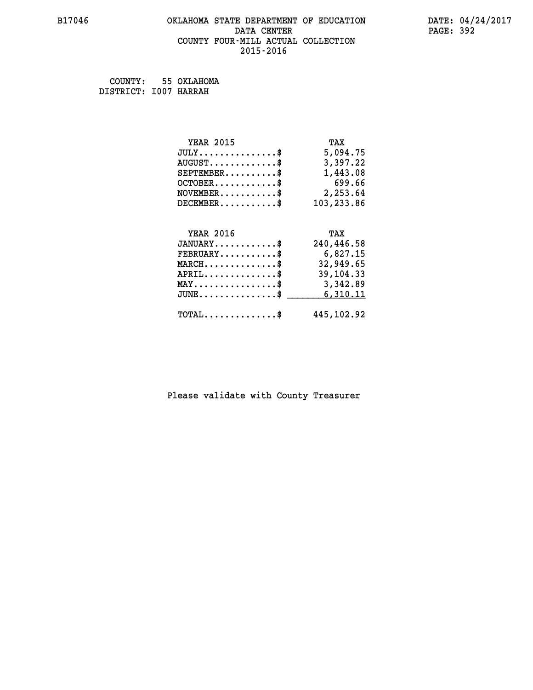# **B17046 OKLAHOMA STATE DEPARTMENT OF EDUCATION DATE: 04/24/2017 DATA CENTER** PAGE: 392  **COUNTY FOUR-MILL ACTUAL COLLECTION 2015-2016**

 **COUNTY: 55 OKLAHOMA DISTRICT: I007 HARRAH**

| <b>YEAR 2015</b>                           | TAX        |
|--------------------------------------------|------------|
| $JULY$ \$                                  | 5,094.75   |
| $AUGUST$ \$                                | 3,397.22   |
| $SEPTEMBER$ \$                             | 1,443.08   |
| $OCTOBER$ \$                               | 699.66     |
| $NOVEMBER.$ \$                             | 2,253.64   |
| $DECEMBER$ \$                              | 103,233.86 |
|                                            |            |
| <b>YEAR 2016</b>                           | TAX        |
| $JANUARY$ \$                               | 240,446.58 |
| $FEBRUARY$                                 | 6,827.15   |
| $MARCH$ \$                                 | 32,949.65  |
| $APRIL$ \$                                 | 39,104.33  |
| MAY\$ 3,342.89                             |            |
| $JUNE$ $$$                                 | 6,310.11   |
| $\texttt{TOTAL} \dots \dots \dots \dots \$ | 445,102.92 |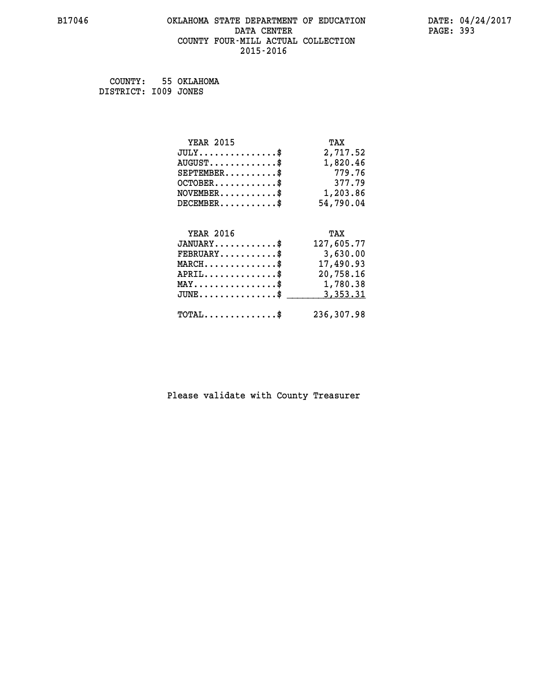# **B17046 OKLAHOMA STATE DEPARTMENT OF EDUCATION DATE: 04/24/2017 DATA CENTER** PAGE: 393  **COUNTY FOUR-MILL ACTUAL COLLECTION 2015-2016**

 **COUNTY: 55 OKLAHOMA DISTRICT: I009 JONES**

| <b>YEAR 2015</b>                               | TAX        |
|------------------------------------------------|------------|
| $JULY$ \$                                      | 2,717.52   |
| $AUGUST$ \$                                    | 1,820.46   |
| $SEPTEMENT.$ \$                                | 779.76     |
| $OCTOBER$ \$                                   | 377.79     |
| $NOVEMBER.$ \$                                 | 1,203.86   |
| $DECEMBER$ \$                                  | 54,790.04  |
|                                                |            |
| <b>YEAR 2016</b>                               | TAX        |
| $JANUARY$ \$                                   | 127,605.77 |
| $\texttt{FEBRUARY} \dots \dots \dots \$        | 3,630.00   |
| $MARCH$ \$                                     | 17,490.93  |
| $APRIL$ \$                                     | 20,758.16  |
| $\texttt{MAX} \dots \dots \dots \dots \dots \$ | 1,780.38   |
| $JUNE$                                         | 3,353.31   |
| $\texttt{TOTAL} \dots \dots \dots \dots \$     | 236,307.98 |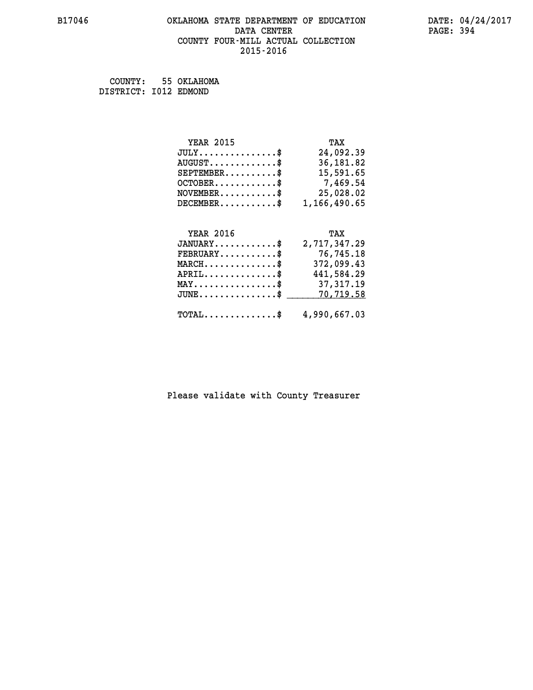# **B17046 OKLAHOMA STATE DEPARTMENT OF EDUCATION DATE: 04/24/2017** DATA CENTER PAGE: 394  **COUNTY FOUR-MILL ACTUAL COLLECTION 2015-2016**

 **COUNTY: 55 OKLAHOMA DISTRICT: I012 EDMOND**

| <b>YEAR 2015</b> | TAX          |
|------------------|--------------|
| $JULY$ \$        | 24,092.39    |
| $AUGUST$ \$      | 36,181.82    |
| $SEPTEMBER$ \$   | 15,591.65    |
| $OCTOBER$ \$     | 7,469.54     |
| $NOVEMBER$ \$    | 25,028.02    |
| $DECEMBER$ \$    | 1,166,490.65 |
| <b>YEAR 2016</b> | TAX          |
| $JANUARY$ \$     | 2,717,347.29 |
| $FEBRUARY$ \$    | 76,745.18    |

| $\texttt{FEBRUARY} \dots \dots \dots \$                                  | 76,745.18  |
|--------------------------------------------------------------------------|------------|
| $MARCH$ \$                                                               | 372,099.43 |
| $APRIL \ldots \ldots \ldots \$                                           | 441,584.29 |
| $\texttt{MAX} \dots \dots \dots \dots \dots \text{*}$                    | 37,317.19  |
| JUNE\$ 70,719.58                                                         |            |
| $\texttt{TOTAL} \dots \dots \dots \dots \texttt{``} \qquad 4.990.667.03$ |            |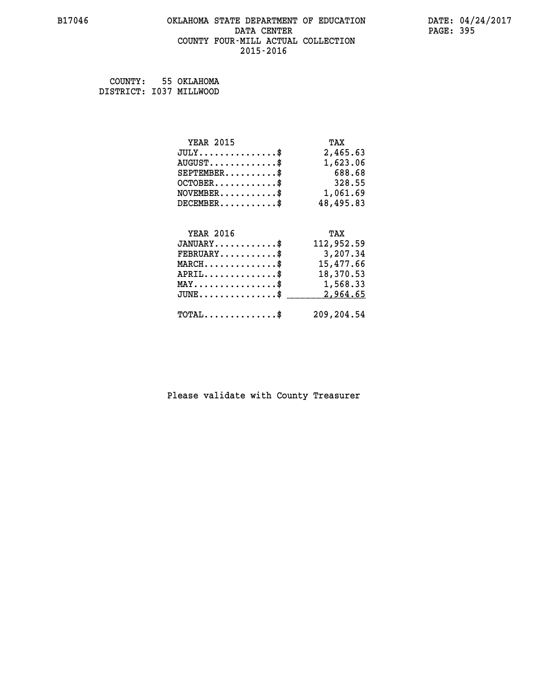# **B17046 OKLAHOMA STATE DEPARTMENT OF EDUCATION DATE: 04/24/2017 DATA CENTER** PAGE: 395  **COUNTY FOUR-MILL ACTUAL COLLECTION 2015-2016**

 **COUNTY: 55 OKLAHOMA DISTRICT: I037 MILLWOOD**

| <b>YEAR 2015</b>                           | TAX        |
|--------------------------------------------|------------|
| $JULY$ \$                                  | 2,465.63   |
| $AUGUST$ \$                                | 1,623.06   |
| $SEPTEMBER$ \$                             | 688.68     |
| $OCTOBER$ \$                               | 328.55     |
| $NOVEMBER$ \$                              | 1,061.69   |
| $DECEMBER$ \$                              | 48,495.83  |
|                                            |            |
| <b>YEAR 2016</b>                           | TAX        |
| $JANUARY$                                  | 112,952.59 |
|                                            |            |
| $FEBRUARY$                                 | 3,207.34   |
| $MARCH$ \$                                 | 15,477.66  |
| $APRIL$ \$                                 | 18,370.53  |
| MAY\$ 1,568.33                             |            |
| $JUNE \ldots \ldots \ldots \ldots \bullet$ | 2,964.65   |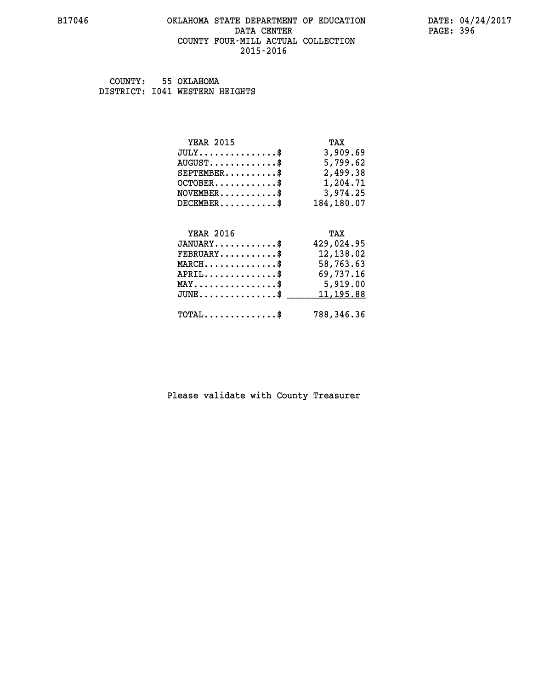# **B17046 OKLAHOMA STATE DEPARTMENT OF EDUCATION DATE: 04/24/2017 DATA CENTER** PAGE: 396  **COUNTY FOUR-MILL ACTUAL COLLECTION 2015-2016**

 **COUNTY: 55 OKLAHOMA DISTRICT: I041 WESTERN HEIGHTS**

| <b>YEAR 2015</b><br>$JULY$<br>$AUGUST$ \$<br>$SEPTEMBER$ \$<br>$OCTOBER$ \$<br>$NOVEMBER$ \$<br>$DECEMBER$ \$ | TAX<br>3,909.69<br>5,799.62<br>2,499.38<br>1,204.71<br>3,974.25<br>184,180.07 |
|---------------------------------------------------------------------------------------------------------------|-------------------------------------------------------------------------------|
| <b>YEAR 2016</b><br>$JANUARY$<br>$FEBRUARY$ \$<br>$MARCH$ \$<br>$APRIL$ \$                                    | TAX<br>429,024.95<br>12,138.02<br>58,763.63<br>69,737.16                      |
| $\texttt{MAX} \dots \dots \dots \dots \dots \$<br>$JUNE$ \$<br>$\texttt{TOTAL} \dots \dots \dots \dots \$     | 5,919.00<br>11,195.88<br>788,346.36                                           |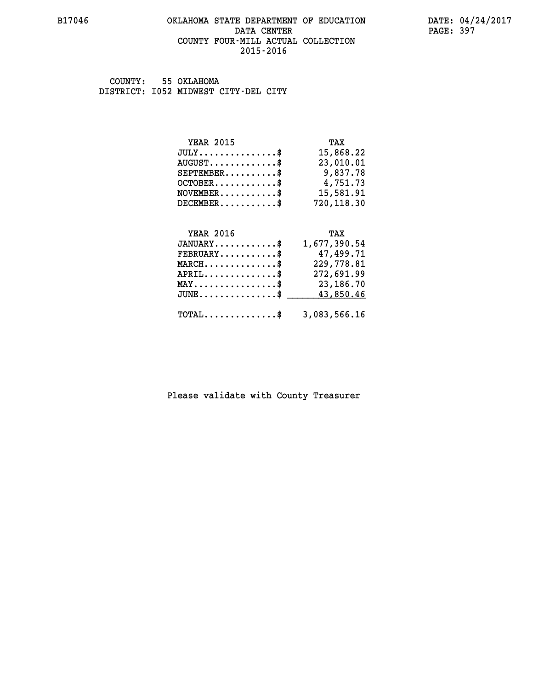#### **B17046 OKLAHOMA STATE DEPARTMENT OF EDUCATION DATE: 04/24/2017 DATA CENTER** PAGE: 397  **COUNTY FOUR-MILL ACTUAL COLLECTION 2015-2016**

 **COUNTY: 55 OKLAHOMA DISTRICT: I052 MIDWEST CITY-DEL CITY**

| <b>YEAR 2015</b>        | TAX        |
|-------------------------|------------|
| $JULY$ \$               | 15,868.22  |
| $AUGUST$                | 23,010.01  |
| $SEPTEMBER$ $\$         | 9,837.78   |
| $OCTOBER$ $\frac{1}{2}$ | 4,751.73   |
| $NOVEMENTER$ \$         | 15,581.91  |
| $DECEMBER$ \$           | 720,118.30 |

| <b>YEAR 2016</b>                                        | TAX          |
|---------------------------------------------------------|--------------|
|                                                         |              |
| $JANUARY$ \$                                            | 1,677,390.54 |
| $FEBRUARY$ \$                                           | 47,499.71    |
| $MARCH$ \$                                              | 229,778.81   |
| $APRIL$ \$                                              | 272,691.99   |
| $MAX \dots \dots \dots \dots \dots$                     | 23,186.70    |
| JUNE\$ 43,850.46                                        |              |
|                                                         |              |
| $\texttt{TOTAL} \dots \dots \dots \dots \$ 3,083,566.16 |              |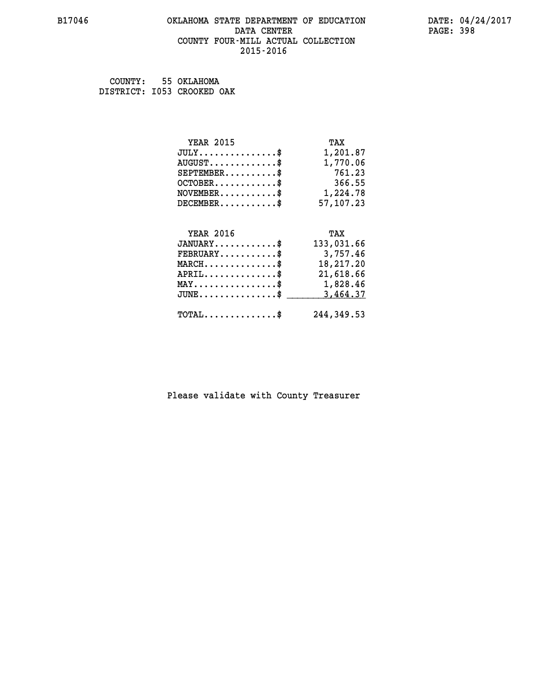#### **B17046 OKLAHOMA STATE DEPARTMENT OF EDUCATION DATE: 04/24/2017 DATA CENTER** PAGE: 398  **COUNTY FOUR-MILL ACTUAL COLLECTION 2015-2016**

 **COUNTY: 55 OKLAHOMA DISTRICT: I053 CROOKED OAK**

| <b>YEAR 2015</b>                           | TAX         |
|--------------------------------------------|-------------|
| $JULY$ \$                                  | 1,201.87    |
| $AUGUST$ \$                                | 1,770.06    |
| $SEPTEMBER$ \$                             | 761.23      |
| $OCTOBER$ \$                               | 366.55      |
| $NOVEMBER.$ \$                             | 1,224.78    |
| $DECEMBER$ \$                              | 57,107.23   |
|                                            |             |
| <b>YEAR 2016</b>                           | TAX         |
| $JANUARY$ \$                               | 133,031.66  |
| $FEBRUARY$                                 | 3,757.46    |
| $MARCH$ \$                                 | 18,217.20   |
| $APRIL \ldots \ldots \ldots \ldots$        | 21,618.66   |
| MAY\$ 1,828.46                             |             |
| $JUNE$ \$                                  | 3,464.37    |
| $\texttt{TOTAL} \dots \dots \dots \dots \$ | 244, 349.53 |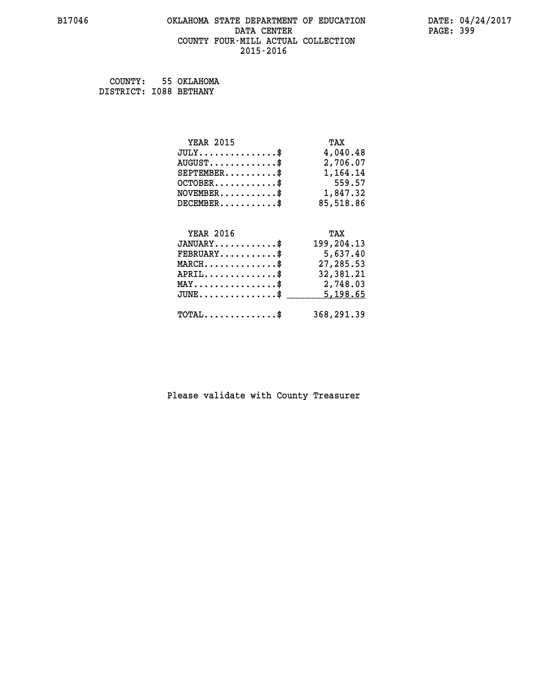### **B17046 OKLAHOMA STATE DEPARTMENT OF EDUCATION DATE: 04/24/2017 DATA CENTER PAGE: 399 COUNTY FOUR-MILL ACTUAL COLLECTION 2015-2016**

 **COUNTY: 55 OKLAHOMA DISTRICT: I088 BETHANY**

| <b>YEAR 2015</b>                                   | TAX        |
|----------------------------------------------------|------------|
| $JULY$ \$                                          | 4,040.48   |
| $AUGUST$ \$                                        | 2,706.07   |
| $SEPTEMBER$ \$                                     | 1,164.14   |
| $OCTOBER$ \$                                       | 559.57     |
| $NOVEMBER$ \$                                      | 1,847.32   |
| $DECEMBER$ \$                                      | 85,518.86  |
| <b>YEAR 2016</b>                                   | TAX        |
| $JANUARY$ \$                                       | 199,204.13 |
| $FEBRUARY$ \$                                      | 5,637.40   |
| $MARCH$ \$                                         | 27,285.53  |
| $APRIL$ \$                                         | 32,381.21  |
| $MAX \dots \dots \dots \dots \dots$                | 2,748.03   |
| $\texttt{JUNE} \dots \dots \dots \dots \texttt{S}$ | 5, 198.65  |
| $\texttt{TOTAL} \dots \dots \dots \dots \$         | 368,291.39 |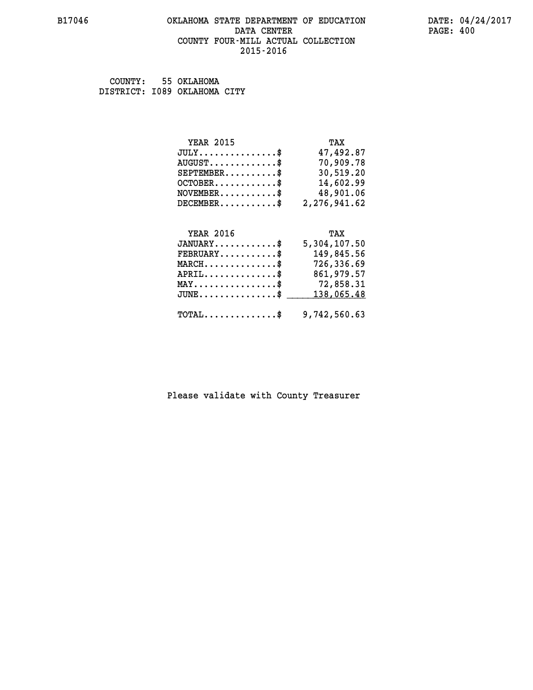#### **B17046 OKLAHOMA STATE DEPARTMENT OF EDUCATION DATE: 04/24/2017 DATA CENTER** PAGE: 400  **COUNTY FOUR-MILL ACTUAL COLLECTION 2015-2016**

 **COUNTY: 55 OKLAHOMA DISTRICT: I089 OKLAHOMA CITY**

| <b>YEAR 2015</b>              | TAX          |
|-------------------------------|--------------|
| $JULY \ldots \ldots \ldots \$ | 47,492.87    |
| $AUGUST$ \$                   | 70,909.78    |
| $SEPTEMBER$ \$                | 30,519.20    |
| $OCTOBER$ \$                  | 14,602.99    |
| $NOVEMBER$ \$                 | 48,901.06    |
| $DECEMBER$ \$                 | 2,276,941.62 |
| <b>VEAR 2016</b>              | TAX          |

| بالمستقلة                                               | $\overline{I}$ |
|---------------------------------------------------------|----------------|
| $JANUARY$ \$                                            | 5,304,107.50   |
| $FEBRUARY$ \$                                           | 149,845.56     |
| $MARCH$ \$                                              | 726,336.69     |
| $APRIL$                                                 | 861,979.57     |
| $\texttt{MAX} \dots \dots \dots \dots \dots \$          | 72,858.31      |
| JUNE\$ 138,065.48                                       |                |
|                                                         |                |
| $\texttt{TOTAL} \dots \dots \dots \dots \$ 9,742,560.63 |                |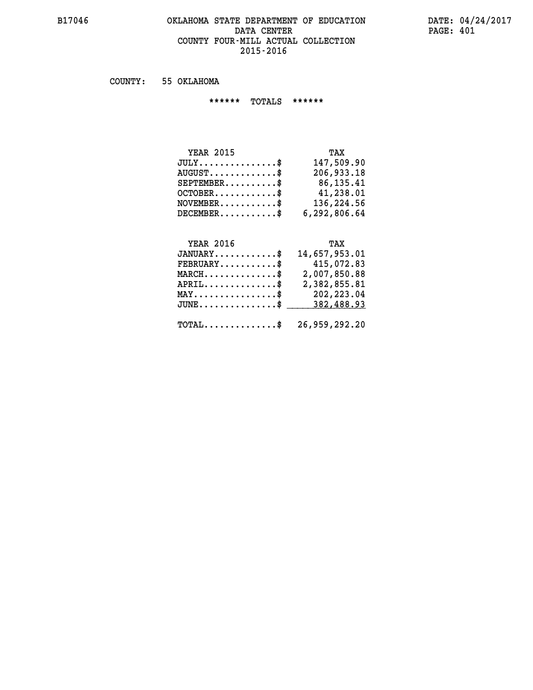### **B17046 OKLAHOMA STATE DEPARTMENT OF EDUCATION DATE: 04/24/2017** DATA CENTER PAGE: 401  **COUNTY FOUR-MILL ACTUAL COLLECTION 2015-2016**

 **COUNTY: 55 OKLAHOMA**

 **\*\*\*\*\*\* TOTALS \*\*\*\*\*\***

| <b>YEAR 2015</b>                 | TAX          |
|----------------------------------|--------------|
| $JULY$                           | 147,509.90   |
| $AUGUST \ldots \ldots \ldots$ \$ | 206,933.18   |
| $SEPTEMENT.$ \$                  | 86,135.41    |
| $OCTOBER$ $\frac{1}{2}$          | 41,238.01    |
| $NOVEMENTER$ \$                  | 136,224.56   |
| $DECEMBER$                       | 6,292,806.64 |

# *YEAR* 2016 TAX

| JANUARY\$ 14,657,953.01                                         |
|-----------------------------------------------------------------|
| 415,072.83<br>$\texttt{FEBRUARY} \dots \dots \dots \$           |
| 2,007,850.88<br>$MARCH$ \$                                      |
| 2,382,855.81<br>$APRIL$ \$                                      |
| 202,223.04<br>$\texttt{MAX} \dots \dots \dots \dots \texttt{S}$ |
| JUNE\$ 382,488.93                                               |
| $\texttt{TOTAL} \dots \dots \dots \dots \$ 26,959,292.20        |
|                                                                 |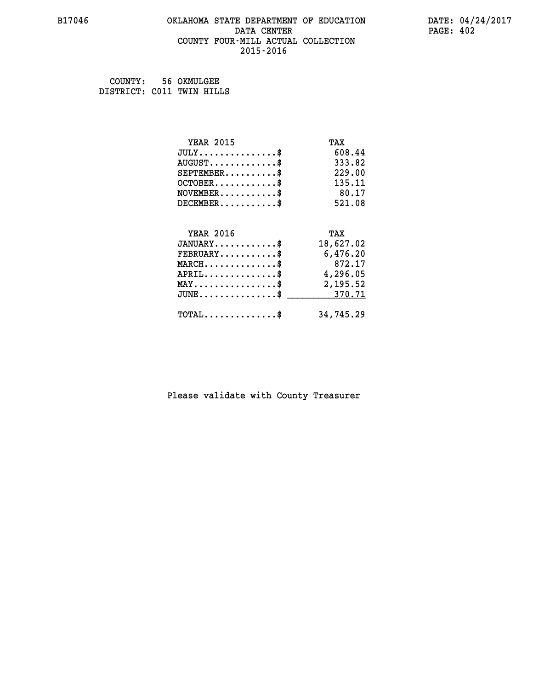#### **B17046 OKLAHOMA STATE DEPARTMENT OF EDUCATION DATE: 04/24/2017 DATA CENTER** PAGE: 402  **COUNTY FOUR-MILL ACTUAL COLLECTION 2015-2016**

 **COUNTY: 56 OKMULGEE DISTRICT: C011 TWIN HILLS**

| <b>YEAR 2015</b>                               | TAX       |
|------------------------------------------------|-----------|
| $JULY$ \$                                      | 608.44    |
| $AUGUST$ \$                                    | 333.82    |
| $SEPTEMBER$ \$                                 | 229.00    |
| $OCTOBER$ \$                                   | 135.11    |
| $NOVEMBER$ \$                                  | 80.17     |
| $DECEMBER$ \$                                  | 521.08    |
|                                                |           |
| <b>YEAR 2016</b>                               | TAX       |
| $JANUARY$ \$                                   | 18,627.02 |
| $FEBRUARY$                                     | 6,476.20  |
| $MARCH$ \$                                     | 872.17    |
| $APRIL$ \$                                     | 4,296.05  |
| $\texttt{MAX} \dots \dots \dots \dots \dots \$ | 2,195.52  |
| $\texttt{JUNE}\dots\dots\dots\dots\dots\$      | 370.71    |
| $TOTAL$ \$                                     | 34,745.29 |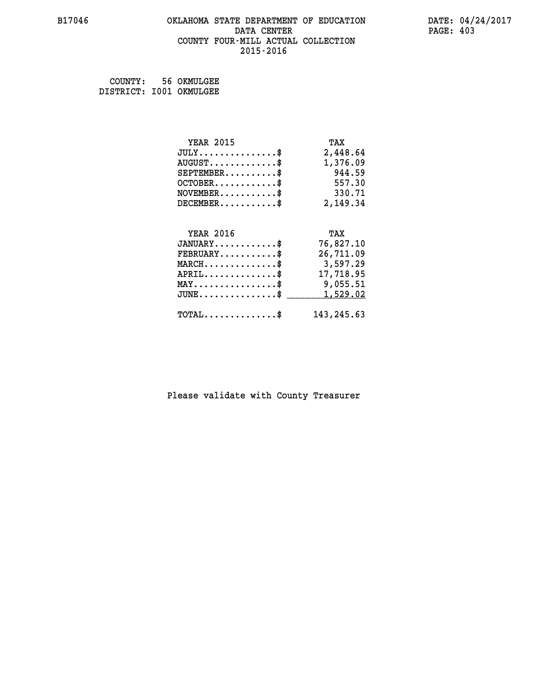#### **B17046 OKLAHOMA STATE DEPARTMENT OF EDUCATION DATE: 04/24/2017 DATA CENTER** PAGE: 403  **COUNTY FOUR-MILL ACTUAL COLLECTION 2015-2016**

 **COUNTY: 56 OKMULGEE DISTRICT: I001 OKMULGEE**

| <b>YEAR 2015</b>                                | TAX         |
|-------------------------------------------------|-------------|
| $JULY$ \$                                       | 2,448.64    |
| $AUGUST$ \$                                     | 1,376.09    |
| $SEPTEMBER$ \$                                  | 944.59      |
| $OCTOBER$ \$                                    | 557.30      |
| $\texttt{NOVEMBER} \dots \dots \dots \$         | 330.71      |
| $DECEMBER$ \$                                   | 2,149.34    |
|                                                 |             |
| <b>YEAR 2016</b>                                | TAX         |
| $JANUARY$ \$                                    | 76,827.10   |
| $FEBRUARY$                                      | 26,711.09   |
| $MARCH$ \$                                      | 3,597.29    |
| $APRIL$ \$                                      | 17,718.95   |
| $\texttt{MAX} \dots \dots \dots \dots \text{*}$ | 9,055.51    |
| $JUNE$ $\text{\$}$                              | 1,529.02    |
| $\texttt{TOTAL} \dots \dots \dots \dots \$      | 143, 245.63 |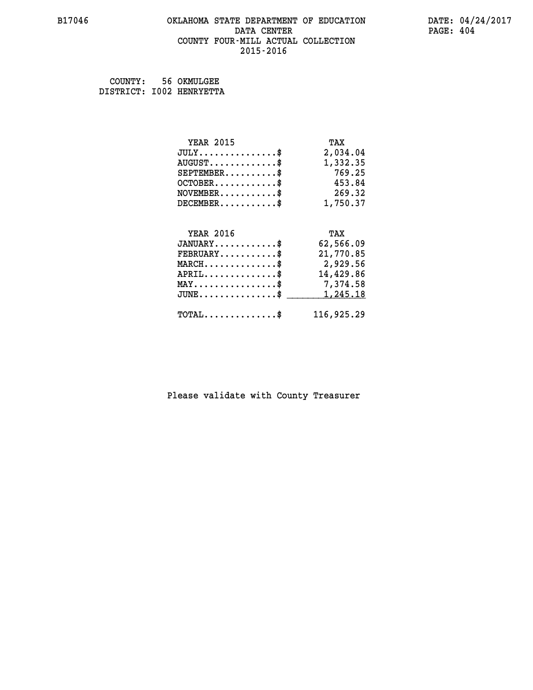#### **B17046 OKLAHOMA STATE DEPARTMENT OF EDUCATION DATE: 04/24/2017 DATA CENTER** PAGE: 404  **COUNTY FOUR-MILL ACTUAL COLLECTION 2015-2016**

 **COUNTY: 56 OKMULGEE DISTRICT: I002 HENRYETTA**

| <b>YEAR 2015</b>                                   | TAX        |
|----------------------------------------------------|------------|
| $JULY$ \$                                          | 2,034.04   |
| $AUGUST$ \$                                        | 1,332.35   |
| $SEPTEMBER$ \$                                     | 769.25     |
| $OCTOBER$ \$                                       | 453.84     |
| $\texttt{NOVEMBER} \dots \dots \dots \$            | 269.32     |
| $DECEMBER$ \$                                      | 1,750.37   |
|                                                    |            |
| <b>YEAR 2016</b>                                   | TAX        |
| $JANUARY$ \$                                       | 62,566.09  |
| $FEBRUARY$ \$                                      | 21,770.85  |
| $\texttt{MARCH}\ldots\ldots\ldots\ldots\text{*}$   | 2,929.56   |
| $APRIL$ \$                                         | 14,429.86  |
| $\texttt{MAX} \dots \dots \dots \dots \dots \$     | 7,374.58   |
| $\texttt{JUNE} \dots \dots \dots \dots \texttt{S}$ | 1,245.18   |
| $\texttt{TOTAL} \dots \dots \dots \dots \$         | 116,925.29 |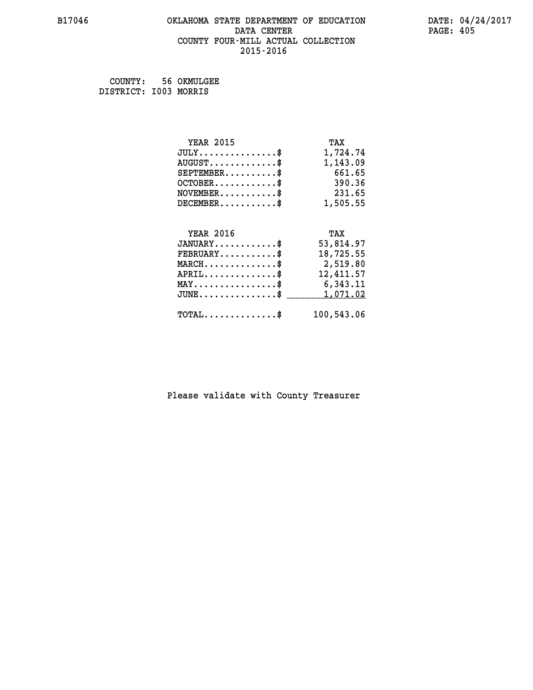#### **B17046 OKLAHOMA STATE DEPARTMENT OF EDUCATION DATE: 04/24/2017 DATA CENTER** PAGE: 405  **COUNTY FOUR-MILL ACTUAL COLLECTION 2015-2016**

 **COUNTY: 56 OKMULGEE DISTRICT: I003 MORRIS**

| <b>YEAR 2015</b>                               | TAX        |
|------------------------------------------------|------------|
| $JULY$ \$                                      | 1,724.74   |
| $AUGUST$ \$                                    | 1,143.09   |
| $SEPTEMBER$ \$                                 | 661.65     |
| $OCTOBER$ \$                                   | 390.36     |
| $\texttt{NOVEMBER} \dots \dots \dots \$        | 231.65     |
| $DECEMBER$ \$                                  | 1,505.55   |
|                                                |            |
| <b>YEAR 2016</b>                               | TAX        |
| $JANUARY$ \$                                   | 53,814.97  |
| $FEBRUARY$                                     | 18,725.55  |
| $MARCH$ \$                                     | 2,519.80   |
| $APRIL$ \$                                     | 12,411.57  |
| $\texttt{MAX} \dots \dots \dots \dots \dots \$ | 6,343.11   |
| $JUNE$ $\text{\$}$                             | 1,071.02   |
| $\texttt{TOTAL} \dots \dots \dots \dots \$     | 100,543.06 |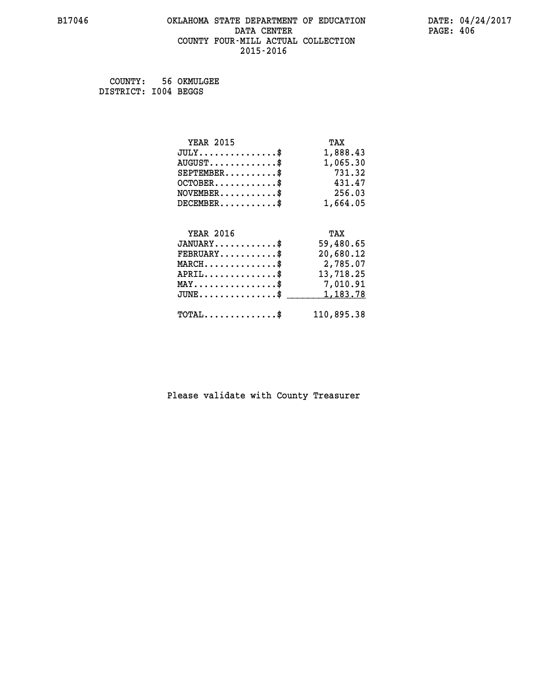#### **B17046 OKLAHOMA STATE DEPARTMENT OF EDUCATION DATE: 04/24/2017 DATA CENTER** PAGE: 406  **COUNTY FOUR-MILL ACTUAL COLLECTION 2015-2016**

 **COUNTY: 56 OKMULGEE DISTRICT: I004 BEGGS**

| <b>YEAR 2015</b>                               | TAX        |
|------------------------------------------------|------------|
| $JULY$ \$                                      | 1,888.43   |
| $AUGUST$ \$                                    | 1,065.30   |
| $SEPTEMBER$ \$                                 | 731.32     |
| $OCTOBER$ \$                                   | 431.47     |
| $\texttt{NOVEMBER} \dots \dots \dots \$        | 256.03     |
| $DECEMBER$ \$                                  | 1,664.05   |
|                                                |            |
| <b>YEAR 2016</b>                               | TAX        |
| $JANUARY$ \$                                   | 59,480.65  |
| $FEBRUARY$                                     | 20,680.12  |
| $MARCH$ \$                                     | 2,785.07   |
| $APRIL$ \$                                     | 13,718.25  |
| $\texttt{MAX} \dots \dots \dots \dots \dots \$ | 7,010.91   |
| $JUNE$ \$                                      | 1, 183.78  |
| $\texttt{TOTAL} \dots \dots \dots \dots \$     | 110,895.38 |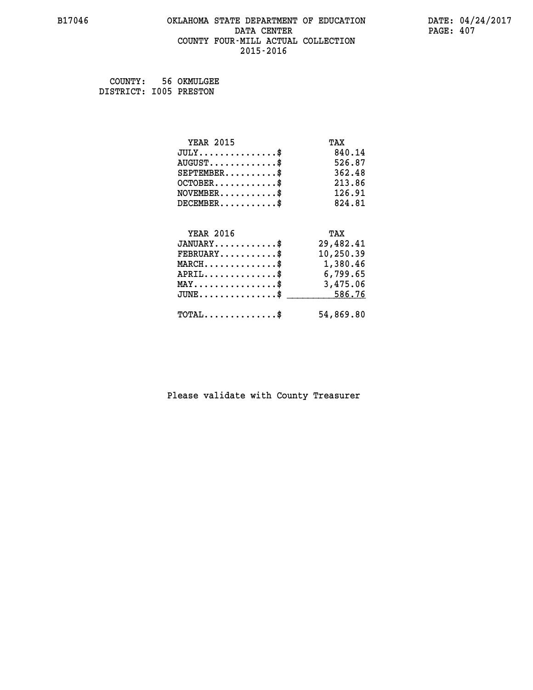#### **B17046 OKLAHOMA STATE DEPARTMENT OF EDUCATION DATE: 04/24/2017 DATA CENTER** PAGE: 407  **COUNTY FOUR-MILL ACTUAL COLLECTION 2015-2016**

 **COUNTY: 56 OKMULGEE DISTRICT: I005 PRESTON**

| <b>YEAR 2015</b>                                 | TAX       |
|--------------------------------------------------|-----------|
| $JULY$ \$                                        | 840.14    |
| $AUGUST$ \$                                      | 526.87    |
| $SEPTEMBER$ \$                                   | 362.48    |
| $OCTOBER$ \$                                     | 213.86    |
| $NOVEMBER$ \$                                    | 126.91    |
| $DECEMBER$ \$                                    | 824.81    |
|                                                  |           |
| <b>YEAR 2016</b>                                 | TAX       |
| $JANUARY$                                        | 29,482.41 |
| $FEBRUARY$                                       | 10,250.39 |
| $MARCH$ \$                                       | 1,380.46  |
| $APRIL$ \$                                       | 6,799.65  |
| $\texttt{MAX} \dots \dots \dots \dots \dots \$   | 3,475.06  |
| $\texttt{JUNE} \dots \dots \dots \dots \dots \$$ | 586.76    |
| $\texttt{TOTAL} \dots \dots \dots \dots \$       | 54,869.80 |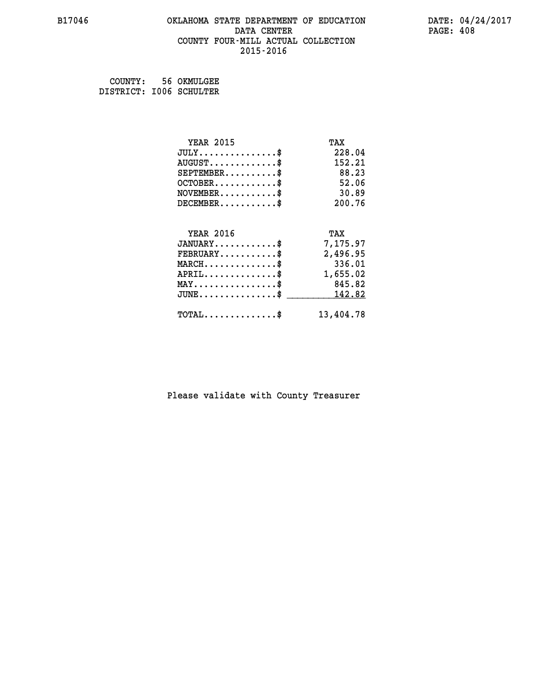#### **B17046 OKLAHOMA STATE DEPARTMENT OF EDUCATION DATE: 04/24/2017 DATA CENTER** PAGE: 408  **COUNTY FOUR-MILL ACTUAL COLLECTION 2015-2016**

 **COUNTY: 56 OKMULGEE DISTRICT: I006 SCHULTER**

| <b>YEAR 2015</b>                    | TAX       |
|-------------------------------------|-----------|
| $JULY$ \$                           | 228.04    |
| $AUGUST$ \$                         | 152.21    |
| $SEPTEMBER$ \$                      | 88.23     |
| $OCTOBER$ \$                        | 52.06     |
| $NOVEMBER$ \$                       | 30.89     |
| $DECEMBER$ \$                       | 200.76    |
|                                     |           |
| <b>YEAR 2016</b>                    | TAX       |
| $JANUARY$                           | 7,175.97  |
| $FEBRUARY$                          | 2,496.95  |
| $MARCH$ \$                          | 336.01    |
| $APRIL$ \$                          | 1,655.02  |
| $MAX \dots \dots \dots \dots \dots$ | 845.82    |
| $JUNE$ \$                           | 142.82    |
| $TOTAL$ \$                          | 13,404.78 |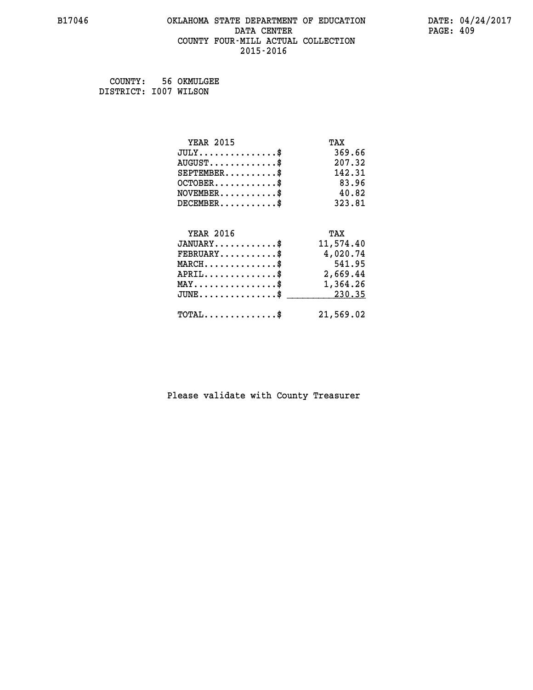#### **B17046 OKLAHOMA STATE DEPARTMENT OF EDUCATION DATE: 04/24/2017 DATA CENTER** PAGE: 409  **COUNTY FOUR-MILL ACTUAL COLLECTION 2015-2016**

 **COUNTY: 56 OKMULGEE DISTRICT: I007 WILSON**

| <b>YEAR 2015</b>                                   | TAX       |
|----------------------------------------------------|-----------|
| $JULY$ \$                                          | 369.66    |
| $AUGUST$ \$                                        | 207.32    |
| $SEPTEMBER$ \$                                     | 142.31    |
| $OCTOBER$ \$                                       | 83.96     |
| $NOVEMBER$ \$                                      | 40.82     |
| $DECEMBER$ \$                                      | 323.81    |
|                                                    |           |
| <b>YEAR 2016</b>                                   | TAX       |
| $JANUARY$ \$                                       | 11,574.40 |
| $FEBRUARY$                                         | 4,020.74  |
| $MARCH$ \$                                         | 541.95    |
| $APRIL$ \$                                         | 2,669.44  |
| $\texttt{MAX} \dots \dots \dots \dots \dots \$     | 1,364.26  |
| $\texttt{JUNE} \dots \dots \dots \dots \texttt{S}$ | 230.35    |
| $TOTAL$ \$                                         | 21,569.02 |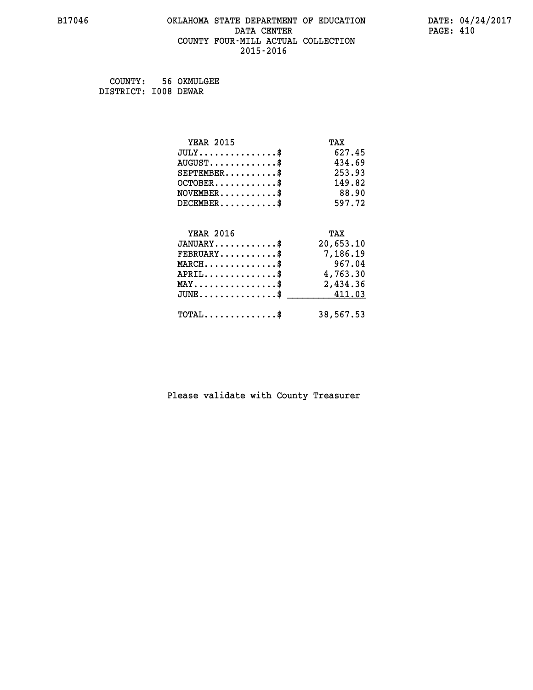#### **B17046 OKLAHOMA STATE DEPARTMENT OF EDUCATION DATE: 04/24/2017 DATA CENTER** PAGE: 410  **COUNTY FOUR-MILL ACTUAL COLLECTION 2015-2016**

 **COUNTY: 56 OKMULGEE DISTRICT: I008 DEWAR**

| <b>YEAR 2015</b>                               | TAX       |
|------------------------------------------------|-----------|
| $JULY$ \$                                      | 627.45    |
| $AUGUST$ \$                                    | 434.69    |
| $SEPTEMBER$ \$                                 | 253.93    |
| $OCTOBER$ \$                                   | 149.82    |
| $NOVEMBER$ \$                                  | 88.90     |
| $DECEMBER$ \$                                  | 597.72    |
|                                                |           |
| <b>YEAR 2016</b>                               | TAX       |
| $JANUARY$ \$                                   | 20,653.10 |
| $FEBRUARY$ \$                                  | 7,186.19  |
| $MARCH$ \$                                     | 967.04    |
| $APRIL$ \$                                     | 4,763.30  |
| $\texttt{MAX} \dots \dots \dots \dots \dots \$ | 2,434.36  |
| $JUNE \ldots \ldots \ldots \ldots$ \$ 411.03   |           |
| $\texttt{TOTAL} \dots \dots \dots \dots$ \$    | 38,567.53 |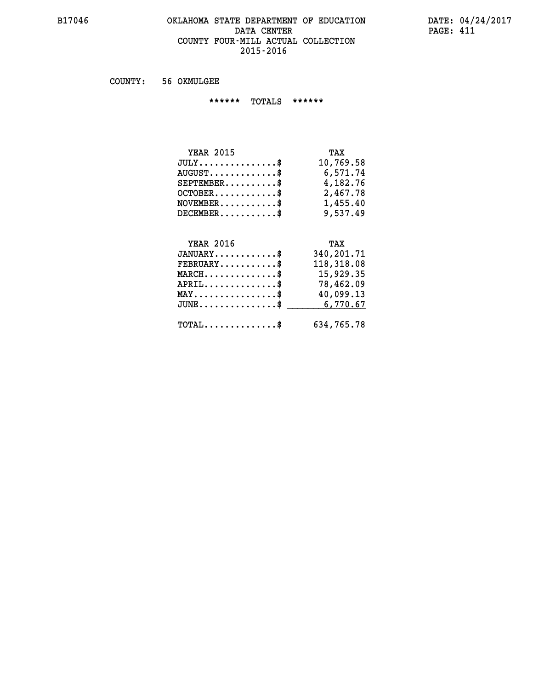#### **B17046 OKLAHOMA STATE DEPARTMENT OF EDUCATION DATE: 04/24/2017 DATA CENTER** PAGE: 411  **COUNTY FOUR-MILL ACTUAL COLLECTION 2015-2016**

 **COUNTY: 56 OKMULGEE**

 **\*\*\*\*\*\* TOTALS \*\*\*\*\*\***

| <b>YEAR 2015</b>              | TAX       |
|-------------------------------|-----------|
| $JULY \ldots \ldots \ldots \$ | 10,769.58 |
| $AUGUST$                      | 6,571.74  |
| $SEPTEMBER$                   | 4,182.76  |
| $OCTOBER$ \$                  | 2,467.78  |
| $NOVEMBER$ \$                 | 1,455.40  |
| $DECEMBER$                    | 9,537.49  |

## **YEAR 2016 TAX JANUARY............\$ 340,201.71 FEBRUARY...........\$ 118,318.08 MARCH..............\$ 15,929.35 APRIL..............\$ 78,462.09 MAY................\$ 40,099.13 JUNE...............\$ 6,770.67 \_\_\_\_\_\_\_\_\_\_\_\_\_\_\_ TOTAL..............\$ 634,765.78**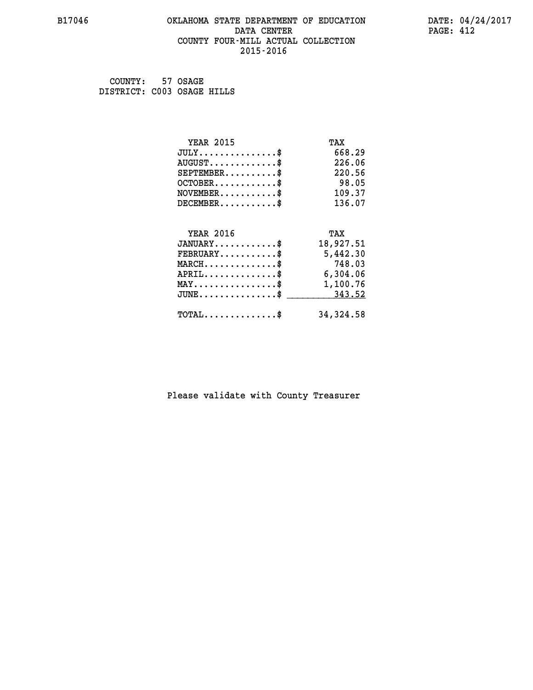#### **B17046 OKLAHOMA STATE DEPARTMENT OF EDUCATION DATE: 04/24/2017 DATA CENTER** PAGE: 412  **COUNTY FOUR-MILL ACTUAL COLLECTION 2015-2016**

 **COUNTY: 57 OSAGE DISTRICT: C003 OSAGE HILLS**

| <b>YEAR 2015</b>                               | TAX        |
|------------------------------------------------|------------|
| $JULY$ \$                                      | 668.29     |
| $AUGUST$ \$                                    | 226.06     |
| $SEPTEMBER$ \$                                 | 220.56     |
| $OCTOBER$ \$                                   | 98.05      |
| $NOVEMBER$ \$                                  | 109.37     |
| $DECEMBER$ \$                                  | 136.07     |
|                                                |            |
| <b>YEAR 2016</b>                               | TAX        |
| $JANUARY$                                      | 18,927.51  |
| $FEBRUARY$                                     | 5,442.30   |
| $MARCH$ \$                                     | 748.03     |
| $APRIL$ \$                                     | 6,304.06   |
| $\texttt{MAX} \dots \dots \dots \dots \dots \$ | 1,100.76   |
| $JUNE$ \$                                      | 343.52     |
| $\texttt{TOTAL} \dots \dots \dots \dots \$     | 34, 324.58 |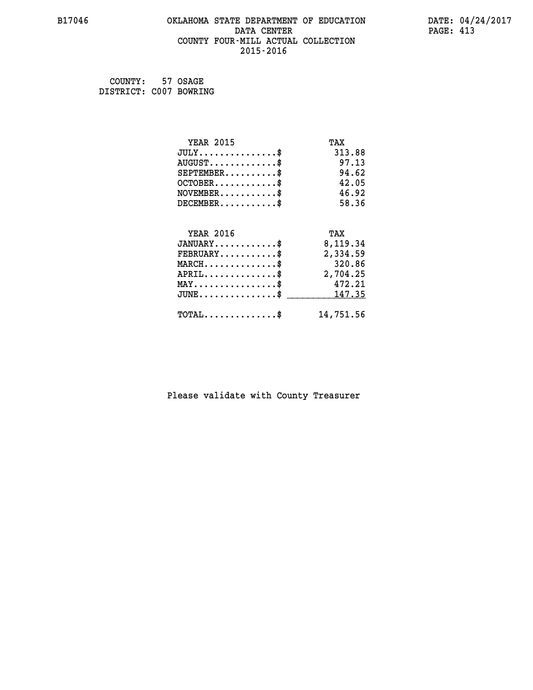#### **B17046 OKLAHOMA STATE DEPARTMENT OF EDUCATION DATE: 04/24/2017 DATA CENTER** PAGE: 413  **COUNTY FOUR-MILL ACTUAL COLLECTION 2015-2016**

 **COUNTY: 57 OSAGE DISTRICT: C007 BOWRING**

| <b>YEAR 2015</b>                           | TAX       |
|--------------------------------------------|-----------|
| $JULY$ \$                                  | 313.88    |
| $AUGUST$ \$                                | 97.13     |
| $SEPTEMENT.$ \$                            | 94.62     |
| $OCTOBER$ \$                               | 42.05     |
| $NOVEMBER$ \$                              | 46.92     |
| $DECEMBER$ \$                              | 58.36     |
|                                            |           |
| <b>YEAR 2016</b>                           | TAX       |
| $JANUARY$                                  | 8,119.34  |
| $FEBRUARY$                                 | 2,334.59  |
| $MARCH$ \$                                 | 320.86    |
| $APRIL \ldots \ldots \ldots \ldots \$      | 2,704.25  |
| $MAX \dots \dots \dots \dots \dots$        | 472.21    |
| $JUNE$ \$                                  | 147.35    |
| $\texttt{TOTAL} \dots \dots \dots \dots \$ | 14,751.56 |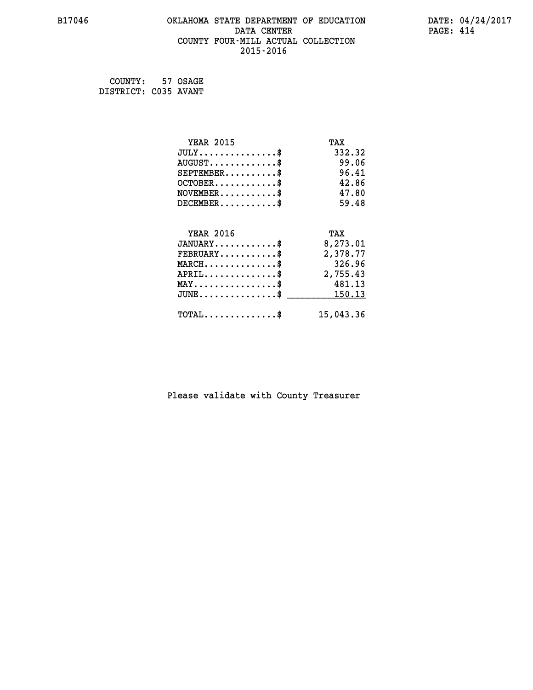#### **B17046 OKLAHOMA STATE DEPARTMENT OF EDUCATION DATE: 04/24/2017 DATA CENTER** PAGE: 414  **COUNTY FOUR-MILL ACTUAL COLLECTION 2015-2016**

 **COUNTY: 57 OSAGE DISTRICT: C035 AVANT**

| <b>YEAR 2015</b>                                 | TAX       |
|--------------------------------------------------|-----------|
| $JULY$ \$                                        | 332.32    |
| $AUGUST$ \$                                      | 99.06     |
| $SEPTEMBER$ \$                                   | 96.41     |
| $OCTOBER$ \$                                     | 42.86     |
| $NOVEMBER$ \$                                    | 47.80     |
| $DECEMBER$ \$                                    | 59.48     |
|                                                  |           |
| <b>YEAR 2016</b>                                 | TAX       |
| $JANUARY$                                        | 8,273.01  |
| $FEBRUARY$                                       | 2,378.77  |
| $MARCH$ \$                                       | 326.96    |
| $APRIL$ \$                                       | 2,755.43  |
| $MAX \dots \dots \dots \dots \dots$              | 481.13    |
| $\texttt{JUNE} \dots \dots \dots \dots \dots \$$ | 150.13    |
| $\texttt{TOTAL} \dots \dots \dots \dots$ \$      | 15,043.36 |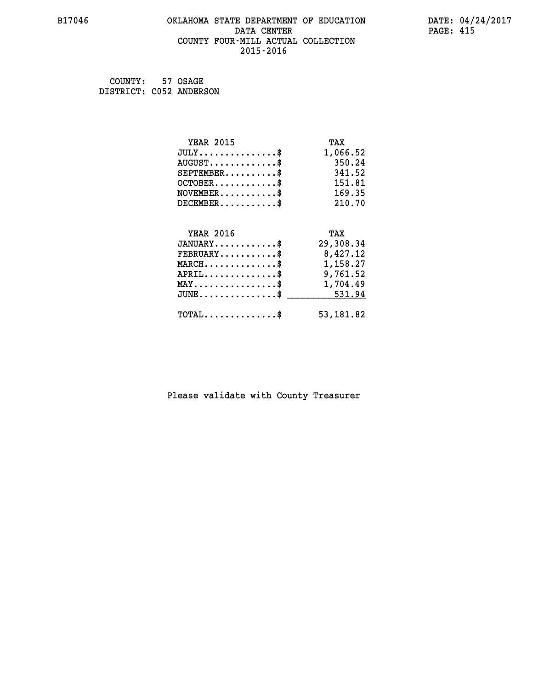#### **B17046 OKLAHOMA STATE DEPARTMENT OF EDUCATION DATE: 04/24/2017 DATA CENTER** PAGE: 415  **COUNTY FOUR-MILL ACTUAL COLLECTION 2015-2016**

 **COUNTY: 57 OSAGE DISTRICT: C052 ANDERSON**

| <b>YEAR 2015</b>                                 | TAX        |
|--------------------------------------------------|------------|
| $JULY$ \$                                        | 1,066.52   |
| $AUGUST$ \$                                      | 350.24     |
| $SEPTEMBER$ \$                                   | 341.52     |
| $OCTOBER$ \$                                     | 151.81     |
| $NOVEMBER$ \$                                    | 169.35     |
| $DECEMBER$ \$                                    | 210.70     |
|                                                  |            |
| <b>YEAR 2016</b>                                 | TAX        |
| $JANUARY$ \$                                     | 29,308.34  |
| $FEBRUARY$ \$                                    | 8,427.12   |
| $MARCH$ \$                                       | 1,158.27   |
| $APRIL$ \$                                       | 9,761.52   |
| $\texttt{MAX} \dots \dots \dots \dots \dots \$   | 1,704.49   |
| $\texttt{JUNE} \dots \dots \dots \dots \dots \$$ | 531.94     |
| $TOTAL$ \$                                       | 53, 181.82 |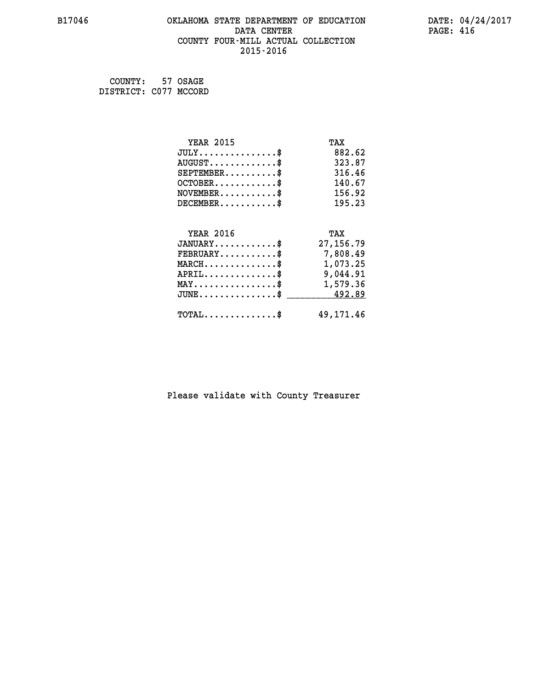#### **B17046 OKLAHOMA STATE DEPARTMENT OF EDUCATION DATE: 04/24/2017 DATA CENTER** PAGE: 416  **COUNTY FOUR-MILL ACTUAL COLLECTION 2015-2016**

 **COUNTY: 57 OSAGE DISTRICT: C077 MCCORD**

| <b>YEAR 2015</b>                                                          | TAX        |
|---------------------------------------------------------------------------|------------|
| $JULY$ \$                                                                 | 882.62     |
| $AUGUST$ \$                                                               | 323.87     |
| $SEPTEMBER$ \$                                                            | 316.46     |
| $OCTOBER$ \$                                                              | 140.67     |
| $\verb NOVEMBER , \verb , \verb , \verb , \verb , \verb , \verb , \verb $ | 156.92     |
| $DECEMBER$ \$                                                             | 195.23     |
| <b>YEAR 2016</b>                                                          | TAX        |
| $JANUARY$                                                                 | 27, 156.79 |
| $FEBRUARY$                                                                | 7,808.49   |
| $\texttt{MARCH}\ldots\ldots\ldots\ldots\clubsuit$                         | 1,073.25   |
| $APRIL \ldots \ldots \ldots \ldots$ \$                                    | 9,044.91   |
| MAY\$ 1,579.36                                                            |            |
| $\texttt{JUNE}\dots\dots\dots\dots\$$                                     | 492.89     |
| $TOTAL$ \$                                                                | 49, 171.46 |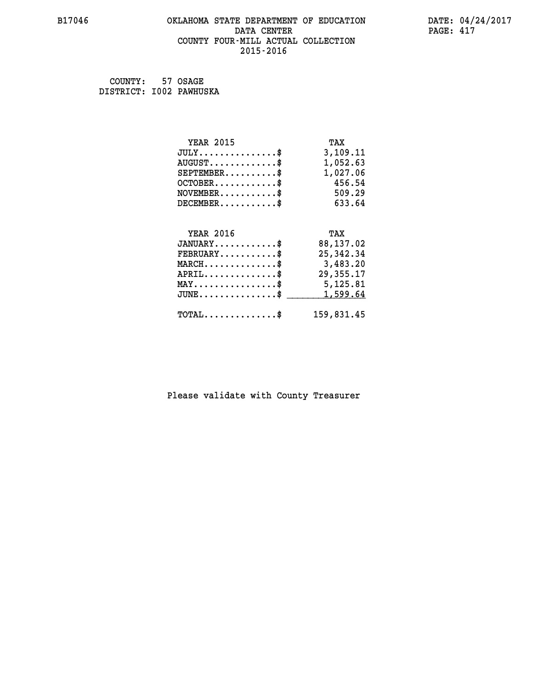#### **B17046 OKLAHOMA STATE DEPARTMENT OF EDUCATION DATE: 04/24/2017 DATA CENTER** PAGE: 417  **COUNTY FOUR-MILL ACTUAL COLLECTION 2015-2016**

 **COUNTY: 57 OSAGE DISTRICT: I002 PAWHUSKA**

| <b>YEAR 2015</b>                                                           | TAX        |
|----------------------------------------------------------------------------|------------|
| $JULY$ \$                                                                  | 3,109.11   |
| $AUGUST$ \$                                                                | 1,052.63   |
| $SEPTEMBER$ \$                                                             | 1,027.06   |
| $OCTOBER$ \$                                                               | 456.54     |
| $\verb NOVEMBER , \verb , \verb , \verb , \verb , \verb , \verb , \verb }$ | 509.29     |
| $DECEMBER$ \$                                                              | 633.64     |
|                                                                            |            |
| <b>YEAR 2016</b>                                                           | TAX        |
| $JANUARY$ \$                                                               | 88,137.02  |
| $\texttt{FEBRUARY} \dots \dots \dots \$                                    | 25, 342.34 |
| $MARCH$ \$                                                                 | 3,483.20   |
| $APRIL \ldots \ldots \ldots \ldots \$                                      | 29,355.17  |
| $\texttt{MAX} \dots \dots \dots \dots \dots \$                             | 5,125.81   |
| $\texttt{JUNE} \dots \dots \dots \dots \texttt{S}$                         | 1,599.64   |
| $\texttt{TOTAL} \dots \dots \dots \dots$                                   | 159,831.45 |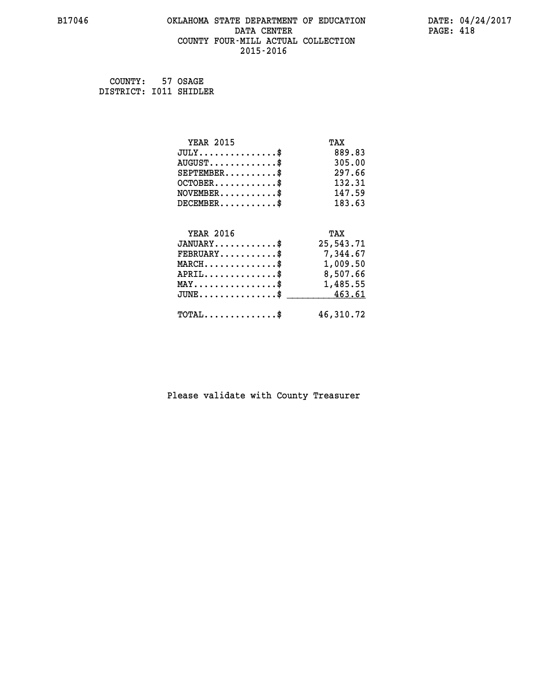#### **B17046 OKLAHOMA STATE DEPARTMENT OF EDUCATION DATE: 04/24/2017 DATA CENTER** PAGE: 418  **COUNTY FOUR-MILL ACTUAL COLLECTION 2015-2016**

 **COUNTY: 57 OSAGE DISTRICT: I011 SHIDLER**

| <b>YEAR 2015</b>                               | TAX       |
|------------------------------------------------|-----------|
| $JULY$ \$                                      | 889.83    |
| $AUGUST$ \$                                    | 305.00    |
| $SEPTEMBER$ \$                                 | 297.66    |
| $OCTOBER$ \$                                   | 132.31    |
| $NOVEMBER.$ \$                                 | 147.59    |
| $DECEMBER$ \$                                  | 183.63    |
|                                                |           |
| <b>YEAR 2016</b>                               | TAX       |
| $JANUARY$ \$                                   | 25,543.71 |
| $FEBRUARY$                                     | 7,344.67  |
| $MARCH$ \$                                     | 1,009.50  |
| $APRIL \ldots \ldots \ldots \ldots$            | 8,507.66  |
| $\texttt{MAX} \dots \dots \dots \dots \dots \$ | 1,485.55  |
| $JUNE \ldots \ldots \ldots \ldots \ast$        | 463.61    |
| $\texttt{TOTAL} \dots \dots \dots \dots \$     | 46,310.72 |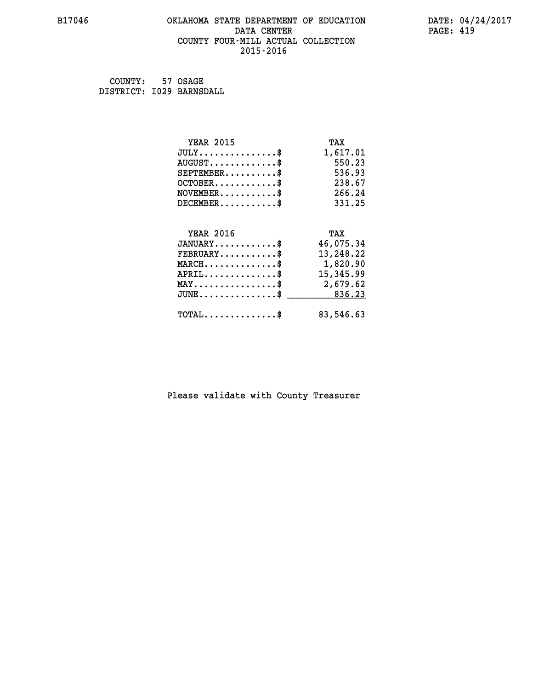#### **B17046 OKLAHOMA STATE DEPARTMENT OF EDUCATION DATE: 04/24/2017 DATA CENTER** PAGE: 419  **COUNTY FOUR-MILL ACTUAL COLLECTION 2015-2016**

 **COUNTY: 57 OSAGE DISTRICT: I029 BARNSDALL**

| <b>YEAR 2015</b>                                   | TAX       |
|----------------------------------------------------|-----------|
| $JULY$ \$                                          | 1,617.01  |
| $AUGUST$ \$                                        | 550.23    |
| $SEPTEMBER$ \$                                     | 536.93    |
| $OCTOBER$ \$                                       | 238.67    |
| $NOVEMBER.$ \$                                     | 266.24    |
| $DECEMBER$ \$                                      | 331.25    |
|                                                    |           |
| <b>YEAR 2016</b>                                   | TAX       |
| $JANUARY$ \$                                       | 46,075.34 |
| $FEBRUARY$                                         | 13,248.22 |
| $\texttt{MARCH}\ldots\ldots\ldots\ldots\text{*}$   | 1,820.90  |
| $APRIL \ldots \ldots \ldots \ldots$                | 15,345.99 |
| $\texttt{MAX} \dots \dots \dots \dots \dots \$     | 2,679.62  |
| $\texttt{JUNE} \dots \dots \dots \dots \texttt{S}$ | 836.23    |
| $TOTAL$ \$                                         | 83,546.63 |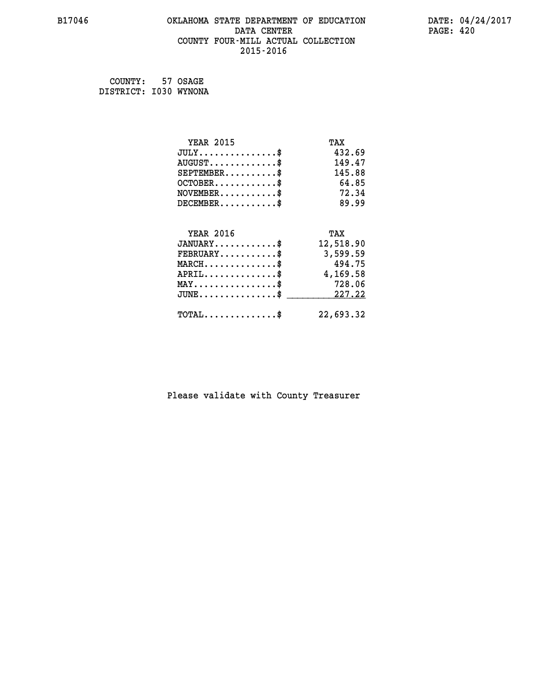#### **B17046 OKLAHOMA STATE DEPARTMENT OF EDUCATION DATE: 04/24/2017 DATA CENTER** PAGE: 420  **COUNTY FOUR-MILL ACTUAL COLLECTION 2015-2016**

 **COUNTY: 57 OSAGE DISTRICT: I030 WYNONA**

| <b>YEAR 2015</b>                    | TAX       |
|-------------------------------------|-----------|
| $JULY$ \$                           | 432.69    |
| $AUGUST$ \$                         | 149.47    |
| $SEPTEMBER$ \$                      | 145.88    |
| $OCTOBER$ \$                        | 64.85     |
| $NOVEMBER$ \$                       | 72.34     |
| $DECEMBER$ \$                       | 89.99     |
|                                     |           |
| <b>YEAR 2016</b>                    | TAX       |
| $JANUARY$                           | 12,518.90 |
| $FEBRUARY$                          | 3,599.59  |
| $MARCH$ \$                          | 494.75    |
| $APRIL$ \$                          | 4,169.58  |
| $MAX \dots \dots \dots \dots \dots$ | 728.06    |
| $JUNE$ \$                           | 227.22    |
|                                     |           |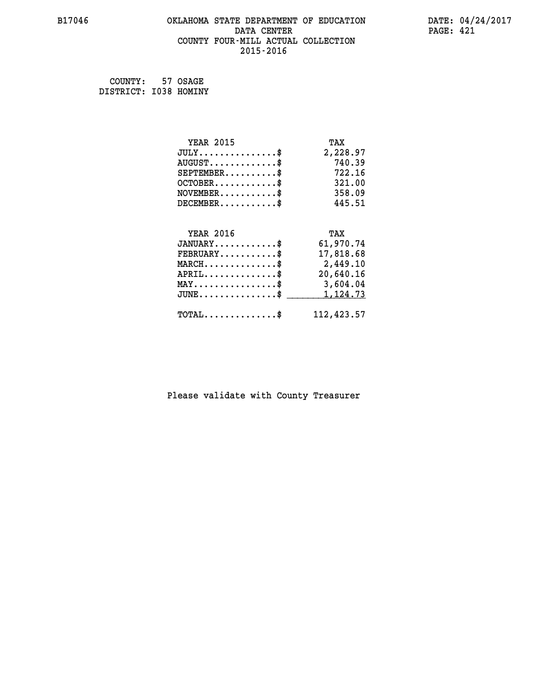#### **B17046 OKLAHOMA STATE DEPARTMENT OF EDUCATION DATE: 04/24/2017 DATA CENTER** PAGE: 421  **COUNTY FOUR-MILL ACTUAL COLLECTION 2015-2016**

 **COUNTY: 57 OSAGE DISTRICT: I038 HOMINY**

| <b>YEAR 2015</b>                               | TAX        |
|------------------------------------------------|------------|
| $JULY$ \$                                      | 2,228.97   |
| $AUGUST$ \$                                    | 740.39     |
| $SEPTEMBER$ \$                                 | 722.16     |
| $OCTOBER$ \$                                   | 321.00     |
| $NOVEMBER$ \$                                  | 358.09     |
| $DECEMBER$ \$                                  | 445.51     |
|                                                |            |
| <b>YEAR 2016</b>                               | TAX        |
| $JANUARY$ \$                                   | 61,970.74  |
| $FEBRUARY$                                     | 17,818.68  |
| $MARCH$ \$                                     | 2,449.10   |
| $APRIL$ \$                                     | 20,640.16  |
| $\texttt{MAX} \dots \dots \dots \dots \dots \$ | 3,604.04   |
| $JUNE$ $\text{\$}$                             | 1,124.73   |
| $\texttt{TOTAL} \dots \dots \dots \dots \$     | 112,423.57 |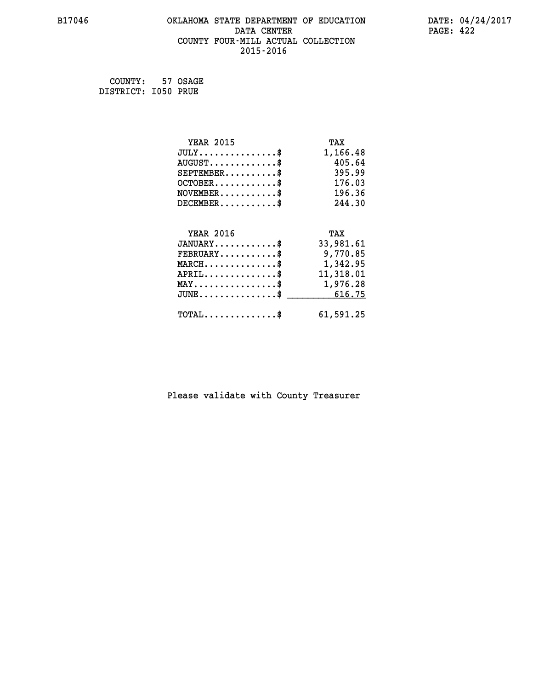#### **B17046 OKLAHOMA STATE DEPARTMENT OF EDUCATION DATE: 04/24/2017 DATA CENTER** PAGE: 422  **COUNTY FOUR-MILL ACTUAL COLLECTION 2015-2016**

 **COUNTY: 57 OSAGE DISTRICT: I050 PRUE**

| <b>YEAR 2015</b>                           | TAX       |
|--------------------------------------------|-----------|
| $JULY$ \$                                  | 1,166.48  |
| $AUGUST$ \$                                | 405.64    |
| $SEPTEMBER$ \$                             | 395.99    |
| $OCTOBER$ \$                               | 176.03    |
| $\texttt{NOVEMBER} \dots \dots \dots \$    | 196.36    |
| $DECEMBER$ \$                              | 244.30    |
|                                            |           |
| <b>YEAR 2016</b>                           | TAX       |
| $JANUARY$ \$                               | 33,981.61 |
| $FEBRUARY$                                 | 9,770.85  |
| MARCH\$ 1,342.95                           |           |
| $APRIL \ldots \ldots \ldots \ldots$ \$     | 11,318.01 |
| MAY\$ 1,976.28                             |           |
| $JUNE$ \$                                  | 616.75    |
| $\texttt{TOTAL} \dots \dots \dots \dots \$ | 61,591.25 |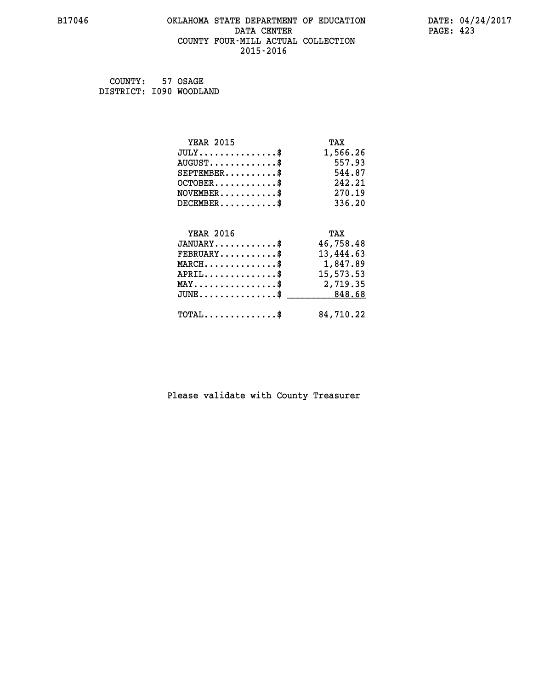#### **B17046 OKLAHOMA STATE DEPARTMENT OF EDUCATION DATE: 04/24/2017 DATA CENTER** PAGE: 423  **COUNTY FOUR-MILL ACTUAL COLLECTION 2015-2016**

 **COUNTY: 57 OSAGE DISTRICT: I090 WOODLAND**

| <b>YEAR 2015</b>                               | TAX       |
|------------------------------------------------|-----------|
| $JULY$ \$                                      | 1,566.26  |
| $AUGUST$ \$                                    | 557.93    |
| $SEPTEMBER$ \$                                 | 544.87    |
| $OCTOBER$ \$                                   | 242.21    |
| $NOVEMBER$ \$                                  | 270.19    |
| $DECEMBER$ \$                                  | 336.20    |
| <b>YEAR 2016</b>                               | TAX       |
| $JANUARY$ \$                                   |           |
|                                                | 46,758.48 |
| $FEBRUARY$                                     | 13,444.63 |
| $MARCH$ \$                                     | 1,847.89  |
| $APRIL \ldots \ldots \ldots \ldots \$          | 15,573.53 |
| $\texttt{MAX} \dots \dots \dots \dots \dots \$ | 2,719.35  |
| $JUNE \dots \dots \dots \dots \$ 848.68        |           |
| $\texttt{TOTAL} \dots \dots \dots \dots$ \$    | 84,710.22 |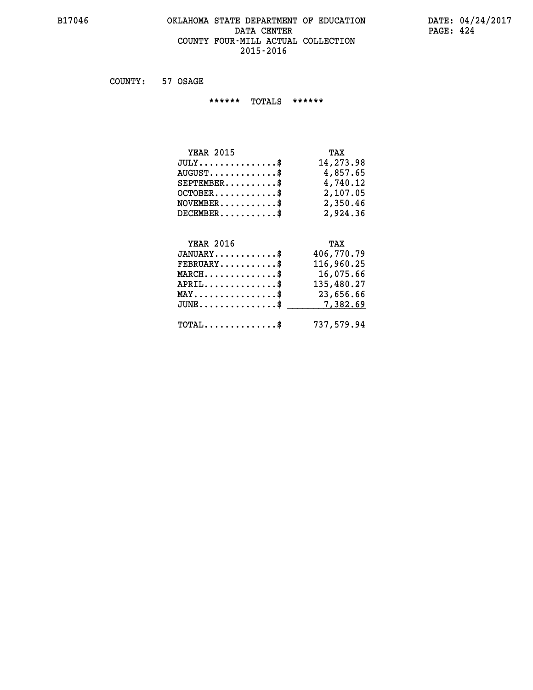#### **B17046 OKLAHOMA STATE DEPARTMENT OF EDUCATION DATE: 04/24/2017 DATA CENTER** PAGE: 424 **COUNTY FOUR-MILL ACTUAL COLLECTION 2015-2016**

 **COUNTY: 57 OSAGE**

 **\*\*\*\*\*\* TOTALS \*\*\*\*\*\***

| <b>YEAR 2015</b>                            | TAX       |
|---------------------------------------------|-----------|
| $JULY$                                      | 14,273.98 |
| $\texttt{AUGUST} \dots \dots \dots \dots \$ | 4,857.65  |
| $SEPTEMBER$                                 | 4,740.12  |
| $OCTOBER$ \$                                | 2,107.05  |
| $NOVEMBER$ \$                               | 2,350.46  |
| $DECEMBER$                                  | 2,924.36  |

#### **YEAR 2016 TAX JANUARY............\$ 406,770.79 FEBRUARY...........\$ 116,960.25 MARCH..............\$ 16,075.66**

| $APRIL \ldots \ldots \ldots \ldots \$<br>$\texttt{MAX} \dots \dots \dots \dots \dots \$<br>$JUNE \dots \dots \dots \dots \$ 7,382.69 | 135,480.27<br>23,656.66                     |            |
|--------------------------------------------------------------------------------------------------------------------------------------|---------------------------------------------|------------|
|                                                                                                                                      | $\texttt{TOTAL} \dots \dots \dots \dots \$$ | 737,579.94 |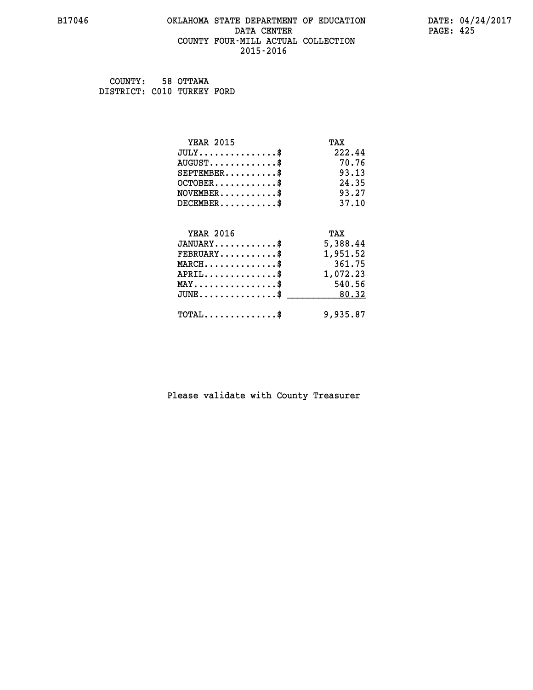#### **B17046 OKLAHOMA STATE DEPARTMENT OF EDUCATION DATE: 04/24/2017 DATA CENTER** PAGE: 425  **COUNTY FOUR-MILL ACTUAL COLLECTION 2015-2016**

 **COUNTY: 58 OTTAWA DISTRICT: C010 TURKEY FORD**

| <b>YEAR 2015</b>                           | TAX      |
|--------------------------------------------|----------|
| $JULY$ \$                                  | 222.44   |
| $AUGUST$ \$                                | 70.76    |
| $SEPTEMBER$ \$                             | 93.13    |
| $OCTOBER$ \$                               | 24.35    |
| $NOVEMBER$ \$                              | 93.27    |
| $DECEMBER$ \$                              | 37.10    |
|                                            |          |
| <b>YEAR 2016</b>                           | TAX      |
| $JANUARY$                                  | 5,388.44 |
| $FEBRUARY$                                 | 1,951.52 |
| $MARCH$ \$                                 | 361.75   |
| $APRIL$ \$                                 | 1,072.23 |
| $MAX \dots \dots \dots \dots \dots$        | 540.56   |
| $JUNE$ \$                                  | 80.32    |
| $\texttt{TOTAL} \dots \dots \dots \dots \$ | 9,935.87 |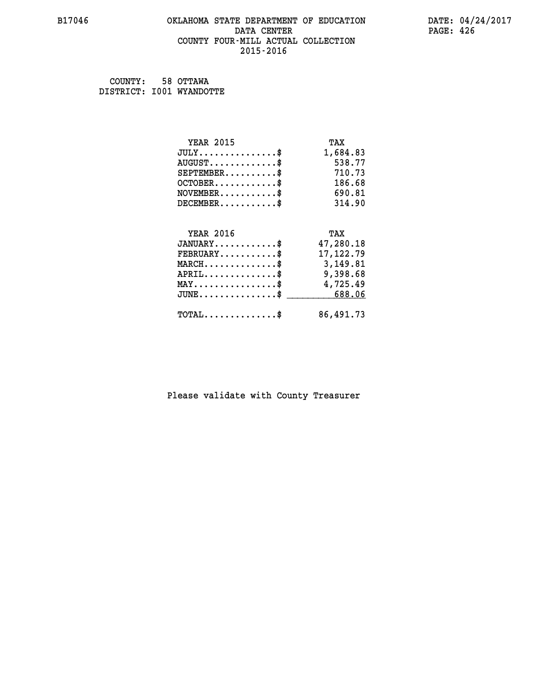#### **B17046 OKLAHOMA STATE DEPARTMENT OF EDUCATION DATE: 04/24/2017 DATA CENTER** PAGE: 426  **COUNTY FOUR-MILL ACTUAL COLLECTION 2015-2016**

 **COUNTY: 58 OTTAWA DISTRICT: I001 WYANDOTTE**

| <b>YEAR 2015</b>                               | TAX        |
|------------------------------------------------|------------|
| $JULY$ \$                                      | 1,684.83   |
| $AUGUST$ \$                                    | 538.77     |
| $SEPTEMBER$ \$                                 | 710.73     |
| $OCTOBER$ \$                                   | 186.68     |
| $NOVEMBER$ \$                                  | 690.81     |
| $DECEMBER$ \$                                  | 314.90     |
|                                                |            |
| <b>YEAR 2016</b>                               | TAX        |
| $JANUARY$ \$                                   | 47,280.18  |
| $FEBRUARY$                                     | 17, 122.79 |
| $MARCH$ \$                                     | 3,149.81   |
| $APRIL$ \$                                     | 9,398.68   |
| $\texttt{MAX} \dots \dots \dots \dots \dots \$ | 4,725.49   |
| $JUNE$ \$                                      | 688.06     |
| $\texttt{TOTAL} \dots \dots \dots \dots \$     | 86,491.73  |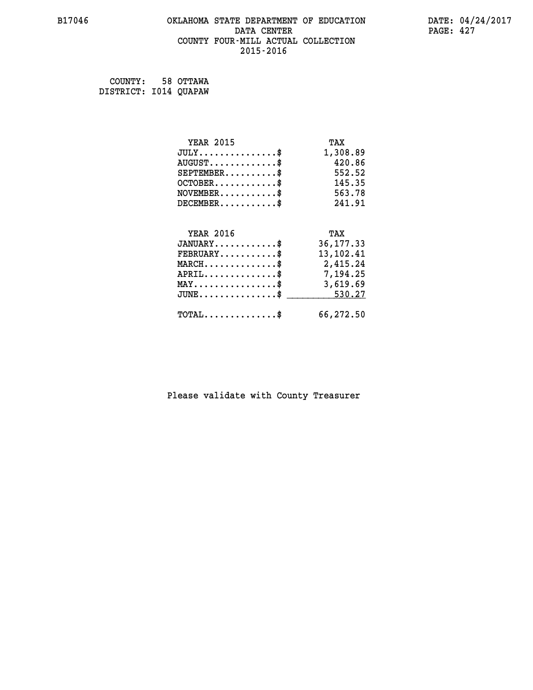#### **B17046 OKLAHOMA STATE DEPARTMENT OF EDUCATION DATE: 04/24/2017 DATA CENTER** PAGE: 427  **COUNTY FOUR-MILL ACTUAL COLLECTION 2015-2016**

 **COUNTY: 58 OTTAWA DISTRICT: I014 QUAPAW**

| <b>YEAR 2015</b>                               | TAX         |
|------------------------------------------------|-------------|
| $JULY$ \$                                      | 1,308.89    |
| $AUGUST$ \$                                    | 420.86      |
| $SEPTEMBER$ \$                                 | 552.52      |
| $OCTOBER$ \$                                   | 145.35      |
| $\texttt{NOVEMBER} \dots \dots \dots \$        | 563.78      |
| $DECEMBER$ \$                                  | 241.91      |
|                                                |             |
| <b>YEAR 2016</b>                               | TAX         |
| $JANUARY$ \$                                   | 36, 177. 33 |
| $FEBRUARY$                                     | 13,102.41   |
| MARCH\$ 2,415.24                               |             |
| $APRIL$ \$ 7,194.25                            |             |
| $\texttt{MAX} \dots \dots \dots \dots \dots \$ | 3,619.69    |
| $JUNE \ldots \ldots \ldots \ldots \ast$        | 530.27      |
| $\texttt{TOTAL} \dots \dots \dots \dots \$     | 66,272.50   |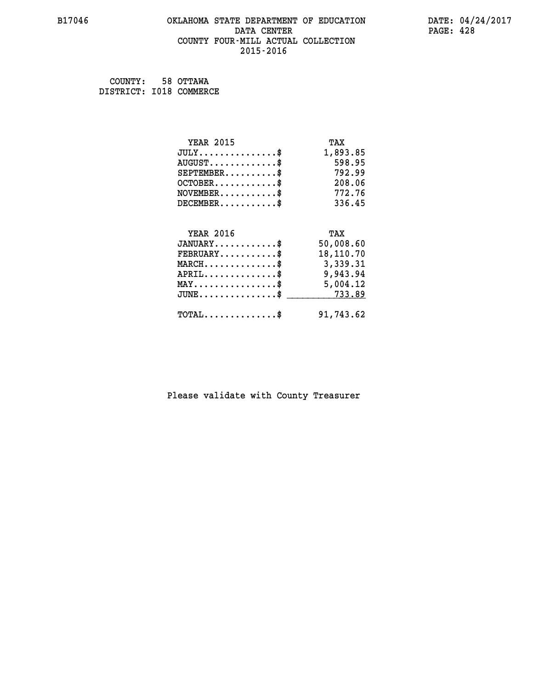#### **B17046 OKLAHOMA STATE DEPARTMENT OF EDUCATION DATE: 04/24/2017 DATA CENTER** PAGE: 428  **COUNTY FOUR-MILL ACTUAL COLLECTION 2015-2016**

 **COUNTY: 58 OTTAWA DISTRICT: I018 COMMERCE**

| <b>YEAR 2015</b>                               | TAX       |
|------------------------------------------------|-----------|
| $JULY$ \$                                      | 1,893.85  |
| $AUGUST$ \$                                    | 598.95    |
| $SEPTEMBER$ \$                                 | 792.99    |
| $OCTOBER$ \$                                   | 208.06    |
| $\texttt{NOVEMBER} \dots \dots \dots \$        | 772.76    |
| $DECEMBER$ \$                                  | 336.45    |
|                                                |           |
| <b>YEAR 2016</b>                               | TAX       |
| $JANUARY$ \$                                   | 50,008.60 |
| $FEBRUARY$                                     | 18,110.70 |
| $MARCH$ \$                                     | 3,339.31  |
| $APRIL \ldots \ldots \ldots \ldots$ \$         | 9,943.94  |
| $\texttt{MAX} \dots \dots \dots \dots \dots \$ | 5,004.12  |
| $JUNE$ \$                                      | 733.89    |
| $\texttt{TOTAL} \dots \dots \dots \dots \$     | 91,743.62 |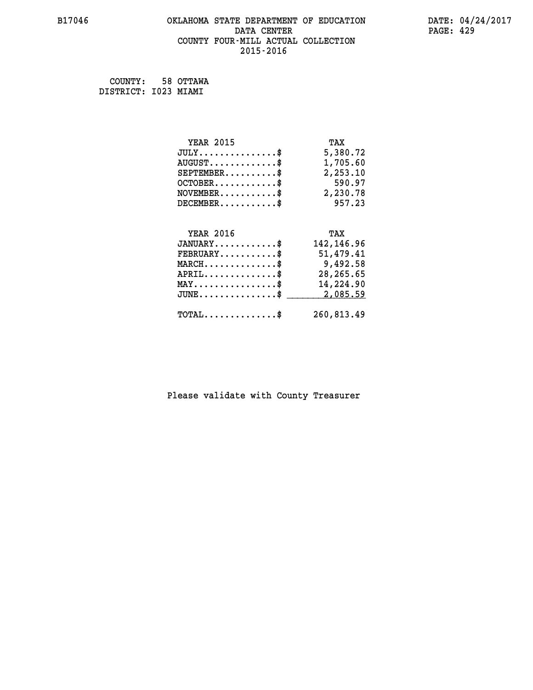#### **B17046 OKLAHOMA STATE DEPARTMENT OF EDUCATION DATE: 04/24/2017 DATA CENTER** PAGE: 429  **COUNTY FOUR-MILL ACTUAL COLLECTION 2015-2016**

 **COUNTY: 58 OTTAWA DISTRICT: I023 MIAMI**

| <b>YEAR 2015</b>                               | TAX         |
|------------------------------------------------|-------------|
| $JULY$ \$                                      | 5,380.72    |
| $AUGUST$ \$                                    | 1,705.60    |
| $SEPTEMBER$ \$                                 | 2,253.10    |
| $OCTOBER$ \$                                   | 590.97      |
| $NOVEMBER.$ \$                                 | 2,230.78    |
| $DECEMBER$ \$                                  | 957.23      |
|                                                |             |
| <b>YEAR 2016</b>                               | TAX         |
| $JANUARY$ \$                                   | 142, 146.96 |
| $FEBRUARY$ \$                                  | 51,479.41   |
| $MARCH \ldots \ldots \ldots \ldots \$          | 9,492.58    |
| $APRIL$ \$                                     | 28,265.65   |
| $\texttt{MAX} \dots \dots \dots \dots \dots \$ | 14,224.90   |
| $JUNE$ \$                                      | 2,085.59    |
| $TOTAL$ \$                                     | 260,813.49  |
|                                                |             |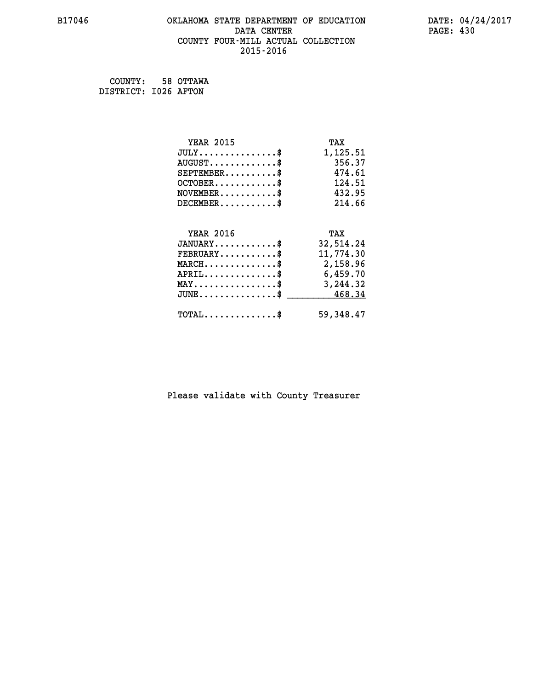#### **B17046 OKLAHOMA STATE DEPARTMENT OF EDUCATION DATE: 04/24/2017 DATA CENTER** PAGE: 430  **COUNTY FOUR-MILL ACTUAL COLLECTION 2015-2016**

 **COUNTY: 58 OTTAWA DISTRICT: I026 AFTON**

| <b>YEAR 2015</b>                               | TAX       |
|------------------------------------------------|-----------|
| $JULY$ \$                                      | 1,125.51  |
| $AUGUST$ \$                                    | 356.37    |
| $SEPTEMBER$ \$                                 | 474.61    |
| $OCTOBER$ \$                                   | 124.51    |
| $NOVEMBER$ \$                                  | 432.95    |
| $DECEMBER$ \$                                  | 214.66    |
|                                                |           |
| <b>YEAR 2016</b>                               | TAX       |
| $JANUARY$ \$                                   | 32,514.24 |
| $FEBRUARY$                                     | 11,774.30 |
| $MARCH$ \$                                     | 2,158.96  |
| $APRIL$ \$                                     | 6,459.70  |
| $\texttt{MAX} \dots \dots \dots \dots \dots \$ | 3,244.32  |
| $JUNE$ $$$                                     | 468.34    |
| $\texttt{TOTAL} \dots \dots \dots \dots \$     | 59,348.47 |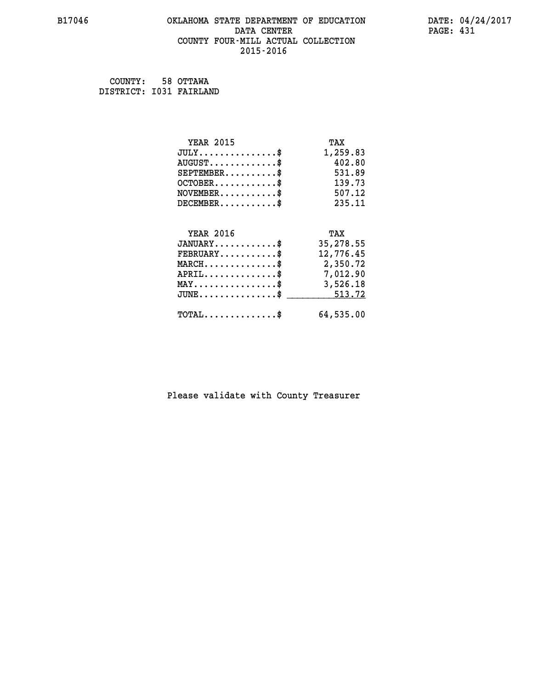#### **B17046 OKLAHOMA STATE DEPARTMENT OF EDUCATION DATE: 04/24/2017 DATA CENTER** PAGE: 431  **COUNTY FOUR-MILL ACTUAL COLLECTION 2015-2016**

 **COUNTY: 58 OTTAWA DISTRICT: I031 FAIRLAND**

| <b>YEAR 2015</b>                               | TAX       |
|------------------------------------------------|-----------|
| $JULY$ \$                                      | 1,259.83  |
| $AUGUST$ \$                                    | 402.80    |
| $SEPTEMBER$ \$                                 | 531.89    |
| $OCTOBER$ \$                                   | 139.73    |
| $NOVEMBER$ \$                                  | 507.12    |
| $DECEMBER$ \$                                  | 235.11    |
|                                                |           |
| <b>YEAR 2016</b>                               | TAX       |
| $JANUARY$ \$                                   | 35,278.55 |
| $FEBRUARY$                                     | 12,776.45 |
| $MARCH$ \$                                     | 2,350.72  |
| $APRIL$ \$                                     | 7,012.90  |
| $\texttt{MAX} \dots \dots \dots \dots \dots \$ | 3,526.18  |
| $JUNE$ \$                                      | 513.72    |
|                                                |           |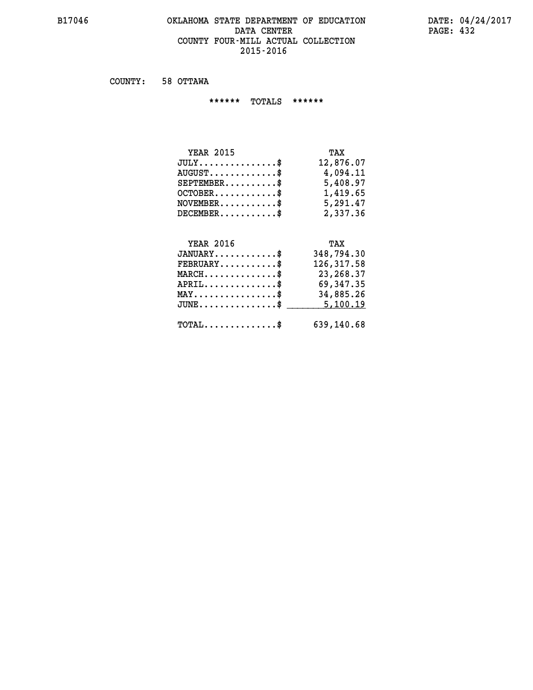#### **B17046 OKLAHOMA STATE DEPARTMENT OF EDUCATION DATE: 04/24/2017 DATA CENTER** PAGE: 432  **COUNTY FOUR-MILL ACTUAL COLLECTION 2015-2016**

 **COUNTY: 58 OTTAWA**

 **\*\*\*\*\*\* TOTALS \*\*\*\*\*\***

| <b>YEAR 2015</b>                       | TAX       |
|----------------------------------------|-----------|
| $JULY \ldots \ldots \ldots \mathbb{S}$ | 12,876.07 |
| $AUGUST$ $\frac{1}{2}$                 | 4,094.11  |
| $SEPTEMBER$ $\$                        | 5,408.97  |
| $OCTOBER$ \$                           | 1,419.65  |
| $NOVEMBER$ \$                          | 5,291.47  |
| $DECEMBER$                             | 2,337.36  |

## **YEAR 2016 TAX JANUARY............\$ 348,794.30 FEBRUARY...........\$ 126,317.58 MARCH..............\$ 23,268.37 APRIL..............\$ 69,347.35 MAY................\$ 34,885.26 JUNE...............\$ 5,100.19 \_\_\_\_\_\_\_\_\_\_\_\_\_\_\_ TOTAL..............\$ 639,140.68**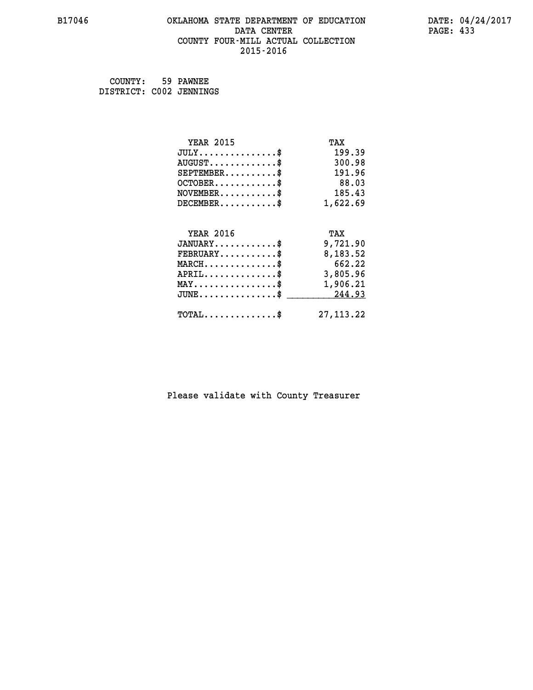#### **B17046 OKLAHOMA STATE DEPARTMENT OF EDUCATION DATE: 04/24/2017 DATA CENTER** PAGE: 433  **COUNTY FOUR-MILL ACTUAL COLLECTION 2015-2016**

| COUNTY: 59 PAWNEE       |  |
|-------------------------|--|
| DISTRICT: C002 JENNINGS |  |

| <b>YEAR 2015</b>                               | TAX         |
|------------------------------------------------|-------------|
| $JULY$ \$                                      | 199.39      |
| $AUGUST$ \$                                    | 300.98      |
| $SEPTEMBER$ \$                                 | 191.96      |
| $OCTOBER$ \$                                   | 88.03       |
| $NOVEMBER.$ \$                                 | 185.43      |
| $DECEMBER$ \$                                  | 1,622.69    |
| <b>YEAR 2016</b>                               | TAX         |
| $JANUARY$ \$                                   | 9,721.90    |
| $FEBRUARY$ \$                                  | 8,183.52    |
| $MARCH$ \$                                     | 662.22      |
| $APRIL$ \$                                     | 3,805.96    |
| $\texttt{MAX} \dots \dots \dots \dots \dots \$ | 1,906.21    |
| $JUNE$                                         | 244.93      |
| $TOTAL$ \$                                     | 27, 113. 22 |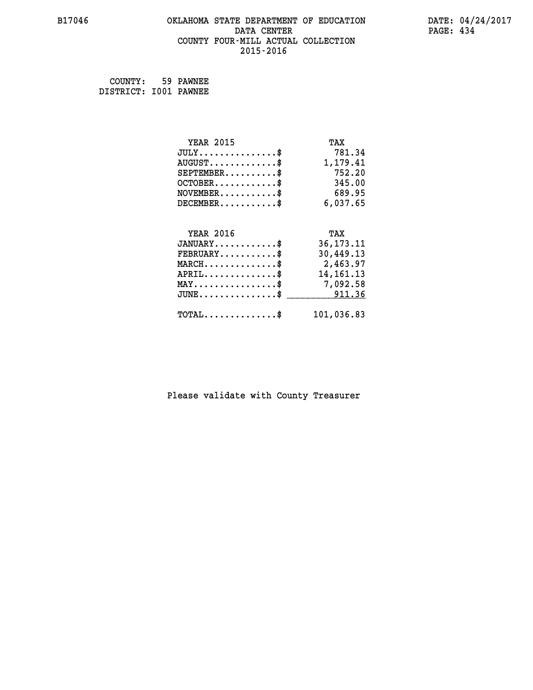# **B17046 OKLAHOMA STATE DEPARTMENT OF EDUCATION DATE: 04/24/2017 DATA CENTER** PAGE: 434  **COUNTY FOUR-MILL ACTUAL COLLECTION 2015-2016**

 **COUNTY: 59 PAWNEE DISTRICT: I001 PAWNEE**

| <b>YEAR 2015</b>                                 | TAX         |
|--------------------------------------------------|-------------|
| $JULY$ \$                                        | 781.34      |
| $AUGUST$ \$                                      | 1,179.41    |
| $SEPTEMBER$ \$                                   | 752.20      |
| $OCTOBER$ \$                                     | 345.00      |
| $\texttt{NOVEMBER} \dots \dots \dots \$          | 689.95      |
| $DECEMBER$ \$                                    | 6,037.65    |
|                                                  |             |
| <b>YEAR 2016</b>                                 | TAX         |
| $JANUARY$ \$                                     | 36, 173. 11 |
| $FEBRUARY$ \$                                    | 30,449.13   |
| $\texttt{MARCH}\ldots\ldots\ldots\ldots\text{*}$ | 2,463.97    |
| $APRIL \ldots \ldots \ldots \ldots$ \$           | 14, 161. 13 |
| MAY\$ 7,092.58                                   |             |
| $\texttt{JUNE} \dots \dots \dots \dots \dots \$$ | 911.36      |
| $\texttt{TOTAL} \dots \dots \dots \dots \$       | 101,036.83  |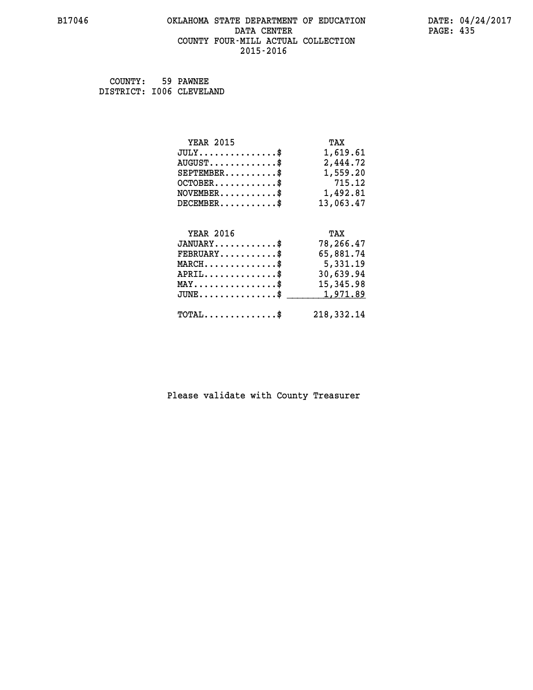# **B17046 OKLAHOMA STATE DEPARTMENT OF EDUCATION DATE: 04/24/2017 DATA CENTER** PAGE: 435  **COUNTY FOUR-MILL ACTUAL COLLECTION 2015-2016**

 **COUNTY: 59 PAWNEE DISTRICT: I006 CLEVELAND**

| <b>YEAR 2015</b>                                 | TAX          |
|--------------------------------------------------|--------------|
| $JULY$ \$                                        | 1,619.61     |
| $AUGUST$ \$                                      | 2,444.72     |
| $SEPTEMBER$ \$                                   | 1,559.20     |
| $OCTOBER$ \$                                     | 715.12       |
| $NOVEMBER.$ \$                                   | 1,492.81     |
| $DECEMBER$ \$                                    | 13,063.47    |
|                                                  |              |
| <b>YEAR 2016</b>                                 | TAX          |
| $JANUARY$ \$                                     | 78,266.47    |
| $FEBRUARY$ \$                                    | 65,881.74    |
| $MARCH \ldots \ldots \ldots \ldots \$            | 5,331.19     |
| $APRIL \ldots \ldots \ldots \ldots \$            | 30,639.94    |
| $\texttt{MAX} \dots \dots \dots \dots \dots \$   | 15,345.98    |
| $\texttt{JUNE} \dots \dots \dots \dots \dots \$$ | 1,971.89     |
| $\texttt{TOTAL} \dots \dots \dots \dots$         | 218, 332. 14 |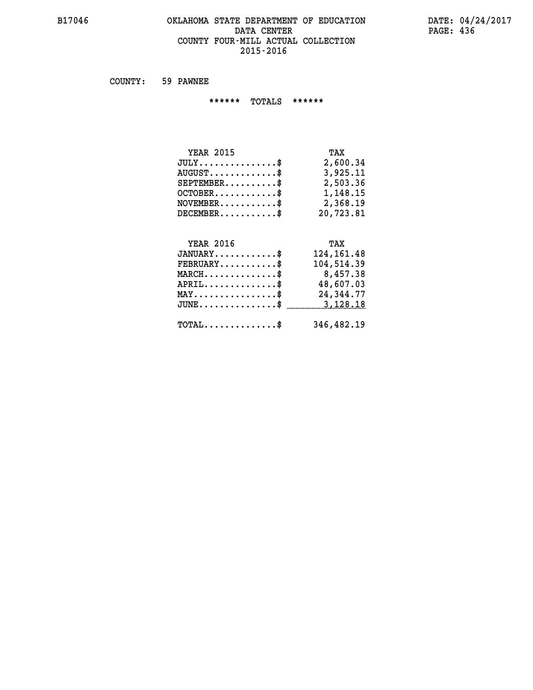#### **B17046 OKLAHOMA STATE DEPARTMENT OF EDUCATION DATE: 04/24/2017 DATA CENTER** PAGE: 436  **COUNTY FOUR-MILL ACTUAL COLLECTION 2015-2016**

 **COUNTY: 59 PAWNEE**

 **\*\*\*\*\*\* TOTALS \*\*\*\*\*\***

| <b>YEAR 2015</b>       | TAX       |
|------------------------|-----------|
| $JULY$                 | 2,600.34  |
| $AUGUST$ $\frac{1}{2}$ | 3,925.11  |
| $SEPTEMBER$ $\$        | 2,503.36  |
| $OCTOBER$ \$           | 1,148.15  |
| $NOVEMBER$ $$\$        | 2,368.19  |
| $DECEMBER$ \$          | 20,723.81 |

# **YEAR 2016 TAX**

| $JANUARY$                                  | 124,161.48 |
|--------------------------------------------|------------|
| $\texttt{FEBRUARY} \dots \dots \dots \$    | 104,514.39 |
| $MARCH$ \$                                 | 8,457.38   |
| $APRIL$ \$                                 | 48,607.03  |
| $MAX \dots \dots \dots \dots \dots \$      | 24,344.77  |
| $JUNE \dots \dots \dots \dots \$ 3,128.18  |            |
| $\texttt{TOTAL} \dots \dots \dots \dots \$ | 346,482.19 |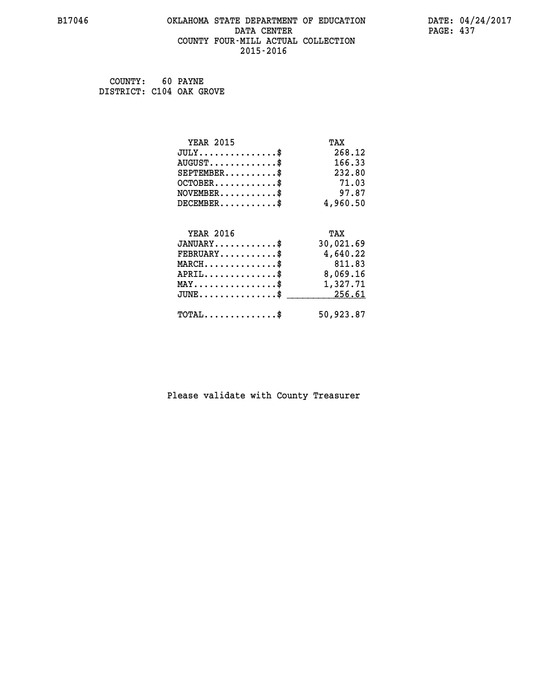# **B17046 OKLAHOMA STATE DEPARTMENT OF EDUCATION DATE: 04/24/2017 DATA CENTER** PAGE: 437  **COUNTY FOUR-MILL ACTUAL COLLECTION 2015-2016**

 **COUNTY: 60 PAYNE DISTRICT: C104 OAK GROVE**

| <b>YEAR 2015</b>                               | TAX       |
|------------------------------------------------|-----------|
| $JULY$ \$                                      | 268.12    |
| $AUGUST$ \$                                    | 166.33    |
| $SEPTEMENT.$ \$                                | 232.80    |
| $OCTOBER$ \$                                   | 71.03     |
| $NOVEMBER$ \$                                  | 97.87     |
| $DECEMBER$ \$                                  | 4,960.50  |
| <b>YEAR 2016</b>                               | TAX       |
|                                                |           |
| $JANUARY$ \$                                   | 30,021.69 |
| $FEBRUARY$ \$                                  | 4,640.22  |
| $MARCH$ \$                                     | 811.83    |
| $APRIL$ \$                                     | 8,069.16  |
| $\texttt{MAX} \dots \dots \dots \dots \dots \$ | 1,327.71  |
| $JUNE$                                         | 256.61    |
| $\texttt{TOTAL} \dots \dots \dots \dots \$     | 50,923.87 |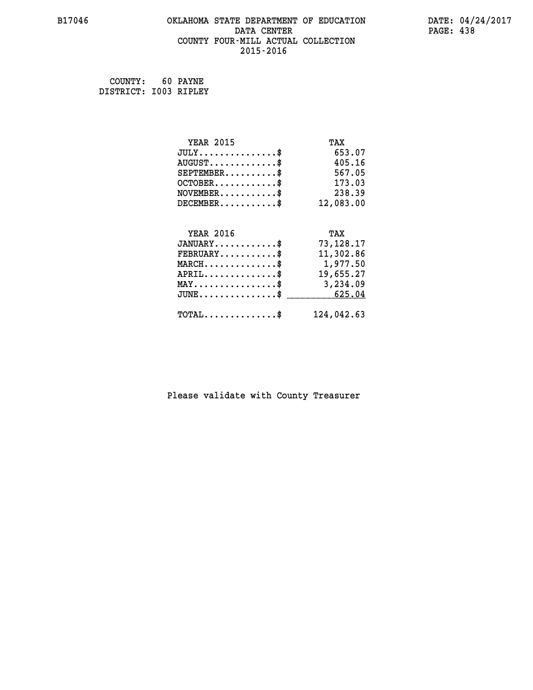# **B17046 OKLAHOMA STATE DEPARTMENT OF EDUCATION DATE: 04/24/2017 DATA CENTER** PAGE: 438  **COUNTY FOUR-MILL ACTUAL COLLECTION 2015-2016**

 **COUNTY: 60 PAYNE DISTRICT: I003 RIPLEY**

| <b>YEAR 2015</b>                               | TAX        |
|------------------------------------------------|------------|
| $JULY$ \$                                      | 653.07     |
| $AUGUST$ \$                                    | 405.16     |
| $SEPTEMBER$ \$                                 | 567.05     |
| $OCTOBER$ \$                                   | 173.03     |
| $\texttt{NOVEMBER} \dots \dots \dots \$        | 238.39     |
| $DECEMBER$ \$                                  | 12,083.00  |
|                                                |            |
| <b>YEAR 2016</b>                               | TAX        |
| $JANUARY$ \$                                   | 73,128.17  |
| $FEBRUARY$                                     | 11,302.86  |
| $MARCH$ \$                                     | 1,977.50   |
| $APRIL$ \$                                     | 19,655.27  |
| $\texttt{MAX} \dots \dots \dots \dots \dots \$ | 3,234.09   |
| $JUNE \ldots \ldots \ldots \ldots \ast$        | 625.04     |
| $TOTAL$ \$                                     | 124,042.63 |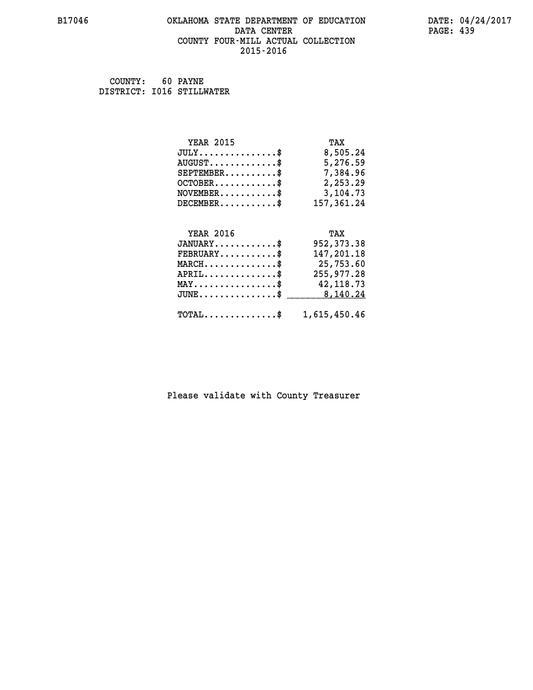# **B17046 OKLAHOMA STATE DEPARTMENT OF EDUCATION DATE: 04/24/2017 DATA CENTER** PAGE: 439  **COUNTY FOUR-MILL ACTUAL COLLECTION 2015-2016**

 **COUNTY: 60 PAYNE DISTRICT: I016 STILLWATER**

| <b>YEAR 2015</b>                                 | TAX          |
|--------------------------------------------------|--------------|
| $JULY$ \$                                        | 8,505.24     |
| $AUGUST$ $\$                                     | 5,276.59     |
| $SEPTEMBER$ \$                                   | 7,384.96     |
| $OCTOBER$ $\$                                    | 2,253.29     |
| $\texttt{NOVEMBER} \dots \dots \dots \$          | 3,104.73     |
| $DECEMBER$ \$                                    | 157,361.24   |
|                                                  |              |
| <b>YEAR 2016</b>                                 | TAX          |
| $JANUARY$ \$                                     | 952, 373.38  |
| $\texttt{FEBRUARY} \dots \dots \dots \$          | 147,201.18   |
| $\texttt{MARCH}\ldots\ldots\ldots\ldots\text{*}$ | 25,753.60    |
| $APRIL$ \$                                       | 255,977.28   |
| $\texttt{MAX} \dots \dots \dots \dots \dots \$   | 42,118.73    |
| $JUNE$ \$                                        | 8,140.24     |
| $\texttt{TOTAL} \dots \dots \dots \dots \$       | 1,615,450.46 |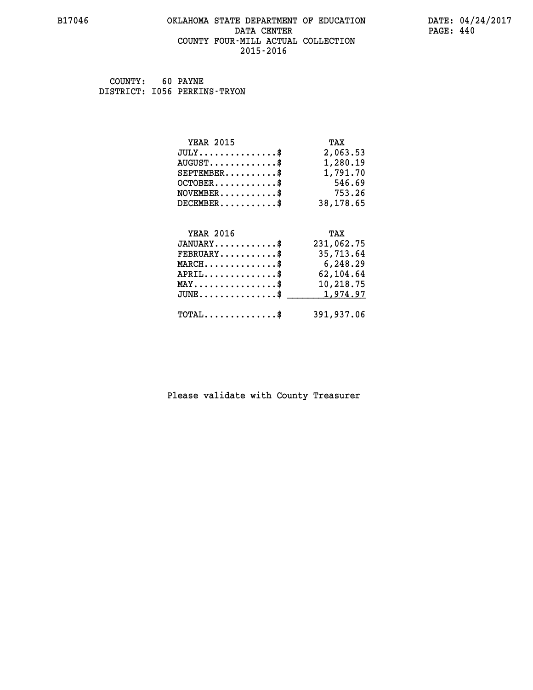#### **B17046 OKLAHOMA STATE DEPARTMENT OF EDUCATION DATE: 04/24/2017 DATA CENTER** PAGE: 440  **COUNTY FOUR-MILL ACTUAL COLLECTION 2015-2016**

 **COUNTY: 60 PAYNE DISTRICT: I056 PERKINS-TRYON**

| <b>YEAR 2015</b>                               | TAX        |
|------------------------------------------------|------------|
| $JULY$ \$                                      | 2,063.53   |
| $AUGUST$ \$                                    | 1,280.19   |
| $SEPTEMBER$ \$                                 | 1,791.70   |
| $OCTOBER$ \$                                   | 546.69     |
| $\texttt{NOVEMBER} \dots \dots \dots \$        | 753.26     |
| $DECEMBER$ \$                                  | 38,178.65  |
|                                                |            |
| <b>YEAR 2016</b>                               | TAX        |
|                                                |            |
| $JANUARY$ \$                                   | 231,062.75 |
| $FEBRUARY$                                     | 35,713.64  |
| $MARCH$ \$                                     | 6,248.29   |
| $APRIL$ \$                                     | 62,104.64  |
| $\texttt{MAX} \dots \dots \dots \dots \dots \$ | 10,218.75  |
| $JUNE$ \$                                      | 1,974.97   |
| $\texttt{TOTAL} \dots \dots \dots \dots \$     | 391,937.06 |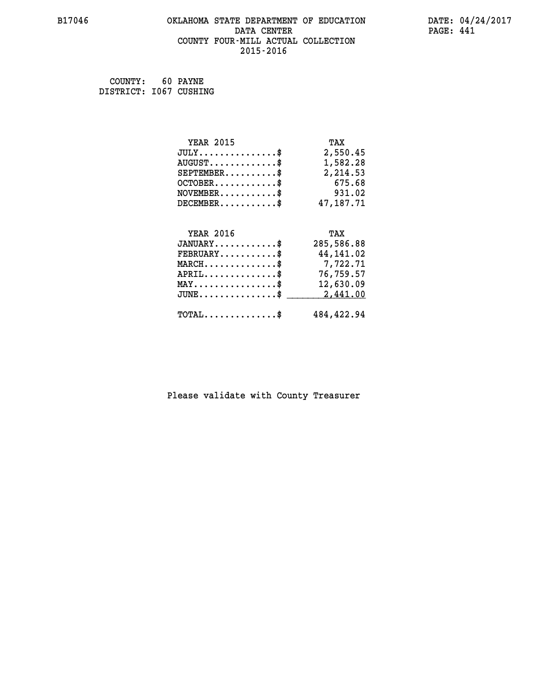# **B17046 OKLAHOMA STATE DEPARTMENT OF EDUCATION DATE: 04/24/2017 DATA CENTER** PAGE: 441  **COUNTY FOUR-MILL ACTUAL COLLECTION 2015-2016**

 **COUNTY: 60 PAYNE DISTRICT: I067 CUSHING**

| <b>YEAR 2015</b>                               | TAX        |
|------------------------------------------------|------------|
| $JULY$ \$                                      | 2,550.45   |
| $AUGUST$ \$                                    | 1,582.28   |
| $SEPTEMBER$ \$                                 | 2,214.53   |
| $OCTOBER$ \$                                   | 675.68     |
| $\texttt{NOVEMBER} \dots \dots \dots \$        | 931.02     |
| $DECEMBER$ \$                                  | 47,187.71  |
|                                                |            |
| <b>YEAR 2016</b>                               | TAX        |
| $JANUARY$ \$                                   | 285,586.88 |
| $FEBRUARY$                                     | 44,141.02  |
| $MARCH$ \$                                     | 7,722.71   |
| $APRIL \ldots \ldots \ldots \ldots \$          | 76,759.57  |
| $\texttt{MAX} \dots \dots \dots \dots \dots \$ | 12,630.09  |
| $JUNE$ \$                                      | 2,441.00   |
| $\texttt{TOTAL} \dots \dots \dots \dots \$     | 484,422.94 |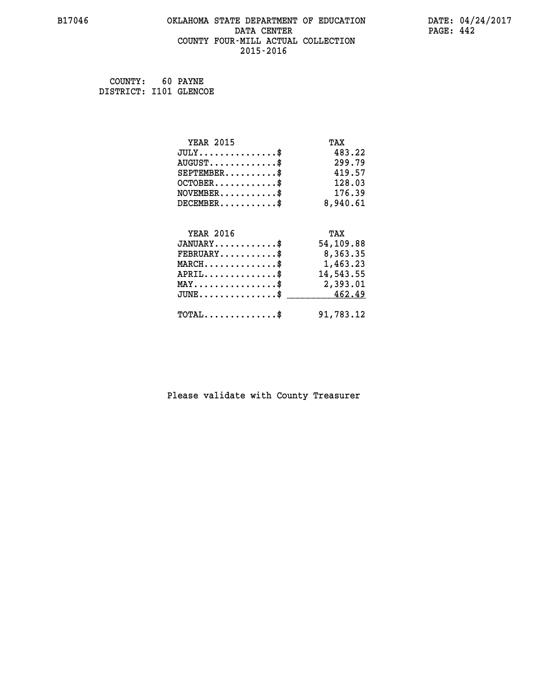# **B17046 OKLAHOMA STATE DEPARTMENT OF EDUCATION DATE: 04/24/2017 DATA CENTER** PAGE: 442  **COUNTY FOUR-MILL ACTUAL COLLECTION 2015-2016**

 **COUNTY: 60 PAYNE DISTRICT: I101 GLENCOE**

| <b>YEAR 2015</b>                                 | TAX       |
|--------------------------------------------------|-----------|
| $JULY$ \$                                        | 483.22    |
| $AUGUST$ \$                                      | 299.79    |
| $SEPTEMBER$ \$                                   | 419.57    |
| $OCTOBER$                                        | 128.03    |
| NOVEMENT.                                        | 176.39    |
| $DECEMBER$ \$                                    | 8,940.61  |
| <b>YEAR 2016</b>                                 | TAX       |
| $JANUARY$ \$                                     | 54,109.88 |
| $FEBRUARY$                                       | 8,363.35  |
| $MARCH$ \$                                       | 1,463.23  |
| $APRIL$ \$                                       | 14,543.55 |
| $\texttt{MAX} \dots \dots \dots \dots \dots \$   | 2,393.01  |
| $\texttt{JUNE} \dots \dots \dots \dots \dots \$$ | 462.49    |
| $\texttt{TOTAL} \dots \dots \dots \dots \$       | 91,783.12 |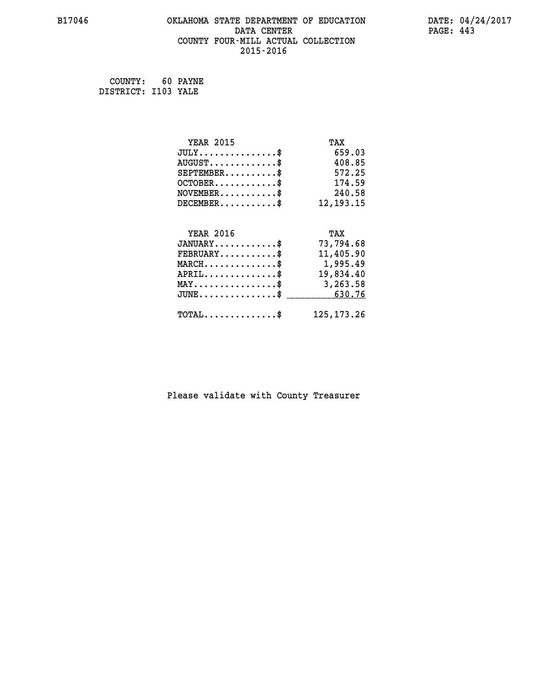# **B17046 OKLAHOMA STATE DEPARTMENT OF EDUCATION DATE: 04/24/2017 DATA CENTER** PAGE: 443  **COUNTY FOUR-MILL ACTUAL COLLECTION 2015-2016**

 **COUNTY: 60 PAYNE DISTRICT: I103 YALE**

| <b>YEAR 2015</b>                               | TAX          |
|------------------------------------------------|--------------|
| $JULY$ \$                                      | 659.03       |
| $AUGUST$ \$                                    | 408.85       |
| $SEPTEMBER$ \$                                 | 572.25       |
| $OCTOBER$ \$                                   | 174.59       |
| $\texttt{NOVEMBER} \dots \dots \dots \$        | 240.58       |
| $DECEMBER$ \$                                  | 12, 193. 15  |
|                                                |              |
| <b>YEAR 2016</b>                               | TAX          |
| $JANUARY$ \$                                   | 73,794.68    |
| $FEBRUARY$                                     | 11,405.90    |
| $MARCH$ \$                                     | 1,995.49     |
| $APRIL$                                        | 19,834.40    |
| $\texttt{MAX} \dots \dots \dots \dots \dots \$ | 3,263.58     |
| $JUNE$ $$$                                     | 630.76       |
| $\texttt{TOTAL} \dots \dots \dots \dots \$     | 125, 173. 26 |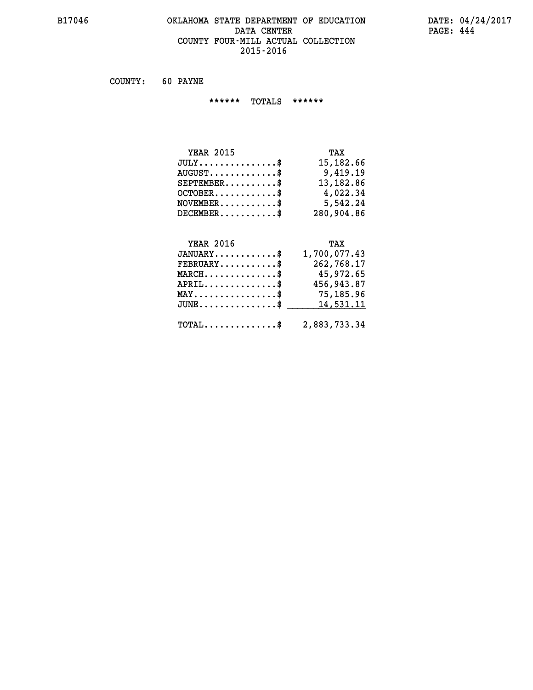# **B17046 OKLAHOMA STATE DEPARTMENT OF EDUCATION DATE: 04/24/2017 DATA CENTER** PAGE: 444  **COUNTY FOUR-MILL ACTUAL COLLECTION 2015-2016**

 **COUNTY: 60 PAYNE**

 **\*\*\*\*\*\* TOTALS \*\*\*\*\*\***

| <b>YEAR 2015</b>                          | TAX        |
|-------------------------------------------|------------|
| $JULY$                                    | 15,182.66  |
| $\text{AUGUST} \dots \dots \dots \dots \$ | 9,419,19   |
| $SEPTEMENT.$ \$                           | 13,182.86  |
| $OCTOBER$ $\frac{1}{2}$                   | 4,022.34   |
| $NOVEMBER$ $\$\$                          | 5,542.24   |
| $DECEMBER$                                | 280,904.86 |

# **YEAR 2016 TAX**

| $JANUARY$ \$                                            | 1,700,077.43 |
|---------------------------------------------------------|--------------|
| $\texttt{FEBRUARY} \dots \dots \dots \$                 | 262,768.17   |
| $MARCH$ \$                                              | 45,972.65    |
| $APRIL$ \$                                              | 456,943.87   |
| $\texttt{MAX} \dots \dots \dots \dots \dots \$          | 75,185.96    |
| $JUNE \dots \dots \dots \dots \$ 14,531.11              |              |
| $\texttt{TOTAL} \dots \dots \dots \dots \$ 2,883,733.34 |              |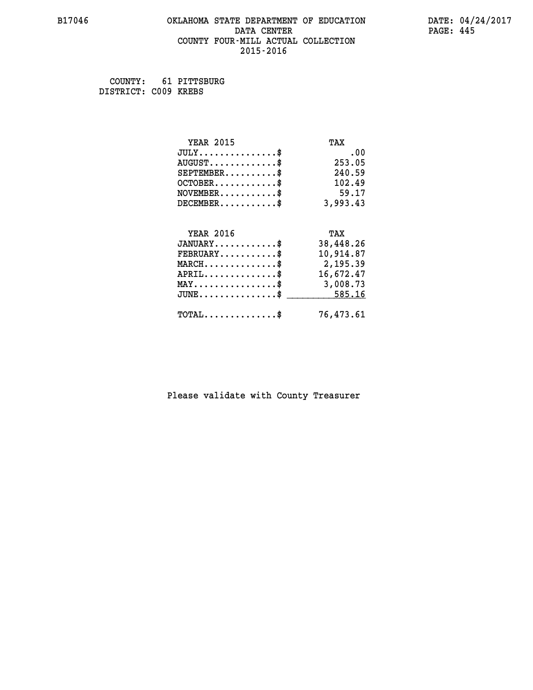# **B17046 OKLAHOMA STATE DEPARTMENT OF EDUCATION DATE: 04/24/2017 DATA CENTER** PAGE: 445  **COUNTY FOUR-MILL ACTUAL COLLECTION 2015-2016**

 **COUNTY: 61 PITTSBURG DISTRICT: C009 KREBS**

| <b>YEAR 2015</b>                                  | TAX       |
|---------------------------------------------------|-----------|
| $JULY$ \$                                         | .00       |
| $AUGUST$ \$                                       | 253.05    |
| $SEPTEMBER$ \$                                    | 240.59    |
| $OCTOBER$ \$                                      | 102.49    |
| $NOVEMBER$ \$                                     | 59.17     |
| $DECEMBER$ \$                                     | 3,993.43  |
|                                                   |           |
| <b>YEAR 2016</b>                                  | TAX       |
| $JANUARY$ \$                                      | 38,448.26 |
| $FEBRUARY$                                        | 10,914.87 |
| $\texttt{MARCH}\ldots\ldots\ldots\ldots\clubsuit$ | 2,195.39  |
| $APRIL \ldots \ldots \ldots \ldots$ \$            | 16,672.47 |
| $\texttt{MAX} \dots \dots \dots \dots \dots \$    | 3,008.73  |
| $\texttt{JUNE} \dots \dots \dots \dots \dots \$$  | 585.16    |
| $\texttt{TOTAL} \dots \dots \dots \dots$ \$       | 76,473.61 |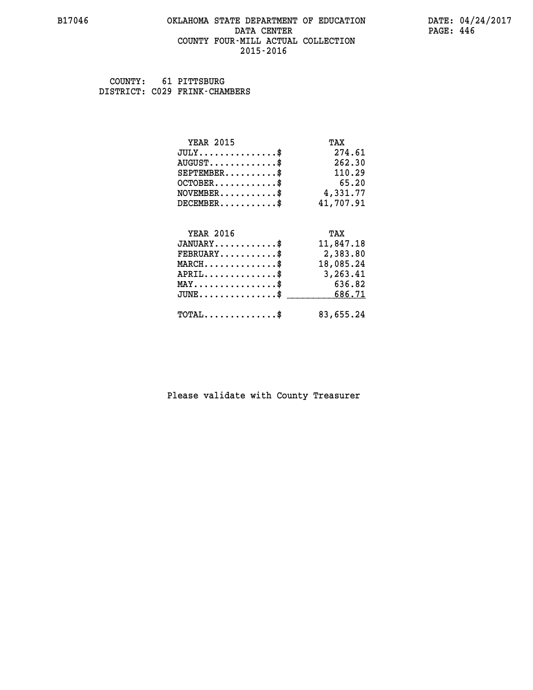#### **B17046 OKLAHOMA STATE DEPARTMENT OF EDUCATION DATE: 04/24/2017 DATA CENTER** PAGE: 446  **COUNTY FOUR-MILL ACTUAL COLLECTION 2015-2016**

 **COUNTY: 61 PITTSBURG DISTRICT: C029 FRINK-CHAMBERS**

| <b>YEAR 2015</b>                               | TAX       |
|------------------------------------------------|-----------|
| $JULY$ \$                                      | 274.61    |
| $AUGUST$ \$                                    | 262.30    |
| $SEPTEMBER$ \$                                 | 110.29    |
| $OCTOBER$ \$                                   | 65.20     |
| $NOVEMBER$ \$                                  | 4,331.77  |
| $DECEMBER$ \$                                  | 41,707.91 |
| <b>YEAR 2016</b>                               | TAX       |
| $JANUARY$ \$                                   | 11,847.18 |
| $FEBRUARY$                                     | 2,383.80  |
| $MARCH$ \$                                     | 18,085.24 |
| $APRIL \ldots \ldots \ldots \ldots \$          | 3,263.41  |
| $\texttt{MAX} \dots \dots \dots \dots \dots \$ | 636.82    |
| $JUNE$ \$                                      | 686.71    |
| $\texttt{TOTAL} \dots \dots \dots \dots \$     | 83,655.24 |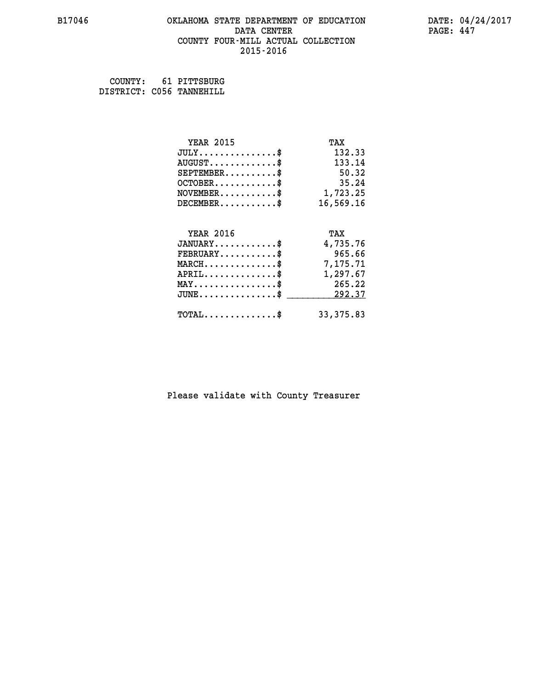# **B17046 OKLAHOMA STATE DEPARTMENT OF EDUCATION DATE: 04/24/2017 DATA CENTER** PAGE: 447  **COUNTY FOUR-MILL ACTUAL COLLECTION 2015-2016**

 **COUNTY: 61 PITTSBURG DISTRICT: C056 TANNEHILL**

| <b>YEAR 2015</b>                               | TAX        |
|------------------------------------------------|------------|
| $JULY$ \$                                      | 132.33     |
| $AUGUST$ \$                                    | 133.14     |
| $SEPTEMBER$ \$                                 | 50.32      |
| $OCTOBER$ \$                                   | 35.24      |
| $NOVEMBER.$ \$                                 | 1,723.25   |
| $DECEMBER$ \$                                  | 16,569.16  |
|                                                |            |
| <b>YEAR 2016</b>                               | TAX        |
| $JANUARY$ \$                                   | 4,735.76   |
| $FEBRUARY$ \$                                  | 965.66     |
| $MARCH$ \$                                     | 7,175.71   |
| $APRIL$ \$                                     | 1,297.67   |
| $\texttt{MAX} \dots \dots \dots \dots \dots \$ | 265.22     |
| $JUNE$ \$                                      | 292.37     |
| $\texttt{TOTAL} \dots \dots \dots \dots \$     | 33, 375.83 |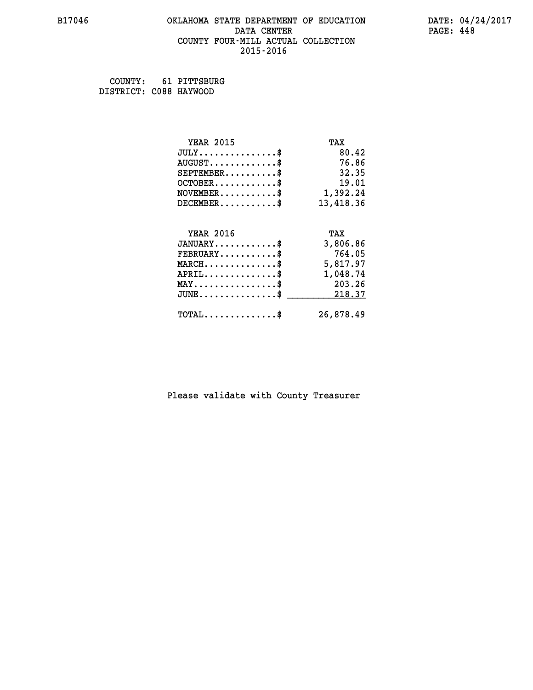# **B17046 OKLAHOMA STATE DEPARTMENT OF EDUCATION DATE: 04/24/2017 DATA CENTER** PAGE: 448  **COUNTY FOUR-MILL ACTUAL COLLECTION 2015-2016**

 **COUNTY: 61 PITTSBURG DISTRICT: C088 HAYWOOD**

| <b>YEAR 2015</b>                               | TAX       |
|------------------------------------------------|-----------|
| $JULY$ \$                                      | 80.42     |
| $AUGUST$ \$                                    | 76.86     |
| $SEPTEMBER$ \$                                 | 32.35     |
| $OCTOBER$ \$                                   | 19.01     |
| $\texttt{NOVEMBER} \dots \dots \dots \$        | 1,392.24  |
| $DECEMBER$ \$                                  | 13,418.36 |
|                                                |           |
| <b>YEAR 2016</b>                               | TAX       |
| $JANUARY$ \$                                   | 3,806.86  |
| $FEBRUARY$ \$                                  | 764.05    |
| $MARCH \ldots \ldots \ldots \ldots \$          | 5,817.97  |
| $APRIL$ \$                                     | 1,048.74  |
| $\texttt{MAX} \dots \dots \dots \dots \dots \$ | 203.26    |
| $JUNE$ \$                                      | 218.37    |
| $\texttt{TOTAL} \dots \dots \dots \dots \$     | 26,878.49 |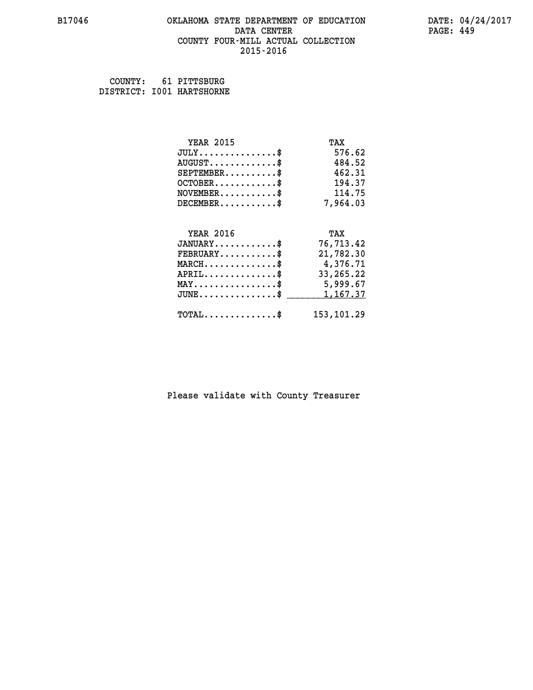# **B17046 OKLAHOMA STATE DEPARTMENT OF EDUCATION DATE: 04/24/2017 DATA CENTER** PAGE: 449  **COUNTY FOUR-MILL ACTUAL COLLECTION 2015-2016**

 **COUNTY: 61 PITTSBURG DISTRICT: I001 HARTSHORNE**

| <b>YEAR 2015</b>                                 | TAX         |
|--------------------------------------------------|-------------|
| $JULY$ \$                                        | 576.62      |
| $AUGUST$ \$                                      | 484.52      |
| $SEPTEMBER$ \$                                   | 462.31      |
| $OCTOBER$ \$                                     | 194.37      |
| $\texttt{NOVEMBER} \dots \dots \dots \$          | 114.75      |
| $DECEMBER$ \$                                    | 7,964.03    |
|                                                  |             |
| <b>YEAR 2016</b>                                 | TAX         |
| $JANUARY$                                        | 76,713.42   |
| $FEBRUARY$                                       | 21,782.30   |
| $MARCH$ \$                                       | 4,376.71    |
| $APRIL \ldots \ldots \ldots \ldots \$            | 33, 265. 22 |
| $\texttt{MAX} \dots \dots \dots \dots \dots \$   | 5,999.67    |
| $\texttt{JUNE} \dots \dots \dots \dots \dots \$$ | 1,167.37    |
| $\texttt{TOTAL} \dots \dots \dots \dots \$       | 153,101.29  |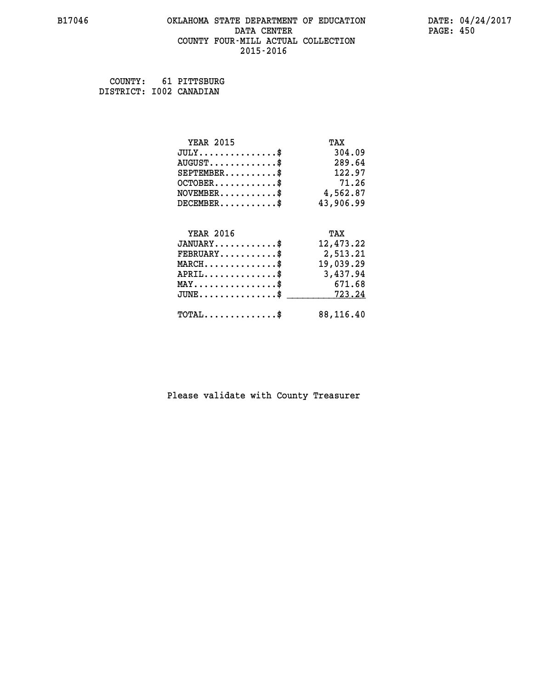# **B17046 OKLAHOMA STATE DEPARTMENT OF EDUCATION DATE: 04/24/2017 DATA CENTER** PAGE: 450  **COUNTY FOUR-MILL ACTUAL COLLECTION 2015-2016**

 **COUNTY: 61 PITTSBURG DISTRICT: I002 CANADIAN**

| <b>YEAR 2015</b>                                 | TAX       |
|--------------------------------------------------|-----------|
| $JULY$ \$                                        | 304.09    |
| $AUGUST$ \$                                      | 289.64    |
| $SEPTEMBER$ \$                                   | 122.97    |
| $OCTOBER$ \$                                     | 71.26     |
| $NOVEMBER$ \$                                    | 4,562.87  |
| $DECEMBER$ \$                                    | 43,906.99 |
| <b>YEAR 2016</b>                                 |           |
|                                                  | TAX       |
| $JANUARY$ \$                                     | 12,473.22 |
| $FEBRUARY$                                       | 2,513.21  |
| $MARCH$ \$                                       | 19,039.29 |
| $APRIL$ \$                                       | 3,437.94  |
| $MAX \dots \dots \dots \dots \dots$              | 671.68    |
| $\texttt{JUNE} \dots \dots \dots \dots \dots \$$ | 723.24    |
| $\texttt{TOTAL} \dots \dots \dots \dots \$       | 88,116.40 |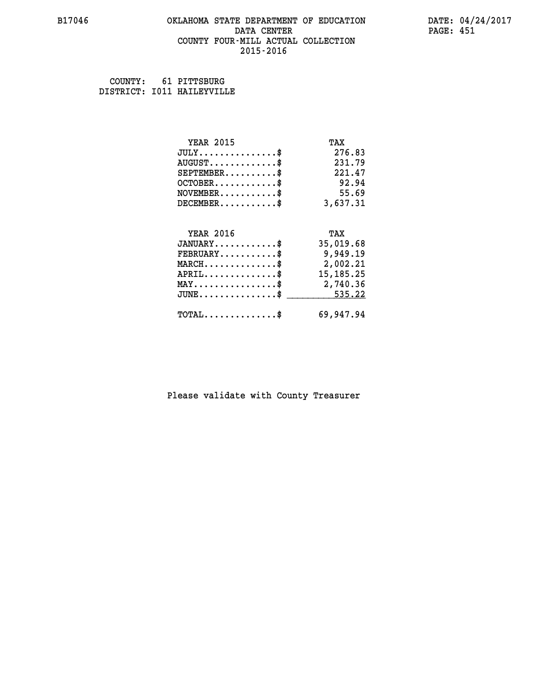# **B17046 OKLAHOMA STATE DEPARTMENT OF EDUCATION DATE: 04/24/2017 DATA CENTER** PAGE: 451  **COUNTY FOUR-MILL ACTUAL COLLECTION 2015-2016**

 **COUNTY: 61 PITTSBURG DISTRICT: I011 HAILEYVILLE**

| <b>YEAR 2015</b>                               | TAX         |
|------------------------------------------------|-------------|
| $JULY$ \$                                      | 276.83      |
| $AUGUST$ \$                                    | 231.79      |
| $SEPTEMENT.$ \$                                | 221.47      |
| $OCTOBER$ \$                                   | 92.94       |
| $NOVEMBER$ \$                                  | 55.69       |
| $DECEMBER$ \$                                  | 3,637.31    |
| <b>YEAR 2016</b>                               |             |
|                                                | TAX         |
| $JANUARY$ \$                                   | 35,019.68   |
| $FEBRUARY$                                     | 9,949.19    |
| $\texttt{MARCH}\ldots\ldots\ldots\ldots\$      | 2,002.21    |
| $APRIL$ \$                                     | 15, 185. 25 |
| $\texttt{MAX} \dots \dots \dots \dots \dots \$ | 2,740.36    |
| $JUNE$ \$                                      | 535.22      |
| $\texttt{TOTAL} \dots \dots \dots \dots \$     | 69,947.94   |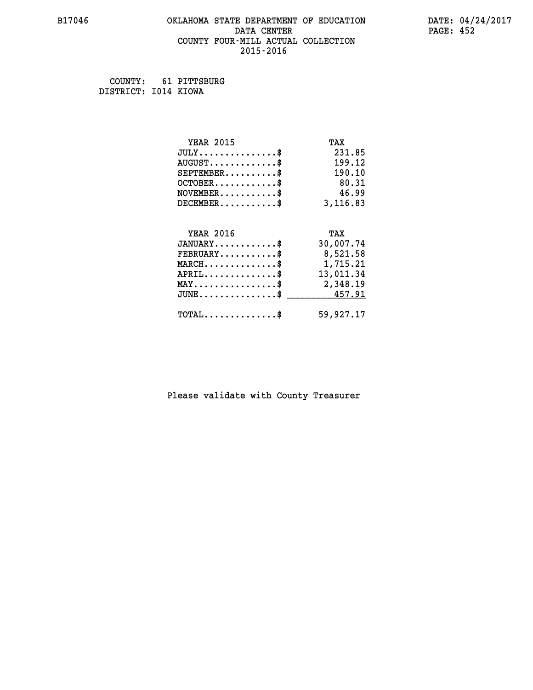# **B17046 OKLAHOMA STATE DEPARTMENT OF EDUCATION DATE: 04/24/2017 DATA CENTER** PAGE: 452  **COUNTY FOUR-MILL ACTUAL COLLECTION 2015-2016**

 **COUNTY: 61 PITTSBURG DISTRICT: I014 KIOWA**

| <b>YEAR 2015</b>                                   | TAX       |
|----------------------------------------------------|-----------|
| $JULY$ \$                                          | 231.85    |
| $AUGUST$ \$                                        | 199.12    |
| $SEPTEMBER$ \$                                     | 190.10    |
| $OCTOBER$ \$                                       | 80.31     |
| $\texttt{NOVEMBER} \dots \dots \dots \$            | 46.99     |
| $DECEMBER$ \$                                      | 3,116.83  |
|                                                    |           |
| <b>YEAR 2016</b>                                   | TAX       |
| $JANUARY$ \$                                       | 30,007.74 |
| $FEBRUARY$ \$                                      | 8,521.58  |
| $\texttt{MARCH}\ldots\ldots\ldots\ldots\text{*}$   | 1,715.21  |
| $APRIL \ldots \ldots \ldots \ldots \$              | 13,011.34 |
| $\texttt{MAX} \dots \dots \dots \dots \dots \$     | 2,348.19  |
| $\texttt{JUNE} \dots \dots \dots \dots \texttt{S}$ | 457.91    |
| $\texttt{TOTAL} \dots \dots \dots \dots \$         | 59,927.17 |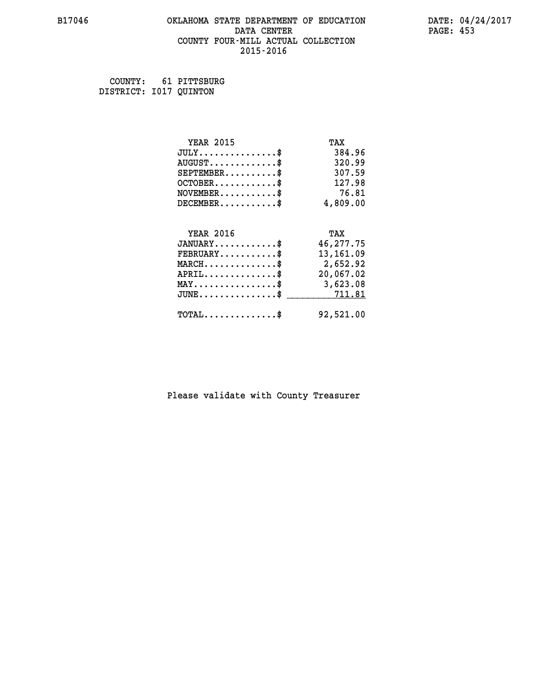# **B17046 OKLAHOMA STATE DEPARTMENT OF EDUCATION DATE: 04/24/2017 DATA CENTER** PAGE: 453  **COUNTY FOUR-MILL ACTUAL COLLECTION 2015-2016**

 **COUNTY: 61 PITTSBURG DISTRICT: I017 QUINTON**

| <b>YEAR 2015</b>                                 | TAX        |
|--------------------------------------------------|------------|
| $JULY$ \$                                        | 384.96     |
| $AUGUST$ \$                                      | 320.99     |
| $SEPTEMBER$ \$                                   | 307.59     |
| $OCTOBER$ \$                                     | 127.98     |
| $NOVEMBER$ \$                                    | 76.81      |
| $DECEMBER$ \$                                    | 4,809.00   |
|                                                  |            |
| <b>YEAR 2016</b>                                 | TAX        |
| $JANUARY$ \$                                     | 46,277.75  |
| $FEBRUARY$ \$                                    | 13, 161.09 |
| $\texttt{MARCH}\ldots\ldots\ldots\ldots\$        | 2,652.92   |
| $APRIL$ \$                                       | 20,067.02  |
| $\texttt{MAX} \dots \dots \dots \dots \dots \$   | 3,623.08   |
| $\texttt{JUNE} \dots \dots \dots \dots \dots \$$ | 711.81     |
| $\texttt{TOTAL} \dots \dots \dots \dots \$       | 92,521.00  |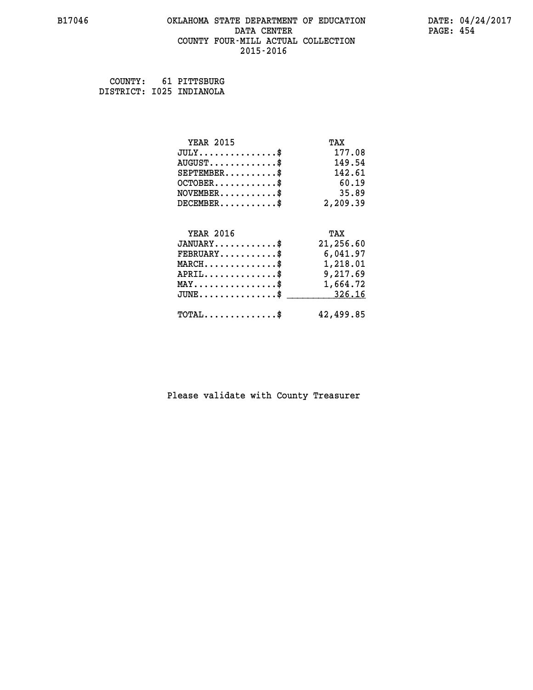# **B17046 OKLAHOMA STATE DEPARTMENT OF EDUCATION DATE: 04/24/2017 DATA CENTER** PAGE: 454  **COUNTY FOUR-MILL ACTUAL COLLECTION 2015-2016**

 **COUNTY: 61 PITTSBURG DISTRICT: I025 INDIANOLA**

| <b>YEAR 2015</b>                                 | TAX       |
|--------------------------------------------------|-----------|
| $JULY$ \$                                        | 177.08    |
| $AUGUST$ \$                                      | 149.54    |
| $SEPTEMENT.$ \$                                  | 142.61    |
| $OCTOBER$ \$                                     | 60.19     |
| $NOVEMBER$ \$                                    | 35.89     |
| $DECEMBER$ \$                                    | 2,209.39  |
|                                                  |           |
| <b>YEAR 2016</b>                                 | TAX       |
| $JANUARY$ \$                                     | 21,256.60 |
| $FEBRUARY$                                       | 6,041.97  |
| $MARCH$ \$                                       | 1,218.01  |
| $APRIL$ \$                                       | 9,217.69  |
| $\texttt{MAX} \dots \dots \dots \dots \dots \$   | 1,664.72  |
| $\texttt{JUNE} \dots \dots \dots \dots \dots \$$ | 326.16    |
| $TOTAL$ \$                                       | 42,499.85 |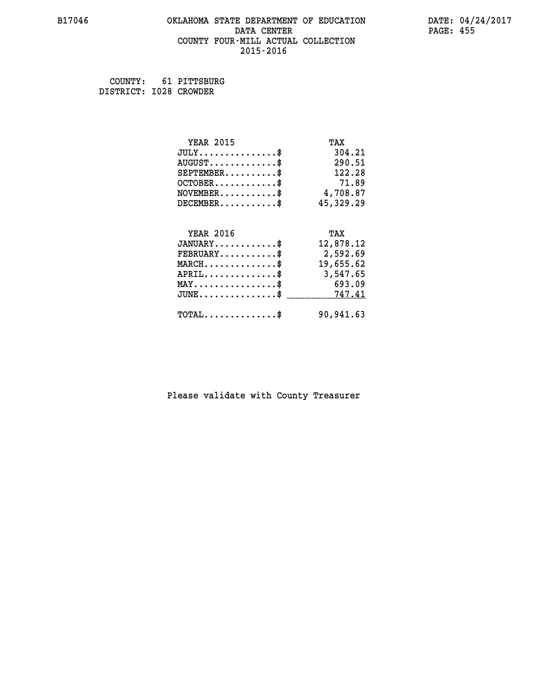# **B17046 OKLAHOMA STATE DEPARTMENT OF EDUCATION DATE: 04/24/2017 DATA CENTER** PAGE: 455  **COUNTY FOUR-MILL ACTUAL COLLECTION 2015-2016**

 **COUNTY: 61 PITTSBURG DISTRICT: I028 CROWDER**

| <b>YEAR 2015</b>                               | TAX       |
|------------------------------------------------|-----------|
| $JULY$ \$                                      | 304.21    |
| $AUGUST$ \$                                    | 290.51    |
| $SEPTEMENT.$ \$                                | 122.28    |
| $OCTOBER$ \$                                   | 71.89     |
| $NOVEMBER$ \$                                  | 4,708.87  |
| $DECEMBER$ \$                                  | 45,329.29 |
|                                                |           |
| <b>YEAR 2016</b>                               | TAX       |
| $JANUARY$ \$                                   | 12,878.12 |
| $FEBRUARY$ \$                                  | 2,592.69  |
| $MARCH$ \$                                     | 19,655.62 |
| $APRIL$ \$                                     | 3,547.65  |
| $\texttt{MAX} \dots \dots \dots \dots \dots \$ | 693.09    |
| $JUNE$ \$                                      | 747.41    |
| $\texttt{TOTAL} \dots \dots \dots \dots \$     | 90,941.63 |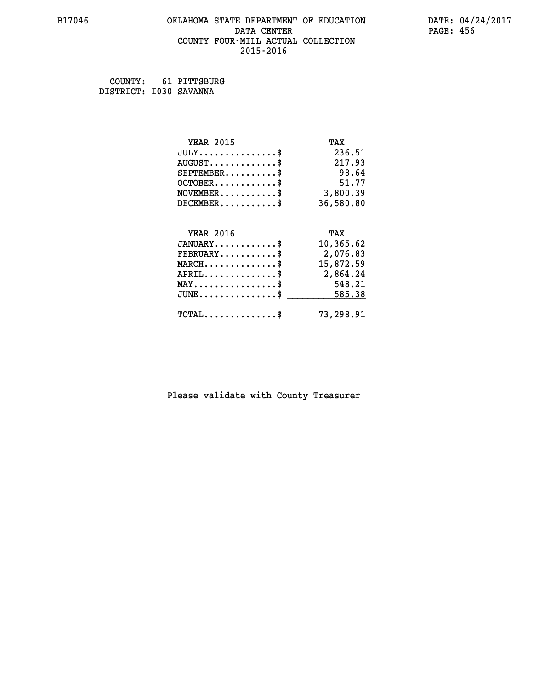# **B17046 OKLAHOMA STATE DEPARTMENT OF EDUCATION DATE: 04/24/2017 DATA CENTER** PAGE: 456  **COUNTY FOUR-MILL ACTUAL COLLECTION 2015-2016**

 **COUNTY: 61 PITTSBURG DISTRICT: I030 SAVANNA**

| <b>YEAR 2015</b>                                                 | TAX       |
|------------------------------------------------------------------|-----------|
| $JULY$ \$                                                        | 236.51    |
| $AUGUST$ \$                                                      | 217.93    |
| $SEPTEMENT.$ \$                                                  | 98.64     |
| $OCTOBER$ \$                                                     | 51.77     |
| $\texttt{NOVEMBER} \dots \dots \dots \$                          | 3,800.39  |
| $DECEMBER$ \$                                                    | 36,580.80 |
|                                                                  |           |
| <b>YEAR 2016</b>                                                 | TAX       |
| $JANUARY$ \$                                                     | 10,365.62 |
| $FEBRUARY$ \$                                                    | 2,076.83  |
| $\texttt{MARCH}\ldots\ldots\ldots\ldots\footnotesize \texttt{*}$ | 15,872.59 |
| $APRIL \ldots \ldots \ldots \ldots$                              | 2,864.24  |
| $\texttt{MAX} \dots \dots \dots \dots \dots \$                   | 548.21    |
| $\texttt{JUNE} \dots \dots \dots \dots \dots \$$                 | 585.38    |
| $\texttt{TOTAL} \dots \dots \dots \dots \$                       | 73,298.91 |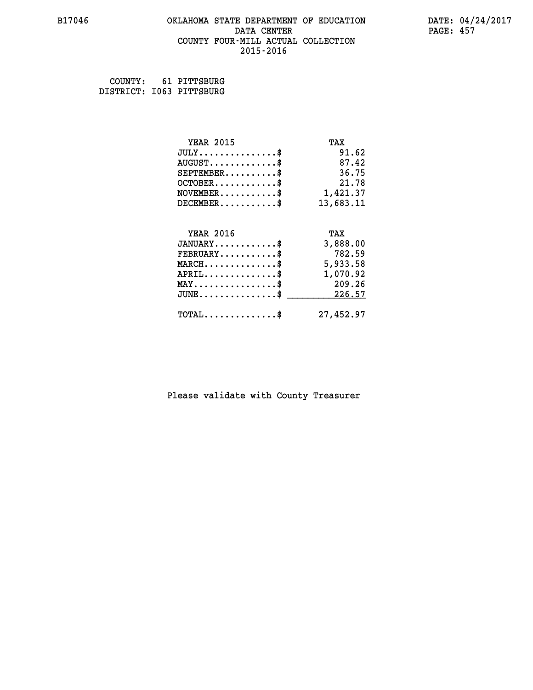# **B17046 OKLAHOMA STATE DEPARTMENT OF EDUCATION DATE: 04/24/2017 DATA CENTER** PAGE: 457  **COUNTY FOUR-MILL ACTUAL COLLECTION 2015-2016**

 **COUNTY: 61 PITTSBURG DISTRICT: I063 PITTSBURG**

| <b>YEAR 2015</b>                           | TAX       |
|--------------------------------------------|-----------|
| $JULY$ \$                                  | 91.62     |
| $AUGUST$ \$                                | 87.42     |
| $SEPTEMBER$ \$                             | 36.75     |
| $OCTOBER$ \$                               | 21.78     |
| $NOVEMBER.$ \$                             | 1,421.37  |
| $DECEMBER$ \$                              | 13,683.11 |
|                                            |           |
| <b>YEAR 2016</b>                           | TAX       |
| $JANUARY$ \$                               | 3,888.00  |
| $FEBRUARY$ \$                              | 782.59    |
| $MARCH$ \$                                 | 5,933.58  |
| $APRIL$ \$                                 | 1,070.92  |
| $MAX \ldots \ldots \ldots \ldots$          | 209.26    |
| $JUNE$                                     | 226.57    |
| $\texttt{TOTAL} \dots \dots \dots \dots \$ | 27,452.97 |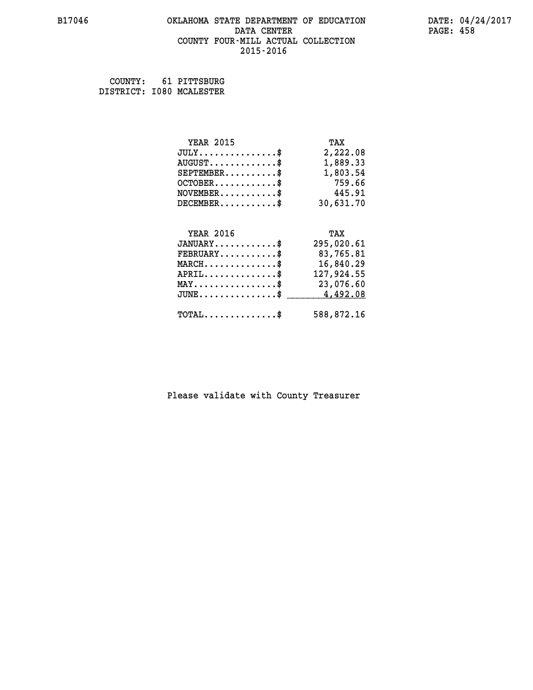# **B17046 OKLAHOMA STATE DEPARTMENT OF EDUCATION DATE: 04/24/2017 DATA CENTER** PAGE: 458  **COUNTY FOUR-MILL ACTUAL COLLECTION 2015-2016**

 **COUNTY: 61 PITTSBURG DISTRICT: I080 MCALESTER**

| <b>YEAR 2015</b>                                 | TAX        |
|--------------------------------------------------|------------|
| $JULY$ \$                                        | 2,222.08   |
| $AUGUST$ \$                                      | 1,889.33   |
| $SEPTEMBER$ \$                                   | 1,803.54   |
| $OCTOBER$ \$                                     | 759.66     |
| $NOVEMBER.$ \$                                   | 445.91     |
| $DECEMBER$ \$                                    | 30,631.70  |
|                                                  |            |
| <b>YEAR 2016</b>                                 | TAX        |
| $JANUARY$ \$                                     | 295,020.61 |
| $FEBRUARY$                                       | 83,765.81  |
| $MARCH$ \$                                       | 16,840.29  |
| $APRIL \ldots \ldots \ldots \ldots \$            | 127,924.55 |
| $\texttt{MAX} \dots \dots \dots \dots \dots \$   | 23,076.60  |
| $\texttt{JUNE} \dots \dots \dots \dots \dots \$$ | 4,492.08   |
| $\texttt{TOTAL} \dots \dots \dots \dots$ \$      | 588,872.16 |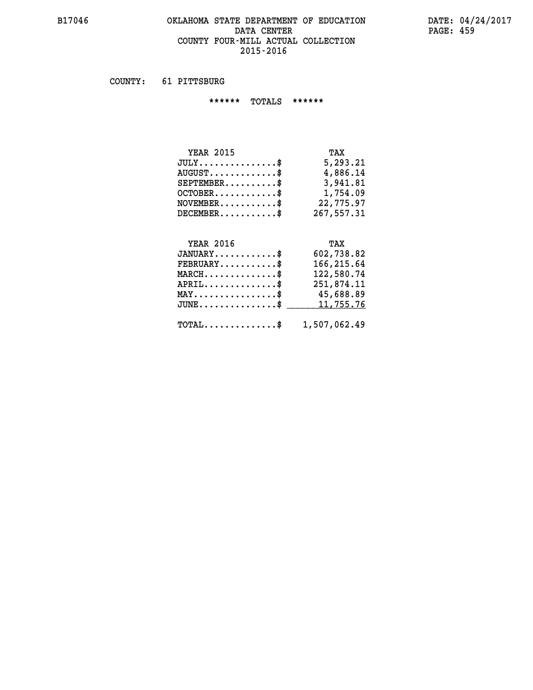# **B17046 OKLAHOMA STATE DEPARTMENT OF EDUCATION DATE: 04/24/2017** DATA CENTER PAGE: 459  **COUNTY FOUR-MILL ACTUAL COLLECTION 2015-2016**

 **COUNTY: 61 PITTSBURG**

 **\*\*\*\*\*\* TOTALS \*\*\*\*\*\***

| <b>YEAR 2015</b>                | TAX        |
|---------------------------------|------------|
| $JULY$                          | 5,293.21   |
| $AUGUST \ldots \ldots \ldots \$ | 4,886.14   |
| $SEPTEMBER$                     | 3,941.81   |
| $OCTOBER$ \$                    | 1,754.09   |
| $NOVEMBER$ \$                   | 22,775.97  |
| $DECEMBER$ \$                   | 267,557.31 |

# **YEAR 2016 TAX**

| $JANUARY$<br>$\texttt{FEBRUARY} \dots \dots \dots \$    | 602,738.82<br>166,215.64 |
|---------------------------------------------------------|--------------------------|
| $MARCH$ \$                                              | 122,580.74               |
| $APRIL$ \$                                              | 251,874.11               |
| $\texttt{MAX} \dots \dots \dots \dots \dots \$          | 45,688.89                |
| $JUNE \ldots \ldots \ldots \ldots$ \$ 11,755.76         |                          |
| $\texttt{TOTAL} \dots \dots \dots \dots \$ 1,507,062.49 |                          |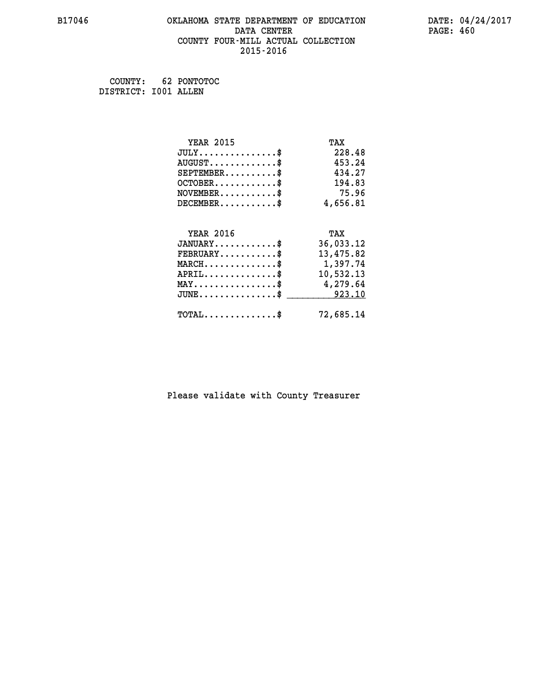# **B17046 OKLAHOMA STATE DEPARTMENT OF EDUCATION DATE: 04/24/2017 DATA CENTER** PAGE: 460  **COUNTY FOUR-MILL ACTUAL COLLECTION 2015-2016**

 **COUNTY: 62 PONTOTOC DISTRICT: I001 ALLEN**

| <b>YEAR 2015</b>                                 | TAX       |
|--------------------------------------------------|-----------|
| $JULY$ \$                                        | 228.48    |
| $AUGUST$ \$                                      | 453.24    |
| $SEPTEMBER$ \$                                   | 434.27    |
| $OCTOBER$ \$                                     | 194.83    |
| $\texttt{NOVEMBER} \dots \dots \dots \$          | 75.96     |
| $DECEMBER$ \$                                    | 4,656.81  |
|                                                  |           |
| <b>YEAR 2016</b>                                 | TAX       |
| $JANUARY$ \$                                     | 36,033.12 |
| $FEBRUARY$ \$                                    | 13,475.82 |
| $\texttt{MARCH}\ldots\ldots\ldots\ldots\text{*}$ | 1,397.74  |
| $APRIL \ldots \ldots \ldots \ldots$ \$           | 10,532.13 |
| $\texttt{MAX} \dots \dots \dots \dots \dots \$   | 4,279.64  |
| $\texttt{JUNE} \dots \dots \dots \dots \dots \$$ | 923.10    |
| $\texttt{TOTAL} \dots \dots \dots \dots \$       | 72,685.14 |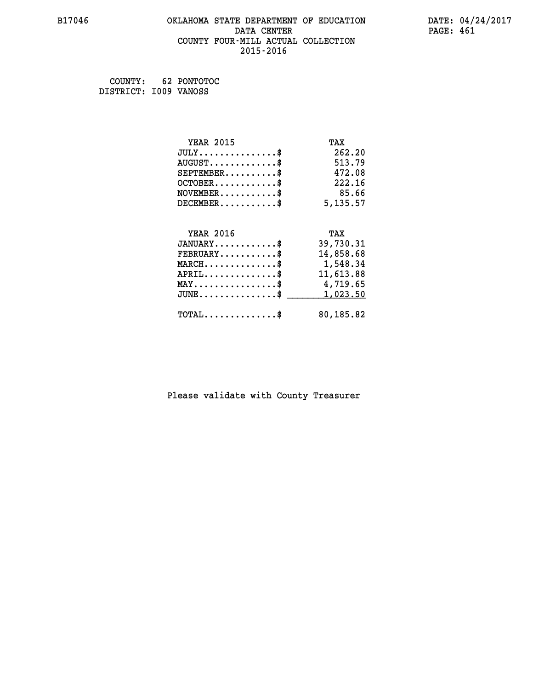# **B17046 OKLAHOMA STATE DEPARTMENT OF EDUCATION DATE: 04/24/2017 DATA CENTER** PAGE: 461  **COUNTY FOUR-MILL ACTUAL COLLECTION 2015-2016**

 **COUNTY: 62 PONTOTOC DISTRICT: I009 VANOSS**

| <b>YEAR 2015</b>                               | TAX       |
|------------------------------------------------|-----------|
| $JULY$ \$                                      | 262.20    |
| $AUGUST$ \$                                    | 513.79    |
| $SEPTEMENT.$ \$                                | 472.08    |
| $OCTOBER$ \$                                   | 222.16    |
| $NOVEMBER$ \$                                  | 85.66     |
| $DECEMBER$ \$                                  | 5,135.57  |
|                                                |           |
| <b>YEAR 2016</b>                               | TAX       |
| $JANUARY$                                      | 39,730.31 |
| $FEBRUARY$                                     | 14,858.68 |
| $MARCH$ \$                                     | 1,548.34  |
| $APRIL$ \$                                     | 11,613.88 |
| $\texttt{MAX} \dots \dots \dots \dots \dots \$ | 4,719.65  |
| $JUNE$ \$                                      | 1,023.50  |
| $\texttt{TOTAL} \dots \dots \dots \dots \$     | 80,185.82 |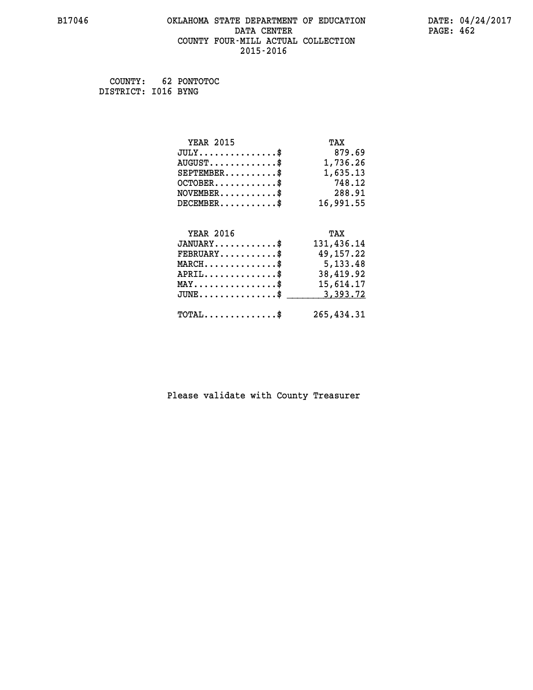# **B17046 OKLAHOMA STATE DEPARTMENT OF EDUCATION DATE: 04/24/2017 DATA CENTER** PAGE: 462  **COUNTY FOUR-MILL ACTUAL COLLECTION 2015-2016**

 **COUNTY: 62 PONTOTOC DISTRICT: I016 BYNG**

| <b>YEAR 2015</b>                                  | TAX         |
|---------------------------------------------------|-------------|
| $JULY$ \$                                         | 879.69      |
| $AUGUST$ \$                                       | 1,736.26    |
| $SEPTEMBER$ \$                                    | 1,635.13    |
| $OCTOBER$ \$                                      | 748.12      |
| $\texttt{NOVEMBER} \dots \dots \dots \$           | 288.91      |
| $DECEMBER$ \$                                     | 16,991.55   |
|                                                   |             |
| <b>YEAR 2016</b>                                  | TAX         |
| $JANUARY$ \$                                      | 131,436.14  |
| $FEBRUARY$                                        | 49,157.22   |
| $MARCH$ \$                                        | 5,133.48    |
| $APRIL \ldots \ldots \ldots \ldots \$             | 38,419.92   |
| $\texttt{MAX} \dots \dots \dots \dots \texttt{*}$ | 15,614.17   |
| $JUNE$ \$                                         | 3,393.72    |
| $\texttt{TOTAL} \dots \dots \dots \dots \$        | 265, 434.31 |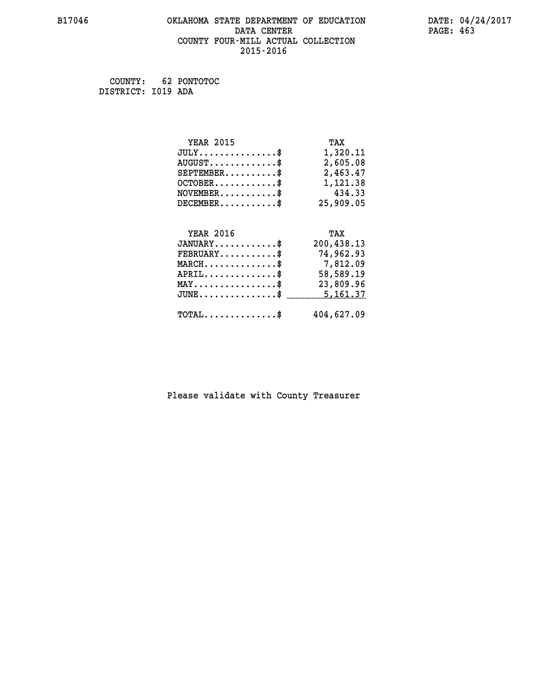# **B17046 OKLAHOMA STATE DEPARTMENT OF EDUCATION DATE: 04/24/2017 DATA CENTER** PAGE: 463  **COUNTY FOUR-MILL ACTUAL COLLECTION 2015-2016**

 **COUNTY: 62 PONTOTOC DISTRICT: I019 ADA**

| <b>YEAR 2015</b>                                                                                                              | TAX        |
|-------------------------------------------------------------------------------------------------------------------------------|------------|
| $JULY$ \$                                                                                                                     | 1,320.11   |
| $AUGUST$ \$                                                                                                                   | 2,605.08   |
| $SEPTEMBER$ \$                                                                                                                | 2,463.47   |
| $OCTOBER$ \$                                                                                                                  | 1,121.38   |
| $NOVEMBER.$ \$                                                                                                                | 434.33     |
| $DECEMBER$ \$                                                                                                                 | 25,909.05  |
|                                                                                                                               |            |
| <b>YEAR 2016</b>                                                                                                              | TAX        |
| $JANUARY$ \$                                                                                                                  | 200,438.13 |
| $FEBRUARY$ \$                                                                                                                 | 74,962.93  |
| $\texttt{MARCH}\ldots\ldots\ldots\ldots\overset{\hspace{0.1em}\mathsf{\scriptscriptstyle\$}}{\mathsf{\scriptscriptstyle\$}}}$ | 7,812.09   |
| $APRIL \ldots \ldots \ldots \ldots \$                                                                                         | 58,589.19  |
| $\texttt{MAX} \dots \dots \dots \dots \dots \$                                                                                | 23,809.96  |
| $\texttt{JUNE} \dots \dots \dots \dots \texttt{S}$                                                                            | 5,161.37   |
| $\texttt{TOTAL} \dots \dots \dots \dots \$                                                                                    | 404,627.09 |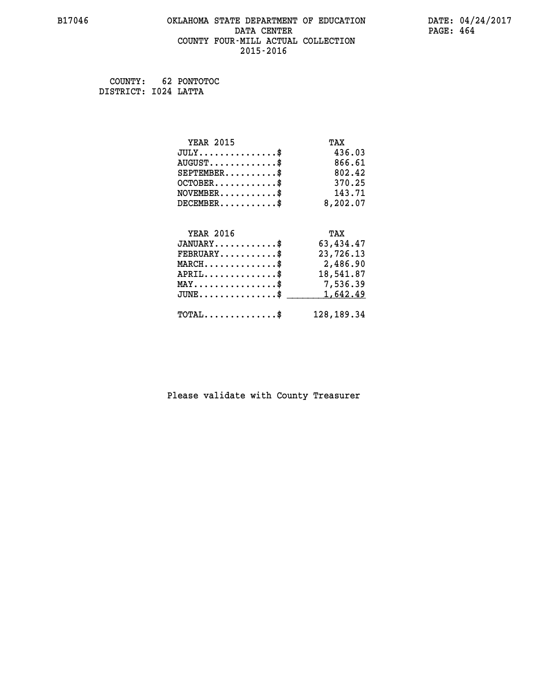# **B17046 OKLAHOMA STATE DEPARTMENT OF EDUCATION DATE: 04/24/2017 DATA CENTER** PAGE: 464  **COUNTY FOUR-MILL ACTUAL COLLECTION 2015-2016**

 **COUNTY: 62 PONTOTOC DISTRICT: I024 LATTA**

| <b>YEAR 2015</b>                           | TAX          |
|--------------------------------------------|--------------|
| $JULY$ \$                                  | 436.03       |
| $AUGUST$ \$                                | 866.61       |
| $SEPTEMENT.$ \$                            | 802.42       |
| $OCTOBER$ \$                               | 370.25       |
| $NOVEMBER$ \$                              | 143.71       |
| $DECEMBER$ \$                              | 8,202.07     |
|                                            |              |
| <b>YEAR 2016</b>                           | TAX          |
| $JANUARY$ \$                               | 63,434.47    |
| $FEBRUARY$                                 | 23,726.13    |
| $MARCH$ \$                                 | 2,486.90     |
| $APRIL$ \$                                 | 18,541.87    |
| $MAX \dots \dots \dots \dots \dots$        | 7,536.39     |
| $JUNE$                                     | 1,642.49     |
| $\texttt{TOTAL} \dots \dots \dots \dots \$ | 128, 189. 34 |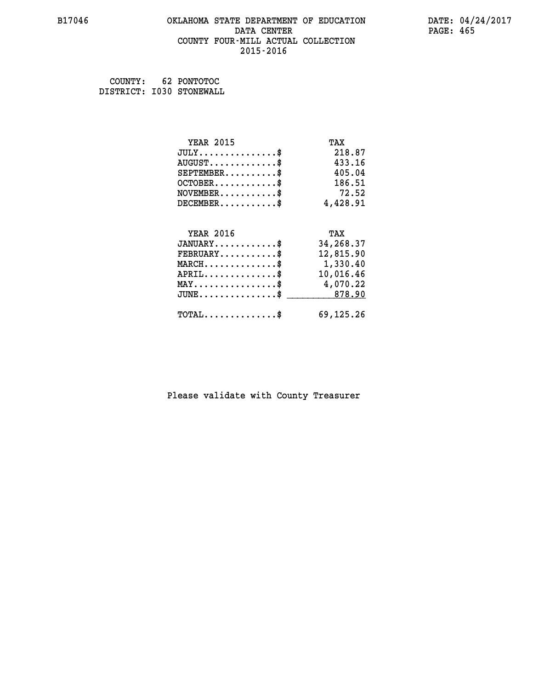# **B17046 OKLAHOMA STATE DEPARTMENT OF EDUCATION DATE: 04/24/2017 DATA CENTER** PAGE: 465  **COUNTY FOUR-MILL ACTUAL COLLECTION 2015-2016**

 **COUNTY: 62 PONTOTOC DISTRICT: I030 STONEWALL**

| <b>YEAR 2015</b>                                 | TAX       |
|--------------------------------------------------|-----------|
| $JULY$ \$                                        | 218.87    |
| $AUGUST$ \$                                      | 433.16    |
| $SEPTEMENT.$ \$                                  | 405.04    |
| $OCTOBER$ \$                                     | 186.51    |
| $NOVEMBER$ \$                                    | 72.52     |
| $DECEMBER$ \$                                    | 4,428.91  |
|                                                  |           |
| <b>YEAR 2016</b>                                 | TAX       |
| $JANUARY$ \$                                     | 34,268.37 |
| $FEBRUARY$                                       | 12,815.90 |
| $MARCH \ldots \ldots \ldots \ldots$              | 1,330.40  |
| $APRIL$ \$                                       | 10,016.46 |
| $\texttt{MAX} \dots \dots \dots \dots \dots \$   | 4,070.22  |
| $\texttt{JUNE} \dots \dots \dots \dots \dots \$$ | 878.90    |
| $TOTAL$ \$                                       | 69,125.26 |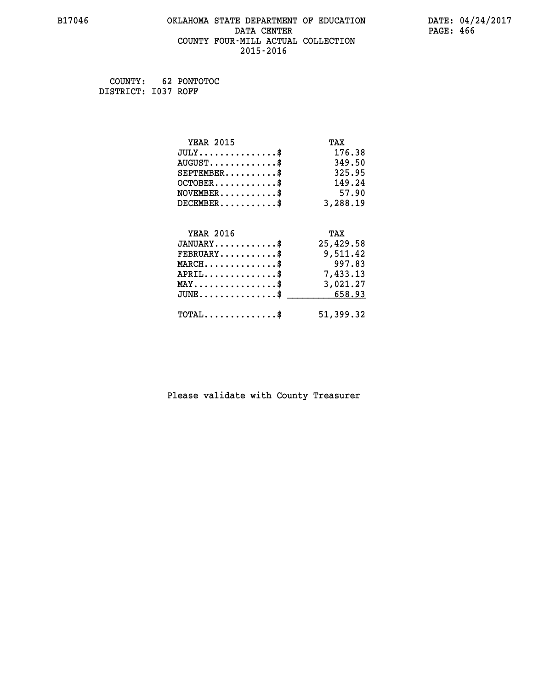# **B17046 OKLAHOMA STATE DEPARTMENT OF EDUCATION DATE: 04/24/2017 DATA CENTER** PAGE: 466  **COUNTY FOUR-MILL ACTUAL COLLECTION 2015-2016**

 **COUNTY: 62 PONTOTOC DISTRICT: I037 ROFF**

| <b>YEAR 2015</b>                               | TAX       |
|------------------------------------------------|-----------|
| $JULY$ \$                                      | 176.38    |
| $AUGUST$ \$                                    | 349.50    |
| $SEPTEMBER$ \$                                 | 325.95    |
| $OCTOBER$ \$                                   | 149.24    |
| $NOVEMBER$ \$                                  | 57.90     |
| $DECEMBER$ \$                                  | 3,288.19  |
|                                                |           |
| <b>YEAR 2016</b>                               | TAX       |
| $JANUARY$ \$                                   | 25,429.58 |
| $FEBRUARY$                                     | 9,511.42  |
| $MARCH$ \$                                     | 997.83    |
| $APRIL \ldots \ldots \ldots \ldots \$          | 7,433.13  |
| $\texttt{MAX} \dots \dots \dots \dots \dots \$ | 3,021.27  |
| $JUNE \ldots \ldots \ldots \ldots \ast$        | 658.93    |
| $TOTAL$ \$                                     | 51,399.32 |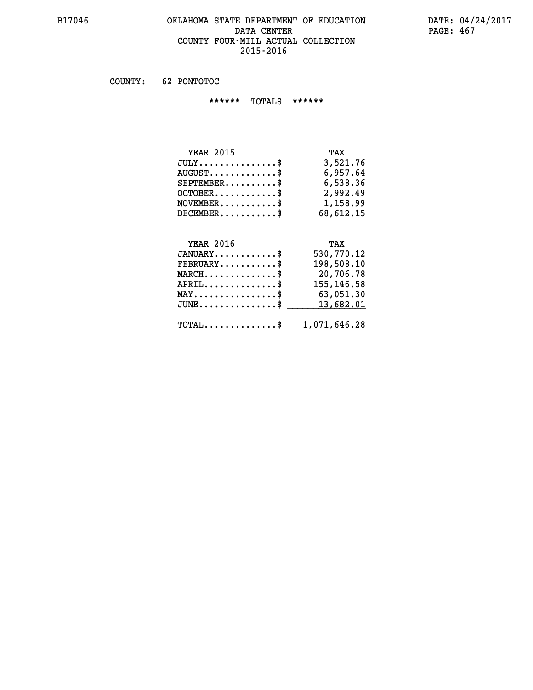#### **B17046 OKLAHOMA STATE DEPARTMENT OF EDUCATION DATE: 04/24/2017 DATA CENTER** PAGE: 467  **COUNTY FOUR-MILL ACTUAL COLLECTION 2015-2016**

 **COUNTY: 62 PONTOTOC**

 **\*\*\*\*\*\* TOTALS \*\*\*\*\*\***

| <b>YEAR 2015</b>              | TAX       |
|-------------------------------|-----------|
| $JULY \ldots \ldots \ldots \$ | 3,521.76  |
| $AUGUST$                      | 6,957.64  |
| $SEPTEMBER$                   | 6,538.36  |
| $OCTOBER$ \$                  | 2,992.49  |
| $NOVEMBER$ \$                 | 1,158.99  |
| $DECEMBER$                    | 68,612.15 |

# **YEAR 2016 TAX JANUARY............\$ 530,770.12**

| 198,508.10 | $\texttt{FEBRUARY} \dots \dots \dots \$                 |
|------------|---------------------------------------------------------|
| 20,706.78  | $MARCH$ \$                                              |
| 155,146.58 | $APRIL$ \$                                              |
| 63,051.30  | $MAX \dots \dots \dots \dots \dots \dots$               |
|            | $JUNE \dots \dots \dots \dots \$ 13,682.01              |
|            | $\texttt{TOTAL} \dots \dots \dots \dots \$ 1,071,646.28 |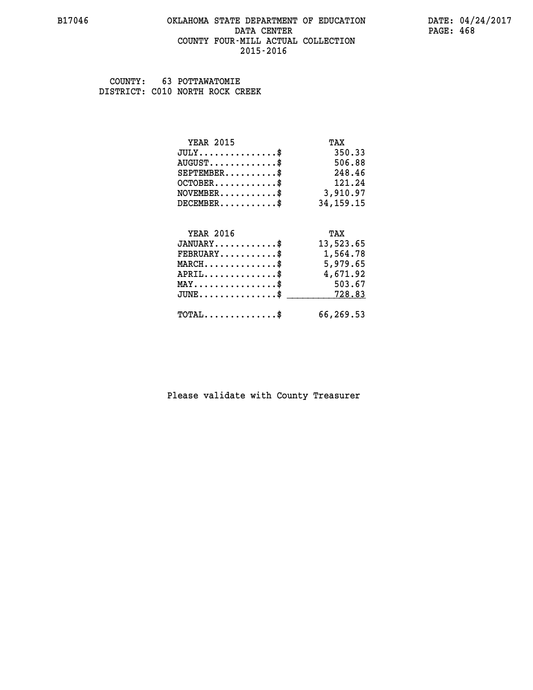#### **B17046 OKLAHOMA STATE DEPARTMENT OF EDUCATION DATE: 04/24/2017 DATA CENTER** PAGE: 468  **COUNTY FOUR-MILL ACTUAL COLLECTION 2015-2016**

 **COUNTY: 63 POTTAWATOMIE DISTRICT: C010 NORTH ROCK CREEK**

| <b>YEAR 2015</b>                                                          | TAX         |
|---------------------------------------------------------------------------|-------------|
| $JULY$ \$                                                                 | 350.33      |
| $AUGUST$ \$                                                               | 506.88      |
| $SEPTEMENT.$ \$                                                           | 248.46      |
| $OCTOBER$ \$                                                              | 121.24      |
| $\verb NOVEMBER , \verb , \verb , \verb , \verb , \verb , \verb , \verb $ | 3,910.97    |
| $DECEMBER$ \$                                                             | 34, 159. 15 |
|                                                                           |             |
| <b>YEAR 2016</b>                                                          | TAX         |
| $JANUARY$ \$                                                              | 13,523.65   |
| $FEBRUARY$                                                                | 1,564.78    |
| $MARCH$ \$                                                                | 5,979.65    |
| $APRIL \ldots \ldots \ldots \ldots$                                       | 4,671.92    |
| $\texttt{MAX} \dots \dots \dots \dots \dots \$                            | 503.67      |
| $\texttt{JUNE} \dots \dots \dots \dots \texttt{S}$                        | 728.83      |
| $\texttt{TOTAL} \dots \dots \dots \dots \$                                | 66,269.53   |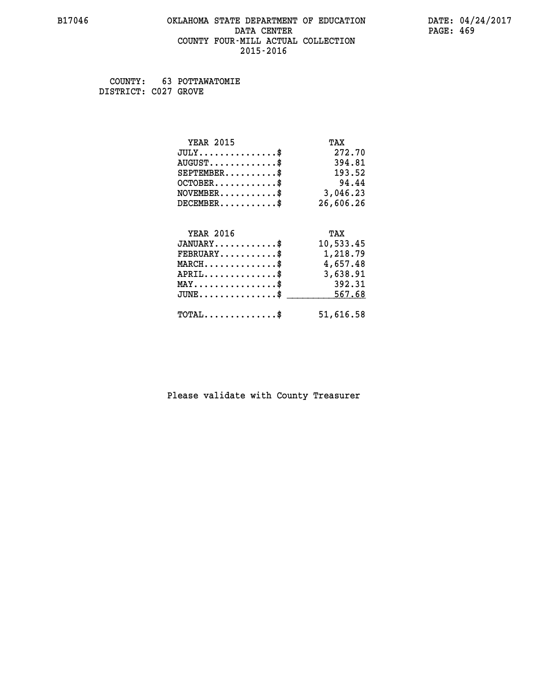#### **B17046 OKLAHOMA STATE DEPARTMENT OF EDUCATION DATE: 04/24/2017 DATA CENTER** PAGE: 469  **COUNTY FOUR-MILL ACTUAL COLLECTION 2015-2016**

 **COUNTY: 63 POTTAWATOMIE DISTRICT: C027 GROVE**

| <b>YEAR 2015</b>                                 | TAX       |
|--------------------------------------------------|-----------|
| $JULY$ \$                                        | 272.70    |
| $AUGUST$ \$                                      | 394.81    |
| $SEPTEMBER$ \$                                   | 193.52    |
| $OCTOBER$ \$                                     | 94.44     |
| $NOVEMBER.$ \$                                   | 3,046.23  |
| $DECEMBER$ \$                                    | 26,606.26 |
|                                                  |           |
| <b>YEAR 2016</b>                                 | TAX       |
| $JANUARY$ \$                                     | 10,533.45 |
| $FEBRUARY$                                       | 1,218.79  |
| $MARCH$ \$                                       | 4,657.48  |
| $APRIL \ldots \ldots \ldots \ldots \$            | 3,638.91  |
| $MAX \dots \dots \dots \dots \dots$              | 392.31    |
| $\texttt{JUNE} \dots \dots \dots \dots \dots \$$ | 567.68    |
|                                                  |           |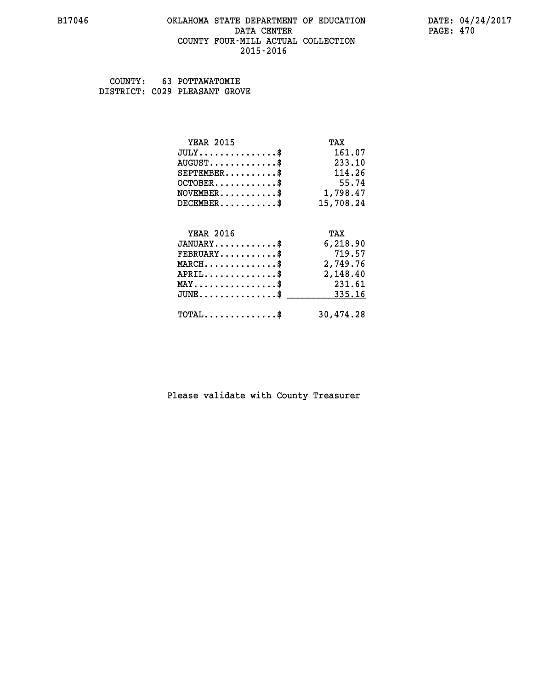#### **B17046 OKLAHOMA STATE DEPARTMENT OF EDUCATION DATE: 04/24/2017 DATA CENTER** PAGE: 470  **COUNTY FOUR-MILL ACTUAL COLLECTION 2015-2016**

 **COUNTY: 63 POTTAWATOMIE DISTRICT: C029 PLEASANT GROVE**

| <b>YEAR 2015</b>                                  | TAX       |
|---------------------------------------------------|-----------|
| $JULY$ \$                                         | 161.07    |
| $AUGUST$ \$                                       | 233.10    |
| $SEPTEMBER$ \$                                    | 114.26    |
| $OCTOBER$ \$                                      | 55.74     |
| $NOVEMBER.$ \$                                    | 1,798.47  |
| $DECEMBER$ \$                                     | 15,708.24 |
|                                                   |           |
| <b>YEAR 2016</b>                                  | TAX       |
| $JANUARY$ \$                                      | 6,218.90  |
| $FEBRUARY$ \$                                     | 719.57    |
| $\texttt{MARCH}\ldots\ldots\ldots\ldots\clubsuit$ | 2,749.76  |
| $APRIL$ \$                                        | 2,148.40  |
| $MAX \dots \dots \dots \dots \dots$               | 231.61    |
| $JUNE$                                            | 335.16    |
| $TOTAL$ \$                                        | 30,474.28 |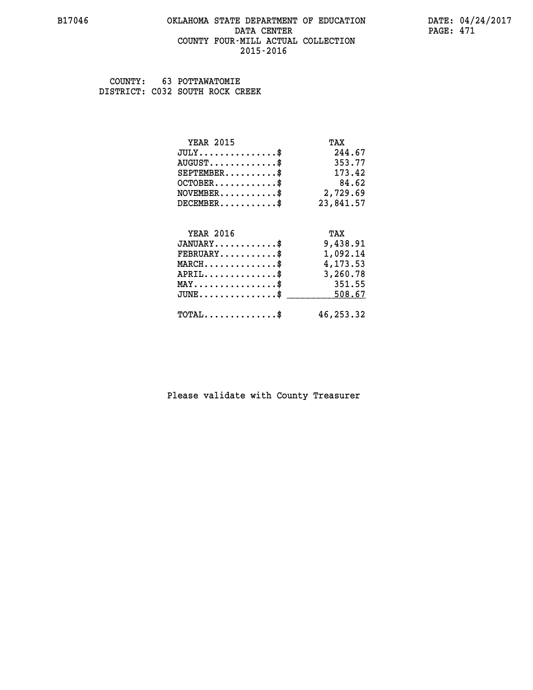#### **B17046 OKLAHOMA STATE DEPARTMENT OF EDUCATION DATE: 04/24/2017 DATA CENTER** PAGE: 471  **COUNTY FOUR-MILL ACTUAL COLLECTION 2015-2016**

 **COUNTY: 63 POTTAWATOMIE DISTRICT: C032 SOUTH ROCK CREEK**

| <b>YEAR 2015</b>                                 | TAX       |
|--------------------------------------------------|-----------|
| $JULY$ \$                                        | 244.67    |
| $AUGUST$ \$                                      | 353.77    |
| $SEPTEMBER$ \$                                   | 173.42    |
| $OCTOBER$ \$                                     | 84.62     |
| $\texttt{NOVEMBER} \dots \dots \dots \$          | 2,729.69  |
| $DECEMBER$ \$                                    | 23,841.57 |
|                                                  |           |
| <b>YEAR 2016</b>                                 | TAX       |
| $JANUARY$ \$                                     | 9,438.91  |
| $FEBRUARY$                                       | 1,092.14  |
| $\texttt{MARCH} \dots \dots \dots \dots \$$      | 4,173.53  |
| $APRIL \ldots \ldots \ldots \ldots \$            | 3,260.78  |
| $\texttt{MAX} \dots \dots \dots \dots \dots \$   | 351.55    |
| $\texttt{JUNE} \dots \dots \dots \dots \dots \$$ | 508.67    |
| $\texttt{TOTAL} \dots \dots \dots \dots \$       | 46,253.32 |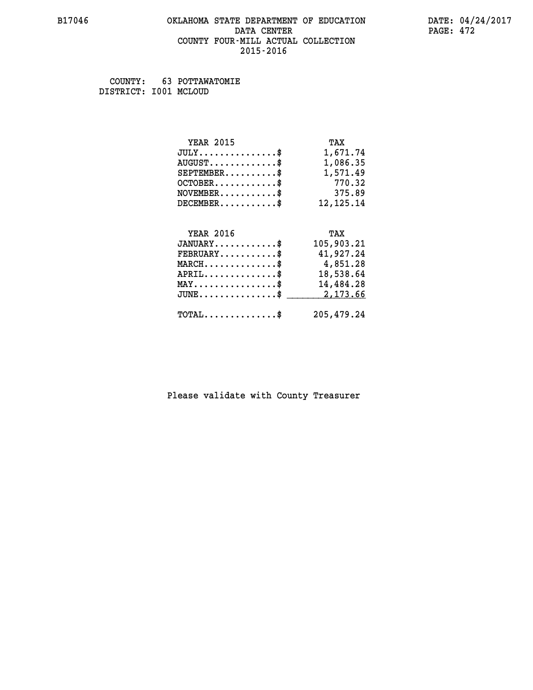#### **B17046 OKLAHOMA STATE DEPARTMENT OF EDUCATION DATE: 04/24/2017 DATA CENTER** PAGE: 472  **COUNTY FOUR-MILL ACTUAL COLLECTION 2015-2016**

 **COUNTY: 63 POTTAWATOMIE DISTRICT: I001 MCLOUD**

| <b>YEAR 2015</b>                                   | TAX         |
|----------------------------------------------------|-------------|
| $JULY$ \$                                          | 1,671.74    |
| $AUGUST$ \$                                        | 1,086.35    |
| $SEPTEMBER$ \$                                     | 1,571.49    |
| $OCTOBER$ \$                                       | 770.32      |
| $\texttt{NOVEMBER} \dots \dots \dots \$            | 375.89      |
| $DECEMBER$ \$                                      | 12, 125. 14 |
|                                                    |             |
|                                                    |             |
| <b>YEAR 2016</b>                                   | TAX         |
| $JANUARY$ \$                                       | 105,903.21  |
| $FEBRUARY$                                         | 41,927.24   |
| $\texttt{MARCH}\ldots\ldots\ldots\ldots\$          | 4,851.28    |
| $APRIL \ldots \ldots \ldots \ldots \$              | 18,538.64   |
| $\texttt{MAX} \dots \dots \dots \dots \dots \$     | 14,484.28   |
| $\texttt{JUNE} \dots \dots \dots \dots \texttt{S}$ | 2,173.66    |
| $\texttt{TOTAL} \dots \dots \dots \dots \$         | 205,479.24  |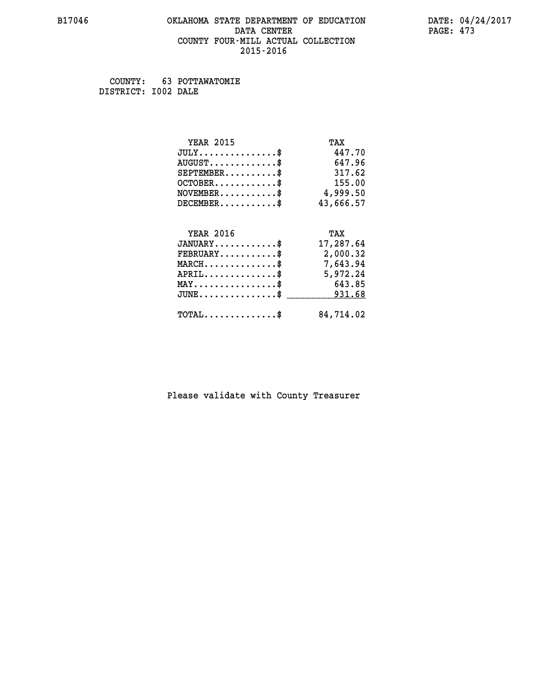#### **B17046 OKLAHOMA STATE DEPARTMENT OF EDUCATION DATE: 04/24/2017 DATA CENTER** PAGE: 473  **COUNTY FOUR-MILL ACTUAL COLLECTION 2015-2016**

 **COUNTY: 63 POTTAWATOMIE DISTRICT: I002 DALE**

| <b>YEAR 2015</b>                           | TAX       |
|--------------------------------------------|-----------|
| $JULY$ \$                                  | 447.70    |
| $AUGUST$ \$                                | 647.96    |
| $SEPTEMBER$ \$                             | 317.62    |
| $OCTOBER$ \$                               | 155.00    |
| $NOVEMBER.$ \$                             | 4,999.50  |
| $DECEMBER$ \$                              | 43,666.57 |
|                                            |           |
| <b>YEAR 2016</b>                           | TAX       |
| $JANUARY$ \$                               | 17,287.64 |
| $FEBRUARY$                                 | 2,000.32  |
| $MARCH$ \$                                 | 7,643.94  |
| $APRIL$ \$                                 | 5,972.24  |
| $MAX \dots \dots \dots \dots \$            | 643.85    |
| $JUNE$ \$                                  | 931.68    |
| $\texttt{TOTAL} \dots \dots \dots \dots \$ | 84,714.02 |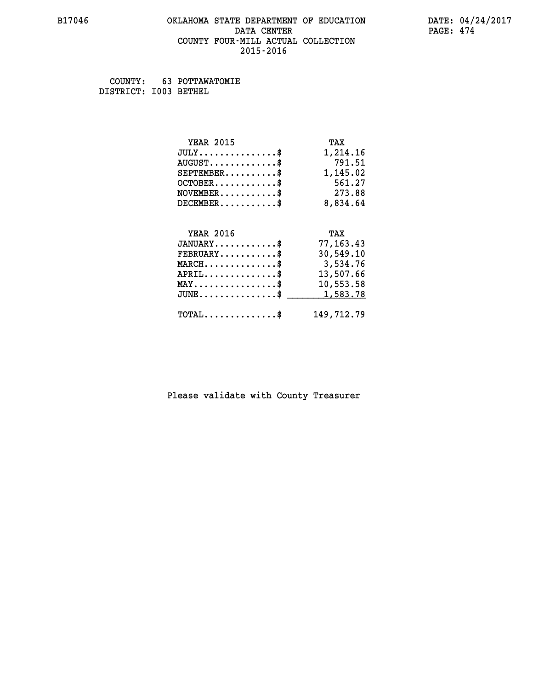#### **B17046 OKLAHOMA STATE DEPARTMENT OF EDUCATION DATE: 04/24/2017 DATA CENTER** PAGE: 474  **COUNTY FOUR-MILL ACTUAL COLLECTION 2015-2016**

 **COUNTY: 63 POTTAWATOMIE DISTRICT: I003 BETHEL**

| <b>YEAR 2015</b>                                   | TAX         |
|----------------------------------------------------|-------------|
| $JULY$ \$                                          | 1,214.16    |
| $AUGUST$ \$                                        | 791.51      |
| $SEPTEMBER$ \$                                     | 1,145.02    |
| $OCTOBER$ \$                                       | 561.27      |
| $\texttt{NOVEMBER} \dots \dots \dots \$            | 273.88      |
| $DECEMBER$ \$                                      | 8,834.64    |
|                                                    |             |
| <b>YEAR 2016</b>                                   | TAX         |
| $JANUARY$ \$                                       | 77, 163. 43 |
| $FEBRUARY$ \$                                      | 30,549.10   |
| $\texttt{MARCH}\ldots\ldots\ldots\ldots\$          | 3,534.76    |
| $APRIL \ldots \ldots \ldots \ldots$ \$             | 13,507.66   |
| $\texttt{MAX} \dots \dots \dots \dots \dots \$     | 10,553.58   |
| $\texttt{JUNE} \dots \dots \dots \dots \texttt{S}$ | 1,583.78    |
| $\texttt{TOTAL} \dots \dots \dots \dots \$         | 149,712.79  |
|                                                    |             |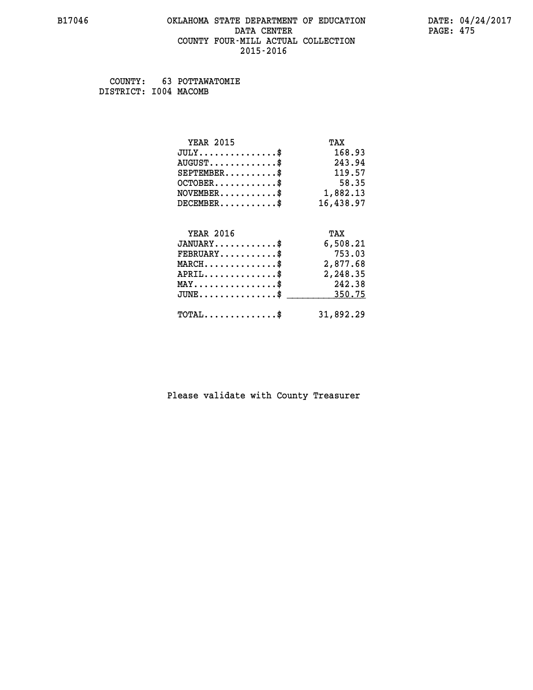#### **B17046 OKLAHOMA STATE DEPARTMENT OF EDUCATION DATE: 04/24/2017 DATA CENTER** PAGE: 475  **COUNTY FOUR-MILL ACTUAL COLLECTION 2015-2016**

 **COUNTY: 63 POTTAWATOMIE DISTRICT: I004 MACOMB**

| <b>YEAR 2015</b>                               | TAX       |
|------------------------------------------------|-----------|
| $JULY$ \$                                      | 168.93    |
| $AUGUST$ \$                                    | 243.94    |
| $SEPTEMENT.$ \$                                | 119.57    |
| $OCTOBER$ \$                                   | 58.35     |
| $NOVEMBER.$ \$                                 | 1,882.13  |
| $DECEMBER$ \$                                  | 16,438.97 |
|                                                |           |
| <b>YEAR 2016</b>                               | TAX       |
| $JANUARY$                                      | 6,508.21  |
| $FEBRUARY$ \$                                  | 753.03    |
| $\texttt{MARCH}\ldots\ldots\ldots\ldots\$      | 2,877.68  |
| $APRIL \ldots \ldots \ldots \ldots \$          | 2,248.35  |
| $\texttt{MAX} \dots \dots \dots \dots \dots \$ | 242.38    |
| $JUNE$ \$                                      | 350.75    |
| $\texttt{TOTAL} \dots \dots \dots \dots \$     | 31,892.29 |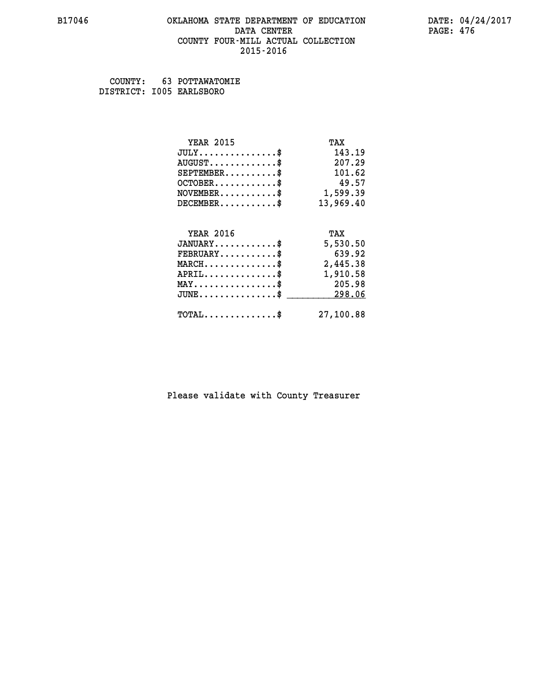#### **B17046 OKLAHOMA STATE DEPARTMENT OF EDUCATION DATE: 04/24/2017 DATA CENTER** PAGE: 476  **COUNTY FOUR-MILL ACTUAL COLLECTION 2015-2016**

 **COUNTY: 63 POTTAWATOMIE DISTRICT: I005 EARLSBORO**

| <b>YEAR 2015</b>                           | TAX       |
|--------------------------------------------|-----------|
| $JULY$ \$                                  | 143.19    |
| $AUGUST$ \$                                | 207.29    |
| $SEPTEMENT.$ \$                            | 101.62    |
| $OCTOBER$ \$                               | 49.57     |
| $\texttt{NOVEMBER} \dots \dots \dots \$    | 1,599.39  |
| $DECEMBER$ \$                              | 13,969.40 |
|                                            |           |
| <b>YEAR 2016</b>                           | TAX       |
| $JANUARY$                                  | 5,530.50  |
| $FEBRUARY$                                 | 639.92    |
| $MARCH$ \$                                 | 2,445.38  |
| $APRIL$ \$                                 | 1,910.58  |
| $MAX \dots \dots \dots \dots \dots$        | 205.98    |
| $JUNE$ \$                                  | 298.06    |
| $\texttt{TOTAL} \dots \dots \dots \dots \$ |           |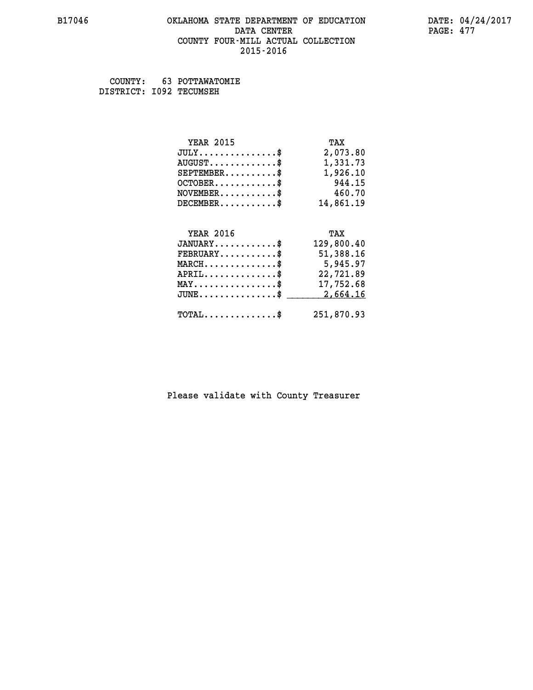#### **B17046 OKLAHOMA STATE DEPARTMENT OF EDUCATION DATE: 04/24/2017 DATA CENTER** PAGE: 477  **COUNTY FOUR-MILL ACTUAL COLLECTION 2015-2016**

 **COUNTY: 63 POTTAWATOMIE DISTRICT: I092 TECUMSEH**

| <b>YEAR 2015</b>                                 | TAX        |
|--------------------------------------------------|------------|
| $JULY$ \$                                        | 2,073.80   |
| $AUGUST$ \$                                      | 1,331.73   |
| $SEPTEMENT.$ \$                                  | 1,926.10   |
| $OCTOBER$ \$                                     | 944.15     |
| $NOVEMBER.$ \$                                   | 460.70     |
| $DECEMBER$ \$                                    | 14,861.19  |
|                                                  |            |
| <b>YEAR 2016</b>                                 | TAX        |
| $JANUARY$ \$                                     | 129,800.40 |
| $FEBRUARY$ \$                                    | 51,388.16  |
| $\texttt{MARCH}\ldots\ldots\ldots\ldots\text{*}$ | 5,945.97   |
| $APRIL$ \$                                       | 22,721.89  |
| $\texttt{MAX} \dots \dots \dots \dots \dots \$   | 17,752.68  |
| $JUNE$                                           | 2,664.16   |
| $TOTAL$ \$                                       | 251,870.93 |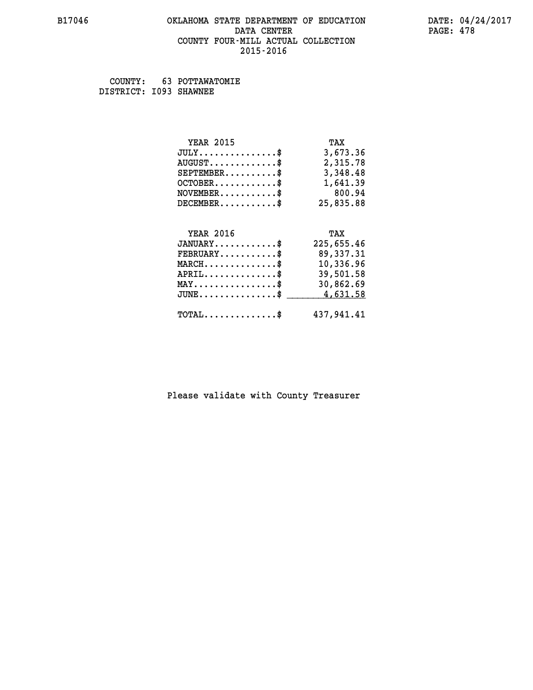#### **B17046 OKLAHOMA STATE DEPARTMENT OF EDUCATION DATE: 04/24/2017 DATA CENTER** PAGE: 478  **COUNTY FOUR-MILL ACTUAL COLLECTION 2015-2016**

 **COUNTY: 63 POTTAWATOMIE DISTRICT: I093 SHAWNEE**

| <b>YEAR 2015</b>                                   | TAX        |
|----------------------------------------------------|------------|
| $JULY$ \$                                          | 3,673.36   |
| $AUGUST$ \$                                        | 2,315.78   |
| $SEPTEMBER$ \$                                     | 3,348.48   |
| $OCTOBER$ \$                                       | 1,641.39   |
| $NOVEMBER.$ \$                                     | 800.94     |
| $DECEMBER$ \$                                      | 25,835.88  |
|                                                    |            |
| <b>YEAR 2016</b>                                   | TAX        |
| $JANUARY$ \$                                       | 225,655.46 |
| $FEBRUARY$ \$                                      | 89,337.31  |
| $MARCH$ \$                                         | 10,336.96  |
| $APRIL$ \$                                         | 39,501.58  |
| $\texttt{MAX} \dots \dots \dots \dots \dots \$     | 30,862.69  |
| $J\texttt{UNE} \dots \dots \dots \dots \texttt{S}$ | 4,631.58   |
|                                                    |            |
| $TOTAL$ \$                                         | 437,941.41 |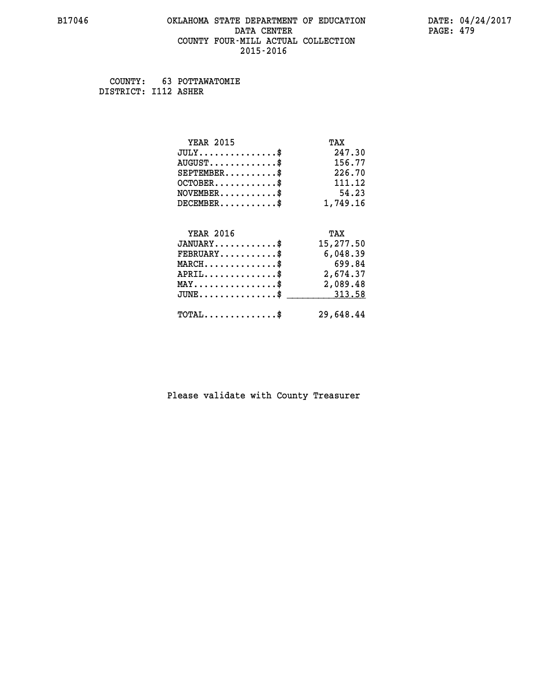#### **B17046 OKLAHOMA STATE DEPARTMENT OF EDUCATION DATE: 04/24/2017 DATA CENTER** PAGE: 479  **COUNTY FOUR-MILL ACTUAL COLLECTION 2015-2016**

 **COUNTY: 63 POTTAWATOMIE DISTRICT: I112 ASHER**

| <b>YEAR 2015</b>                               | TAX       |
|------------------------------------------------|-----------|
| $JULY$ \$                                      | 247.30    |
| $AUGUST$ \$                                    | 156.77    |
| $SEPTEMBER$ \$                                 | 226.70    |
| $OCTOBER$ \$                                   | 111.12    |
| $NOVEMBER.$ \$                                 | 54.23     |
| $DECEMBER$ \$                                  | 1,749.16  |
|                                                |           |
| <b>YEAR 2016</b>                               | TAX       |
| $JANUARY$ \$                                   | 15,277.50 |
| $FEBRUARY$                                     | 6,048.39  |
| $MARCH$ \$                                     | 699.84    |
| $APRIL$ \$                                     | 2,674.37  |
| $\texttt{MAX} \dots \dots \dots \dots \dots \$ | 2,089.48  |
| $JUNE$ \$                                      | 313.58    |
| $\texttt{TOTAL} \dots \dots \dots \dots \$     | 29,648.44 |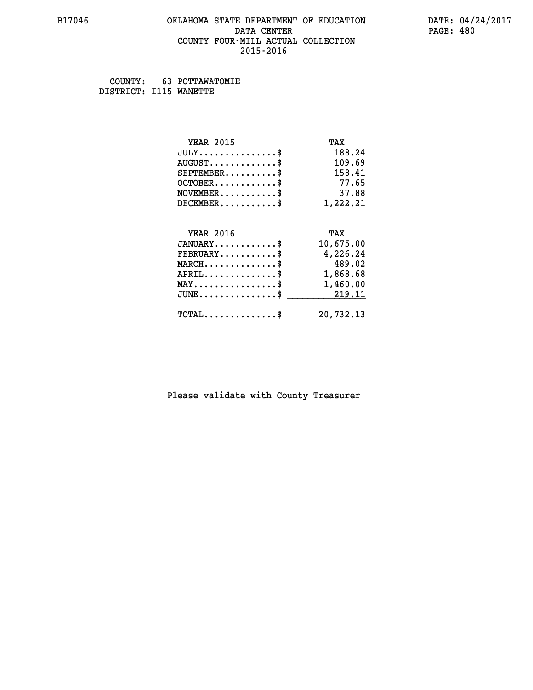#### **B17046 OKLAHOMA STATE DEPARTMENT OF EDUCATION DATE: 04/24/2017 DATA CENTER** PAGE: 480  **COUNTY FOUR-MILL ACTUAL COLLECTION 2015-2016**

 **COUNTY: 63 POTTAWATOMIE DISTRICT: I115 WANETTE**

| <b>YEAR 2015</b>                               | TAX       |
|------------------------------------------------|-----------|
| $JULY$ \$                                      | 188.24    |
| $AUGUST$ \$                                    | 109.69    |
| $SEPTEMENT.$ \$                                | 158.41    |
| $OCTOBER$ \$                                   | 77.65     |
| $NOVEMBER$ \$                                  | 37.88     |
| $DECEMBER$ \$                                  | 1,222.21  |
|                                                |           |
| <b>YEAR 2016</b>                               | TAX       |
| $JANUARY$ \$                                   | 10,675.00 |
| $FEBRUARY$                                     | 4,226.24  |
| $MARCH$ \$                                     | 489.02    |
| $APRIL \ldots \ldots \ldots \ldots$ \$         | 1,868.68  |
| $\texttt{MAX} \dots \dots \dots \dots \dots \$ | 1,460.00  |
| $JUNE$ \$                                      | 219.11    |
| $\texttt{TOTAL} \dots \dots \dots \dots \$     | 20,732.13 |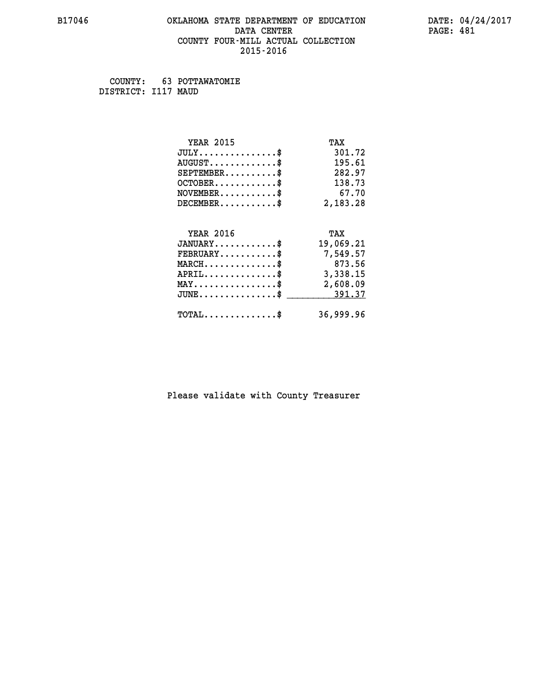#### **B17046 OKLAHOMA STATE DEPARTMENT OF EDUCATION DATE: 04/24/2017 DATA CENTER** PAGE: 481  **COUNTY FOUR-MILL ACTUAL COLLECTION 2015-2016**

 **COUNTY: 63 POTTAWATOMIE DISTRICT: I117 MAUD**

| <b>YEAR 2015</b>                                   | TAX       |
|----------------------------------------------------|-----------|
| $JULY$ \$                                          | 301.72    |
| $AUGUST$ \$                                        | 195.61    |
| $SEPTEMBER$ \$                                     | 282.97    |
| $OCTOBER$ \$                                       | 138.73    |
| $NOVEMBER.$ \$                                     | 67.70     |
| $DECEMBER$ \$                                      | 2,183.28  |
|                                                    |           |
| <b>YEAR 2016</b>                                   | TAX       |
| $JANUARY$                                          | 19,069.21 |
| $FEBRUARY$                                         | 7,549.57  |
| $MARCH$ \$                                         | 873.56    |
| $APRIL \ldots \ldots \ldots \ldots \$              | 3,338.15  |
| $\texttt{MAX} \dots \dots \dots \dots \dots \$     | 2,608.09  |
| $\texttt{JUNE} \dots \dots \dots \dots \texttt{S}$ | 391.37    |
| $\texttt{TOTAL} \dots \dots \dots \dots \$         | 36,999.96 |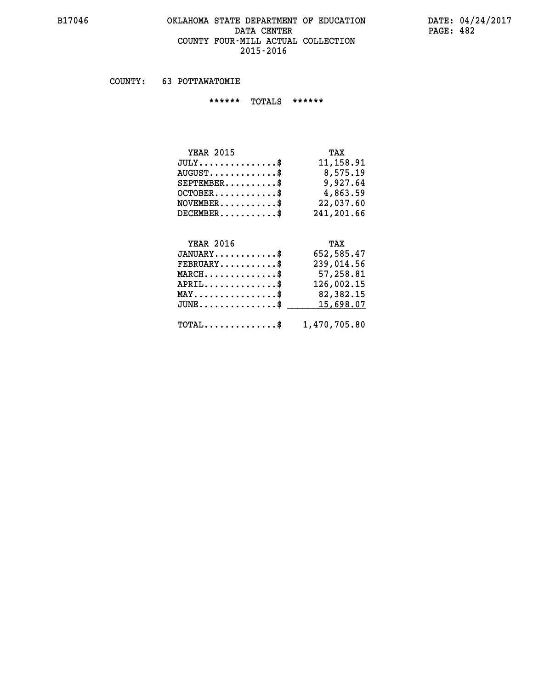#### **B17046 OKLAHOMA STATE DEPARTMENT OF EDUCATION DATE: 04/24/2017 DATA CENTER PAGE: 482 COUNTY FOUR-MILL ACTUAL COLLECTION 2015-2016**

 **COUNTY: 63 POTTAWATOMIE**

 **\*\*\*\*\*\* TOTALS \*\*\*\*\*\***

| <b>YEAR 2015</b>                 | TAX        |
|----------------------------------|------------|
| $JULY \ldots \ldots \ldots \$    | 11,158.91  |
| $AUGUST \ldots \ldots \ldots$ \$ | 8,575.19   |
| $SEPTEMBER$                      | 9,927.64   |
| $OCTOBER$                        | 4,863.59   |
| $NOVEMBER$ \$                    | 22,037.60  |
| $DECEMBER$                       | 241,201.66 |

# **YEAR 2016 TAX**

| $JANUARY$                                               | 652,585.47 |
|---------------------------------------------------------|------------|
| $FEBRUARY$ \$                                           | 239,014.56 |
| $MARCH$ \$                                              | 57,258.81  |
| $APRIL$ \$                                              | 126,002.15 |
| $MAX \dots \dots \dots \dots \dots \$                   | 82,382.15  |
| $JUNE \ldots \ldots \ldots \ldots$ \$ 15,698.07         |            |
| $\texttt{TOTAL} \dots \dots \dots \dots \$ 1,470,705.80 |            |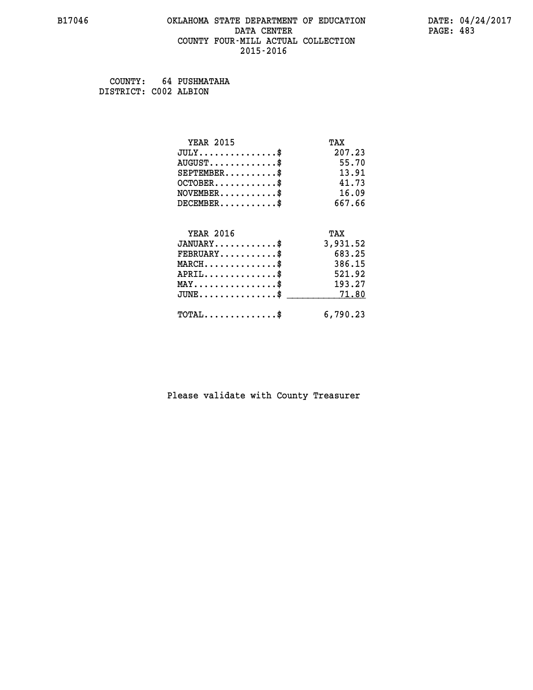#### **B17046 OKLAHOMA STATE DEPARTMENT OF EDUCATION DATE: 04/24/2017 DATA CENTER** PAGE: 483  **COUNTY FOUR-MILL ACTUAL COLLECTION 2015-2016**

 **COUNTY: 64 PUSHMATAHA DISTRICT: C002 ALBION**

| <b>YEAR 2015</b>                                   | TAX      |
|----------------------------------------------------|----------|
| $JULY$ \$                                          | 207.23   |
| $AUGUST$ \$                                        | 55.70    |
| $SEPTEMBER$ \$                                     | 13.91    |
| $OCTOBER$ \$                                       | 41.73    |
| $NOVEMBER$ \$                                      | 16.09    |
| $DECEMBER$ \$                                      | 667.66   |
|                                                    |          |
| <b>YEAR 2016</b>                                   | TAX      |
| $JANUARY$                                          | 3,931.52 |
| $FEBRUARY$                                         | 683.25   |
| $MARCH$ \$                                         | 386.15   |
| $APRIL$ \$                                         | 521.92   |
| $MAX \dots \dots \dots \dots \dots$                | 193.27   |
| $\texttt{JUNE} \dots \dots \dots \dots \texttt{*}$ | 71.80    |
| $\texttt{TOTAL} \dots \dots \dots \dots \$         | 6,790.23 |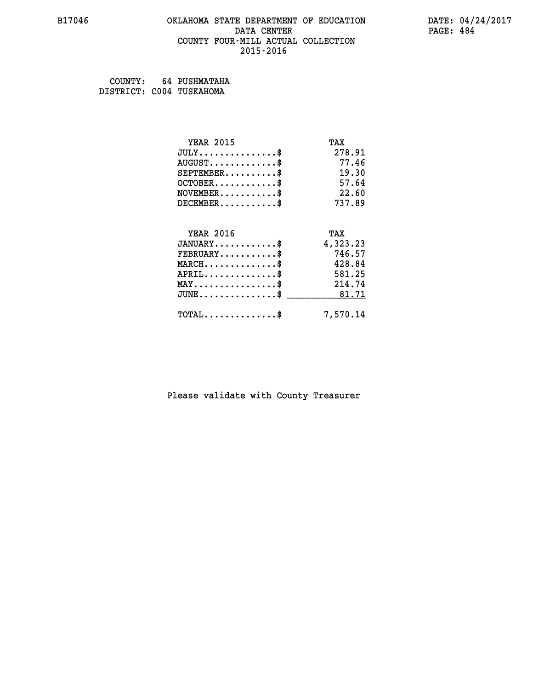#### **B17046 OKLAHOMA STATE DEPARTMENT OF EDUCATION DATE: 04/24/2017 DATA CENTER** PAGE: 484  **COUNTY FOUR-MILL ACTUAL COLLECTION 2015-2016**

 **COUNTY: 64 PUSHMATAHA DISTRICT: C004 TUSKAHOMA**

| <b>YEAR 2015</b>                           | TAX      |
|--------------------------------------------|----------|
| $JULY$ \$                                  | 278.91   |
| $AUGUST$ \$                                | 77.46    |
| $SEPTEMBER$ \$                             | 19.30    |
| $OCTOBER$ \$                               | 57.64    |
| $NOVEMBER$ \$                              | 22.60    |
| $DECEMBER$ \$                              | 737.89   |
| <b>YEAR 2016</b>                           | TAX      |
| $JANUARY$ \$                               | 4,323.23 |
| $FEBRUARY$ \$                              | 746.57   |
| $MARCH$ \$                                 | 428.84   |
| $APRIL$ \$                                 | 581.25   |
| $MAX \dots \dots \dots \dots \$            | 214.74   |
| $JUNE$ \$                                  | 81.71    |
| $\texttt{TOTAL} \dots \dots \dots \dots \$ | 7,570.14 |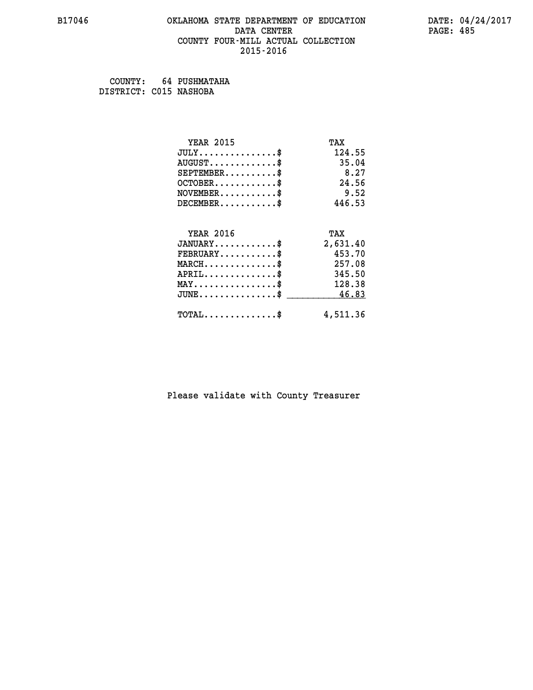#### **B17046 OKLAHOMA STATE DEPARTMENT OF EDUCATION DATE: 04/24/2017 DATA CENTER** PAGE: 485  **COUNTY FOUR-MILL ACTUAL COLLECTION 2015-2016**

 **COUNTY: 64 PUSHMATAHA DISTRICT: C015 NASHOBA**

| <b>YEAR 2015</b>                           | TAX      |
|--------------------------------------------|----------|
| $JULY$ \$                                  | 124.55   |
| $AUGUST$ \$                                | 35.04    |
| $SEPTEMBER$ \$                             | 8.27     |
| $OCTOBER$ \$                               | 24.56    |
| $NOVEMBER$ \$                              | 9.52     |
| $DECEMBER$ \$                              | 446.53   |
| <b>YEAR 2016</b>                           | TAX      |
| $JANUARY$                                  | 2,631.40 |
| $FEBRUARY$                                 | 453.70   |
|                                            |          |
| $MARCH$ \$                                 | 257.08   |
| $APRIL$ \$                                 | 345.50   |
| $MAX \dots \dots \dots \dots \$            | 128.38   |
| $JUNE$                                     | 46.83    |
| $\texttt{TOTAL} \dots \dots \dots \dots \$ | 4,511.36 |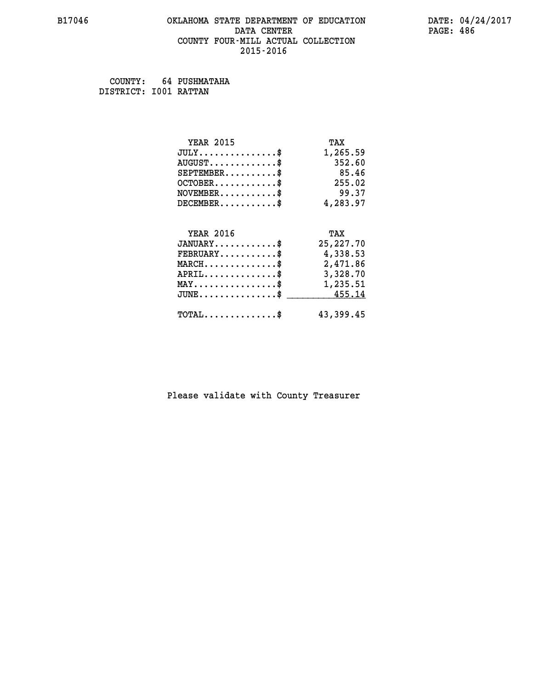#### **B17046 OKLAHOMA STATE DEPARTMENT OF EDUCATION DATE: 04/24/2017 DATA CENTER** PAGE: 486  **COUNTY FOUR-MILL ACTUAL COLLECTION 2015-2016**

 **COUNTY: 64 PUSHMATAHA DISTRICT: I001 RATTAN**

| <b>YEAR 2015</b>                                   | TAX         |
|----------------------------------------------------|-------------|
| $JULY$ \$                                          | 1,265.59    |
| $AUGUST$ \$                                        | 352.60      |
| $SEPTEMBER$ \$                                     | 85.46       |
| $OCTOBER$ \$                                       | 255.02      |
| $\texttt{NOVEMBER} \dots \dots \dots \$            | 99.37       |
| $DECEMBER$ \$                                      | 4,283.97    |
|                                                    |             |
| <b>YEAR 2016</b>                                   | TAX         |
| $JANUARY$ \$                                       | 25, 227. 70 |
| $FEBRUARY$ \$                                      | 4,338.53    |
| $\texttt{MARCH}\ldots\ldots\ldots\ldots\text{*}$   | 2,471.86    |
| $APRIL \ldots \ldots \ldots \ldots \$              | 3,328.70    |
| $\texttt{MAX} \dots \dots \dots \dots \dots \$     | 1,235.51    |
| $\texttt{JUNE} \dots \dots \dots \dots \texttt{S}$ | 455.14      |
| $\texttt{TOTAL} \dots \dots \dots \dots \$         | 43,399.45   |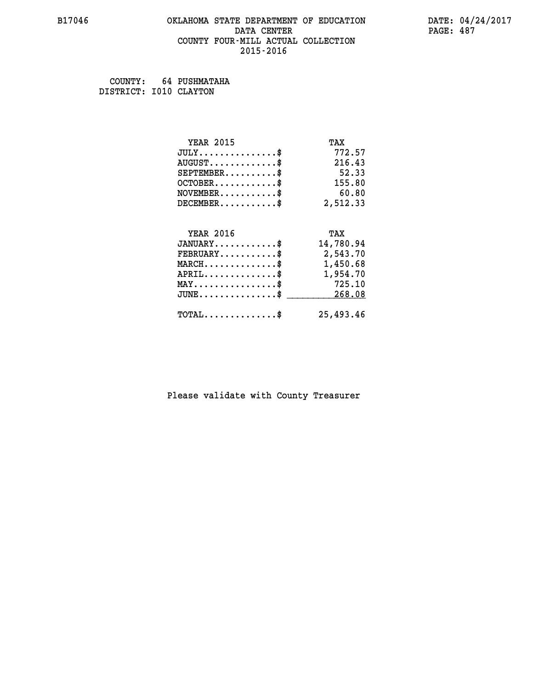#### **B17046 OKLAHOMA STATE DEPARTMENT OF EDUCATION DATE: 04/24/2017 DATA CENTER** PAGE: 487  **COUNTY FOUR-MILL ACTUAL COLLECTION 2015-2016**

 **COUNTY: 64 PUSHMATAHA DISTRICT: I010 CLAYTON**

| <b>YEAR 2015</b>                               | TAX       |
|------------------------------------------------|-----------|
| $JULY$ \$                                      | 772.57    |
| $AUGUST$ \$                                    | 216.43    |
| $SEPTEMBER$ \$                                 | 52.33     |
| $OCTOBER$ \$                                   | 155.80    |
| $\texttt{NOVEMBER} \dots \dots \dots \$        | 60.80     |
| $DECEMBER$ \$                                  | 2,512.33  |
| <b>YEAR 2016</b>                               | TAX       |
| $JANUARY$ \$                                   | 14,780.94 |
|                                                |           |
| $\texttt{FEBRUARY} \dots \dots \dots \$        | 2,543.70  |
| $MARCH$ \$                                     | 1,450.68  |
| $APRIL$ \$                                     | 1,954.70  |
| $\texttt{MAX} \dots \dots \dots \dots \dots \$ | 725.10    |
| $JUNE$ \$                                      | 268.08    |
| $\texttt{TOTAL} \dots \dots \dots \dots \$     | 25,493.46 |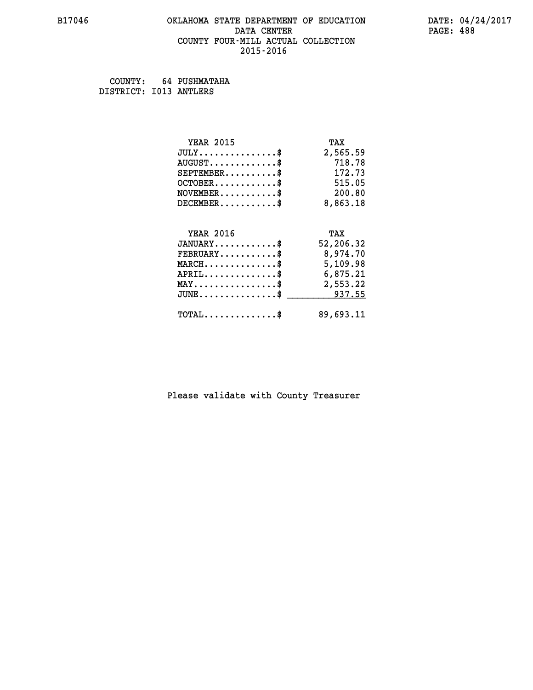#### **B17046 OKLAHOMA STATE DEPARTMENT OF EDUCATION DATE: 04/24/2017 DATA CENTER** PAGE: 488  **COUNTY FOUR-MILL ACTUAL COLLECTION 2015-2016**

 **COUNTY: 64 PUSHMATAHA DISTRICT: I013 ANTLERS**

| <b>YEAR 2015</b>                                 | TAX       |
|--------------------------------------------------|-----------|
| $JULY$ \$                                        | 2,565.59  |
| $AUGUST$ \$                                      | 718.78    |
| $SEPTEMBER$ \$                                   | 172.73    |
| $OCTOBER$ \$                                     | 515.05    |
| $\texttt{NOVEMBER} \dots \dots \dots \$          | 200.80    |
| $DECEMBER$ \$                                    | 8,863.18  |
|                                                  |           |
| <b>YEAR 2016</b>                                 | TAX       |
| $JANUARY$                                        | 52,206.32 |
| $FEBRUARY$                                       | 8,974.70  |
| $MARCH$ \$                                       | 5,109.98  |
| $APRIL \ldots \ldots \ldots \ldots \$            | 6,875.21  |
| $\texttt{MAX} \dots \dots \dots \dots \dots \$   | 2,553.22  |
| $\texttt{JUNE} \dots \dots \dots \dots \dots \$$ | 937.55    |
| $\texttt{TOTAL} \dots \dots \dots \dots \$       | 89,693.11 |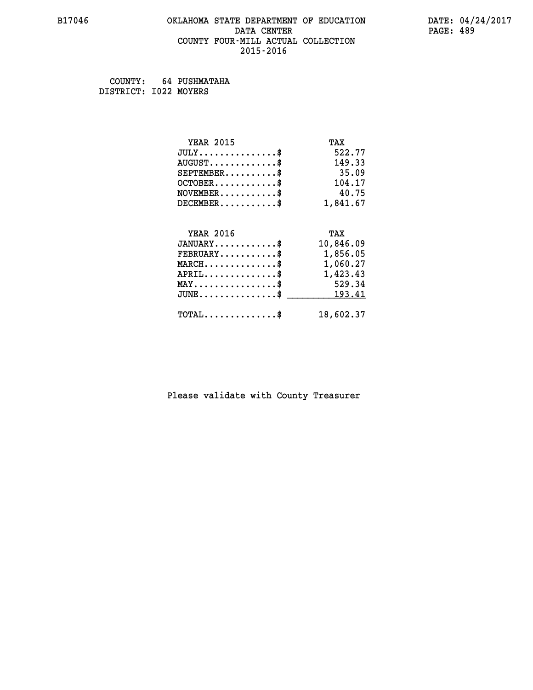#### **B17046 OKLAHOMA STATE DEPARTMENT OF EDUCATION DATE: 04/24/2017 DATA CENTER** PAGE: 489  **COUNTY FOUR-MILL ACTUAL COLLECTION 2015-2016**

 **COUNTY: 64 PUSHMATAHA DISTRICT: I022 MOYERS**

| <b>YEAR 2015</b>                         | TAX       |
|------------------------------------------|-----------|
| $JULY$ \$                                | 522.77    |
| $AUGUST$ \$                              | 149.33    |
| $SEPTEMBER$ \$                           | 35.09     |
| $OCTOBER$ \$                             | 104.17    |
| $NOVEMBER$ \$                            | 40.75     |
| $DECEMBER$ \$                            | 1,841.67  |
| <b>YEAR 2016</b>                         | TAX       |
|                                          |           |
| $JANUARY$ \$                             | 10,846.09 |
| $FEBRUARY$                               | 1,856.05  |
| $MARCH$ \$                               | 1,060.27  |
| $APRIL$ \$                               | 1,423.43  |
| $MAX \dots \dots \dots \dots \dots$      | 529.34    |
| $JUNE$ \$                                | 193.41    |
| $\texttt{TOTAL} \dots \dots \dots \dots$ | 18,602.37 |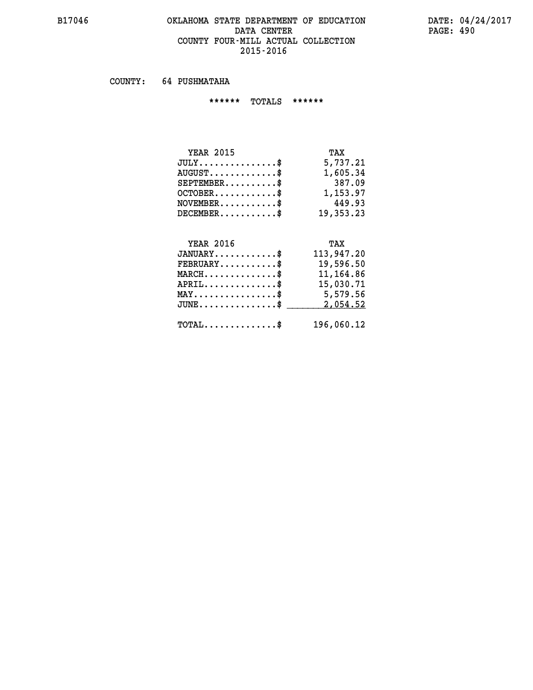#### **B17046 OKLAHOMA STATE DEPARTMENT OF EDUCATION DATE: 04/24/2017 DATA CENTER** PAGE: 490  **COUNTY FOUR-MILL ACTUAL COLLECTION 2015-2016**

 **COUNTY: 64 PUSHMATAHA**

 **\*\*\*\*\*\* TOTALS \*\*\*\*\*\***

| <b>YEAR 2015</b>                     | TAX       |
|--------------------------------------|-----------|
| $JULY \ldots \ldots \ldots \ldots \$ | 5,737.21  |
| $AUGUST$ \$                          | 1,605.34  |
| $SEPTEMBER$                          | 387.09    |
| $OCTOBER$ \$                         | 1,153.97  |
| $NOVEMBER$ \$                        | 449.93    |
| $DECEMBER$                           | 19,353.23 |

# **YEAR 2016 TAX**

| $JANUARY$<br>$\texttt{FEBRUARY} \dots \dots \dots \$ | 113,947.20<br>19,596.50 |
|------------------------------------------------------|-------------------------|
| $MARCH$ \$                                           | 11,164.86               |
| APRIL                                                | 15,030.71               |
| $MAX \dots \dots \dots \dots \dots \$                | 5,579.56                |
| $JUNE \dots \dots \dots \dots \$ 2,054.52            |                         |
| $\text{TOTAL} \dots \dots \dots \dots \dots$         | 196,060.12              |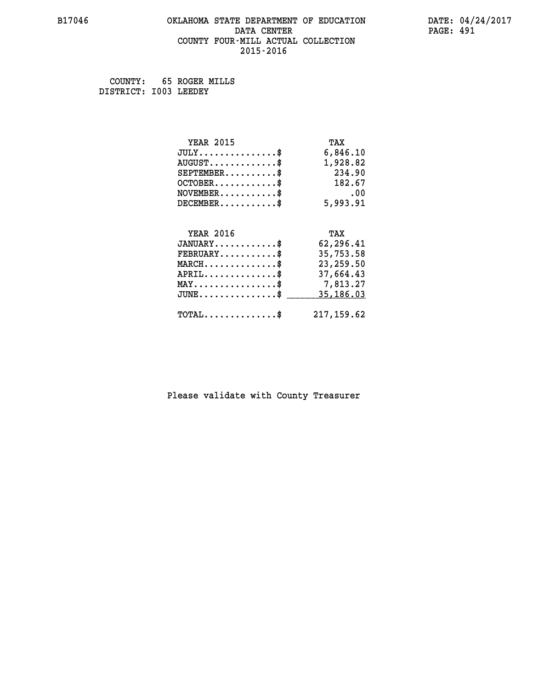#### **B17046 OKLAHOMA STATE DEPARTMENT OF EDUCATION DATE: 04/24/2017 DATA CENTER** PAGE: 491  **COUNTY FOUR-MILL ACTUAL COLLECTION 2015-2016**

 **COUNTY: 65 ROGER MILLS DISTRICT: I003 LEEDEY**

| <b>YEAR 2015</b>                         | TAX        |
|------------------------------------------|------------|
| $JULY$ \$                                | 6,846.10   |
| $AUGUST$ \$                              | 1,928.82   |
| $SEPTEMBER$ \$                           | 234.90     |
| $OCTOBER$ \$                             | 182.67     |
| $NOVEMBER$ \$                            | .00        |
| $DECEMBER$ \$                            | 5,993.91   |
|                                          |            |
| <b>YEAR 2016</b>                         | TAX        |
| $JANUARY$                                | 62,296.41  |
| $FEBRUARY$                               | 35,753.58  |
| $MARCH$ \$                               | 23,259.50  |
| $APRIL \ldots \ldots \ldots \ldots \$    | 37,664.43  |
| MAY\$ 7,813.27                           |            |
| $JUNE$ \$                                | 35,186.03  |
| $\texttt{TOTAL} \dots \dots \dots \dots$ | 217,159.62 |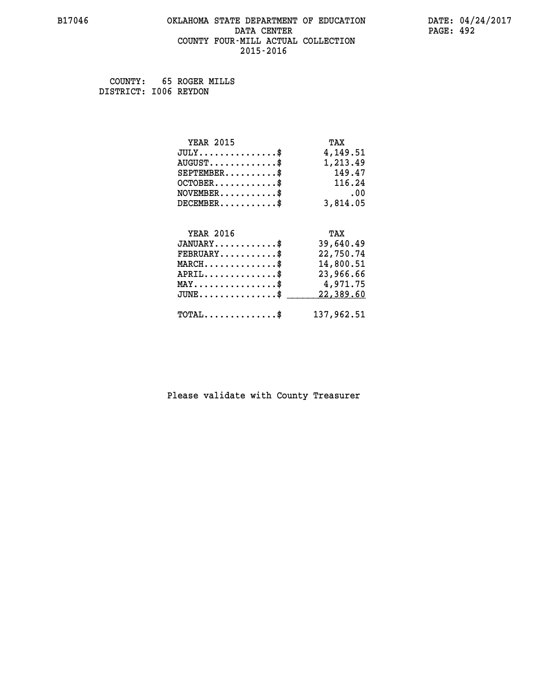#### **B17046 OKLAHOMA STATE DEPARTMENT OF EDUCATION DATE: 04/24/2017 DATA CENTER** PAGE: 492  **COUNTY FOUR-MILL ACTUAL COLLECTION 2015-2016**

 **COUNTY: 65 ROGER MILLS DISTRICT: I006 REYDON**

| <b>YEAR 2015</b>                               | TAX        |
|------------------------------------------------|------------|
| $JULY$ \$                                      | 4,149.51   |
| $AUGUST$ \$                                    | 1,213.49   |
| $SEPTEMBER$ \$                                 | 149.47     |
| $OCTOBER$ \$                                   | 116.24     |
| $NOVEMBER$ \$                                  | .00        |
| $DECEMBER$ \$                                  | 3,814.05   |
|                                                |            |
| <b>YEAR 2016</b>                               | TAX        |
| $JANUARY$ \$                                   | 39,640.49  |
| $FEBRUARY$                                     | 22,750.74  |
| $MARCH \ldots \ldots \ldots \ldots$            | 14,800.51  |
| $APRIL \ldots \ldots \ldots \ldots \$          | 23,966.66  |
| $\texttt{MAX} \dots \dots \dots \dots \dots \$ | 4,971.75   |
| $JUNE$ \$                                      | 22,389.60  |
| $\texttt{TOTAL} \dots \dots \dots \dots \$     | 137,962.51 |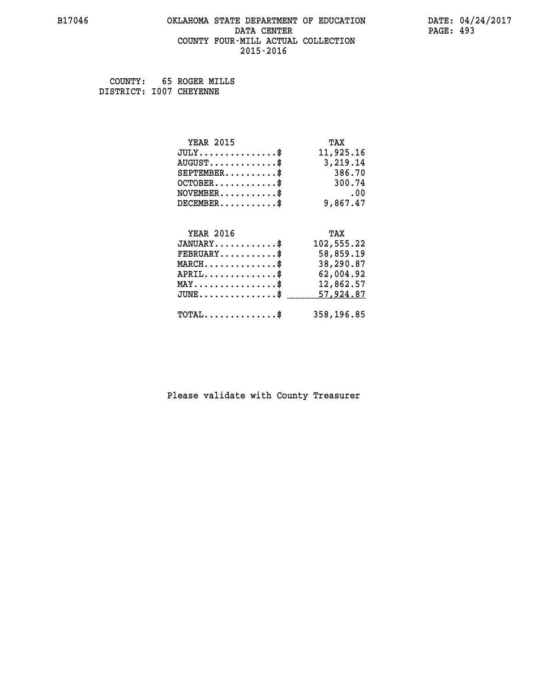# **B17046 OKLAHOMA STATE DEPARTMENT OF EDUCATION DATE: 04/24/2017** DATA CENTER PAGE: 493  **COUNTY FOUR-MILL ACTUAL COLLECTION 2015-2016**

 **COUNTY: 65 ROGER MILLS DISTRICT: I007 CHEYENNE**

| <b>YEAR 2015</b>                               | TAX        |
|------------------------------------------------|------------|
| $JULY$ \$                                      | 11,925.16  |
| $AUGUST$ \$                                    | 3,219.14   |
| $SEPTEMBER$ \$                                 | 386.70     |
| $OCTOBER$ \$                                   | 300.74     |
| $NOVEMBER$ \$                                  | .00        |
| $DECEMBER$ \$                                  | 9,867.47   |
|                                                |            |
| <b>YEAR 2016</b>                               | TAX        |
|                                                |            |
| $JANUARY$ \$                                   | 102,555.22 |
| $FEBRUARY$                                     | 58,859.19  |
| $MARCH$ \$                                     | 38,290.87  |
| $APRIL$ \$                                     | 62,004.92  |
| $\texttt{MAX} \dots \dots \dots \dots \dots \$ | 12,862.57  |
| $JUNE$ \$                                      | 57,924.87  |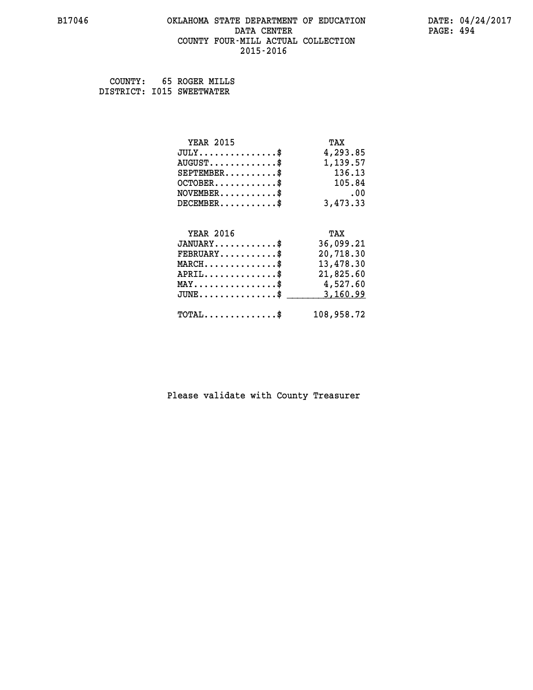#### **B17046 OKLAHOMA STATE DEPARTMENT OF EDUCATION DATE: 04/24/2017 DATA CENTER** PAGE: 494  **COUNTY FOUR-MILL ACTUAL COLLECTION 2015-2016**

 **COUNTY: 65 ROGER MILLS DISTRICT: I015 SWEETWATER**

| <b>YEAR 2015</b> | TAX       |
|------------------|-----------|
| $JULY$ \$        | 4,293.85  |
| $AUGUST$ \$      | 1,139.57  |
| $SEPTEMBER$ \$   | 136.13    |
| $OCTOBER$ \$     | 105.84    |
| $NOVEMBER$ \$    | .00       |
| $DECEMBER$ \$    | 3,473.33  |
|                  |           |
|                  |           |
| <b>YEAR 2016</b> | TAX       |
| $JANUARY$ \$     | 36,099.21 |
| $FEBRUARY$       | 20,718.30 |
| $MARCH$ \$       | 13,478.30 |
| $APRIL$ \$       | 21,825.60 |
| MAY\$ 4,527.60   |           |
| $JUNE$ \$        | 3,160.99  |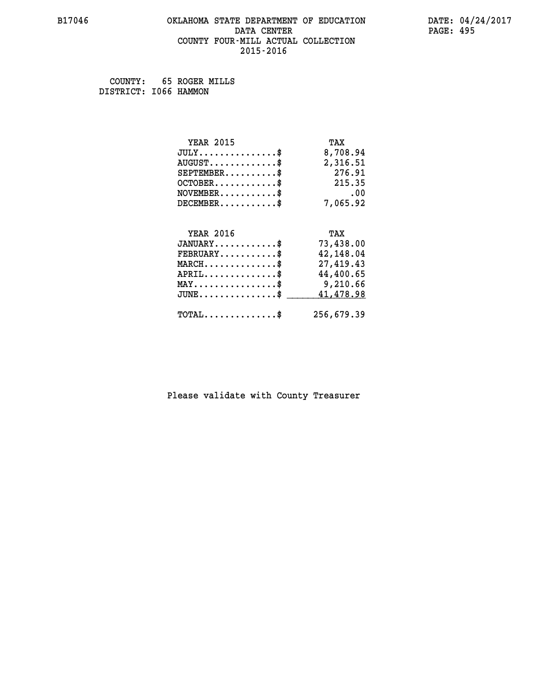# **B17046 OKLAHOMA STATE DEPARTMENT OF EDUCATION DATE: 04/24/2017** DATA CENTER PAGE: 495  **COUNTY FOUR-MILL ACTUAL COLLECTION 2015-2016**

 **COUNTY: 65 ROGER MILLS DISTRICT: I066 HAMMON**

| <b>YEAR 2015</b>                               | TAX        |
|------------------------------------------------|------------|
| $JULY$ \$                                      | 8,708.94   |
| $AUGUST$ \$                                    | 2,316.51   |
| $SEPTEMBER$                                    | 276.91     |
| $OCTOBER$ \$                                   | 215.35     |
| $NOVEMBER$ \$                                  | .00        |
| $DECEMBER$ \$                                  | 7,065.92   |
|                                                |            |
| <b>YEAR 2016</b>                               | TAX        |
| $JANUARY$ \$                                   | 73,438.00  |
| $FEBRUARY$                                     | 42,148.04  |
| $MARCH$ \$                                     | 27,419.43  |
| $APRIL$ \$                                     | 44,400.65  |
| $\texttt{MAX} \dots \dots \dots \dots \dots \$ | 9,210.66   |
| $JUNE$ \$                                      | 41,478.98  |
| $\texttt{TOTAL} \dots \dots \dots \dots \$     | 256,679.39 |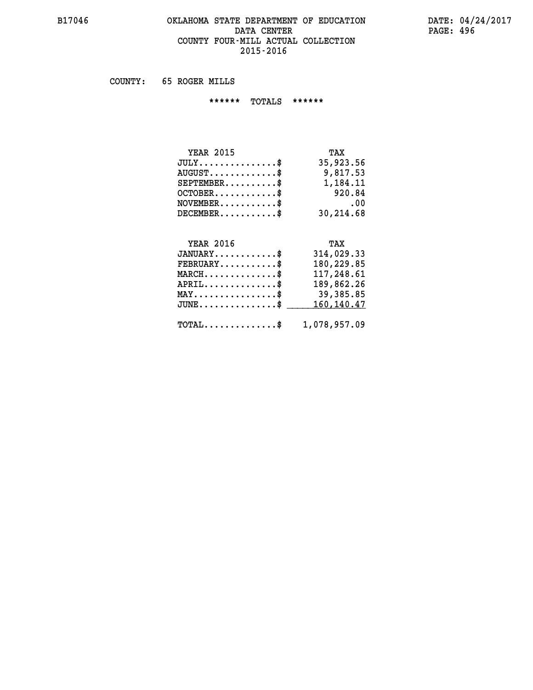#### **B17046 OKLAHOMA STATE DEPARTMENT OF EDUCATION DATE: 04/24/2017 DATA CENTER** PAGE: 496  **COUNTY FOUR-MILL ACTUAL COLLECTION 2015-2016**

 **COUNTY: 65 ROGER MILLS**

 **\*\*\*\*\*\* TOTALS \*\*\*\*\*\***

| <b>YEAR 2015</b>                 | TAX       |
|----------------------------------|-----------|
| $JULY$                           | 35,923.56 |
| $AUGUST \ldots \ldots \ldots$ \$ | 9,817.53  |
| $SEPTEMBER$                      | 1,184.11  |
| $OCTOBER$ $\$                    | 920.84    |
| $NOVEMBER$ \$                    | .00       |
| $DECEMBER$ \$                    | 30,214.68 |

# **YEAR 2016**

| <b>YEAR 2016</b>                               | TAX          |
|------------------------------------------------|--------------|
| $JANUARY$ \$                                   | 314,029.33   |
| $FEBRUARY$ \$                                  | 180,229.85   |
| $MARCH$ \$                                     | 117,248.61   |
| $APRIL$ \$                                     | 189,862.26   |
| $\texttt{MAX} \dots \dots \dots \dots \dots \$ | 39,385.85    |
| JUNE\$ 160,140.47                              |              |
| $\texttt{TOTAL} \dots \dots \dots \dots \$     | 1,078,957.09 |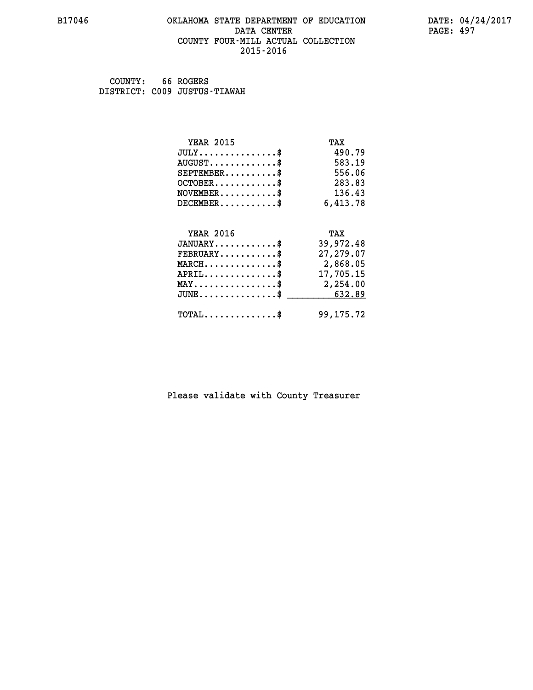#### **B17046 OKLAHOMA STATE DEPARTMENT OF EDUCATION DATE: 04/24/2017 DATA CENTER** PAGE: 497  **COUNTY FOUR-MILL ACTUAL COLLECTION 2015-2016**

 **COUNTY: 66 ROGERS DISTRICT: C009 JUSTUS-TIAWAH**

| <b>YEAR 2015</b>                        | TAX         |
|-----------------------------------------|-------------|
| $JULY$ \$                               | 490.79      |
| $AUGUST$ \$                             | 583.19      |
| $SEPTEMENT.$ \$                         | 556.06      |
| $OCTOBER$ \$                            | 283.83      |
| $NOVEMBER$ \$                           | 136.43      |
| $DECEMBER$ \$                           | 6,413.78    |
|                                         |             |
| <b>YEAR 2016</b>                        | TAX         |
| $JANUARY$                               | 39,972.48   |
| $FEBRUARY$                              | 27, 279, 07 |
| $MARCH$ \$                              | 2,868.05    |
| $APRIL$ \$                              | 17,705.15   |
| MAY\$ 2,254.00                          |             |
| $JUNE \dots \dots \dots \dots \$ 632.89 |             |
| $TOTAL$ \$                              | 99, 175. 72 |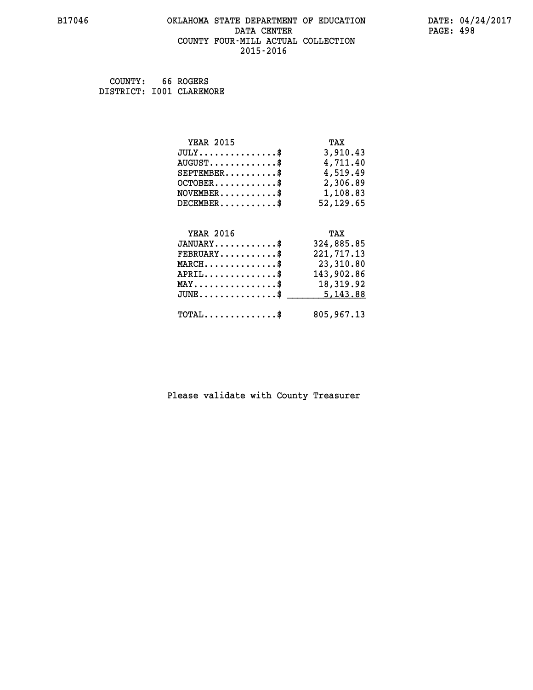#### **B17046 OKLAHOMA STATE DEPARTMENT OF EDUCATION DATE: 04/24/2017 DATA CENTER** PAGE: 498  **COUNTY FOUR-MILL ACTUAL COLLECTION 2015-2016**

 **COUNTY: 66 ROGERS DISTRICT: I001 CLAREMORE**

| <b>YEAR 2015</b>                                 | TAX          |
|--------------------------------------------------|--------------|
| $JULY$ \$                                        | 3,910.43     |
| $AUGUST$ \$                                      | 4,711.40     |
| $SEPTEMBER$ \$                                   | 4,519.49     |
| $OCTOBER$ \$                                     | 2,306.89     |
| $\texttt{NOVEMBER} \dots \dots \dots \$          | 1,108.83     |
| $DECEMBER$ \$                                    | 52, 129.65   |
|                                                  |              |
| <b>YEAR 2016</b>                                 | TAX          |
| $JANUARY$ \$                                     | 324,885.85   |
| $FEBRUARY$ \$                                    | 221, 717. 13 |
| $MARCH$ \$                                       | 23,310.80    |
| $APRIL \ldots \ldots \ldots \ldots \$            | 143,902.86   |
| $\texttt{MAX} \dots \dots \dots \dots \dots \$   | 18,319.92    |
| $\texttt{JUNE} \dots \dots \dots \dots \dots \$$ | 5,143.88     |
| $\texttt{TOTAL} \dots \dots \dots \dots \$       | 805,967.13   |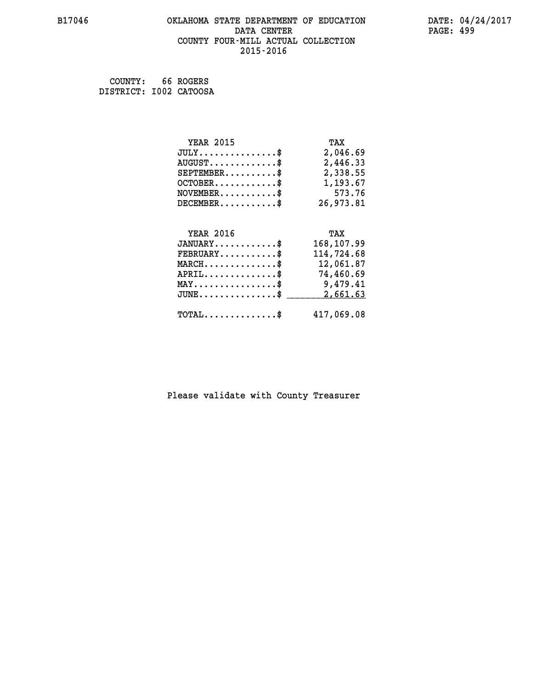#### **B17046 OKLAHOMA STATE DEPARTMENT OF EDUCATION DATE: 04/24/2017 DATA CENTER** PAGE: 499  **COUNTY FOUR-MILL ACTUAL COLLECTION 2015-2016**

| COUNTY:                | 66 ROGERS |
|------------------------|-----------|
| DISTRICT: I002 CATOOSA |           |

| <b>YEAR 2015</b>                                   | TAX        |
|----------------------------------------------------|------------|
| $JULY$ \$                                          | 2,046.69   |
| $AUGUST$ \$                                        | 2,446.33   |
| $SEPTEMBER$ \$                                     | 2,338.55   |
| $OCTOBER$ \$                                       | 1,193.67   |
| $NOVEMBER.$ \$                                     | 573.76     |
| $DECEMBER$ \$                                      | 26,973.81  |
|                                                    |            |
| <b>YEAR 2016</b>                                   | TAX        |
| $JANUARY$ \$                                       | 168,107.99 |
| $FEBRUARY$ \$                                      | 114,724.68 |
| $MARCH \ldots \ldots \ldots \ldots \$              | 12,061.87  |
| $APRIL \ldots \ldots \ldots \ldots$                | 74,460.69  |
| $\texttt{MAX} \dots \dots \dots \dots \dots \$     | 9,479.41   |
| $\texttt{JUNE} \dots \dots \dots \dots \texttt{S}$ | 2,661.63   |
| $\texttt{TOTAL} \dots \dots \dots \dots \$         | 417,069.08 |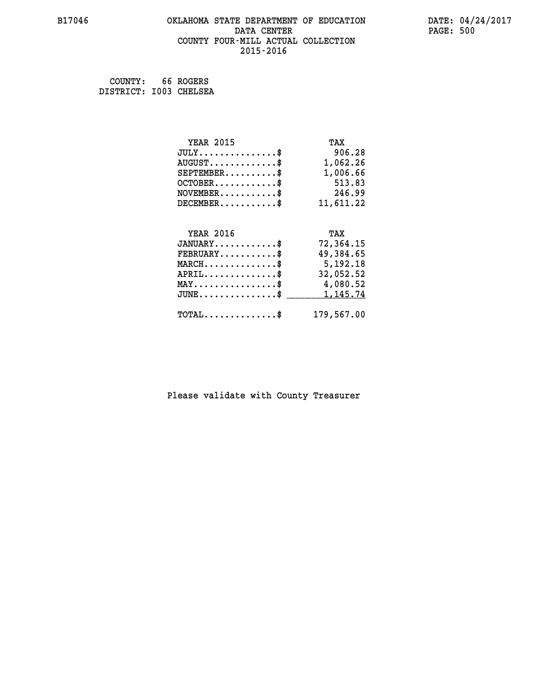# **B17046 OKLAHOMA STATE DEPARTMENT OF EDUCATION DATE: 04/24/2017 DATA CENTER PAGE: 500 COUNTY FOUR-MILL ACTUAL COLLECTION 2015-2016**

 **COUNTY: 66 ROGERS DISTRICT: I003 CHELSEA**

| <b>YEAR 2015</b>                           | TAX        |
|--------------------------------------------|------------|
| $JULY$ \$                                  | 906.28     |
| $AUGUST$ \$                                | 1,062.26   |
| $SEPTEMBER$ \$                             | 1,006.66   |
| $OCTOBER$ \$                               | 513.83     |
| $NOVEMBER$ \$                              | 246.99     |
| $DECEMBER$ \$                              | 11,611.22  |
|                                            |            |
| <b>YEAR 2016</b>                           | TAX        |
| $JANUARY$ \$                               | 72,364.15  |
| $FEBRUARY$                                 | 49,384.65  |
| $MARCH \ldots \ldots \ldots \ldots \$      | 5,192.18   |
| $APRIL$ \$                                 | 32,052.52  |
| $MAX \dots \dots \dots \dots \dots$ \$     | 4,080.52   |
| $JUNE$ \$                                  | 1,145.74   |
| $\texttt{TOTAL} \dots \dots \dots \dots \$ | 179,567.00 |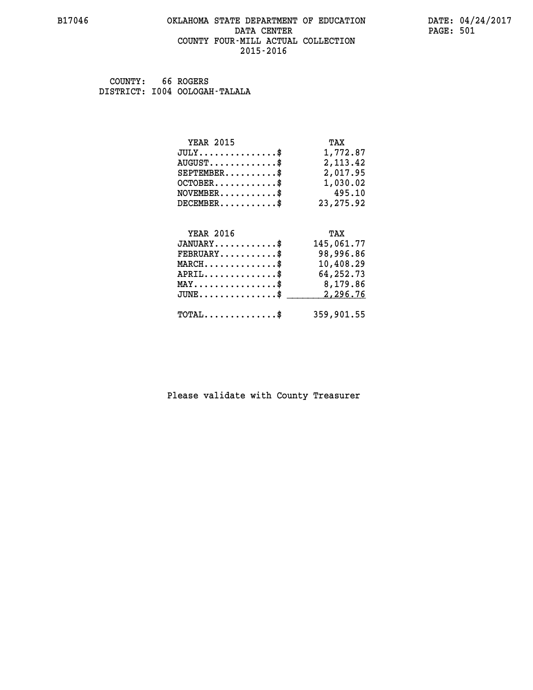#### **B17046 OKLAHOMA STATE DEPARTMENT OF EDUCATION DATE: 04/24/2017 DATA CENTER** PAGE: 501  **COUNTY FOUR-MILL ACTUAL COLLECTION 2015-2016**

 **COUNTY: 66 ROGERS DISTRICT: I004 OOLOGAH-TALALA**

| <b>YEAR 2015</b>            | TAX        |
|-----------------------------|------------|
| $JULY$ \$                   | 1,772.87   |
| $AUGUST$ \$                 | 2, 113.42  |
| $SEPTEMBER$                 | 2,017.95   |
| $OCTOBER$ \$                | 1,030.02   |
| $NOVEMBER$ \$               | 495.10     |
| $DECEMBER$ \$               | 23, 275.92 |
|                             |            |
|                             |            |
| <b>YEAR 2016</b>            | TAX        |
| $JANUARY$ \$                | 145,061.77 |
| $FEBRUARY$                  | 98,996.86  |
| $MARCH$ \$                  | 10,408.29  |
| $APRIL$ \$                  | 64,252.73  |
| MAY\$ 8,179.86<br>$JUNE$ \$ | 2,296.76   |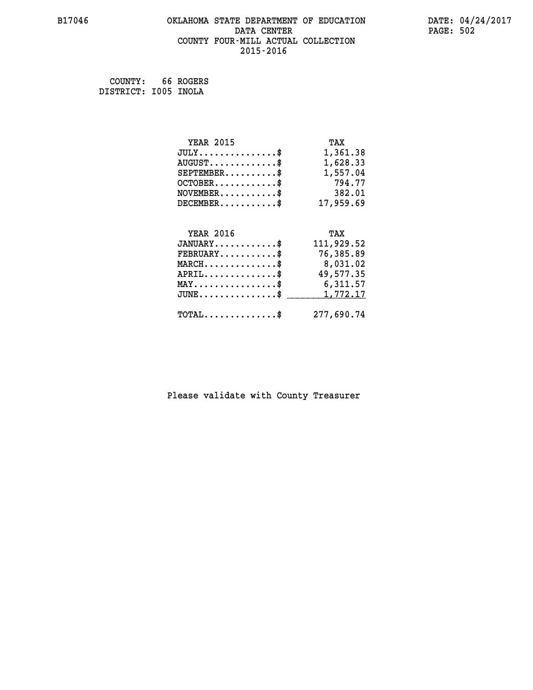#### **B17046 OKLAHOMA STATE DEPARTMENT OF EDUCATION DATE: 04/24/2017 DATA CENTER** PAGE: 502  **COUNTY FOUR-MILL ACTUAL COLLECTION 2015-2016**

 **COUNTY: 66 ROGERS DISTRICT: I005 INOLA**

| <b>YEAR 2015</b>                                 | TAX        |
|--------------------------------------------------|------------|
| $JULY$ \$                                        | 1,361.38   |
| $AUGUST$ \$                                      | 1,628.33   |
| $SEPTEMBER$ \$                                   | 1,557.04   |
| $OCTOBER$ \$                                     | 794.77     |
| $\texttt{NOVEMBER} \dots \dots \dots \$          | 382.01     |
| $DECEMBER$ \$                                    | 17,959.69  |
|                                                  |            |
| <b>YEAR 2016</b>                                 | TAX        |
| $JANUARY$ \$                                     | 111,929.52 |
| $FEBRUARY$                                       | 76,385.89  |
| $\texttt{MARCH}\ldots\ldots\ldots\ldots\text{*}$ | 8,031.02   |
| $APRIL$ \$                                       | 49,577.35  |
| MAY\$ 6,311.57                                   |            |
| $\texttt{JUNE} \dots \dots \dots \dots \dots \$$ | 1,772.17   |
| $\texttt{TOTAL} \dots \dots \dots \dots \$       | 277,690.74 |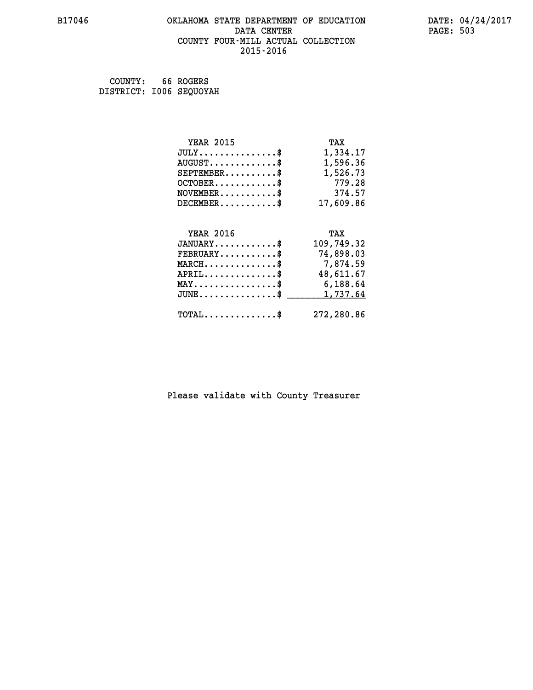#### **B17046 OKLAHOMA STATE DEPARTMENT OF EDUCATION DATE: 04/24/2017 DATA CENTER** PAGE: 503  **COUNTY FOUR-MILL ACTUAL COLLECTION 2015-2016**

| COUNTY:                 | 66 ROGERS |
|-------------------------|-----------|
| DISTRICT: 1006 SEQUOYAH |           |

| <b>YEAR 2015</b>                                                                                                              | TAX        |
|-------------------------------------------------------------------------------------------------------------------------------|------------|
| $JULY$ \$                                                                                                                     | 1,334.17   |
| $AUGUST$ \$                                                                                                                   | 1,596.36   |
| $SEPTEMBER$ \$                                                                                                                | 1,526.73   |
| $OCTOBER$ \$                                                                                                                  | 779.28     |
| $\texttt{NOVEMBER} \dots \dots \dots \$                                                                                       | 374.57     |
| $DECEMBER$ \$                                                                                                                 | 17,609.86  |
|                                                                                                                               |            |
| <b>YEAR 2016</b>                                                                                                              | TAX        |
| $JANUARY$ \$                                                                                                                  | 109,749.32 |
| $FEBRUARY$ \$                                                                                                                 | 74,898.03  |
| $\texttt{MARCH}\ldots\ldots\ldots\ldots\overset{\hspace{0.1em}\mathsf{\scriptscriptstyle\$}}{\mathsf{\scriptscriptstyle\$}}}$ | 7,874.59   |
| $APRIL$ \$                                                                                                                    | 48,611.67  |
| MAY\$ 6,188.64                                                                                                                |            |
| $\texttt{JUNE} \dots \dots \dots \dots \dots \$$                                                                              | 1,737.64   |
| $\texttt{TOTAL} \dots \dots \dots \dots \$                                                                                    | 272,280.86 |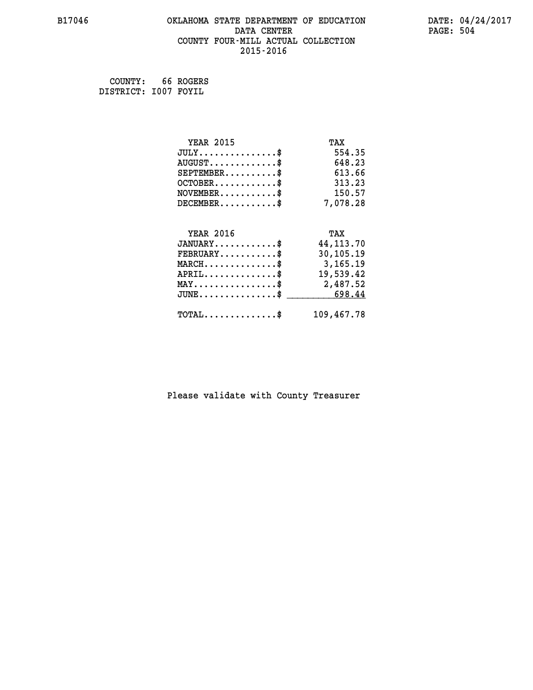#### **B17046 OKLAHOMA STATE DEPARTMENT OF EDUCATION DATE: 04/24/2017 DATA CENTER** PAGE: 504  **COUNTY FOUR-MILL ACTUAL COLLECTION 2015-2016**

 **COUNTY: 66 ROGERS DISTRICT: I007 FOYIL**

| <b>YEAR 2015</b>                                 | TAX         |
|--------------------------------------------------|-------------|
| $JULY$ \$                                        | 554.35      |
| $AUGUST$ \$                                      | 648.23      |
| $SEPTEMBER$ \$                                   | 613.66      |
| $OCTOBER$ \$                                     | 313.23      |
| $\texttt{NOVEMBER} \dots \dots \dots \$          | 150.57      |
| $DECEMBER$ \$                                    | 7,078.28    |
|                                                  |             |
| <b>YEAR 2016</b>                                 | TAX         |
| $JANUARY$                                        | 44, 113. 70 |
| $FEBRUARY$                                       | 30,105.19   |
| $\texttt{MARCH}\ldots\ldots\ldots\ldots\text{*}$ | 3,165.19    |
| $APRIL \ldots \ldots \ldots \ldots \$            | 19,539.42   |
| MAY\$ 2,487.52                                   |             |
| $JUNE \dots \dots \dots \dots \$ 698.44          |             |
| $\texttt{TOTAL} \dots \dots \dots \dots$ \$      | 109,467.78  |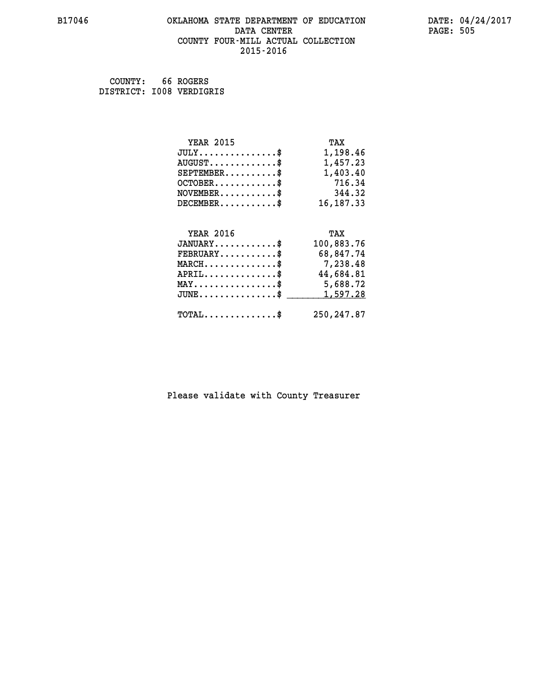#### **B17046 OKLAHOMA STATE DEPARTMENT OF EDUCATION DATE: 04/24/2017 DATA CENTER PAGE: 505 COUNTY FOUR-MILL ACTUAL COLLECTION 2015-2016**

 **COUNTY: 66 ROGERS DISTRICT: I008 VERDIGRIS**

| <b>YEAR 2015</b>                               | TAX         |
|------------------------------------------------|-------------|
| $JULY$ \$                                      | 1,198.46    |
| $AUGUST$ \$                                    | 1,457.23    |
| $SEPTEMBER$ \$                                 | 1,403.40    |
| $OCTOBER$ \$                                   | 716.34      |
| $NOVEMBER.$ \$                                 | 344.32      |
| $DECEMBER$ \$                                  | 16, 187. 33 |
|                                                |             |
| <b>YEAR 2016</b>                               | TAX         |
| $JANUARY$ \$                                   | 100,883.76  |
| $FEBRUARY$                                     | 68,847.74   |
| $MARCH$ \$                                     | 7,238.48    |
| $APRIL$ \$                                     | 44,684.81   |
| $\texttt{MAX} \dots \dots \dots \dots \dots \$ | 5,688.72    |
| $JUNE$ $\text{\$}$                             | 1,597.28    |
| $\texttt{TOTAL} \dots \dots \dots \dots \$     | 250, 247.87 |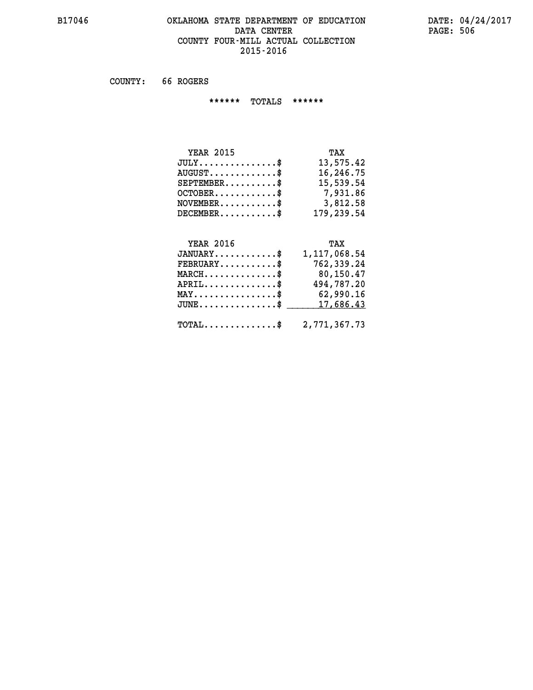#### **B17046 OKLAHOMA STATE DEPARTMENT OF EDUCATION DATE: 04/24/2017 DATA CENTER** PAGE: 506  **COUNTY FOUR-MILL ACTUAL COLLECTION 2015-2016**

 **COUNTY: 66 ROGERS**

 **\*\*\*\*\*\* TOTALS \*\*\*\*\*\***

| <b>YEAR 2015</b>                            | TAX        |
|---------------------------------------------|------------|
| $JULY$                                      | 13,575.42  |
| $\texttt{AUGUST} \dots \dots \dots \dots \$ | 16,246.75  |
| $SEPTEMENT.$ $\$                            | 15,539.54  |
| $OCTOBER.$ \$                               | 7,931.86   |
| $NOVEMBER.$ \$                              | 3,812.58   |
| $DECEMBER$                                  | 179,239.54 |

# **YEAR 2016** TAX

| $JANUARY$ \$                                            | 1,117,068.54 |
|---------------------------------------------------------|--------------|
| $\texttt{FEBRUARY} \dots \dots \dots \$                 | 762,339.24   |
| $MARCH$ \$                                              | 80,150.47    |
| $APRIL$ \$                                              | 494,787.20   |
| $MAX \dots \dots \dots \dots \dots \$                   | 62,990.16    |
| $JUNE \ldots \ldots \ldots \ldots \$ 17,686.43          |              |
| $\texttt{TOTAL} \dots \dots \dots \dots \$ 2,771,367.73 |              |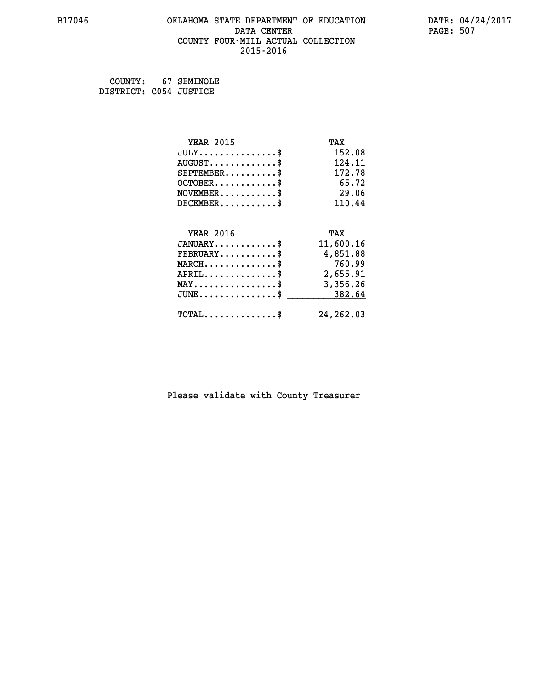#### **B17046 OKLAHOMA STATE DEPARTMENT OF EDUCATION DATE: 04/24/2017 DATA CENTER** PAGE: 507  **COUNTY FOUR-MILL ACTUAL COLLECTION 2015-2016**

 **COUNTY: 67 SEMINOLE DISTRICT: C054 JUSTICE**

| <b>YEAR 2015</b>                               | TAX        |
|------------------------------------------------|------------|
| $JULY$ \$                                      | 152.08     |
| $AUGUST$ \$                                    | 124.11     |
| $SEPTEMBER$ \$                                 | 172.78     |
| $OCTOBER$ \$                                   | 65.72      |
| $NOVEMBER$ \$                                  | 29.06      |
| $DECEMBER$ \$                                  | 110.44     |
|                                                |            |
| <b>YEAR 2016</b>                               | TAX        |
| $JANUARY$ \$                                   | 11,600.16  |
| $FEBRUARY$                                     | 4,851.88   |
| $MARCH$ \$                                     | 760.99     |
| $\texttt{APRIL} \dots \dots \dots \dots \$     | 2,655.91   |
| $\texttt{MAX} \dots \dots \dots \dots \dots \$ | 3,356.26   |
| $JUNE \ldots \ldots \ldots \ldots \ast$        | 382.64     |
| $TOTAL$ \$                                     | 24, 262.03 |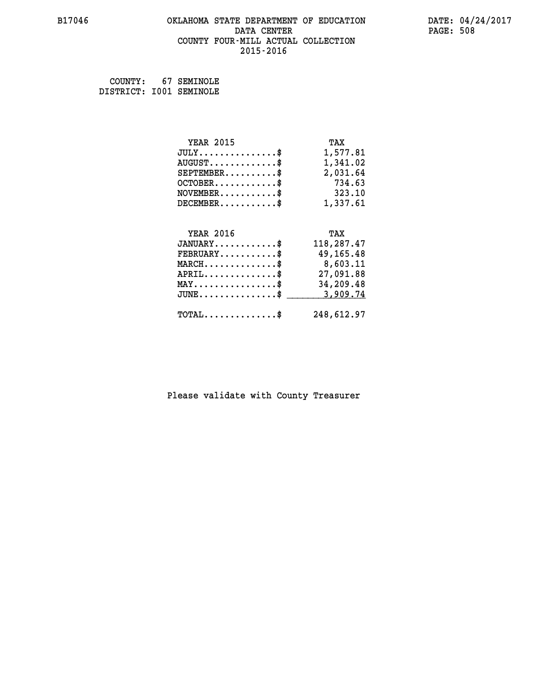#### **B17046 OKLAHOMA STATE DEPARTMENT OF EDUCATION DATE: 04/24/2017 DATA CENTER** PAGE: 508  **COUNTY FOUR-MILL ACTUAL COLLECTION 2015-2016**

 **COUNTY: 67 SEMINOLE DISTRICT: I001 SEMINOLE**

| <b>YEAR 2015</b>                                   | TAX        |
|----------------------------------------------------|------------|
| $JULY$ \$                                          | 1,577.81   |
| $AUGUST$ \$                                        | 1,341.02   |
| $SEPTEMBER$ \$                                     | 2,031.64   |
| $OCTOBER$ \$                                       | 734.63     |
| $NOVEMBER$ \$                                      | 323.10     |
| $DECEMBER$ \$                                      | 1,337.61   |
|                                                    |            |
| <b>YEAR 2016</b>                                   | TAX        |
| $JANUARY$ \$                                       | 118,287.47 |
| $FEBRUARY$                                         | 49,165.48  |
| $MARCH$ \$                                         | 8,603.11   |
| $APRIL$ \$                                         | 27,091.88  |
| $\texttt{MAX} \dots \dots \dots \dots \dots \$     | 34,209.48  |
|                                                    |            |
| $\texttt{JUNE} \dots \dots \dots \dots \texttt{S}$ | 3,909.74   |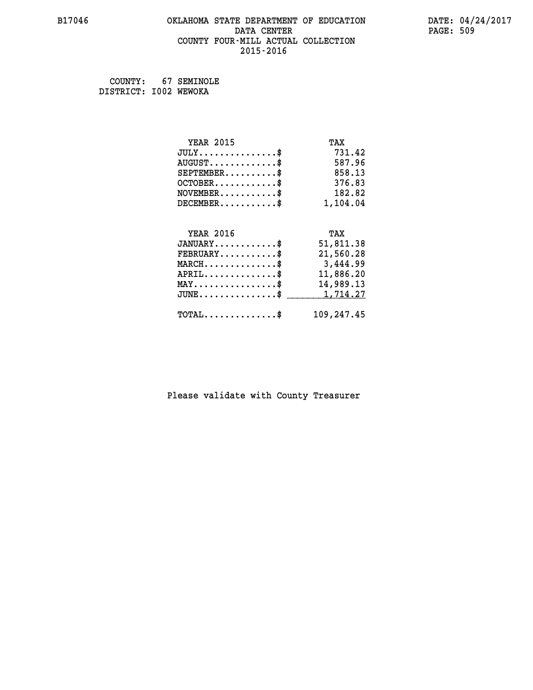#### **B17046 OKLAHOMA STATE DEPARTMENT OF EDUCATION DATE: 04/24/2017 DATA CENTER** PAGE: 509  **COUNTY FOUR-MILL ACTUAL COLLECTION 2015-2016**

 **COUNTY: 67 SEMINOLE DISTRICT: I002 WEWOKA**

| <b>YEAR 2015</b>                                   | TAX        |
|----------------------------------------------------|------------|
| $JULY$ \$                                          | 731.42     |
| $AUGUST$ \$                                        | 587.96     |
| $SEPTEMBER$ \$                                     | 858.13     |
| $OCTOBER$ \$                                       | 376.83     |
| $\texttt{NOVEMBER} \dots \dots \dots \$            | 182.82     |
| $DECEMBER$ \$                                      | 1,104.04   |
|                                                    |            |
| <b>YEAR 2016</b>                                   | TAX        |
| $JANUARY$ \$                                       | 51,811.38  |
| $FEBRUARY$                                         | 21,560.28  |
| MARCH\$ 3,444.99                                   |            |
| $APRIL \ldots \ldots \ldots \ldots \$              | 11,886.20  |
| $\texttt{MAX} \dots \dots \dots \dots \dots \$     | 14,989.13  |
| $\texttt{JUNE} \dots \dots \dots \dots \texttt{S}$ | 1,714.27   |
| $\texttt{TOTAL} \dots \dots \dots \dots \$         | 109,247.45 |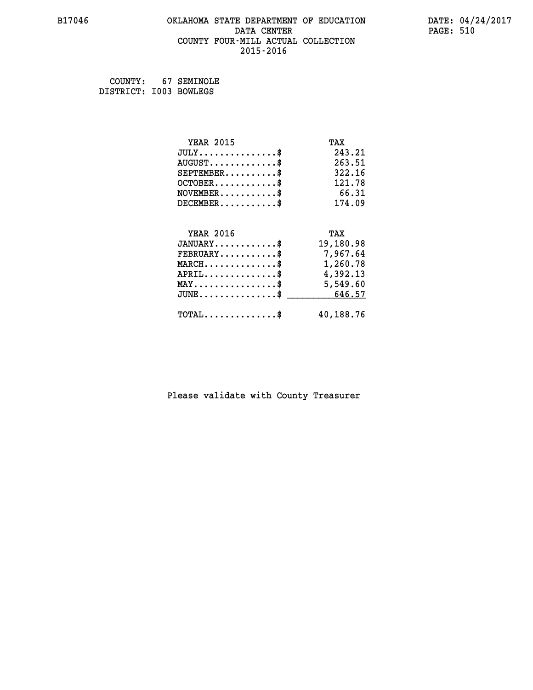#### **B17046 OKLAHOMA STATE DEPARTMENT OF EDUCATION DATE: 04/24/2017 DATA CENTER** PAGE: 510  **COUNTY FOUR-MILL ACTUAL COLLECTION 2015-2016**

 **COUNTY: 67 SEMINOLE DISTRICT: I003 BOWLEGS**

| <b>YEAR 2015</b>                                   | TAX       |
|----------------------------------------------------|-----------|
| $JULY$ \$                                          | 243.21    |
| $AUGUST$ \$                                        | 263.51    |
| $SEPTEMBER$ \$                                     | 322.16    |
| $OCTOBER$ \$                                       | 121.78    |
| $NOVEMBER$ \$                                      | 66.31     |
| $DECEMBER$ \$                                      | 174.09    |
|                                                    |           |
| <b>YEAR 2016</b>                                   | TAX       |
| $JANUARY$ \$                                       | 19,180.98 |
| $FEBRUARY$                                         | 7,967.64  |
| $\texttt{MARCH}\ldots\ldots\ldots\ldots\text{*}$   | 1,260.78  |
| $APRIL \ldots \ldots \ldots \ldots$ \$             | 4,392.13  |
| $\texttt{MAX} \dots \dots \dots \dots \dots \$     | 5,549.60  |
| $\texttt{JUNE} \dots \dots \dots \dots \texttt{S}$ | 646.57    |
| $\texttt{TOTAL} \dots \dots \dots \dots \$         | 40,188.76 |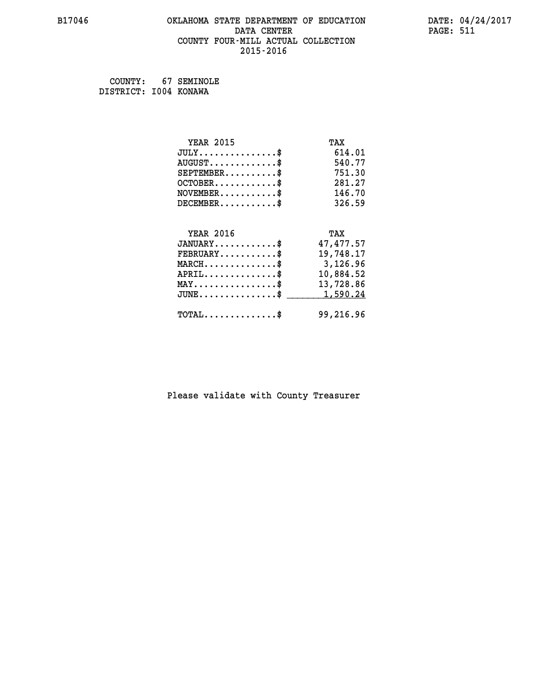#### **B17046 OKLAHOMA STATE DEPARTMENT OF EDUCATION DATE: 04/24/2017 DATA CENTER** PAGE: 511  **COUNTY FOUR-MILL ACTUAL COLLECTION 2015-2016**

 **COUNTY: 67 SEMINOLE DISTRICT: I004 KONAWA**

| <b>YEAR 2015</b>                                                          | TAX       |
|---------------------------------------------------------------------------|-----------|
| $JULY$ \$                                                                 | 614.01    |
| $AUGUST$ \$                                                               | 540.77    |
| $SEPTEMBER$ \$                                                            | 751.30    |
| $OCTOBER$ \$                                                              | 281.27    |
| $\verb NOVEMBER , \verb , \verb , \verb , \verb , \verb , \verb + \verb $ | 146.70    |
| $DECEMBER$ \$                                                             | 326.59    |
|                                                                           |           |
| <b>YEAR 2016</b>                                                          | TAX       |
| $JANUARY$ \$                                                              | 47,477.57 |
| $FEBRUARY$                                                                | 19,748.17 |
| $\texttt{MARCH}\ldots\ldots\ldots\ldots\text{*}$                          | 3,126.96  |
| $APRIL \ldots \ldots \ldots \ldots$ \$                                    | 10,884.52 |
| $\texttt{MAX} \dots \dots \dots \dots \dots \$                            | 13,728.86 |
| $\texttt{JUNE} \dots \dots \dots \dots \texttt{S}$                        | 1,590.24  |
| $\texttt{TOTAL} \dots \dots \dots \dots$ \$                               | 99,216.96 |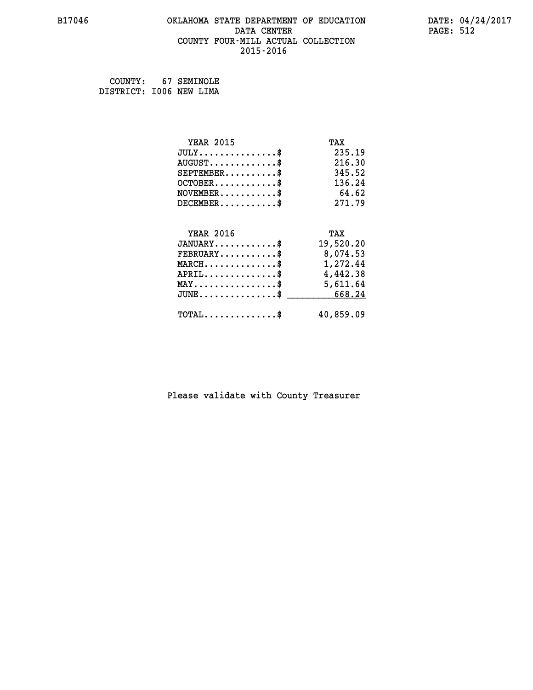#### **B17046 OKLAHOMA STATE DEPARTMENT OF EDUCATION DATE: 04/24/2017 DATA CENTER** PAGE: 512  **COUNTY FOUR-MILL ACTUAL COLLECTION 2015-2016**

 **COUNTY: 67 SEMINOLE DISTRICT: I006 NEW LIMA**

| <b>YEAR 2015</b>                                                          | TAX       |
|---------------------------------------------------------------------------|-----------|
| $JULY$ \$                                                                 | 235.19    |
| $AUGUST$ \$                                                               | 216.30    |
| $SEPTEMBER$ \$                                                            | 345.52    |
| $OCTOBER$ \$                                                              | 136.24    |
| $\verb NOVEMBER , \verb , \verb , \verb , \verb , \verb , \verb , \verb $ | 64.62     |
| $DECEMBER$ \$                                                             | 271.79    |
|                                                                           |           |
| <b>YEAR 2016</b>                                                          | TAX       |
| $JANUARY$ \$                                                              | 19,520.20 |
| $FEBRUARY$                                                                | 8,074.53  |
| $\texttt{MARCH}\ldots\ldots\ldots\ldots\text{*}$                          | 1,272.44  |
| $APRIL \ldots \ldots \ldots \ldots \$                                     | 4,442.38  |
| $\texttt{MAX} \dots \dots \dots \dots \dots \$                            | 5,611.64  |
| $JUNE \ldots \ldots \ldots \ldots \ast$                                   | 668.24    |
| $TOTAL$ \$                                                                | 40,859.09 |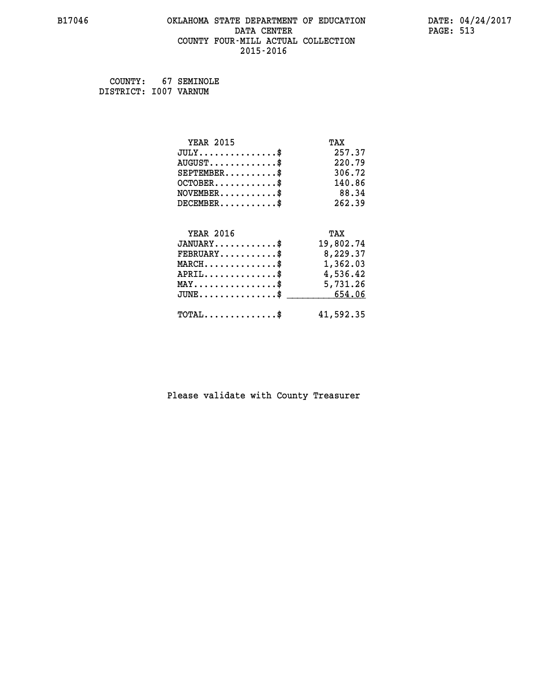#### **B17046 OKLAHOMA STATE DEPARTMENT OF EDUCATION DATE: 04/24/2017 DATA CENTER** PAGE: 513  **COUNTY FOUR-MILL ACTUAL COLLECTION 2015-2016**

 **COUNTY: 67 SEMINOLE DISTRICT: I007 VARNUM**

| <b>YEAR 2015</b>                                   | TAX       |
|----------------------------------------------------|-----------|
| $JULY$ \$                                          | 257.37    |
| $AUGUST$ \$                                        | 220.79    |
| $SEPTEMBER$ \$                                     | 306.72    |
| $OCTOBER$ \$                                       | 140.86    |
| $NOVEMBER$ \$                                      | 88.34     |
| $DECEMBER$ \$                                      | 262.39    |
|                                                    |           |
| <b>YEAR 2016</b>                                   | TAX       |
| $JANUARY$                                          | 19,802.74 |
| $FEBRUARY$                                         | 8,229.37  |
| $\texttt{MARCH}\ldots\ldots\ldots\ldots\text{*}$   | 1,362.03  |
| $APRIL \ldots \ldots \ldots \ldots$ \$             | 4,536.42  |
| $\texttt{MAX} \dots \dots \dots \dots \dots \$     | 5,731.26  |
| $\texttt{JUNE} \dots \dots \dots \dots \texttt{S}$ | 654.06    |
| $\texttt{TOTAL} \dots \dots \dots \dots \$         | 41,592.35 |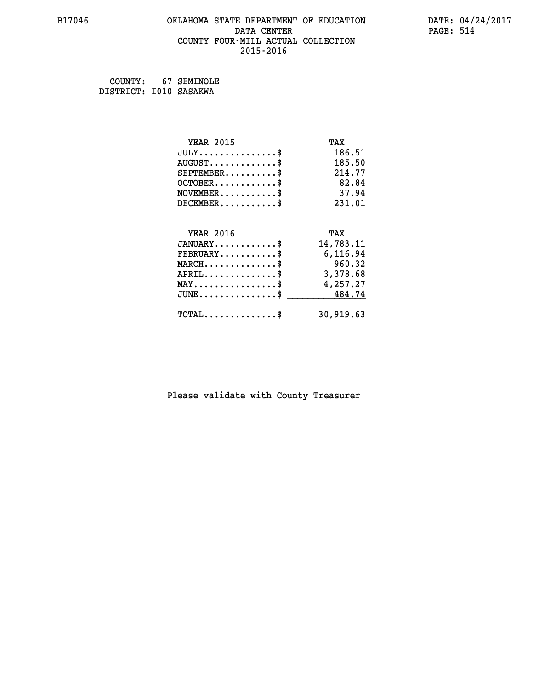#### **B17046 OKLAHOMA STATE DEPARTMENT OF EDUCATION DATE: 04/24/2017 DATA CENTER** PAGE: 514  **COUNTY FOUR-MILL ACTUAL COLLECTION 2015-2016**

 **COUNTY: 67 SEMINOLE DISTRICT: I010 SASAKWA**

| <b>YEAR 2015</b>                               | TAX       |
|------------------------------------------------|-----------|
| $JULY$ \$                                      | 186.51    |
| $AUGUST$ \$                                    | 185.50    |
| $SEPTEMBER$ \$                                 | 214.77    |
| $OCTOBER$ \$                                   | 82.84     |
| $NOVEMBER$ \$                                  | 37.94     |
| $DECEMBER$ \$                                  | 231.01    |
|                                                |           |
| <b>YEAR 2016</b>                               | TAX       |
| $JANUARY$ \$                                   | 14,783.11 |
| $FEBRUARY$                                     | 6,116.94  |
| $MARCH$ \$                                     | 960.32    |
| $APRIL$ \$                                     | 3,378.68  |
| $\texttt{MAX} \dots \dots \dots \dots \dots \$ | 4,257.27  |
| $JUNE \ldots \ldots \ldots \ldots$ \$ 484.74   |           |
|                                                |           |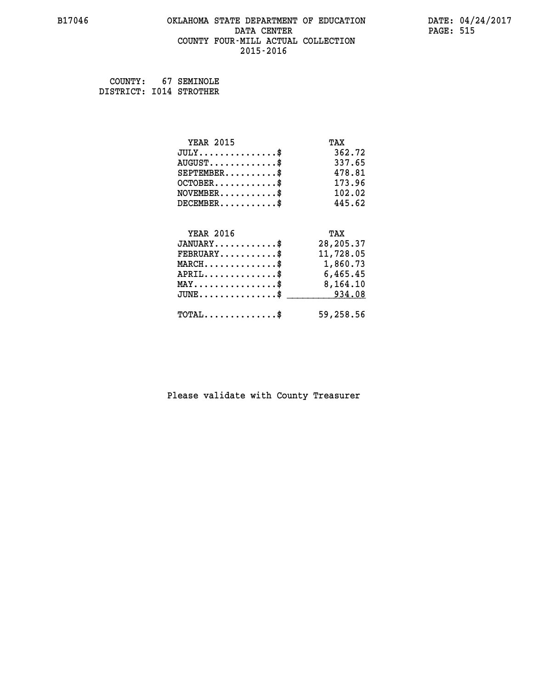#### **B17046 OKLAHOMA STATE DEPARTMENT OF EDUCATION DATE: 04/24/2017 DATA CENTER** PAGE: 515  **COUNTY FOUR-MILL ACTUAL COLLECTION 2015-2016**

 **COUNTY: 67 SEMINOLE DISTRICT: I014 STROTHER**

| <b>YEAR 2015</b>                               | TAX       |
|------------------------------------------------|-----------|
| $JULY$ \$                                      | 362.72    |
| $AUGUST$ \$                                    | 337.65    |
| $SEPTEMBER$ \$                                 | 478.81    |
| $OCTOBER$ \$                                   | 173.96    |
| $NOVEMBER$ \$                                  | 102.02    |
| $DECEMBER$ \$                                  | 445.62    |
|                                                |           |
| <b>YEAR 2016</b>                               | TAX       |
| $JANUARY$ \$                                   | 28,205.37 |
| $FEBRUARY$                                     | 11,728.05 |
| $MARCH$ \$                                     | 1,860.73  |
| $APRIL$ \$                                     | 6,465.45  |
| $\texttt{MAX} \dots \dots \dots \dots \dots \$ | 8,164.10  |
| $JUNE$ \$                                      | 934.08    |
| $\texttt{TOTAL} \dots \dots \dots \dots \$     | 59,258.56 |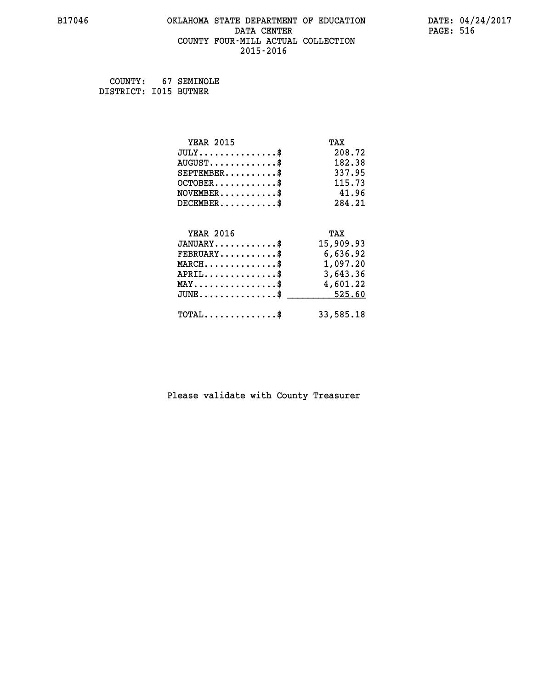#### **B17046 OKLAHOMA STATE DEPARTMENT OF EDUCATION DATE: 04/24/2017 DATA CENTER** PAGE: 516  **COUNTY FOUR-MILL ACTUAL COLLECTION 2015-2016**

 **COUNTY: 67 SEMINOLE DISTRICT: I015 BUTNER**

| <b>YEAR 2015</b>                                   | TAX       |
|----------------------------------------------------|-----------|
| $JULY$ \$                                          | 208.72    |
| $AUGUST$ \$                                        | 182.38    |
| $SEPTEMBER$ \$                                     | 337.95    |
| $OCTOBER$ \$                                       | 115.73    |
| $NOVEMBER$ \$                                      | 41.96     |
| $DECEMBER$ \$                                      | 284.21    |
|                                                    |           |
| <b>YEAR 2016</b>                                   | TAX       |
| $JANUARY$ \$                                       | 15,909.93 |
| $FEBRUARY$                                         | 6,636.92  |
| $\texttt{MARCH}\ldots\ldots\ldots\ldots\$          | 1,097.20  |
| $APRIL \ldots \ldots \ldots \ldots \$              | 3,643.36  |
| $\texttt{MAX} \dots \dots \dots \dots \dots \$     | 4,601.22  |
| $\texttt{JUNE} \dots \dots \dots \dots \texttt{S}$ | 525.60    |
| $\texttt{TOTAL} \dots \dots \dots \dots \$         | 33,585.18 |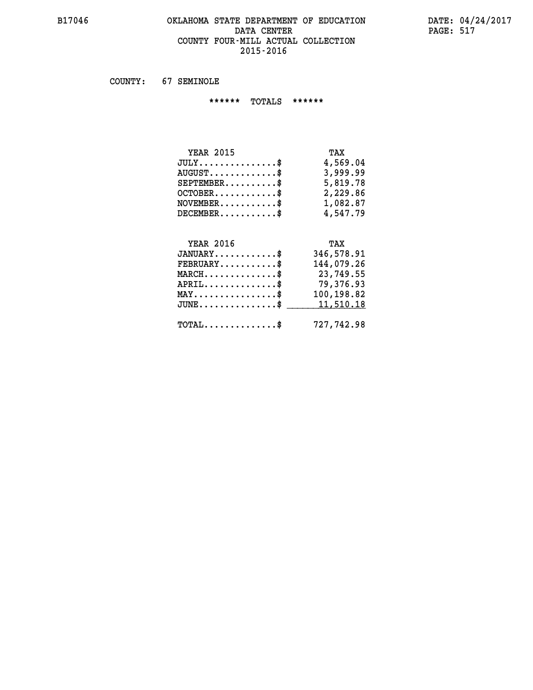#### **B17046 OKLAHOMA STATE DEPARTMENT OF EDUCATION DATE: 04/24/2017 DATA CENTER PAGE: 517 COUNTY FOUR-MILL ACTUAL COLLECTION 2015-2016**

 **COUNTY: 67 SEMINOLE**

 **\*\*\*\*\*\* TOTALS \*\*\*\*\*\***

| <b>YEAR 2015</b>              | TAX      |
|-------------------------------|----------|
| $JULY \ldots \ldots \ldots \$ | 4,569.04 |
| $AUGUST$ \$                   | 3,999.99 |
| $SEPTEMBER$                   | 5,819.78 |
| $OCTOBER$ \$                  | 2,229.86 |
| $NOVEMBER$ \$                 | 1,082.87 |
| $DECEMBER$                    | 4,547.79 |

## **YEAR 2016 TAX JANUARY............\$ 346,578.91 FEBRUARY...........\$ 144,079.26 MARCH..............\$ 23,749.55 APRIL..............\$ 79,376.93 MAY................\$ 100,198.82 JUNE................\$** 11,510.18  **TOTAL..............\$ 727,742.98**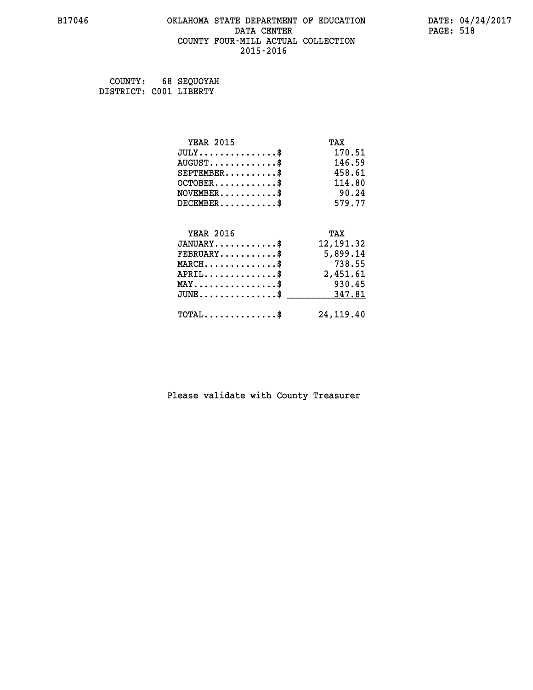#### **B17046 OKLAHOMA STATE DEPARTMENT OF EDUCATION DATE: 04/24/2017 DATA CENTER** PAGE: 518  **COUNTY FOUR-MILL ACTUAL COLLECTION 2015-2016**

 **COUNTY: 68 SEQUOYAH DISTRICT: C001 LIBERTY**

| <b>YEAR 2015</b>                               | TAX         |
|------------------------------------------------|-------------|
| $JULY$ \$                                      | 170.51      |
| $AUGUST$ \$                                    | 146.59      |
| $SEPTEMBER$ \$                                 | 458.61      |
| $OCTOBER$ \$                                   | 114.80      |
| $NOVEMBER$ \$                                  | 90.24       |
| $DECEMBER$ \$                                  | 579.77      |
|                                                |             |
| <b>YEAR 2016</b>                               | TAX         |
| $JANUARY$ \$                                   | 12, 191.32  |
| $FEBRUARY$                                     | 5,899.14    |
| $MARCH$ \$                                     | 738.55      |
| $APRIL \ldots \ldots \ldots \ldots$            | 2,451.61    |
| $\texttt{MAX} \dots \dots \dots \dots \dots \$ | 930.45      |
| $\texttt{JUNE}\dots\dots\dots\dots\dots\$      | 347.81      |
| $\texttt{TOTAL} \dots \dots \dots \dots$ \$    | 24, 119, 40 |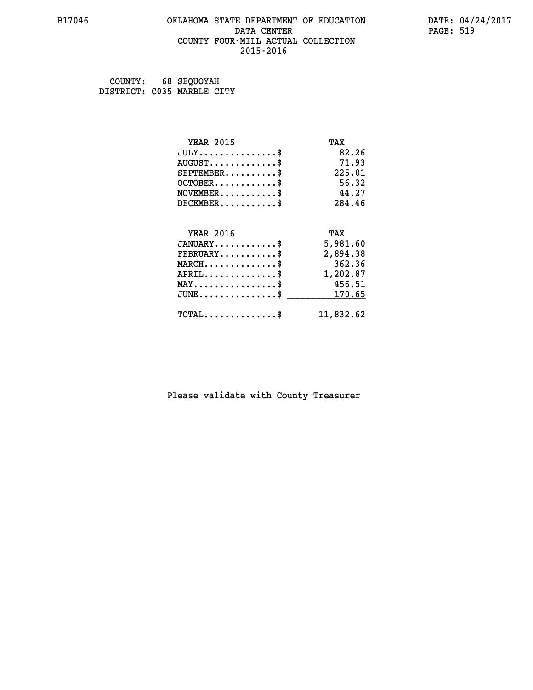#### **B17046 OKLAHOMA STATE DEPARTMENT OF EDUCATION DATE: 04/24/2017 DATA CENTER** PAGE: 519  **COUNTY FOUR-MILL ACTUAL COLLECTION 2015-2016**

 **COUNTY: 68 SEQUOYAH DISTRICT: C035 MARBLE CITY**

| <b>YEAR 2015</b>                           | TAX       |
|--------------------------------------------|-----------|
| $JULY$ \$                                  | 82.26     |
| $AUGUST$ \$                                | 71.93     |
| $SEPTEMBER$ \$                             | 225.01    |
| $OCTOBER$ \$                               | 56.32     |
| $NOVEMBER$ \$                              | 44.27     |
| $DECEMBER$ \$                              | 284.46    |
|                                            |           |
| <b>YEAR 2016</b>                           | TAX       |
| $JANUARY$ \$                               | 5,981.60  |
| $FEBRUARY$                                 | 2,894.38  |
| $MARCH$ \$                                 | 362.36    |
| $APRIL$ \$                                 | 1,202.87  |
| $MAX \dots \dots \dots \dots \dots$        | 456.51    |
| $JUNE$ \$                                  | 170.65    |
| $\texttt{TOTAL} \dots \dots \dots \dots \$ | 11,832.62 |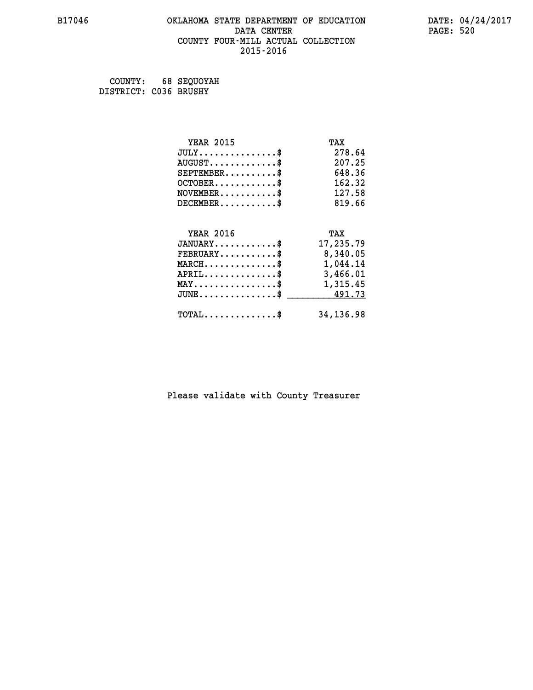#### **B17046 OKLAHOMA STATE DEPARTMENT OF EDUCATION DATE: 04/24/2017 DATA CENTER** PAGE: 520  **COUNTY FOUR-MILL ACTUAL COLLECTION 2015-2016**

 **COUNTY: 68 SEQUOYAH DISTRICT: C036 BRUSHY**

| <b>YEAR 2015</b>                                 | TAX       |
|--------------------------------------------------|-----------|
| $JULY$ \$                                        | 278.64    |
| $AUGUST$ \$                                      | 207.25    |
| $SEPTEMBER$ \$                                   | 648.36    |
| $OCTOBER$ \$                                     | 162.32    |
| $\texttt{NOVEMBER} \dots \dots \dots \$          | 127.58    |
| $DECEMBER$ \$                                    | 819.66    |
|                                                  |           |
| <b>YEAR 2016</b>                                 | TAX       |
| $JANUARY$ \$                                     | 17,235.79 |
| $FEBRUARY$                                       | 8,340.05  |
| $\texttt{MARCH}\ldots\ldots\ldots\ldots\text{*}$ | 1,044.14  |
| $APRIL \ldots \ldots \ldots \ldots \$            | 3,466.01  |
| $\texttt{MAX} \dots \dots \dots \dots \dots \$   | 1,315.45  |
| $JUNE \ldots \ldots \ldots \ldots$ \$ 491.73     |           |
| $\texttt{TOTAL} \dots \dots \dots \dots$         | 34,136.98 |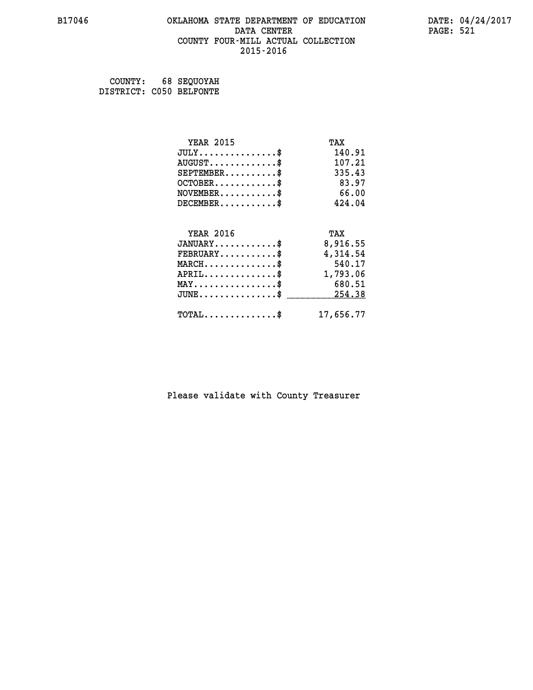#### **B17046 OKLAHOMA STATE DEPARTMENT OF EDUCATION DATE: 04/24/2017 DATA CENTER** PAGE: 521  **COUNTY FOUR-MILL ACTUAL COLLECTION 2015-2016**

 **COUNTY: 68 SEQUOYAH DISTRICT: C050 BELFONTE**

| <b>YEAR 2015</b>                | TAX       |
|---------------------------------|-----------|
| $JULY$ \$                       | 140.91    |
| $AUGUST$ \$                     | 107.21    |
| $SEPTEMENT.$ \$                 | 335.43    |
| $OCTOBER$ \$                    | 83.97     |
| $NOVEMBER$ \$                   | 66.00     |
| $DECEMBER$ \$                   | 424.04    |
|                                 |           |
| <b>YEAR 2016</b>                | TAX       |
| $JANUARY$ \$                    | 8,916.55  |
| $FEBRUARY$ \$                   | 4,314.54  |
| $MARCH$ \$                      | 540.17    |
| $APRIL$ \$                      | 1,793.06  |
| $MAX \dots \dots \dots \dots \$ | 680.51    |
| $JUNE$                          | 254.38    |
| $TOTAL$ \$                      | 17,656.77 |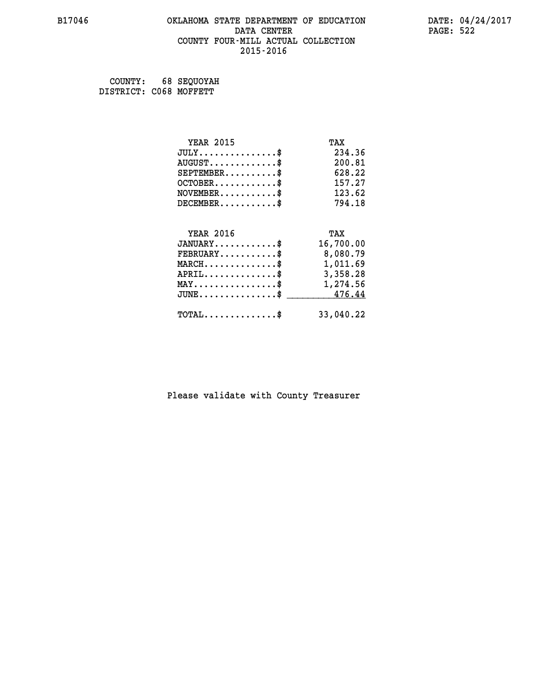#### **B17046 OKLAHOMA STATE DEPARTMENT OF EDUCATION DATE: 04/24/2017 DATA CENTER** PAGE: 522  **COUNTY FOUR-MILL ACTUAL COLLECTION 2015-2016**

 **COUNTY: 68 SEQUOYAH DISTRICT: C068 MOFFETT**

| <b>YEAR 2015</b>                                | TAX       |
|-------------------------------------------------|-----------|
| $JULY$ \$                                       | 234.36    |
| $AUGUST$ \$                                     | 200.81    |
| $SEPTEMENT.$ \$                                 | 628.22    |
| $OCTOBER$ \$                                    | 157.27    |
| $\texttt{NOVEMBER} \dots \dots \dots \$         | 123.62    |
| $DECEMBER$ \$                                   | 794.18    |
|                                                 |           |
| <b>YEAR 2016</b>                                | TAX       |
| $JANUARY$ \$                                    | 16,700.00 |
| $FEBRUARY$                                      | 8,080.79  |
| $MARCH$ \$                                      | 1,011.69  |
| $APRIL \ldots \ldots \ldots \ldots \$           | 3,358.28  |
| $\texttt{MAX} \dots \dots \dots \dots \dots \$$ | 1,274.56  |
| $JUNE \ldots \ldots \ldots \ldots \ast$         | 476.44    |
| $\texttt{TOTAL} \dots \dots \dots \dots \$      | 33,040.22 |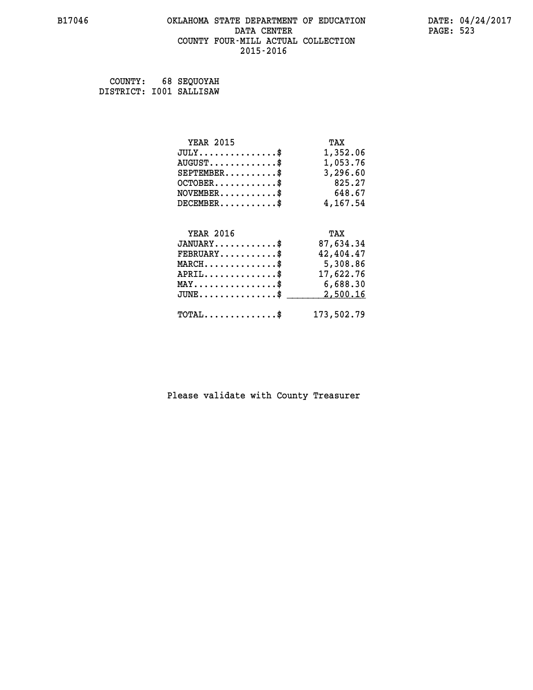#### **B17046 OKLAHOMA STATE DEPARTMENT OF EDUCATION DATE: 04/24/2017 DATA CENTER** PAGE: 523  **COUNTY FOUR-MILL ACTUAL COLLECTION 2015-2016**

 **COUNTY: 68 SEQUOYAH DISTRICT: I001 SALLISAW**

| <b>YEAR 2015</b>                | TAX        |
|---------------------------------|------------|
| $JULY$ \$                       | 1,352.06   |
| $AUGUST$ \$                     | 1,053.76   |
| $SEPTEMBER$ \$                  | 3,296.60   |
| $OCTOBER$ \$                    | 825.27     |
| $NOVEMBER$ \$                   | 648.67     |
| $DECEMENT.$                     | 4,167.54   |
| <b>YEAR 2016</b>                | TAX        |
| $JANUARY$ \$                    | 87,634.34  |
| $FEBRUARY$ \$                   | 42,404.47  |
| $MARCH$ \$                      | 5,308.86   |
| $APRIL$ \$                      | 17,622.76  |
| $MAX \dots \dots \dots \dots \$ | 6,688.30   |
| $JUNE$                          | 2,500.16   |
| $TOTAL$ \$                      | 173,502.79 |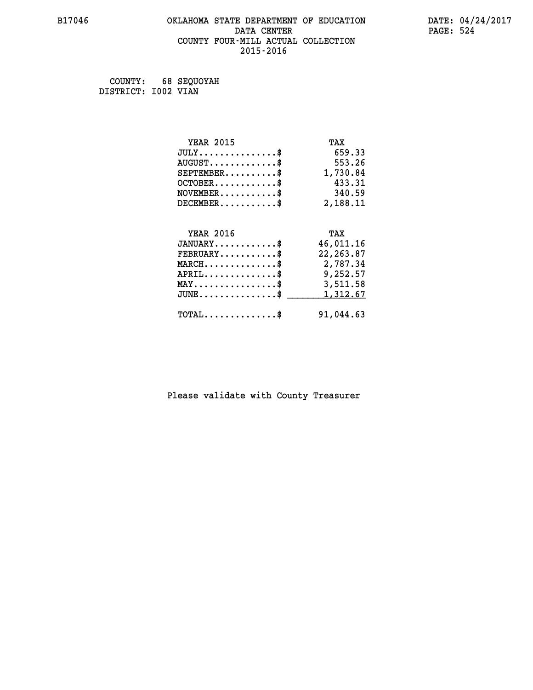#### **B17046 OKLAHOMA STATE DEPARTMENT OF EDUCATION DATE: 04/24/2017 DATA CENTER** PAGE: 524  **COUNTY FOUR-MILL ACTUAL COLLECTION 2015-2016**

 **COUNTY: 68 SEQUOYAH DISTRICT: I002 VIAN**

| <b>YEAR 2015</b>                                 | TAX        |
|--------------------------------------------------|------------|
| $JULY$ \$                                        | 659.33     |
| $AUGUST$ \$                                      | 553.26     |
| $SEPTEMBER$ \$                                   | 1,730.84   |
| $OCTOBER$ \$                                     | 433.31     |
| $\texttt{NOVEMBER} \dots \dots \dots \$          | 340.59     |
| $DECEMBER$ \$                                    | 2,188.11   |
|                                                  |            |
| <b>YEAR 2016</b>                                 | TAX        |
| $JANUARY$ \$                                     | 46,011.16  |
| $FEBRUARY$ \$                                    | 22, 263.87 |
| $\texttt{MARCH}\ldots\ldots\ldots\ldots\text{*}$ | 2,787.34   |
| $APRIL \ldots \ldots \ldots \ldots$              | 9,252.57   |
| $\texttt{MAX} \dots \dots \dots \dots \dots \$   | 3,511.58   |
| $\texttt{JUNE} \dots \dots \dots \dots \dots \$$ | 1,312.67   |
| $\texttt{TOTAL} \dots \dots \dots \dots \$       | 91,044.63  |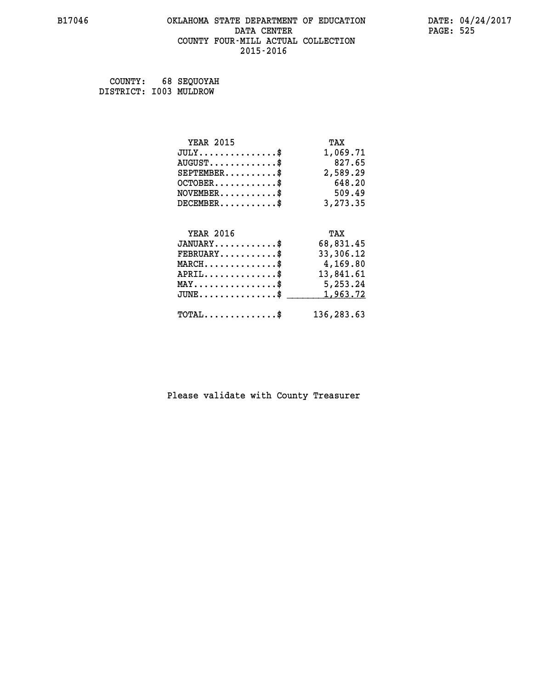#### **B17046 OKLAHOMA STATE DEPARTMENT OF EDUCATION DATE: 04/24/2017 DATA CENTER** PAGE: 525  **COUNTY FOUR-MILL ACTUAL COLLECTION 2015-2016**

 **COUNTY: 68 SEQUOYAH DISTRICT: I003 MULDROW**

| <b>YEAR 2015</b>                           | TAX        |
|--------------------------------------------|------------|
| $JULY$ \$                                  | 1,069.71   |
| $AUGUST$ \$                                | 827.65     |
| $SEPTEMBER$ \$                             | 2,589.29   |
| $OCTOBER$ \$                               | 648.20     |
| $NOVEMBER$ \$                              | 509.49     |
| $DECEMBER$ \$                              | 3,273.35   |
| <b>YEAR 2016</b>                           | TAX        |
| $JANUARY$ \$                               | 68,831.45  |
| $FEBRUARY$ \$                              | 33,306.12  |
| $MARCH$ \$                                 | 4,169.80   |
| $APRIL$ \$                                 | 13,841.61  |
| $MAX \dots \dots \dots \dots \dots$        | 5,253.24   |
| $JUNE$ \$                                  | 1,963.72   |
| $\texttt{TOTAL} \dots \dots \dots \dots \$ | 136,283.63 |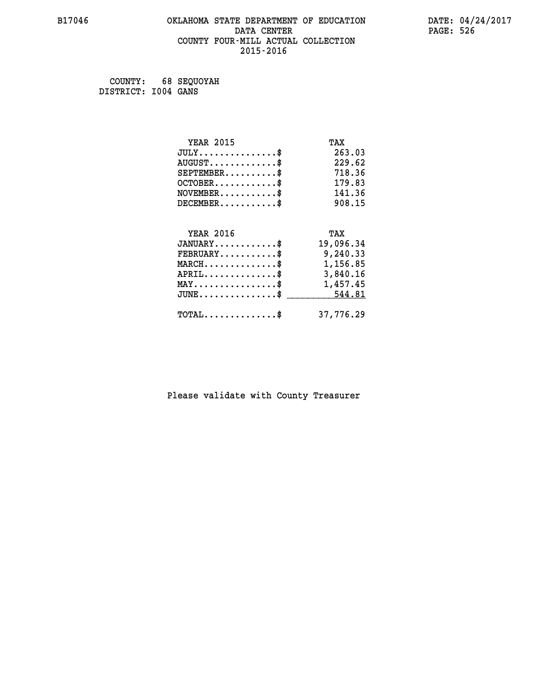#### **B17046 OKLAHOMA STATE DEPARTMENT OF EDUCATION DATE: 04/24/2017 DATA CENTER** PAGE: 526  **COUNTY FOUR-MILL ACTUAL COLLECTION 2015-2016**

 **COUNTY: 68 SEQUOYAH DISTRICT: I004 GANS**

| <b>YEAR 2015</b>                                   | TAX       |
|----------------------------------------------------|-----------|
| $JULY$ \$                                          | 263.03    |
| $AUGUST$ \$                                        | 229.62    |
| $SEPTEMBER$ \$                                     | 718.36    |
| $OCTOBER$ \$                                       | 179.83    |
| $\texttt{NOVEMBER} \dots \dots \dots \$            | 141.36    |
| $DECEMBER$ \$                                      | 908.15    |
|                                                    |           |
| <b>YEAR 2016</b>                                   | TAX       |
| $JANUARY$ \$                                       | 19,096.34 |
| $FEBRUARY$ \$                                      | 9,240.33  |
| $\texttt{MARCH}\ldots\ldots\ldots\ldots\text{*}$   | 1,156.85  |
| $APRIL \ldots \ldots \ldots \ldots *$              | 3,840.16  |
| $\texttt{MAX} \dots \dots \dots \dots \dots \$     | 1,457.45  |
| $\texttt{JUNE} \dots \dots \dots \dots \texttt{S}$ | 544.81    |
| $\texttt{TOTAL} \dots \dots \dots \dots \$         | 37,776.29 |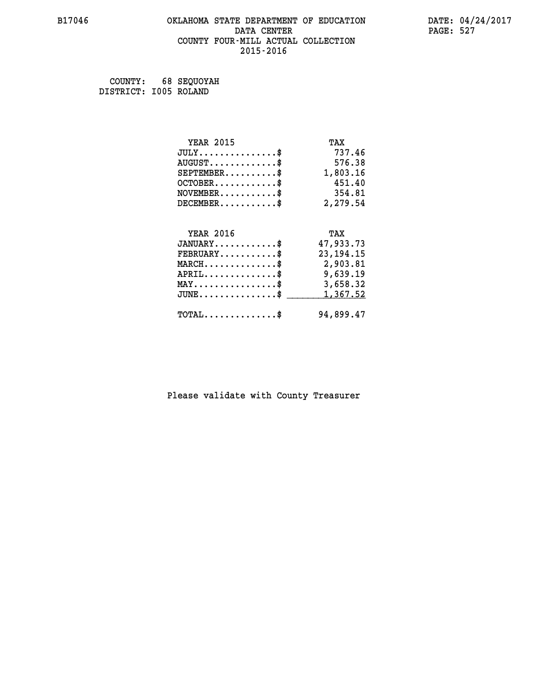#### **B17046 OKLAHOMA STATE DEPARTMENT OF EDUCATION DATE: 04/24/2017 DATA CENTER** PAGE: 527  **COUNTY FOUR-MILL ACTUAL COLLECTION 2015-2016**

 **COUNTY: 68 SEQUOYAH DISTRICT: I005 ROLAND**

| <b>YEAR 2015</b>                                 | TAX         |
|--------------------------------------------------|-------------|
| $JULY$ \$                                        | 737.46      |
| $AUGUST$ \$                                      | 576.38      |
| $SEPTEMBER$ \$                                   | 1,803.16    |
| $OCTOBER$ \$                                     | 451.40      |
| $\texttt{NOVEMBER} \dots \dots \dots \$          | 354.81      |
| $DECEMBER$ \$                                    | 2,279.54    |
|                                                  |             |
| <b>YEAR 2016</b>                                 | TAX         |
| $JANUARY$ \$                                     | 47,933.73   |
| $FEBRUARY$ \$                                    | 23, 194. 15 |
| $\texttt{MARCH}\ldots\ldots\ldots\ldots\text{*}$ | 2,903.81    |
| $APRIL \ldots \ldots \ldots \ldots \$            | 9,639.19    |
| $\texttt{MAX} \dots \dots \dots \dots \dots \$   | 3,658.32    |
| $\texttt{JUNE} \dots \dots \dots \dots \dots \$$ | 1,367.52    |
| $\texttt{TOTAL} \dots \dots \dots \dots \$       | 94,899.47   |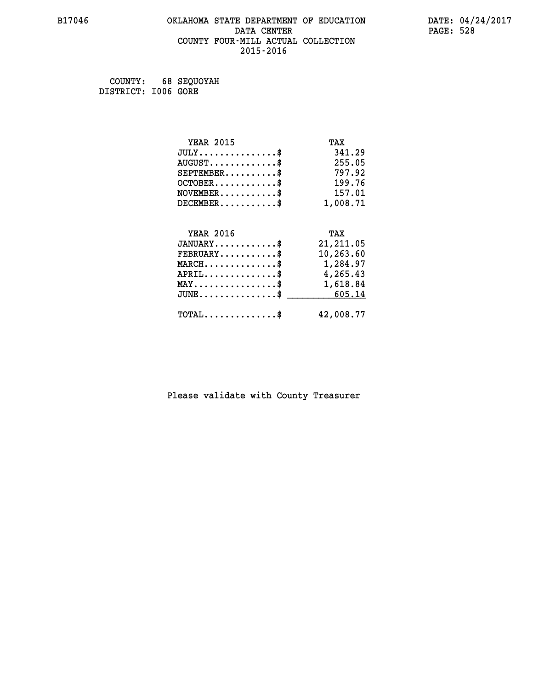#### **B17046 OKLAHOMA STATE DEPARTMENT OF EDUCATION DATE: 04/24/2017 DATA CENTER** PAGE: 528  **COUNTY FOUR-MILL ACTUAL COLLECTION 2015-2016**

 **COUNTY: 68 SEQUOYAH DISTRICT: I006 GORE**

| <b>YEAR 2015</b>                                 | TAX        |
|--------------------------------------------------|------------|
| $JULY$ \$                                        | 341.29     |
| $AUGUST$ \$                                      | 255.05     |
| $SEPTEMBER$ \$                                   | 797.92     |
| $OCTOBER$ \$                                     | 199.76     |
| $\texttt{NOVEMBER} \dots \dots \dots \$          | 157.01     |
| $DECEMBER$ \$                                    | 1,008.71   |
|                                                  |            |
| <b>YEAR 2016</b>                                 | TAX        |
| $JANUARY$ \$                                     | 21, 211.05 |
| $FEBRUARY$                                       | 10,263.60  |
| $\texttt{MARCH}\ldots\ldots\ldots\ldots\text{*}$ | 1,284.97   |
| $APRIL \ldots \ldots \ldots \ldots$              | 4,265.43   |
| $\texttt{MAX} \dots \dots \dots \dots \dots \$   | 1,618.84   |
| $JUNE$ \$                                        | 605.14     |
| $\texttt{TOTAL} \dots \dots \dots \dots \$       | 42,008.77  |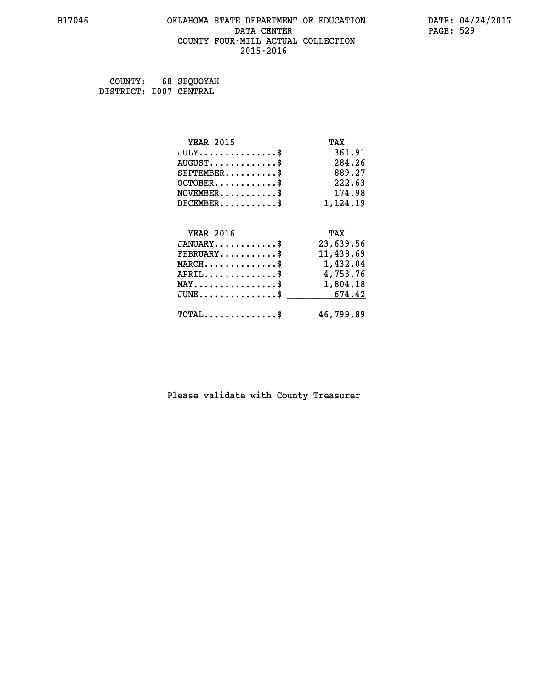#### **B17046 OKLAHOMA STATE DEPARTMENT OF EDUCATION DATE: 04/24/2017 DATA CENTER** PAGE: 529  **COUNTY FOUR-MILL ACTUAL COLLECTION 2015-2016**

 **COUNTY: 68 SEQUOYAH DISTRICT: I007 CENTRAL**

| <b>YEAR 2015</b>                                | TAX       |
|-------------------------------------------------|-----------|
| $JULY$ \$                                       | 361.91    |
| $AUGUST$ \$                                     | 284.26    |
| $SEPTEMENT.$ \$                                 | 889.27    |
| $OCTOBER$ \$                                    | 222.63    |
| $\texttt{NOVEMBER} \dots \dots \dots \$         | 174.98    |
| $DECEMBER$ \$                                   | 1,124.19  |
|                                                 |           |
| <b>YEAR 2016</b>                                | TAX       |
| $JANUARY$ \$                                    | 23,639.56 |
| $FEBRUARY$                                      | 11,438.69 |
| $MARCH$ \$                                      | 1,432.04  |
| $APRIL \ldots \ldots \ldots \ldots$ \$          | 4,753.76  |
| $\texttt{MAX} \dots \dots \dots \dots \dots \$$ | 1,804.18  |
| $JUNE$ \$                                       | 674.42    |
| $\texttt{TOTAL} \dots \dots \dots \dots$        | 46,799.89 |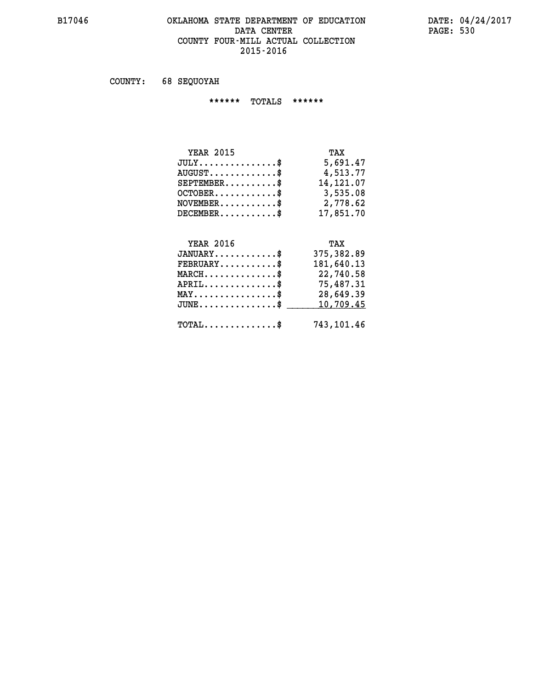#### **B17046 OKLAHOMA STATE DEPARTMENT OF EDUCATION DATE: 04/24/2017 DATA CENTER PAGE: 530 COUNTY FOUR-MILL ACTUAL COLLECTION 2015-2016**

 **COUNTY: 68 SEQUOYAH**

 **\*\*\*\*\*\* TOTALS \*\*\*\*\*\***

| <b>YEAR 2015</b>                 | TAX       |
|----------------------------------|-----------|
| $JULY$                           | 5,691.47  |
| $AUGUST \ldots \ldots \ldots$ \$ | 4,513.77  |
| $SEPTEMBER$                      | 14,121.07 |
| $OCTOBER$                        | 3,535.08  |
| $NOVEMBER$ \$                    | 2,778.62  |
| $DECEMBER$                       | 17,851.70 |

## **YEAR 2016 TAX JANUARY............\$ 375,382.89 FEBRUARY...........\$ 181,640.13 MARCH..............\$ 22,740.58 APRIL..............\$ 75,487.31 MAY................\$ 28,649.39** JUNE..............\$ <u>\_\_\_\_\_\_\_ 10,709.45</u>

 **TOTAL..............\$ 743,101.46**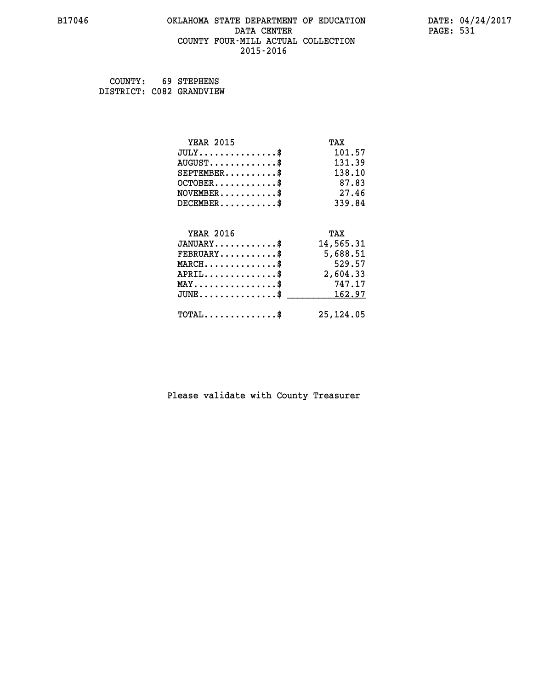#### **B17046 OKLAHOMA STATE DEPARTMENT OF EDUCATION DATE: 04/24/2017 DATA CENTER** PAGE: 531  **COUNTY FOUR-MILL ACTUAL COLLECTION 2015-2016**

 **COUNTY: 69 STEPHENS DISTRICT: C082 GRANDVIEW**

| <b>YEAR 2015</b>                           | TAX         |
|--------------------------------------------|-------------|
| $JULY$ \$                                  | 101.57      |
| $AUGUST$ \$                                | 131.39      |
| $SEPTEMENT.$ \$                            | 138.10      |
| $OCTOBER$ \$                               | 87.83       |
| $NOVEMBER$ \$                              | 27.46       |
| $DECEMBER$ \$                              | 339.84      |
|                                            |             |
| <b>YEAR 2016</b>                           | TAX         |
| $JANUARY$ \$                               | 14,565.31   |
| $FEBRUARY$                                 | 5,688.51    |
| $MARCH$ \$                                 | 529.57      |
| $APRIL$ \$                                 | 2,604.33    |
| $MAX \dots \dots \dots \dots \dots$        | 747.17      |
| $JUNE$ \$                                  | 162.97      |
| $\texttt{TOTAL} \dots \dots \dots \dots \$ | 25, 124, 05 |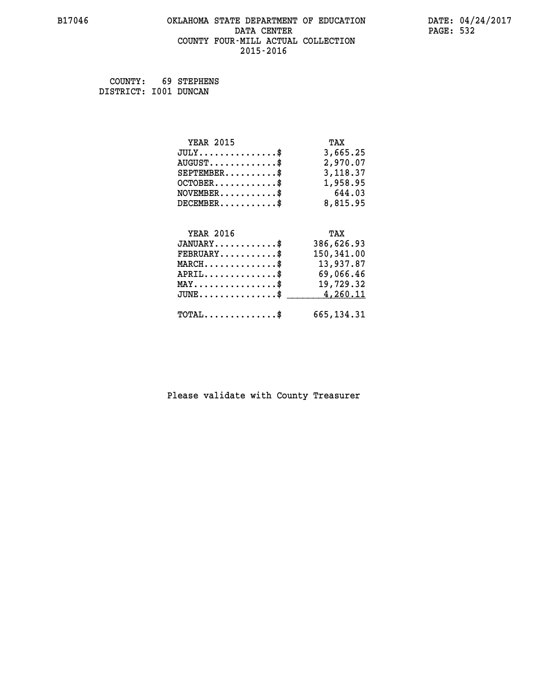#### **B17046 OKLAHOMA STATE DEPARTMENT OF EDUCATION DATE: 04/24/2017 DATA CENTER** PAGE: 532  **COUNTY FOUR-MILL ACTUAL COLLECTION 2015-2016**

 **COUNTY: 69 STEPHENS DISTRICT: I001 DUNCAN**

| <b>YEAR 2015</b>                                 | TAX         |
|--------------------------------------------------|-------------|
| $JULY$ \$                                        | 3,665.25    |
| $AUGUST$ \$                                      | 2,970.07    |
| $SEPTEMBER$ \$                                   | 3,118.37    |
| $OCTOBER$ \$                                     | 1,958.95    |
| $\texttt{NOVEMBER} \dots \dots \dots \$          | 644.03      |
| $DECEMBER$ \$                                    | 8,815.95    |
|                                                  |             |
| <b>YEAR 2016</b>                                 | TAX         |
| $JANUARY$ \$                                     | 386,626.93  |
| $FEBRUARY$                                       | 150,341.00  |
| $MARCH$ \$                                       | 13,937.87   |
| $APRIL \ldots \ldots \ldots \ldots$              | 69,066.46   |
| $\texttt{MAX} \dots \dots \dots \dots \dots \$   | 19,729.32   |
| $J\texttt{UNE} \dots \dots \dots \dots \dots \$$ | 4,260.11    |
|                                                  |             |
| $\texttt{TOTAL} \dots \dots \dots \dots \$       | 665, 134.31 |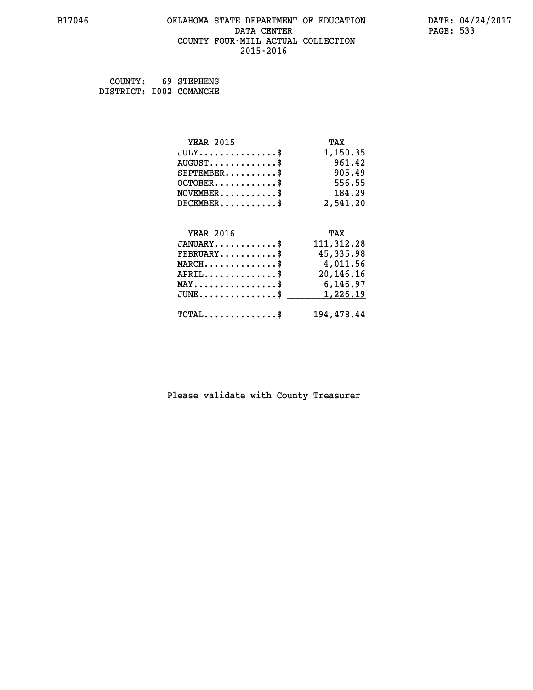#### **B17046 OKLAHOMA STATE DEPARTMENT OF EDUCATION DATE: 04/24/2017 DATA CENTER** PAGE: 533  **COUNTY FOUR-MILL ACTUAL COLLECTION 2015-2016**

 **COUNTY: 69 STEPHENS DISTRICT: I002 COMANCHE**

| <b>YEAR 2015</b>                           | TAX         |
|--------------------------------------------|-------------|
| $JULY$ \$                                  | 1,150.35    |
| $AUGUST$ \$                                | 961.42      |
| $SEPTEMBER$ \$                             | 905.49      |
| $OCTOBER$ \$                               | 556.55      |
| $\texttt{NOVEMBER} \dots \dots \dots \$    | 184.29      |
| $DECEMBER$ \$                              | 2,541.20    |
|                                            |             |
| <b>YEAR 2016</b>                           | TAX         |
| $JANUARY$ \$                               | 111, 312.28 |
| $FEBRUARY$ \$                              | 45,335.98   |
| $MARCH$ \$                                 | 4,011.56    |
| $APRIL$ \$                                 | 20,146.16   |
| MAY\$ 6,146.97                             |             |
| $JUNE$ \$                                  | 1,226.19    |
| $\texttt{TOTAL} \dots \dots \dots \dots \$ | 194,478.44  |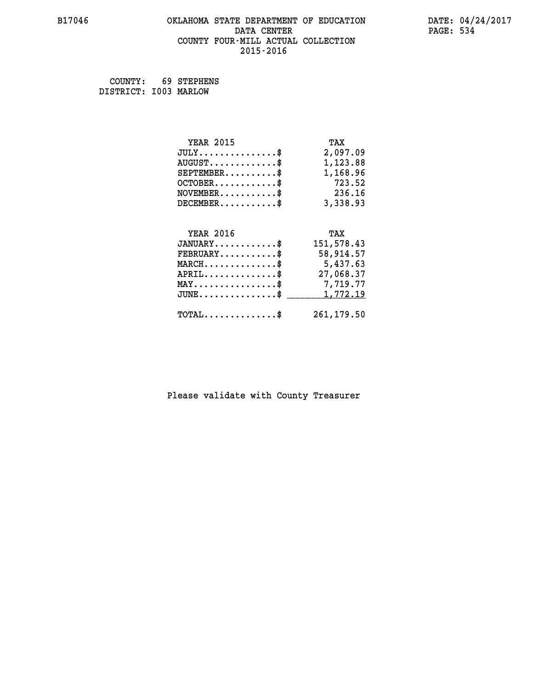#### **B17046 OKLAHOMA STATE DEPARTMENT OF EDUCATION DATE: 04/24/2017 DATA CENTER** PAGE: 534  **COUNTY FOUR-MILL ACTUAL COLLECTION 2015-2016**

 **COUNTY: 69 STEPHENS DISTRICT: I003 MARLOW**

| <b>YEAR 2015</b>                               | TAX         |
|------------------------------------------------|-------------|
| $JULY$ \$                                      | 2,097.09    |
| $AUGUST$ \$                                    | 1,123.88    |
| $SEPTEMBER$ \$                                 | 1,168.96    |
| $OCTOBER$ \$                                   | 723.52      |
| $\texttt{NOVEMBER} \dots \dots \dots \$        | 236.16      |
| $DECEMBER$ \$                                  | 3,338.93    |
|                                                |             |
| <b>YEAR 2016</b>                               | TAX         |
| $JANUARY$ \$                                   | 151,578.43  |
| $FEBRUARY$                                     | 58,914.57   |
| $MARCH$ \$                                     | 5,437.63    |
| $APRIL$ \$                                     | 27,068.37   |
| $\texttt{MAX} \dots \dots \dots \dots \dots \$ | 7,719.77    |
| $JUNE$ \$                                      | 1,772.19    |
| $\texttt{TOTAL} \dots \dots \dots \dots \$     | 261, 179.50 |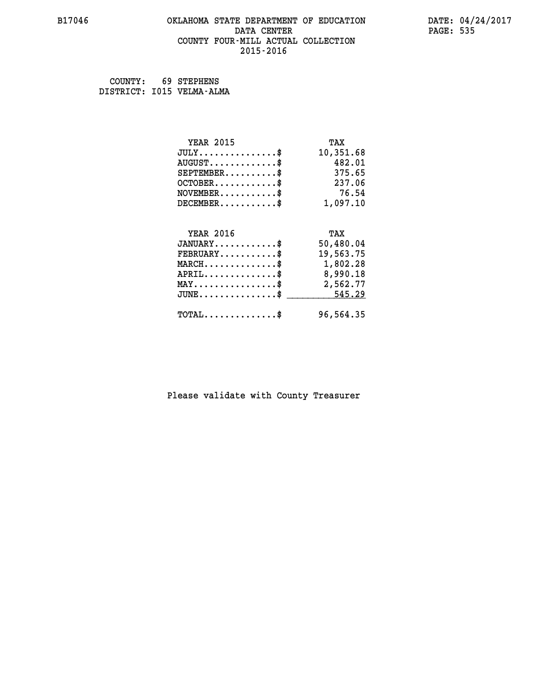#### **B17046 OKLAHOMA STATE DEPARTMENT OF EDUCATION DATE: 04/24/2017 DATA CENTER** PAGE: 535  **COUNTY FOUR-MILL ACTUAL COLLECTION 2015-2016**

 **COUNTY: 69 STEPHENS DISTRICT: I015 VELMA-ALMA**

| <b>YEAR 2015</b>                                 | TAX       |
|--------------------------------------------------|-----------|
| $JULY$ \$                                        | 10,351.68 |
| $AUGUST$ \$                                      | 482.01    |
| $SEPTEMBER$ \$                                   | 375.65    |
| $OCTOBER$ \$                                     | 237.06    |
| $\texttt{NOVEMBER} \dots \dots \dots \$          | 76.54     |
| $DECEMBER$ \$                                    | 1,097.10  |
|                                                  |           |
| <b>YEAR 2016</b>                                 | TAX       |
| $JANUARY$ \$                                     | 50,480.04 |
| $FEBRUARY$                                       | 19,563.75 |
| $MARCH$ \$                                       | 1,802.28  |
| $APRIL$ \$                                       | 8,990.18  |
| $\texttt{MAX} \dots \dots \dots \dots \dots \$   | 2,562.77  |
| $\texttt{JUNE} \dots \dots \dots \dots \dots \$$ | 545.29    |
| $\texttt{TOTAL} \dots \dots \dots \dots \$       | 96,564.35 |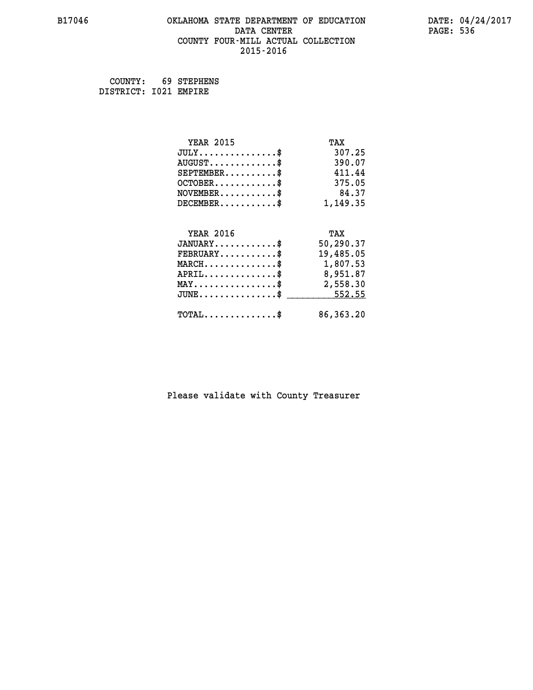#### **B17046 OKLAHOMA STATE DEPARTMENT OF EDUCATION DATE: 04/24/2017 DATA CENTER** PAGE: 536  **COUNTY FOUR-MILL ACTUAL COLLECTION 2015-2016**

 **COUNTY: 69 STEPHENS DISTRICT: I021 EMPIRE**

| <b>YEAR 2015</b>                                   | TAX         |
|----------------------------------------------------|-------------|
| $JULY$ \$                                          | 307.25      |
| $AUGUST$ \$                                        | 390.07      |
| $SEPTEMBER$ \$                                     | 411.44      |
| $OCTOBER$ \$                                       | 375.05      |
| $\texttt{NOVEMBER} \dots \dots \dots \$            | 84.37       |
| $DECEMBER$ \$                                      | 1,149.35    |
|                                                    |             |
| <b>YEAR 2016</b>                                   | TAX         |
| $JANUARY$ \$                                       | 50,290.37   |
| $FEBRUARY$                                         | 19,485.05   |
| $MARCH$ \$                                         | 1,807.53    |
| $APRIL \ldots \ldots \ldots \ldots \$              | 8,951.87    |
| $\texttt{MAX} \dots \dots \dots \dots \dots \$     | 2,558.30    |
| $\texttt{JUNE} \dots \dots \dots \dots \texttt{S}$ | 552.55      |
| $\texttt{TOTAL} \dots \dots \dots \dots \$         | 86, 363. 20 |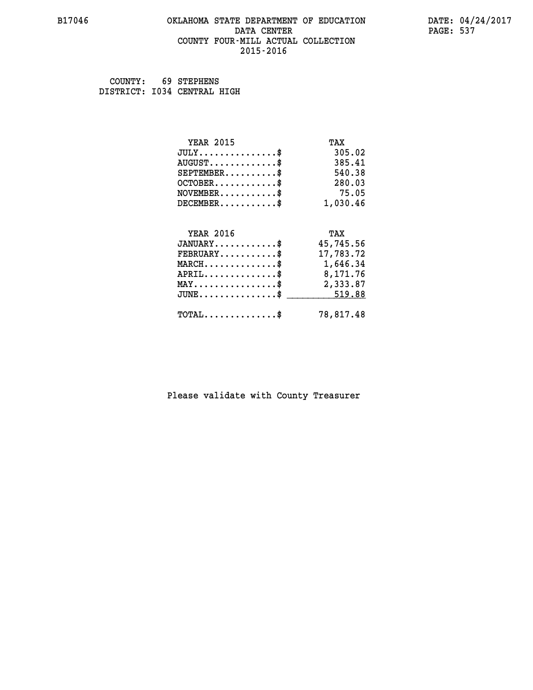#### **B17046 OKLAHOMA STATE DEPARTMENT OF EDUCATION DATE: 04/24/2017 DATA CENTER** PAGE: 537  **COUNTY FOUR-MILL ACTUAL COLLECTION 2015-2016**

 **COUNTY: 69 STEPHENS DISTRICT: I034 CENTRAL HIGH**

| <b>YEAR 2015</b>                                                          | TAX       |
|---------------------------------------------------------------------------|-----------|
| $JULY$ \$                                                                 | 305.02    |
| $AUGUST$ \$                                                               | 385.41    |
| $SEPTEMBER$ \$                                                            | 540.38    |
| $OCTOBER$ \$                                                              | 280.03    |
| $\verb NOVEMBER , \verb , \verb , \verb , \verb , \verb , \verb , \verb $ | 75.05     |
| $DECEMBER$ \$                                                             | 1,030.46  |
|                                                                           |           |
| <b>YEAR 2016</b>                                                          | TAX       |
| $JANUARY$ \$                                                              | 45,745.56 |
| $FEBRUARY$                                                                | 17,783.72 |
| $\texttt{MARCH}\ldots\ldots\ldots\ldots\text{*}$                          | 1,646.34  |
| $APRIL \ldots \ldots \ldots \ldots \$                                     | 8,171.76  |
| $\texttt{MAX} \dots \dots \dots \dots \dots \$                            | 2,333.87  |
| $JUNE \ldots \ldots \ldots \ldots$ \$ 519.88                              |           |
| $\texttt{TOTAL} \dots \dots \dots \dots \$                                | 78,817.48 |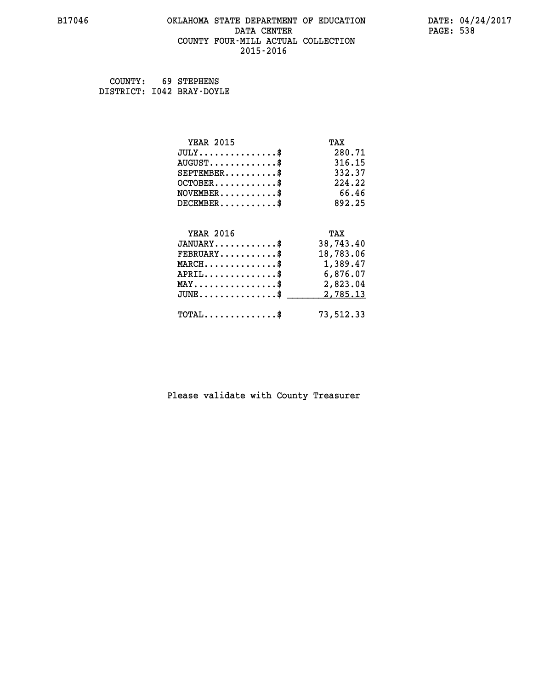#### **B17046 OKLAHOMA STATE DEPARTMENT OF EDUCATION DATE: 04/24/2017 DATA CENTER** PAGE: 538  **COUNTY FOUR-MILL ACTUAL COLLECTION 2015-2016**

 **COUNTY: 69 STEPHENS DISTRICT: I042 BRAY-DOYLE**

| <b>YEAR 2015</b>                           | TAX       |
|--------------------------------------------|-----------|
| $JULY$ \$                                  | 280.71    |
| $AUGUST$ \$                                | 316.15    |
| $SEPTEMBER$ \$                             | 332.37    |
| $OCTOBER$ \$                               | 224.22    |
| $NOVEMBER$ \$                              | 66.46     |
| $DECEMBER$ \$                              | 892.25    |
|                                            |           |
| <b>YEAR 2016</b>                           | TAX       |
| $JANUARY$ \$                               | 38,743.40 |
| $FEBRUARY$                                 | 18,783.06 |
| $MARCH$ \$                                 | 1,389.47  |
| $APRIL$ \$                                 | 6,876.07  |
| $MAX \dots \dots \dots \dots \dots$        | 2,823.04  |
| $JUNE$ \$                                  | 2,785.13  |
| $\texttt{TOTAL} \dots \dots \dots \dots \$ | 73,512.33 |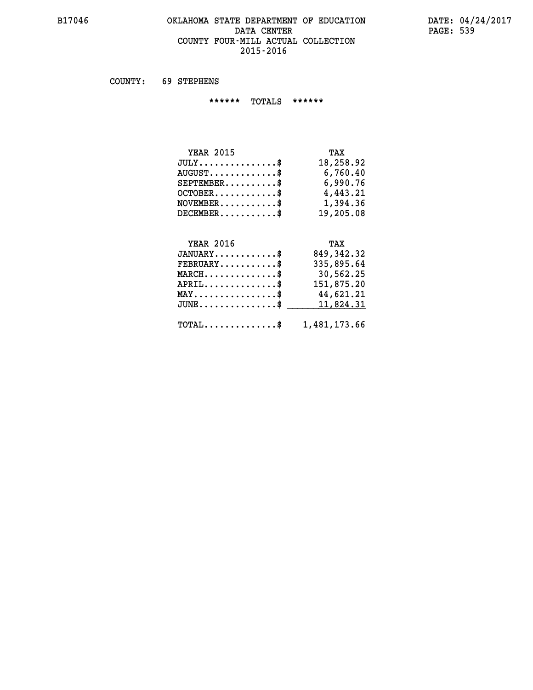#### **B17046 OKLAHOMA STATE DEPARTMENT OF EDUCATION DATE: 04/24/2017** DATA CENTER PAGE: 539  **COUNTY FOUR-MILL ACTUAL COLLECTION 2015-2016**

 **COUNTY: 69 STEPHENS**

 **\*\*\*\*\*\* TOTALS \*\*\*\*\*\***

| <b>YEAR 2015</b>                 | TAX       |
|----------------------------------|-----------|
| $JULY \ldots \ldots \ldots \$    | 18,258.92 |
| $AUGUST \ldots \ldots \ldots$ \$ | 6,760.40  |
| $SEPTEMBER$                      | 6,990.76  |
| $OCTOBER$ \$                     | 4,443.21  |
| $NOVEMBER$ \$                    | 1,394.36  |
| $DECEMBER$                       | 19,205.08 |

## **YEAR 2016 TAX**

| $JANUARY$                                               | 849,342.32 |
|---------------------------------------------------------|------------|
| $\texttt{FEBRUARY} \dots \dots \dots \$                 | 335,895.64 |
| $MARCH$ \$                                              | 30,562.25  |
| $APRIL$ \$                                              | 151,875.20 |
| $MAX \dots \dots \dots \dots \dots \$                   | 44,621.21  |
| JUNE\$ 11,824.31                                        |            |
| $\texttt{TOTAL} \dots \dots \dots \dots \$ 1,481,173.66 |            |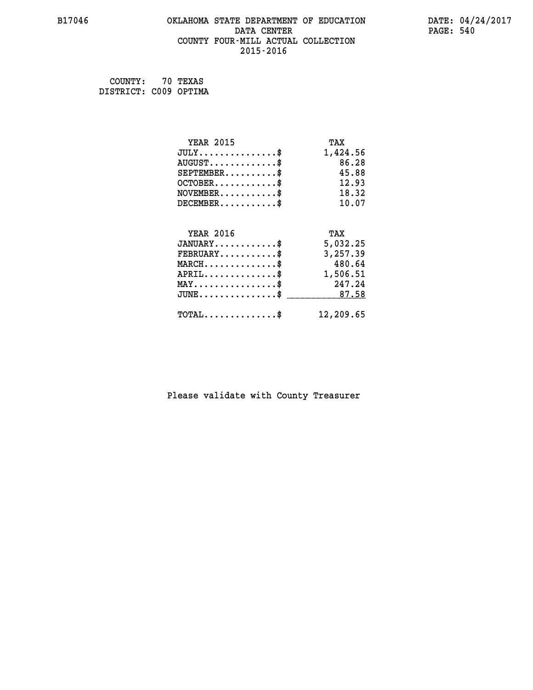#### **B17046 OKLAHOMA STATE DEPARTMENT OF EDUCATION DATE: 04/24/2017 DATA CENTER** PAGE: 540  **COUNTY FOUR-MILL ACTUAL COLLECTION 2015-2016**

 **COUNTY: 70 TEXAS DISTRICT: C009 OPTIMA**

| <b>YEAR 2015</b>                           | TAX       |
|--------------------------------------------|-----------|
| $JULY$ \$                                  | 1,424.56  |
| $AUGUST$ \$                                | 86.28     |
| $SEPTEMENT.$ \$                            | 45.88     |
| $OCTOBER$ \$                               | 12.93     |
| $NOVEMBER$ \$                              | 18.32     |
| $DECEMBER$ \$                              | 10.07     |
|                                            |           |
| <b>YEAR 2016</b>                           | TAX       |
| $JANUARY$ \$                               | 5,032.25  |
| $FEBRUARY$                                 | 3,257.39  |
| $MARCH$ \$                                 | 480.64    |
| $APRIL$ \$                                 | 1,506.51  |
| $MAX \dots \dots \dots \dots \dots$        | 247.24    |
| $JUNE$ \$                                  | 87.58     |
| $\texttt{TOTAL} \dots \dots \dots \dots \$ | 12,209.65 |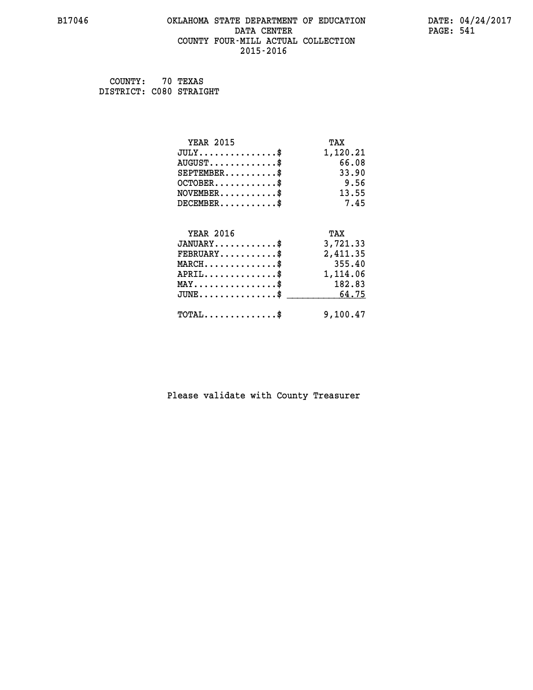#### **B17046 OKLAHOMA STATE DEPARTMENT OF EDUCATION DATE: 04/24/2017 DATA CENTER** PAGE: 541  **COUNTY FOUR-MILL ACTUAL COLLECTION 2015-2016**

 **COUNTY: 70 TEXAS DISTRICT: C080 STRAIGHT**

| <b>YEAR 2015</b>                           | TAX      |
|--------------------------------------------|----------|
| $JULY$ \$                                  | 1,120.21 |
| $AUGUST$ \$                                | 66.08    |
| $SEPTEMBER$                                | 33.90    |
| $OCTOBER$ \$                               | 9.56     |
| $NOVEMBER$ \$                              | 13.55    |
| $DECEMBER$ \$                              | 7.45     |
|                                            |          |
| <b>YEAR 2016</b>                           | TAX      |
| $JANUARY$ \$                               | 3,721.33 |
| $FEBRUARY$                                 | 2,411.35 |
| $MARCH$ \$                                 | 355.40   |
| $APRIL$ \$                                 | 1,114.06 |
| $MAX \dots \dots \dots \dots \dots$        | 182.83   |
| $JUNE$ $$$                                 | 64.75    |
| $\texttt{TOTAL} \dots \dots \dots \dots \$ | 9,100.47 |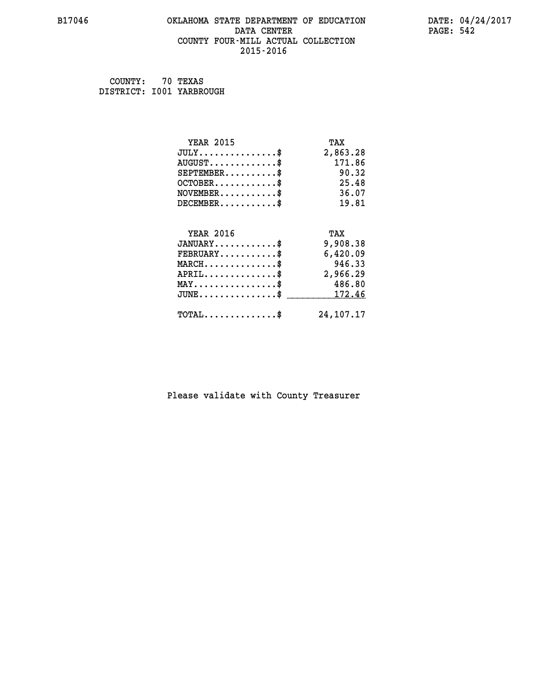#### **B17046 OKLAHOMA STATE DEPARTMENT OF EDUCATION DATE: 04/24/2017 DATA CENTER** PAGE: 542  **COUNTY FOUR-MILL ACTUAL COLLECTION 2015-2016**

 **COUNTY: 70 TEXAS DISTRICT: I001 YARBROUGH**

| <b>YEAR 2015</b>                | TAX       |
|---------------------------------|-----------|
| $JULY$ \$                       | 2,863.28  |
| $AUGUST$ \$                     | 171.86    |
| $SEPTEMENT.$ \$                 | 90.32     |
| $OCTOBER$ \$                    | 25.48     |
| $NOVEMBER$ \$                   | 36.07     |
| $DECEMBER$ \$                   | 19.81     |
|                                 |           |
| <b>YEAR 2016</b>                | TAX       |
| $JANUARY$ \$                    | 9,908.38  |
| $FEBRUARY$ \$                   | 6,420.09  |
| $MARCH$ \$                      | 946.33    |
| $APRIL$ \$                      | 2,966.29  |
| $MAX \dots \dots \dots \dots \$ | 486.80    |
| $JUNE$ \$                       | 172.46    |
| $TOTAL$ \$                      | 24,107.17 |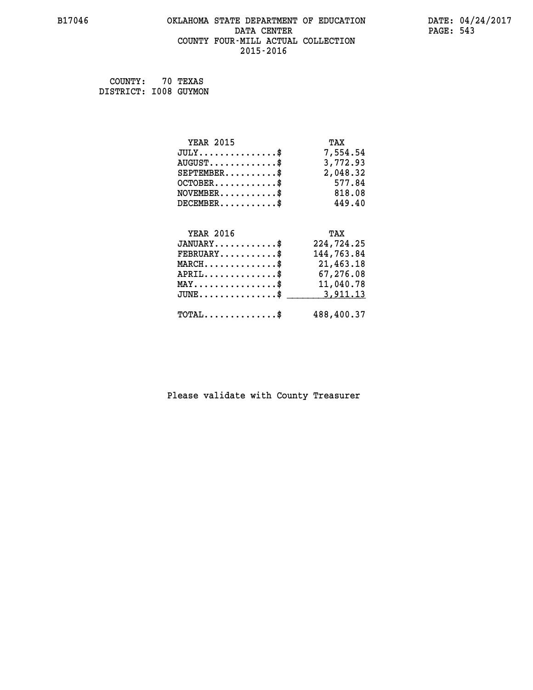# **B17046 OKLAHOMA STATE DEPARTMENT OF EDUCATION DATE: 04/24/2017** DATA CENTER PAGE: 543  **COUNTY FOUR-MILL ACTUAL COLLECTION 2015-2016**

 **COUNTY: 70 TEXAS DISTRICT: I008 GUYMON**

| <b>YEAR 2015</b>                                   | TAX        |
|----------------------------------------------------|------------|
| $JULY$ \$                                          | 7,554.54   |
| $AUGUST$ \$                                        | 3,772.93   |
| $SEPTEMBER$ \$                                     | 2,048.32   |
| $OCTOBER$ \$                                       | 577.84     |
| $NOVEMBER$ \$                                      | 818.08     |
| $DECEMBER$ \$                                      | 449.40     |
|                                                    |            |
| <b>YEAR 2016</b>                                   | TAX        |
| $JANUARY$ \$                                       | 224,724.25 |
| $FEBRUARY$ \$                                      | 144,763.84 |
| $MARCH$ \$                                         | 21,463.18  |
| $APRIL \ldots \ldots \ldots \$                     | 67,276.08  |
| $\texttt{MAX} \dots \dots \dots \dots \dots \$$    | 11,040.78  |
| $\texttt{JUNE} \dots \dots \dots \dots \texttt{S}$ | 3,911.13   |
| $\texttt{TOTAL} \dots \dots \dots \dots \$         | 488,400.37 |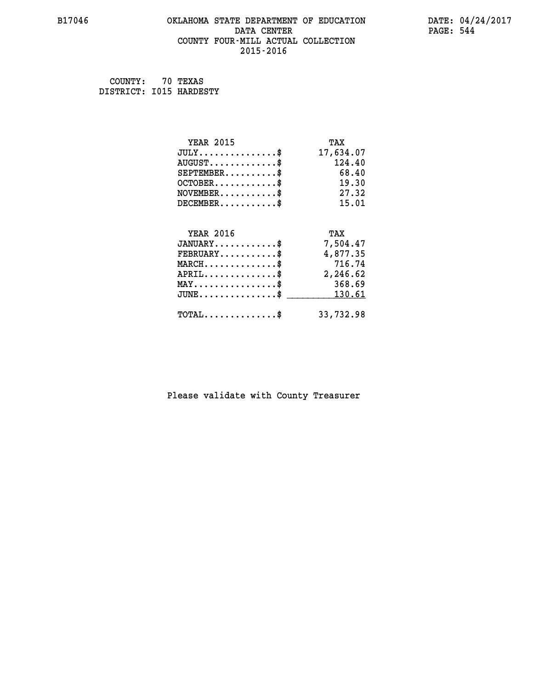#### **B17046 OKLAHOMA STATE DEPARTMENT OF EDUCATION DATE: 04/24/2017 DATA CENTER** PAGE: 544  **COUNTY FOUR-MILL ACTUAL COLLECTION 2015-2016**

 **COUNTY: 70 TEXAS DISTRICT: I015 HARDESTY**

| <b>YEAR 2015</b>                    | TAX       |
|-------------------------------------|-----------|
| $JULY$ \$                           | 17,634.07 |
| $AUGUST$ \$                         | 124.40    |
| $SEPTEMBER$                         | 68.40     |
| $OCTOBER$ \$                        | 19.30     |
| $NOVEMBER$ \$                       | 27.32     |
| $DECEMBER$ \$                       | 15.01     |
|                                     |           |
| <b>YEAR 2016</b>                    | TAX       |
| $JANUARY$ \$                        | 7,504.47  |
| $FEBRUARY$                          | 4,877.35  |
| $MARCH$ \$                          | 716.74    |
| $APRIL$ \$                          | 2,246.62  |
| $MAX \dots \dots \dots \dots \dots$ | 368.69    |
| $JUNE$ \$                           | 130.61    |
|                                     |           |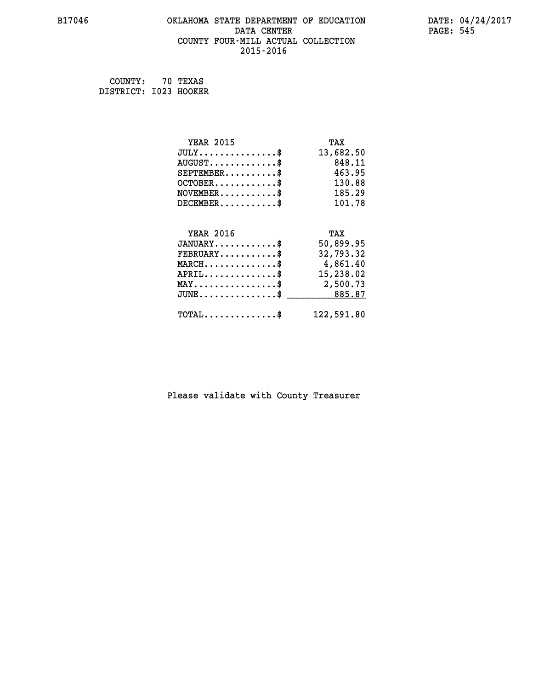#### **B17046 OKLAHOMA STATE DEPARTMENT OF EDUCATION DATE: 04/24/2017 DATA CENTER** PAGE: 545  **COUNTY FOUR-MILL ACTUAL COLLECTION 2015-2016**

 **COUNTY: 70 TEXAS DISTRICT: I023 HOOKER**

| <b>YEAR 2015</b>                           | TAX        |
|--------------------------------------------|------------|
| $JULY$ \$                                  | 13,682.50  |
| $AUGUST$ \$                                | 848.11     |
| $SEPTEMENT.$ \$                            | 463.95     |
| $OCTOBER$ \$                               | 130.88     |
| $\texttt{NOVEMBER} \dots \dots \dots \$    | 185.29     |
| $DECEMBER$ \$                              | 101.78     |
|                                            |            |
| <b>YEAR 2016</b>                           | TAX        |
| $JANUARY$ \$                               | 50,899.95  |
| $FEBRUARY$                                 | 32,793.32  |
| $MARCH$ \$                                 | 4,861.40   |
| $APRIL$ \$                                 | 15,238.02  |
| MAY\$ 2,500.73                             |            |
| $JUNE \dots \dots \dots \dots \$ 885.87    |            |
| $\texttt{TOTAL} \dots \dots \dots \dots \$ | 122,591.80 |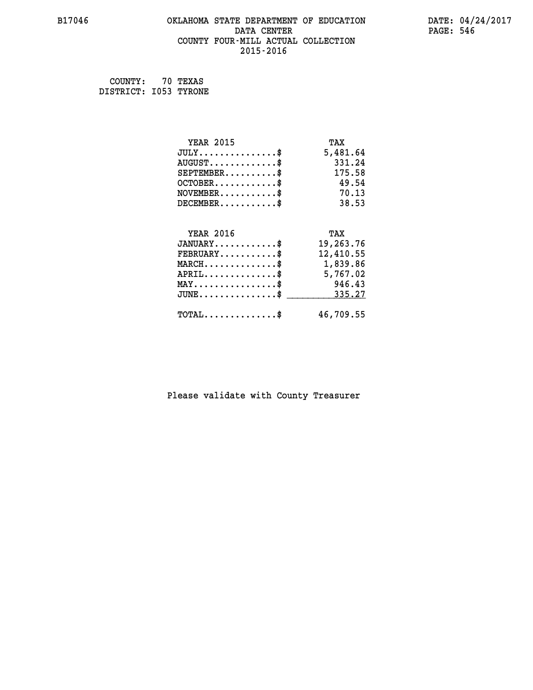#### **B17046 OKLAHOMA STATE DEPARTMENT OF EDUCATION DATE: 04/24/2017 DATA CENTER** PAGE: 546  **COUNTY FOUR-MILL ACTUAL COLLECTION 2015-2016**

 **COUNTY: 70 TEXAS DISTRICT: I053 TYRONE**

| <b>YEAR 2015</b>                                   | TAX       |
|----------------------------------------------------|-----------|
| $JULY$ \$                                          | 5,481.64  |
| $AUGUST$ \$                                        | 331.24    |
| $SEPTEMBER$ \$                                     | 175.58    |
| $OCTOBER$ \$                                       | 49.54     |
| $NOVEMBER$ \$                                      | 70.13     |
| $DECEMBER$ \$                                      | 38.53     |
|                                                    |           |
| <b>YEAR 2016</b>                                   | TAX       |
| $JANUARY$ \$                                       | 19,263.76 |
| $FEBRUARY$                                         | 12,410.55 |
| MARCH\$ 1,839.86                                   |           |
| $APRIL \ldots \ldots \ldots \ldots \$              | 5,767.02  |
| $\texttt{MAX} \dots \dots \dots \dots \dots \$     | 946.43    |
| $\texttt{JUNE} \dots \dots \dots \dots \texttt{S}$ | 335.27    |
| $\texttt{TOTAL} \dots \dots \dots \dots \$         | 46,709.55 |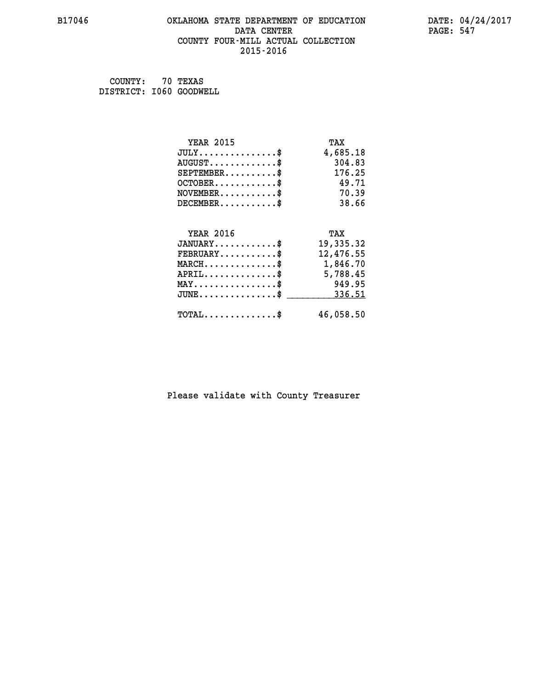#### **B17046 OKLAHOMA STATE DEPARTMENT OF EDUCATION DATE: 04/24/2017 DATA CENTER** PAGE: 547  **COUNTY FOUR-MILL ACTUAL COLLECTION 2015-2016**

 **COUNTY: 70 TEXAS DISTRICT: I060 GOODWELL**

| <b>YEAR 2015</b>                                  | TAX       |
|---------------------------------------------------|-----------|
| $JULY$ \$                                         | 4,685.18  |
| $AUGUST$ \$                                       | 304.83    |
| $SEPTEMBER$ \$                                    | 176.25    |
| $OCTOBER$ \$                                      | 49.71     |
| $NOVEMBER$ \$                                     | 70.39     |
| $DECEMBER$ \$                                     | 38.66     |
|                                                   |           |
| <b>YEAR 2016</b>                                  | TAX       |
| $JANUARY$ \$                                      | 19,335.32 |
| $FEBRUARY$                                        | 12,476.55 |
| $\texttt{MARCH}\ldots\ldots\ldots\ldots\clubsuit$ | 1,846.70  |
| $APRIL \ldots \ldots \ldots \ldots \$             | 5,788.45  |
| $\texttt{MAX} \dots \dots \dots \dots \dots \$    | 949.95    |
| $\texttt{JUNE} \dots \dots \dots \dots \dots \$$  | 336.51    |
| $\texttt{TOTAL} \dots \dots \dots \dots$          | 46,058.50 |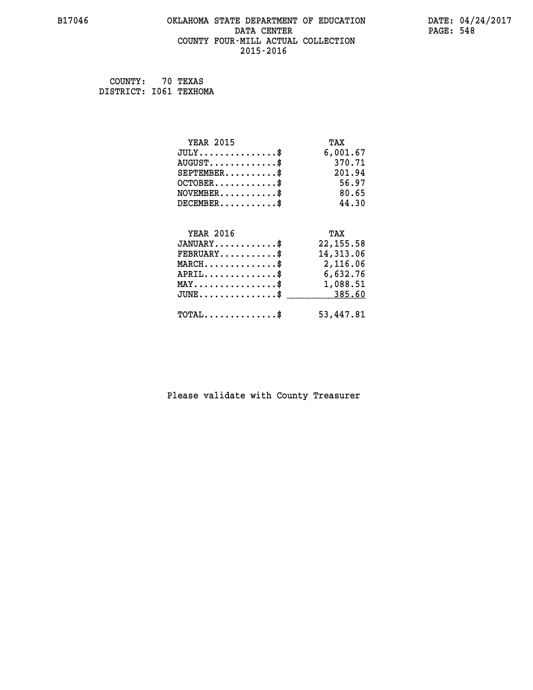#### **B17046 OKLAHOMA STATE DEPARTMENT OF EDUCATION DATE: 04/24/2017 DATA CENTER** PAGE: 548  **COUNTY FOUR-MILL ACTUAL COLLECTION 2015-2016**

 **COUNTY: 70 TEXAS DISTRICT: I061 TEXHOMA**

| <b>YEAR 2015</b>                               | TAX        |
|------------------------------------------------|------------|
| $JULY$ \$                                      | 6,001.67   |
| $AUGUST$ \$                                    | 370.71     |
| $SEPTEMENT.$ \$                                | 201.94     |
| $OCTOBER$ \$                                   | 56.97      |
| $NOVEMBER$ \$                                  | 80.65      |
| $DECEMBER$ \$                                  | 44.30      |
|                                                |            |
| <b>YEAR 2016</b>                               | TAX        |
| $JANUARY$                                      | 22, 155.58 |
| $FEBRUARY$ \$                                  | 14,313.06  |
| $MARCH$ \$                                     | 2,116.06   |
| $APRIL$ \$                                     | 6,632.76   |
| $\texttt{MAX} \dots \dots \dots \dots \dots \$ | 1,088.51   |
| $JUNE$ $\$\,$                                  | 385.60     |
| $\texttt{TOTAL} \dots \dots \dots \dots \$     | 53,447.81  |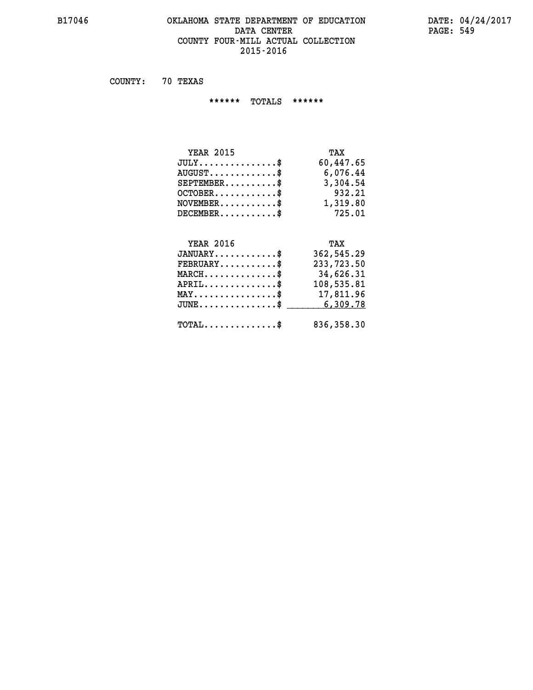### **B17046 OKLAHOMA STATE DEPARTMENT OF EDUCATION DATE: 04/24/2017** DATA CENTER PAGE: 549  **COUNTY FOUR-MILL ACTUAL COLLECTION 2015-2016**

 **COUNTY: 70 TEXAS**

 **\*\*\*\*\*\* TOTALS \*\*\*\*\*\***

| <b>YEAR 2015</b> | TAX       |
|------------------|-----------|
| $JULY$           | 60,447.65 |
| $AUGUST$ \$      | 6,076.44  |
| $SEPTEMBER$ $\$  | 3,304.54  |
| $OCTOBER$ \$     | 932.21    |
| $NOVEMBER$ \$    | 1,319.80  |
| $DECEMBER$ \$    | 725.01    |

# **YEAR 2016 TAX**

| $JANUARY$                                    | 362,545.29 |
|----------------------------------------------|------------|
| $\texttt{FEBRUARY} \dots \dots \dots \$      | 233,723.50 |
| $MARCH$ \$                                   | 34,626.31  |
| $APRIL$ \$                                   | 108,535.81 |
| $MAX \dots \dots \dots \dots \dots \$        | 17,811.96  |
| $JUNE \dots \dots \dots \dots \$ 6,309.78    |            |
| $\text{TOTAL} \dots \dots \dots \dots \dots$ | 836,358.30 |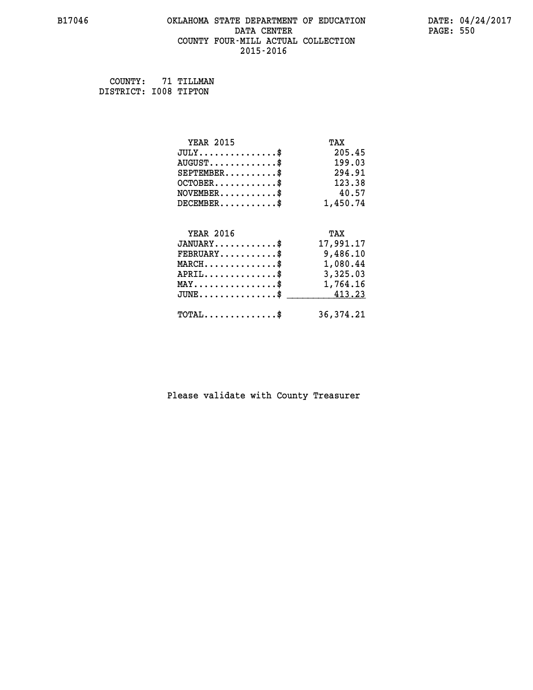# **B17046 OKLAHOMA STATE DEPARTMENT OF EDUCATION DATE: 04/24/2017 DATA CENTER PAGE: 550 COUNTY FOUR-MILL ACTUAL COLLECTION 2015-2016**

 **COUNTY: 71 TILLMAN DISTRICT: I008 TIPTON**

| <b>YEAR 2015</b>                                 | TAX         |
|--------------------------------------------------|-------------|
| $JULY$ \$                                        | 205.45      |
| $AUGUST$ \$                                      | 199.03      |
| $SEPTEMBER$ \$                                   | 294.91      |
| $OCTOBER$ \$                                     | 123.38      |
| $\texttt{NOVEMBER} \dots \dots \dots \$          | 40.57       |
| $DECEMBER$ \$                                    | 1,450.74    |
|                                                  |             |
| <b>YEAR 2016</b>                                 | TAX         |
| $JANUARY$ \$                                     | 17,991.17   |
| $FEBRUARY$                                       | 9,486.10    |
| $\texttt{MARCH} \dots \dots \dots \dots \$$      | 1,080.44    |
| $APRIL \ldots \ldots \ldots \ldots$              | 3,325.03    |
| $\texttt{MAX} \dots \dots \dots \dots \dots \$$  | 1,764.16    |
| $\texttt{JUNE} \dots \dots \dots \dots \dots \$$ | 413.23      |
| $\texttt{TOTAL} \dots \dots \dots \dots \$       | 36, 374. 21 |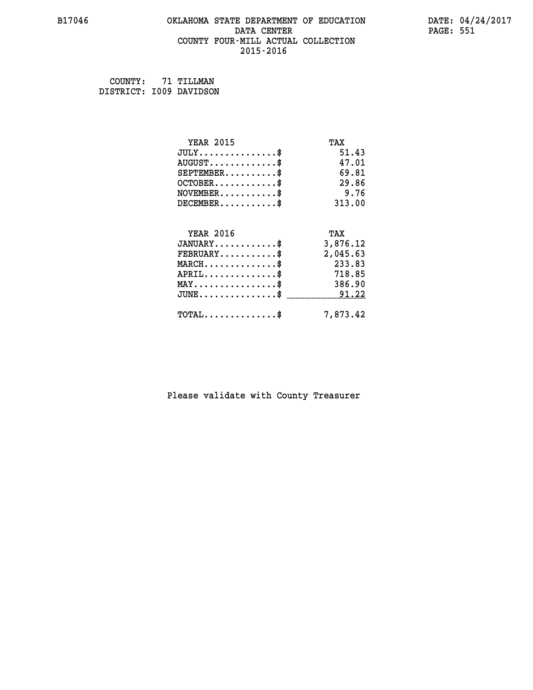#### **B17046 OKLAHOMA STATE DEPARTMENT OF EDUCATION DATE: 04/24/2017 DATA CENTER** PAGE: 551  **COUNTY FOUR-MILL ACTUAL COLLECTION 2015-2016**

 **COUNTY: 71 TILLMAN DISTRICT: I009 DAVIDSON**

| YEAR 2015                                  | TAX      |
|--------------------------------------------|----------|
| $JULY$ \$                                  | 51.43    |
| $AUGUST$ \$                                | 47.01    |
| $SEPTEMENT.$ \$                            | 69.81    |
| $OCTOBER$ \$                               | 29.86    |
| $NOVEMBER$ \$                              | 9.76     |
| $DECEMBER$ \$                              | 313.00   |
| <b>YEAR 2016</b>                           | TAX      |
| $JANUARY$                                  | 3,876.12 |
| $FEBRUARY$                                 | 2,045.63 |
| $MARCH$ \$                                 | 233.83   |
| $APRIL$ \$                                 | 718.85   |
| $MAX \dots \dots \dots \dots \$            | 386.90   |
|                                            |          |
| $JUNE$                                     | 91.22    |
| $\texttt{TOTAL} \dots \dots \dots \dots \$ | 7,873.42 |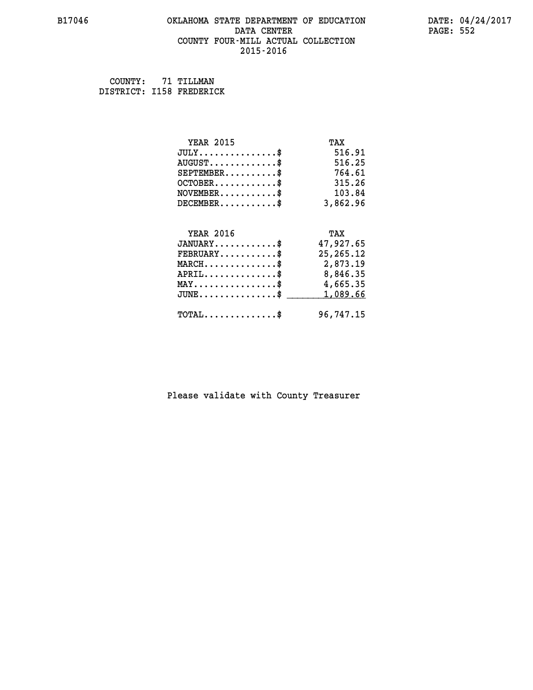#### **B17046 OKLAHOMA STATE DEPARTMENT OF EDUCATION DATE: 04/24/2017 DATA CENTER** PAGE: 552  **COUNTY FOUR-MILL ACTUAL COLLECTION 2015-2016**

 **COUNTY: 71 TILLMAN DISTRICT: I158 FREDERICK**

| <b>YEAR 2015</b>                                                          | TAX         |
|---------------------------------------------------------------------------|-------------|
| $JULY$ \$                                                                 | 516.91      |
| $AUGUST$ \$                                                               | 516.25      |
| $SEPTEMBER$ \$                                                            | 764.61      |
| $OCTOBER$ \$                                                              | 315.26      |
| $\verb NOVEMBER , \verb , \verb , \verb , \verb , \verb , \verb + \verb $ | 103.84      |
| $DECEMBER$ \$                                                             | 3,862.96    |
|                                                                           |             |
| <b>YEAR 2016</b>                                                          | TAX         |
| $JANUARY$ \$                                                              | 47,927.65   |
| $FEBRUARY$                                                                | 25, 265. 12 |
| $MARCH$ \$                                                                | 2,873.19    |
| $APRIL \ldots \ldots \ldots \ldots \$                                     | 8,846.35    |
| $\texttt{MAX} \dots \dots \dots \dots \dots \$                            | 4,665.35    |
| $\texttt{JUNE} \dots \dots \dots \dots \dots \$$                          | 1,089.66    |
| $\texttt{TOTAL} \dots \dots \dots \dots$                                  | 96,747.15   |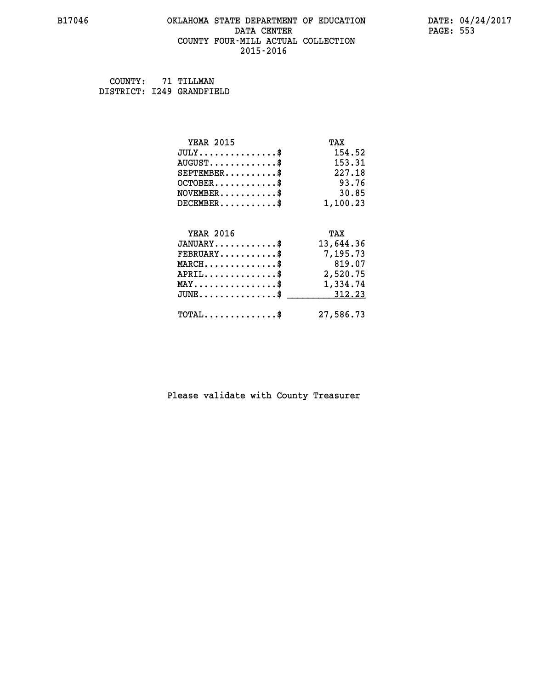#### **B17046 OKLAHOMA STATE DEPARTMENT OF EDUCATION DATE: 04/24/2017 DATA CENTER** PAGE: 553  **COUNTY FOUR-MILL ACTUAL COLLECTION 2015-2016**

 **COUNTY: 71 TILLMAN DISTRICT: I249 GRANDFIELD**

| <b>YEAR 2015</b>                               | TAX       |
|------------------------------------------------|-----------|
| $JULY$ \$                                      | 154.52    |
| $AUGUST$ \$                                    | 153.31    |
| $SEPTEMENT.$ \$                                | 227.18    |
| $OCTOBER$ \$                                   | 93.76     |
| $NOVEMBER.$ \$                                 | 30.85     |
| $DECEMBER$ \$                                  | 1,100.23  |
| <b>YEAR 2016</b>                               | TAX       |
| $JANUARY$ \$                                   | 13,644.36 |
| $\texttt{FEBRUARY} \dots \dots \dots \$        | 7,195.73  |
| $MARCH$ \$                                     | 819.07    |
| $APRIL \ldots \ldots \ldots \ldots \$          | 2,520.75  |
| $\texttt{MAX} \dots \dots \dots \dots \dots \$ | 1,334.74  |
| $JUNE$ \$                                      | 312.23    |
| $TOTAL$ \$                                     | 27,586.73 |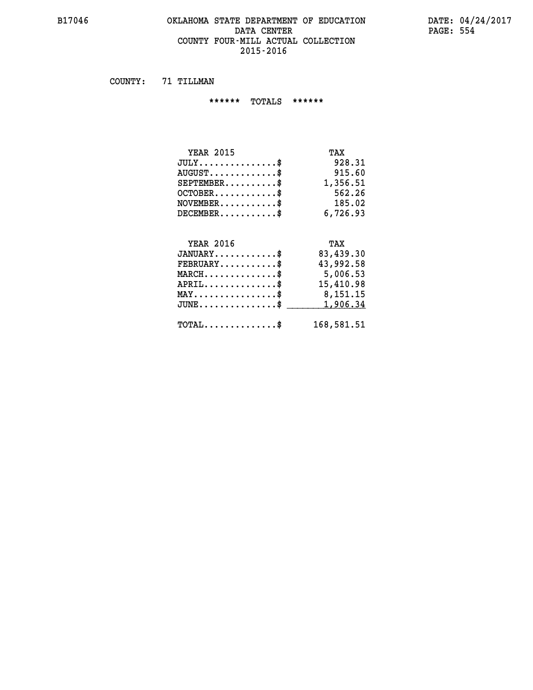#### **B17046 OKLAHOMA STATE DEPARTMENT OF EDUCATION DATE: 04/24/2017** DATA CENTER PAGE: 554  **COUNTY FOUR-MILL ACTUAL COLLECTION 2015-2016**

 **COUNTY: 71 TILLMAN**

 **\*\*\*\*\*\* TOTALS \*\*\*\*\*\***

| <b>YEAR 2015</b>              | TAX      |
|-------------------------------|----------|
| $JULY \ldots \ldots \ldots \$ | 928.31   |
| $AUGUST$ \$                   | 915.60   |
| $SEPTEMBER$                   | 1,356.51 |
| $OCTOBER$ \$                  | 562.26   |
| $NOVEMBER$ \$                 | 185.02   |
| $DECEMBER$ \$                 | 6,726.93 |
|                               |          |

# **YEAR 2016 TAX JANUARY............\$ 83,439.30 FEBRUARY...........\$ 43,992.58 MARCH..............\$ 5,006.53 APRIL..............\$ 15,410.98 MAY................\$ 8,151.15 JUNE................\$** <u>1,906.34</u>  **TOTAL..............\$ 168,581.51**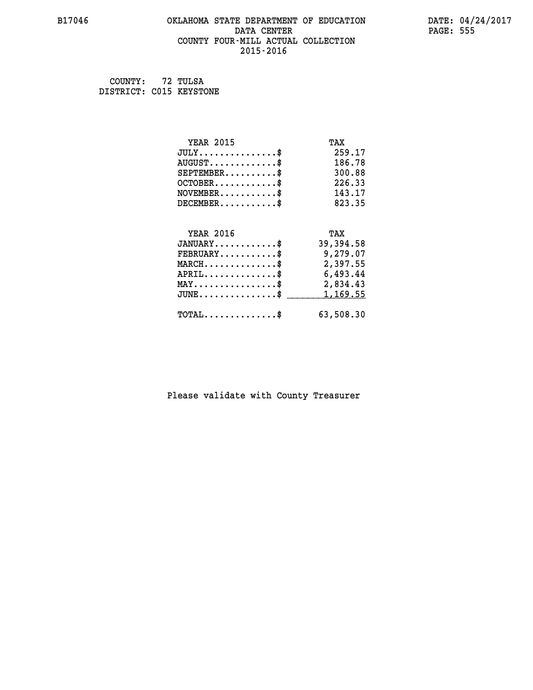#### **B17046 OKLAHOMA STATE DEPARTMENT OF EDUCATION DATE: 04/24/2017 DATA CENTER** PAGE: 555  **COUNTY FOUR-MILL ACTUAL COLLECTION 2015-2016**

 **COUNTY: 72 TULSA DISTRICT: C015 KEYSTONE**

| <b>YEAR 2015</b>                                 | TAX        |
|--------------------------------------------------|------------|
| $JULY$ \$                                        | 259.17     |
| $AUGUST$ \$                                      | 186.78     |
| $SEPTEMBER$ \$                                   | 300.88     |
| $OCTOBER$ \$                                     | 226.33     |
| $\texttt{NOVEMBER} \dots \dots \dots \$          | 143.17     |
| $DECEMBER$ \$                                    | 823.35     |
|                                                  |            |
| <b>YEAR 2016</b>                                 | TAX        |
| $JANUARY$ \$                                     | 39, 394.58 |
| $FEBRUARY$                                       | 9,279.07   |
| $MARCH$ \$                                       | 2,397.55   |
| $APRIL \ldots \ldots \ldots \ldots \$            | 6,493.44   |
| $\texttt{MAX} \dots \dots \dots \dots \dots \$   | 2,834.43   |
| $\texttt{JUNE} \dots \dots \dots \dots \dots \$$ | 1,169.55   |
| $\texttt{TOTAL} \dots \dots \dots \dots$         | 63,508.30  |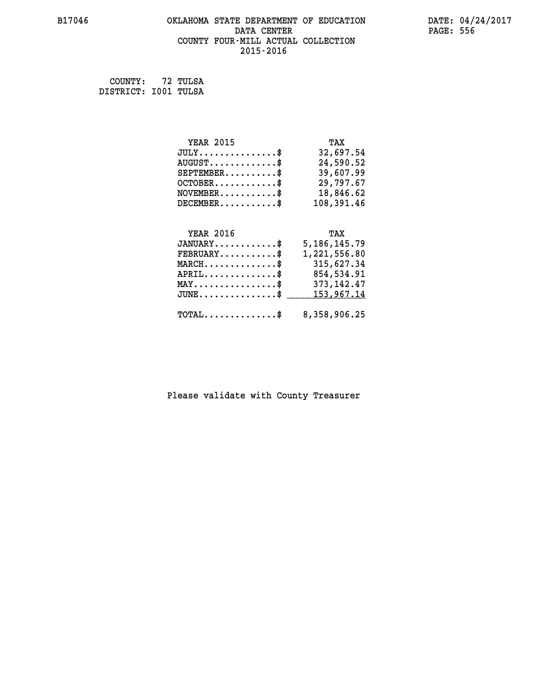# **B17046 OKLAHOMA STATE DEPARTMENT OF EDUCATION DATE: 04/24/2017** DATA CENTER PAGE: 556  **COUNTY FOUR-MILL ACTUAL COLLECTION 2015-2016**

 **COUNTY: 72 TULSA DISTRICT: I001 TULSA**

| <b>YEAR 2015</b>              | TAX        |
|-------------------------------|------------|
| $JULY \ldots \ldots \ldots \$ | 32,697.54  |
| $AUGUST$ \$                   | 24,590.52  |
| $SEPTEMBER$                   | 39,607.99  |
| $OCTOBER$ \$                  | 29,797.67  |
| $NOVEMBER$ \$                 | 18,846.62  |
| $DECEMBER$ \$                 | 108,391.46 |
|                               |            |
| YEAR 2016                     | TAX        |

| $JANUARY$ \$                          | 5,186,145.79                                            |
|---------------------------------------|---------------------------------------------------------|
| $FEBRUARY$ \$                         | 1,221,556.80                                            |
| $MARCH$ \$                            | 315,627.34                                              |
| $APRIL$ \$                            | 854,534.91                                              |
| $MAX \dots \dots \dots \dots \dots \$ | 373, 142.47                                             |
|                                       | $JUNE \ldots \ldots \ldots \ldots$ \$ 153,967.14        |
|                                       |                                                         |
|                                       | $\texttt{TOTAL} \dots \dots \dots \dots \$ 8,358,906.25 |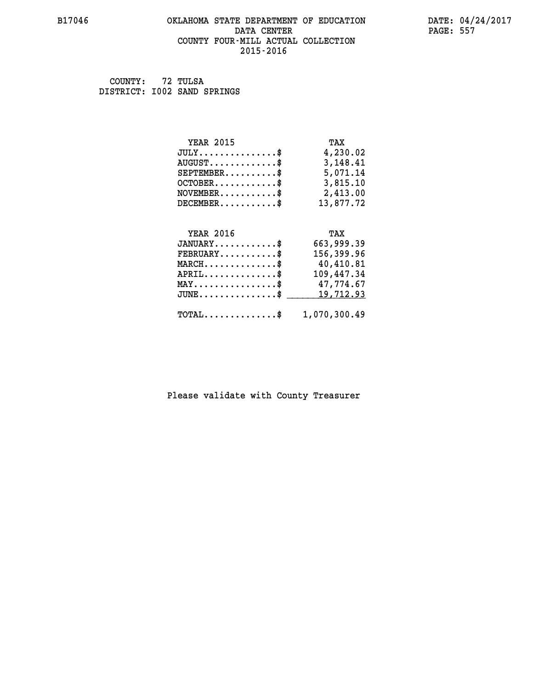#### **B17046 OKLAHOMA STATE DEPARTMENT OF EDUCATION DATE: 04/24/2017 DATA CENTER** PAGE: 557  **COUNTY FOUR-MILL ACTUAL COLLECTION 2015-2016**

 **COUNTY: 72 TULSA DISTRICT: I002 SAND SPRINGS**

| <b>YEAR 2015</b>                               | TAX          |
|------------------------------------------------|--------------|
| $JULY$ \$                                      | 4,230.02     |
| $AUGUST$ \$                                    | 3,148.41     |
| $SEPTEMBER$ \$                                 | 5,071.14     |
| $OCTOBER$ \$                                   | 3,815.10     |
| $NOVEMBER$ \$                                  | 2,413.00     |
| $DECEMBER$ \$                                  | 13,877.72    |
|                                                |              |
| <b>YEAR 2016</b>                               | TAX          |
| $JANUARY$ \$                                   | 663,999.39   |
| $\texttt{FEBRUARY} \dots \dots \dots \$        | 156,399.96   |
| $\texttt{MARCH}\ldots\ldots\ldots\ldots\$      | 40,410.81    |
| $APRIL$ \$                                     | 109,447.34   |
| $\texttt{MAX} \dots \dots \dots \dots \dots \$ | 47,774.67    |
| $JUNE$ \$                                      | 19,712.93    |
| $\texttt{TOTAL} \dots \dots \dots \dots \$     | 1,070,300.49 |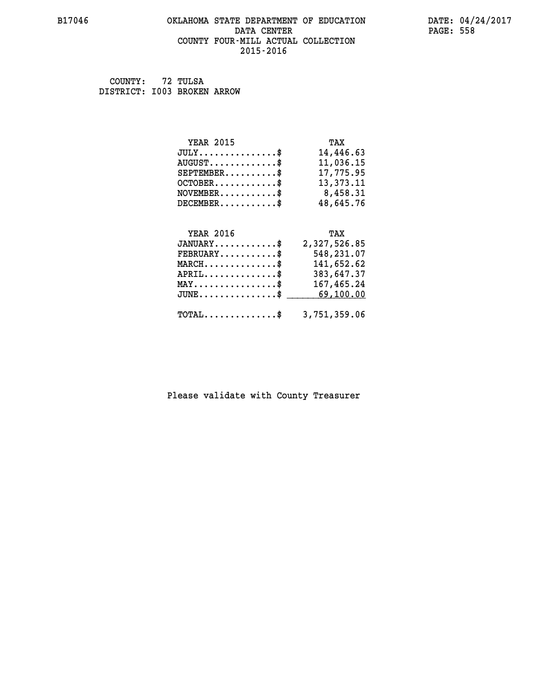### **B17046 OKLAHOMA STATE DEPARTMENT OF EDUCATION DATE: 04/24/2017** DATA CENTER PAGE: 558  **COUNTY FOUR-MILL ACTUAL COLLECTION 2015-2016**

 **COUNTY: 72 TULSA DISTRICT: I003 BROKEN ARROW**

| <b>YEAR 2015</b>                    | TAX          |
|-------------------------------------|--------------|
| $JULY \ldots \ldots \ldots \bullet$ | 14,446.63    |
| $AUGUST$ \$                         | 11,036.15    |
| $SEPTEMBER$ \$                      | 17,775.95    |
| $OCTOBER$ \$                        | 13,373.11    |
| $NOVEMBER$ \$                       | 8,458.31     |
| $DECEMBER$ \$                       | 48,645.76    |
| <b>YEAR 2016</b>                    | TAX          |
| $JANUARY$                           | 2,327,526.85 |

| JANUARY\$                                               | 2,327,526.85 |
|---------------------------------------------------------|--------------|
| $FEBRUARY$                                              | 548,231.07   |
| $MARCH$                                                 | 141,652.62   |
| $APRIL$                                                 | 383,647.37   |
| $MAX \dots \dots \dots \dots \dots \$                   | 167,465.24   |
| $JUNE \dots \dots \dots \dots \$ 69,100.00              |              |
|                                                         |              |
| $\texttt{TOTAL} \dots \dots \dots \dots \$ 3,751,359.06 |              |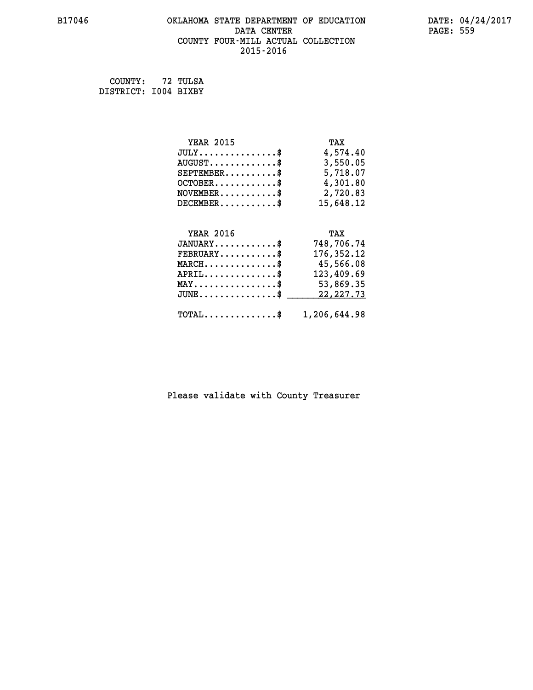# **B17046 OKLAHOMA STATE DEPARTMENT OF EDUCATION DATE: 04/24/2017 DATA CENTER PAGE: 559 COUNTY FOUR-MILL ACTUAL COLLECTION 2015-2016**

 **COUNTY: 72 TULSA DISTRICT: I004 BIXBY**

| <b>YEAR 2015</b>                                 | TAX          |
|--------------------------------------------------|--------------|
| $JULY$ \$                                        | 4,574.40     |
| $AUGUST$ \$                                      | 3,550.05     |
| $SEPTEMBER$ \$                                   | 5,718.07     |
| $OCTOBER$ \$                                     | 4,301.80     |
| $\texttt{NOVEMBER} \dots \dots \dots \$          | 2,720.83     |
| $DECEMBER$ \$                                    | 15,648.12    |
|                                                  |              |
| <b>YEAR 2016</b>                                 | TAX          |
| $JANUARY$ \$                                     | 748,706.74   |
| $FEBRUARY$ \$                                    | 176,352.12   |
| $MARCH$ \$                                       | 45,566.08    |
| $APRIL \ldots \ldots \ldots \ldots$ \$           | 123,409.69   |
| $\texttt{MAX} \dots \dots \dots \dots \text{*}$  | 53,869.35    |
| $\texttt{JUNE} \dots \dots \dots \dots \dots \$$ | 22, 227. 73  |
| $\texttt{TOTAL} \dots \dots \dots \dots \$       | 1,206,644.98 |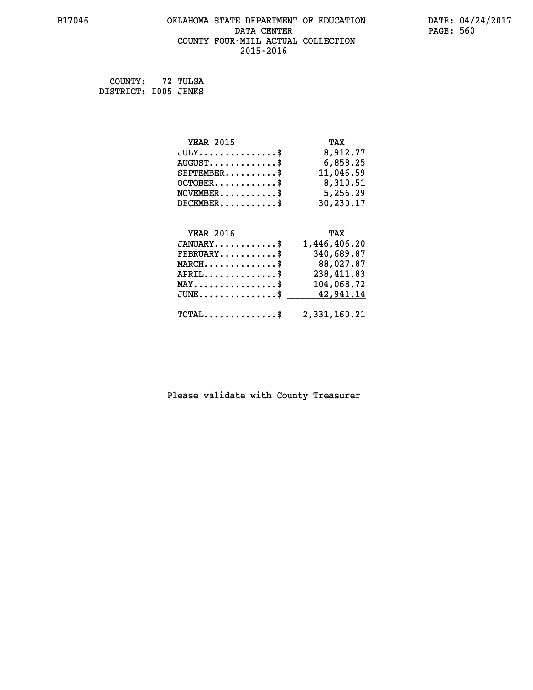# **B17046 OKLAHOMA STATE DEPARTMENT OF EDUCATION DATE: 04/24/2017** DATA CENTER PAGE: 560  **COUNTY FOUR-MILL ACTUAL COLLECTION 2015-2016**

 **COUNTY: 72 TULSA DISTRICT: I005 JENKS**

| <b>YEAR 2015</b> | TAX          |
|------------------|--------------|
| JULY             | 8,912.77     |
| $AUGUST$ \$      | 6,858.25     |
| $SEPTEMBER$ \$   | 11,046.59    |
| $OCTOBER$ \$     | 8,310.51     |
| $NOVEMBER$ \$    | 5,256.29     |
| $DECEMBER$ \$    | 30,230.17    |
| <b>YEAR 2016</b> | TAX          |
| $JANUARY$        | 1,446,406.20 |

| JANUARY\$                             | 1,446,406.20                                                                                          |
|---------------------------------------|-------------------------------------------------------------------------------------------------------|
| $FEBRUARY$                            | 340,689.87                                                                                            |
| $MARCH$ \$                            | 88,027.87                                                                                             |
| $APRIL$                               | 238,411.83                                                                                            |
| $MAX \dots \dots \dots \dots \dots \$ | 104,068.72                                                                                            |
|                                       |                                                                                                       |
|                                       |                                                                                                       |
|                                       | $JUNE \dots \dots \dots \dots \$ 42,941.14<br>$\texttt{TOTAL} \dots \dots \dots \dots \$ 2,331,160.21 |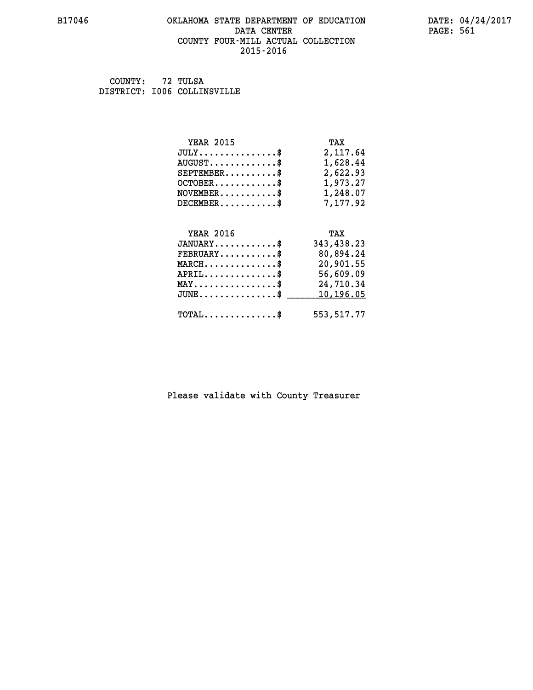#### **B17046 OKLAHOMA STATE DEPARTMENT OF EDUCATION DATE: 04/24/2017 DATA CENTER** PAGE: 561  **COUNTY FOUR-MILL ACTUAL COLLECTION 2015-2016**

 **COUNTY: 72 TULSA DISTRICT: I006 COLLINSVILLE**

| <b>YEAR 2015</b>                                                                                                              | TAX        |
|-------------------------------------------------------------------------------------------------------------------------------|------------|
| $JULY$ \$                                                                                                                     | 2,117.64   |
| $AUGUST$ \$                                                                                                                   | 1,628.44   |
| $SEPTEMBER$ \$                                                                                                                | 2,622.93   |
| $OCTOBER \ldots \ldots \ldots$                                                                                                | 1,973.27   |
| $\texttt{NOVEMBER} \dots \dots \dots \$                                                                                       | 1,248.07   |
| $DECEMBER$ \$                                                                                                                 | 7,177.92   |
|                                                                                                                               |            |
| <b>YEAR 2016</b>                                                                                                              | TAX        |
| $JANUARY$ \$                                                                                                                  | 343,438.23 |
| $FEBRUARY$ \$                                                                                                                 | 80,894.24  |
| $\texttt{MARCH}\ldots\ldots\ldots\ldots\overset{\hspace{0.1em}\mathsf{\scriptscriptstyle\$}}{\mathsf{\scriptscriptstyle\$}}}$ | 20,901.55  |
| $APRIL \ldots \ldots \ldots \ldots$ \$                                                                                        | 56,609.09  |
| $\texttt{MAX} \dots \dots \dots \dots \dots \$                                                                                | 24,710.34  |
| $\texttt{JUNE} \dots \dots \dots \dots \texttt{S}$                                                                            | 10,196.05  |
| $TOTAL$ \$                                                                                                                    | 553,517.77 |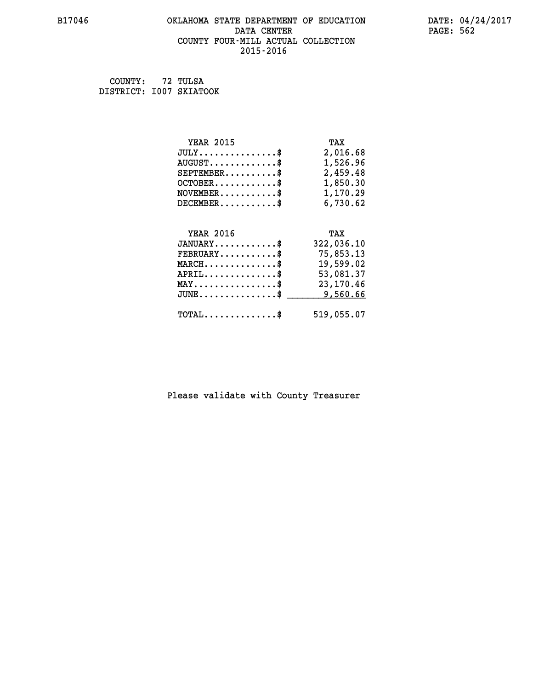#### **B17046 OKLAHOMA STATE DEPARTMENT OF EDUCATION DATE: 04/24/2017 DATA CENTER** PAGE: 562  **COUNTY FOUR-MILL ACTUAL COLLECTION 2015-2016**

 **COUNTY: 72 TULSA DISTRICT: I007 SKIATOOK**

| <b>YEAR 2015</b>                                  | TAX         |
|---------------------------------------------------|-------------|
| $JULY$ \$                                         | 2,016.68    |
| $AUGUST$ \$                                       | 1,526.96    |
| $SEPTEMBER$ \$                                    | 2,459.48    |
| $OCTOBER \ldots \ldots \ldots$                    | 1,850.30    |
| $NOVEMBER.$ \$                                    | 1,170.29    |
| $DECEMBER$ \$                                     | 6,730.62    |
|                                                   |             |
| <b>YEAR 2016</b>                                  | TAX         |
| $JANUARY$ \$                                      | 322,036.10  |
| $FEBRUARY$                                        | 75,853.13   |
| $\texttt{MARCH}\ldots\ldots\ldots\ldots\clubsuit$ | 19,599.02   |
| $APRIL \ldots \ldots \ldots \ldots \$             | 53,081.37   |
| $\texttt{MAX} \dots \dots \dots \dots \dots \$    | 23, 170. 46 |
| $\texttt{JUNE} \dots \dots \dots \dots \dots \$$  | 9,560.66    |
| $\texttt{TOTAL} \dots \dots \dots \dots$ \$       | 519,055.07  |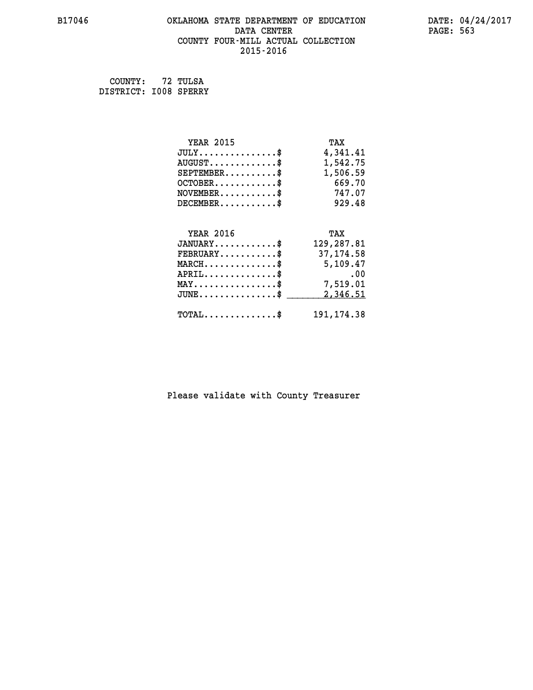#### **B17046 OKLAHOMA STATE DEPARTMENT OF EDUCATION DATE: 04/24/2017 DATA CENTER** PAGE: 563  **COUNTY FOUR-MILL ACTUAL COLLECTION 2015-2016**

 **COUNTY: 72 TULSA DISTRICT: I008 SPERRY**

| <b>YEAR 2015</b>                               | TAX         |
|------------------------------------------------|-------------|
| $JULY$ \$                                      | 4,341.41    |
| $AUGUST$ \$                                    | 1,542.75    |
| $SEPTEMENT.$ $\frac{1}{2}$                     | 1,506.59    |
| $OCTOBER$ \$                                   | 669.70      |
| $NOVEMBER$ \$                                  | 747.07      |
| $DECEMENT.$                                    | 929.48      |
| <b>YEAR 2016</b>                               | TAX         |
| $JANUARY$ \$                                   | 129,287.81  |
| $FEBRUARY$                                     | 37, 174.58  |
| $MARCH$ \$                                     | 5,109.47    |
| $APRIL$ \$                                     | .00         |
| $\texttt{MAX} \dots \dots \dots \dots \dots \$ | 7,519.01    |
| $JUNE$ \$                                      | 2,346.51    |
| $\texttt{TOTAL} \dots \dots \dots \dots \$     | 191, 174.38 |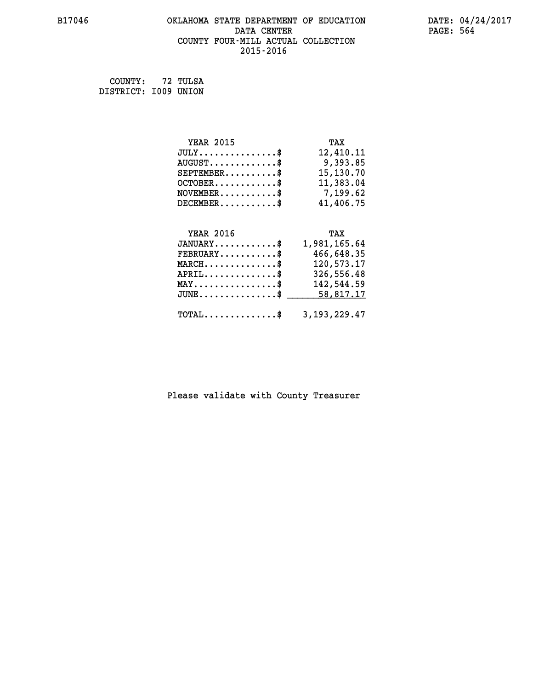### **B17046 OKLAHOMA STATE DEPARTMENT OF EDUCATION DATE: 04/24/2017** DATA CENTER PAGE: 564  **COUNTY FOUR-MILL ACTUAL COLLECTION 2015-2016**

 **COUNTY: 72 TULSA DISTRICT: I009 UNION**

 **MAY................\$ 142,544.59 JUNE...............\$ 58,817.17 \_\_\_\_\_\_\_\_\_\_\_\_\_\_\_**

| <b>YEAR 2015</b>                            | TAX          |
|---------------------------------------------|--------------|
| $JULY$ \$                                   | 12,410.11    |
| $\texttt{AUGUST} \dots \dots \dots \dots \$ | 9,393.85     |
| $SEPTEMBER$ \$                              | 15,130.70    |
| $OCTOBER$ \$                                | 11,383.04    |
| $\texttt{NOVEMBER} \dots \dots \dots \$     | 7,199.62     |
| $DECEMBER$ \$                               | 41,406.75    |
|                                             |              |
| <b>YEAR 2016</b>                            | TAX          |
| $JANUARY$ \$                                | 1,981,165.64 |
| $FEBRUARY$                                  | 466,648.35   |
| $MARCH$ \$                                  | 120,573.17   |
| $APRIL$                                     | 326,556.48   |

# **TOTAL..............\$ 3,193,229.47**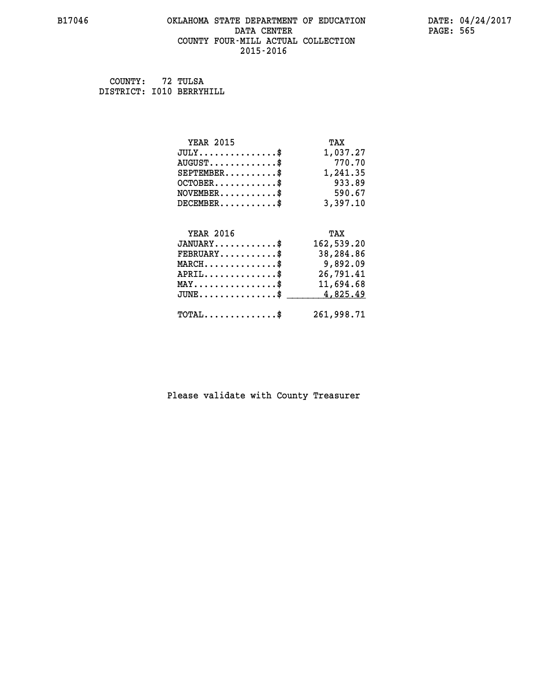#### **B17046 OKLAHOMA STATE DEPARTMENT OF EDUCATION DATE: 04/24/2017 DATA CENTER** PAGE: 565  **COUNTY FOUR-MILL ACTUAL COLLECTION 2015-2016**

 **COUNTY: 72 TULSA DISTRICT: I010 BERRYHILL**

| <b>YEAR 2015</b>                               | TAX        |
|------------------------------------------------|------------|
| $JULY$ \$                                      | 1,037.27   |
| $AUGUST$ \$                                    | 770.70     |
| $SEPTEMBER$ \$                                 | 1,241.35   |
| $OCTOBER$ \$                                   | 933.89     |
| $NOVEMBER$ \$                                  | 590.67     |
| $DECEMBER$ \$                                  | 3,397.10   |
|                                                |            |
| <b>YEAR 2016</b>                               | TAX        |
| $JANUARY$ \$                                   | 162,539.20 |
| $FEBRUARY$                                     | 38,284.86  |
| $MARCH$ \$                                     | 9,892.09   |
| $APRIL$ \$                                     | 26,791.41  |
| $\texttt{MAX} \dots \dots \dots \dots \dots \$ | 11,694.68  |
| $JUNE$ \$                                      | 4,825.49   |
| $\texttt{TOTAL} \dots \dots \dots \dots$ \$    | 261,998.71 |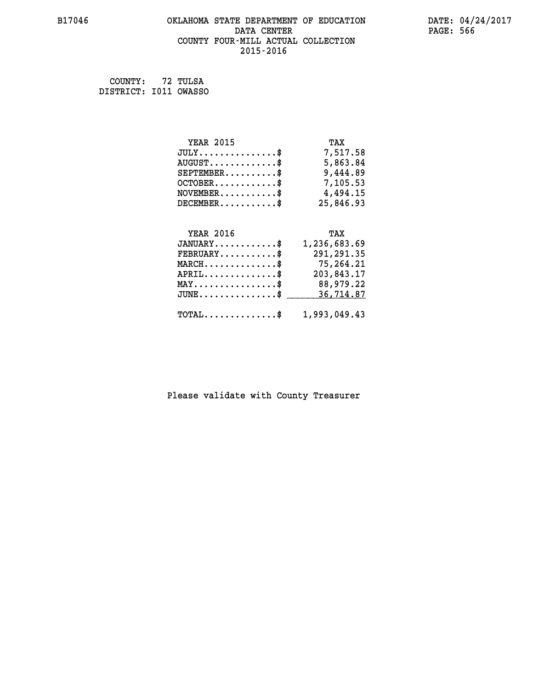#### **B17046 OKLAHOMA STATE DEPARTMENT OF EDUCATION DATE: 04/24/2017 DATA CENTER** PAGE: 566  **COUNTY FOUR-MILL ACTUAL COLLECTION 2015-2016**

 **COUNTY: 72 TULSA DISTRICT: I011 OWASSO**

| <b>YEAR 2015</b>              | TAX       |
|-------------------------------|-----------|
| $JULY \ldots \ldots \ldots \$ | 7,517.58  |
| $AUGUST$ \$                   | 5,863.84  |
| $SEPTEMBER$ \$                | 9,444.89  |
| $OCTOBER$ \$                  | 7,105.53  |
| $NOVEMBER$ \$                 | 4,494.15  |
| $DECEMBER$ \$                 | 25,846.93 |
| YEAR 2016                     | TAX       |

| $JANUARY$ \$                                            | 1,236,683.69 |
|---------------------------------------------------------|--------------|
| $FEBRUARY$ \$                                           | 291,291.35   |
| $MARCH$ \$                                              | 75,264.21    |
| $APRIL$ \$                                              | 203,843.17   |
| $MAX \dots \dots \dots \dots \dots \$                   | 88,979.22    |
| $JUNE \dots \dots \dots \dots \$ 36,714.87              |              |
| $\texttt{TOTAL} \dots \dots \dots \dots \$ 1,993,049.43 |              |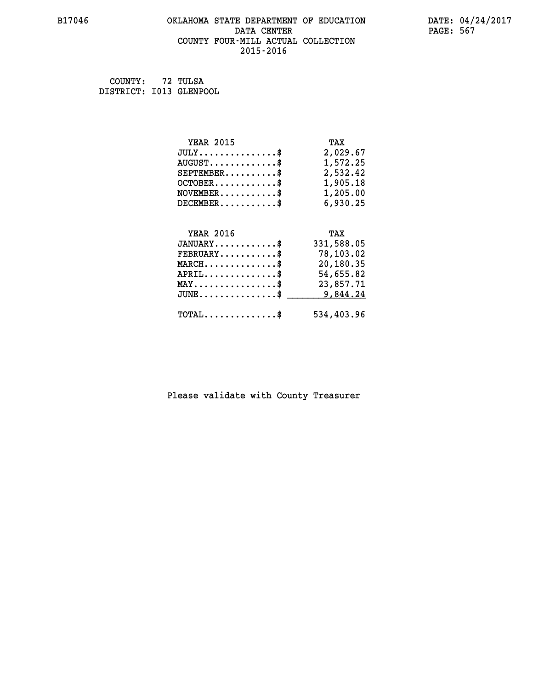#### **B17046 OKLAHOMA STATE DEPARTMENT OF EDUCATION DATE: 04/24/2017 DATA CENTER** PAGE: 567  **COUNTY FOUR-MILL ACTUAL COLLECTION 2015-2016**

 **COUNTY: 72 TULSA DISTRICT: I013 GLENPOOL**

| <b>YEAR 2015</b>                                                          | TAX        |
|---------------------------------------------------------------------------|------------|
| $JULY$ \$                                                                 | 2,029.67   |
| $AUGUST$ \$                                                               | 1,572.25   |
| $SEPTEMBER.$ $\$                                                          | 2,532.42   |
| $OCTOBER$ \$                                                              | 1,905.18   |
| $\verb NOVEMBER , \verb , \verb , \verb , \verb , \verb , \verb , \verb $ | 1,205.00   |
| $DECEMBER$ \$                                                             | 6,930.25   |
|                                                                           |            |
| <b>YEAR 2016</b>                                                          | TAX        |
| $JANUARY$ \$                                                              | 331,588.05 |
| $\texttt{FEBRUARY} \dots \dots \dots \$                                   | 78,103.02  |
| $\texttt{MARCH}\ldots\ldots\ldots\ldots\cdots\$                           | 20,180.35  |
| $APRIL \ldots \ldots \ldots \ldots \$                                     | 54,655.82  |
| $\texttt{MAX} \dots \dots \dots \dots \dots \$                            | 23,857.71  |
| $\texttt{JUNE} \dots \dots \dots \dots \dots \$$                          | 9,844.24   |
| $\texttt{TOTAL} \dots \dots \dots \dots$ \$                               | 534,403.96 |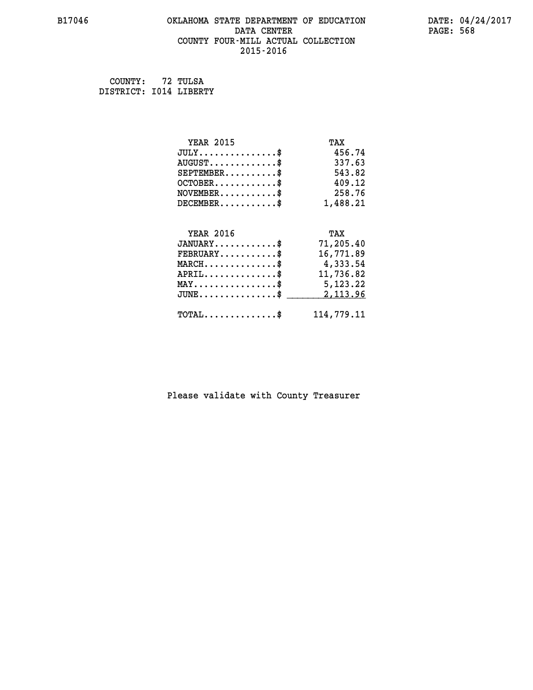#### **B17046 OKLAHOMA STATE DEPARTMENT OF EDUCATION DATE: 04/24/2017 DATA CENTER** PAGE: 568  **COUNTY FOUR-MILL ACTUAL COLLECTION 2015-2016**

 **COUNTY: 72 TULSA DISTRICT: I014 LIBERTY**

| <b>YEAR 2015</b>                           | TAX        |
|--------------------------------------------|------------|
| $JULY$ \$                                  | 456.74     |
| $AUGUST$ \$                                | 337.63     |
| $SEPTEMBER$ \$                             | 543.82     |
| $OCTOBER$ \$                               | 409.12     |
| $NOVEMBER$ \$                              | 258.76     |
| $DECEMBER$ \$                              | 1,488.21   |
|                                            |            |
| <b>YEAR 2016</b>                           | TAX        |
| $JANUARY$ \$                               | 71,205.40  |
| $FEBRUARY$                                 | 16,771.89  |
| $MARCH$ \$                                 | 4,333.54   |
| $APRIL$ \$                                 | 11,736.82  |
| $MAX \dots \dots \dots \dots \dots$        | 5,123.22   |
| $JUNE$ \$                                  | 2,113.96   |
| $\texttt{TOTAL} \dots \dots \dots \dots \$ | 114,779.11 |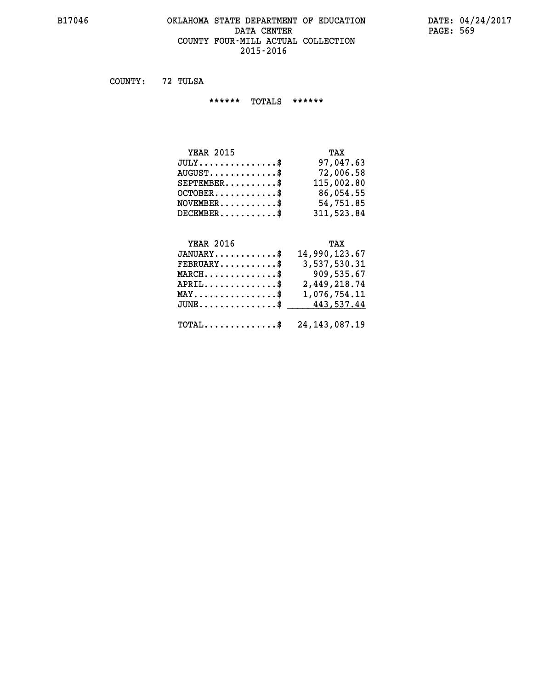# **B17046 OKLAHOMA STATE DEPARTMENT OF EDUCATION DATE: 04/24/2017** DATA CENTER PAGE: 569  **COUNTY FOUR-MILL ACTUAL COLLECTION 2015-2016**

 **COUNTY: 72 TULSA**

 **\*\*\*\*\*\* TOTALS \*\*\*\*\*\***

| <b>YEAR 2015</b> | TAX        |
|------------------|------------|
| $JULY$           | 97,047.63  |
| $AUGUST$ \$      | 72,006.58  |
| $SEPTEMBER$ $\$  | 115,002.80 |
| $OCTOBER$ \$     | 86,054.55  |
| $NOVEMBER.$ \$   | 54,751.85  |
| $DECEMBER$       | 311,523.84 |

# **YEAR 2016**

| <b>YEAR 2016</b>                                                        | TAX           |
|-------------------------------------------------------------------------|---------------|
| $JANUARY$ \$                                                            | 14,990,123.67 |
| $FEBRUARY$                                                              | 3,537,530.31  |
| $MARCH$ \$                                                              | 909,535.67    |
| $APRIL$ \$                                                              | 2,449,218.74  |
| $MAX \dots \dots \dots \dots \dots \$                                   | 1,076,754.11  |
| JUNE\$ 443,537.44                                                       |               |
| $\texttt{TOTAL} \dots \dots \dots \dots \dots \text{*}$ 24, 143, 087.19 |               |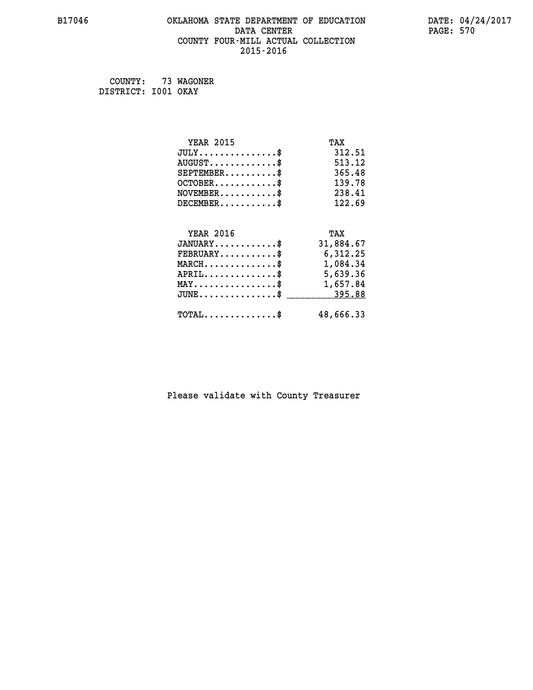#### **B17046 OKLAHOMA STATE DEPARTMENT OF EDUCATION DATE: 04/24/2017 DATA CENTER** PAGE: 570  **COUNTY FOUR-MILL ACTUAL COLLECTION 2015-2016**

 **COUNTY: 73 WAGONER DISTRICT: I001 OKAY**

| <b>YEAR 2015</b>                                 | TAX       |
|--------------------------------------------------|-----------|
| $JULY$ \$                                        | 312.51    |
| $AUGUST$ \$                                      | 513.12    |
| $SEPTEMBER$ \$                                   | 365.48    |
| $OCTOBER$ \$                                     | 139.78    |
| $\texttt{NOVEMBER} \dots \dots \dots \$          | 238.41    |
| $DECEMBER$ \$                                    | 122.69    |
|                                                  |           |
| <b>YEAR 2016</b>                                 | TAX       |
| $JANUARY$                                        | 31,884.67 |
| $FEBRUARY$ \$                                    | 6,312.25  |
| $\texttt{MARCH}\ldots\ldots\ldots\ldots\text{*}$ | 1,084.34  |
| $APRIL \ldots \ldots \ldots \ldots \$            | 5,639.36  |
| MAY\$ 1,657.84                                   |           |
| $JUNE$ \$                                        | 395.88    |
| $\texttt{TOTAL} \dots \dots \dots \dots$ \$      | 48,666.33 |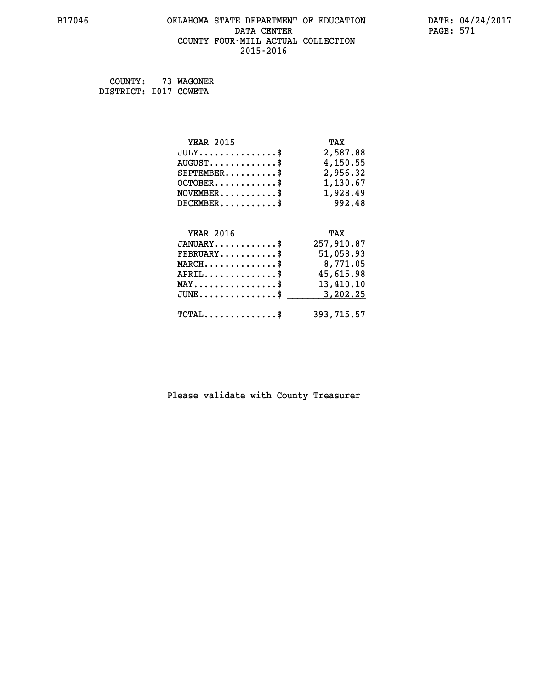#### **B17046 OKLAHOMA STATE DEPARTMENT OF EDUCATION DATE: 04/24/2017 DATA CENTER** PAGE: 571  **COUNTY FOUR-MILL ACTUAL COLLECTION 2015-2016**

 **COUNTY: 73 WAGONER DISTRICT: I017 COWETA**

| <b>YEAR 2015</b>                                  | TAX        |
|---------------------------------------------------|------------|
| $JULY$ \$                                         | 2,587.88   |
| $AUGUST$ \$                                       | 4,150.55   |
| $SEPTEMBER$ \$                                    | 2,956.32   |
| $OCTOBER$ \$                                      | 1,130.67   |
| $\texttt{NOVEMBER} \dots \dots \dots \$           | 1,928.49   |
| $DECEMBER$ \$                                     | 992.48     |
|                                                   |            |
| <b>YEAR 2016</b>                                  |            |
|                                                   | TAX        |
| $JANUARY$                                         | 257,910.87 |
| $FEBRUARY$                                        | 51,058.93  |
| $\texttt{MARCH}\ldots\ldots\ldots\ldots\clubsuit$ | 8,771.05   |
| $APRIL \ldots \ldots \ldots \ldots \$             | 45,615.98  |
| $\texttt{MAX} \dots \dots \dots \dots \dots \$    | 13,410.10  |
| $\texttt{JUNE} \dots \dots \dots \dots \dots \$$  | 3,202.25   |
| $\texttt{TOTAL} \dots \dots \dots \dots$          | 393,715.57 |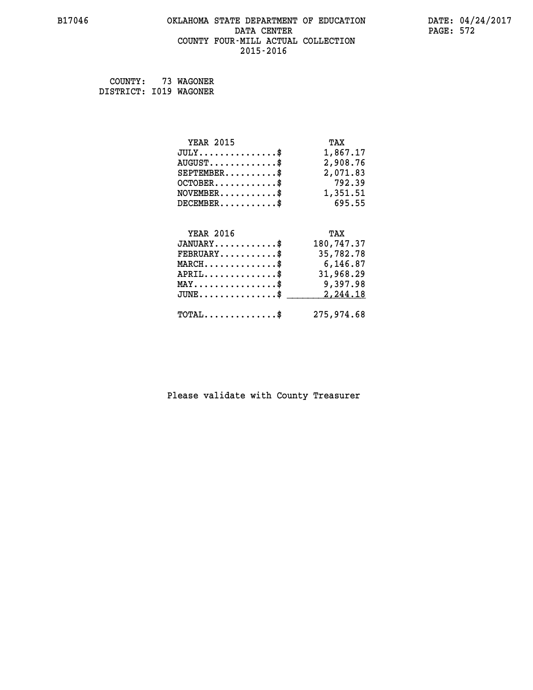#### **B17046 OKLAHOMA STATE DEPARTMENT OF EDUCATION DATE: 04/24/2017 DATA CENTER** PAGE: 572  **COUNTY FOUR-MILL ACTUAL COLLECTION 2015-2016**

 **COUNTY: 73 WAGONER DISTRICT: I019 WAGONER**

| <b>YEAR 2015</b>                                                                                                              | TAX        |
|-------------------------------------------------------------------------------------------------------------------------------|------------|
| $JULY$ \$                                                                                                                     | 1,867.17   |
| $AUGUST$ \$                                                                                                                   | 2,908.76   |
| $SEPTEMBER$ \$                                                                                                                | 2,071.83   |
| $OCTOBER$ \$                                                                                                                  | 792.39     |
| $NOVEMBER.$ \$                                                                                                                | 1,351.51   |
| $DECEMBER$ \$                                                                                                                 | 695.55     |
|                                                                                                                               |            |
| <b>YEAR 2016</b>                                                                                                              | TAX        |
| $JANUARY$ \$                                                                                                                  | 180,747.37 |
| $FEBRUARY$                                                                                                                    | 35,782.78  |
| $\texttt{MARCH}\ldots\ldots\ldots\ldots\overset{\hspace{0.1em}\mathsf{\scriptscriptstyle\$}}{\mathsf{\scriptscriptstyle\$}}}$ | 6,146.87   |
| $APRIL$ \$                                                                                                                    | 31,968.29  |
| $\texttt{MAX} \dots \dots \dots \dots \dots \$                                                                                | 9,397.98   |
| $JUNE$ \$                                                                                                                     | 2,244.18   |
| $\texttt{TOTAL} \dots \dots \dots \dots$ \$                                                                                   | 275,974.68 |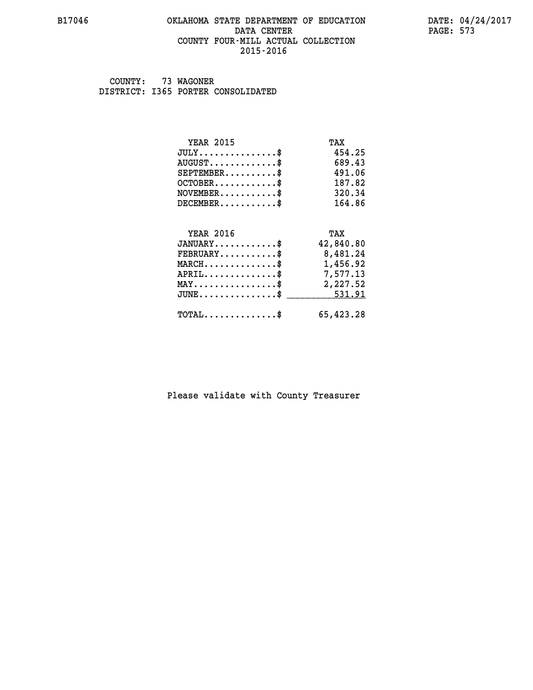#### **B17046 OKLAHOMA STATE DEPARTMENT OF EDUCATION DATE: 04/24/2017 DATA CENTER** PAGE: 573  **COUNTY FOUR-MILL ACTUAL COLLECTION 2015-2016**

 **COUNTY: 73 WAGONER DISTRICT: I365 PORTER CONSOLIDATED**

| <b>YEAR 2015</b>                                 | TAX       |
|--------------------------------------------------|-----------|
| $JULY$ \$                                        | 454.25    |
| $AUGUST$ \$                                      | 689.43    |
| $SEPTEMENT.$ \$                                  | 491.06    |
| $OCTOBER$ \$                                     | 187.82    |
| $\texttt{NOVEMBER} \dots \dots \dots \$          | 320.34    |
| $DECEMBER$ \$                                    | 164.86    |
| <b>YEAR 2016</b>                                 | TAX       |
| $JANUARY$ \$                                     | 42,840.80 |
|                                                  |           |
| $\texttt{FEBRUARY}\dots\dots\dots\dots\$         | 8,481.24  |
| $\texttt{MARCH} \dots \dots \dots \dots \$$      | 1,456.92  |
| $APRIL \ldots \ldots \ldots \ldots$              | 7,577.13  |
| MAY\$ 2,227.52                                   |           |
| $\texttt{JUNE} \dots \dots \dots \dots \dots \$$ | 531.91    |
| $\texttt{TOTAL} \dots \dots \dots \dots$         | 65,423.28 |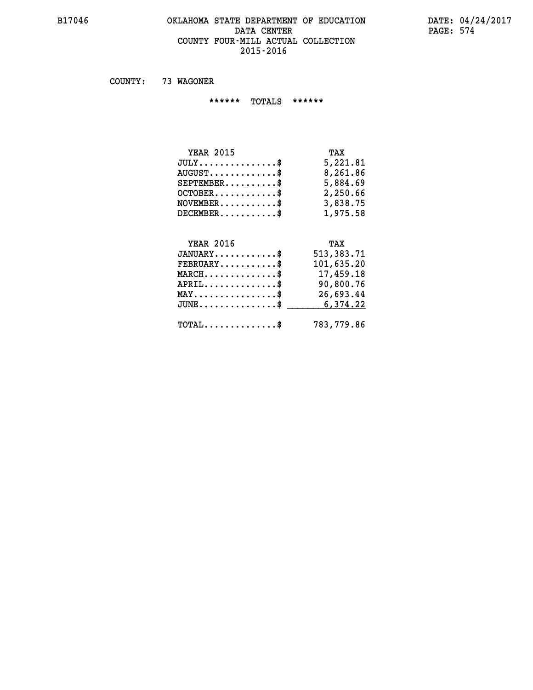#### **B17046 OKLAHOMA STATE DEPARTMENT OF EDUCATION DATE: 04/24/2017 DATA CENTER PAGE: 574 COUNTY FOUR-MILL ACTUAL COLLECTION 2015-2016**

 **COUNTY: 73 WAGONER**

 **\*\*\*\*\*\* TOTALS \*\*\*\*\*\***

| <b>YEAR 2015</b> | TAX      |
|------------------|----------|
| $JULY$           | 5,221.81 |
| $AUGUST$         | 8,261.86 |
| $SEPTEMBER$      | 5,884.69 |
| $OCTOBER$ \$     | 2,250.66 |
| $NOVEMBER$ \$    | 3,838.75 |
| $DECEMENTER$     | 1,975.58 |

#### **YEAR 2016 TAX JANUARY............\$ 513,383.71 FEBRUARY...........\$ 101,635.20 MARCH..............\$ 17,459.18 APRIL..............\$ 90,800.76 MAY................\$ 26,693.44 JUNE...............\$ 6,374.22 \_\_\_\_\_\_\_\_\_\_\_\_\_\_\_**

 **TOTAL..............\$ 783,779.86**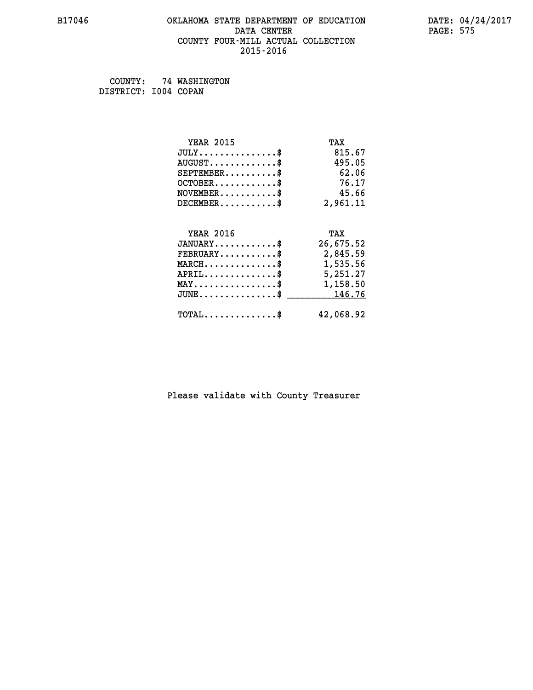#### **B17046 OKLAHOMA STATE DEPARTMENT OF EDUCATION DATE: 04/24/2017 DATA CENTER** PAGE: 575  **COUNTY FOUR-MILL ACTUAL COLLECTION 2015-2016**

 **COUNTY: 74 WASHINGTON DISTRICT: I004 COPAN**

| <b>YEAR 2015</b>                                      | TAX       |
|-------------------------------------------------------|-----------|
| $JULY$ \$                                             | 815.67    |
| $AUGUST$ \$                                           | 495.05    |
| $SEPTEMBER$ \$                                        | 62.06     |
| $OCTOBER$ \$                                          | 76.17     |
| $\texttt{NOVEMBER} \dots \dots \dots \$               | 45.66     |
| $DECEMBER$ \$                                         | 2,961.11  |
|                                                       |           |
| <b>YEAR 2016</b>                                      | TAX       |
| $JANUARY$ \$                                          | 26,675.52 |
| $FEBRUARY$                                            | 2,845.59  |
| $\texttt{MARCH}\ldots\ldots\ldots\ldots\$             | 1,535.56  |
| $APRIL \ldots \ldots \ldots \ldots \$                 | 5,251.27  |
| $\texttt{MAX} \dots \dots \dots \dots \dots \text{*}$ | 1,158.50  |
| $\texttt{JUNE} \dots \dots \dots \dots \dots \$$      | 146.76    |
| $\texttt{TOTAL} \dots \dots \dots \dots$ \$           | 42,068.92 |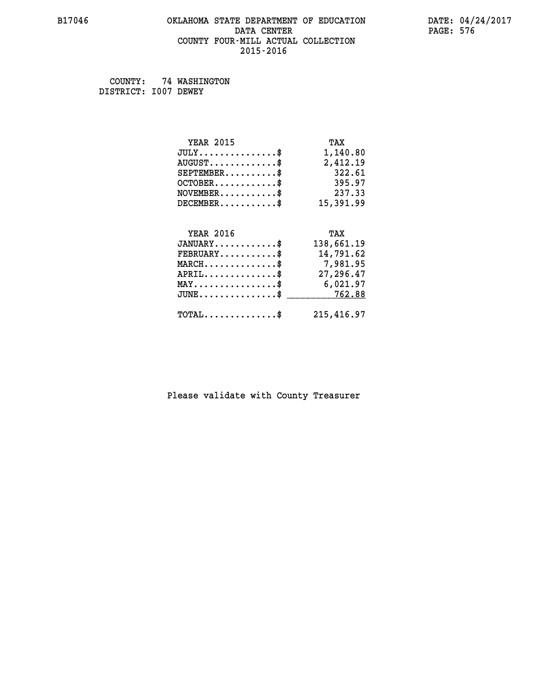#### **B17046 OKLAHOMA STATE DEPARTMENT OF EDUCATION DATE: 04/24/2017 DATA CENTER** PAGE: 576  **COUNTY FOUR-MILL ACTUAL COLLECTION 2015-2016**

 **COUNTY: 74 WASHINGTON DISTRICT: I007 DEWEY**

| <b>YEAR 2015</b>                                 | TAX        |
|--------------------------------------------------|------------|
| $JULY$ \$                                        | 1,140.80   |
| $AUGUST$ \$                                      | 2,412.19   |
| $SEPTEMBER$ \$                                   | 322.61     |
| $OCTOBER$ \$                                     | 395.97     |
| $NOVEMBER.$ \$                                   | 237.33     |
| $DECEMBER$ \$                                    | 15,391.99  |
| <b>YEAR 2016</b>                                 | TAX        |
|                                                  |            |
| $JANUARY$ \$                                     | 138,661.19 |
| $FEBRUARY$                                       | 14,791.62  |
| $MARCH$ \$                                       | 7,981.95   |
| $APRIL$ \$                                       | 27,296.47  |
| $\texttt{MAX} \dots \dots \dots \dots \dots \$   | 6,021.97   |
| $\texttt{JUNE} \dots \dots \dots \dots \dots \$$ | 762.88     |
| $\texttt{TOTAL} \dots \dots \dots \dots \$       | 215,416.97 |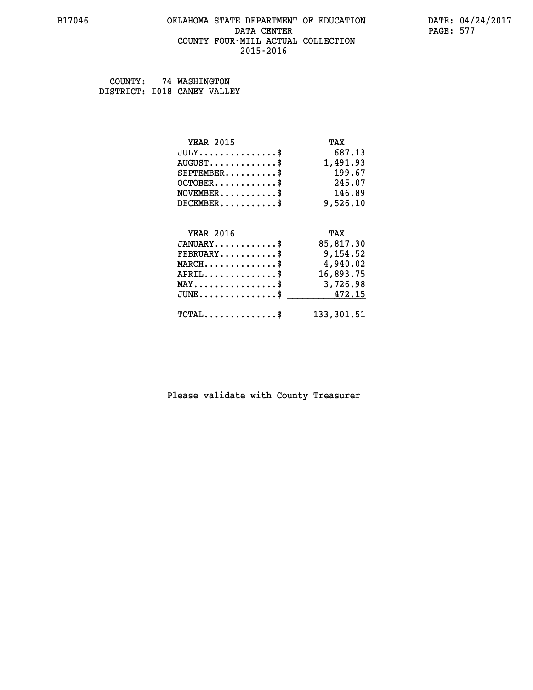#### **B17046 OKLAHOMA STATE DEPARTMENT OF EDUCATION DATE: 04/24/2017 DATA CENTER** PAGE: 577  **COUNTY FOUR-MILL ACTUAL COLLECTION 2015-2016**

 **COUNTY: 74 WASHINGTON DISTRICT: I018 CANEY VALLEY**

| <b>YEAR 2015</b>                               | TAX        |
|------------------------------------------------|------------|
| $JULY$ \$                                      | 687.13     |
| $AUGUST$ \$                                    | 1,491.93   |
| $SEPTEMBER$ \$                                 | 199.67     |
| $OCTOBER$ \$                                   | 245.07     |
| $NOVEMBER$ \$                                  | 146.89     |
| $DECEMBER$ \$                                  | 9,526.10   |
|                                                |            |
| <b>YEAR 2016</b>                               | TAX        |
| $JANUARY$ \$                                   | 85,817.30  |
| $FEBRUARY$                                     | 9,154.52   |
| $MARCH$ \$                                     | 4,940.02   |
| $APRIL$ \$                                     | 16,893.75  |
| $\texttt{MAX} \dots \dots \dots \dots \dots \$ | 3,726.98   |
| $JUNE$ \$                                      | 472.15     |
| $\texttt{TOTAL} \dots \dots \dots \dots \$     | 133,301.51 |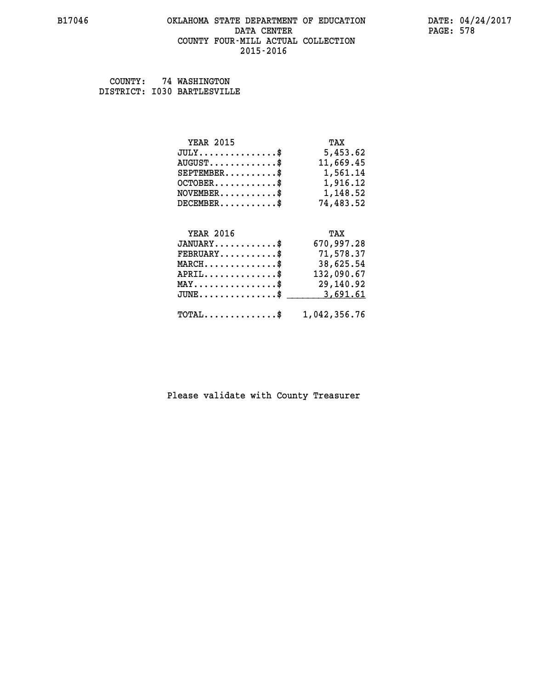### **B17046 OKLAHOMA STATE DEPARTMENT OF EDUCATION DATE: 04/24/2017** DATA CENTER PAGE: 578  **COUNTY FOUR-MILL ACTUAL COLLECTION 2015-2016**

 **COUNTY: 74 WASHINGTON DISTRICT: I030 BARTLESVILLE**

| <b>YEAR 2015</b>                                | TAX          |
|-------------------------------------------------|--------------|
| $JULY$ \$                                       | 5,453.62     |
| $AUGUST$ \$                                     | 11,669.45    |
| $SEPTEMENT.$ \$                                 | 1,561.14     |
| $OCTOBER$ \$                                    | 1,916.12     |
| $\texttt{NOVEMBER} \dots \dots \dots \$         | 1,148.52     |
| $DECEMBER$ \$                                   | 74,483.52    |
|                                                 |              |
| <b>YEAR 2016</b>                                | TAX          |
| $JANUARY$ \$                                    | 670,997.28   |
| $FEBRUARY$ \$                                   | 71,578.37    |
| $MARCH$ \$                                      | 38,625.54    |
| $APRIL$ \$                                      | 132,090.67   |
| $\texttt{MAX} \dots \dots \dots \dots \dots \$$ | 29,140.92    |
| $JUNE$ \$                                       | 3,691.61     |
| $\texttt{TOTAL} \dots \dots \dots \dots \$      | 1,042,356.76 |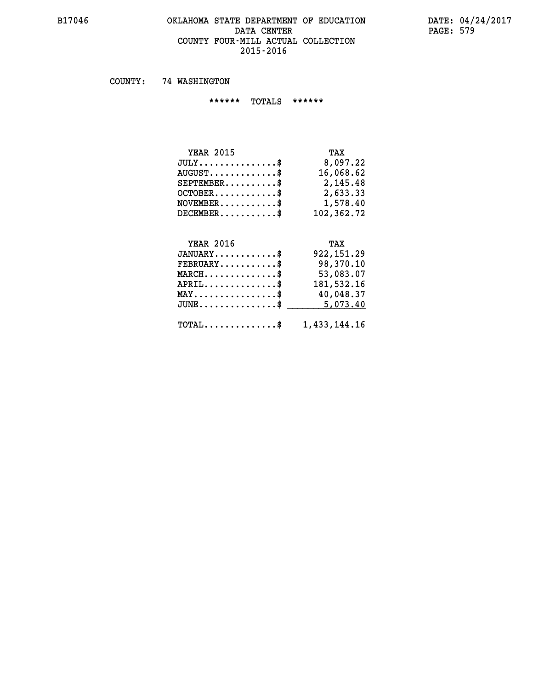#### **B17046 OKLAHOMA STATE DEPARTMENT OF EDUCATION DATE: 04/24/2017 DATA CENTER** PAGE: 579 **COUNTY FOUR-MILL ACTUAL COLLECTION 2015-2016**

 **COUNTY: 74 WASHINGTON**

 **\*\*\*\*\*\* TOTALS \*\*\*\*\*\***

| <b>YEAR 2015</b>              | TAX        |
|-------------------------------|------------|
| $JULY \ldots \ldots \ldots \$ | 8,097.22   |
| $AUGUST$                      | 16,068.62  |
| $SEPTEMBER$ $\$               | 2,145.48   |
| $OCTOBER$ \$                  | 2,633.33   |
| $NOVEMBER$ \$                 | 1,578.40   |
| $DECEMBER$                    | 102,362.72 |

#### **YEAR 2016 TAX JANUARY............\$ 922,151.29 FEBRUARY...........\$ 98,370.10**

| $MARCH$ \$                                              | 53,083.07  |
|---------------------------------------------------------|------------|
| $APRIL$ \$                                              | 181,532.16 |
| $\texttt{MAX} \dots \dots \dots \dots \dots \$          | 40,048.37  |
| $JUNE \dots \dots \dots \dots \dots \$ 5,073.40         |            |
| $\texttt{TOTAL} \dots \dots \dots \dots \$ 1,433,144.16 |            |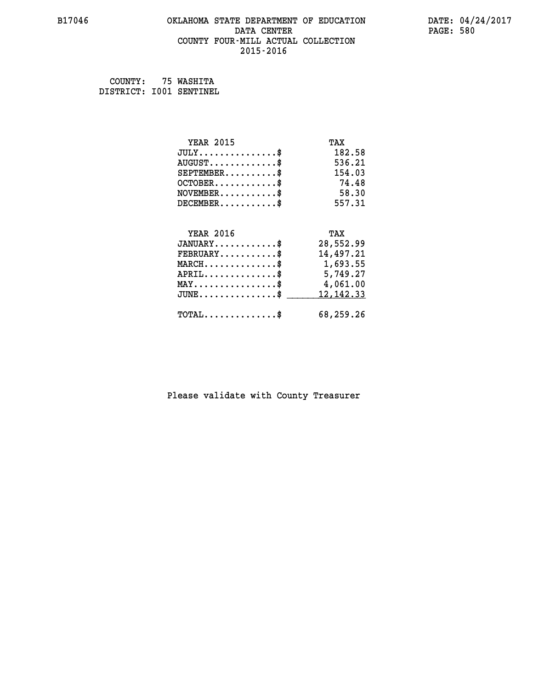#### **B17046 OKLAHOMA STATE DEPARTMENT OF EDUCATION DATE: 04/24/2017 DATA CENTER** PAGE: 580  **COUNTY FOUR-MILL ACTUAL COLLECTION 2015-2016**

 **COUNTY: 75 WASHITA DISTRICT: I001 SENTINEL**

| <b>YEAR 2015</b>                                   | TAX         |
|----------------------------------------------------|-------------|
| $JULY$ \$                                          | 182.58      |
| $AUGUST$ \$                                        | 536.21      |
| $SEPTEMENT.$ \$                                    | 154.03      |
| $OCTOBER$ \$                                       | 74.48       |
| $NOVEMBER$ \$                                      | 58.30       |
| $DECEMBER$ \$                                      | 557.31      |
|                                                    |             |
| <b>YEAR 2016</b>                                   | TAX         |
| $JANUARY$ \$                                       | 28,552.99   |
| $FEBRUARY$ \$                                      | 14,497.21   |
| $MARCH$ \$                                         | 1,693.55    |
| $APRIL \ldots \ldots \ldots \ldots \$              | 5,749.27    |
| $\texttt{MAX} \dots \dots \dots \dots \dots \$     | 4,061.00    |
| $\texttt{JUNE} \dots \dots \dots \dots \texttt{S}$ | 12, 142. 33 |
| $\texttt{TOTAL} \dots \dots \dots \dots \$         | 68,259.26   |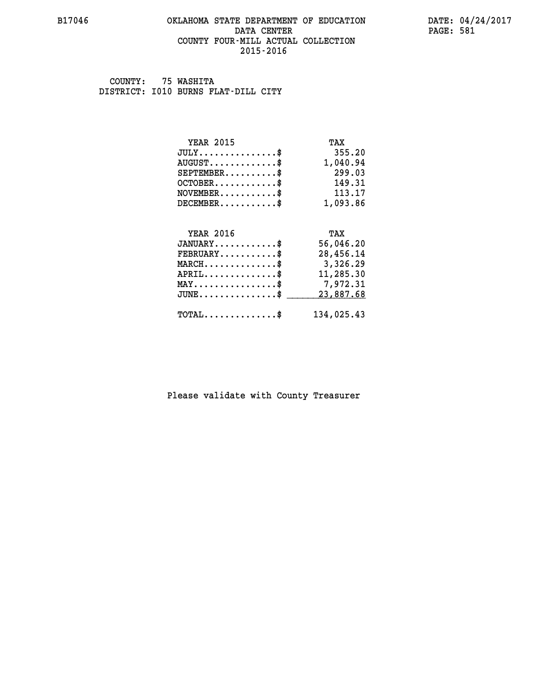#### **B17046 OKLAHOMA STATE DEPARTMENT OF EDUCATION DATE: 04/24/2017 DATA CENTER** PAGE: 581  **COUNTY FOUR-MILL ACTUAL COLLECTION 2015-2016**

 **COUNTY: 75 WASHITA DISTRICT: I010 BURNS FLAT-DILL CITY**

| <b>YEAR 2015</b>                           | TAX        |
|--------------------------------------------|------------|
| $JULY$ \$                                  | 355.20     |
| $AUGUST$ \$                                | 1,040.94   |
| $SEPTEMENT.$ \$                            | 299.03     |
| $OCTOBER$ \$                               | 149.31     |
| $NOVEMBER$ \$                              | 113.17     |
| $DECEMBER$ \$                              | 1,093.86   |
|                                            |            |
| <b>YEAR 2016</b>                           | TAX        |
| $JANUARY$ \$                               | 56,046.20  |
| $FEBRUARY$                                 | 28,456.14  |
| $MARCH$ \$                                 | 3,326.29   |
| $APRIL$ \$                                 | 11,285.30  |
| $MAX \dots \dots \dots \dots \dots$        | 7,972.31   |
| $JUNE$                                     | 23,887.68  |
| $\texttt{TOTAL} \dots \dots \dots \dots \$ | 134,025.43 |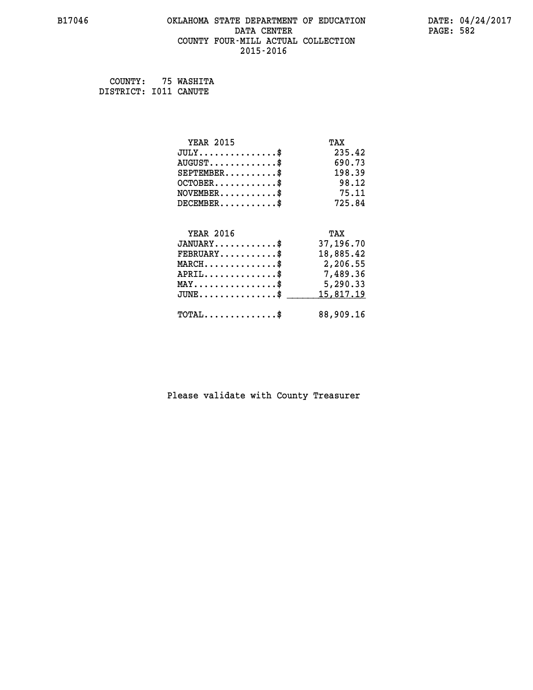#### **B17046 OKLAHOMA STATE DEPARTMENT OF EDUCATION DATE: 04/24/2017 DATA CENTER** PAGE: 582  **COUNTY FOUR-MILL ACTUAL COLLECTION 2015-2016**

 **COUNTY: 75 WASHITA DISTRICT: I011 CANUTE**

| <b>YEAR 2015</b>                               | TAX       |
|------------------------------------------------|-----------|
| $JULY$                                         | 235.42    |
| $AUGUST$ \$                                    | 690.73    |
| $SEPTEMBER$ \$                                 | 198.39    |
| $OCTOBER$ \$                                   | 98.12     |
| $NOVEMBER$ \$                                  | 75.11     |
| $DECEMBER$ \$                                  | 725.84    |
| <b>YEAR 2016</b>                               | TAX       |
| $JANUARY$ \$                                   | 37,196.70 |
| $FEBRUARY$ \$                                  | 18,885.42 |
| $MARCH$ \$                                     | 2,206.55  |
| $APRIL$ \$                                     | 7,489.36  |
| $\texttt{MAX} \dots \dots \dots \dots \dots \$ | 5,290.33  |
| $JUNE$ \$                                      | 15,817.19 |
| $TOTAL$ \$                                     | 88,909.16 |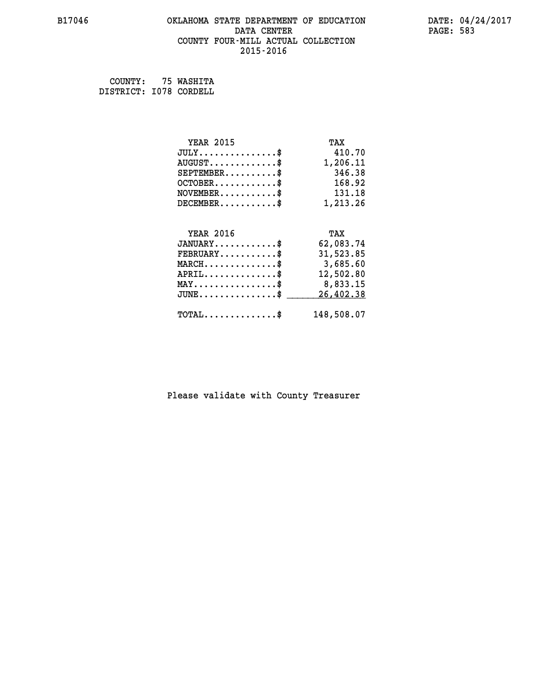#### **B17046 OKLAHOMA STATE DEPARTMENT OF EDUCATION DATE: 04/24/2017 DATA CENTER** PAGE: 583  **COUNTY FOUR-MILL ACTUAL COLLECTION 2015-2016**

 **COUNTY: 75 WASHITA DISTRICT: I078 CORDELL**

| <b>YEAR 2015</b>                                | TAX        |
|-------------------------------------------------|------------|
| $JULY$ \$                                       | 410.70     |
| $AUGUST$ \$                                     | 1,206.11   |
| $SEPTEMBER$ \$                                  | 346.38     |
| $OCTOBER$ \$                                    | 168.92     |
| $NOVEMBER.$ \$                                  | 131.18     |
| $DECEMBER$ \$                                   | 1,213.26   |
|                                                 |            |
| <b>YEAR 2016</b>                                | TAX        |
| $JANUARY$ \$                                    | 62,083.74  |
| $FEBRUARY$                                      | 31,523.85  |
| $MARCH$ \$                                      | 3,685.60   |
| $APRIL \ldots \ldots \ldots \ldots$ \$          | 12,502.80  |
| $\texttt{MAX} \dots \dots \dots \dots \dots \$$ | 8,833.15   |
| $J\texttt{UNE} \dots \dots \dots \dots \dots \$ | 26,402.38  |
| $\texttt{TOTAL} \dots \dots \dots \dots \$      | 148,508.07 |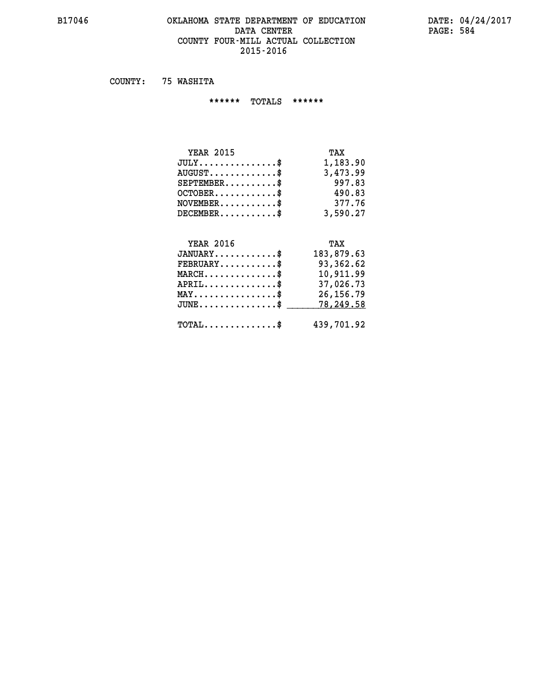#### **B17046 OKLAHOMA STATE DEPARTMENT OF EDUCATION DATE: 04/24/2017** DATA CENTER PAGE: 584  **COUNTY FOUR-MILL ACTUAL COLLECTION 2015-2016**

 **COUNTY: 75 WASHITA**

 **\*\*\*\*\*\* TOTALS \*\*\*\*\*\***

| <b>YEAR 2015</b>                       | TAX      |
|----------------------------------------|----------|
| $JULY \ldots \ldots \ldots \mathbb{S}$ | 1,183.90 |
| $AUGUST$ \$                            | 3,473.99 |
| $SEPTEMBER$                            | 997.83   |
| $OCTOBER$ \$                           | 490.83   |
| $NOVEMBER$ \$                          | 377.76   |
| $DECEMBER$ \$                          | 3,590.27 |

## **YEAR 2016 TAX JANUARY............\$ 183,879.63 FEBRUARY...........\$ 93,362.62 MARCH..............\$ 10,911.99 APRIL..............\$ 37,026.73 MAY................\$ 26,156.79** JUNE..............\$ <u>\_\_\_\_\_\_\_\_ 78,249.58</u>  **TOTAL..............\$ 439,701.92**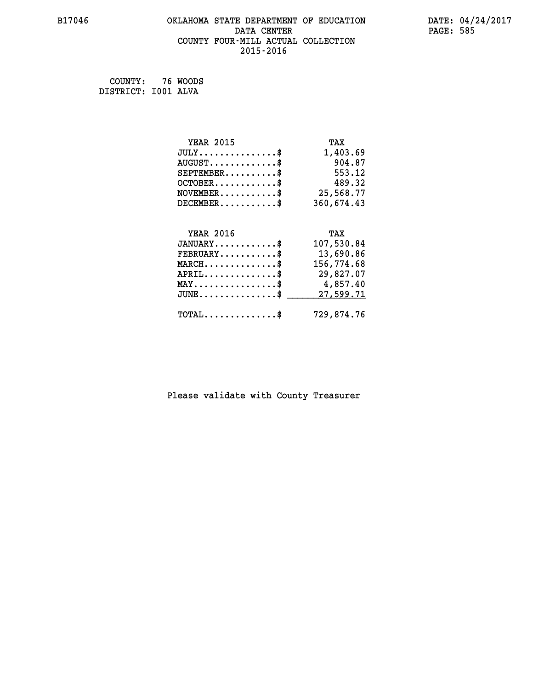#### **B17046 OKLAHOMA STATE DEPARTMENT OF EDUCATION DATE: 04/24/2017 DATA CENTER** PAGE: 585  **COUNTY FOUR-MILL ACTUAL COLLECTION 2015-2016**

 **COUNTY: 76 WOODS DISTRICT: I001 ALVA**

| <b>YEAR 2015</b>                               | TAX        |
|------------------------------------------------|------------|
| $JULY$ \$                                      | 1,403.69   |
| $AUGUST$ \$                                    | 904.87     |
| $SEPTEMBER$                                    | 553.12     |
| $OCTOBER$ \$                                   | 489.32     |
| $\texttt{NOVEMBER} \dots \dots \dots \$        | 25,568.77  |
| $DECEMBER$ \$                                  | 360,674.43 |
|                                                |            |
|                                                |            |
| <b>YEAR 2016</b>                               | TAX        |
| $JANUARY$ \$                                   | 107,530.84 |
| $FEBRUARY$                                     | 13,690.86  |
| $MARCH$ \$                                     | 156,774.68 |
| $APRIL$ \$                                     | 29,827.07  |
| $\texttt{MAX} \dots \dots \dots \dots \dots \$ | 4,857.40   |
| $JUNE$ \$                                      | 27,599.71  |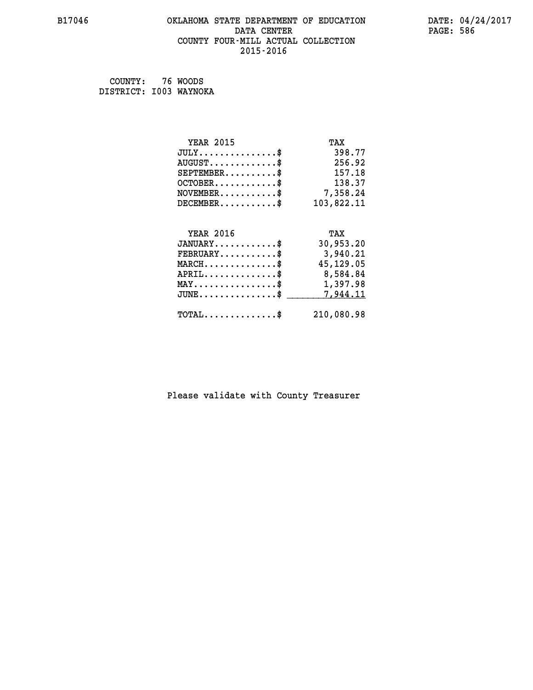### **B17046 OKLAHOMA STATE DEPARTMENT OF EDUCATION DATE: 04/24/2017 DATA CENTER PAGE: 586 COUNTY FOUR-MILL ACTUAL COLLECTION 2015-2016**

 **COUNTY: 76 WOODS**

 **DISTRICT: I003 WAYNOKA**

| <b>YEAR 2015</b>                                 | TAX        |
|--------------------------------------------------|------------|
| $JULY$ \$                                        | 398.77     |
| $AUGUST$ \$                                      | 256.92     |
| $SEPTEMBER$ \$                                   | 157.18     |
| $OCTOBER$ \$                                     | 138.37     |
| NOVEMBER\$ 7,358.24                              |            |
| $DECEMBER$ \$                                    | 103,822.11 |
|                                                  |            |
| <b>YEAR 2016</b>                                 | TAX        |
| $JANUARY$ \$                                     | 30,953.20  |
| $FEBRUARY$                                       | 3,940.21   |
| $MARCH$ \$                                       | 45,129.05  |
| $APRIL \ldots \ldots \ldots \ldots *$            | 8,584.84   |
| MAY\$ 1,397.98                                   |            |
| $\texttt{JUNE} \dots \dots \dots \dots \dots \$$ | 7,944.11   |
| $\texttt{TOTAL} \dots \dots \dots \dots \$       | 210,080.98 |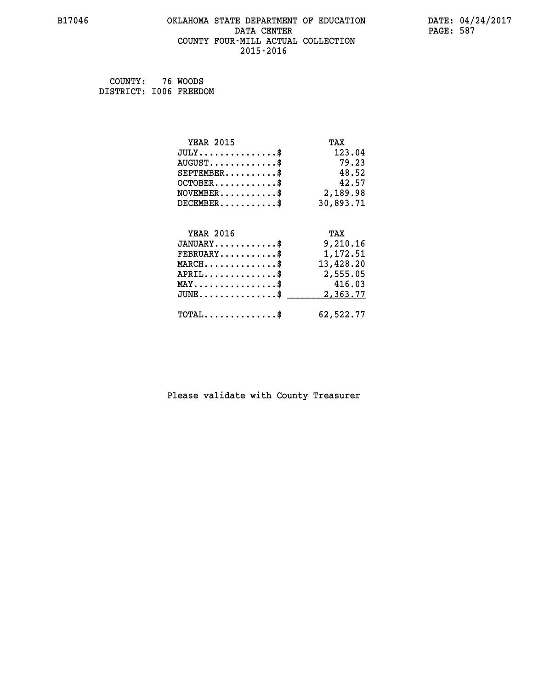### **B17046 OKLAHOMA STATE DEPARTMENT OF EDUCATION DATE: 04/24/2017 DATA CENTER PAGE: 587 COUNTY FOUR-MILL ACTUAL COLLECTION 2015-2016**

 **COUNTY: 76 WOODS DISTRICT: I006 FREEDOM**

| <b>YEAR 2015</b>                           | TAX       |
|--------------------------------------------|-----------|
| $JULY$ \$                                  | 123.04    |
| $AUGUST$ \$                                | 79.23     |
| $SEPTEMBER$ \$                             | 48.52     |
| $OCTOBER$ \$                               | 42.57     |
| $\texttt{NOVEMBER} \dots \dots \dots \$    | 2,189.98  |
| $DECEMBER$ \$                              | 30,893.71 |
|                                            |           |
| <b>YEAR 2016</b>                           | TAX       |
| $JANUARY$ \$                               | 9,210.16  |
| $FEBRUARY$                                 | 1,172.51  |
| $MARCH$ \$                                 | 13,428.20 |
| $APRIL$ \$                                 | 2,555.05  |
| $MAX \dots \dots \dots \dots \dots$        | 416.03    |
| $JUNE$ $$$                                 | 2,363.77  |
| $\texttt{TOTAL} \dots \dots \dots \dots \$ | 62,522.77 |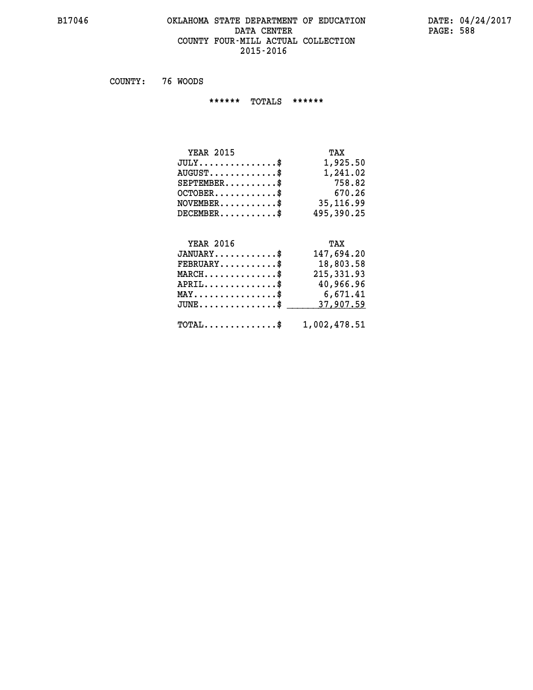#### **B17046 OKLAHOMA STATE DEPARTMENT OF EDUCATION DATE: 04/24/2017** DATA CENTER PAGE: 588  **COUNTY FOUR-MILL ACTUAL COLLECTION 2015-2016**

 **COUNTY: 76 WOODS**

 **\*\*\*\*\*\* TOTALS \*\*\*\*\*\***

| <b>YEAR 2015</b>                       | TAX        |
|----------------------------------------|------------|
| $JULY \ldots \ldots \ldots \mathbb{S}$ | 1,925.50   |
| $AUGUST \ldots \ldots \ldots$ \$       | 1,241.02   |
| $SEPTEMBER$ $\$                        | 758.82     |
| $OCTOBER$ \$                           | 670.26     |
| $NOVEMBER$ \$                          | 35,116.99  |
| $DECEMBER$                             | 495,390.25 |

# **YEAR 2016 TAX**

| $JANUARY$ \$                                            | 147,694.20 |
|---------------------------------------------------------|------------|
| $\texttt{FEBRUARY} \dots \dots \dots \dots \$           | 18,803.58  |
| $MARCH$ \$                                              | 215,331.93 |
| $APRIL$ \$                                              | 40,966.96  |
| $MAX \dots \dots \dots \dots \dots \$                   | 6,671.41   |
| $JUNE \dots \dots \dots \dots \$ 37,907.59              |            |
| $\texttt{TOTAL} \dots \dots \dots \dots \$ 1,002,478.51 |            |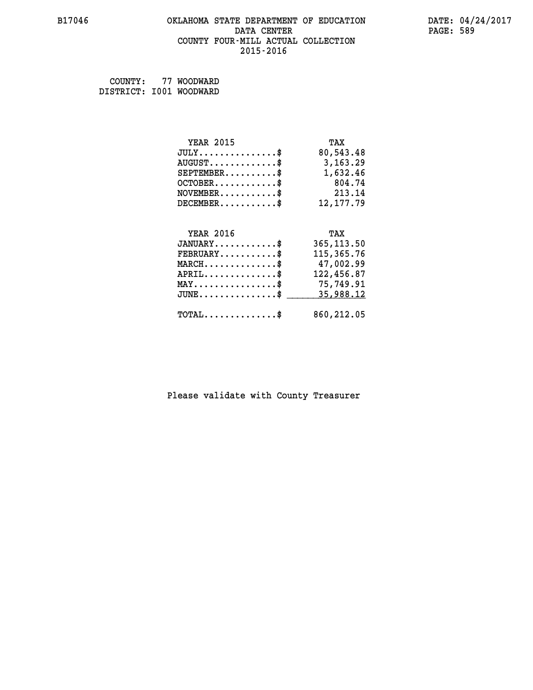### **B17046 OKLAHOMA STATE DEPARTMENT OF EDUCATION DATE: 04/24/2017 DATA CENTER PAGE: 589 COUNTY FOUR-MILL ACTUAL COLLECTION 2015-2016**

 **COUNTY: 77 WOODWARD DISTRICT: I001 WOODWARD**

| <b>YEAR 2015</b>                               | TAX          |
|------------------------------------------------|--------------|
| $JULY$                                         | 80,543.48    |
| $AUGUST$ \$                                    | 3, 163. 29   |
| $SEPTEMBER$ \$                                 | 1,632.46     |
| $OCTOBER$ \$                                   | 804.74       |
| $NOVEMBER$ \$                                  | 213.14       |
| $DECEMBER$ \$                                  | 12, 177.79   |
|                                                |              |
| <b>YEAR 2016</b>                               | TAX          |
| $JANUARY$ \$                                   | 365, 113.50  |
| $FEBRUARY$ \$                                  | 115,365.76   |
| $\texttt{MARCH}\ldots\ldots\ldots\ldots\$      | 47,002.99    |
| $APRIL$ \$                                     | 122,456.87   |
| $\texttt{MAX} \dots \dots \dots \dots \dots \$ | 75,749.91    |
| $JUNE$ \$                                      | 35,988.12    |
| $\texttt{TOTAL} \dots \dots \dots \dots \dots$ | 860, 212, 05 |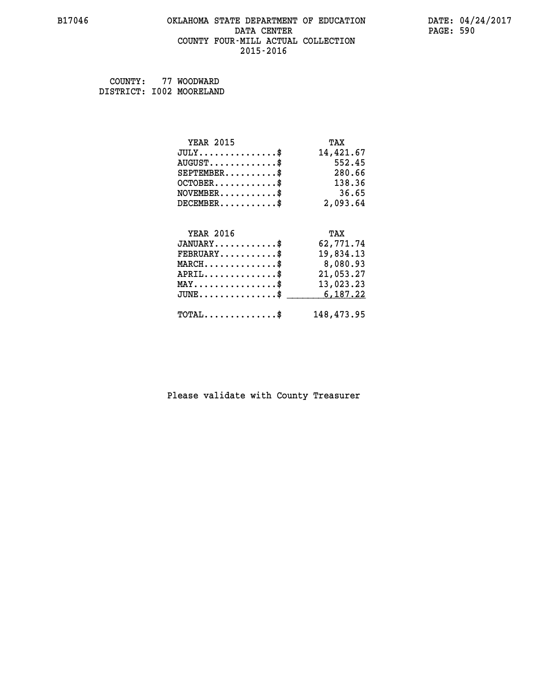#### **B17046 OKLAHOMA STATE DEPARTMENT OF EDUCATION DATE: 04/24/2017 DATA CENTER** PAGE: 590  **COUNTY FOUR-MILL ACTUAL COLLECTION 2015-2016**

 **COUNTY: 77 WOODWARD DISTRICT: I002 MOORELAND**

| <b>YEAR 2015</b>                               | TAX        |
|------------------------------------------------|------------|
| $JULY$                                         | 14,421.67  |
| $AUGUST$ \$                                    | 552.45     |
| $SEPTEMENT.$ $\frac{1}{2}$                     | 280.66     |
| $OCTOBER$ \$                                   | 138.36     |
| $NOVEMBER$ \$                                  | 36.65      |
| $DECEMBER$                                     | 2,093.64   |
| <b>YEAR 2016</b>                               | TAX        |
| $JANUARY$ \$                                   | 62,771.74  |
| $FEBRUARY$ \$                                  | 19,834.13  |
| $MARCH$ \$                                     | 8,080.93   |
| $APRIL$ \$                                     | 21,053.27  |
| $\texttt{MAX} \dots \dots \dots \dots \dots \$ | 13,023.23  |
| $JUNE$ \$                                      | 6,187.22   |
| $\texttt{TOTAL} \dots \dots \dots \dots \$     | 148,473.95 |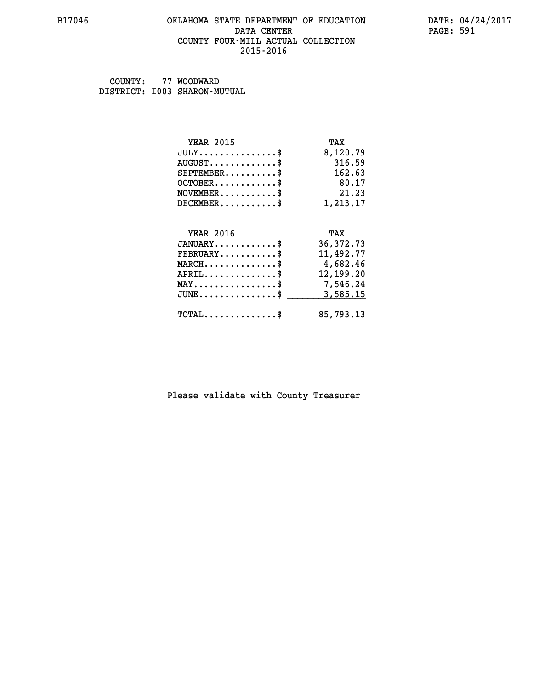#### **B17046 OKLAHOMA STATE DEPARTMENT OF EDUCATION DATE: 04/24/2017 DATA CENTER** PAGE: 591  **COUNTY FOUR-MILL ACTUAL COLLECTION 2015-2016**

 **COUNTY: 77 WOODWARD DISTRICT: I003 SHARON-MUTUAL**

| <b>YEAR 2015</b>                    | TAX         |
|-------------------------------------|-------------|
| $JULY$ \$                           | 8,120.79    |
| $AUGUST$ \$                         | 316.59      |
| $SEPTEMENT.$ \$                     | 162.63      |
| $OCTOBER$ \$                        | 80.17       |
| $NOVEMBER$ \$                       | 21.23       |
| $DECEMBER$ \$                       | 1,213.17    |
|                                     |             |
| <b>YEAR 2016</b>                    | TAX         |
| $JANUARY$                           | 36, 372. 73 |
| $FEBRUARY$                          | 11,492.77   |
|                                     |             |
| $MARCH$ \$                          | 4,682.46    |
| $APRIL$ \$                          | 12,199.20   |
| $MAX \dots \dots \dots \dots \dots$ | 7,546.24    |
| $JUNE \dots \dots \dots \dots \$    | 3,585.15    |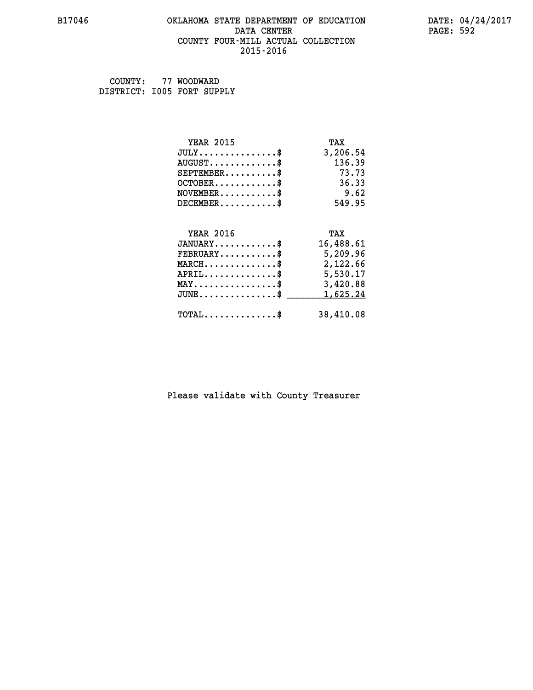#### **B17046 OKLAHOMA STATE DEPARTMENT OF EDUCATION DATE: 04/24/2017 DATA CENTER** PAGE: 592  **COUNTY FOUR-MILL ACTUAL COLLECTION 2015-2016**

 **COUNTY: 77 WOODWARD DISTRICT: I005 FORT SUPPLY**

| <b>YEAR 2015</b>                               | TAX       |
|------------------------------------------------|-----------|
| $JULY$ \$                                      | 3,206.54  |
| $AUGUST$ \$                                    | 136.39    |
| $SEPTEMENT.$ \$                                | 73.73     |
| $OCTOBER$ \$                                   | 36.33     |
| $NOVEMBER$ \$                                  | 9.62      |
| $DECEMBER$ \$                                  | 549.95    |
|                                                |           |
|                                                |           |
| <b>YEAR 2016</b>                               | TAX       |
| $JANUARY$                                      | 16,488.61 |
| $FEBRUARY$                                     | 5,209.96  |
| $MARCH$ \$                                     | 2,122.66  |
| $APRIL$ \$                                     | 5,530.17  |
| $\texttt{MAX} \dots \dots \dots \dots \dots \$ | 3,420.88  |
| $JUNE \ldots \ldots \ldots \ldots \ldots$ \$   | 1,625.24  |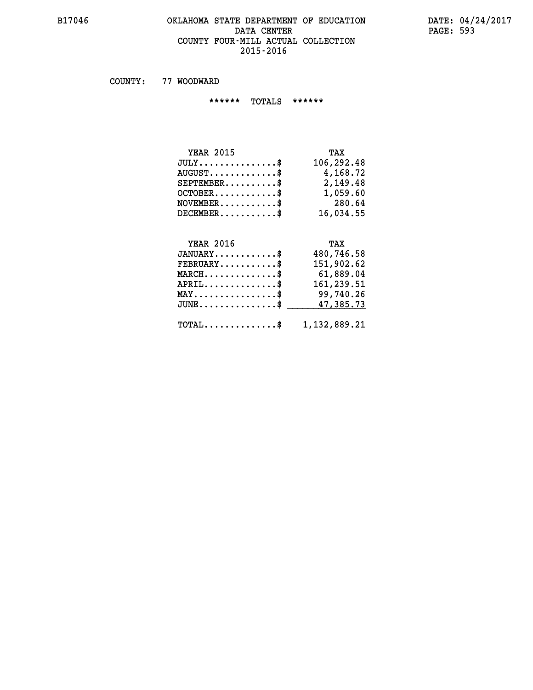#### **B17046 OKLAHOMA STATE DEPARTMENT OF EDUCATION DATE: 04/24/2017 DATA CENTER** PAGE: 593  **COUNTY FOUR-MILL ACTUAL COLLECTION 2015-2016**

 **COUNTY: 77 WOODWARD**

 **\*\*\*\*\*\* TOTALS \*\*\*\*\*\***

| <b>YEAR 2015</b>                       | TAX        |
|----------------------------------------|------------|
| $JULY \ldots \ldots \ldots \mathbb{S}$ | 106,292.48 |
| $AUGUST \ldots \ldots \ldots$ \$       | 4,168.72   |
| $SEPTEMBER$                            | 2,149.48   |
| $OCTOBER$ \$                           | 1,059.60   |
| $NOVEMBER$ \$                          | 280.64     |
| $DECEMBER$                             | 16,034.55  |

## **YEAR 2016**

| <b>YEAR 2016</b>                                  | TAX          |
|---------------------------------------------------|--------------|
| $JANUARY$ \$                                      | 480,746.58   |
| $FEBRUARY$ \$                                     | 151,902.62   |
| $MARCH$ \$                                        | 61,889.04    |
| $APRIL$ \$                                        | 161,239.51   |
| $\texttt{MAX} \dots \dots \dots \dots \dots \$    | 99,740.26    |
| JUNE\$ 47,385.73                                  |              |
| $\texttt{TOTAL} \dots \dots \dots \dots \text{*}$ | 1,132,889.21 |